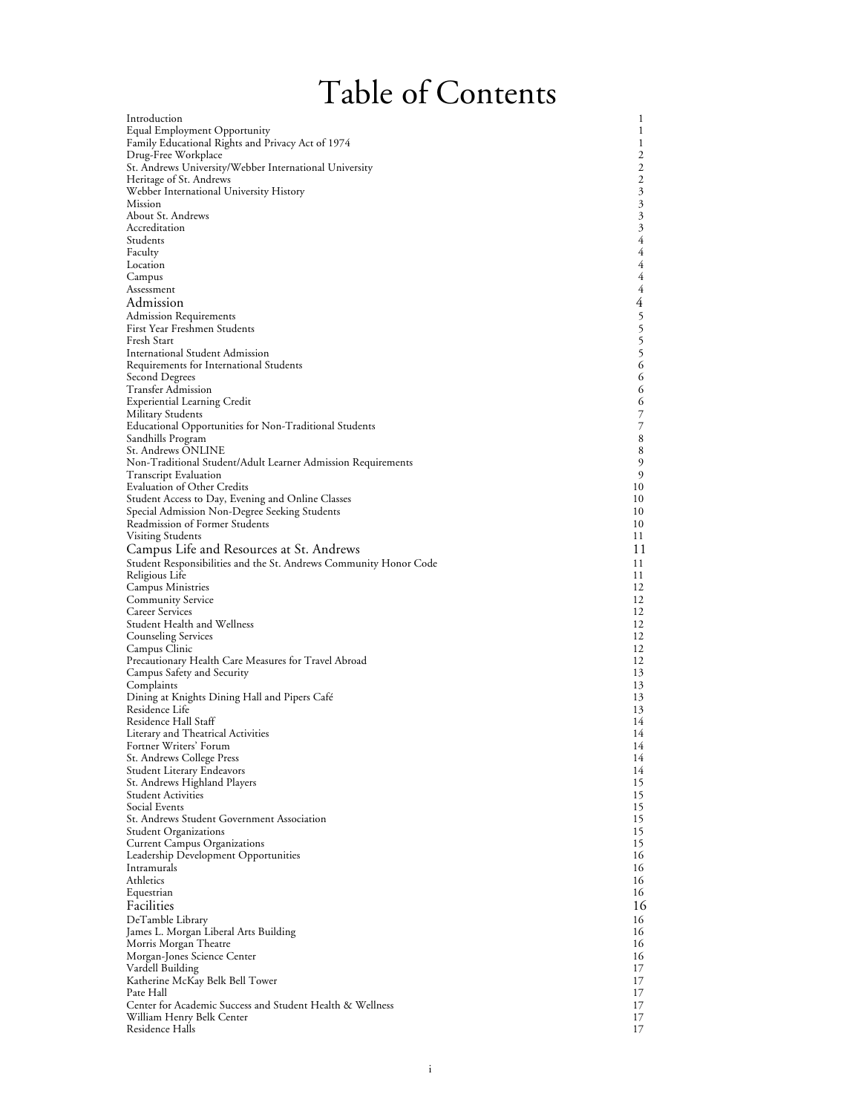# Table of Contents

| Introduction                                                          | 1                        |
|-----------------------------------------------------------------------|--------------------------|
| Equal Employment Opportunity                                          | 1                        |
| Family Educational Rights and Privacy Act of 1974                     | 1                        |
| Drug-Free Workplace                                                   | 2                        |
| St. Andrews University/Webber International University                | 2                        |
| Heritage of St. Andrews                                               | $\mathfrak{2}$           |
| Webber International University History                               | 3                        |
| Mission                                                               | $\boldsymbol{\beta}$     |
| About St. Andrews                                                     | 3                        |
| Accreditation                                                         | $\boldsymbol{\beta}$     |
| Students                                                              | 4                        |
| Faculty                                                               | 4                        |
| Location                                                              | 4                        |
| Campus                                                                | 4<br>4                   |
| Assessment                                                            | 4                        |
| Admission                                                             |                          |
| Admission Requirements                                                |                          |
| First Year Freshmen Students<br>Fresh Start                           | 555                      |
| <b>International Student Admission</b>                                |                          |
| Requirements for International Students                               | 6                        |
| Second Degrees                                                        | 6                        |
| Transfer Admission                                                    | 6                        |
| <b>Experiential Learning Credit</b>                                   | 6                        |
| <b>Military Students</b>                                              | $\overline{\phantom{a}}$ |
| Educational Opportunities for Non-Traditional Students                | 7                        |
| Sandhills Program                                                     | 8                        |
| St. Andrews ONLINE                                                    | 8                        |
| Non-Traditional Student/Adult Learner Admission Requirements          | 9                        |
| Transcript Evaluation                                                 | 9                        |
| <b>Evaluation of Other Credits</b>                                    | 10                       |
| Student Access to Day, Evening and Online Classes                     | 10                       |
| Special Admission Non-Degree Seeking Students                         | 10                       |
| Readmission of Former Students                                        | 10                       |
| Visiting Students                                                     | 11                       |
| Campus Life and Resources at St. Andrews                              | 11                       |
| Student Responsibilities and the St. Andrews Community Honor Code     | 11                       |
| Religious Life                                                        | 11                       |
| Campus Ministries                                                     | 12                       |
| <b>Community Service</b>                                              | 12                       |
| Career Services                                                       | 12                       |
| Student Health and Wellness                                           | 12                       |
| <b>Counseling Services</b>                                            | 12<br>12                 |
| Campus Clinic<br>Precautionary Health Care Measures for Travel Abroad | 12                       |
|                                                                       | 13                       |
| Campus Safety and Security<br>Complaints                              | 13                       |
| Dining at Knights Dining Hall and Pipers Café                         | 13                       |
| Residence Life                                                        | 13                       |
| Residence Hall Staff                                                  | 14                       |
| Literary and Theatrical Activities                                    | 14                       |
| Fortner Writers' Forum                                                | 14                       |
| St. Andrews College Press                                             | 14                       |
| Student Literary Endeavors                                            | 14                       |
| St. Andrews Highland Players                                          | 15                       |
| <b>Student Activities</b>                                             | 15                       |
| <b>Social Events</b>                                                  | 15                       |
| St. Andrews Student Government Association                            | 15                       |
| <b>Student Organizations</b>                                          | 15                       |
| Current Campus Organizations                                          | 15                       |
| Leadership Development Opportunities                                  | 16                       |
| Intramurals                                                           | 16                       |
| Athletics                                                             | 16                       |
| Equestrian                                                            | 16                       |
| Facilities                                                            | 16                       |
| DeTamble Library                                                      | 16                       |
| James L. Morgan Liberal Arts Building                                 | 16                       |
| Morris Morgan Theatre                                                 | 16                       |
| Morgan-Jones Science Center                                           | 16                       |
| Vardell Building<br>Katherine McKay Belk Bell Tower                   | 17<br>17                 |
| Pate Hall                                                             | 17                       |
| Center for Academic Success and Student Health & Wellness             | 17                       |
| William Henry Belk Center                                             | 17                       |
| Residence Halls                                                       | 17                       |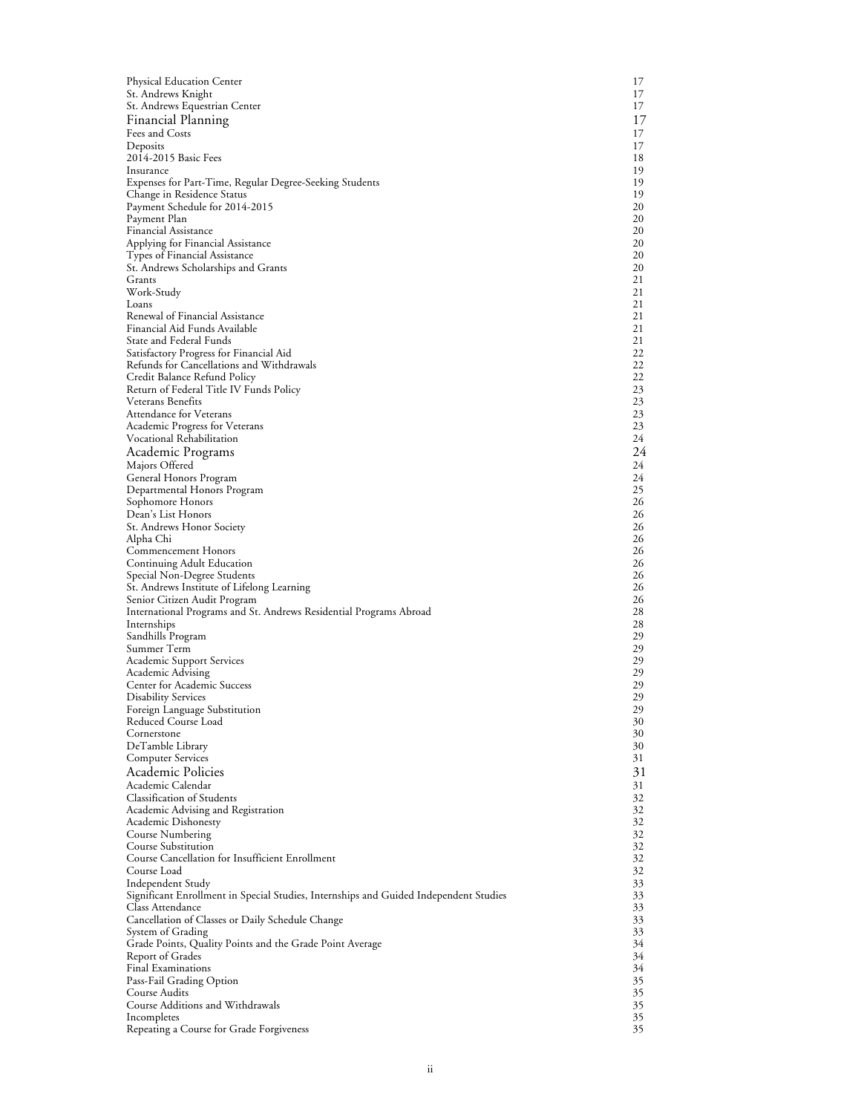| Physical Education Center                                                                                 | 17       |
|-----------------------------------------------------------------------------------------------------------|----------|
| St. Andrews Knight                                                                                        | 17       |
| St. Andrews Equestrian Center                                                                             | 17       |
| Financial Planning                                                                                        | 17       |
| Fees and Costs<br>Deposits                                                                                | 17<br>17 |
| 2014-2015 Basic Fees                                                                                      | 18       |
| Insurance                                                                                                 | 19       |
| Expenses for Part-Time, Regular Degree-Seeking Students                                                   | 19       |
| Change in Residence Status<br>Payment Schedule for 2014-2015                                              | 19<br>20 |
| Payment Plan                                                                                              | 20       |
| Financial Assistance                                                                                      | 20       |
| Applying for Financial Assistance                                                                         | 20       |
| Types of Financial Assistance<br>St. Andrews Scholarships and Grants                                      | 20<br>20 |
| Grants                                                                                                    | 21       |
| Work-Study                                                                                                | 21       |
| Loans                                                                                                     | 21       |
| Renewal of Financial Assistance<br>Financial Aid Funds Available                                          | 21<br>21 |
| State and Federal Funds                                                                                   | 21       |
| Satisfactory Progress for Financial Aid                                                                   | 22       |
| Refunds for Cancellations and Withdrawals                                                                 | 22       |
| Credit Balance Refund Policy                                                                              | 22       |
| Return of Federal Title IV Funds Policy<br>Veterans Benefits                                              | 23<br>23 |
| <b>Attendance for Veterans</b>                                                                            | 23       |
| <b>Academic Progress for Veterans</b>                                                                     | 23       |
| Vocational Rehabilitation                                                                                 | 24       |
| Academic Programs                                                                                         | 24<br>24 |
| Majors Offered<br>General Honors Program                                                                  | 24       |
| Departmental Honors Program                                                                               | 25       |
| Sophomore Honors                                                                                          | 26       |
| Dean's List Honors                                                                                        | 26<br>26 |
| St. Andrews Honor Society<br>Alpha Chi                                                                    | 26       |
| Commencement Honors                                                                                       | 26       |
| Continuing Adult Education                                                                                | 26       |
| Special Non-Degree Students                                                                               | 26<br>26 |
| St. Andrews Institute of Lifelong Learning<br>Senior Citizen Audit Program                                | 26       |
| International Programs and St. Andrews Residential Programs Abroad                                        | 28       |
| Internships                                                                                               | 28       |
| Sandhills Program<br>Summer Term                                                                          | 29<br>29 |
| <b>Academic Support Services</b>                                                                          | 29       |
| Academic Advising                                                                                         | 29       |
| Center for Academic Success                                                                               | 29       |
| <b>Disability Services</b><br>Foreign Language Substitution                                               | 29<br>29 |
| Reduced Course Load                                                                                       | 30       |
| Cornerstone                                                                                               | 30       |
| DeTamble Library                                                                                          | 30       |
| <b>Computer Services</b><br>Academic Policies                                                             | 31<br>31 |
| Academic Calendar                                                                                         | 31       |
| <b>Classification of Students</b>                                                                         | 32       |
| Academic Advising and Registration                                                                        | 32       |
| Academic Dishonesty                                                                                       | 32       |
| Course Numbering<br>Course Substitution                                                                   | 32<br>32 |
| Course Cancellation for Insufficient Enrollment                                                           | 32       |
| Course Load                                                                                               | 32       |
| Independent Study                                                                                         | 33       |
| Significant Enrollment in Special Studies, Internships and Guided Independent Studies<br>Class Attendance | 33<br>33 |
| Cancellation of Classes or Daily Schedule Change                                                          | 33       |
| System of Grading                                                                                         | 33       |
| Grade Points, Quality Points and the Grade Point Average                                                  | 34       |
| Report of Grades<br>Final Examinations                                                                    | 34<br>34 |
| Pass-Fail Grading Option                                                                                  | 35       |
| Course Audits                                                                                             | 35       |
| Course Additions and Withdrawals<br>Incompletes                                                           | 35<br>35 |
| Repeating a Course for Grade Forgiveness                                                                  | 35       |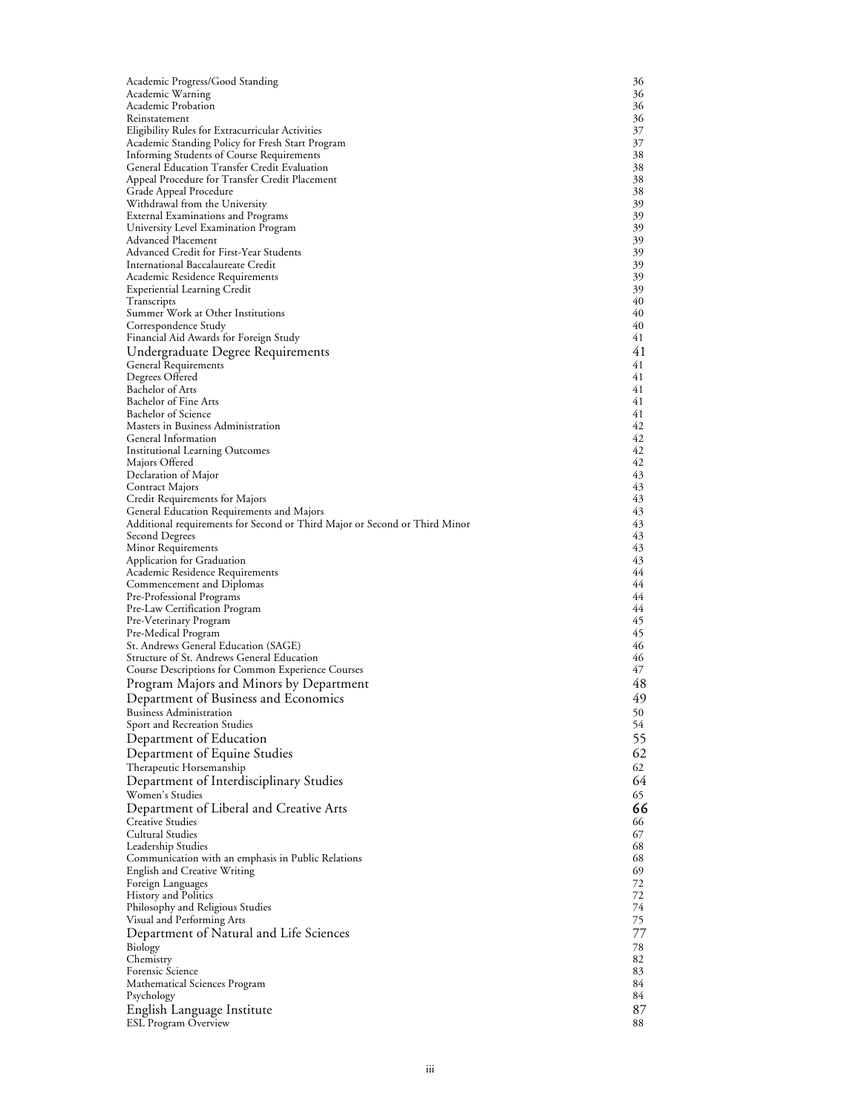| Academic Progress/Good Standing                                             | 36       |
|-----------------------------------------------------------------------------|----------|
| Academic Warning                                                            | 36       |
| Academic Probation                                                          | 36       |
| Reinstatement<br>Eligibility Rules for Extracurricular Activities           | 36<br>37 |
| Academic Standing Policy for Fresh Start Program                            | 37       |
| Informing Students of Course Requirements                                   | 38       |
| General Education Transfer Credit Evaluation                                | 38       |
| Appeal Procedure for Transfer Credit Placement                              | 38       |
| Grade Appeal Procedure                                                      | 38<br>39 |
| Withdrawal from the University<br><b>External Examinations and Programs</b> | 39       |
| University Level Examination Program                                        | 39       |
| Advanced Placement                                                          | 39       |
| Advanced Credit for First-Year Students                                     | 39       |
| International Baccalaureate Credit                                          | 39       |
| Academic Residence Requirements                                             | 39<br>39 |
| <b>Experiential Learning Credit</b><br>I ranscripts                         | 40       |
| Summer Work at Other Institutions                                           | 40       |
| Correspondence Study                                                        | 40       |
| Financial Aid Awards for Foreign Study                                      | 41       |
| Undergraduate Degree Requirements                                           | 41       |
| General Requirements                                                        | 41<br>41 |
| Degrees Offered<br>Bachelor of Arts                                         | 41       |
| Bachelor of Fine Arts                                                       | 41       |
| Bachelor of Science                                                         | 41       |
| Masters in Business Administration                                          | 42       |
| General Information                                                         | 42       |
| <b>Institutional Learning Outcomes</b>                                      | 42<br>42 |
| Majors Offered<br>Declaration of Major                                      | 43       |
| Contract Majors                                                             | 43       |
| Credit Requirements for Majors                                              | 43       |
| General Education Requirements and Majors                                   | 43       |
| Additional requirements for Second or Third Major or Second or Third Minor  | 43<br>43 |
| Second Degrees<br>Minor Requirements                                        | 43       |
| Application for Graduation                                                  | 43       |
| Academic Residence Requirements                                             | 44       |
| Commencement and Diplomas                                                   | 44       |
| Pre-Professional Programs                                                   | 44<br>44 |
| Pre-Law Certification Program<br>Pre-Veterinary Program                     | 45       |
| Pre-Medical Program                                                         | 45       |
| St. Andrews General Education (SAGE)                                        | 46       |
| Structure of St. Andrews General Education                                  | 46       |
| Course Descriptions for Common Experience Courses                           | 47       |
| Program Majors and Minors by Department                                     | 48       |
| Department of Business and Economics                                        | 49       |
| <b>Business Administration</b>                                              | 50<br>54 |
| Sport and Recreation Studies<br>Department of Education                     | 55       |
| Department of Equine Studies                                                | 62       |
| Therapeutic Horsemanship                                                    | 62       |
| Department of Interdisciplinary Studies                                     | 64       |
| Women's Studies                                                             | 65       |
| Department of Liberal and Creative Arts                                     | 66       |
| <b>Creative Studies</b>                                                     | 66       |
| Cultural Studies                                                            | 67       |
| Leadership Studies                                                          | 68       |
| Communication with an emphasis in Public Relations                          | 68<br>69 |
| <b>English and Creative Writing</b><br>Foreign Languages                    | 72       |
| History and Politics                                                        | 72       |
| Philosophy and Religious Studies                                            | 74       |
| Visual and Performing Arts                                                  | 75       |
| Department of Natural and Life Sciences                                     | 77       |
| Biology                                                                     | 78       |
| Chemistry<br>Forensic Science                                               | 82<br>83 |
| Mathematical Sciences Program                                               | 84       |
| Psychology                                                                  | 84       |
| English Language Institute                                                  | 87       |
| <b>ESL Program Overview</b>                                                 | 88       |
|                                                                             |          |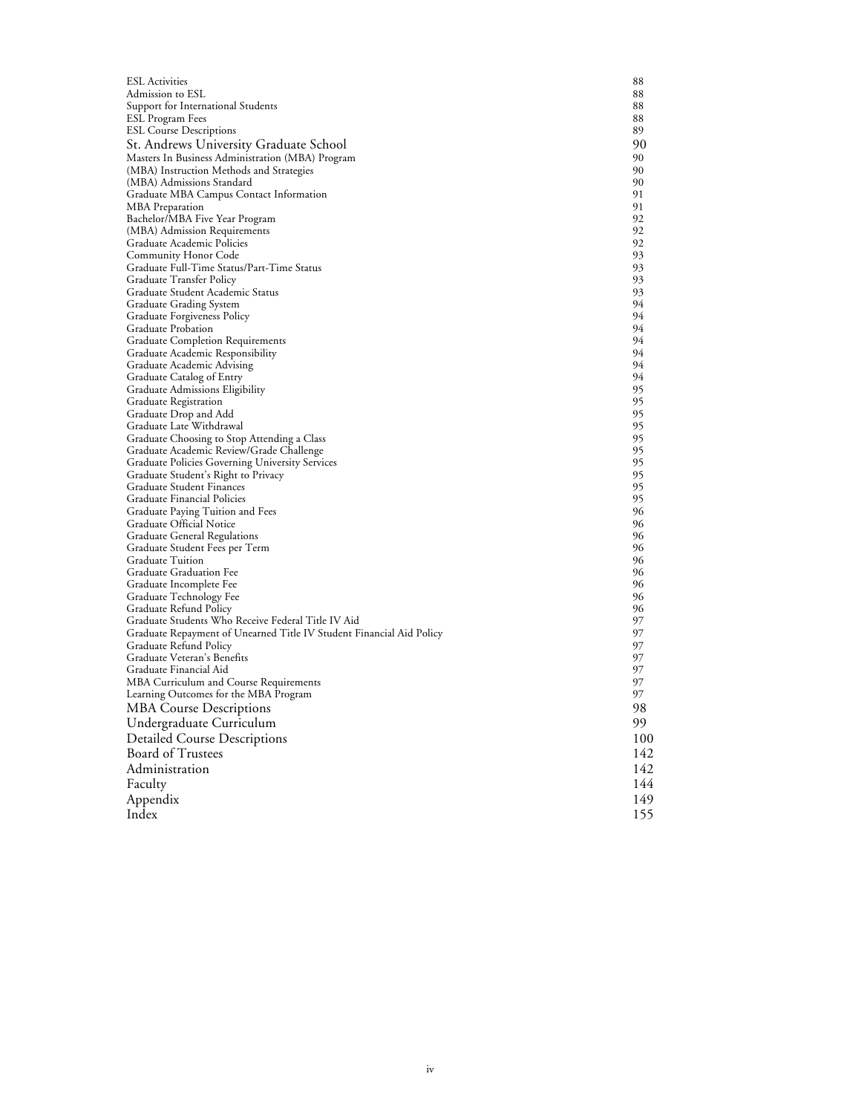| <b>ESL Activities</b>                                                                       | 88       |
|---------------------------------------------------------------------------------------------|----------|
| Admission to ESL                                                                            | 88       |
| Support for International Students                                                          | 88       |
| ESL Program Fees                                                                            | 88       |
| <b>ESL Course Descriptions</b>                                                              | 89       |
| St. Andrews University Graduate School                                                      | 90       |
| Masters In Business Administration (MBA) Program                                            | 90       |
| (MBA) Instruction Methods and Strategies                                                    | 90       |
| (MBA) Admissions Standard                                                                   | 90<br>91 |
| Graduate MBA Campus Contact Information                                                     | 91       |
| MBA Preparation<br>Bachelor/MBA Five Year Program                                           | 92       |
| (MBA) Admission Requirements                                                                | 92       |
| Graduate Academic Policies                                                                  | 92       |
| Community Honor Code                                                                        | 93       |
| Graduate Full-Time Status/Part-Time Status                                                  | 93       |
| Graduate Transfer Policy                                                                    | 93       |
| Graduate Student Academic Status                                                            | 93       |
| Graduate Grading System                                                                     | 94       |
| Graduate Forgiveness Policy                                                                 | 94       |
| Graduate Probation                                                                          | 94       |
| Graduate Completion Requirements                                                            | 94       |
| Graduate Academic Responsibility                                                            | 94       |
| Graduate Academic Advising                                                                  | 94       |
| Graduate Catalog of Entry                                                                   | 94       |
| Graduate Admissions Eligibility                                                             | 95       |
| <b>Graduate Registration</b>                                                                | 95       |
| Graduate Drop and Add                                                                       | 95       |
| Graduate Late Withdrawal                                                                    | 95       |
| Graduate Choosing to Stop Attending a Class                                                 | 95       |
| Graduate Academic Review/Grade Challenge<br>Graduate Policies Governing University Services | 95<br>95 |
| Graduate Student's Right to Privacy                                                         | 95       |
| Graduate Student Finances                                                                   | 95       |
| Graduate Financial Policies                                                                 | 95       |
| Graduate Paying Tuition and Fees                                                            | 96       |
| Graduate Official Notice                                                                    | 96       |
| Graduate General Regulations                                                                | 96       |
| Graduate Student Fees per Term                                                              | 96       |
| <b>Graduate Tuition</b>                                                                     | 96       |
| Graduate Graduation Fee                                                                     | 96       |
| Graduate Incomplete Fee                                                                     | 96       |
| Graduate Technology Fee                                                                     | 96       |
| Graduate Refund Policy                                                                      | 96       |
| Graduate Students Who Receive Federal Title IV Aid                                          | 97       |
| Graduate Repayment of Unearned Title IV Student Financial Aid Policy                        | 97       |
| Graduate Refund Policy                                                                      | 97       |
| Graduate Veteran's Benefits                                                                 | 97       |
| Graduate Financial Aid                                                                      | 97       |
| MBA Curriculum and Course Requirements                                                      | 97<br>97 |
| Learning Outcomes for the MBA Program                                                       |          |
| <b>MBA Course Descriptions</b>                                                              | 98.      |
| Undergraduate Curriculum                                                                    | 99       |
| <b>Detailed Course Descriptions</b>                                                         | 100      |
| <b>Board of Trustees</b>                                                                    | 142      |
| Administration                                                                              | 142      |
| Faculty                                                                                     | 144      |
|                                                                                             |          |
| Appendix                                                                                    | 149      |
| Index                                                                                       | 155      |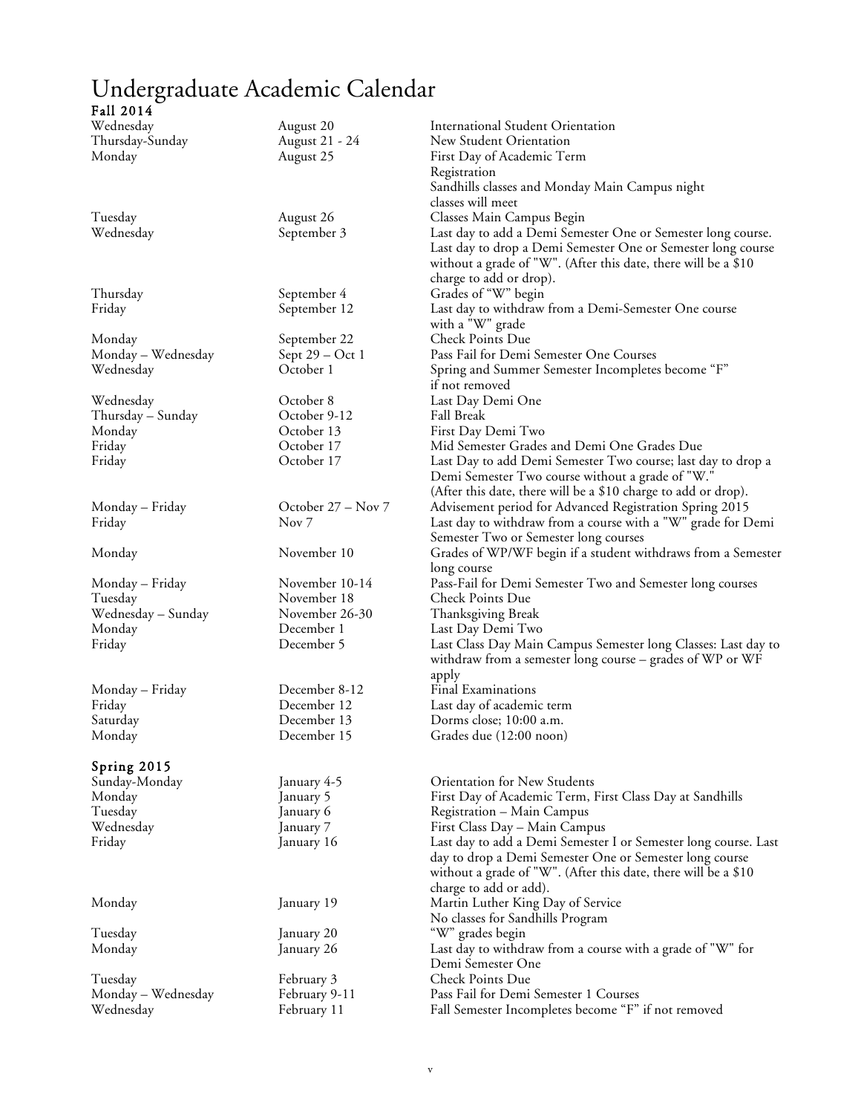# Undergraduate Academic Calendar

### Fall 2014

| Wednesday          | August 20          | <b>International Student Orientation</b>                        |
|--------------------|--------------------|-----------------------------------------------------------------|
| Thursday-Sunday    | August 21 - 24     | New Student Orientation                                         |
| Monday             | August 25          | First Day of Academic Term                                      |
|                    |                    | Registration                                                    |
|                    |                    | Sandhills classes and Monday Main Campus night                  |
|                    |                    | classes will meet                                               |
| Tuesday            | August 26          | Classes Main Campus Begin                                       |
| Wednesday          | September 3        | Last day to add a Demi Semester One or Semester long course.    |
|                    |                    | Last day to drop a Demi Semester One or Semester long course    |
|                    |                    | without a grade of "W". (After this date, there will be a \$10  |
|                    |                    | charge to add or drop).                                         |
| Thursday           | September 4        | Grades of "W" begin                                             |
| Friday             | September 12       | Last day to withdraw from a Demi-Semester One course            |
|                    |                    | with a "W" grade                                                |
| Monday             | September 22       | Check Points Due                                                |
| Monday - Wednesday | Sept 29 – Oct 1    | Pass Fail for Demi Semester One Courses                         |
| Wednesday          | October 1          | Spring and Summer Semester Incompletes become "F"               |
|                    |                    | if not removed                                                  |
| Wednesday          | October 8          | Last Day Demi One                                               |
| Thursday – Sunday  | October 9-12       | Fall Break                                                      |
| Monday             | October 13         | First Day Demi Two                                              |
| Friday             | October 17         | Mid Semester Grades and Demi One Grades Due                     |
| Friday             | October 17         | Last Day to add Demi Semester Two course; last day to drop a    |
|                    |                    | Demi Semester Two course without a grade of "W."                |
|                    |                    | (After this date, there will be a \$10 charge to add or drop).  |
| Monday – Friday    | October 27 – Nov 7 | Advisement period for Advanced Registration Spring 2015         |
| Friday             | Nov <sub>7</sub>   | Last day to withdraw from a course with a "W" grade for Demi    |
|                    |                    | Semester Two or Semester long courses                           |
| Monday             | November 10        | Grades of WP/WF begin if a student withdraws from a Semester    |
|                    |                    | long course                                                     |
| Monday – Friday    | November 10-14     | Pass-Fail for Demi Semester Two and Semester long courses       |
| Tuesday            | November 18        | Check Points Due                                                |
| Wednesday - Sunday | November 26-30     | Thanksgiving Break                                              |
| Monday             | December 1         | Last Day Demi Two                                               |
| Friday             | December 5         | Last Class Day Main Campus Semester long Classes: Last day to   |
|                    |                    | withdraw from a semester long course - grades of WP or WF       |
|                    |                    | apply                                                           |
| Monday – Friday    | December 8-12      | <b>Final Examinations</b>                                       |
| Friday             | December 12        | Last day of academic term                                       |
| Saturday           | December 13        | Dorms close; 10:00 a.m.                                         |
| Monday             | December 15        | Grades due (12:00 noon)                                         |
|                    |                    |                                                                 |
| Spring 2015        |                    |                                                                 |
| Sunday-Monday      | January 4-5        | Orientation for New Students                                    |
| Monday             | January 5          | First Day of Academic Term, First Class Day at Sandhills        |
| Tuesday            | January 6          | Registration - Main Campus                                      |
| Wednesday          | January 7          | First Class Day - Main Campus                                   |
| Friday             | January 16         | Last day to add a Demi Semester I or Semester long course. Last |
|                    |                    | day to drop a Demi Semester One or Semester long course         |
|                    |                    | without a grade of "W". (After this date, there will be a \$10  |
|                    |                    | charge to add or add).                                          |
| Monday             | January 19         | Martin Luther King Day of Service                               |
|                    |                    | No classes for Sandhills Program                                |
| Tuesday            | January 20         | "W" grades begin                                                |
| Monday             | January 26         | Last day to withdraw from a course with a grade of "W" for      |
|                    |                    | Demi Semester One                                               |
| Tuesday            | February 3         | Check Points Due                                                |
| Monday - Wednesday | February 9-11      | Pass Fail for Demi Semester 1 Courses                           |
| Wednesday          | February 11        | Fall Semester Incompletes become "F" if not removed             |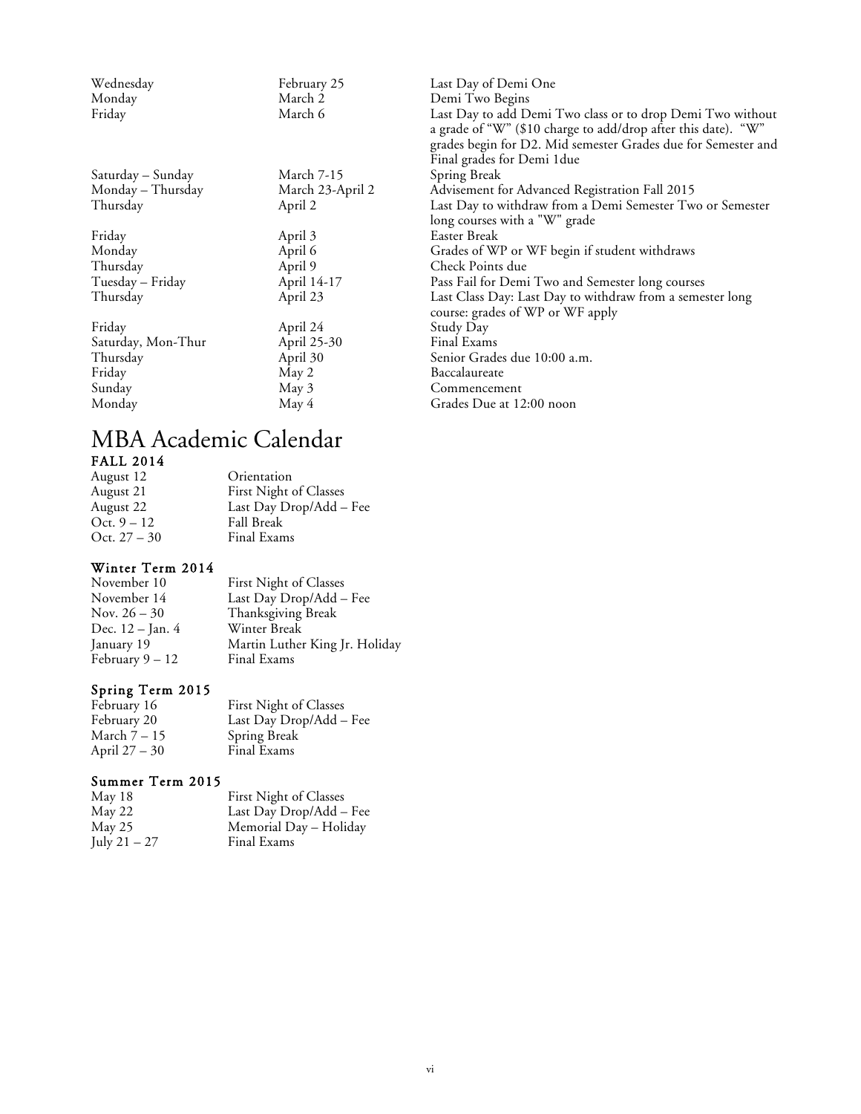| Wednesday          | February 25      | Last Day of Demi One                                                                                                                                                                                                       |
|--------------------|------------------|----------------------------------------------------------------------------------------------------------------------------------------------------------------------------------------------------------------------------|
| Monday             | March 2          | Demi Two Begins                                                                                                                                                                                                            |
| Friday             | March 6          | Last Day to add Demi Two class or to drop Demi Two without<br>a grade of "W" (\$10 charge to add/drop after this date). "W"<br>grades begin for D2. Mid semester Grades due for Semester and<br>Final grades for Demi 1due |
| Saturday – Sunday  | March 7-15       | Spring Break                                                                                                                                                                                                               |
| Monday – Thursday  | March 23-April 2 | Advisement for Advanced Registration Fall 2015                                                                                                                                                                             |
| Thursday           | April 2          | Last Day to withdraw from a Demi Semester Two or Semester<br>long courses with a "W" grade                                                                                                                                 |
| Friday             | April 3          | Easter Break                                                                                                                                                                                                               |
| Monday             | April 6          | Grades of WP or WF begin if student withdraws                                                                                                                                                                              |
| Thursday           | April 9          | Check Points due                                                                                                                                                                                                           |
| Tuesday - Friday   | April 14-17      | Pass Fail for Demi Two and Semester long courses                                                                                                                                                                           |
| Thursday           | April 23         | Last Class Day: Last Day to withdraw from a semester long<br>course: grades of WP or WF apply                                                                                                                              |
| Friday             | April 24         | Study Day                                                                                                                                                                                                                  |
| Saturday, Mon-Thur | April 25-30      | Final Exams                                                                                                                                                                                                                |
| Thursday           | April 30         | Senior Grades due 10:00 a.m.                                                                                                                                                                                               |
| Friday             | May 2            | Baccalaureate                                                                                                                                                                                                              |
| Sunday             | May 3            | Commencement                                                                                                                                                                                                               |
| Monday             | May 4            | Grades Due at 12:00 noon                                                                                                                                                                                                   |

# MBA Academic Calendar FALL 2014

| August 12      | Orientation             |
|----------------|-------------------------|
| August 21      | First Night of Classes  |
| August 22      | Last Day Drop/Add - Fee |
| Oct. $9 - 12$  | <b>Fall Break</b>       |
| Oct. $27 - 30$ | Final Exams             |

# Winter Term 2014

| November 10       | First Night of Classes         |
|-------------------|--------------------------------|
| November 14       | Last Day Drop/Add - Fee        |
| Nov. $26 - 30$    | Thanksgiving Break             |
| Dec. 12 – Jan. 4  | Winter Break                   |
| January 19        | Martin Luther King Jr. Holiday |
| February $9 - 12$ | Final Exams                    |

# Spring Term 2015

| February 16   | First Night of Classes  |
|---------------|-------------------------|
| February 20   | Last Day Drop/Add – Fee |
| March 7 – 15  | Spring Break            |
| April 27 – 30 | Final Exams             |

# Summer Term 2015

| May 18       | First Night of Classes  |
|--------------|-------------------------|
| May 22       | Last Day Drop/Add - Fee |
| May 25       | Memorial Day – Holiday  |
| July 21 – 27 | Final Exams             |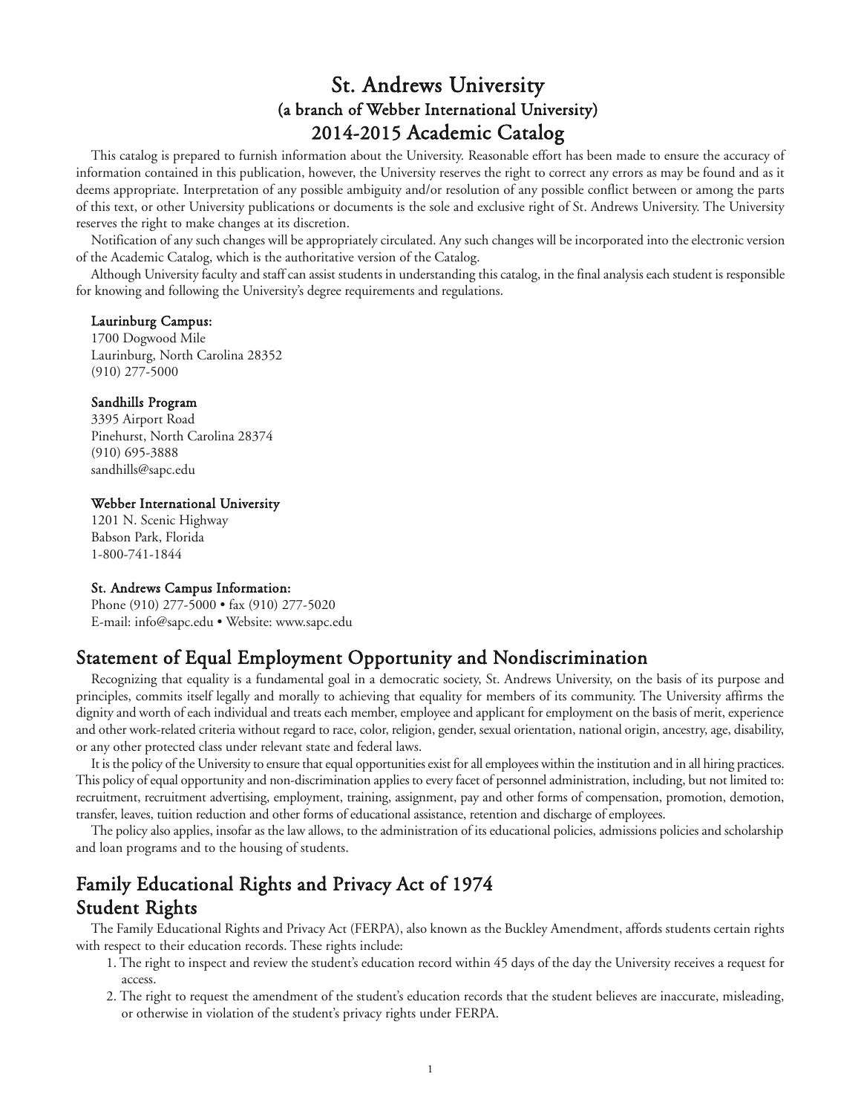# St. Andrews University (a branch of Webber International University) 2014-2015 Academic Catalog

This catalog is prepared to furnish information about the University. Reasonable effort has been made to ensure the accuracy of information contained in this publication, however, the University reserves the right to correct any errors as may be found and as it deems appropriate. Interpretation of any possible ambiguity and/or resolution of any possible conflict between or among the parts of this text, or other University publications or documents is the sole and exclusive right of St. Andrews University. The University reserves the right to make changes at its discretion.

Notification of any such changes will be appropriately circulated. Any such changes will be incorporated into the electronic version of the Academic Catalog, which is the authoritative version of the Catalog.

Although University faculty and staff can assist students in understanding this catalog, in the final analysis each student is responsible for knowing and following the University's degree requirements and regulations.

#### Laurinburg Campus:

1700 Dogwood Mile Laurinburg, North Carolina 28352 (910) 277-5000

#### Sandhills Program

3395 Airport Road Pinehurst, North Carolina 28374 (910) 695-3888 sandhills@sapc.edu

#### Webber International University

1201 N. Scenic Highway Babson Park, Florida 1-800-741-1844

#### St. Andrews Campus Information:

Phone (910) 277-5000 • fax (910) 277-5020 E-mail: info@sapc.edu • Website: www.sapc.edu

# Statement of Equal Employment Opportunity and Nondiscrimination

Recognizing that equality is a fundamental goal in a democratic society, St. Andrews University, on the basis of its purpose and principles, commits itself legally and morally to achieving that equality for members of its community. The University affirms the dignity and worth of each individual and treats each member, employee and applicant for employment on the basis of merit, experience and other work-related criteria without regard to race, color, religion, gender, sexual orientation, national origin, ancestry, age, disability, or any other protected class under relevant state and federal laws.

It is the policy of the University to ensure that equal opportunities exist for all employees within the institution and in all hiring practices. This policy of equal opportunity and non-discrimination applies to every facet of personnel administration, including, but not limited to: recruitment, recruitment advertising, employment, training, assignment, pay and other forms of compensation, promotion, demotion, transfer, leaves, tuition reduction and other forms of educational assistance, retention and discharge of employees.

The policy also applies, insofar as the law allows, to the administration of its educational policies, admissions policies and scholarship and loan programs and to the housing of students.

# Family Educational Rights and Privacy Act of 1974 Student Rights

The Family Educational Rights and Privacy Act (FERPA), also known as the Buckley Amendment, affords students certain rights with respect to their education records. These rights include:

- 1. The right to inspect and review the student's education record within 45 days of the day the University receives a request for access.
- 2. The right to request the amendment of the student's education records that the student believes are inaccurate, misleading, or otherwise in violation of the student's privacy rights under FERPA.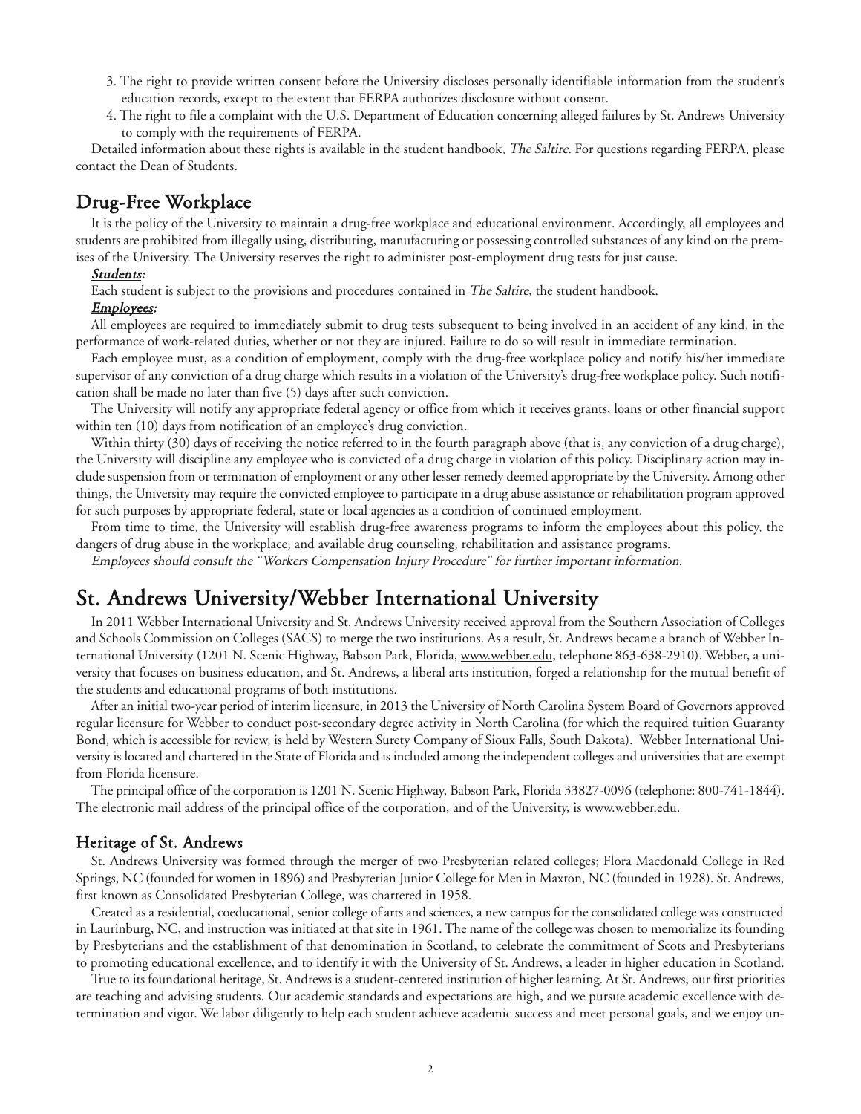- 3. The right to provide written consent before the University discloses personally identifiable information from the student's education records, except to the extent that FERPA authorizes disclosure without consent.
- 4. The right to file a complaint with the U.S. Department of Education concerning alleged failures by St. Andrews University to comply with the requirements of FERPA.

Detailed information about these rights is available in the student handbook, The Saltire. For questions regarding FERPA, please contact the Dean of Students.

# Drug-Free Workplace

It is the policy of the University to maintain a drug-free workplace and educational environment. Accordingly, all employees and students are prohibited from illegally using, distributing, manufacturing or possessing controlled substances of any kind on the premises of the University. The University reserves the right to administer post-employment drug tests for just cause.

#### Students:

Each student is subject to the provisions and procedures contained in The Saltire, the student handbook.

#### Employees:

All employees are required to immediately submit to drug tests subsequent to being involved in an accident of any kind, in the performance of work-related duties, whether or not they are injured. Failure to do so will result in immediate termination.

Each employee must, as a condition of employment, comply with the drug-free workplace policy and notify his/her immediate supervisor of any conviction of a drug charge which results in a violation of the University's drug-free workplace policy. Such notification shall be made no later than five (5) days after such conviction.

The University will notify any appropriate federal agency or office from which it receives grants, loans or other financial support within ten (10) days from notification of an employee's drug conviction.

Within thirty (30) days of receiving the notice referred to in the fourth paragraph above (that is, any conviction of a drug charge), the University will discipline any employee who is convicted of a drug charge in violation of this policy. Disciplinary action may include suspension from or termination of employment or any other lesser remedy deemed appropriate by the University. Among other things, the University may require the convicted employee to participate in a drug abuse assistance or rehabilitation program approved for such purposes by appropriate federal, state or local agencies as a condition of continued employment.

From time to time, the University will establish drug-free awareness programs to inform the employees about this policy, the dangers of drug abuse in the workplace, and available drug counseling, rehabilitation and assistance programs.

Employees should consult the "Workers Compensation Injury Procedure" for further important information.

# St. Andrews University/Webber International University

In 2011 Webber International University and St. Andrews University received approval from the Southern Association of Colleges and Schools Commission on Colleges (SACS) to merge the two institutions. As a result, St. Andrews became a branch of Webber International University (1201 N. Scenic Highway, Babson Park, Florida, www.webber.edu, telephone 863-638-2910). Webber, a university that focuses on business education, and St. Andrews, a liberal arts institution, forged a relationship for the mutual benefit of the students and educational programs of both institutions.

After an initial two-year period of interim licensure, in 2013 the University of North Carolina System Board of Governors approved regular licensure for Webber to conduct post-secondary degree activity in North Carolina (for which the required tuition Guaranty Bond, which is accessible for review, is held by Western Surety Company of Sioux Falls, South Dakota). Webber International University is located and chartered in the State of Florida and is included among the independent colleges and universities that are exempt from Florida licensure.

The principal office of the corporation is 1201 N. Scenic Highway, Babson Park, Florida 33827-0096 (telephone: 800-741-1844). The electronic mail address of the principal office of the corporation, and of the University, is www.webber.edu.

#### Heritage of St. Andrews

St. Andrews University was formed through the merger of two Presbyterian related colleges; Flora Macdonald College in Red Springs, NC (founded for women in 1896) and Presbyterian Junior College for Men in Maxton, NC (founded in 1928). St. Andrews, first known as Consolidated Presbyterian College, was chartered in 1958.

Created as a residential, coeducational, senior college of arts and sciences, a new campus for the consolidated college was constructed in Laurinburg, NC, and instruction was initiated at that site in 1961. The name of the college was chosen to memorialize its founding by Presbyterians and the establishment of that denomination in Scotland, to celebrate the commitment of Scots and Presbyterians to promoting educational excellence, and to identify it with the University of St. Andrews, a leader in higher education in Scotland.

True to its foundational heritage, St. Andrews is a student-centered institution of higher learning. At St. Andrews, our first priorities are teaching and advising students. Our academic standards and expectations are high, and we pursue academic excellence with determination and vigor. We labor diligently to help each student achieve academic success and meet personal goals, and we enjoy un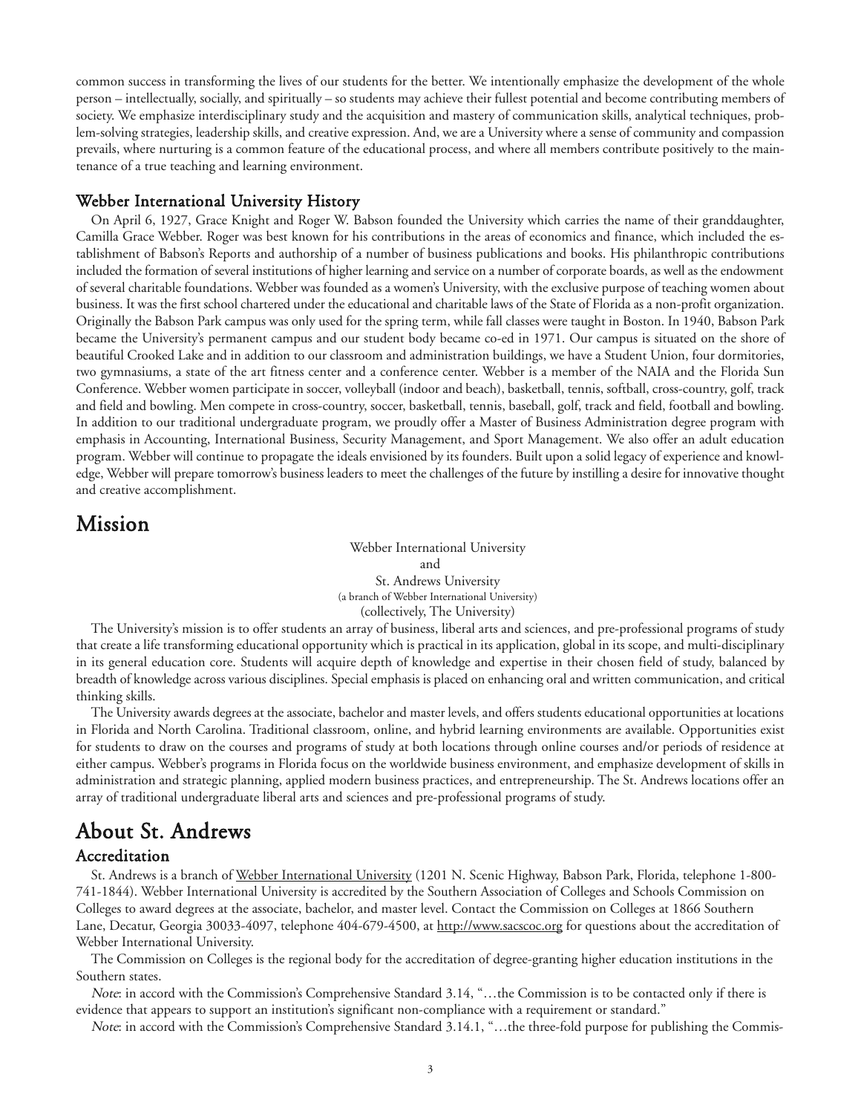common success in transforming the lives of our students for the better. We intentionally emphasize the development of the whole person – intellectually, socially, and spiritually – so students may achieve their fullest potential and become contributing members of society. We emphasize interdisciplinary study and the acquisition and mastery of communication skills, analytical techniques, problem-solving strategies, leadership skills, and creative expression. And, we are a University where a sense of community and compassion prevails, where nurturing is a common feature of the educational process, and where all members contribute positively to the maintenance of a true teaching and learning environment.

#### Webber International University History

On April 6, 1927, Grace Knight and Roger W. Babson founded the University which carries the name of their granddaughter, Camilla Grace Webber. Roger was best known for his contributions in the areas of economics and finance, which included the establishment of Babson's Reports and authorship of a number of business publications and books. His philanthropic contributions included the formation of several institutions of higher learning and service on a number of corporate boards, as well as the endowment of several charitable foundations. Webber was founded as a women's University, with the exclusive purpose of teaching women about business. It was the first school chartered under the educational and charitable laws of the State of Florida as a non-profit organization. Originally the Babson Park campus was only used for the spring term, while fall classes were taught in Boston. In 1940, Babson Park became the University's permanent campus and our student body became co-ed in 1971. Our campus is situated on the shore of beautiful Crooked Lake and in addition to our classroom and administration buildings, we have a Student Union, four dormitories, two gymnasiums, a state of the art fitness center and a conference center. Webber is a member of the NAIA and the Florida Sun Conference. Webber women participate in soccer, volleyball (indoor and beach), basketball, tennis, softball, cross-country, golf, track and field and bowling. Men compete in cross-country, soccer, basketball, tennis, baseball, golf, track and field, football and bowling. In addition to our traditional undergraduate program, we proudly offer a Master of Business Administration degree program with emphasis in Accounting, International Business, Security Management, and Sport Management. We also offer an adult education program. Webber will continue to propagate the ideals envisioned by its founders. Built upon a solid legacy of experience and knowledge, Webber will prepare tomorrow's business leaders to meet the challenges of the future by instilling a desire for innovative thought and creative accomplishment.

# Mission

Webber International University and St. Andrews University (a branch of Webber International University) (collectively, The University)

The University's mission is to offer students an array of business, liberal arts and sciences, and pre-professional programs of study that create a life transforming educational opportunity which is practical in its application, global in its scope, and multi-disciplinary in its general education core. Students will acquire depth of knowledge and expertise in their chosen field of study, balanced by breadth of knowledge across various disciplines. Special emphasis is placed on enhancing oral and written communication, and critical thinking skills.

The University awards degrees at the associate, bachelor and master levels, and offers students educational opportunities at locations in Florida and North Carolina. Traditional classroom, online, and hybrid learning environments are available. Opportunities exist for students to draw on the courses and programs of study at both locations through online courses and/or periods of residence at either campus. Webber's programs in Florida focus on the worldwide business environment, and emphasize development of skills in administration and strategic planning, applied modern business practices, and entrepreneurship. The St. Andrews locations offer an array of traditional undergraduate liberal arts and sciences and pre-professional programs of study.

# About St. Andrews

#### Accreditation

St. Andrews is a branch of Webber International University (1201 N. Scenic Highway, Babson Park, Florida, telephone 1-800- 741-1844). Webber International University is accredited by the Southern Association of Colleges and Schools Commission on Colleges to award degrees at the associate, bachelor, and master level. Contact the Commission on Colleges at 1866 Southern Lane, Decatur, Georgia 30033-4097, telephone 404-679-4500, at http://www.sacscoc.org for questions about the accreditation of Webber International University.

The Commission on Colleges is the regional body for the accreditation of degree-granting higher education institutions in the Southern states.

Note: in accord with the Commission's Comprehensive Standard 3.14, "…the Commission is to be contacted only if there is evidence that appears to support an institution's significant non-compliance with a requirement or standard."

Note: in accord with the Commission's Comprehensive Standard 3.14.1, "…the three-fold purpose for publishing the Commis-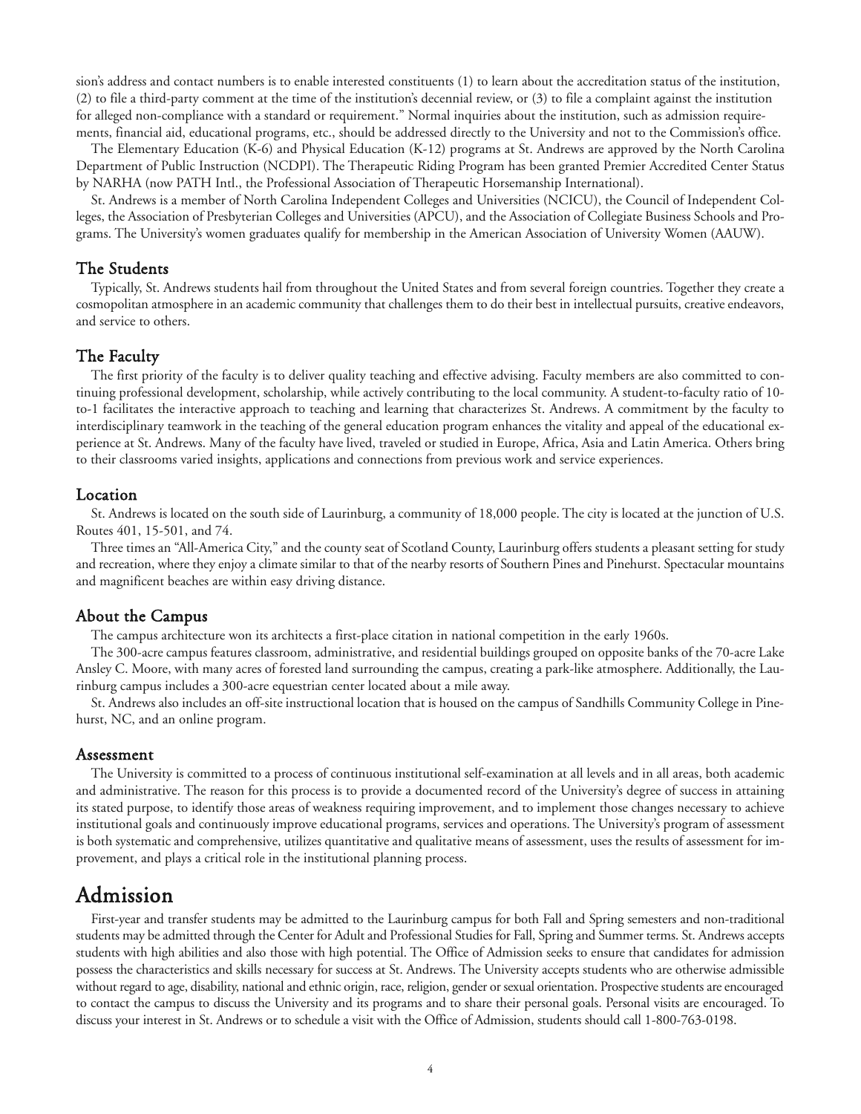sion's address and contact numbers is to enable interested constituents (1) to learn about the accreditation status of the institution, (2) to file a third-party comment at the time of the institution's decennial review, or (3) to file a complaint against the institution for alleged non-compliance with a standard or requirement." Normal inquiries about the institution, such as admission requirements, financial aid, educational programs, etc., should be addressed directly to the University and not to the Commission's office.

The Elementary Education (K-6) and Physical Education (K-12) programs at St. Andrews are approved by the North Carolina Department of Public Instruction (NCDPI). The Therapeutic Riding Program has been granted Premier Accredited Center Status by NARHA (now PATH Intl., the Professional Association of Therapeutic Horsemanship International).

St. Andrews is a member of North Carolina Independent Colleges and Universities (NCICU), the Council of Independent Colleges, the Association of Presbyterian Colleges and Universities (APCU), and the Association of Collegiate Business Schools and Programs. The University's women graduates qualify for membership in the American Association of University Women (AAUW).

#### The Students

Typically, St. Andrews students hail from throughout the United States and from several foreign countries. Together they create a cosmopolitan atmosphere in an academic community that challenges them to do their best in intellectual pursuits, creative endeavors, and service to others.

#### The Faculty

The first priority of the faculty is to deliver quality teaching and effective advising. Faculty members are also committed to continuing professional development, scholarship, while actively contributing to the local community. A student-to-faculty ratio of 10 to-1 facilitates the interactive approach to teaching and learning that characterizes St. Andrews. A commitment by the faculty to interdisciplinary teamwork in the teaching of the general education program enhances the vitality and appeal of the educational experience at St. Andrews. Many of the faculty have lived, traveled or studied in Europe, Africa, Asia and Latin America. Others bring to their classrooms varied insights, applications and connections from previous work and service experiences.

#### Location

St. Andrews is located on the south side of Laurinburg, a community of 18,000 people. The city is located at the junction of U.S. Routes 401, 15-501, and 74.

Three times an "All-America City," and the county seat of Scotland County, Laurinburg offers students a pleasant setting for study and recreation, where they enjoy a climate similar to that of the nearby resorts of Southern Pines and Pinehurst. Spectacular mountains and magnificent beaches are within easy driving distance.

#### About the Campus

The campus architecture won its architects a first-place citation in national competition in the early 1960s.

The 300-acre campus features classroom, administrative, and residential buildings grouped on opposite banks of the 70-acre Lake Ansley C. Moore, with many acres of forested land surrounding the campus, creating a park-like atmosphere. Additionally, the Laurinburg campus includes a 300-acre equestrian center located about a mile away.

St. Andrews also includes an off-site instructional location that is housed on the campus of Sandhills Community College in Pinehurst, NC, and an online program.

#### Assessment

The University is committed to a process of continuous institutional self-examination at all levels and in all areas, both academic and administrative. The reason for this process is to provide a documented record of the University's degree of success in attaining its stated purpose, to identify those areas of weakness requiring improvement, and to implement those changes necessary to achieve institutional goals and continuously improve educational programs, services and operations. The University's program of assessment is both systematic and comprehensive, utilizes quantitative and qualitative means of assessment, uses the results of assessment for improvement, and plays a critical role in the institutional planning process.

# Admission

First-year and transfer students may be admitted to the Laurinburg campus for both Fall and Spring semesters and non-traditional students may be admitted through the Center for Adult and Professional Studies for Fall, Spring and Summer terms. St. Andrews accepts students with high abilities and also those with high potential. The Office of Admission seeks to ensure that candidates for admission possess the characteristics and skills necessary for success at St. Andrews. The University accepts students who are otherwise admissible without regard to age, disability, national and ethnic origin, race, religion, gender or sexual orientation. Prospective students are encouraged to contact the campus to discuss the University and its programs and to share their personal goals. Personal visits are encouraged. To discuss your interest in St. Andrews or to schedule a visit with the Office of Admission, students should call 1-800-763-0198.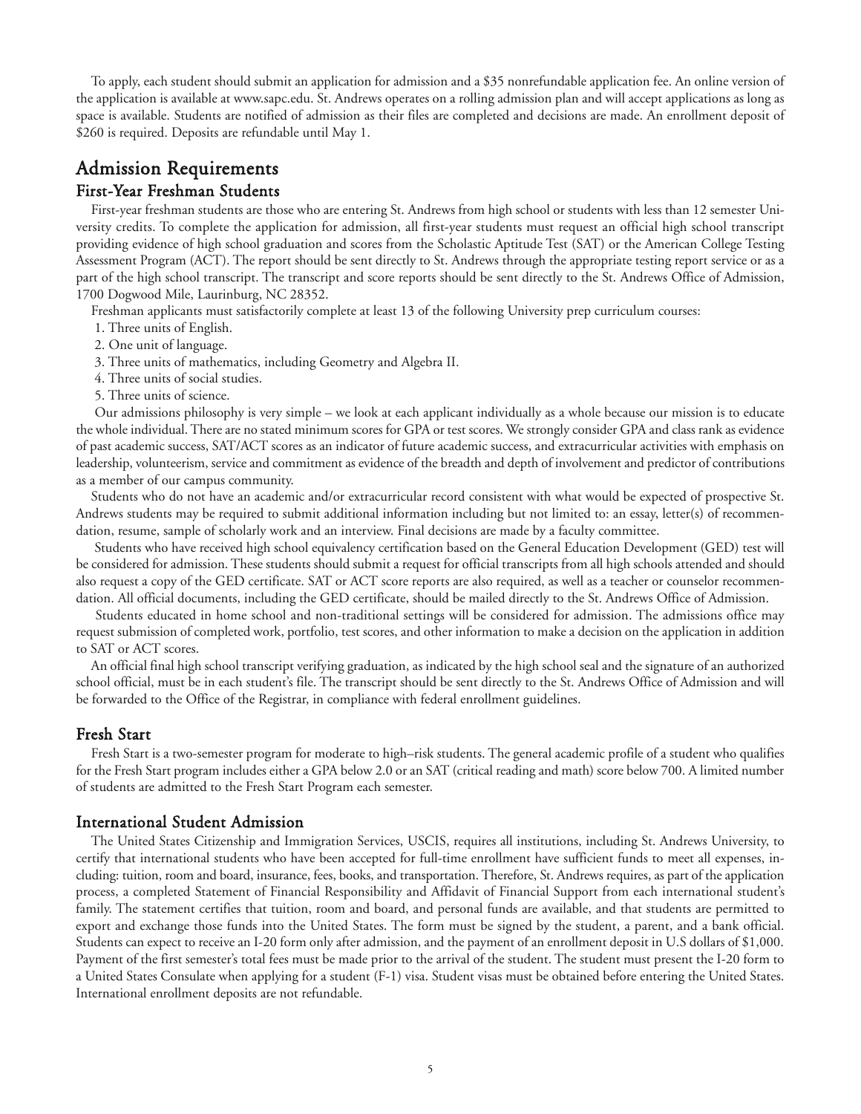To apply, each student should submit an application for admission and a \$35 nonrefundable application fee. An online version of the application is available at www.sapc.edu. St. Andrews operates on a rolling admission plan and will accept applications as long as space is available. Students are notified of admission as their files are completed and decisions are made. An enrollment deposit of \$260 is required. Deposits are refundable until May 1.

# Admission Requirements

#### First-Year Freshman Students

First-year freshman students are those who are entering St. Andrews from high school or students with less than 12 semester University credits. To complete the application for admission, all first-year students must request an official high school transcript providing evidence of high school graduation and scores from the Scholastic Aptitude Test (SAT) or the American College Testing Assessment Program (ACT). The report should be sent directly to St. Andrews through the appropriate testing report service or as a part of the high school transcript. The transcript and score reports should be sent directly to the St. Andrews Office of Admission, 1700 Dogwood Mile, Laurinburg, NC 28352.

Freshman applicants must satisfactorily complete at least 13 of the following University prep curriculum courses:

- 1. Three units of English.
- 2. One unit of language.

3. Three units of mathematics, including Geometry and Algebra II.

- 4. Three units of social studies.
- 5. Three units of science.

Our admissions philosophy is very simple – we look at each applicant individually as a whole because our mission is to educate the whole individual. There are no stated minimum scores for GPA or test scores. We strongly consider GPA and class rank as evidence of past academic success, SAT/ACT scores as an indicator of future academic success, and extracurricular activities with emphasis on leadership, volunteerism, service and commitment as evidence of the breadth and depth of involvement and predictor of contributions as a member of our campus community.

Students who do not have an academic and/or extracurricular record consistent with what would be expected of prospective St. Andrews students may be required to submit additional information including but not limited to: an essay, letter(s) of recommendation, resume, sample of scholarly work and an interview. Final decisions are made by a faculty committee.

Students who have received high school equivalency certification based on the General Education Development (GED) test will be considered for admission. These students should submit a request for official transcripts from all high schools attended and should also request a copy of the GED certificate. SAT or ACT score reports are also required, as well as a teacher or counselor recommendation. All official documents, including the GED certificate, should be mailed directly to the St. Andrews Office of Admission.

Students educated in home school and non-traditional settings will be considered for admission. The admissions office may request submission of completed work, portfolio, test scores, and other information to make a decision on the application in addition to SAT or ACT scores.

An official final high school transcript verifying graduation, as indicated by the high school seal and the signature of an authorized school official, must be in each student's file. The transcript should be sent directly to the St. Andrews Office of Admission and will be forwarded to the Office of the Registrar, in compliance with federal enrollment guidelines.

## Fresh Start

Fresh Start is a two-semester program for moderate to high–risk students. The general academic profile of a student who qualifies for the Fresh Start program includes either a GPA below 2.0 or an SAT (critical reading and math) score below 700. A limited number of students are admitted to the Fresh Start Program each semester.

## International Student Admission

The United States Citizenship and Immigration Services, USCIS, requires all institutions, including St. Andrews University, to certify that international students who have been accepted for full-time enrollment have sufficient funds to meet all expenses, including: tuition, room and board, insurance, fees, books, and transportation. Therefore, St. Andrews requires, as part of the application process, a completed Statement of Financial Responsibility and Affidavit of Financial Support from each international student's family. The statement certifies that tuition, room and board, and personal funds are available, and that students are permitted to export and exchange those funds into the United States. The form must be signed by the student, a parent, and a bank official. Students can expect to receive an I-20 form only after admission, and the payment of an enrollment deposit in U.S dollars of \$1,000. Payment of the first semester's total fees must be made prior to the arrival of the student. The student must present the I-20 form to a United States Consulate when applying for a student (F-1) visa. Student visas must be obtained before entering the United States. International enrollment deposits are not refundable.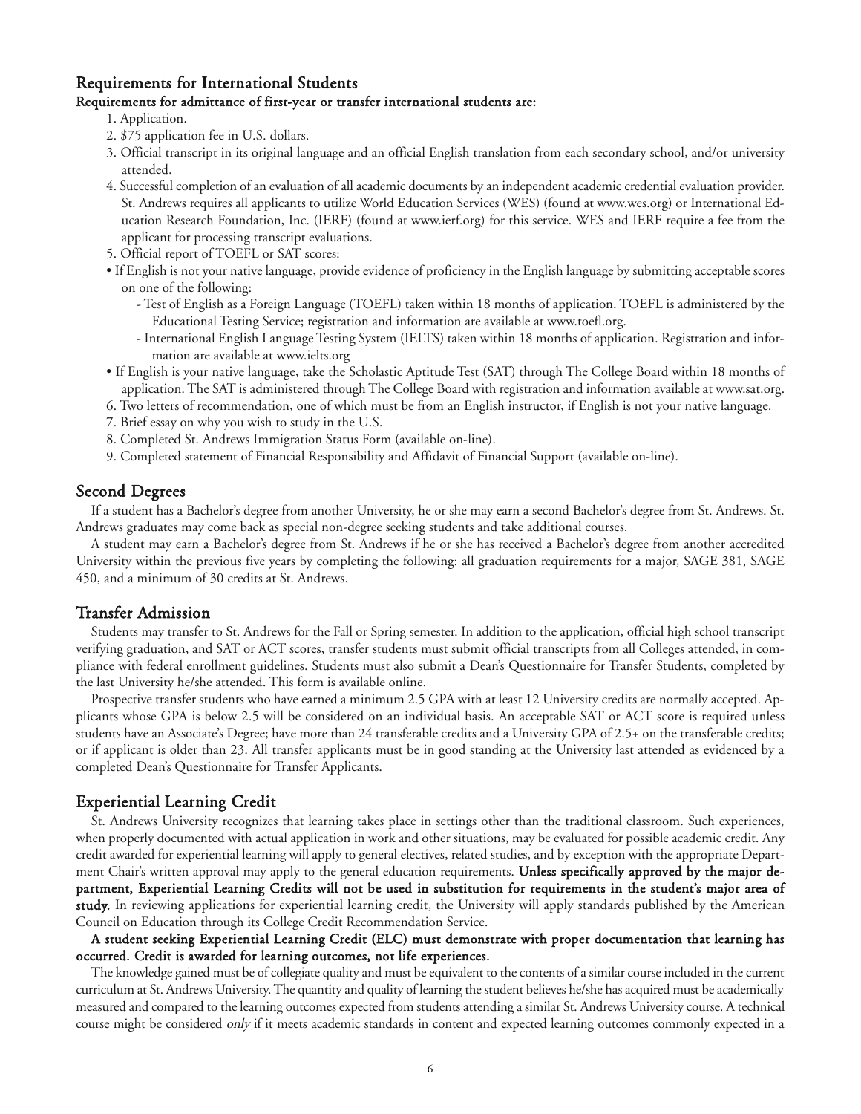#### Requirements for International Students

#### Requirements for admittance of first-year or transfer international students are:

- 1. Application.
- 2. \$75 application fee in U.S. dollars.
- 3. Official transcript in its original language and an official English translation from each secondary school, and/or university attended.
- 4. Successful completion of an evaluation of all academic documents by an independent academic credential evaluation provider. St. Andrews requires all applicants to utilize World Education Services (WES) (found at www.wes.org) or International Education Research Foundation, Inc. (IERF) (found at www.ierf.org) for this service. WES and IERF require a fee from the applicant for processing transcript evaluations.
- 5. Official report of TOEFL or SAT scores:
- If English is not your native language, provide evidence of proficiency in the English language by submitting acceptable scores on one of the following:
	- Test of English as a Foreign Language (TOEFL) taken within 18 months of application. TOEFL is administered by the Educational Testing Service; registration and information are available at www.toefl.org.
	- International English Language Testing System (IELTS) taken within 18 months of application. Registration and information are available at www.ielts.org
- If English is your native language, take the Scholastic Aptitude Test (SAT) through The College Board within 18 months of application. The SAT is administered through The College Board with registration and information available at www.sat.org.
- 6. Two letters of recommendation, one of which must be from an English instructor, if English is not your native language.
- 7. Brief essay on why you wish to study in the U.S.
- 8. Completed St. Andrews Immigration Status Form (available on-line).
- 9. Completed statement of Financial Responsibility and Affidavit of Financial Support (available on-line).

#### Second Degrees

If a student has a Bachelor's degree from another University, he or she may earn a second Bachelor's degree from St. Andrews. St. Andrews graduates may come back as special non-degree seeking students and take additional courses.

A student may earn a Bachelor's degree from St. Andrews if he or she has received a Bachelor's degree from another accredited University within the previous five years by completing the following: all graduation requirements for a major, SAGE 381, SAGE 450, and a minimum of 30 credits at St. Andrews.

#### Transfer Admission

Students may transfer to St. Andrews for the Fall or Spring semester. In addition to the application, official high school transcript verifying graduation, and SAT or ACT scores, transfer students must submit official transcripts from all Colleges attended, in compliance with federal enrollment guidelines. Students must also submit a Dean's Questionnaire for Transfer Students, completed by the last University he/she attended. This form is available online.

Prospective transfer students who have earned a minimum 2.5 GPA with at least 12 University credits are normally accepted. Applicants whose GPA is below 2.5 will be considered on an individual basis. An acceptable SAT or ACT score is required unless students have an Associate's Degree; have more than 24 transferable credits and a University GPA of 2.5+ on the transferable credits; or if applicant is older than 23. All transfer applicants must be in good standing at the University last attended as evidenced by a completed Dean's Questionnaire for Transfer Applicants.

#### Experiential Learning Credit

St. Andrews University recognizes that learning takes place in settings other than the traditional classroom. Such experiences, when properly documented with actual application in work and other situations, may be evaluated for possible academic credit. Any credit awarded for experiential learning will apply to general electives, related studies, and by exception with the appropriate Department Chair's written approval may apply to the general education requirements. Unless specifically approved by the major department, Experiential Learning Credits will not be used in substitution for requirements in the student's major area of study. In reviewing applications for experiential learning credit, the University will apply standards published by the American Council on Education through its College Credit Recommendation Service.

#### A student seeking Experiential Learning Credit (ELC) must demonstrate with proper documentation that learning has occurred. Credit is awarded for learning outcomes, not life experiences.

The knowledge gained must be of collegiate quality and must be equivalent to the contents of a similar course included in the current curriculum at St. Andrews University. The quantity and quality of learning the student believes he/she has acquired must be academically measured and compared to the learning outcomes expected from students attending a similar St. Andrews University course. A technical course might be considered only if it meets academic standards in content and expected learning outcomes commonly expected in a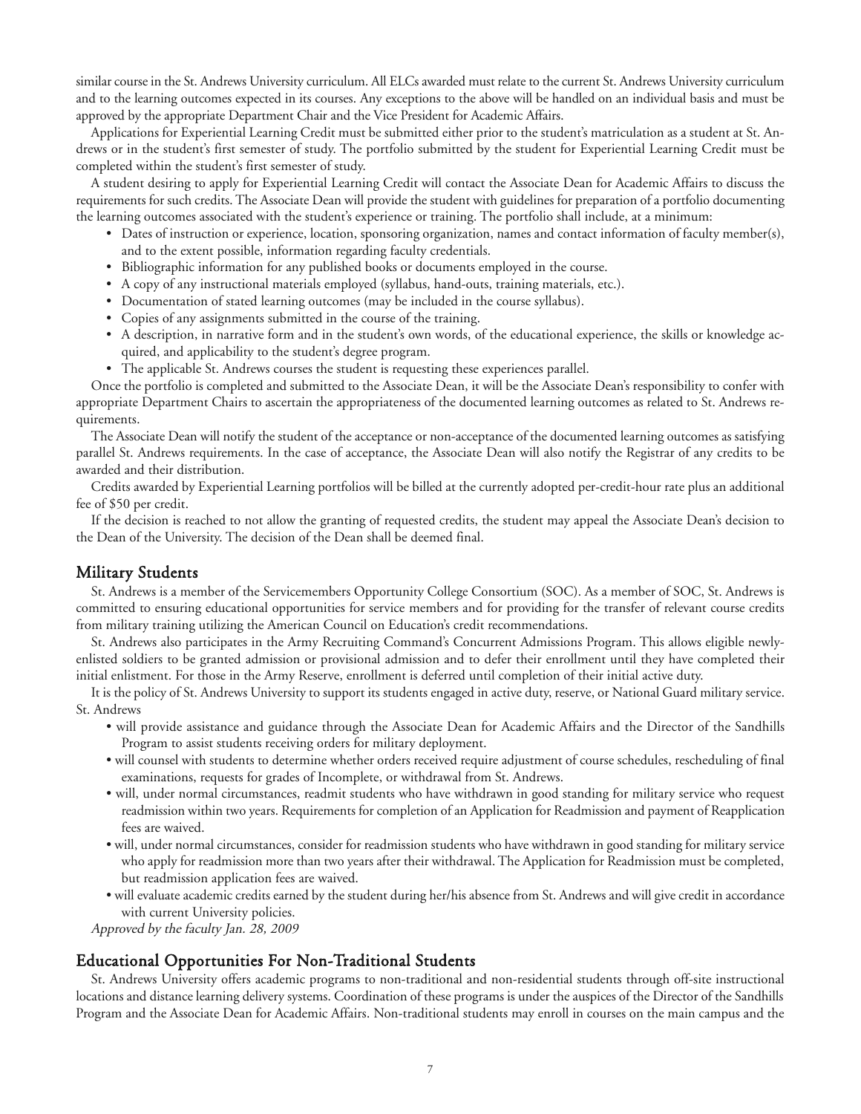similar course in the St. Andrews University curriculum. All ELCs awarded must relate to the current St. Andrews University curriculum and to the learning outcomes expected in its courses. Any exceptions to the above will be handled on an individual basis and must be approved by the appropriate Department Chair and the Vice President for Academic Affairs.

Applications for Experiential Learning Credit must be submitted either prior to the student's matriculation as a student at St. Andrews or in the student's first semester of study. The portfolio submitted by the student for Experiential Learning Credit must be completed within the student's first semester of study.

A student desiring to apply for Experiential Learning Credit will contact the Associate Dean for Academic Affairs to discuss the requirements for such credits. The Associate Dean will provide the student with guidelines for preparation of a portfolio documenting the learning outcomes associated with the student's experience or training. The portfolio shall include, at a minimum:

- Dates of instruction or experience, location, sponsoring organization, names and contact information of faculty member(s), and to the extent possible, information regarding faculty credentials.
- Bibliographic information for any published books or documents employed in the course.
- A copy of any instructional materials employed (syllabus, hand-outs, training materials, etc.).
- Documentation of stated learning outcomes (may be included in the course syllabus).
- Copies of any assignments submitted in the course of the training.
- A description, in narrative form and in the student's own words, of the educational experience, the skills or knowledge acquired, and applicability to the student's degree program.
- The applicable St. Andrews courses the student is requesting these experiences parallel.

Once the portfolio is completed and submitted to the Associate Dean, it will be the Associate Dean's responsibility to confer with appropriate Department Chairs to ascertain the appropriateness of the documented learning outcomes as related to St. Andrews requirements.

The Associate Dean will notify the student of the acceptance or non-acceptance of the documented learning outcomes as satisfying parallel St. Andrews requirements. In the case of acceptance, the Associate Dean will also notify the Registrar of any credits to be awarded and their distribution.

Credits awarded by Experiential Learning portfolios will be billed at the currently adopted per-credit-hour rate plus an additional fee of \$50 per credit.

If the decision is reached to not allow the granting of requested credits, the student may appeal the Associate Dean's decision to the Dean of the University. The decision of the Dean shall be deemed final.

#### Military Students

St. Andrews is a member of the Servicemembers Opportunity College Consortium (SOC). As a member of SOC, St. Andrews is committed to ensuring educational opportunities for service members and for providing for the transfer of relevant course credits from military training utilizing the American Council on Education's credit recommendations.

St. Andrews also participates in the Army Recruiting Command's Concurrent Admissions Program. This allows eligible newlyenlisted soldiers to be granted admission or provisional admission and to defer their enrollment until they have completed their initial enlistment. For those in the Army Reserve, enrollment is deferred until completion of their initial active duty.

It is the policy of St. Andrews University to support its students engaged in active duty, reserve, or National Guard military service. St. Andrews

- will provide assistance and guidance through the Associate Dean for Academic Affairs and the Director of the Sandhills Program to assist students receiving orders for military deployment.
- will counsel with students to determine whether orders received require adjustment of course schedules, rescheduling of final examinations, requests for grades of Incomplete, or withdrawal from St. Andrews.
- will, under normal circumstances, readmit students who have withdrawn in good standing for military service who request readmission within two years. Requirements for completion of an Application for Readmission and payment of Reapplication fees are waived.
- will, under normal circumstances, consider for readmission students who have withdrawn in good standing for military service who apply for readmission more than two years after their withdrawal. The Application for Readmission must be completed, but readmission application fees are waived.
- will evaluate academic credits earned by the student during her/his absence from St. Andrews and will give credit in accordance with current University policies.

Approved by the faculty Jan. 28, 2009

#### Educational Opportunities For Non-Traditional Students

St. Andrews University offers academic programs to non-traditional and non-residential students through off-site instructional locations and distance learning delivery systems. Coordination of these programs is under the auspices of the Director of the Sandhills Program and the Associate Dean for Academic Affairs. Non-traditional students may enroll in courses on the main campus and the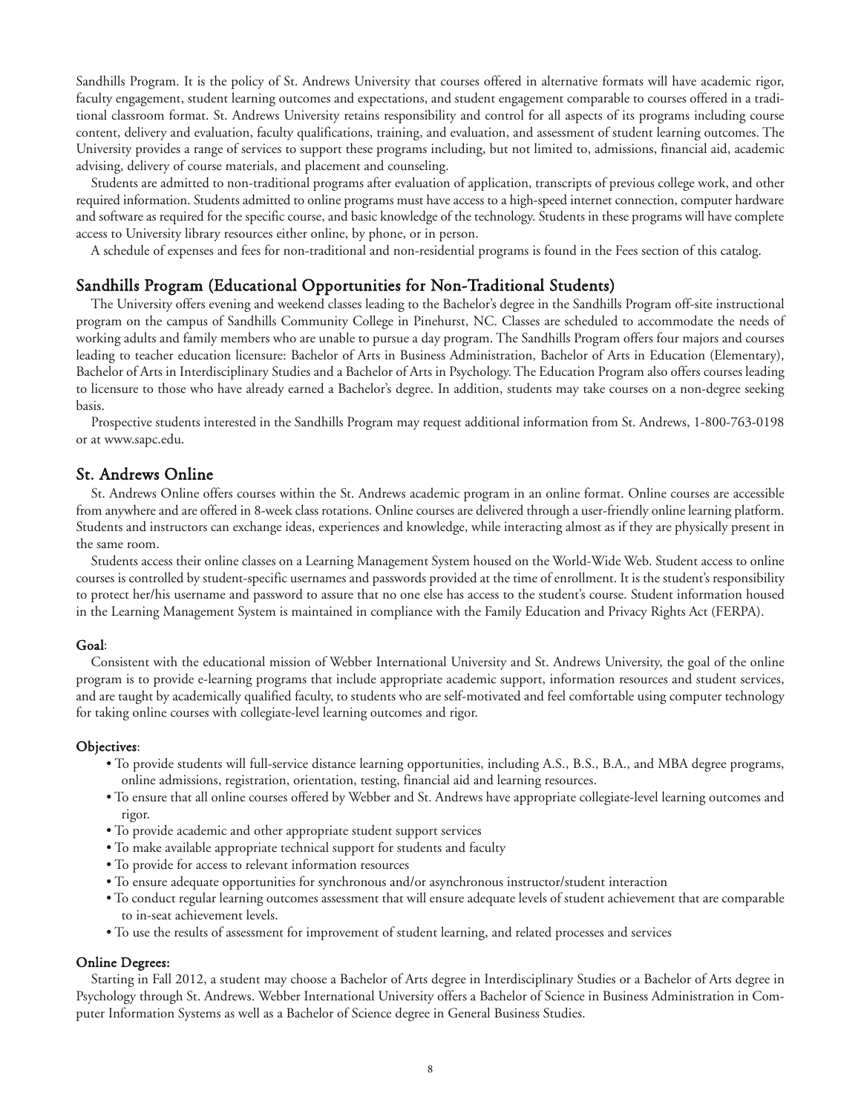Sandhills Program. It is the policy of St. Andrews University that courses offered in alternative formats will have academic rigor, faculty engagement, student learning outcomes and expectations, and student engagement comparable to courses offered in a traditional classroom format. St. Andrews University retains responsibility and control for all aspects of its programs including course content, delivery and evaluation, faculty qualifications, training, and evaluation, and assessment of student learning outcomes. The University provides a range of services to support these programs including, but not limited to, admissions, financial aid, academic advising, delivery of course materials, and placement and counseling.

Students are admitted to non-traditional programs after evaluation of application, transcripts of previous college work, and other required information. Students admitted to online programs must have access to a high-speed internet connection, computer hardware and software as required for the specific course, and basic knowledge of the technology. Students in these programs will have complete access to University library resources either online, by phone, or in person.

A schedule of expenses and fees for non-traditional and non-residential programs is found in the Fees section of this catalog.

#### Sandhills Program (Educational Opportunities for Non-Traditional Students)

The University offers evening and weekend classes leading to the Bachelor's degree in the Sandhills Program off-site instructional program on the campus of Sandhills Community College in Pinehurst, NC. Classes are scheduled to accommodate the needs of working adults and family members who are unable to pursue a day program. The Sandhills Program offers four majors and courses leading to teacher education licensure: Bachelor of Arts in Business Administration, Bachelor of Arts in Education (Elementary), Bachelor of Arts in Interdisciplinary Studies and a Bachelor of Arts in Psychology. The Education Program also offers courses leading to licensure to those who have already earned a Bachelor's degree. In addition, students may take courses on a non-degree seeking basis.

Prospective students interested in the Sandhills Program may request additional information from St. Andrews, 1-800-763-0198 or at www.sapc.edu.

#### St. Andrews Online

St. Andrews Online offers courses within the St. Andrews academic program in an online format. Online courses are accessible from anywhere and are offered in 8-week class rotations. Online courses are delivered through a user-friendly online learning platform. Students and instructors can exchange ideas, experiences and knowledge, while interacting almost as if they are physically present in the same room.

Students access their online classes on a Learning Management System housed on the World-Wide Web. Student access to online courses is controlled by student-specific usernames and passwords provided at the time of enrollment. It is the student's responsibility to protect her/his username and password to assure that no one else has access to the student's course. Student information housed in the Learning Management System is maintained in compliance with the Family Education and Privacy Rights Act (FERPA).

#### Goal:

Consistent with the educational mission of Webber International University and St. Andrews University, the goal of the online program is to provide e-learning programs that include appropriate academic support, information resources and student services, and are taught by academically qualified faculty, to students who are self-motivated and feel comfortable using computer technology for taking online courses with collegiate-level learning outcomes and rigor.

#### Objectives:

- To provide students will full-service distance learning opportunities, including A.S., B.S., B.A., and MBA degree programs, online admissions, registration, orientation, testing, financial aid and learning resources.
- To ensure that all online courses offered by Webber and St. Andrews have appropriate collegiate-level learning outcomes and rigor.
- To provide academic and other appropriate student support services
- To make available appropriate technical support for students and faculty
- To provide for access to relevant information resources
- To ensure adequate opportunities for synchronous and/or asynchronous instructor/student interaction
- To conduct regular learning outcomes assessment that will ensure adequate levels of student achievement that are comparable to in-seat achievement levels.
- To use the results of assessment for improvement of student learning, and related processes and services

#### Online Degrees:

Starting in Fall 2012, a student may choose a Bachelor of Arts degree in Interdisciplinary Studies or a Bachelor of Arts degree in Psychology through St. Andrews. Webber International University offers a Bachelor of Science in Business Administration in Computer Information Systems as well as a Bachelor of Science degree in General Business Studies.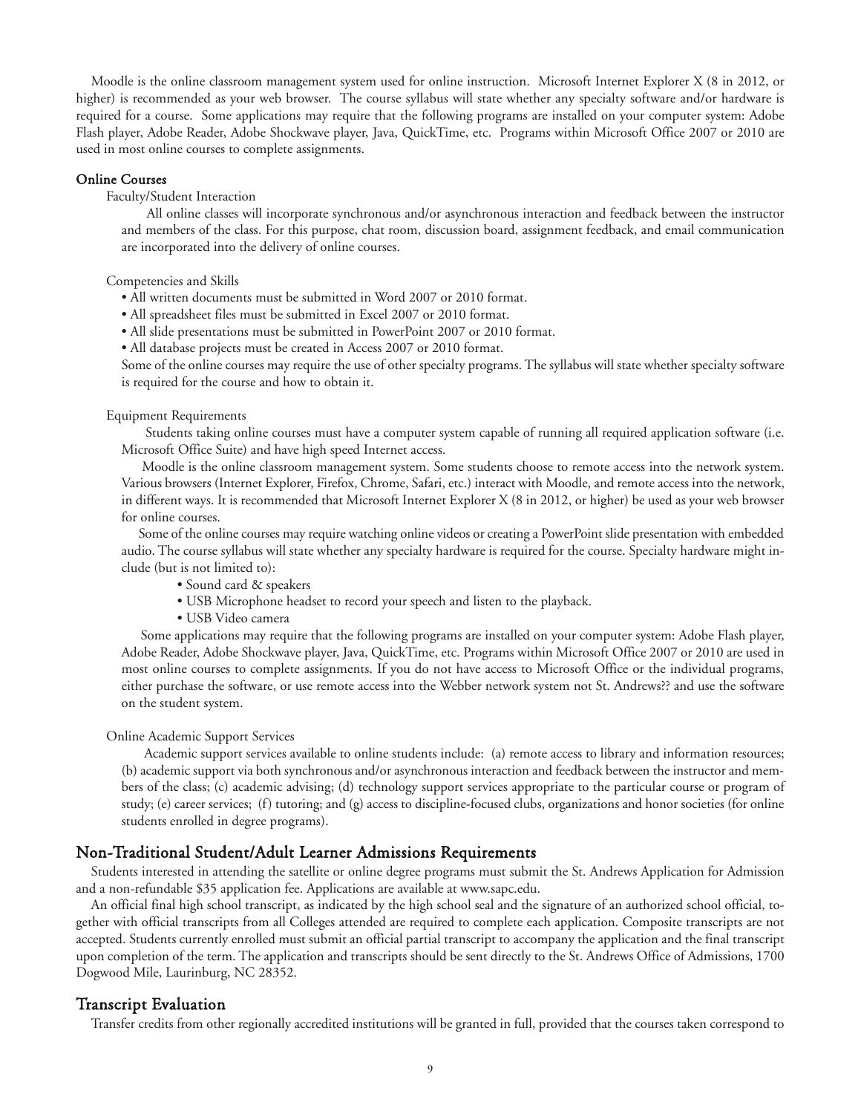Moodle is the online classroom management system used for online instruction. Microsoft Internet Explorer X (8 in 2012, or higher) is recommended as your web browser. The course syllabus will state whether any specialty software and/or hardware is required for a course. Some applications may require that the following programs are installed on your computer system: Adobe Flash player, Adobe Reader, Adobe Shockwave player, Java, QuickTime, etc. Programs within Microsoft Office 2007 or 2010 are used in most online courses to complete assignments.

#### Online Courses

Faculty/Student Interaction

All online classes will incorporate synchronous and/or asynchronous interaction and feedback between the instructor and members of the class. For this purpose, chat room, discussion board, assignment feedback, and email communication are incorporated into the delivery of online courses.

Competencies and Skills

- All written documents must be submitted in Word 2007 or 2010 format.
- All spreadsheet files must be submitted in Excel 2007 or 2010 format.
- All slide presentations must be submitted in PowerPoint 2007 or 2010 format.

• All database projects must be created in Access 2007 or 2010 format.

Some of the online courses may require the use of other specialty programs. The syllabus will state whether specialty software is required for the course and how to obtain it.

#### Equipment Requirements

Students taking online courses must have a computer system capable of running all required application software (i.e. Microsoft Office Suite) and have high speed Internet access.

Moodle is the online classroom management system. Some students choose to remote access into the network system. Various browsers (Internet Explorer, Firefox, Chrome, Safari, etc.) interact with Moodle, and remote access into the network, in different ways. It is recommended that Microsoft Internet Explorer X (8 in 2012, or higher) be used as your web browser for online courses.

Some of the online courses may require watching online videos or creating a PowerPoint slide presentation with embedded audio. The course syllabus will state whether any specialty hardware is required for the course. Specialty hardware might include (but is not limited to):

- Sound card & speakers
- USB Microphone headset to record your speech and listen to the playback.
- USB Video camera

Some applications may require that the following programs are installed on your computer system: Adobe Flash player, Adobe Reader, Adobe Shockwave player, Java, QuickTime, etc. Programs within Microsoft Office 2007 or 2010 are used in most online courses to complete assignments. If you do not have access to Microsoft Office or the individual programs, either purchase the software, or use remote access into the Webber network system not St. Andrews?? and use the software on the student system.

#### Online Academic Support Services

Academic support services available to online students include: (a) remote access to library and information resources; (b) academic support via both synchronous and/or asynchronous interaction and feedback between the instructor and members of the class; (c) academic advising; (d) technology support services appropriate to the particular course or program of study; (e) career services; (f) tutoring; and (g) access to discipline-focused clubs, organizations and honor societies (for online students enrolled in degree programs).

#### Non-Traditional Student/Adult Learner Admissions Requirements

Students interested in attending the satellite or online degree programs must submit the St. Andrews Application for Admission and a non-refundable \$35 application fee. Applications are available at www.sapc.edu.

An official final high school transcript, as indicated by the high school seal and the signature of an authorized school official, together with official transcripts from all Colleges attended are required to complete each application. Composite transcripts are not accepted. Students currently enrolled must submit an official partial transcript to accompany the application and the final transcript upon completion of the term. The application and transcripts should be sent directly to the St. Andrews Office of Admissions, 1700 Dogwood Mile, Laurinburg, NC 28352.

#### Transcript Evaluation

Transfer credits from other regionally accredited institutions will be granted in full, provided that the courses taken correspond to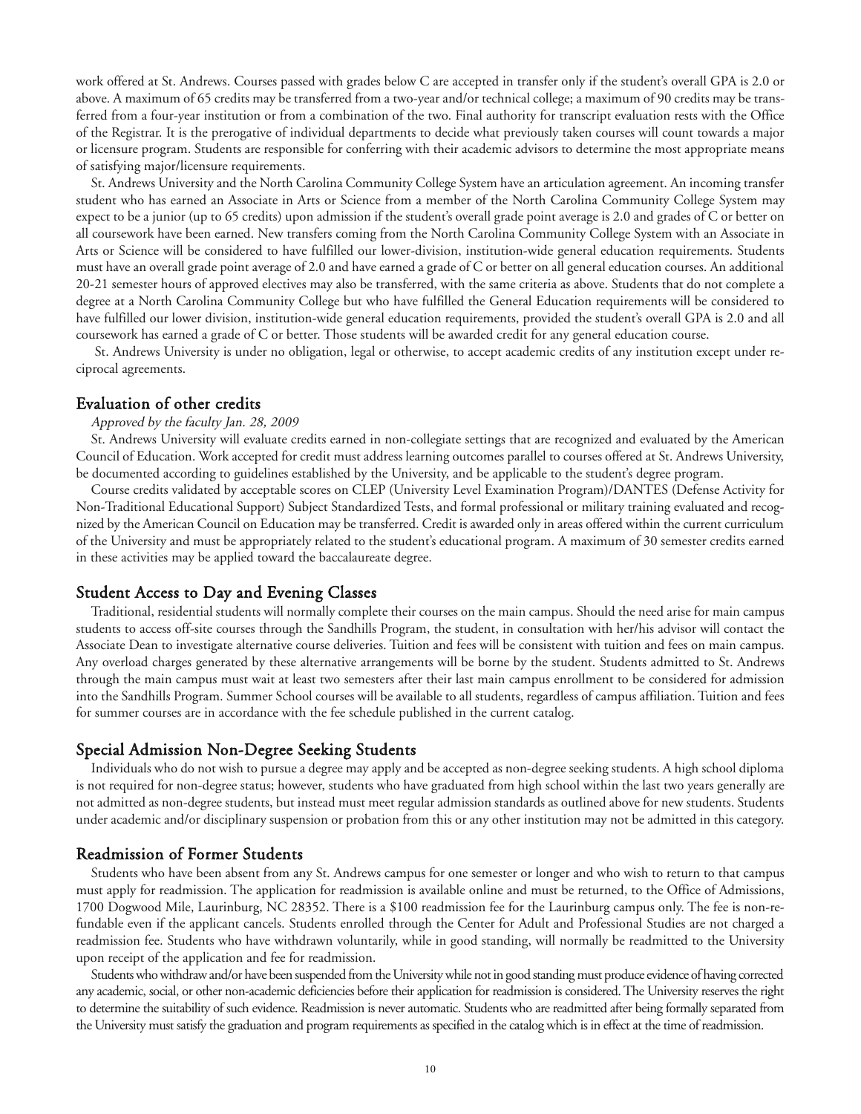work offered at St. Andrews. Courses passed with grades below C are accepted in transfer only if the student's overall GPA is 2.0 or above. A maximum of 65 credits may be transferred from a two-year and/or technical college; a maximum of 90 credits may be transferred from a four-year institution or from a combination of the two. Final authority for transcript evaluation rests with the Office of the Registrar. It is the prerogative of individual departments to decide what previously taken courses will count towards a major or licensure program. Students are responsible for conferring with their academic advisors to determine the most appropriate means of satisfying major/licensure requirements.

St. Andrews University and the North Carolina Community College System have an articulation agreement. An incoming transfer student who has earned an Associate in Arts or Science from a member of the North Carolina Community College System may expect to be a junior (up to 65 credits) upon admission if the student's overall grade point average is 2.0 and grades of C or better on all coursework have been earned. New transfers coming from the North Carolina Community College System with an Associate in Arts or Science will be considered to have fulfilled our lower-division, institution-wide general education requirements. Students must have an overall grade point average of 2.0 and have earned a grade of C or better on all general education courses. An additional 20-21 semester hours of approved electives may also be transferred, with the same criteria as above. Students that do not complete a degree at a North Carolina Community College but who have fulfilled the General Education requirements will be considered to have fulfilled our lower division, institution-wide general education requirements, provided the student's overall GPA is 2.0 and all coursework has earned a grade of C or better. Those students will be awarded credit for any general education course.

St. Andrews University is under no obligation, legal or otherwise, to accept academic credits of any institution except under reciprocal agreements.

#### Evaluation of other credits

#### Approved by the faculty Jan. 28, 2009

St. Andrews University will evaluate credits earned in non-collegiate settings that are recognized and evaluated by the American Council of Education. Work accepted for credit must address learning outcomes parallel to courses offered at St. Andrews University, be documented according to guidelines established by the University, and be applicable to the student's degree program.

Course credits validated by acceptable scores on CLEP (University Level Examination Program)/DANTES (Defense Activity for Non-Traditional Educational Support) Subject Standardized Tests, and formal professional or military training evaluated and recognized by the American Council on Education may be transferred. Credit is awarded only in areas offered within the current curriculum of the University and must be appropriately related to the student's educational program. A maximum of 30 semester credits earned in these activities may be applied toward the baccalaureate degree.

#### Student Access to Day and Evening Classes

Traditional, residential students will normally complete their courses on the main campus. Should the need arise for main campus students to access off-site courses through the Sandhills Program, the student, in consultation with her/his advisor will contact the Associate Dean to investigate alternative course deliveries. Tuition and fees will be consistent with tuition and fees on main campus. Any overload charges generated by these alternative arrangements will be borne by the student. Students admitted to St. Andrews through the main campus must wait at least two semesters after their last main campus enrollment to be considered for admission into the Sandhills Program. Summer School courses will be available to all students, regardless of campus affiliation. Tuition and fees for summer courses are in accordance with the fee schedule published in the current catalog.

#### Special Admission Non-Degree Seeking Students

Individuals who do not wish to pursue a degree may apply and be accepted as non-degree seeking students. A high school diploma is not required for non-degree status; however, students who have graduated from high school within the last two years generally are not admitted as non-degree students, but instead must meet regular admission standards as outlined above for new students. Students under academic and/or disciplinary suspension or probation from this or any other institution may not be admitted in this category.

#### Readmission of Former Students

Students who have been absent from any St. Andrews campus for one semester or longer and who wish to return to that campus must apply for readmission. The application for readmission is available online and must be returned, to the Office of Admissions, 1700 Dogwood Mile, Laurinburg, NC 28352. There is a \$100 readmission fee for the Laurinburg campus only. The fee is non-refundable even if the applicant cancels. Students enrolled through the Center for Adult and Professional Studies are not charged a readmission fee. Students who have withdrawn voluntarily, while in good standing, will normally be readmitted to the University upon receipt of the application and fee for readmission.

Students who withdraw and/or have been suspended from the University while not in good standing must produce evidence of having corrected any academic, social, or other non-academic deficiencies before their application for readmission is considered. The University reserves the right to determine the suitability of such evidence. Readmission is never automatic. Students who are readmitted after being formally separated from the University must satisfy the graduation and program requirements as specified in the catalog which is in effect at the time of readmission.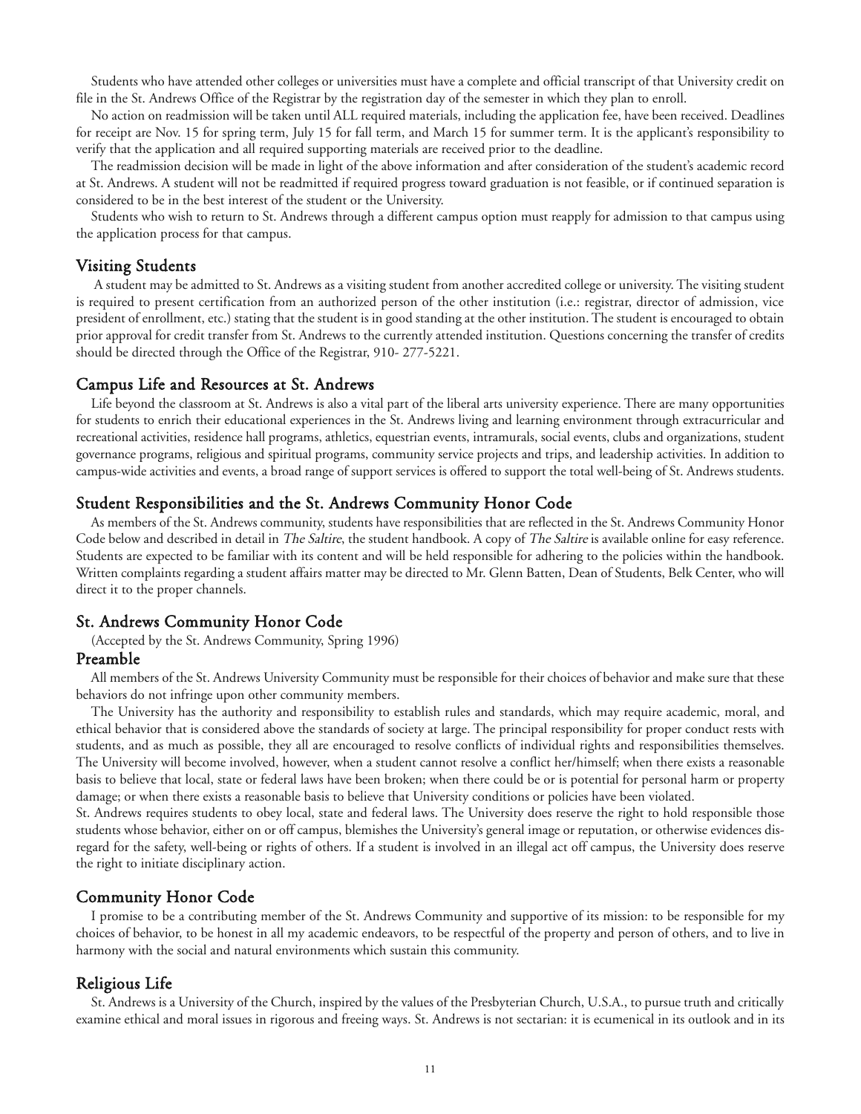Students who have attended other colleges or universities must have a complete and official transcript of that University credit on file in the St. Andrews Office of the Registrar by the registration day of the semester in which they plan to enroll.

No action on readmission will be taken until ALL required materials, including the application fee, have been received. Deadlines for receipt are Nov. 15 for spring term, July 15 for fall term, and March 15 for summer term. It is the applicant's responsibility to verify that the application and all required supporting materials are received prior to the deadline.

The readmission decision will be made in light of the above information and after consideration of the student's academic record at St. Andrews. A student will not be readmitted if required progress toward graduation is not feasible, or if continued separation is considered to be in the best interest of the student or the University.

Students who wish to return to St. Andrews through a different campus option must reapply for admission to that campus using the application process for that campus.

#### Visiting Students

A student may be admitted to St. Andrews as a visiting student from another accredited college or university. The visiting student is required to present certification from an authorized person of the other institution (i.e.: registrar, director of admission, vice president of enrollment, etc.) stating that the student is in good standing at the other institution. The student is encouraged to obtain prior approval for credit transfer from St. Andrews to the currently attended institution. Questions concerning the transfer of credits should be directed through the Office of the Registrar, 910- 277-5221.

#### Campus Life and Resources at St. Andrews

Life beyond the classroom at St. Andrews is also a vital part of the liberal arts university experience. There are many opportunities for students to enrich their educational experiences in the St. Andrews living and learning environment through extracurricular and recreational activities, residence hall programs, athletics, equestrian events, intramurals, social events, clubs and organizations, student governance programs, religious and spiritual programs, community service projects and trips, and leadership activities. In addition to campus-wide activities and events, a broad range of support services is offered to support the total well-being of St. Andrews students.

#### Student Responsibilities and the St. Andrews Community Honor Code

As members of the St. Andrews community, students have responsibilities that are reflected in the St. Andrews Community Honor Code below and described in detail in *The Saltire*, the student handbook. A copy of *The Saltire* is available online for easy reference. Students are expected to be familiar with its content and will be held responsible for adhering to the policies within the handbook. Written complaints regarding a student affairs matter may be directed to Mr. Glenn Batten, Dean of Students, Belk Center, who will direct it to the proper channels.

#### St. Andrews Community Honor Code

(Accepted by the St. Andrews Community, Spring 1996)

#### Preamble

All members of the St. Andrews University Community must be responsible for their choices of behavior and make sure that these behaviors do not infringe upon other community members.

The University has the authority and responsibility to establish rules and standards, which may require academic, moral, and ethical behavior that is considered above the standards of society at large. The principal responsibility for proper conduct rests with students, and as much as possible, they all are encouraged to resolve conflicts of individual rights and responsibilities themselves. The University will become involved, however, when a student cannot resolve a conflict her/himself; when there exists a reasonable basis to believe that local, state or federal laws have been broken; when there could be or is potential for personal harm or property damage; or when there exists a reasonable basis to believe that University conditions or policies have been violated.

St. Andrews requires students to obey local, state and federal laws. The University does reserve the right to hold responsible those students whose behavior, either on or off campus, blemishes the University's general image or reputation, or otherwise evidences disregard for the safety, well-being or rights of others. If a student is involved in an illegal act off campus, the University does reserve the right to initiate disciplinary action.

#### Community Honor Code

I promise to be a contributing member of the St. Andrews Community and supportive of its mission: to be responsible for my choices of behavior, to be honest in all my academic endeavors, to be respectful of the property and person of others, and to live in harmony with the social and natural environments which sustain this community.

#### Religious Life

St. Andrews is a University of the Church, inspired by the values of the Presbyterian Church, U.S.A., to pursue truth and critically examine ethical and moral issues in rigorous and freeing ways. St. Andrews is not sectarian: it is ecumenical in its outlook and in its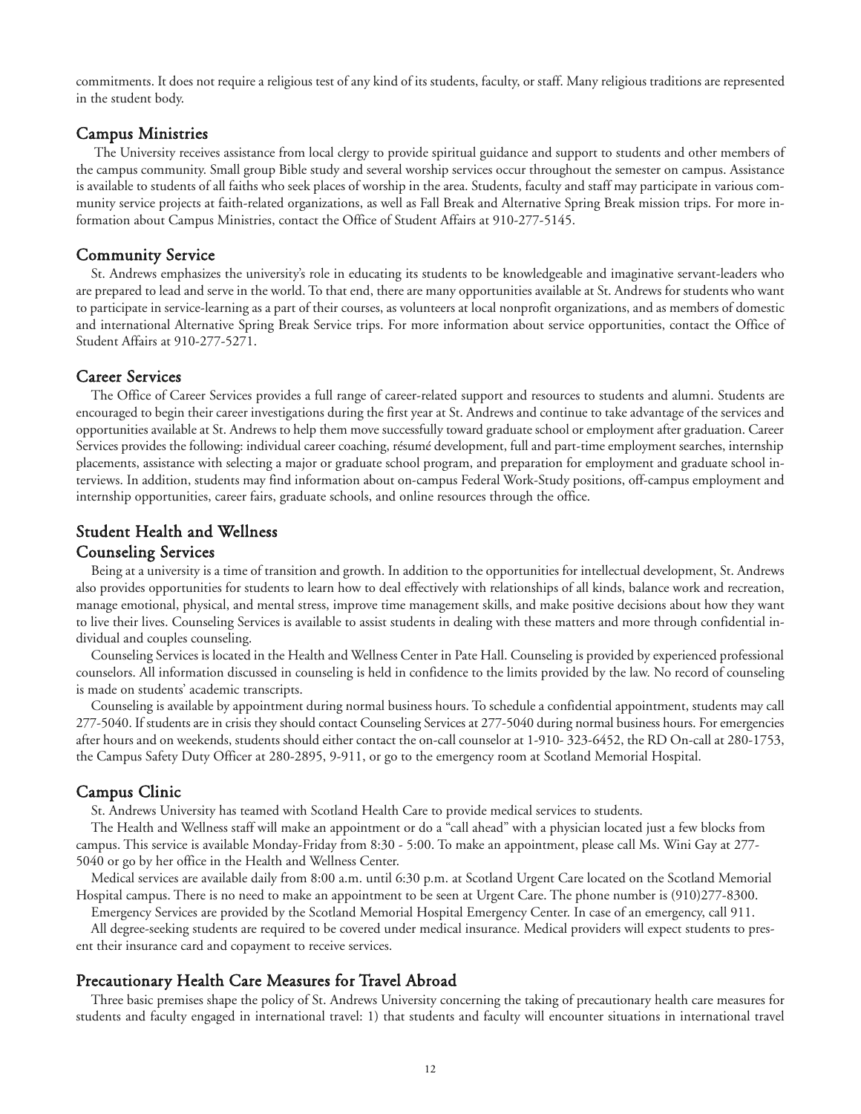commitments. It does not require a religious test of any kind of its students, faculty, or staff. Many religious traditions are represented in the student body.

#### Campus Ministries

The University receives assistance from local clergy to provide spiritual guidance and support to students and other members of the campus community. Small group Bible study and several worship services occur throughout the semester on campus. Assistance is available to students of all faiths who seek places of worship in the area. Students, faculty and staff may participate in various community service projects at faith-related organizations, as well as Fall Break and Alternative Spring Break mission trips. For more information about Campus Ministries, contact the Office of Student Affairs at 910-277-5145.

#### Community Service

St. Andrews emphasizes the university's role in educating its students to be knowledgeable and imaginative servant-leaders who are prepared to lead and serve in the world. To that end, there are many opportunities available at St. Andrews for students who want to participate in service-learning as a part of their courses, as volunteers at local nonprofit organizations, and as members of domestic and international Alternative Spring Break Service trips. For more information about service opportunities, contact the Office of Student Affairs at 910-277-5271.

#### Career Services

The Office of Career Services provides a full range of career-related support and resources to students and alumni. Students are encouraged to begin their career investigations during the first year at St. Andrews and continue to take advantage of the services and opportunities available at St. Andrews to help them move successfully toward graduate school or employment after graduation. Career Services provides the following: individual career coaching, résumé development, full and part-time employment searches, internship placements, assistance with selecting a major or graduate school program, and preparation for employment and graduate school interviews. In addition, students may find information about on-campus Federal Work-Study positions, off-campus employment and internship opportunities, career fairs, graduate schools, and online resources through the office.

### Student Health and Wellness Counseling Services

Being at a university is a time of transition and growth. In addition to the opportunities for intellectual development, St. Andrews also provides opportunities for students to learn how to deal effectively with relationships of all kinds, balance work and recreation, manage emotional, physical, and mental stress, improve time management skills, and make positive decisions about how they want to live their lives. Counseling Services is available to assist students in dealing with these matters and more through confidential individual and couples counseling.

Counseling Services is located in the Health and Wellness Center in Pate Hall. Counseling is provided by experienced professional counselors. All information discussed in counseling is held in confidence to the limits provided by the law. No record of counseling is made on students' academic transcripts.

Counseling is available by appointment during normal business hours. To schedule a confidential appointment, students may call 277-5040. If students are in crisis they should contact Counseling Services at 277-5040 during normal business hours. For emergencies after hours and on weekends, students should either contact the on-call counselor at 1-910- 323-6452, the RD On-call at 280-1753, the Campus Safety Duty Officer at 280-2895, 9-911, or go to the emergency room at Scotland Memorial Hospital.

#### Campus Clinic

St. Andrews University has teamed with Scotland Health Care to provide medical services to students.

The Health and Wellness staff will make an appointment or do a "call ahead" with a physician located just a few blocks from campus. This service is available Monday-Friday from 8:30 - 5:00. To make an appointment, please call Ms. Wini Gay at 277- 5040 or go by her office in the Health and Wellness Center.

Medical services are available daily from 8:00 a.m. until 6:30 p.m. at Scotland Urgent Care located on the Scotland Memorial Hospital campus. There is no need to make an appointment to be seen at Urgent Care. The phone number is (910)277-8300.

Emergency Services are provided by the Scotland Memorial Hospital Emergency Center. In case of an emergency, call 911.

All degree-seeking students are required to be covered under medical insurance. Medical providers will expect students to present their insurance card and copayment to receive services.

#### Precautionary Health Care Measures for Travel Abroad

Three basic premises shape the policy of St. Andrews University concerning the taking of precautionary health care measures for students and faculty engaged in international travel: 1) that students and faculty will encounter situations in international travel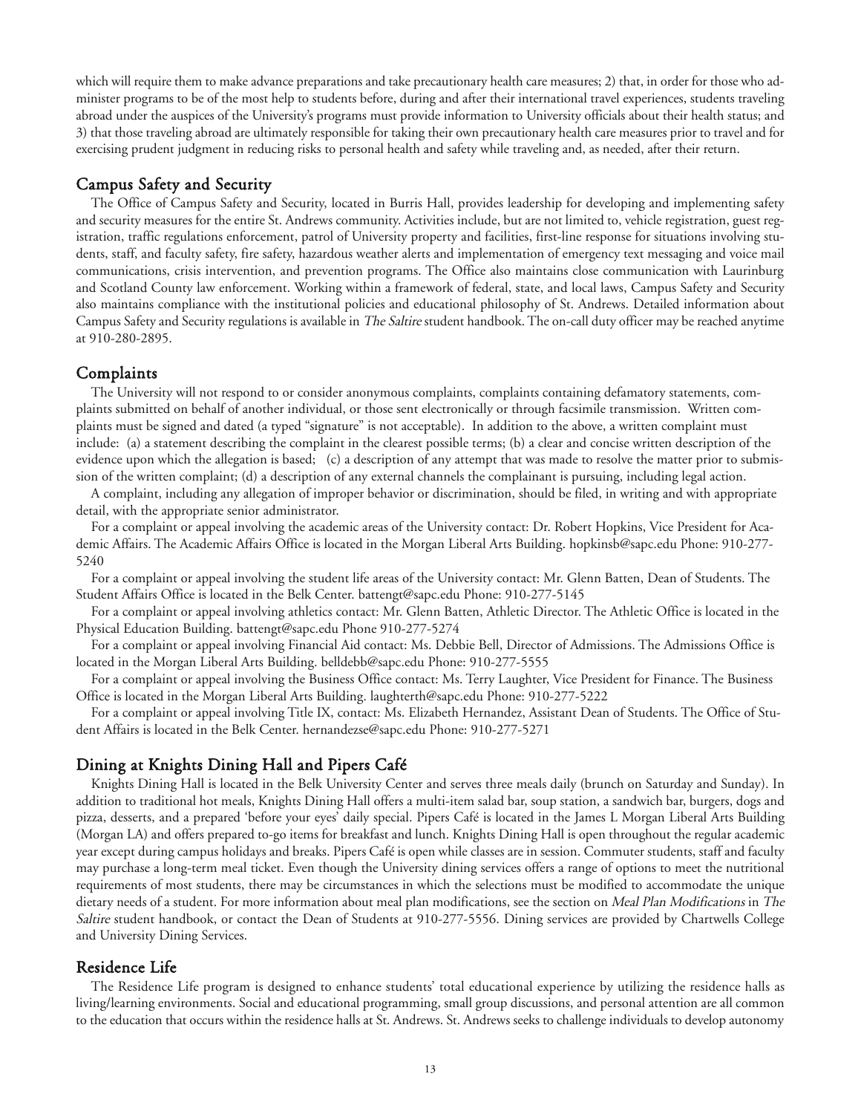which will require them to make advance preparations and take precautionary health care measures; 2) that, in order for those who administer programs to be of the most help to students before, during and after their international travel experiences, students traveling abroad under the auspices of the University's programs must provide information to University officials about their health status; and 3) that those traveling abroad are ultimately responsible for taking their own precautionary health care measures prior to travel and for exercising prudent judgment in reducing risks to personal health and safety while traveling and, as needed, after their return.

#### Campus Safety and Security

The Office of Campus Safety and Security, located in Burris Hall, provides leadership for developing and implementing safety and security measures for the entire St. Andrews community. Activities include, but are not limited to, vehicle registration, guest registration, traffic regulations enforcement, patrol of University property and facilities, first-line response for situations involving students, staff, and faculty safety, fire safety, hazardous weather alerts and implementation of emergency text messaging and voice mail communications, crisis intervention, and prevention programs. The Office also maintains close communication with Laurinburg and Scotland County law enforcement. Working within a framework of federal, state, and local laws, Campus Safety and Security also maintains compliance with the institutional policies and educational philosophy of St. Andrews. Detailed information about Campus Safety and Security regulations is available in The Saltire student handbook. The on-call duty officer may be reached anytime at 910-280-2895.

#### **Complaints**

The University will not respond to or consider anonymous complaints, complaints containing defamatory statements, complaints submitted on behalf of another individual, or those sent electronically or through facsimile transmission. Written complaints must be signed and dated (a typed "signature" is not acceptable). In addition to the above, a written complaint must include: (a) a statement describing the complaint in the clearest possible terms; (b) a clear and concise written description of the evidence upon which the allegation is based; (c) a description of any attempt that was made to resolve the matter prior to submission of the written complaint; (d) a description of any external channels the complainant is pursuing, including legal action.

A complaint, including any allegation of improper behavior or discrimination, should be filed, in writing and with appropriate detail, with the appropriate senior administrator.

For a complaint or appeal involving the academic areas of the University contact: Dr. Robert Hopkins, Vice President for Academic Affairs. The Academic Affairs Office is located in the Morgan Liberal Arts Building. hopkinsb@sapc.edu Phone: 910-277- 5240

For a complaint or appeal involving the student life areas of the University contact: Mr. Glenn Batten, Dean of Students. The Student Affairs Office is located in the Belk Center. battengt@sapc.edu Phone: 910-277-5145

For a complaint or appeal involving athletics contact: Mr. Glenn Batten, Athletic Director. The Athletic Office is located in the Physical Education Building. battengt@sapc.edu Phone 910-277-5274

For a complaint or appeal involving Financial Aid contact: Ms. Debbie Bell, Director of Admissions. The Admissions Office is located in the Morgan Liberal Arts Building. belldebb@sapc.edu Phone: 910-277-5555

For a complaint or appeal involving the Business Office contact: Ms. Terry Laughter, Vice President for Finance. The Business Office is located in the Morgan Liberal Arts Building. laughterth@sapc.edu Phone: 910-277-5222

For a complaint or appeal involving Title IX, contact: Ms. Elizabeth Hernandez, Assistant Dean of Students. The Office of Student Affairs is located in the Belk Center. hernandezse@sapc.edu Phone: 910-277-5271

#### Dining at Knights Dining Hall and Pipers Café

Knights Dining Hall is located in the Belk University Center and serves three meals daily (brunch on Saturday and Sunday). In addition to traditional hot meals, Knights Dining Hall offers a multi-item salad bar, soup station, a sandwich bar, burgers, dogs and pizza, desserts, and a prepared 'before your eyes' daily special. Pipers Café is located in the James L Morgan Liberal Arts Building (Morgan LA) and offers prepared to-go items for breakfast and lunch. Knights Dining Hall is open throughout the regular academic year except during campus holidays and breaks. Pipers Café is open while classes are in session. Commuter students, staff and faculty may purchase a long-term meal ticket. Even though the University dining services offers a range of options to meet the nutritional requirements of most students, there may be circumstances in which the selections must be modified to accommodate the unique dietary needs of a student. For more information about meal plan modifications, see the section on *Meal Plan Modifications* in *The* Saltire student handbook, or contact the Dean of Students at 910-277-5556. Dining services are provided by Chartwells College and University Dining Services.

#### Residence Life

The Residence Life program is designed to enhance students' total educational experience by utilizing the residence halls as living/learning environments. Social and educational programming, small group discussions, and personal attention are all common to the education that occurs within the residence halls at St. Andrews. St. Andrews seeks to challenge individuals to develop autonomy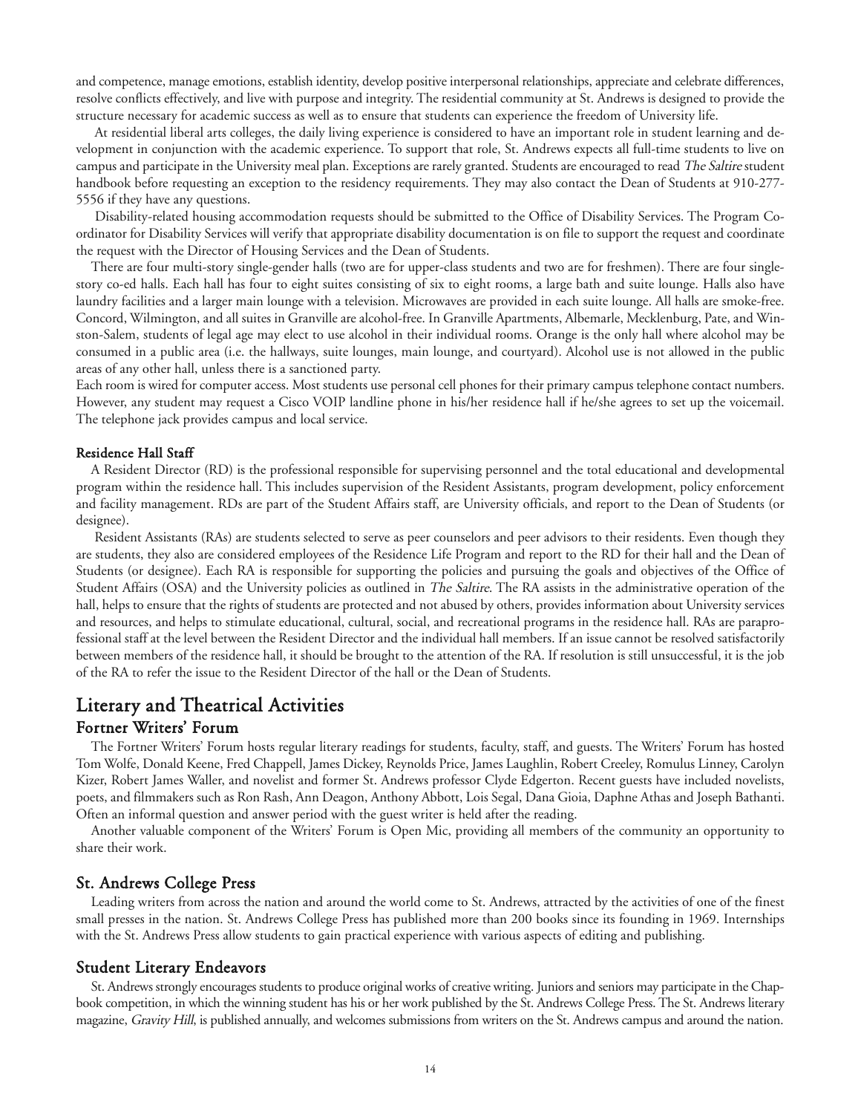and competence, manage emotions, establish identity, develop positive interpersonal relationships, appreciate and celebrate differences, resolve conflicts effectively, and live with purpose and integrity. The residential community at St. Andrews is designed to provide the structure necessary for academic success as well as to ensure that students can experience the freedom of University life.

At residential liberal arts colleges, the daily living experience is considered to have an important role in student learning and development in conjunction with the academic experience. To support that role, St. Andrews expects all full-time students to live on campus and participate in the University meal plan. Exceptions are rarely granted. Students are encouraged to read The Saltire student handbook before requesting an exception to the residency requirements. They may also contact the Dean of Students at 910-277- 5556 if they have any questions.

Disability-related housing accommodation requests should be submitted to the Office of Disability Services. The Program Coordinator for Disability Services will verify that appropriate disability documentation is on file to support the request and coordinate the request with the Director of Housing Services and the Dean of Students.

There are four multi-story single-gender halls (two are for upper-class students and two are for freshmen). There are four singlestory co-ed halls. Each hall has four to eight suites consisting of six to eight rooms, a large bath and suite lounge. Halls also have laundry facilities and a larger main lounge with a television. Microwaves are provided in each suite lounge. All halls are smoke-free. Concord, Wilmington, and all suites in Granville are alcohol-free. In Granville Apartments, Albemarle, Mecklenburg, Pate, and Winston-Salem, students of legal age may elect to use alcohol in their individual rooms. Orange is the only hall where alcohol may be consumed in a public area (i.e. the hallways, suite lounges, main lounge, and courtyard). Alcohol use is not allowed in the public areas of any other hall, unless there is a sanctioned party.

Each room is wired for computer access. Most students use personal cell phones for their primary campus telephone contact numbers. However, any student may request a Cisco VOIP landline phone in his/her residence hall if he/she agrees to set up the voicemail. The telephone jack provides campus and local service.

#### Residence Hall Staff

A Resident Director (RD) is the professional responsible for supervising personnel and the total educational and developmental program within the residence hall. This includes supervision of the Resident Assistants, program development, policy enforcement and facility management. RDs are part of the Student Affairs staff, are University officials, and report to the Dean of Students (or designee).

Resident Assistants (RAs) are students selected to serve as peer counselors and peer advisors to their residents. Even though they are students, they also are considered employees of the Residence Life Program and report to the RD for their hall and the Dean of Students (or designee). Each RA is responsible for supporting the policies and pursuing the goals and objectives of the Office of Student Affairs (OSA) and the University policies as outlined in *The Saltire*. The RA assists in the administrative operation of the hall, helps to ensure that the rights of students are protected and not abused by others, provides information about University services and resources, and helps to stimulate educational, cultural, social, and recreational programs in the residence hall. RAs are paraprofessional staff at the level between the Resident Director and the individual hall members. If an issue cannot be resolved satisfactorily between members of the residence hall, it should be brought to the attention of the RA. If resolution is still unsuccessful, it is the job of the RA to refer the issue to the Resident Director of the hall or the Dean of Students.

## Literary and Theatrical Activities

#### Fortner Writers' Forum

The Fortner Writers' Forum hosts regular literary readings for students, faculty, staff, and guests. The Writers' Forum has hosted Tom Wolfe, Donald Keene, Fred Chappell, James Dickey, Reynolds Price, James Laughlin, Robert Creeley, Romulus Linney, Carolyn Kizer, Robert James Waller, and novelist and former St. Andrews professor Clyde Edgerton. Recent guests have included novelists, poets, and filmmakers such as Ron Rash, Ann Deagon, Anthony Abbott, Lois Segal, Dana Gioia, Daphne Athas and Joseph Bathanti. Often an informal question and answer period with the guest writer is held after the reading.

Another valuable component of the Writers' Forum is Open Mic, providing all members of the community an opportunity to share their work.

#### St. Andrews College Press

Leading writers from across the nation and around the world come to St. Andrews, attracted by the activities of one of the finest small presses in the nation. St. Andrews College Press has published more than 200 books since its founding in 1969. Internships with the St. Andrews Press allow students to gain practical experience with various aspects of editing and publishing.

#### Student Literary Endeavors

St. Andrews strongly encourages students to produce original works of creative writing. Juniors and seniors may participate in the Chapbook competition, in which the winning student has his or her work published by the St. Andrews College Press. The St. Andrews literary magazine, Gravity Hill, is published annually, and welcomes submissions from writers on the St. Andrews campus and around the nation.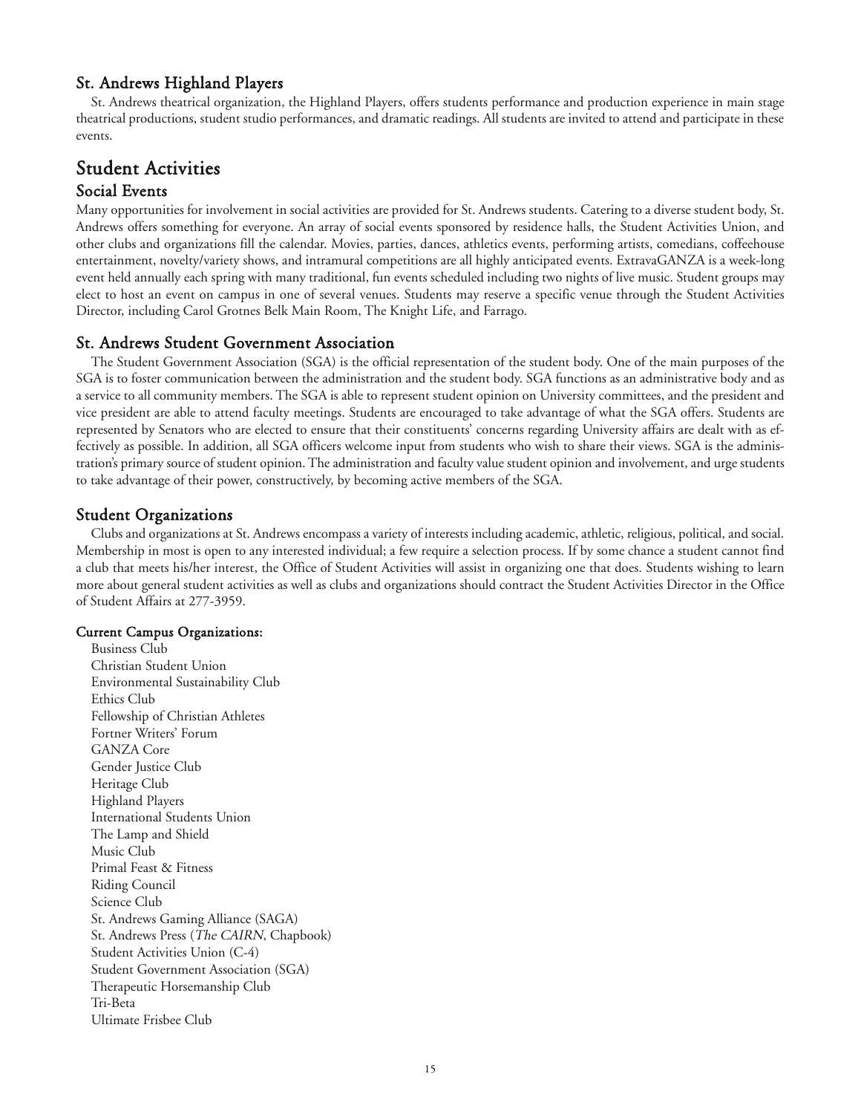### St. Andrews Highland Players

St. Andrews theatrical organization, the Highland Players, offers students performance and production experience in main stage theatrical productions, student studio performances, and dramatic readings. All students are invited to attend and participate in these events.

# Student Activities

# Social Events

Many opportunities for involvement in social activities are provided for St. Andrews students. Catering to a diverse student body, St. Andrews offers something for everyone. An array of social events sponsored by residence halls, the Student Activities Union, and other clubs and organizations fill the calendar. Movies, parties, dances, athletics events, performing artists, comedians, coffeehouse entertainment, novelty/variety shows, and intramural competitions are all highly anticipated events. ExtravaGANZA is a week-long event held annually each spring with many traditional, fun events scheduled including two nights of live music. Student groups may elect to host an event on campus in one of several venues. Students may reserve a specific venue through the Student Activities Director, including Carol Grotnes Belk Main Room, The Knight Life, and Farrago.

### St. Andrews Student Government Association

The Student Government Association (SGA) is the official representation of the student body. One of the main purposes of the SGA is to foster communication between the administration and the student body. SGA functions as an administrative body and as a service to all community members. The SGA is able to represent student opinion on University committees, and the president and vice president are able to attend faculty meetings. Students are encouraged to take advantage of what the SGA offers. Students are represented by Senators who are elected to ensure that their constituents' concerns regarding University affairs are dealt with as effectively as possible. In addition, all SGA officers welcome input from students who wish to share their views. SGA is the administration's primary source of student opinion. The administration and faculty value student opinion and involvement, and urge students to take advantage of their power, constructively, by becoming active members of the SGA.

### Student Organizations

Clubs and organizations at St. Andrews encompass a variety of interests including academic, athletic, religious, political, and social. Membership in most is open to any interested individual; a few require a selection process. If by some chance a student cannot find a club that meets his/her interest, the Office of Student Activities will assist in organizing one that does. Students wishing to learn more about general student activities as well as clubs and organizations should contract the Student Activities Director in the Office of Student Affairs at 277-3959.

#### Current Campus Organizations:

Business Club Christian Student Union Environmental Sustainability Club Ethics Club Fellowship of Christian Athletes Fortner Writers' Forum GANZA Core Gender Justice Club Heritage Club Highland Players International Students Union The Lamp and Shield Music Club Primal Feast & Fitness Riding Council Science Club St. Andrews Gaming Alliance (SAGA) St. Andrews Press (The CAIRN, Chapbook) Student Activities Union (C-4) Student Government Association (SGA) Therapeutic Horsemanship Club Tri-Beta Ultimate Frisbee Club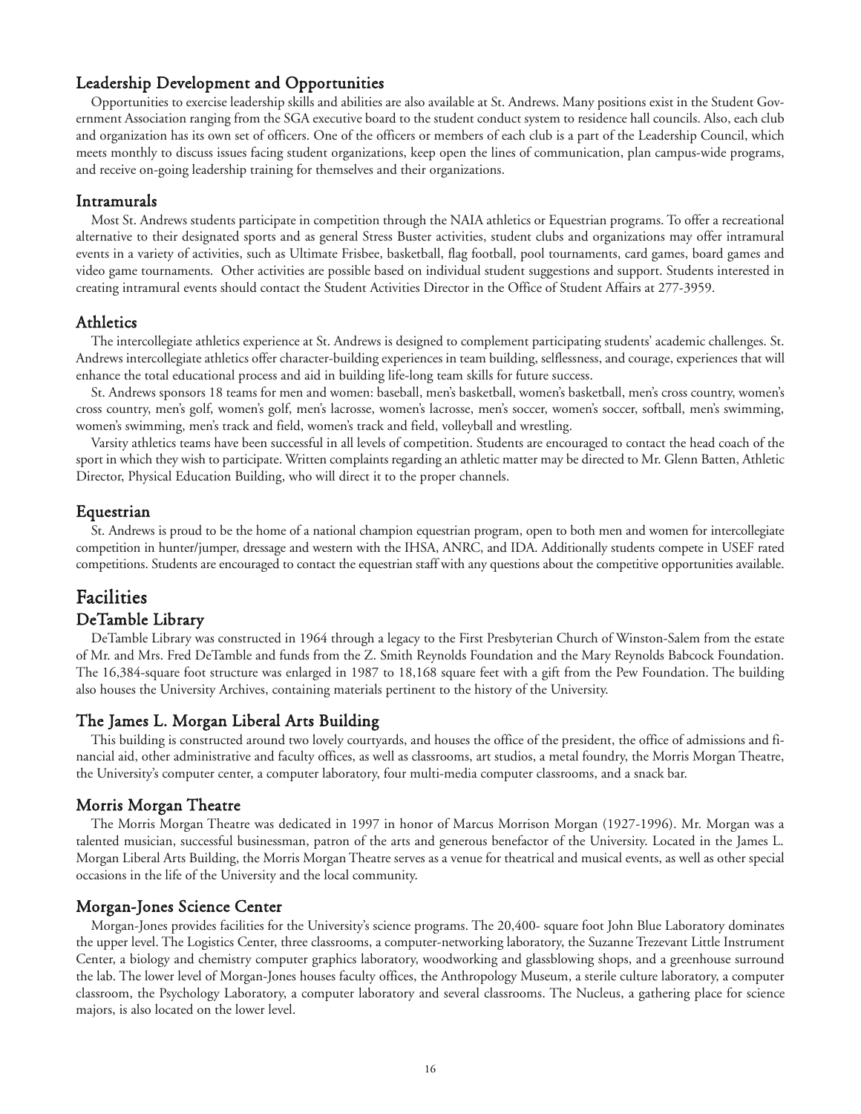### Leadership Development and Opportunities

Opportunities to exercise leadership skills and abilities are also available at St. Andrews. Many positions exist in the Student Government Association ranging from the SGA executive board to the student conduct system to residence hall councils. Also, each club and organization has its own set of officers. One of the officers or members of each club is a part of the Leadership Council, which meets monthly to discuss issues facing student organizations, keep open the lines of communication, plan campus-wide programs, and receive on-going leadership training for themselves and their organizations.

#### Intramurals

Most St. Andrews students participate in competition through the NAIA athletics or Equestrian programs. To offer a recreational alternative to their designated sports and as general Stress Buster activities, student clubs and organizations may offer intramural events in a variety of activities, such as Ultimate Frisbee, basketball, flag football, pool tournaments, card games, board games and video game tournaments. Other activities are possible based on individual student suggestions and support. Students interested in creating intramural events should contact the Student Activities Director in the Office of Student Affairs at 277-3959.

#### Athletics

The intercollegiate athletics experience at St. Andrews is designed to complement participating students' academic challenges. St. Andrews intercollegiate athletics offer character-building experiences in team building, selflessness, and courage, experiences that will enhance the total educational process and aid in building life-long team skills for future success.

St. Andrews sponsors 18 teams for men and women: baseball, men's basketball, women's basketball, men's cross country, women's cross country, men's golf, women's golf, men's lacrosse, women's lacrosse, men's soccer, women's soccer, softball, men's swimming, women's swimming, men's track and field, women's track and field, volleyball and wrestling.

Varsity athletics teams have been successful in all levels of competition. Students are encouraged to contact the head coach of the sport in which they wish to participate. Written complaints regarding an athletic matter may be directed to Mr. Glenn Batten, Athletic Director, Physical Education Building, who will direct it to the proper channels.

# Equestrian

St. Andrews is proud to be the home of a national champion equestrian program, open to both men and women for intercollegiate competition in hunter/jumper, dressage and western with the IHSA, ANRC, and IDA. Additionally students compete in USEF rated competitions. Students are encouraged to contact the equestrian staff with any questions about the competitive opportunities available.

# Facilities DeTamble Library

DeTamble Library was constructed in 1964 through a legacy to the First Presbyterian Church of Winston-Salem from the estate of Mr. and Mrs. Fred DeTamble and funds from the Z. Smith Reynolds Foundation and the Mary Reynolds Babcock Foundation. The 16,384-square foot structure was enlarged in 1987 to 18,168 square feet with a gift from the Pew Foundation. The building also houses the University Archives, containing materials pertinent to the history of the University.

## The James L. Morgan Liberal Arts Building

This building is constructed around two lovely courtyards, and houses the office of the president, the office of admissions and financial aid, other administrative and faculty offices, as well as classrooms, art studios, a metal foundry, the Morris Morgan Theatre, the University's computer center, a computer laboratory, four multi-media computer classrooms, and a snack bar.

## Morris Morgan Theatre

The Morris Morgan Theatre was dedicated in 1997 in honor of Marcus Morrison Morgan (1927-1996). Mr. Morgan was a talented musician, successful businessman, patron of the arts and generous benefactor of the University. Located in the James L. Morgan Liberal Arts Building, the Morris Morgan Theatre serves as a venue for theatrical and musical events, as well as other special occasions in the life of the University and the local community.

#### Morgan-Jones Science Center

Morgan-Jones provides facilities for the University's science programs. The 20,400- square foot John Blue Laboratory dominates the upper level. The Logistics Center, three classrooms, a computer-networking laboratory, the Suzanne Trezevant Little Instrument Center, a biology and chemistry computer graphics laboratory, woodworking and glassblowing shops, and a greenhouse surround the lab. The lower level of Morgan-Jones houses faculty offices, the Anthropology Museum, a sterile culture laboratory, a computer classroom, the Psychology Laboratory, a computer laboratory and several classrooms. The Nucleus, a gathering place for science majors, is also located on the lower level.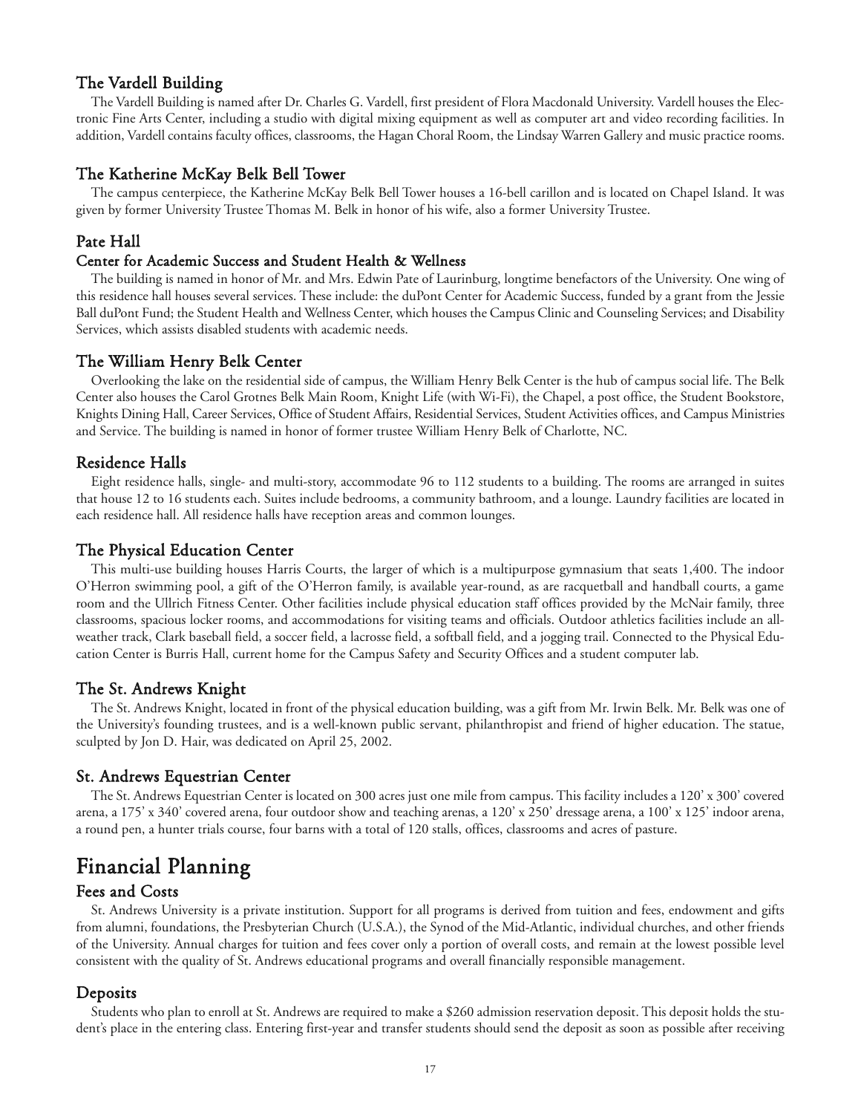### The Vardell Building

The Vardell Building is named after Dr. Charles G. Vardell, first president of Flora Macdonald University. Vardell houses the Electronic Fine Arts Center, including a studio with digital mixing equipment as well as computer art and video recording facilities. In addition, Vardell contains faculty offices, classrooms, the Hagan Choral Room, the Lindsay Warren Gallery and music practice rooms.

#### The Katherine McKay Belk Bell Tower

The campus centerpiece, the Katherine McKay Belk Bell Tower houses a 16-bell carillon and is located on Chapel Island. It was given by former University Trustee Thomas M. Belk in honor of his wife, also a former University Trustee.

#### Pate Hall

#### Center for Academic Success and Student Health & Wellness

The building is named in honor of Mr. and Mrs. Edwin Pate of Laurinburg, longtime benefactors of the University. One wing of this residence hall houses several services. These include: the duPont Center for Academic Success, funded by a grant from the Jessie Ball duPont Fund; the Student Health and Wellness Center, which houses the Campus Clinic and Counseling Services; and Disability Services, which assists disabled students with academic needs.

#### The William Henry Belk Center

Overlooking the lake on the residential side of campus, the William Henry Belk Center is the hub of campus social life. The Belk Center also houses the Carol Grotnes Belk Main Room, Knight Life (with Wi-Fi), the Chapel, a post office, the Student Bookstore, Knights Dining Hall, Career Services, Office of Student Affairs, Residential Services, Student Activities offices, and Campus Ministries and Service. The building is named in honor of former trustee William Henry Belk of Charlotte, NC.

#### Residence Halls

Eight residence halls, single- and multi-story, accommodate 96 to 112 students to a building. The rooms are arranged in suites that house 12 to 16 students each. Suites include bedrooms, a community bathroom, and a lounge. Laundry facilities are located in each residence hall. All residence halls have reception areas and common lounges.

#### The Physical Education Center

This multi-use building houses Harris Courts, the larger of which is a multipurpose gymnasium that seats 1,400. The indoor O'Herron swimming pool, a gift of the O'Herron family, is available year-round, as are racquetball and handball courts, a game room and the Ullrich Fitness Center. Other facilities include physical education staff offices provided by the McNair family, three classrooms, spacious locker rooms, and accommodations for visiting teams and officials. Outdoor athletics facilities include an allweather track, Clark baseball field, a soccer field, a lacrosse field, a softball field, and a jogging trail. Connected to the Physical Education Center is Burris Hall, current home for the Campus Safety and Security Offices and a student computer lab.

#### The St. Andrews Knight

The St. Andrews Knight, located in front of the physical education building, was a gift from Mr. Irwin Belk. Mr. Belk was one of the University's founding trustees, and is a well-known public servant, philanthropist and friend of higher education. The statue, sculpted by Jon D. Hair, was dedicated on April 25, 2002.

#### St. Andrews Equestrian Center

The St. Andrews Equestrian Center is located on 300 acres just one mile from campus. This facility includes a 120' x 300' covered arena, a 175' x 340' covered arena, four outdoor show and teaching arenas, a 120' x 250' dressage arena, a 100' x 125' indoor arena, a round pen, a hunter trials course, four barns with a total of 120 stalls, offices, classrooms and acres of pasture.

# Financial Planning

#### Fees and Costs

St. Andrews University is a private institution. Support for all programs is derived from tuition and fees, endowment and gifts from alumni, foundations, the Presbyterian Church (U.S.A.), the Synod of the Mid-Atlantic, individual churches, and other friends of the University. Annual charges for tuition and fees cover only a portion of overall costs, and remain at the lowest possible level consistent with the quality of St. Andrews educational programs and overall financially responsible management.

#### **Deposits**

Students who plan to enroll at St. Andrews are required to make a \$260 admission reservation deposit. This deposit holds the student's place in the entering class. Entering first-year and transfer students should send the deposit as soon as possible after receiving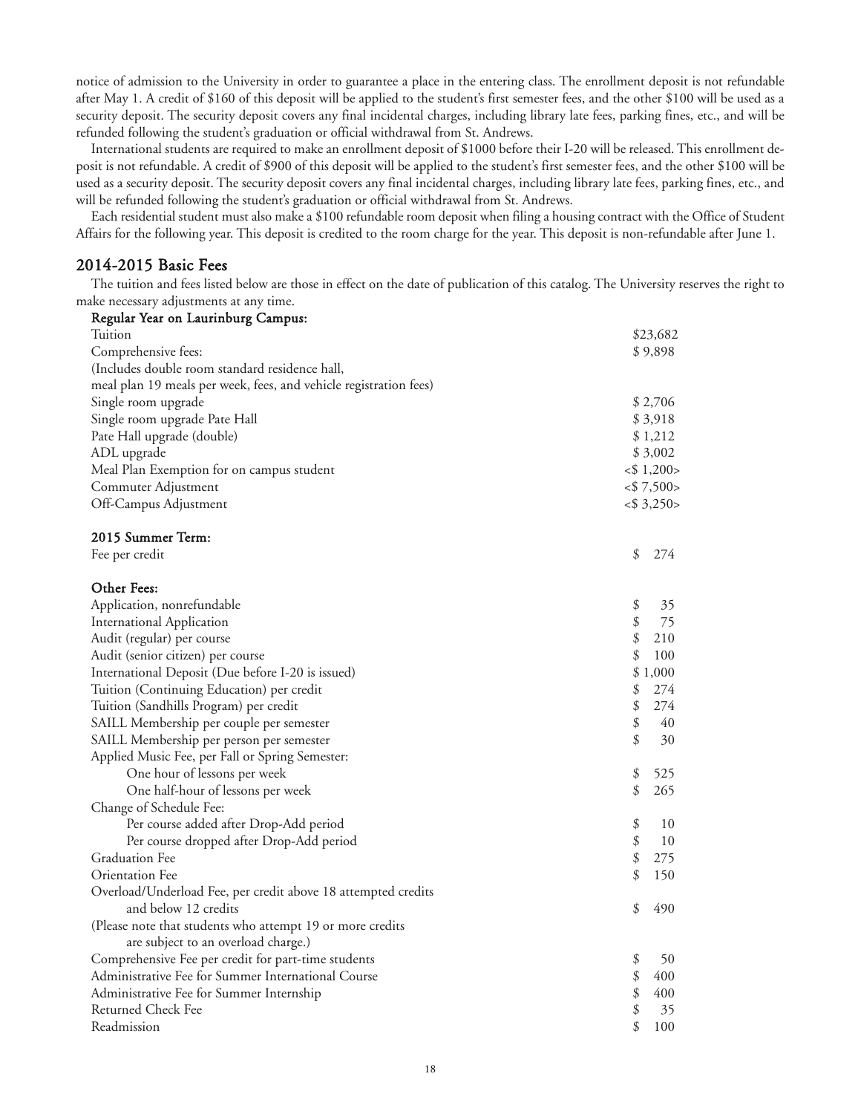notice of admission to the University in order to guarantee a place in the entering class. The enrollment deposit is not refundable after May 1. A credit of \$160 of this deposit will be applied to the student's first semester fees, and the other \$100 will be used as a security deposit. The security deposit covers any final incidental charges, including library late fees, parking fines, etc., and will be refunded following the student's graduation or official withdrawal from St. Andrews.

International students are required to make an enrollment deposit of \$1000 before their I-20 will be released. This enrollment deposit is not refundable. A credit of \$900 of this deposit will be applied to the student's first semester fees, and the other \$100 will be used as a security deposit. The security deposit covers any final incidental charges, including library late fees, parking fines, etc., and will be refunded following the student's graduation or official withdrawal from St. Andrews.

Each residential student must also make a \$100 refundable room deposit when filing a housing contract with the Office of Student Affairs for the following year. This deposit is credited to the room charge for the year. This deposit is non-refundable after June 1.

### 2014-2015 Basic Fees

The tuition and fees listed below are those in effect on the date of publication of this catalog. The University reserves the right to make necessary adjustments at any time.

| Regular Year on Laurinburg Campus:                                |                 |
|-------------------------------------------------------------------|-----------------|
| Tuition                                                           | \$23,682        |
| Comprehensive fees:                                               | \$9,898         |
| (Includes double room standard residence hall,                    |                 |
| meal plan 19 meals per week, fees, and vehicle registration fees) |                 |
| Single room upgrade                                               | \$2,706         |
| Single room upgrade Pate Hall                                     | \$3,918         |
| Pate Hall upgrade (double)                                        | \$1,212         |
| ADL upgrade                                                       | \$3,002         |
| Meal Plan Exemption for on campus student                         | $<$ \$ 1,200>   |
| Commuter Adjustment                                               | $<$ \$7,500 $>$ |
| Off-Campus Adjustment                                             | $<$ \$ 3,250>   |
| 2015 Summer Term:                                                 |                 |
| Fee per credit                                                    | \$<br>274       |
| Other Fees:                                                       |                 |
| Application, nonrefundable                                        | \$<br>35        |
| <b>International Application</b>                                  | \$<br>75        |
| Audit (regular) per course                                        | \$<br>210       |
| Audit (senior citizen) per course                                 | \$<br>100       |
| International Deposit (Due before I-20 is issued)                 | \$1,000         |
| Tuition (Continuing Education) per credit                         | \$<br>274       |
| Tuition (Sandhills Program) per credit                            | \$<br>274       |
| SAILL Membership per couple per semester                          | \$<br>40        |
| SAILL Membership per person per semester                          | \$<br>30        |
| Applied Music Fee, per Fall or Spring Semester:                   |                 |
| One hour of lessons per week                                      | \$<br>525       |
| One half-hour of lessons per week                                 | \$<br>265       |
| Change of Schedule Fee:                                           |                 |
| Per course added after Drop-Add period                            | \$<br>10        |
| Per course dropped after Drop-Add period                          | \$<br>10        |
| <b>Graduation Fee</b>                                             | \$<br>275       |
| Orientation Fee                                                   | \$<br>150       |
| Overload/Underload Fee, per credit above 18 attempted credits     |                 |
| and below 12 credits                                              | \$<br>490       |
| (Please note that students who attempt 19 or more credits         |                 |
| are subject to an overload charge.)                               |                 |
| Comprehensive Fee per credit for part-time students               | \$<br>50        |
| Administrative Fee for Summer International Course                | \$<br>400       |
| Administrative Fee for Summer Internship                          | \$<br>400       |
| Returned Check Fee                                                | \$<br>35        |
| Readmission                                                       | \$<br>100       |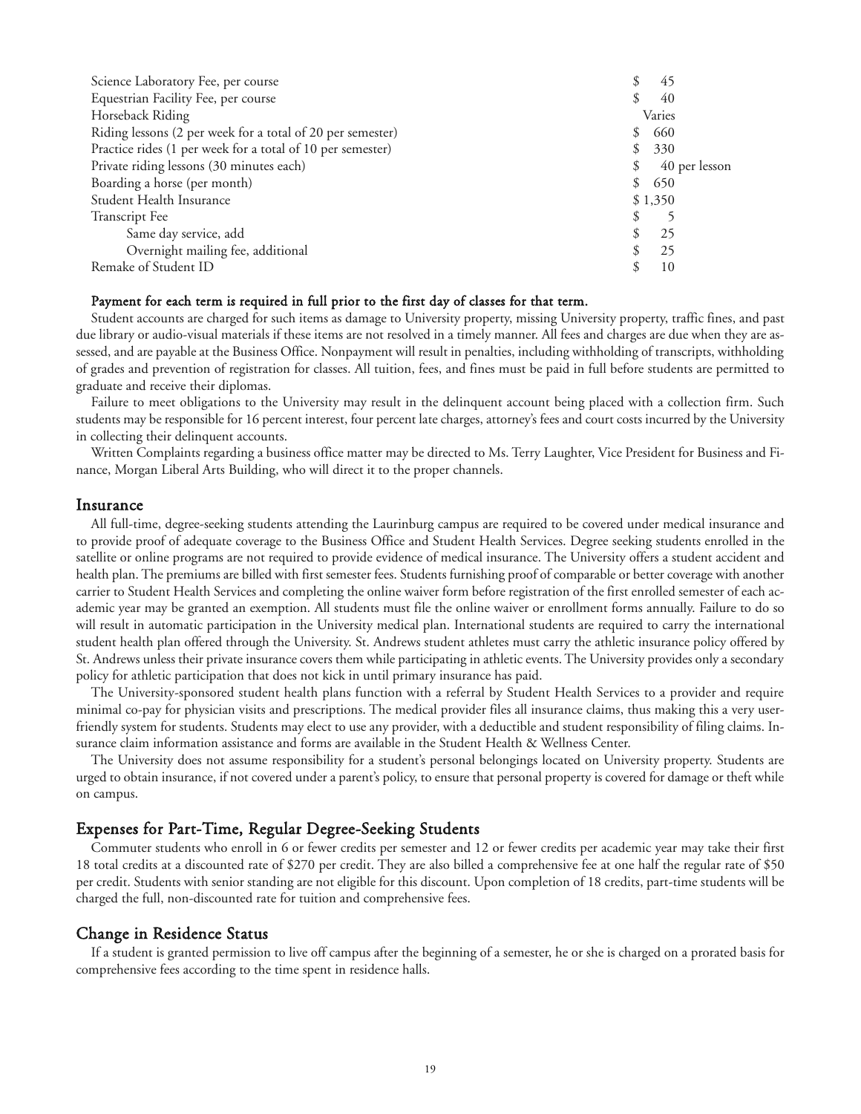| Science Laboratory Fee, per course                         |    | 45      |               |
|------------------------------------------------------------|----|---------|---------------|
| Equestrian Facility Fee, per course                        |    | 40      |               |
| Horseback Riding                                           |    | Varies  |               |
| Riding lessons (2 per week for a total of 20 per semester) | S  | 660     |               |
| Practice rides (1 per week for a total of 10 per semester) | \$ | 330     |               |
| Private riding lessons (30 minutes each)                   |    |         | 40 per lesson |
| Boarding a horse (per month)                               | \$ | 650     |               |
| Student Health Insurance                                   |    | \$1,350 |               |
| <b>Transcript</b> Fee                                      |    |         |               |
| Same day service, add                                      |    | 25      |               |
| Overnight mailing fee, additional                          |    | 25      |               |
| Remake of Student ID                                       |    | 10      |               |

#### Payment for each term is required in full prior to the first day of classes for that term.

Student accounts are charged for such items as damage to University property, missing University property, traffic fines, and past due library or audio-visual materials if these items are not resolved in a timely manner. All fees and charges are due when they are assessed, and are payable at the Business Office. Nonpayment will result in penalties, including withholding of transcripts, withholding of grades and prevention of registration for classes. All tuition, fees, and fines must be paid in full before students are permitted to graduate and receive their diplomas.

Failure to meet obligations to the University may result in the delinquent account being placed with a collection firm. Such students may be responsible for 16 percent interest, four percent late charges, attorney's fees and court costs incurred by the University in collecting their delinquent accounts.

Written Complaints regarding a business office matter may be directed to Ms. Terry Laughter, Vice President for Business and Finance, Morgan Liberal Arts Building, who will direct it to the proper channels.

#### Insurance

All full-time, degree-seeking students attending the Laurinburg campus are required to be covered under medical insurance and to provide proof of adequate coverage to the Business Office and Student Health Services. Degree seeking students enrolled in the satellite or online programs are not required to provide evidence of medical insurance. The University offers a student accident and health plan. The premiums are billed with first semester fees. Students furnishing proof of comparable or better coverage with another carrier to Student Health Services and completing the online waiver form before registration of the first enrolled semester of each academic year may be granted an exemption. All students must file the online waiver or enrollment forms annually. Failure to do so will result in automatic participation in the University medical plan. International students are required to carry the international student health plan offered through the University. St. Andrews student athletes must carry the athletic insurance policy offered by St. Andrews unless their private insurance covers them while participating in athletic events. The University provides only a secondary policy for athletic participation that does not kick in until primary insurance has paid.

The University-sponsored student health plans function with a referral by Student Health Services to a provider and require minimal co-pay for physician visits and prescriptions. The medical provider files all insurance claims, thus making this a very userfriendly system for students. Students may elect to use any provider, with a deductible and student responsibility of filing claims. Insurance claim information assistance and forms are available in the Student Health & Wellness Center.

The University does not assume responsibility for a student's personal belongings located on University property. Students are urged to obtain insurance, if not covered under a parent's policy, to ensure that personal property is covered for damage or theft while on campus.

#### Expenses for Part-Time, Regular Degree-Seeking Students

Commuter students who enroll in 6 or fewer credits per semester and 12 or fewer credits per academic year may take their first 18 total credits at a discounted rate of \$270 per credit. They are also billed a comprehensive fee at one half the regular rate of \$50 per credit. Students with senior standing are not eligible for this discount. Upon completion of 18 credits, part-time students will be charged the full, non-discounted rate for tuition and comprehensive fees.

#### Change in Residence Status

If a student is granted permission to live off campus after the beginning of a semester, he or she is charged on a prorated basis for comprehensive fees according to the time spent in residence halls.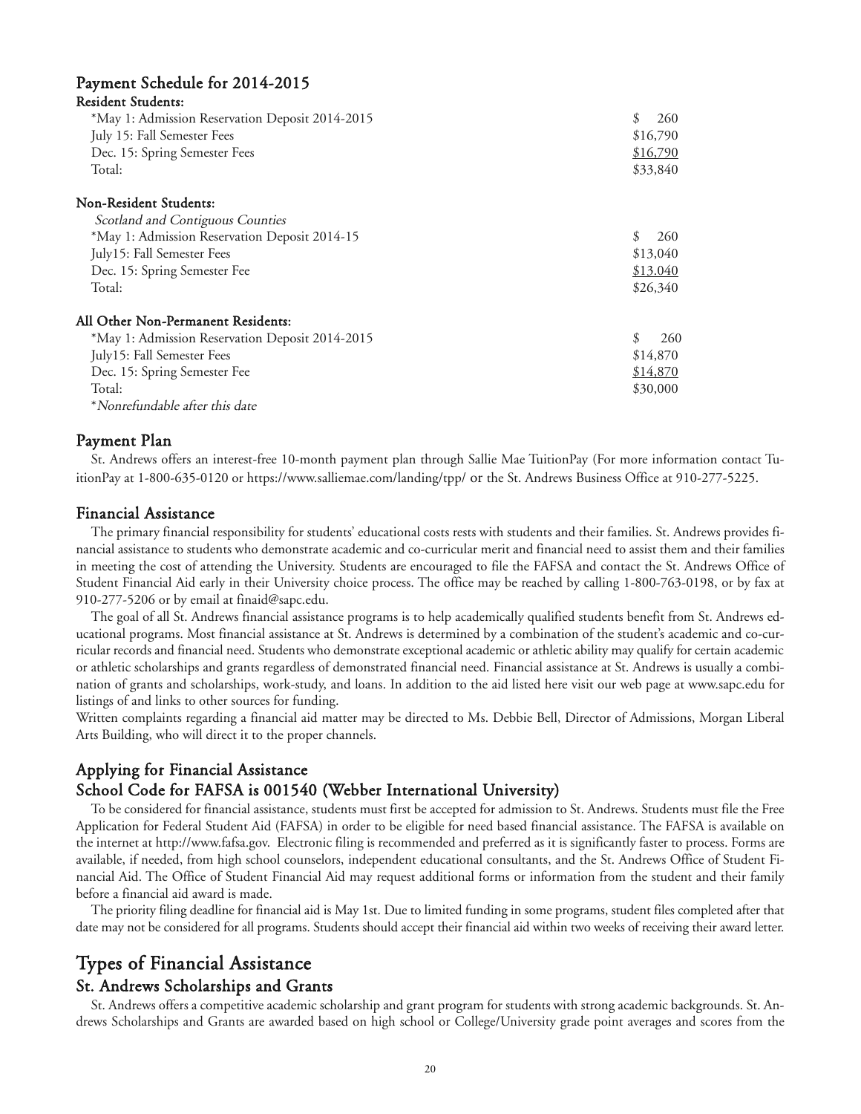# Payment Schedule for 2014-2015

#### Resident Students:

| *May 1: Admission Reservation Deposit 2014-2015<br>July 15: Fall Semester Fees<br>Dec. 15: Spring Semester Fees<br>Total: | \$.<br>260<br>\$16,790<br>\$16,790<br>\$33,840 |
|---------------------------------------------------------------------------------------------------------------------------|------------------------------------------------|
|                                                                                                                           |                                                |
| Non-Resident Students:                                                                                                    |                                                |
| Scotland and Contiguous Counties                                                                                          |                                                |
| *May 1: Admission Reservation Deposit 2014-15                                                                             | \$.<br>260                                     |
| July15: Fall Semester Fees                                                                                                | \$13,040                                       |
| Dec. 15: Spring Semester Fee                                                                                              | \$13.040                                       |
| Total:                                                                                                                    | \$26,340                                       |
| All Other Non-Permanent Residents:                                                                                        |                                                |
| *May 1: Admission Reservation Deposit 2014-2015                                                                           | \$<br>260                                      |
| July15: Fall Semester Fees                                                                                                | \$14,870                                       |
| Dec. 15: Spring Semester Fee                                                                                              | \$14,870                                       |
| Total:                                                                                                                    | \$30,000                                       |
| *Nonrefundable after this date                                                                                            |                                                |

Payment Plan

St. Andrews offers an interest-free 10-month payment plan through Sallie Mae TuitionPay (For more information contact TuitionPay at 1-800-635-0120 or https://www.salliemae.com/landing/tpp/ or the St. Andrews Business Office at 910-277-5225.

#### Financial Assistance

The primary financial responsibility for students' educational costs rests with students and their families. St. Andrews provides financial assistance to students who demonstrate academic and co-curricular merit and financial need to assist them and their families in meeting the cost of attending the University. Students are encouraged to file the FAFSA and contact the St. Andrews Office of Student Financial Aid early in their University choice process. The office may be reached by calling 1-800-763-0198, or by fax at 910-277-5206 or by email at finaid@sapc.edu.

The goal of all St. Andrews financial assistance programs is to help academically qualified students benefit from St. Andrews educational programs. Most financial assistance at St. Andrews is determined by a combination of the student's academic and co-curricular records and financial need. Students who demonstrate exceptional academic or athletic ability may qualify for certain academic or athletic scholarships and grants regardless of demonstrated financial need. Financial assistance at St. Andrews is usually a combination of grants and scholarships, work-study, and loans. In addition to the aid listed here visit our web page at www.sapc.edu for listings of and links to other sources for funding.

Written complaints regarding a financial aid matter may be directed to Ms. Debbie Bell, Director of Admissions, Morgan Liberal Arts Building, who will direct it to the proper channels.

### Applying for Financial Assistance School Code for FAFSA is 001540 (Webber International University)

To be considered for financial assistance, students must first be accepted for admission to St. Andrews. Students must file the Free Application for Federal Student Aid (FAFSA) in order to be eligible for need based financial assistance. The FAFSA is available on the internet at http://www.fafsa.gov. Electronic filing is recommended and preferred as it is significantly faster to process. Forms are available, if needed, from high school counselors, independent educational consultants, and the St. Andrews Office of Student Financial Aid. The Office of Student Financial Aid may request additional forms or information from the student and their family before a financial aid award is made.

The priority filing deadline for financial aid is May 1st. Due to limited funding in some programs, student files completed after that date may not be considered for all programs. Students should accept their financial aid within two weeks of receiving their award letter.

# Types of Financial Assistance

#### St. Andrews Scholarships and Grants

St. Andrews offers a competitive academic scholarship and grant program for students with strong academic backgrounds. St. Andrews Scholarships and Grants are awarded based on high school or College/University grade point averages and scores from the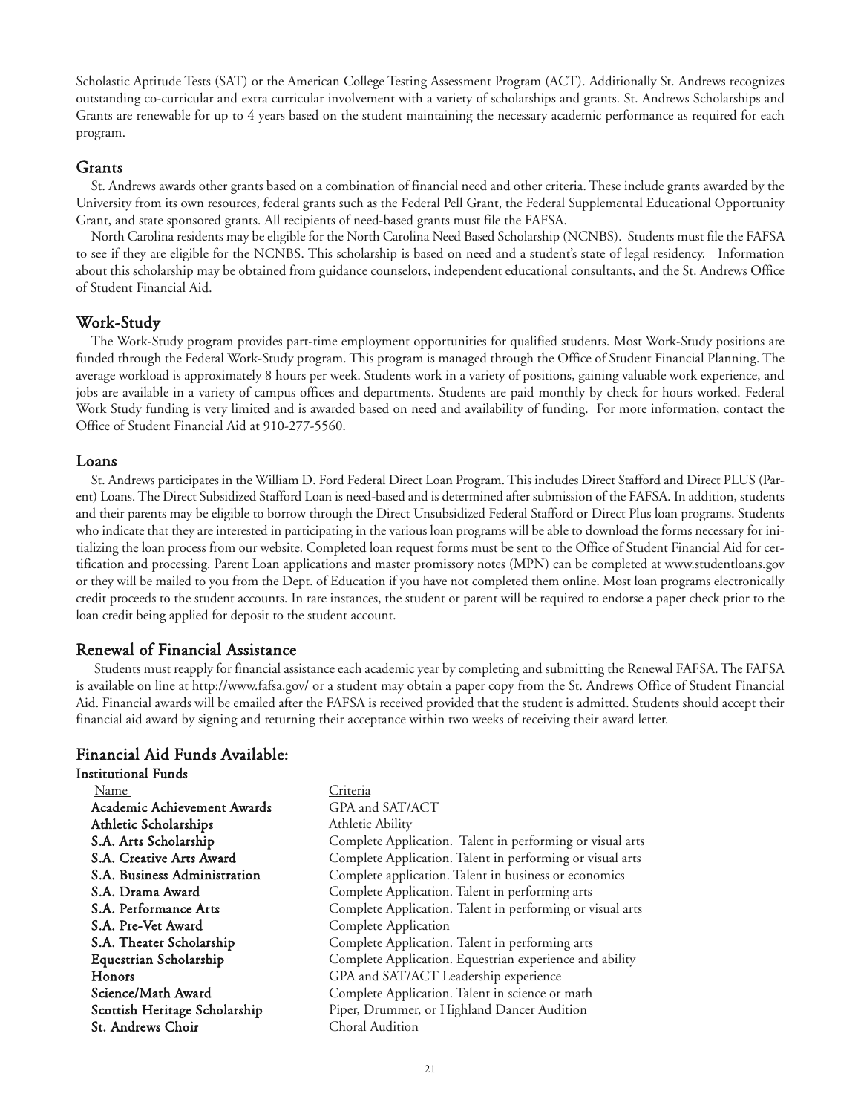Scholastic Aptitude Tests (SAT) or the American College Testing Assessment Program (ACT). Additionally St. Andrews recognizes outstanding co-curricular and extra curricular involvement with a variety of scholarships and grants. St. Andrews Scholarships and Grants are renewable for up to 4 years based on the student maintaining the necessary academic performance as required for each program.

#### Grants

St. Andrews awards other grants based on a combination of financial need and other criteria. These include grants awarded by the University from its own resources, federal grants such as the Federal Pell Grant, the Federal Supplemental Educational Opportunity Grant, and state sponsored grants. All recipients of need-based grants must file the FAFSA.

North Carolina residents may be eligible for the North Carolina Need Based Scholarship (NCNBS). Students must file the FAFSA to see if they are eligible for the NCNBS. This scholarship is based on need and a student's state of legal residency. Information about this scholarship may be obtained from guidance counselors, independent educational consultants, and the St. Andrews Office of Student Financial Aid.

### Work-Study

The Work-Study program provides part-time employment opportunities for qualified students. Most Work-Study positions are funded through the Federal Work-Study program. This program is managed through the Office of Student Financial Planning. The average workload is approximately 8 hours per week. Students work in a variety of positions, gaining valuable work experience, and jobs are available in a variety of campus offices and departments. Students are paid monthly by check for hours worked. Federal Work Study funding is very limited and is awarded based on need and availability of funding. For more information, contact the Office of Student Financial Aid at 910-277-5560.

#### Loans

St. Andrews participates in the William D. Ford Federal Direct Loan Program. This includes Direct Stafford and Direct PLUS (Parent) Loans. The Direct Subsidized Stafford Loan is need-based and is determined after submission of the FAFSA. In addition, students and their parents may be eligible to borrow through the Direct Unsubsidized Federal Stafford or Direct Plus loan programs. Students who indicate that they are interested in participating in the various loan programs will be able to download the forms necessary for initializing the loan process from our website. Completed loan request forms must be sent to the Office of Student Financial Aid for certification and processing. Parent Loan applications and master promissory notes (MPN) can be completed at www.studentloans.gov or they will be mailed to you from the Dept. of Education if you have not completed them online. Most loan programs electronically credit proceeds to the student accounts. In rare instances, the student or parent will be required to endorse a paper check prior to the loan credit being applied for deposit to the student account.

#### Renewal of Financial Assistance

Students must reapply for financial assistance each academic year by completing and submitting the Renewal FAFSA. The FAFSA is available on line at http://www.fafsa.gov/ or a student may obtain a paper copy from the St. Andrews Office of Student Financial Aid. Financial awards will be emailed after the FAFSA is received provided that the student is admitted. Students should accept their financial aid award by signing and returning their acceptance within two weeks of receiving their award letter.

#### Financial Aid Funds Available:

| <b>Institutional Funds</b>    |                                                           |
|-------------------------------|-----------------------------------------------------------|
| Name                          | Criteria                                                  |
| Academic Achievement Awards   | GPA and SAT/ACT                                           |
| <b>Athletic Scholarships</b>  | Athletic Ability                                          |
| S.A. Arts Scholarship         | Complete Application. Talent in performing or visual arts |
| S.A. Creative Arts Award      | Complete Application. Talent in performing or visual arts |
| S.A. Business Administration  | Complete application. Talent in business or economics     |
| S.A. Drama Award              | Complete Application. Talent in performing arts           |
| S.A. Performance Arts         | Complete Application. Talent in performing or visual arts |
| S.A. Pre-Vet Award            | Complete Application                                      |
| S.A. Theater Scholarship      | Complete Application. Talent in performing arts           |
| Equestrian Scholarship        | Complete Application. Equestrian experience and ability   |
| <b>Honors</b>                 | GPA and SAT/ACT Leadership experience                     |
| Science/Math Award            | Complete Application. Talent in science or math           |
| Scottish Heritage Scholarship | Piper, Drummer, or Highland Dancer Audition               |
| St. Andrews Choir             | Choral Audition                                           |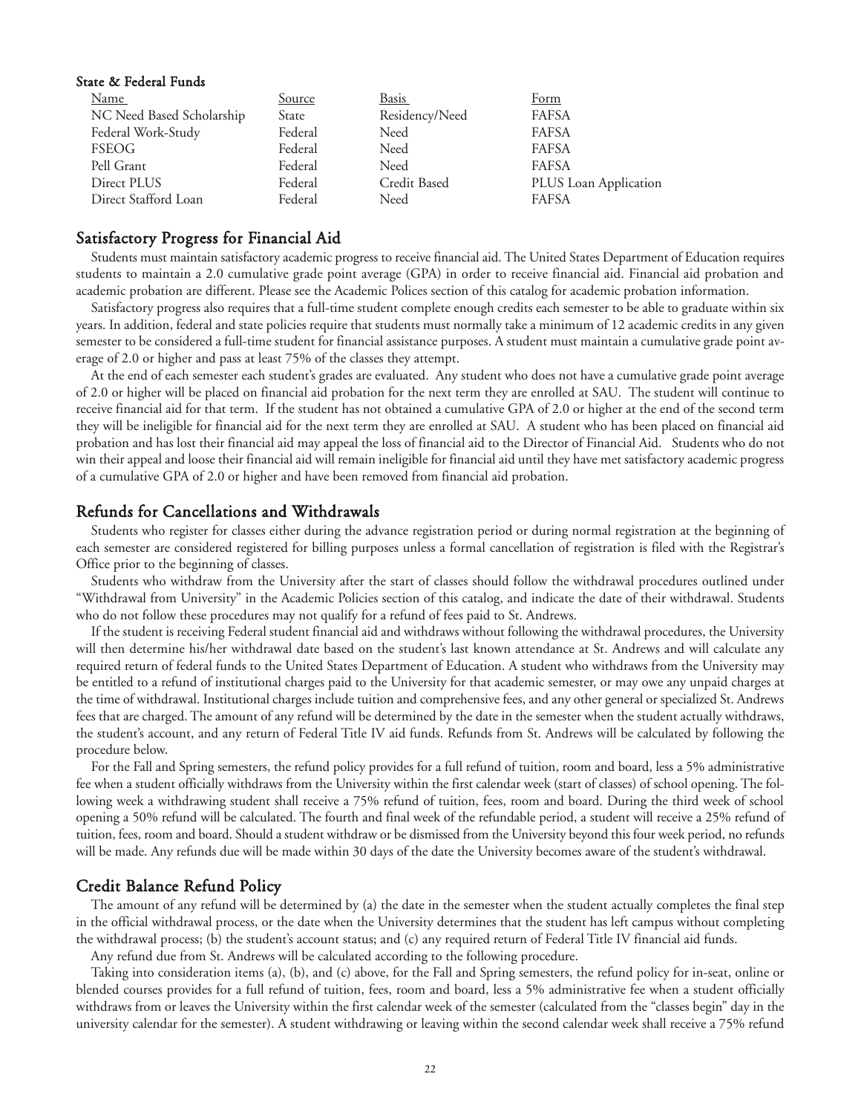#### State & Federal Funds

| Name                      | Source  | Basis          | Form                  |
|---------------------------|---------|----------------|-----------------------|
| NC Need Based Scholarship | State   | Residency/Need | <b>FAFSA</b>          |
| Federal Work-Study        | Federal | Need           | <b>FAFSA</b>          |
| <b>FSEOG</b>              | Federal | Need           | <b>FAFSA</b>          |
| Pell Grant                | Federal | Need           | <b>FAFSA</b>          |
| Direct PLUS               | Federal | Credit Based   | PLUS Loan Application |
| Direct Stafford Loan      | Federal | Need           | <b>FAFSA</b>          |

#### Satisfactory Progress for Financial Aid

Students must maintain satisfactory academic progress to receive financial aid. The United States Department of Education requires students to maintain a 2.0 cumulative grade point average (GPA) in order to receive financial aid. Financial aid probation and academic probation are different. Please see the Academic Polices section of this catalog for academic probation information.

Satisfactory progress also requires that a full-time student complete enough credits each semester to be able to graduate within six years. In addition, federal and state policies require that students must normally take a minimum of 12 academic credits in any given semester to be considered a full-time student for financial assistance purposes. A student must maintain a cumulative grade point average of 2.0 or higher and pass at least 75% of the classes they attempt.

At the end of each semester each student's grades are evaluated. Any student who does not have a cumulative grade point average of 2.0 or higher will be placed on financial aid probation for the next term they are enrolled at SAU. The student will continue to receive financial aid for that term. If the student has not obtained a cumulative GPA of 2.0 or higher at the end of the second term they will be ineligible for financial aid for the next term they are enrolled at SAU. A student who has been placed on financial aid probation and has lost their financial aid may appeal the loss of financial aid to the Director of Financial Aid. Students who do not win their appeal and loose their financial aid will remain ineligible for financial aid until they have met satisfactory academic progress of a cumulative GPA of 2.0 or higher and have been removed from financial aid probation.

#### Refunds for Cancellations and Withdrawals

Students who register for classes either during the advance registration period or during normal registration at the beginning of each semester are considered registered for billing purposes unless a formal cancellation of registration is filed with the Registrar's Office prior to the beginning of classes.

Students who withdraw from the University after the start of classes should follow the withdrawal procedures outlined under "Withdrawal from University" in the Academic Policies section of this catalog, and indicate the date of their withdrawal. Students who do not follow these procedures may not qualify for a refund of fees paid to St. Andrews.

If the student is receiving Federal student financial aid and withdraws without following the withdrawal procedures, the University will then determine his/her withdrawal date based on the student's last known attendance at St. Andrews and will calculate any required return of federal funds to the United States Department of Education. A student who withdraws from the University may be entitled to a refund of institutional charges paid to the University for that academic semester, or may owe any unpaid charges at the time of withdrawal. Institutional charges include tuition and comprehensive fees, and any other general or specialized St. Andrews fees that are charged. The amount of any refund will be determined by the date in the semester when the student actually withdraws, the student's account, and any return of Federal Title IV aid funds. Refunds from St. Andrews will be calculated by following the procedure below.

For the Fall and Spring semesters, the refund policy provides for a full refund of tuition, room and board, less a 5% administrative fee when a student officially withdraws from the University within the first calendar week (start of classes) of school opening. The following week a withdrawing student shall receive a 75% refund of tuition, fees, room and board. During the third week of school opening a 50% refund will be calculated. The fourth and final week of the refundable period, a student will receive a 25% refund of tuition, fees, room and board. Should a student withdraw or be dismissed from the University beyond this four week period, no refunds will be made. Any refunds due will be made within 30 days of the date the University becomes aware of the student's withdrawal.

#### Credit Balance Refund Policy

The amount of any refund will be determined by (a) the date in the semester when the student actually completes the final step in the official withdrawal process, or the date when the University determines that the student has left campus without completing the withdrawal process; (b) the student's account status; and (c) any required return of Federal Title IV financial aid funds.

Any refund due from St. Andrews will be calculated according to the following procedure.

Taking into consideration items (a), (b), and (c) above, for the Fall and Spring semesters, the refund policy for in-seat, online or blended courses provides for a full refund of tuition, fees, room and board, less a 5% administrative fee when a student officially withdraws from or leaves the University within the first calendar week of the semester (calculated from the "classes begin" day in the university calendar for the semester). A student withdrawing or leaving within the second calendar week shall receive a 75% refund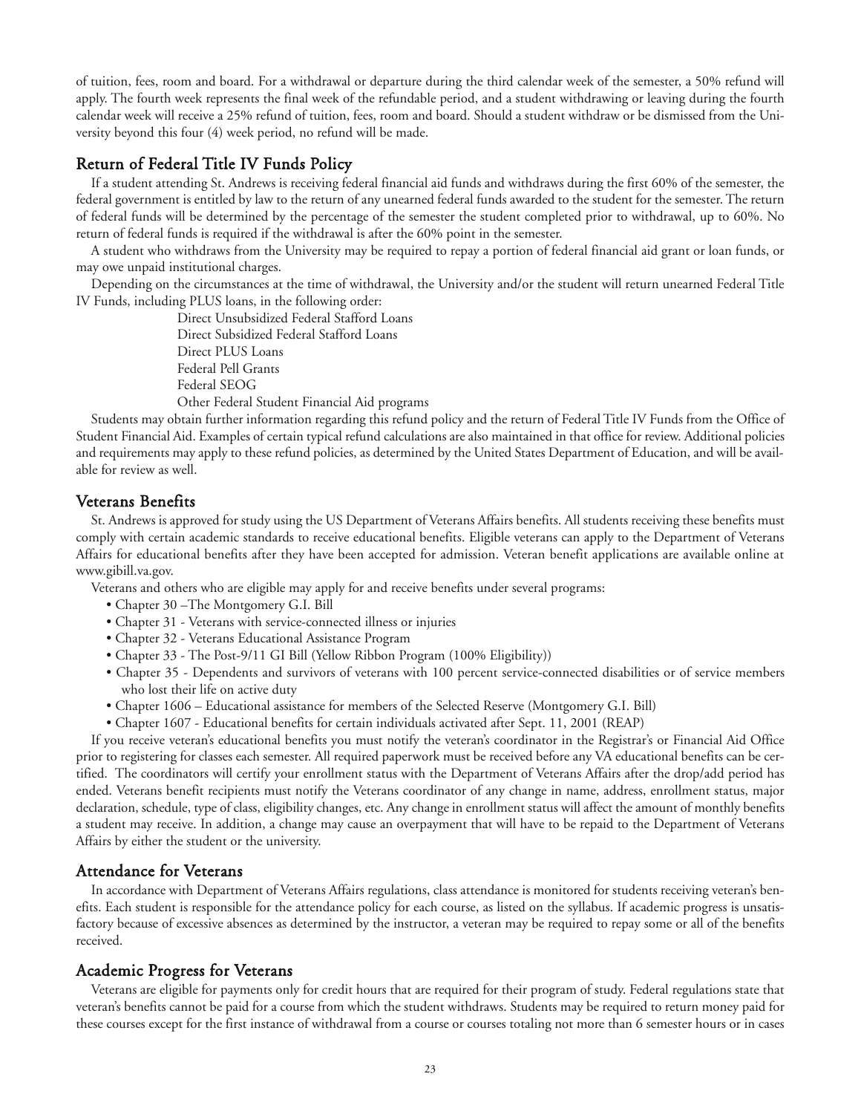of tuition, fees, room and board. For a withdrawal or departure during the third calendar week of the semester, a 50% refund will apply. The fourth week represents the final week of the refundable period, and a student withdrawing or leaving during the fourth calendar week will receive a 25% refund of tuition, fees, room and board. Should a student withdraw or be dismissed from the University beyond this four (4) week period, no refund will be made.

### Return of Federal Title IV Funds Policy

If a student attending St. Andrews is receiving federal financial aid funds and withdraws during the first 60% of the semester, the federal government is entitled by law to the return of any unearned federal funds awarded to the student for the semester. The return of federal funds will be determined by the percentage of the semester the student completed prior to withdrawal, up to 60%. No return of federal funds is required if the withdrawal is after the 60% point in the semester.

A student who withdraws from the University may be required to repay a portion of federal financial aid grant or loan funds, or may owe unpaid institutional charges.

Depending on the circumstances at the time of withdrawal, the University and/or the student will return unearned Federal Title IV Funds, including PLUS loans, in the following order:

> Direct Unsubsidized Federal Stafford Loans Direct Subsidized Federal Stafford Loans Direct PLUS Loans Federal Pell Grants Federal SEOG Other Federal Student Financial Aid programs

Students may obtain further information regarding this refund policy and the return of Federal Title IV Funds from the Office of Student Financial Aid. Examples of certain typical refund calculations are also maintained in that office for review. Additional policies and requirements may apply to these refund policies, as determined by the United States Department of Education, and will be available for review as well.

#### Veterans Benefits

St. Andrews is approved for study using the US Department of Veterans Affairs benefits. All students receiving these benefits must comply with certain academic standards to receive educational benefits. Eligible veterans can apply to the Department of Veterans Affairs for educational benefits after they have been accepted for admission. Veteran benefit applications are available online at www.gibill.va.gov.

Veterans and others who are eligible may apply for and receive benefits under several programs:

- Chapter 30 –The Montgomery G.I. Bill
- Chapter 31 Veterans with service-connected illness or injuries
- Chapter 32 Veterans Educational Assistance Program
- Chapter 33 The Post-9/11 GI Bill (Yellow Ribbon Program (100% Eligibility))
- Chapter 35 Dependents and survivors of veterans with 100 percent service-connected disabilities or of service members who lost their life on active duty
- Chapter 1606 Educational assistance for members of the Selected Reserve (Montgomery G.I. Bill)
- Chapter 1607 Educational benefits for certain individuals activated after Sept. 11, 2001 (REAP)

If you receive veteran's educational benefits you must notify the veteran's coordinator in the Registrar's or Financial Aid Office prior to registering for classes each semester. All required paperwork must be received before any VA educational benefits can be certified. The coordinators will certify your enrollment status with the Department of Veterans Affairs after the drop/add period has ended. Veterans benefit recipients must notify the Veterans coordinator of any change in name, address, enrollment status, major declaration, schedule, type of class, eligibility changes, etc. Any change in enrollment status will affect the amount of monthly benefits a student may receive. In addition, a change may cause an overpayment that will have to be repaid to the Department of Veterans Affairs by either the student or the university.

#### Attendance for Veterans

In accordance with Department of Veterans Affairs regulations, class attendance is monitored for students receiving veteran's benefits. Each student is responsible for the attendance policy for each course, as listed on the syllabus. If academic progress is unsatisfactory because of excessive absences as determined by the instructor, a veteran may be required to repay some or all of the benefits received.

#### Academic Progress for Veterans

Veterans are eligible for payments only for credit hours that are required for their program of study. Federal regulations state that veteran's benefits cannot be paid for a course from which the student withdraws. Students may be required to return money paid for these courses except for the first instance of withdrawal from a course or courses totaling not more than 6 semester hours or in cases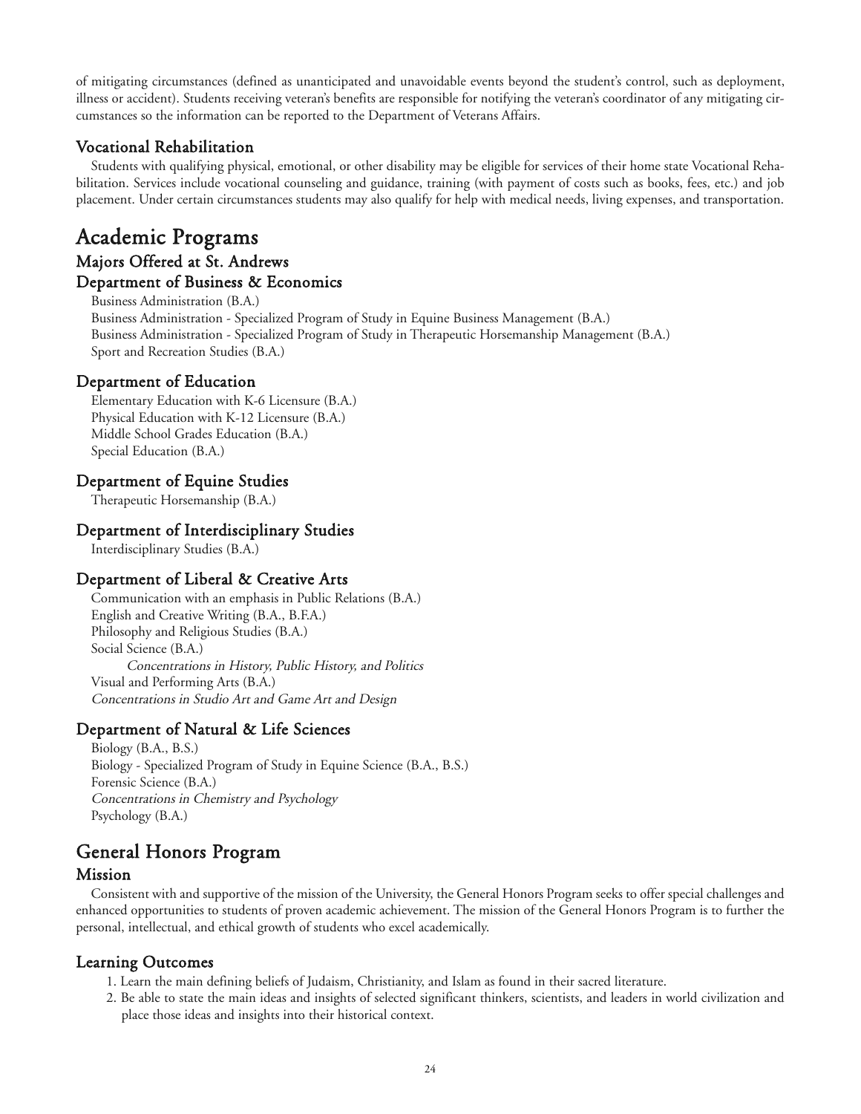of mitigating circumstances (defined as unanticipated and unavoidable events beyond the student's control, such as deployment, illness or accident). Students receiving veteran's benefits are responsible for notifying the veteran's coordinator of any mitigating circumstances so the information can be reported to the Department of Veterans Affairs.

# Vocational Rehabilitation

Students with qualifying physical, emotional, or other disability may be eligible for services of their home state Vocational Rehabilitation. Services include vocational counseling and guidance, training (with payment of costs such as books, fees, etc.) and job placement. Under certain circumstances students may also qualify for help with medical needs, living expenses, and transportation.

# Academic Programs Majors Offered at St. Andrews Department of Business & Economics

#### Business Administration (B.A.) Business Administration - Specialized Program of Study in Equine Business Management (B.A.) Business Administration - Specialized Program of Study in Therapeutic Horsemanship Management (B.A.) Sport and Recreation Studies (B.A.)

# Department of Education

Elementary Education with K-6 Licensure (B.A.) Physical Education with K-12 Licensure (B.A.) Middle School Grades Education (B.A.) Special Education (B.A.)

# Department of Equine Studies

Therapeutic Horsemanship (B.A.)

# Department of Interdisciplinary Studies

Interdisciplinary Studies (B.A.)

## Department of Liberal & Creative Arts

Communication with an emphasis in Public Relations (B.A.) English and Creative Writing (B.A., B.F.A.) Philosophy and Religious Studies (B.A.) Social Science (B.A.) Concentrations in History, Public History, and Politics Visual and Performing Arts (B.A.) Concentrations in Studio Art and Game Art and Design

# Department of Natural & Life Sciences

Biology (B.A., B.S.) Biology - Specialized Program of Study in Equine Science (B.A., B.S.) Forensic Science (B.A.) Concentrations in Chemistry and Psychology Psychology (B.A.)

# General Honors Program

## Mission

Consistent with and supportive of the mission of the University, the General Honors Program seeks to offer special challenges and enhanced opportunities to students of proven academic achievement. The mission of the General Honors Program is to further the personal, intellectual, and ethical growth of students who excel academically.

## Learning Outcomes

- 1. Learn the main defining beliefs of Judaism, Christianity, and Islam as found in their sacred literature.
- 2. Be able to state the main ideas and insights of selected significant thinkers, scientists, and leaders in world civilization and place those ideas and insights into their historical context.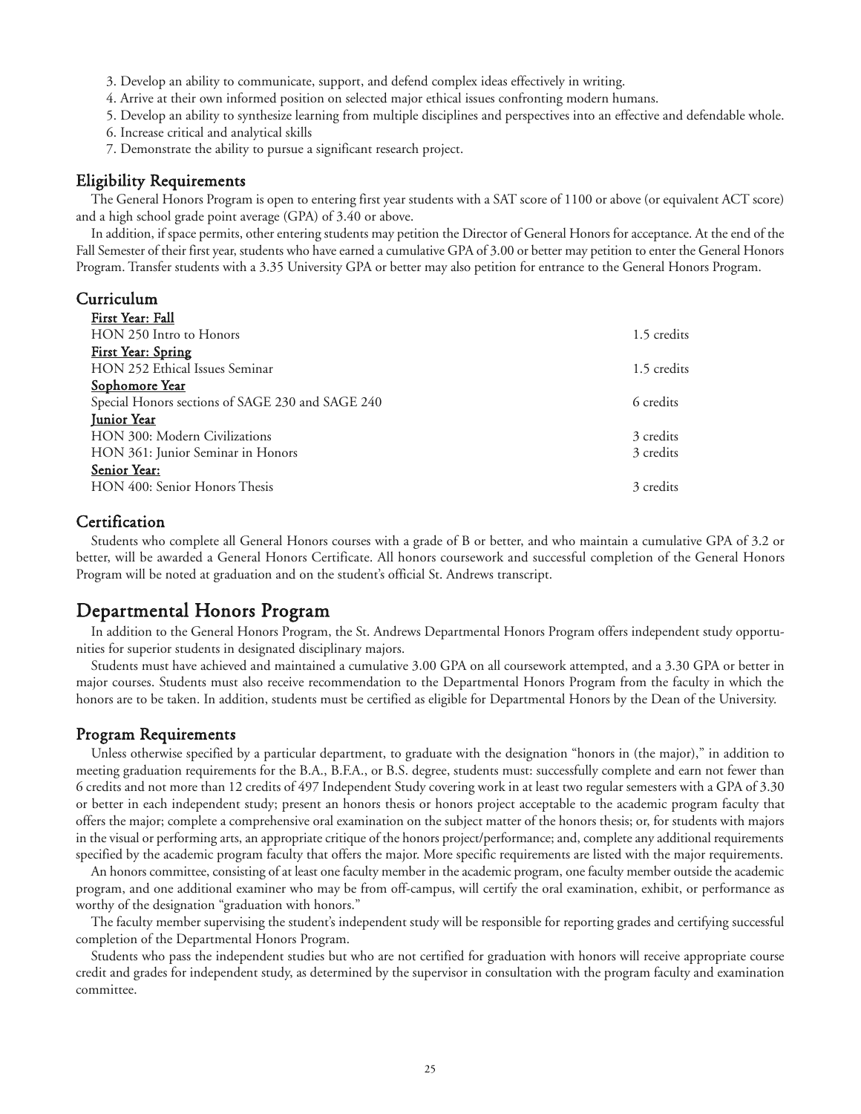3. Develop an ability to communicate, support, and defend complex ideas effectively in writing.

4. Arrive at their own informed position on selected major ethical issues confronting modern humans.

5. Develop an ability to synthesize learning from multiple disciplines and perspectives into an effective and defendable whole.

- 6. Increase critical and analytical skills
- 7. Demonstrate the ability to pursue a significant research project.

#### Eligibility Requirements

The General Honors Program is open to entering first year students with a SAT score of 1100 or above (or equivalent ACT score) and a high school grade point average (GPA) of 3.40 or above.

In addition, if space permits, other entering students may petition the Director of General Honors for acceptance. At the end of the Fall Semester of their first year, students who have earned a cumulative GPA of 3.00 or better may petition to enter the General Honors Program. Transfer students with a 3.35 University GPA or better may also petition for entrance to the General Honors Program.

### Curriculum

| First Year: Fall                                 |             |
|--------------------------------------------------|-------------|
| HON 250 Intro to Honors                          | 1.5 credits |
| First Year: Spring                               |             |
| HON 252 Ethical Issues Seminar                   | 1.5 credits |
| Sophomore Year                                   |             |
| Special Honors sections of SAGE 230 and SAGE 240 | 6 credits   |
| Junior Year                                      |             |
| HON 300: Modern Civilizations                    | 3 credits   |
| HON 361: Junior Seminar in Honors                | 3 credits   |
| Senior Year:                                     |             |
| HON 400: Senior Honors Thesis                    | 3 credits   |

### **Certification**

Students who complete all General Honors courses with a grade of B or better, and who maintain a cumulative GPA of 3.2 or better, will be awarded a General Honors Certificate. All honors coursework and successful completion of the General Honors Program will be noted at graduation and on the student's official St. Andrews transcript.

# Departmental Honors Program

In addition to the General Honors Program, the St. Andrews Departmental Honors Program offers independent study opportunities for superior students in designated disciplinary majors.

Students must have achieved and maintained a cumulative 3.00 GPA on all coursework attempted, and a 3.30 GPA or better in major courses. Students must also receive recommendation to the Departmental Honors Program from the faculty in which the honors are to be taken. In addition, students must be certified as eligible for Departmental Honors by the Dean of the University.

#### Program Requirements

Unless otherwise specified by a particular department, to graduate with the designation "honors in (the major)," in addition to meeting graduation requirements for the B.A., B.F.A., or B.S. degree, students must: successfully complete and earn not fewer than 6 credits and not more than 12 credits of 497 Independent Study covering work in at least two regular semesters with a GPA of 3.30 or better in each independent study; present an honors thesis or honors project acceptable to the academic program faculty that offers the major; complete a comprehensive oral examination on the subject matter of the honors thesis; or, for students with majors in the visual or performing arts, an appropriate critique of the honors project/performance; and, complete any additional requirements specified by the academic program faculty that offers the major. More specific requirements are listed with the major requirements.

An honors committee, consisting of at least one faculty member in the academic program, one faculty member outside the academic program, and one additional examiner who may be from off-campus, will certify the oral examination, exhibit, or performance as worthy of the designation "graduation with honors."

The faculty member supervising the student's independent study will be responsible for reporting grades and certifying successful completion of the Departmental Honors Program.

Students who pass the independent studies but who are not certified for graduation with honors will receive appropriate course credit and grades for independent study, as determined by the supervisor in consultation with the program faculty and examination committee.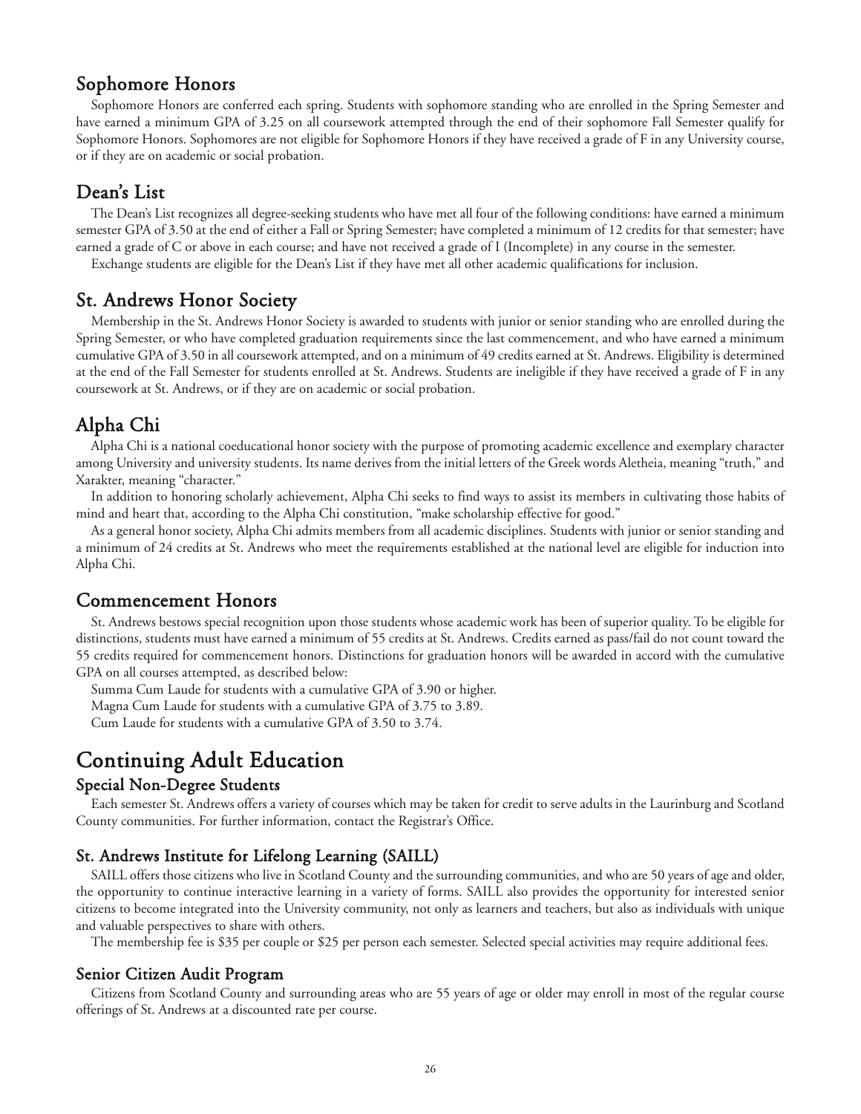# Sophomore Honors

Sophomore Honors are conferred each spring. Students with sophomore standing who are enrolled in the Spring Semester and have earned a minimum GPA of 3.25 on all coursework attempted through the end of their sophomore Fall Semester qualify for Sophomore Honors. Sophomores are not eligible for Sophomore Honors if they have received a grade of F in any University course, or if they are on academic or social probation.

# Dean's List

The Dean's List recognizes all degree-seeking students who have met all four of the following conditions: have earned a minimum semester GPA of 3.50 at the end of either a Fall or Spring Semester; have completed a minimum of 12 credits for that semester; have earned a grade of C or above in each course; and have not received a grade of I (Incomplete) in any course in the semester.

Exchange students are eligible for the Dean's List if they have met all other academic qualifications for inclusion.

# St. Andrews Honor Society

Membership in the St. Andrews Honor Society is awarded to students with junior or senior standing who are enrolled during the Spring Semester, or who have completed graduation requirements since the last commencement, and who have earned a minimum cumulative GPA of 3.50 in all coursework attempted, and on a minimum of 49 credits earned at St. Andrews. Eligibility is determined at the end of the Fall Semester for students enrolled at St. Andrews. Students are ineligible if they have received a grade of F in any coursework at St. Andrews, or if they are on academic or social probation.

# Alpha Chi

Alpha Chi is a national coeducational honor society with the purpose of promoting academic excellence and exemplary character among University and university students. Its name derives from the initial letters of the Greek words Aletheia, meaning "truth," and Xarakter, meaning "character."

In addition to honoring scholarly achievement, Alpha Chi seeks to find ways to assist its members in cultivating those habits of mind and heart that, according to the Alpha Chi constitution, "make scholarship effective for good."

As a general honor society, Alpha Chi admits members from all academic disciplines. Students with junior or senior standing and a minimum of 24 credits at St. Andrews who meet the requirements established at the national level are eligible for induction into Alpha Chi.

# Commencement Honors

St. Andrews bestows special recognition upon those students whose academic work has been of superior quality. To be eligible for distinctions, students must have earned a minimum of 55 credits at St. Andrews. Credits earned as pass/fail do not count toward the 55 credits required for commencement honors. Distinctions for graduation honors will be awarded in accord with the cumulative GPA on all courses attempted, as described below:

Summa Cum Laude for students with a cumulative GPA of 3.90 or higher.

Magna Cum Laude for students with a cumulative GPA of 3.75 to 3.89.

Cum Laude for students with a cumulative GPA of 3.50 to 3.74.

# Continuing Adult Education

#### Special Non-Degree Students

Each semester St. Andrews offers a variety of courses which may be taken for credit to serve adults in the Laurinburg and Scotland County communities. For further information, contact the Registrar's Office.

## St. Andrews Institute for Lifelong Learning (SAILL)

SAILL offers those citizens who live in Scotland County and the surrounding communities, and who are 50 years of age and older, the opportunity to continue interactive learning in a variety of forms. SAILL also provides the opportunity for interested senior citizens to become integrated into the University community, not only as learners and teachers, but also as individuals with unique and valuable perspectives to share with others.

The membership fee is \$35 per couple or \$25 per person each semester. Selected special activities may require additional fees.

#### Senior Citizen Audit Program

Citizens from Scotland County and surrounding areas who are 55 years of age or older may enroll in most of the regular course offerings of St. Andrews at a discounted rate per course.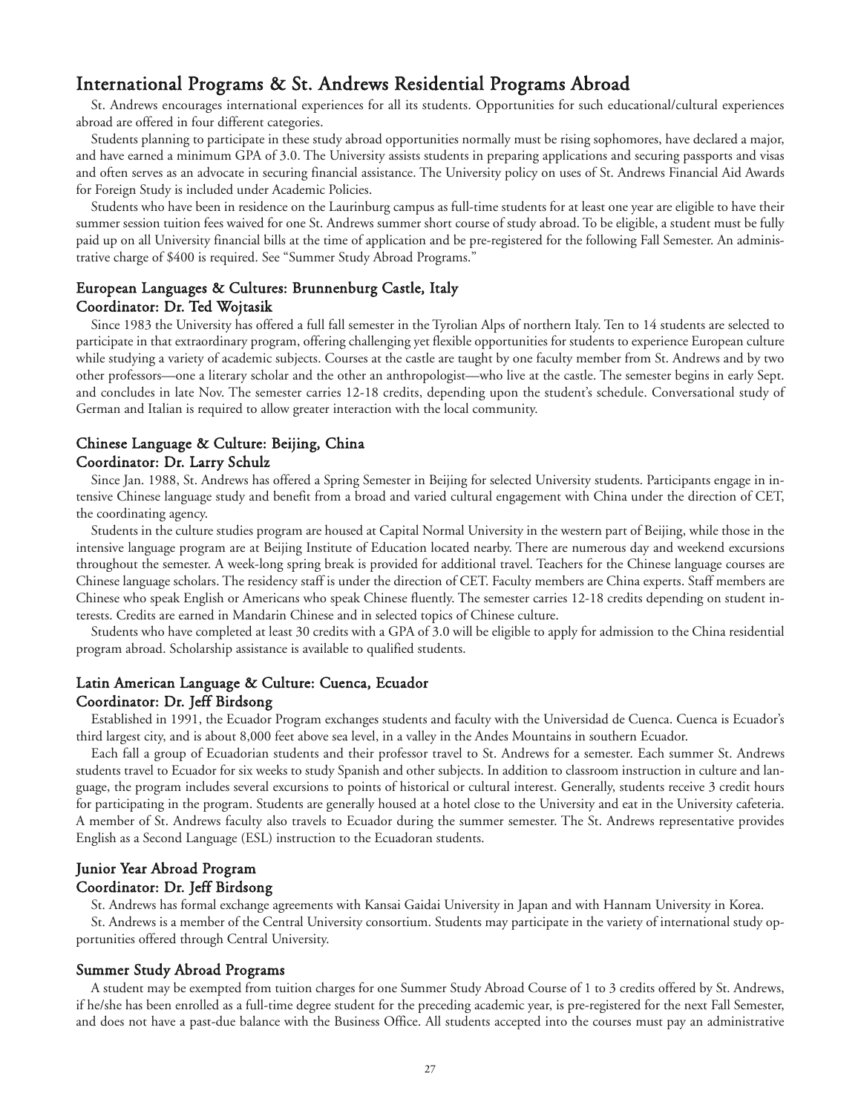# International Programs & St. Andrews Residential Programs Abroad

St. Andrews encourages international experiences for all its students. Opportunities for such educational/cultural experiences abroad are offered in four different categories.

Students planning to participate in these study abroad opportunities normally must be rising sophomores, have declared a major, and have earned a minimum GPA of 3.0. The University assists students in preparing applications and securing passports and visas and often serves as an advocate in securing financial assistance. The University policy on uses of St. Andrews Financial Aid Awards for Foreign Study is included under Academic Policies.

Students who have been in residence on the Laurinburg campus as full-time students for at least one year are eligible to have their summer session tuition fees waived for one St. Andrews summer short course of study abroad. To be eligible, a student must be fully paid up on all University financial bills at the time of application and be pre-registered for the following Fall Semester. An administrative charge of \$400 is required. See "Summer Study Abroad Programs."

#### European Languages & Cultures: Brunnenburg Castle, Italy Coordinator: Dr. Ted Wojtasik

Since 1983 the University has offered a full fall semester in the Tyrolian Alps of northern Italy. Ten to 14 students are selected to participate in that extraordinary program, offering challenging yet flexible opportunities for students to experience European culture while studying a variety of academic subjects. Courses at the castle are taught by one faculty member from St. Andrews and by two other professors—one a literary scholar and the other an anthropologist—who live at the castle. The semester begins in early Sept. and concludes in late Nov. The semester carries 12-18 credits, depending upon the student's schedule. Conversational study of German and Italian is required to allow greater interaction with the local community.

#### Chinese Language & Culture: Beijing, China Coordinator: Dr. Larry Schulz

Since Jan. 1988, St. Andrews has offered a Spring Semester in Beijing for selected University students. Participants engage in intensive Chinese language study and benefit from a broad and varied cultural engagement with China under the direction of CET, the coordinating agency.

Students in the culture studies program are housed at Capital Normal University in the western part of Beijing, while those in the intensive language program are at Beijing Institute of Education located nearby. There are numerous day and weekend excursions throughout the semester. A week-long spring break is provided for additional travel. Teachers for the Chinese language courses are Chinese language scholars. The residency staff is under the direction of CET. Faculty members are China experts. Staff members are Chinese who speak English or Americans who speak Chinese fluently. The semester carries 12-18 credits depending on student interests. Credits are earned in Mandarin Chinese and in selected topics of Chinese culture.

Students who have completed at least 30 credits with a GPA of 3.0 will be eligible to apply for admission to the China residential program abroad. Scholarship assistance is available to qualified students.

### Latin American Language & Culture: Cuenca, Ecuador Coordinator: Dr. Jeff Birdsong

Established in 1991, the Ecuador Program exchanges students and faculty with the Universidad de Cuenca. Cuenca is Ecuador's third largest city, and is about 8,000 feet above sea level, in a valley in the Andes Mountains in southern Ecuador.

Each fall a group of Ecuadorian students and their professor travel to St. Andrews for a semester. Each summer St. Andrews students travel to Ecuador for six weeks to study Spanish and other subjects. In addition to classroom instruction in culture and language, the program includes several excursions to points of historical or cultural interest. Generally, students receive 3 credit hours for participating in the program. Students are generally housed at a hotel close to the University and eat in the University cafeteria. A member of St. Andrews faculty also travels to Ecuador during the summer semester. The St. Andrews representative provides English as a Second Language (ESL) instruction to the Ecuadoran students.

#### Junior Year Abroad Program Coordinator: Dr. Jeff Birdsong

St. Andrews has formal exchange agreements with Kansai Gaidai University in Japan and with Hannam University in Korea. St. Andrews is a member of the Central University consortium. Students may participate in the variety of international study opportunities offered through Central University.

#### Summer Study Abroad Programs

A student may be exempted from tuition charges for one Summer Study Abroad Course of 1 to 3 credits offered by St. Andrews, if he/she has been enrolled as a full-time degree student for the preceding academic year, is pre-registered for the next Fall Semester, and does not have a past-due balance with the Business Office. All students accepted into the courses must pay an administrative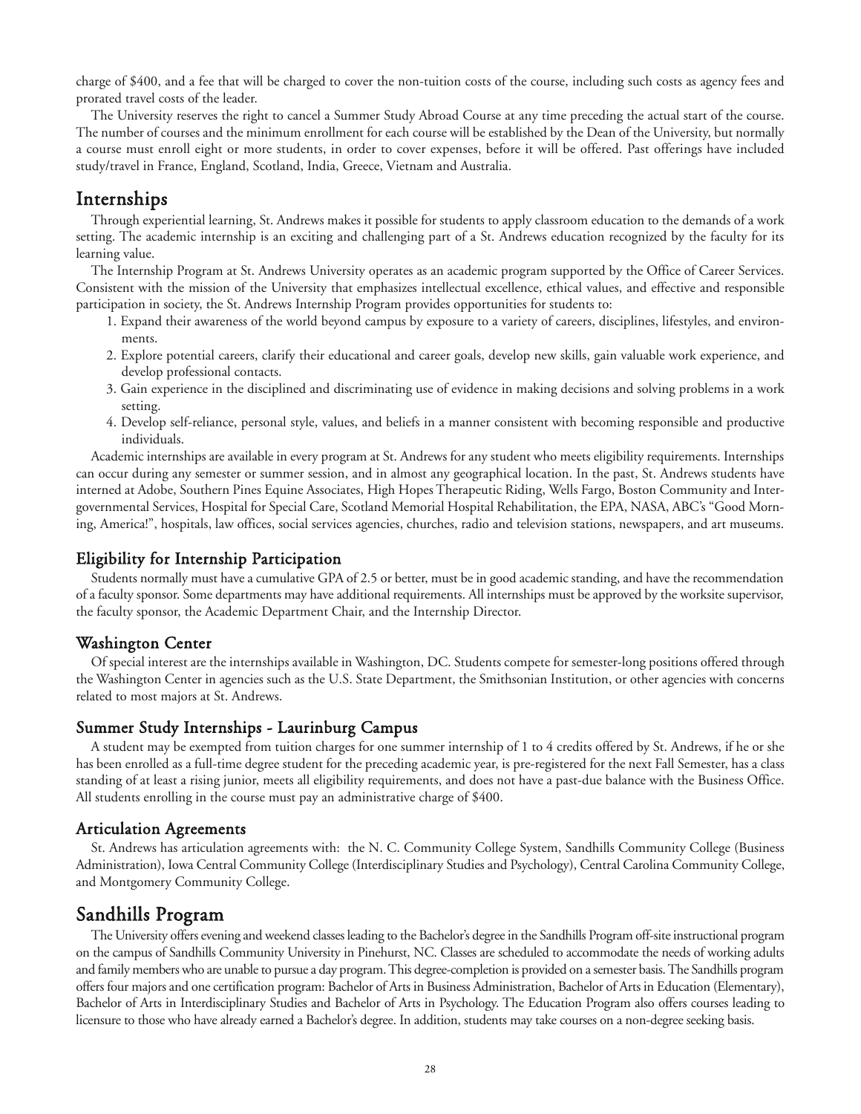charge of \$400, and a fee that will be charged to cover the non-tuition costs of the course, including such costs as agency fees and prorated travel costs of the leader.

The University reserves the right to cancel a Summer Study Abroad Course at any time preceding the actual start of the course. The number of courses and the minimum enrollment for each course will be established by the Dean of the University, but normally a course must enroll eight or more students, in order to cover expenses, before it will be offered. Past offerings have included study/travel in France, England, Scotland, India, Greece, Vietnam and Australia.

# Internships

Through experiential learning, St. Andrews makes it possible for students to apply classroom education to the demands of a work setting. The academic internship is an exciting and challenging part of a St. Andrews education recognized by the faculty for its learning value.

The Internship Program at St. Andrews University operates as an academic program supported by the Office of Career Services. Consistent with the mission of the University that emphasizes intellectual excellence, ethical values, and effective and responsible participation in society, the St. Andrews Internship Program provides opportunities for students to:

- 1. Expand their awareness of the world beyond campus by exposure to a variety of careers, disciplines, lifestyles, and environments.
- 2. Explore potential careers, clarify their educational and career goals, develop new skills, gain valuable work experience, and develop professional contacts.
- 3. Gain experience in the disciplined and discriminating use of evidence in making decisions and solving problems in a work setting.
- 4. Develop self-reliance, personal style, values, and beliefs in a manner consistent with becoming responsible and productive individuals.

Academic internships are available in every program at St. Andrews for any student who meets eligibility requirements. Internships can occur during any semester or summer session, and in almost any geographical location. In the past, St. Andrews students have interned at Adobe, Southern Pines Equine Associates, High Hopes Therapeutic Riding, Wells Fargo, Boston Community and Intergovernmental Services, Hospital for Special Care, Scotland Memorial Hospital Rehabilitation, the EPA, NASA, ABC's "Good Morning, America!", hospitals, law offices, social services agencies, churches, radio and television stations, newspapers, and art museums.

#### Eligibility for Internship Participation

Students normally must have a cumulative GPA of 2.5 or better, must be in good academic standing, and have the recommendation of a faculty sponsor. Some departments may have additional requirements. All internships must be approved by the worksite supervisor, the faculty sponsor, the Academic Department Chair, and the Internship Director.

#### Washington Center

Of special interest are the internships available in Washington, DC. Students compete for semester-long positions offered through the Washington Center in agencies such as the U.S. State Department, the Smithsonian Institution, or other agencies with concerns related to most majors at St. Andrews.

#### Summer Study Internships - Laurinburg Campus

A student may be exempted from tuition charges for one summer internship of 1 to 4 credits offered by St. Andrews, if he or she has been enrolled as a full-time degree student for the preceding academic year, is pre-registered for the next Fall Semester, has a class standing of at least a rising junior, meets all eligibility requirements, and does not have a past-due balance with the Business Office. All students enrolling in the course must pay an administrative charge of \$400.

#### Articulation Agreements

St. Andrews has articulation agreements with: the N. C. Community College System, Sandhills Community College (Business Administration), Iowa Central Community College (Interdisciplinary Studies and Psychology), Central Carolina Community College, and Montgomery Community College.

# Sandhills Program

The University offers evening and weekend classes leading to the Bachelor's degree in the Sandhills Program off-site instructional program on the campus of Sandhills Community University in Pinehurst, NC. Classes are scheduled to accommodate the needs of working adults and family members who are unable to pursue a day program. This degree-completion is provided on a semester basis. The Sandhills program offers four majors and one certification program: Bachelor of Arts in Business Administration, Bachelor of Arts in Education (Elementary), Bachelor of Arts in Interdisciplinary Studies and Bachelor of Arts in Psychology. The Education Program also offers courses leading to licensure to those who have already earned a Bachelor's degree. In addition, students may take courses on a non-degree seeking basis.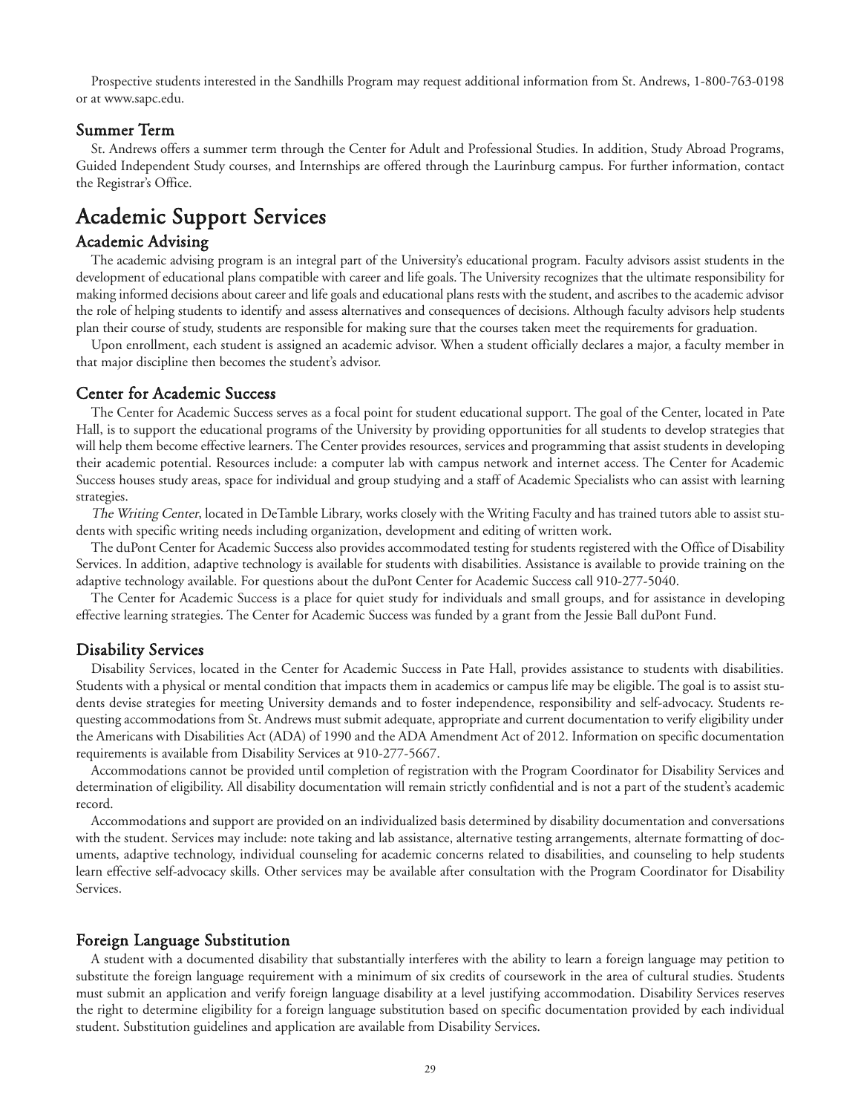Prospective students interested in the Sandhills Program may request additional information from St. Andrews, 1-800-763-0198 or at www.sapc.edu.

#### Summer Term

St. Andrews offers a summer term through the Center for Adult and Professional Studies. In addition, Study Abroad Programs, Guided Independent Study courses, and Internships are offered through the Laurinburg campus. For further information, contact the Registrar's Office.

# Academic Support Services

#### Academic Advising

The academic advising program is an integral part of the University's educational program. Faculty advisors assist students in the development of educational plans compatible with career and life goals. The University recognizes that the ultimate responsibility for making informed decisions about career and life goals and educational plans rests with the student, and ascribes to the academic advisor the role of helping students to identify and assess alternatives and consequences of decisions. Although faculty advisors help students plan their course of study, students are responsible for making sure that the courses taken meet the requirements for graduation.

Upon enrollment, each student is assigned an academic advisor. When a student officially declares a major, a faculty member in that major discipline then becomes the student's advisor.

#### Center for Academic Success

The Center for Academic Success serves as a focal point for student educational support. The goal of the Center, located in Pate Hall, is to support the educational programs of the University by providing opportunities for all students to develop strategies that will help them become effective learners. The Center provides resources, services and programming that assist students in developing their academic potential. Resources include: a computer lab with campus network and internet access. The Center for Academic Success houses study areas, space for individual and group studying and a staff of Academic Specialists who can assist with learning strategies.

The Writing Center, located in DeTamble Library, works closely with the Writing Faculty and has trained tutors able to assist students with specific writing needs including organization, development and editing of written work.

The duPont Center for Academic Success also provides accommodated testing for students registered with the Office of Disability Services. In addition, adaptive technology is available for students with disabilities. Assistance is available to provide training on the adaptive technology available. For questions about the duPont Center for Academic Success call 910-277-5040.

The Center for Academic Success is a place for quiet study for individuals and small groups, and for assistance in developing effective learning strategies. The Center for Academic Success was funded by a grant from the Jessie Ball duPont Fund.

#### Disability Services

Disability Services, located in the Center for Academic Success in Pate Hall, provides assistance to students with disabilities. Students with a physical or mental condition that impacts them in academics or campus life may be eligible. The goal is to assist students devise strategies for meeting University demands and to foster independence, responsibility and self-advocacy. Students requesting accommodations from St. Andrews must submit adequate, appropriate and current documentation to verify eligibility under the Americans with Disabilities Act (ADA) of 1990 and the ADA Amendment Act of 2012. Information on specific documentation requirements is available from Disability Services at 910-277-5667.

Accommodations cannot be provided until completion of registration with the Program Coordinator for Disability Services and determination of eligibility. All disability documentation will remain strictly confidential and is not a part of the student's academic record.

Accommodations and support are provided on an individualized basis determined by disability documentation and conversations with the student. Services may include: note taking and lab assistance, alternative testing arrangements, alternate formatting of documents, adaptive technology, individual counseling for academic concerns related to disabilities, and counseling to help students learn effective self-advocacy skills. Other services may be available after consultation with the Program Coordinator for Disability Services.

#### Foreign Language Substitution

A student with a documented disability that substantially interferes with the ability to learn a foreign language may petition to substitute the foreign language requirement with a minimum of six credits of coursework in the area of cultural studies. Students must submit an application and verify foreign language disability at a level justifying accommodation. Disability Services reserves the right to determine eligibility for a foreign language substitution based on specific documentation provided by each individual student. Substitution guidelines and application are available from Disability Services.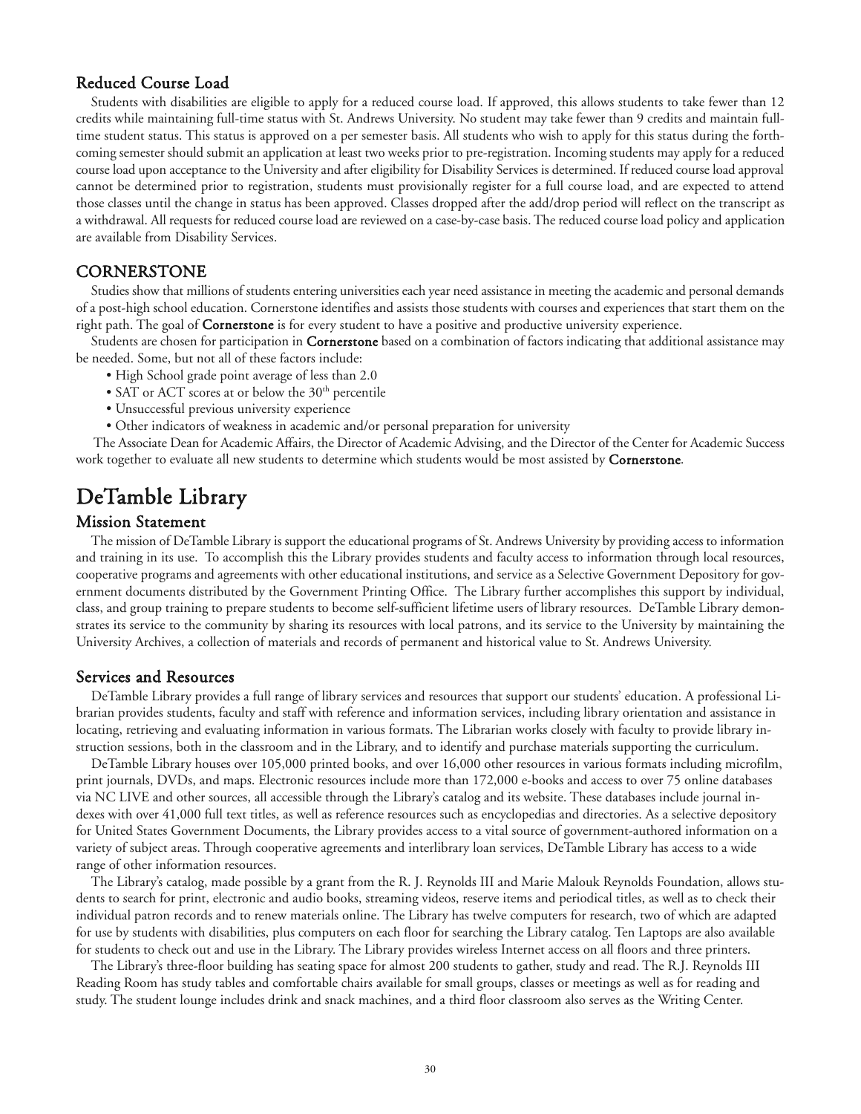#### Reduced Course Load

Students with disabilities are eligible to apply for a reduced course load. If approved, this allows students to take fewer than 12 credits while maintaining full-time status with St. Andrews University. No student may take fewer than 9 credits and maintain fulltime student status. This status is approved on a per semester basis. All students who wish to apply for this status during the forthcoming semester should submit an application at least two weeks prior to pre-registration. Incoming students may apply for a reduced course load upon acceptance to the University and after eligibility for Disability Services is determined. If reduced course load approval cannot be determined prior to registration, students must provisionally register for a full course load, and are expected to attend those classes until the change in status has been approved. Classes dropped after the add/drop period will reflect on the transcript as a withdrawal. All requests for reduced course load are reviewed on a case-by-case basis. The reduced course load policy and application are available from Disability Services.

#### **CORNERSTONE**

Studies show that millions of students entering universities each year need assistance in meeting the academic and personal demands of a post-high school education. Cornerstone identifies and assists those students with courses and experiences that start them on the right path. The goal of **Cornerstone** is for every student to have a positive and productive university experience.

Students are chosen for participation in **Cornerstone** based on a combination of factors indicating that additional assistance may be needed. Some, but not all of these factors include:

- High School grade point average of less than 2.0
- SAT or ACT scores at or below the  $30<sup>th</sup>$  percentile
- Unsuccessful previous university experience
- Other indicators of weakness in academic and/or personal preparation for university

The Associate Dean for Academic Affairs, the Director of Academic Advising, and the Director of the Center for Academic Success work together to evaluate all new students to determine which students would be most assisted by **Cornerstone**.

# DeTamble Library

### Mission Statement

The mission of DeTamble Library is support the educational programs of St. Andrews University by providing access to information and training in its use. To accomplish this the Library provides students and faculty access to information through local resources, cooperative programs and agreements with other educational institutions, and service as a Selective Government Depository for government documents distributed by the Government Printing Office. The Library further accomplishes this support by individual, class, and group training to prepare students to become self-sufficient lifetime users of library resources. DeTamble Library demonstrates its service to the community by sharing its resources with local patrons, and its service to the University by maintaining the University Archives, a collection of materials and records of permanent and historical value to St. Andrews University.

#### Services and Resources

DeTamble Library provides a full range of library services and resources that support our students' education. A professional Librarian provides students, faculty and staff with reference and information services, including library orientation and assistance in locating, retrieving and evaluating information in various formats. The Librarian works closely with faculty to provide library instruction sessions, both in the classroom and in the Library, and to identify and purchase materials supporting the curriculum.

DeTamble Library houses over 105,000 printed books, and over 16,000 other resources in various formats including microfilm, print journals, DVDs, and maps. Electronic resources include more than 172,000 e-books and access to over 75 online databases via NC LIVE and other sources, all accessible through the Library's catalog and its website. These databases include journal indexes with over 41,000 full text titles, as well as reference resources such as encyclopedias and directories. As a selective depository for United States Government Documents, the Library provides access to a vital source of government-authored information on a variety of subject areas. Through cooperative agreements and interlibrary loan services, DeTamble Library has access to a wide range of other information resources.

The Library's catalog, made possible by a grant from the R. J. Reynolds III and Marie Malouk Reynolds Foundation, allows students to search for print, electronic and audio books, streaming videos, reserve items and periodical titles, as well as to check their individual patron records and to renew materials online. The Library has twelve computers for research, two of which are adapted for use by students with disabilities, plus computers on each floor for searching the Library catalog. Ten Laptops are also available for students to check out and use in the Library. The Library provides wireless Internet access on all floors and three printers.

The Library's three-floor building has seating space for almost 200 students to gather, study and read. The R.J. Reynolds III Reading Room has study tables and comfortable chairs available for small groups, classes or meetings as well as for reading and study. The student lounge includes drink and snack machines, and a third floor classroom also serves as the Writing Center.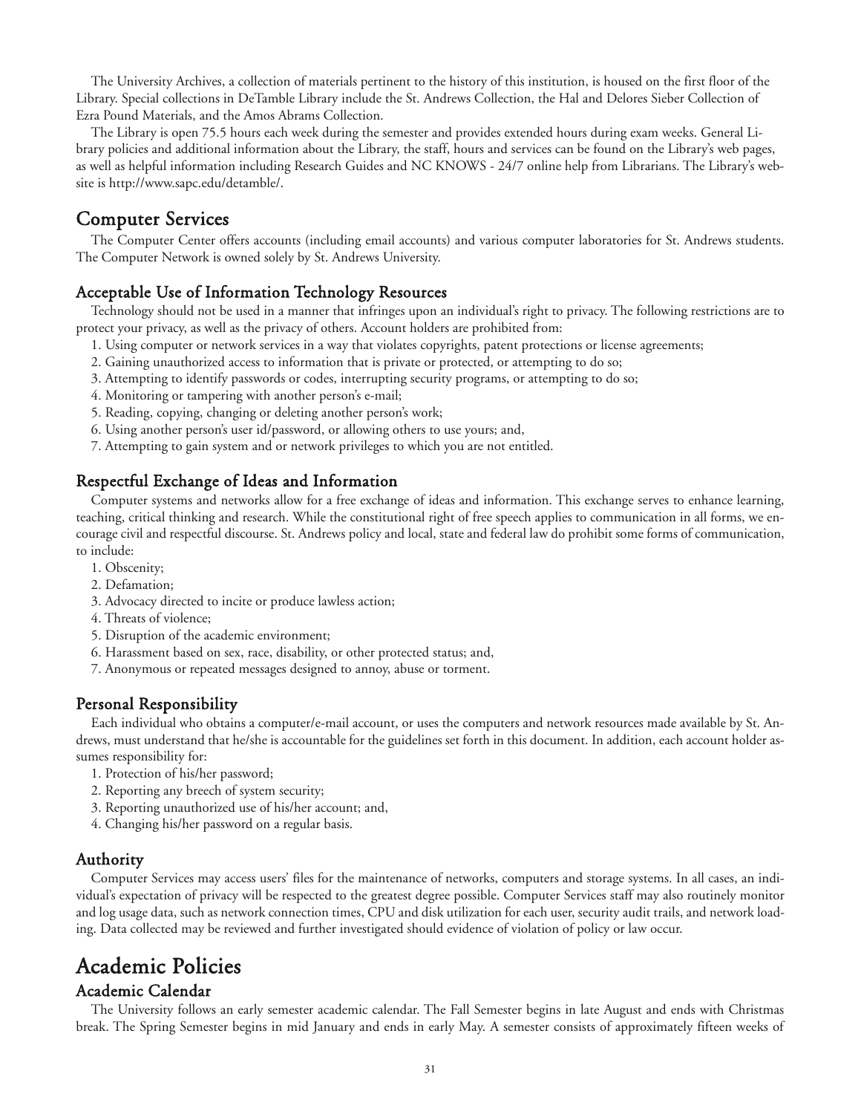The University Archives, a collection of materials pertinent to the history of this institution, is housed on the first floor of the Library. Special collections in DeTamble Library include the St. Andrews Collection, the Hal and Delores Sieber Collection of Ezra Pound Materials, and the Amos Abrams Collection.

The Library is open 75.5 hours each week during the semester and provides extended hours during exam weeks. General Library policies and additional information about the Library, the staff, hours and services can be found on the Library's web pages, as well as helpful information including Research Guides and NC KNOWS - 24/7 online help from Librarians. The Library's website is http://www.sapc.edu/detamble/.

# Computer Services

The Computer Center offers accounts (including email accounts) and various computer laboratories for St. Andrews students. The Computer Network is owned solely by St. Andrews University.

# Acceptable Use of Information Technology Resources

Technology should not be used in a manner that infringes upon an individual's right to privacy. The following restrictions are to protect your privacy, as well as the privacy of others. Account holders are prohibited from:

- 1. Using computer or network services in a way that violates copyrights, patent protections or license agreements;
- 2. Gaining unauthorized access to information that is private or protected, or attempting to do so;
- 3. Attempting to identify passwords or codes, interrupting security programs, or attempting to do so;
- 4. Monitoring or tampering with another person's e-mail;
- 5. Reading, copying, changing or deleting another person's work;
- 6. Using another person's user id/password, or allowing others to use yours; and,
- 7. Attempting to gain system and or network privileges to which you are not entitled.

# Respectful Exchange of Ideas and Information

Computer systems and networks allow for a free exchange of ideas and information. This exchange serves to enhance learning, teaching, critical thinking and research. While the constitutional right of free speech applies to communication in all forms, we encourage civil and respectful discourse. St. Andrews policy and local, state and federal law do prohibit some forms of communication, to include:

- 1. Obscenity;
- 2. Defamation;
- 3. Advocacy directed to incite or produce lawless action;
- 4. Threats of violence;
- 5. Disruption of the academic environment;
- 6. Harassment based on sex, race, disability, or other protected status; and,
- 7. Anonymous or repeated messages designed to annoy, abuse or torment.

# Personal Responsibility

Each individual who obtains a computer/e-mail account, or uses the computers and network resources made available by St. Andrews, must understand that he/she is accountable for the guidelines set forth in this document. In addition, each account holder assumes responsibility for:

- 1. Protection of his/her password;
- 2. Reporting any breech of system security;
- 3. Reporting unauthorized use of his/her account; and,
- 4. Changing his/her password on a regular basis.

# Authority

Computer Services may access users' files for the maintenance of networks, computers and storage systems. In all cases, an individual's expectation of privacy will be respected to the greatest degree possible. Computer Services staff may also routinely monitor and log usage data, such as network connection times, CPU and disk utilization for each user, security audit trails, and network loading. Data collected may be reviewed and further investigated should evidence of violation of policy or law occur.

# Academic Policies

# Academic Calendar

The University follows an early semester academic calendar. The Fall Semester begins in late August and ends with Christmas break. The Spring Semester begins in mid January and ends in early May. A semester consists of approximately fifteen weeks of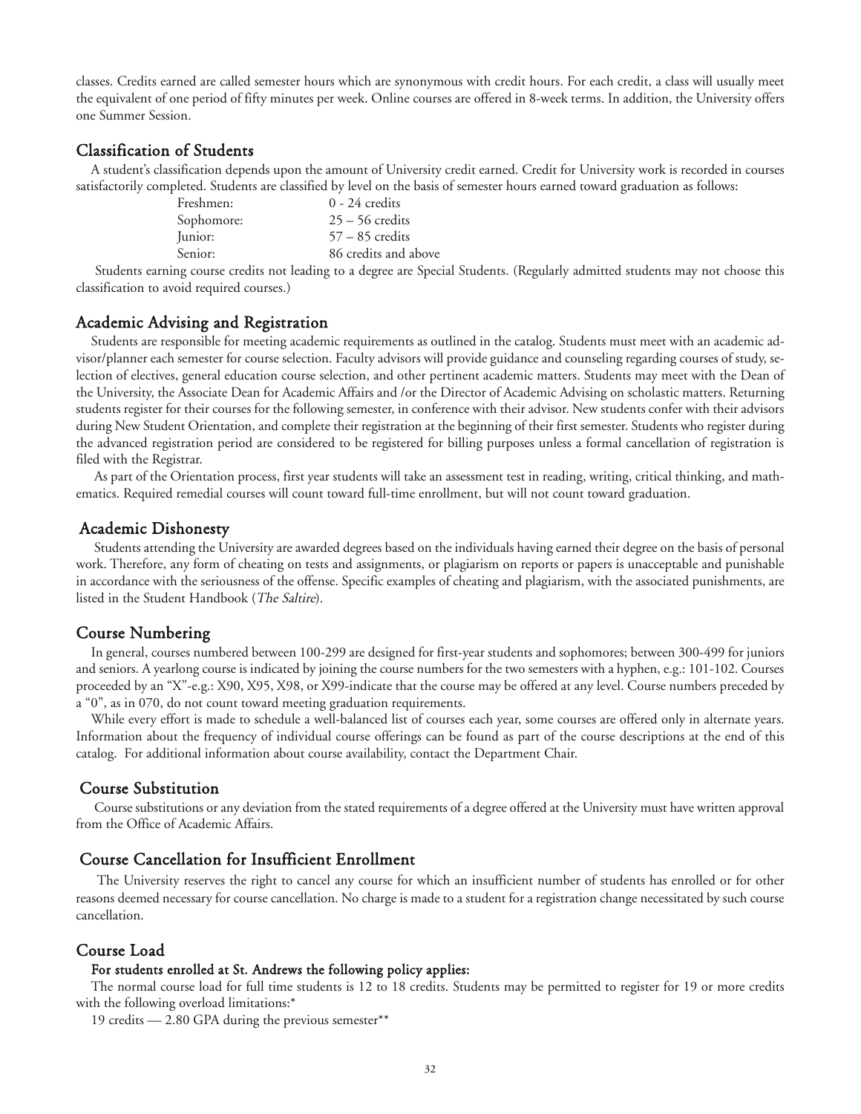classes. Credits earned are called semester hours which are synonymous with credit hours. For each credit, a class will usually meet the equivalent of one period of fifty minutes per week. Online courses are offered in 8-week terms. In addition, the University offers one Summer Session.

# Classification of Students

A student's classification depends upon the amount of University credit earned. Credit for University work is recorded in courses satisfactorily completed. Students are classified by level on the basis of semester hours earned toward graduation as follows:

| Freshmen:  | $0 - 24$ credits     |
|------------|----------------------|
| Sophomore: | $25 - 56$ credits    |
| Junior:    | $57 - 85$ credits    |
| Senior:    | 86 credits and above |

Students earning course credits not leading to a degree are Special Students. (Regularly admitted students may not choose this classification to avoid required courses.)

# Academic Advising and Registration

Students are responsible for meeting academic requirements as outlined in the catalog. Students must meet with an academic advisor/planner each semester for course selection. Faculty advisors will provide guidance and counseling regarding courses of study, selection of electives, general education course selection, and other pertinent academic matters. Students may meet with the Dean of the University, the Associate Dean for Academic Affairs and /or the Director of Academic Advising on scholastic matters. Returning students register for their courses for the following semester, in conference with their advisor. New students confer with their advisors during New Student Orientation, and complete their registration at the beginning of their first semester. Students who register during the advanced registration period are considered to be registered for billing purposes unless a formal cancellation of registration is filed with the Registrar.

As part of the Orientation process, first year students will take an assessment test in reading, writing, critical thinking, and mathematics. Required remedial courses will count toward full-time enrollment, but will not count toward graduation.

#### Academic Dishonesty

Students attending the University are awarded degrees based on the individuals having earned their degree on the basis of personal work. Therefore, any form of cheating on tests and assignments, or plagiarism on reports or papers is unacceptable and punishable in accordance with the seriousness of the offense. Specific examples of cheating and plagiarism, with the associated punishments, are listed in the Student Handbook (The Saltire).

#### Course Numbering

In general, courses numbered between 100-299 are designed for first-year students and sophomores; between 300-499 for juniors and seniors. A yearlong course is indicated by joining the course numbers for the two semesters with a hyphen, e.g.: 101-102. Courses proceeded by an "X"-e.g.: X90, X95, X98, or X99-indicate that the course may be offered at any level. Course numbers preceded by a "0", as in 070, do not count toward meeting graduation requirements.

While every effort is made to schedule a well-balanced list of courses each year, some courses are offered only in alternate years. Information about the frequency of individual course offerings can be found as part of the course descriptions at the end of this catalog. For additional information about course availability, contact the Department Chair.

## Course Substitution

Course substitutions or any deviation from the stated requirements of a degree offered at the University must have written approval from the Office of Academic Affairs.

# Course Cancellation for Insufficient Enrollment

The University reserves the right to cancel any course for which an insufficient number of students has enrolled or for other reasons deemed necessary for course cancellation. No charge is made to a student for a registration change necessitated by such course cancellation.

# Course Load

#### For students enrolled at St. Andrews the following policy applies:

The normal course load for full time students is 12 to 18 credits. Students may be permitted to register for 19 or more credits with the following overload limitations:\*

19 credits — 2.80 GPA during the previous semester\*\*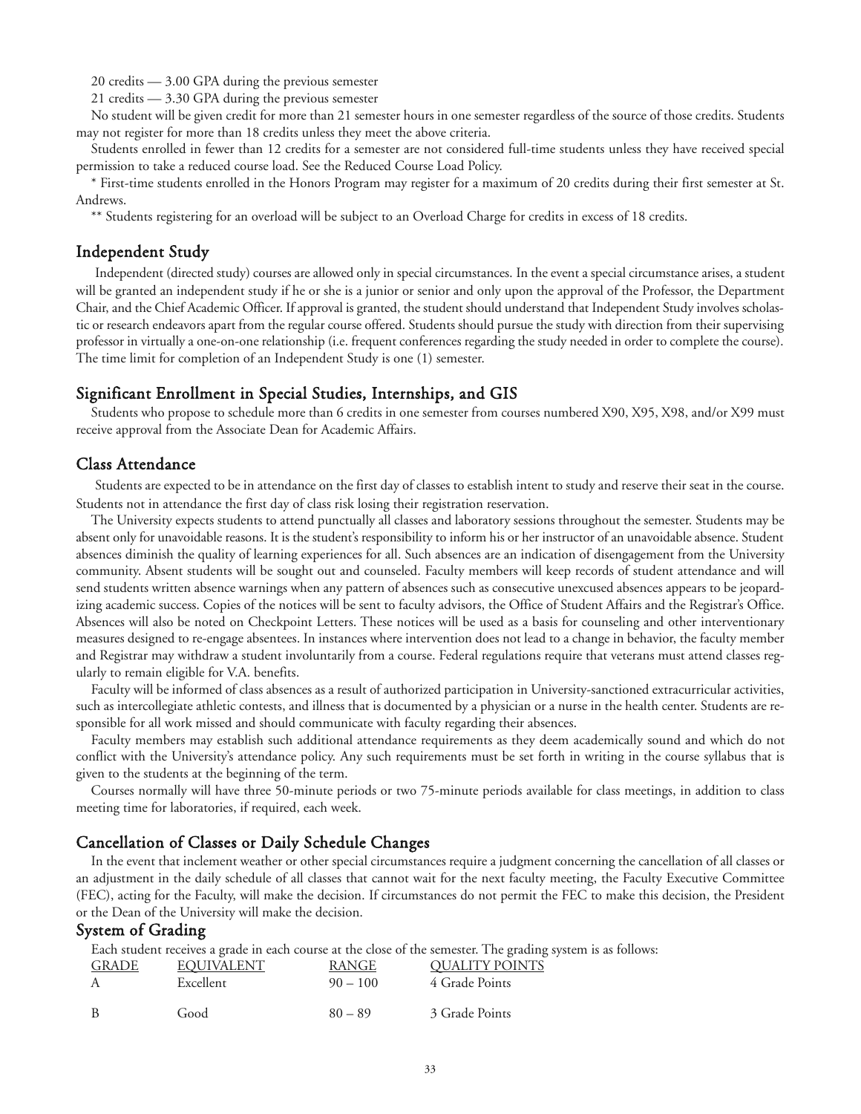20 credits — 3.00 GPA during the previous semester

21 credits — 3.30 GPA during the previous semester

No student will be given credit for more than 21 semester hours in one semester regardless of the source of those credits. Students may not register for more than 18 credits unless they meet the above criteria.

Students enrolled in fewer than 12 credits for a semester are not considered full-time students unless they have received special permission to take a reduced course load. See the Reduced Course Load Policy.

\* First-time students enrolled in the Honors Program may register for a maximum of 20 credits during their first semester at St. Andrews.

\*\* Students registering for an overload will be subject to an Overload Charge for credits in excess of 18 credits.

# Independent Study

Independent (directed study) courses are allowed only in special circumstances. In the event a special circumstance arises, a student will be granted an independent study if he or she is a junior or senior and only upon the approval of the Professor, the Department Chair, and the Chief Academic Officer. If approval is granted, the student should understand that Independent Study involves scholastic or research endeavors apart from the regular course offered. Students should pursue the study with direction from their supervising professor in virtually a one-on-one relationship (i.e. frequent conferences regarding the study needed in order to complete the course). The time limit for completion of an Independent Study is one (1) semester.

# Significant Enrollment in Special Studies, Internships, and GIS

Students who propose to schedule more than 6 credits in one semester from courses numbered X90, X95, X98, and/or X99 must receive approval from the Associate Dean for Academic Affairs.

#### Class Attendance

Students are expected to be in attendance on the first day of classes to establish intent to study and reserve their seat in the course. Students not in attendance the first day of class risk losing their registration reservation.

The University expects students to attend punctually all classes and laboratory sessions throughout the semester. Students may be absent only for unavoidable reasons. It is the student's responsibility to inform his or her instructor of an unavoidable absence. Student absences diminish the quality of learning experiences for all. Such absences are an indication of disengagement from the University community. Absent students will be sought out and counseled. Faculty members will keep records of student attendance and will send students written absence warnings when any pattern of absences such as consecutive unexcused absences appears to be jeopardizing academic success. Copies of the notices will be sent to faculty advisors, the Office of Student Affairs and the Registrar's Office. Absences will also be noted on Checkpoint Letters. These notices will be used as a basis for counseling and other interventionary measures designed to re-engage absentees. In instances where intervention does not lead to a change in behavior, the faculty member and Registrar may withdraw a student involuntarily from a course. Federal regulations require that veterans must attend classes regularly to remain eligible for V.A. benefits.

Faculty will be informed of class absences as a result of authorized participation in University-sanctioned extracurricular activities, such as intercollegiate athletic contests, and illness that is documented by a physician or a nurse in the health center. Students are responsible for all work missed and should communicate with faculty regarding their absences.

Faculty members may establish such additional attendance requirements as they deem academically sound and which do not conflict with the University's attendance policy. Any such requirements must be set forth in writing in the course syllabus that is given to the students at the beginning of the term.

Courses normally will have three 50-minute periods or two 75-minute periods available for class meetings, in addition to class meeting time for laboratories, if required, each week.

# Cancellation of Classes or Daily Schedule Changes

In the event that inclement weather or other special circumstances require a judgment concerning the cancellation of all classes or an adjustment in the daily schedule of all classes that cannot wait for the next faculty meeting, the Faculty Executive Committee (FEC), acting for the Faculty, will make the decision. If circumstances do not permit the FEC to make this decision, the President or the Dean of the University will make the decision.

# System of Grading

Each student receives a grade in each course at the close of the semester. The grading system is as follows:

| <b>GRADE</b> | <b>EOUIVALENT</b> | RANGE      | <b>QUALITY POINTS</b> |
|--------------|-------------------|------------|-----------------------|
| A            | Excellent         | $90 - 100$ | 4 Grade Points        |
| - B          | Good              | $80 - 89$  | 3 Grade Points        |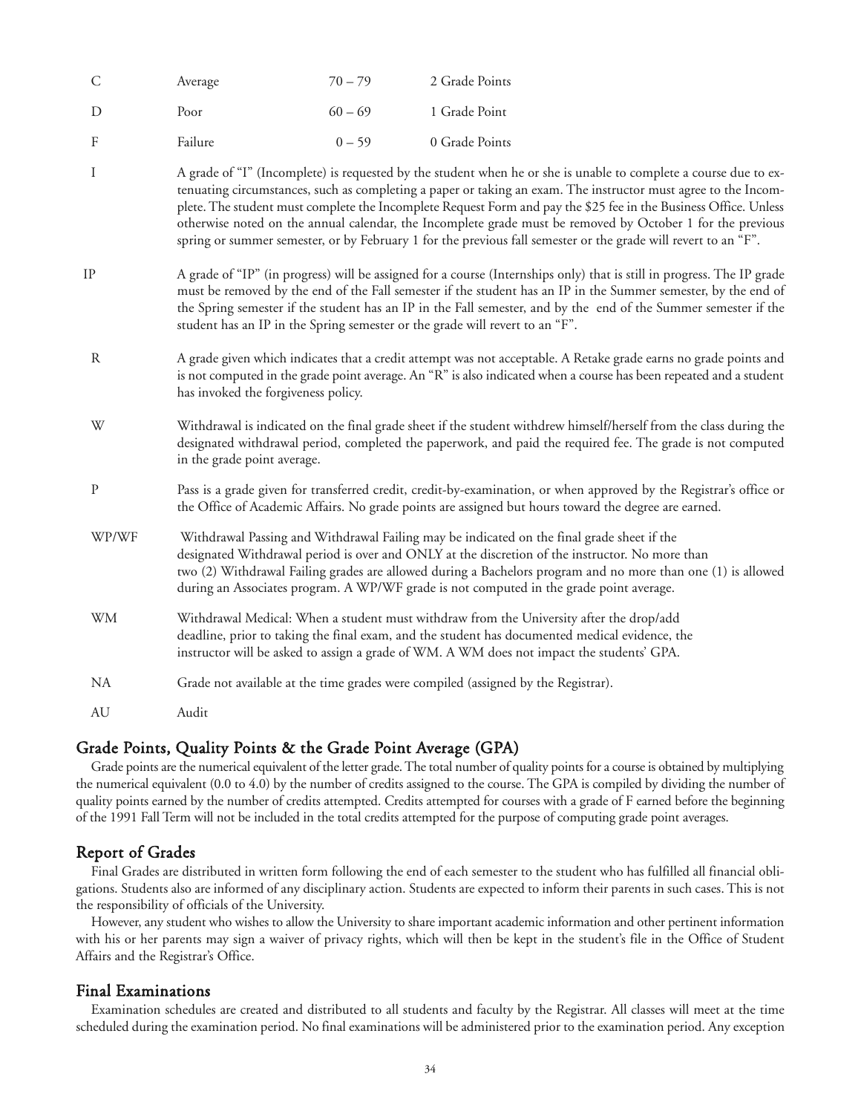| <sup>C</sup> | Average | $70 - 79$ | 2 Grade Points |
|--------------|---------|-----------|----------------|
| Ð            | Poor    | $60 - 69$ | 1 Grade Point  |
| - F          | Failure | $0 - 59$  | 0 Grade Points |

- I A grade of "I" (Incomplete) is requested by the student when he or she is unable to complete a course due to extenuating circumstances, such as completing a paper or taking an exam. The instructor must agree to the Incomplete. The student must complete the Incomplete Request Form and pay the \$25 fee in the Business Office. Unless otherwise noted on the annual calendar, the Incomplete grade must be removed by October 1 for the previous spring or summer semester, or by February 1 for the previous fall semester or the grade will revert to an "F".
- IP A grade of "IP" (in progress) will be assigned for a course (Internships only) that is still in progress. The IP grade must be removed by the end of the Fall semester if the student has an IP in the Summer semester, by the end of the Spring semester if the student has an IP in the Fall semester, and by the end of the Summer semester if the student has an IP in the Spring semester or the grade will revert to an "F".
- R A grade given which indicates that a credit attempt was not acceptable. A Retake grade earns no grade points and is not computed in the grade point average. An "R" is also indicated when a course has been repeated and a student has invoked the forgiveness policy.
- W Withdrawal is indicated on the final grade sheet if the student withdrew himself/herself from the class during the designated withdrawal period, completed the paperwork, and paid the required fee. The grade is not computed in the grade point average.
- P Pass is a grade given for transferred credit, credit-by-examination, or when approved by the Registrar's office or the Office of Academic Affairs. No grade points are assigned but hours toward the degree are earned.
- WP/WF Withdrawal Passing and Withdrawal Failing may be indicated on the final grade sheet if the designated Withdrawal period is over and ONLY at the discretion of the instructor. No more than two (2) Withdrawal Failing grades are allowed during a Bachelors program and no more than one (1) is allowed during an Associates program. A WP/WF grade is not computed in the grade point average.
- WM Withdrawal Medical: When a student must withdraw from the University after the drop/add deadline, prior to taking the final exam, and the student has documented medical evidence, the instructor will be asked to assign a grade of WM. A WM does not impact the students' GPA.
- NA Grade not available at the time grades were compiled (assigned by the Registrar).

AU Audit

# Grade Points, Quality Points & the Grade Point Average (GPA)

Grade points are the numerical equivalent of the letter grade. The total number of quality points for a course is obtained by multiplying the numerical equivalent (0.0 to 4.0) by the number of credits assigned to the course. The GPA is compiled by dividing the number of quality points earned by the number of credits attempted. Credits attempted for courses with a grade of F earned before the beginning of the 1991 Fall Term will not be included in the total credits attempted for the purpose of computing grade point averages.

# Report of Grades

Final Grades are distributed in written form following the end of each semester to the student who has fulfilled all financial obligations. Students also are informed of any disciplinary action. Students are expected to inform their parents in such cases. This is not the responsibility of officials of the University.

However, any student who wishes to allow the University to share important academic information and other pertinent information with his or her parents may sign a waiver of privacy rights, which will then be kept in the student's file in the Office of Student Affairs and the Registrar's Office.

# Final Examinations

Examination schedules are created and distributed to all students and faculty by the Registrar. All classes will meet at the time scheduled during the examination period. No final examinations will be administered prior to the examination period. Any exception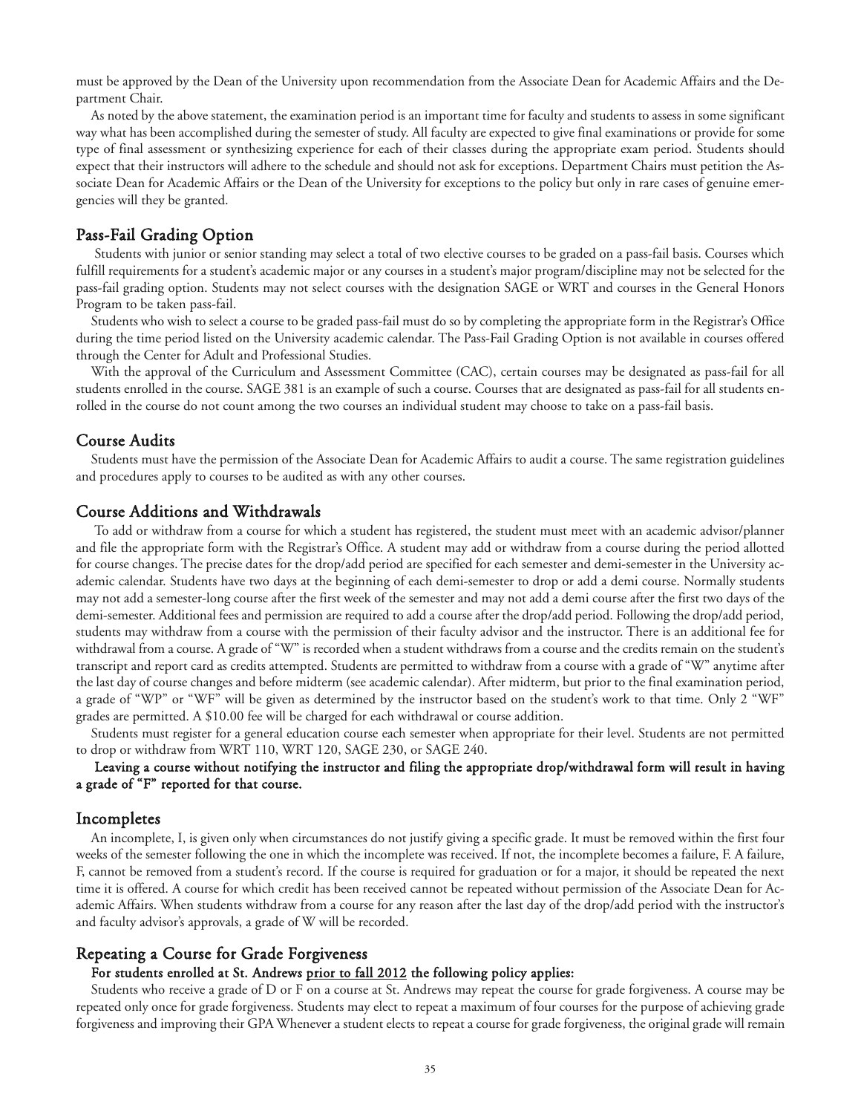must be approved by the Dean of the University upon recommendation from the Associate Dean for Academic Affairs and the Department Chair.

As noted by the above statement, the examination period is an important time for faculty and students to assess in some significant way what has been accomplished during the semester of study. All faculty are expected to give final examinations or provide for some type of final assessment or synthesizing experience for each of their classes during the appropriate exam period. Students should expect that their instructors will adhere to the schedule and should not ask for exceptions. Department Chairs must petition the Associate Dean for Academic Affairs or the Dean of the University for exceptions to the policy but only in rare cases of genuine emergencies will they be granted.

# Pass-Fail Grading Option

Students with junior or senior standing may select a total of two elective courses to be graded on a pass-fail basis. Courses which fulfill requirements for a student's academic major or any courses in a student's major program/discipline may not be selected for the pass-fail grading option. Students may not select courses with the designation SAGE or WRT and courses in the General Honors Program to be taken pass-fail.

Students who wish to select a course to be graded pass-fail must do so by completing the appropriate form in the Registrar's Office during the time period listed on the University academic calendar. The Pass-Fail Grading Option is not available in courses offered through the Center for Adult and Professional Studies.

With the approval of the Curriculum and Assessment Committee (CAC), certain courses may be designated as pass-fail for all students enrolled in the course. SAGE 381 is an example of such a course. Courses that are designated as pass-fail for all students enrolled in the course do not count among the two courses an individual student may choose to take on a pass-fail basis.

# Course Audits

Students must have the permission of the Associate Dean for Academic Affairs to audit a course. The same registration guidelines and procedures apply to courses to be audited as with any other courses.

# Course Additions and Withdrawals

To add or withdraw from a course for which a student has registered, the student must meet with an academic advisor/planner and file the appropriate form with the Registrar's Office. A student may add or withdraw from a course during the period allotted for course changes. The precise dates for the drop/add period are specified for each semester and demi-semester in the University academic calendar. Students have two days at the beginning of each demi-semester to drop or add a demi course. Normally students may not add a semester-long course after the first week of the semester and may not add a demi course after the first two days of the demi-semester. Additional fees and permission are required to add a course after the drop/add period. Following the drop/add period, students may withdraw from a course with the permission of their faculty advisor and the instructor. There is an additional fee for withdrawal from a course. A grade of "W" is recorded when a student withdraws from a course and the credits remain on the student's transcript and report card as credits attempted. Students are permitted to withdraw from a course with a grade of "W" anytime after the last day of course changes and before midterm (see academic calendar). After midterm, but prior to the final examination period, a grade of "WP" or "WF" will be given as determined by the instructor based on the student's work to that time. Only 2 "WF" grades are permitted. A \$10.00 fee will be charged for each withdrawal or course addition.

Students must register for a general education course each semester when appropriate for their level. Students are not permitted to drop or withdraw from WRT 110, WRT 120, SAGE 230, or SAGE 240.

## Leaving a course without notifying the instructor and filing the appropriate drop/withdrawal form will result in having a grade of "F" reported for that course.

#### Incompletes

An incomplete, I, is given only when circumstances do not justify giving a specific grade. It must be removed within the first four weeks of the semester following the one in which the incomplete was received. If not, the incomplete becomes a failure, F. A failure, F, cannot be removed from a student's record. If the course is required for graduation or for a major, it should be repeated the next time it is offered. A course for which credit has been received cannot be repeated without permission of the Associate Dean for Academic Affairs. When students withdraw from a course for any reason after the last day of the drop/add period with the instructor's and faculty advisor's approvals, a grade of W will be recorded.

#### Repeating a Course for Grade Forgiveness

#### For students enrolled at St. Andrews prior to fall 2012 the following policy applies:

Students who receive a grade of D or F on a course at St. Andrews may repeat the course for grade forgiveness. A course may be repeated only once for grade forgiveness. Students may elect to repeat a maximum of four courses for the purpose of achieving grade forgiveness and improving their GPA Whenever a student elects to repeat a course for grade forgiveness, the original grade will remain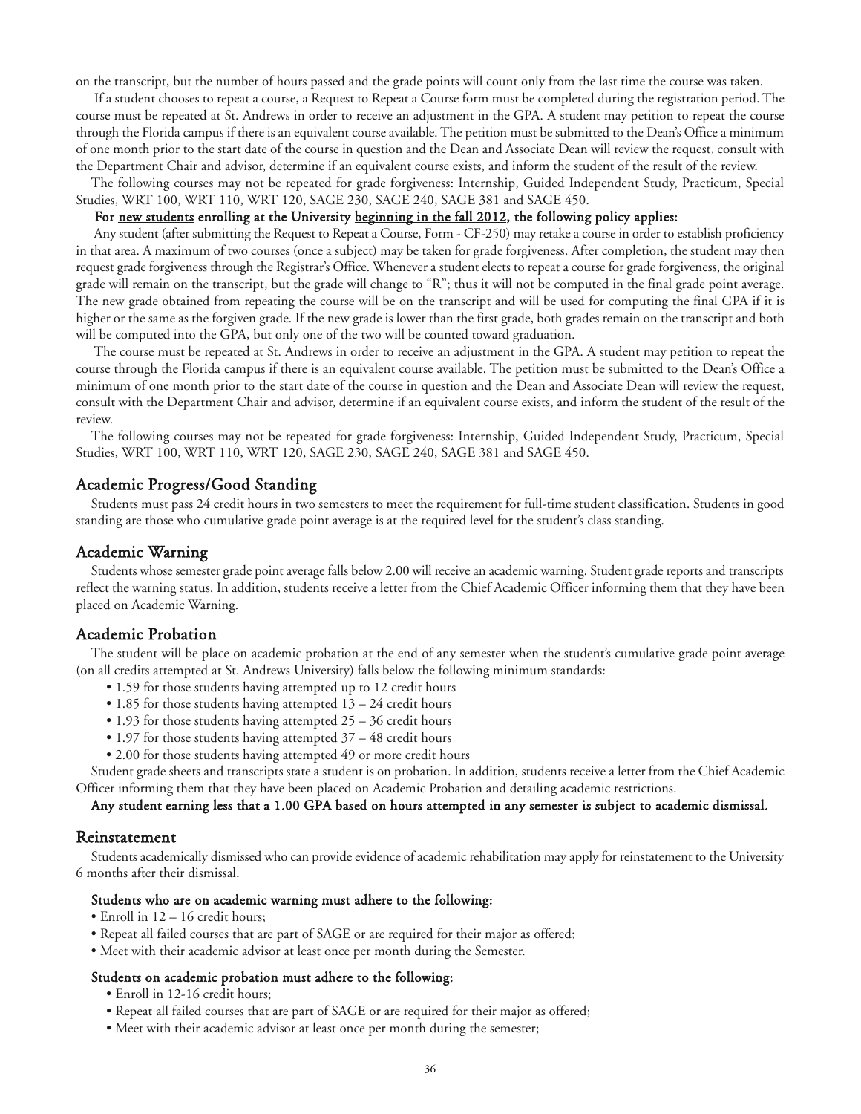on the transcript, but the number of hours passed and the grade points will count only from the last time the course was taken.

If a student chooses to repeat a course, a Request to Repeat a Course form must be completed during the registration period. The course must be repeated at St. Andrews in order to receive an adjustment in the GPA. A student may petition to repeat the course through the Florida campus if there is an equivalent course available. The petition must be submitted to the Dean's Office a minimum of one month prior to the start date of the course in question and the Dean and Associate Dean will review the request, consult with the Department Chair and advisor, determine if an equivalent course exists, and inform the student of the result of the review.

The following courses may not be repeated for grade forgiveness: Internship, Guided Independent Study, Practicum, Special Studies, WRT 100, WRT 110, WRT 120, SAGE 230, SAGE 240, SAGE 381 and SAGE 450.

#### For new students enrolling at the University beginning in the fall 2012, the following policy applies:

Any student (after submitting the Request to Repeat a Course, Form - CF-250) may retake a course in order to establish proficiency in that area. A maximum of two courses (once a subject) may be taken for grade forgiveness. After completion, the student may then request grade forgiveness through the Registrar's Office. Whenever a student elects to repeat a course for grade forgiveness, the original grade will remain on the transcript, but the grade will change to "R"; thus it will not be computed in the final grade point average. The new grade obtained from repeating the course will be on the transcript and will be used for computing the final GPA if it is higher or the same as the forgiven grade. If the new grade is lower than the first grade, both grades remain on the transcript and both will be computed into the GPA, but only one of the two will be counted toward graduation.

The course must be repeated at St. Andrews in order to receive an adjustment in the GPA. A student may petition to repeat the course through the Florida campus if there is an equivalent course available. The petition must be submitted to the Dean's Office a minimum of one month prior to the start date of the course in question and the Dean and Associate Dean will review the request, consult with the Department Chair and advisor, determine if an equivalent course exists, and inform the student of the result of the review.

The following courses may not be repeated for grade forgiveness: Internship, Guided Independent Study, Practicum, Special Studies, WRT 100, WRT 110, WRT 120, SAGE 230, SAGE 240, SAGE 381 and SAGE 450.

# Academic Progress/Good Standing

Students must pass 24 credit hours in two semesters to meet the requirement for full-time student classification. Students in good standing are those who cumulative grade point average is at the required level for the student's class standing.

#### Academic Warning

Students whose semester grade point average falls below 2.00 will receive an academic warning. Student grade reports and transcripts reflect the warning status. In addition, students receive a letter from the Chief Academic Officer informing them that they have been placed on Academic Warning.

#### Academic Probation

The student will be place on academic probation at the end of any semester when the student's cumulative grade point average (on all credits attempted at St. Andrews University) falls below the following minimum standards:

- 1.59 for those students having attempted up to 12 credit hours
- 1.85 for those students having attempted 13 24 credit hours
- 1.93 for those students having attempted 25 36 credit hours
- 1.97 for those students having attempted 37 48 credit hours
- 2.00 for those students having attempted 49 or more credit hours

Student grade sheets and transcripts state a student is on probation. In addition, students receive a letter from the Chief Academic Officer informing them that they have been placed on Academic Probation and detailing academic restrictions.

#### Any student earning less that a 1.00 GPA based on hours attempted in any semester is subject to academic dismissal.

#### Reinstatement

Students academically dismissed who can provide evidence of academic rehabilitation may apply for reinstatement to the University 6 months after their dismissal.

#### Students who are on academic warning must adhere to the following:

• Enroll in 12 – 16 credit hours;

- Repeat all failed courses that are part of SAGE or are required for their major as offered;
- Meet with their academic advisor at least once per month during the Semester.

#### Students on academic probation must adhere to the following:

- Enroll in 12-16 credit hours;
- Repeat all failed courses that are part of SAGE or are required for their major as offered;
- Meet with their academic advisor at least once per month during the semester;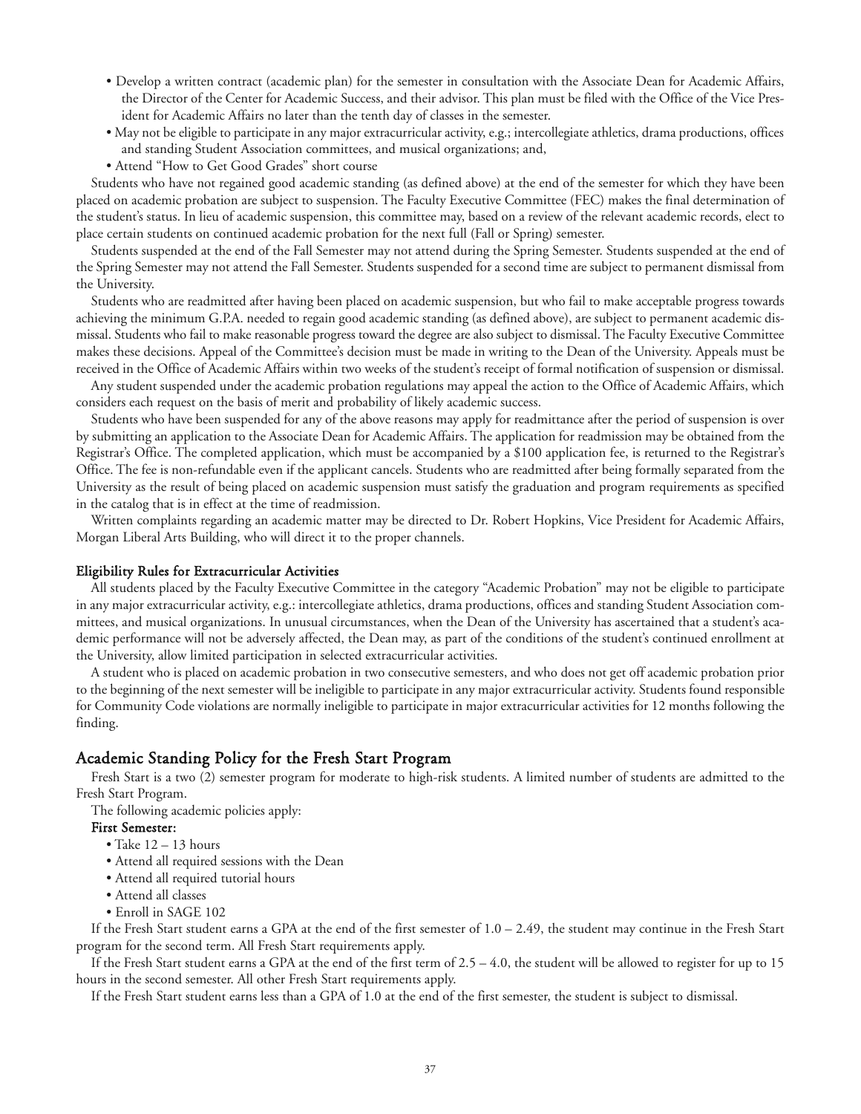- Develop a written contract (academic plan) for the semester in consultation with the Associate Dean for Academic Affairs, the Director of the Center for Academic Success, and their advisor. This plan must be filed with the Office of the Vice President for Academic Affairs no later than the tenth day of classes in the semester.
- May not be eligible to participate in any major extracurricular activity, e.g.; intercollegiate athletics, drama productions, offices and standing Student Association committees, and musical organizations; and,
- Attend "How to Get Good Grades" short course

Students who have not regained good academic standing (as defined above) at the end of the semester for which they have been placed on academic probation are subject to suspension. The Faculty Executive Committee (FEC) makes the final determination of the student's status. In lieu of academic suspension, this committee may, based on a review of the relevant academic records, elect to place certain students on continued academic probation for the next full (Fall or Spring) semester.

Students suspended at the end of the Fall Semester may not attend during the Spring Semester. Students suspended at the end of the Spring Semester may not attend the Fall Semester. Students suspended for a second time are subject to permanent dismissal from the University.

Students who are readmitted after having been placed on academic suspension, but who fail to make acceptable progress towards achieving the minimum G.P.A. needed to regain good academic standing (as defined above), are subject to permanent academic dismissal. Students who fail to make reasonable progress toward the degree are also subject to dismissal. The Faculty Executive Committee makes these decisions. Appeal of the Committee's decision must be made in writing to the Dean of the University. Appeals must be received in the Office of Academic Affairs within two weeks of the student's receipt of formal notification of suspension or dismissal.

Any student suspended under the academic probation regulations may appeal the action to the Office of Academic Affairs, which considers each request on the basis of merit and probability of likely academic success.

Students who have been suspended for any of the above reasons may apply for readmittance after the period of suspension is over by submitting an application to the Associate Dean for Academic Affairs. The application for readmission may be obtained from the Registrar's Office. The completed application, which must be accompanied by a \$100 application fee, is returned to the Registrar's Office. The fee is non-refundable even if the applicant cancels. Students who are readmitted after being formally separated from the University as the result of being placed on academic suspension must satisfy the graduation and program requirements as specified in the catalog that is in effect at the time of readmission.

Written complaints regarding an academic matter may be directed to Dr. Robert Hopkins, Vice President for Academic Affairs, Morgan Liberal Arts Building, who will direct it to the proper channels.

#### Eligibility Rules for Extracurricular Activities

All students placed by the Faculty Executive Committee in the category "Academic Probation" may not be eligible to participate in any major extracurricular activity, e.g.: intercollegiate athletics, drama productions, offices and standing Student Association committees, and musical organizations. In unusual circumstances, when the Dean of the University has ascertained that a student's academic performance will not be adversely affected, the Dean may, as part of the conditions of the student's continued enrollment at the University, allow limited participation in selected extracurricular activities.

A student who is placed on academic probation in two consecutive semesters, and who does not get off academic probation prior to the beginning of the next semester will be ineligible to participate in any major extracurricular activity. Students found responsible for Community Code violations are normally ineligible to participate in major extracurricular activities for 12 months following the finding.

# Academic Standing Policy for the Fresh Start Program

Fresh Start is a two (2) semester program for moderate to high-risk students. A limited number of students are admitted to the Fresh Start Program.

The following academic policies apply:

#### First Semester:

- Take 12 13 hours
- Attend all required sessions with the Dean
- Attend all required tutorial hours
- Attend all classes
- Enroll in SAGE 102

If the Fresh Start student earns a GPA at the end of the first semester of 1.0 – 2.49, the student may continue in the Fresh Start program for the second term. All Fresh Start requirements apply.

If the Fresh Start student earns a GPA at the end of the first term of 2.5 – 4.0, the student will be allowed to register for up to 15 hours in the second semester. All other Fresh Start requirements apply.

If the Fresh Start student earns less than a GPA of 1.0 at the end of the first semester, the student is subject to dismissal.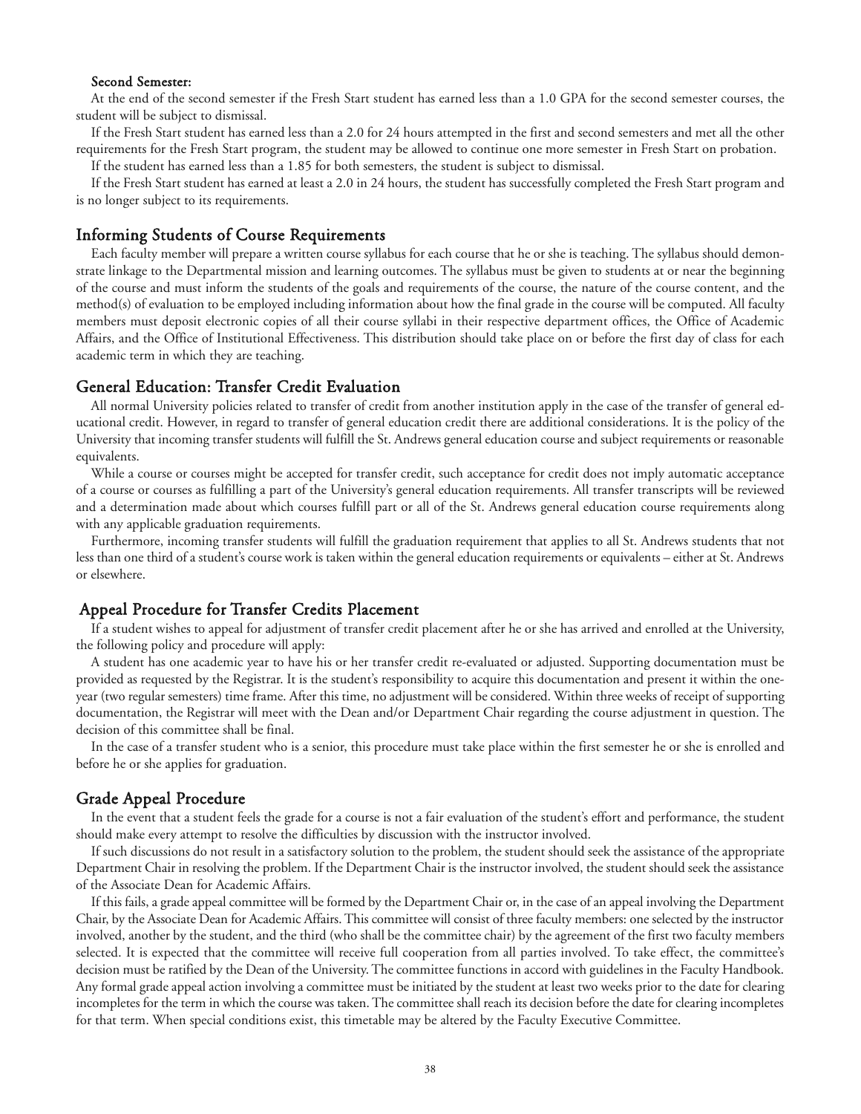#### Second Semester:

At the end of the second semester if the Fresh Start student has earned less than a 1.0 GPA for the second semester courses, the student will be subject to dismissal.

If the Fresh Start student has earned less than a 2.0 for 24 hours attempted in the first and second semesters and met all the other requirements for the Fresh Start program, the student may be allowed to continue one more semester in Fresh Start on probation.

If the student has earned less than a 1.85 for both semesters, the student is subject to dismissal.

If the Fresh Start student has earned at least a 2.0 in 24 hours, the student has successfully completed the Fresh Start program and is no longer subject to its requirements.

#### Informing Students of Course Requirements

Each faculty member will prepare a written course syllabus for each course that he or she is teaching. The syllabus should demonstrate linkage to the Departmental mission and learning outcomes. The syllabus must be given to students at or near the beginning of the course and must inform the students of the goals and requirements of the course, the nature of the course content, and the method(s) of evaluation to be employed including information about how the final grade in the course will be computed. All faculty members must deposit electronic copies of all their course syllabi in their respective department offices, the Office of Academic Affairs, and the Office of Institutional Effectiveness. This distribution should take place on or before the first day of class for each academic term in which they are teaching.

## General Education: Transfer Credit Evaluation

All normal University policies related to transfer of credit from another institution apply in the case of the transfer of general educational credit. However, in regard to transfer of general education credit there are additional considerations. It is the policy of the University that incoming transfer students will fulfill the St. Andrews general education course and subject requirements or reasonable equivalents.

While a course or courses might be accepted for transfer credit, such acceptance for credit does not imply automatic acceptance of a course or courses as fulfilling a part of the University's general education requirements. All transfer transcripts will be reviewed and a determination made about which courses fulfill part or all of the St. Andrews general education course requirements along with any applicable graduation requirements.

Furthermore, incoming transfer students will fulfill the graduation requirement that applies to all St. Andrews students that not less than one third of a student's course work is taken within the general education requirements or equivalents – either at St. Andrews or elsewhere.

# Appeal Procedure for Transfer Credits Placement

If a student wishes to appeal for adjustment of transfer credit placement after he or she has arrived and enrolled at the University, the following policy and procedure will apply:

A student has one academic year to have his or her transfer credit re-evaluated or adjusted. Supporting documentation must be provided as requested by the Registrar. It is the student's responsibility to acquire this documentation and present it within the oneyear (two regular semesters) time frame. After this time, no adjustment will be considered. Within three weeks of receipt of supporting documentation, the Registrar will meet with the Dean and/or Department Chair regarding the course adjustment in question. The decision of this committee shall be final.

In the case of a transfer student who is a senior, this procedure must take place within the first semester he or she is enrolled and before he or she applies for graduation.

#### Grade Appeal Procedure

In the event that a student feels the grade for a course is not a fair evaluation of the student's effort and performance, the student should make every attempt to resolve the difficulties by discussion with the instructor involved.

If such discussions do not result in a satisfactory solution to the problem, the student should seek the assistance of the appropriate Department Chair in resolving the problem. If the Department Chair is the instructor involved, the student should seek the assistance of the Associate Dean for Academic Affairs.

If this fails, a grade appeal committee will be formed by the Department Chair or, in the case of an appeal involving the Department Chair, by the Associate Dean for Academic Affairs. This committee will consist of three faculty members: one selected by the instructor involved, another by the student, and the third (who shall be the committee chair) by the agreement of the first two faculty members selected. It is expected that the committee will receive full cooperation from all parties involved. To take effect, the committee's decision must be ratified by the Dean of the University. The committee functions in accord with guidelines in the Faculty Handbook. Any formal grade appeal action involving a committee must be initiated by the student at least two weeks prior to the date for clearing incompletes for the term in which the course was taken. The committee shall reach its decision before the date for clearing incompletes for that term. When special conditions exist, this timetable may be altered by the Faculty Executive Committee.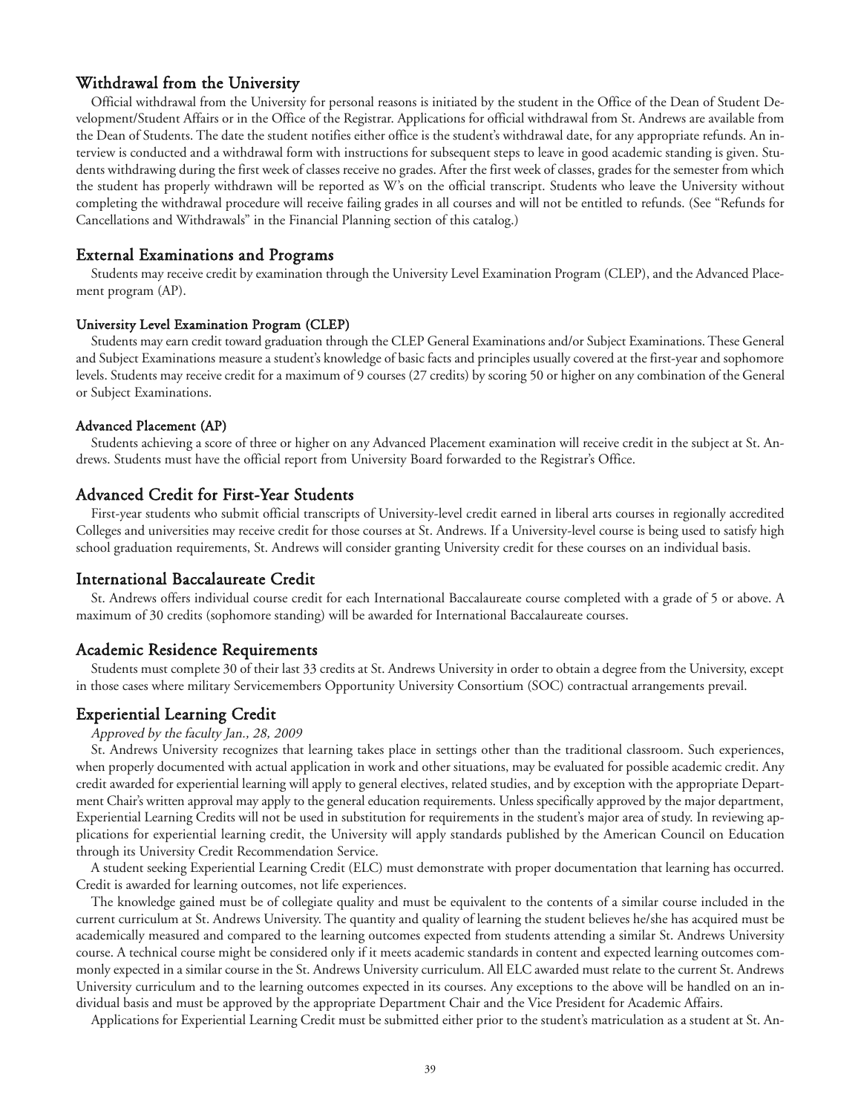# Withdrawal from the University

Official withdrawal from the University for personal reasons is initiated by the student in the Office of the Dean of Student Development/Student Affairs or in the Office of the Registrar. Applications for official withdrawal from St. Andrews are available from the Dean of Students. The date the student notifies either office is the student's withdrawal date, for any appropriate refunds. An interview is conducted and a withdrawal form with instructions for subsequent steps to leave in good academic standing is given. Students withdrawing during the first week of classes receive no grades. After the first week of classes, grades for the semester from which the student has properly withdrawn will be reported as W's on the official transcript. Students who leave the University without completing the withdrawal procedure will receive failing grades in all courses and will not be entitled to refunds. (See "Refunds for Cancellations and Withdrawals" in the Financial Planning section of this catalog.)

# External Examinations and Programs

Students may receive credit by examination through the University Level Examination Program (CLEP), and the Advanced Placement program (AP).

#### University Level Examination Program (CLEP)

Students may earn credit toward graduation through the CLEP General Examinations and/or Subject Examinations. These General and Subject Examinations measure a student's knowledge of basic facts and principles usually covered at the first-year and sophomore levels. Students may receive credit for a maximum of 9 courses (27 credits) by scoring 50 or higher on any combination of the General or Subject Examinations.

#### Advanced Placement (AP)

Students achieving a score of three or higher on any Advanced Placement examination will receive credit in the subject at St. Andrews. Students must have the official report from University Board forwarded to the Registrar's Office.

# Advanced Credit for First-Year Students

First-year students who submit official transcripts of University-level credit earned in liberal arts courses in regionally accredited Colleges and universities may receive credit for those courses at St. Andrews. If a University-level course is being used to satisfy high school graduation requirements, St. Andrews will consider granting University credit for these courses on an individual basis.

#### International Baccalaureate Credit

St. Andrews offers individual course credit for each International Baccalaureate course completed with a grade of 5 or above. A maximum of 30 credits (sophomore standing) will be awarded for International Baccalaureate courses.

# Academic Residence Requirements

Students must complete 30 of their last 33 credits at St. Andrews University in order to obtain a degree from the University, except in those cases where military Servicemembers Opportunity University Consortium (SOC) contractual arrangements prevail.

#### Experiential Learning Credit

#### Approved by the faculty Jan., 28, 2009

St. Andrews University recognizes that learning takes place in settings other than the traditional classroom. Such experiences, when properly documented with actual application in work and other situations, may be evaluated for possible academic credit. Any credit awarded for experiential learning will apply to general electives, related studies, and by exception with the appropriate Department Chair's written approval may apply to the general education requirements. Unless specifically approved by the major department, Experiential Learning Credits will not be used in substitution for requirements in the student's major area of study. In reviewing applications for experiential learning credit, the University will apply standards published by the American Council on Education through its University Credit Recommendation Service.

A student seeking Experiential Learning Credit (ELC) must demonstrate with proper documentation that learning has occurred. Credit is awarded for learning outcomes, not life experiences.

The knowledge gained must be of collegiate quality and must be equivalent to the contents of a similar course included in the current curriculum at St. Andrews University. The quantity and quality of learning the student believes he/she has acquired must be academically measured and compared to the learning outcomes expected from students attending a similar St. Andrews University course. A technical course might be considered only if it meets academic standards in content and expected learning outcomes commonly expected in a similar course in the St. Andrews University curriculum. All ELC awarded must relate to the current St. Andrews University curriculum and to the learning outcomes expected in its courses. Any exceptions to the above will be handled on an individual basis and must be approved by the appropriate Department Chair and the Vice President for Academic Affairs.

Applications for Experiential Learning Credit must be submitted either prior to the student's matriculation as a student at St. An-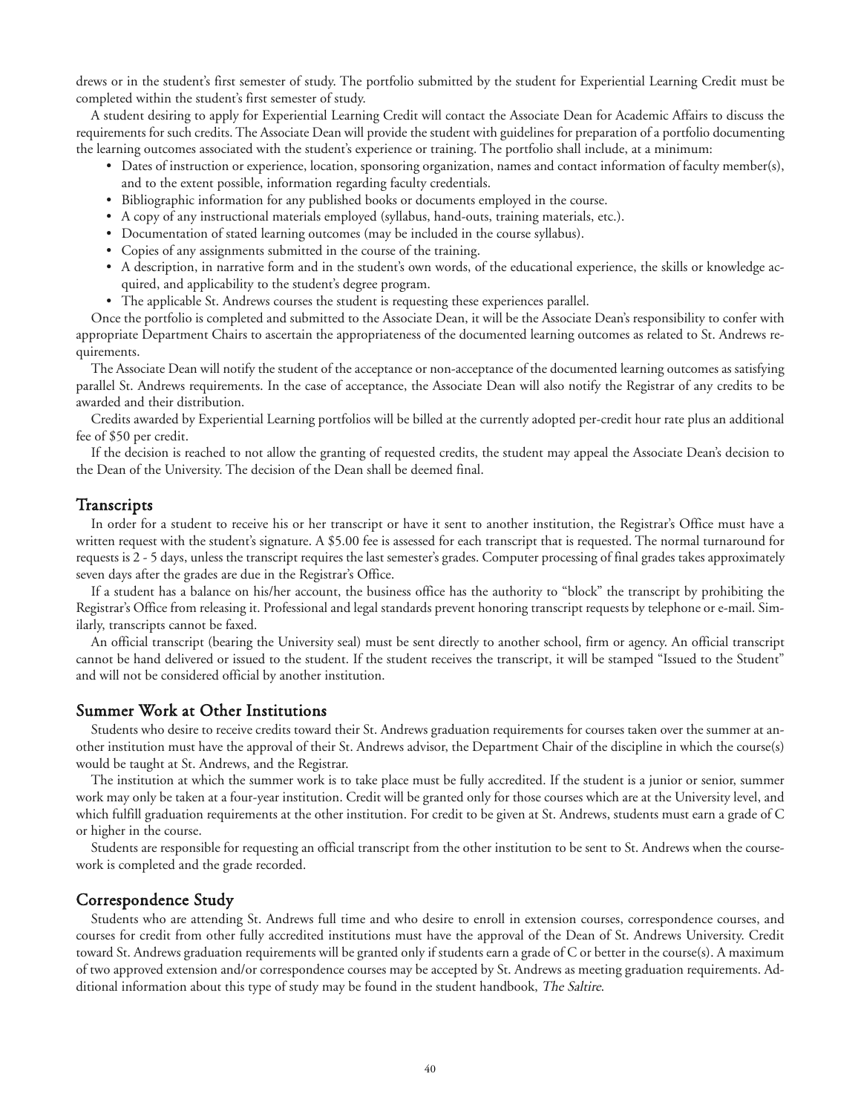drews or in the student's first semester of study. The portfolio submitted by the student for Experiential Learning Credit must be completed within the student's first semester of study.

A student desiring to apply for Experiential Learning Credit will contact the Associate Dean for Academic Affairs to discuss the requirements for such credits. The Associate Dean will provide the student with guidelines for preparation of a portfolio documenting the learning outcomes associated with the student's experience or training. The portfolio shall include, at a minimum:

- Dates of instruction or experience, location, sponsoring organization, names and contact information of faculty member(s), and to the extent possible, information regarding faculty credentials.
- Bibliographic information for any published books or documents employed in the course.
- A copy of any instructional materials employed (syllabus, hand-outs, training materials, etc.).
- Documentation of stated learning outcomes (may be included in the course syllabus).
- Copies of any assignments submitted in the course of the training.
- A description, in narrative form and in the student's own words, of the educational experience, the skills or knowledge acquired, and applicability to the student's degree program.
- The applicable St. Andrews courses the student is requesting these experiences parallel.

Once the portfolio is completed and submitted to the Associate Dean, it will be the Associate Dean's responsibility to confer with appropriate Department Chairs to ascertain the appropriateness of the documented learning outcomes as related to St. Andrews requirements.

The Associate Dean will notify the student of the acceptance or non-acceptance of the documented learning outcomes as satisfying parallel St. Andrews requirements. In the case of acceptance, the Associate Dean will also notify the Registrar of any credits to be awarded and their distribution.

Credits awarded by Experiential Learning portfolios will be billed at the currently adopted per-credit hour rate plus an additional fee of \$50 per credit.

If the decision is reached to not allow the granting of requested credits, the student may appeal the Associate Dean's decision to the Dean of the University. The decision of the Dean shall be deemed final.

# **Transcripts**

In order for a student to receive his or her transcript or have it sent to another institution, the Registrar's Office must have a written request with the student's signature. A \$5.00 fee is assessed for each transcript that is requested. The normal turnaround for requests is 2 - 5 days, unless the transcript requires the last semester's grades. Computer processing of final grades takes approximately seven days after the grades are due in the Registrar's Office.

If a student has a balance on his/her account, the business office has the authority to "block" the transcript by prohibiting the Registrar's Office from releasing it. Professional and legal standards prevent honoring transcript requests by telephone or e-mail. Similarly, transcripts cannot be faxed.

An official transcript (bearing the University seal) must be sent directly to another school, firm or agency. An official transcript cannot be hand delivered or issued to the student. If the student receives the transcript, it will be stamped "Issued to the Student" and will not be considered official by another institution.

# Summer Work at Other Institutions

Students who desire to receive credits toward their St. Andrews graduation requirements for courses taken over the summer at another institution must have the approval of their St. Andrews advisor, the Department Chair of the discipline in which the course(s) would be taught at St. Andrews, and the Registrar.

The institution at which the summer work is to take place must be fully accredited. If the student is a junior or senior, summer work may only be taken at a four-year institution. Credit will be granted only for those courses which are at the University level, and which fulfill graduation requirements at the other institution. For credit to be given at St. Andrews, students must earn a grade of C or higher in the course.

Students are responsible for requesting an official transcript from the other institution to be sent to St. Andrews when the coursework is completed and the grade recorded.

# Correspondence Study

Students who are attending St. Andrews full time and who desire to enroll in extension courses, correspondence courses, and courses for credit from other fully accredited institutions must have the approval of the Dean of St. Andrews University. Credit toward St. Andrews graduation requirements will be granted only if students earn a grade of C or better in the course(s). A maximum of two approved extension and/or correspondence courses may be accepted by St. Andrews as meeting graduation requirements. Additional information about this type of study may be found in the student handbook, The Saltire.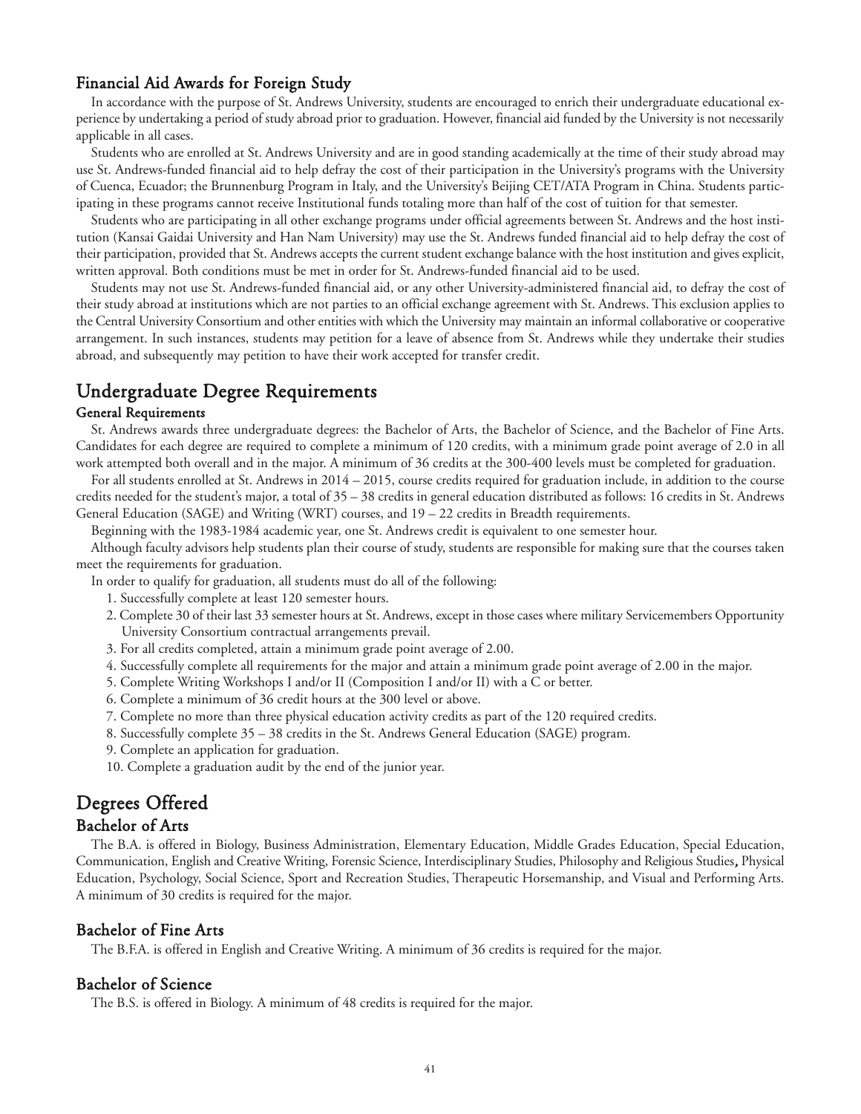# Financial Aid Awards for Foreign Study

In accordance with the purpose of St. Andrews University, students are encouraged to enrich their undergraduate educational experience by undertaking a period of study abroad prior to graduation. However, financial aid funded by the University is not necessarily applicable in all cases.

Students who are enrolled at St. Andrews University and are in good standing academically at the time of their study abroad may use St. Andrews-funded financial aid to help defray the cost of their participation in the University's programs with the University of Cuenca, Ecuador; the Brunnenburg Program in Italy, and the University's Beijing CET/ATA Program in China. Students participating in these programs cannot receive Institutional funds totaling more than half of the cost of tuition for that semester.

Students who are participating in all other exchange programs under official agreements between St. Andrews and the host institution (Kansai Gaidai University and Han Nam University) may use the St. Andrews funded financial aid to help defray the cost of their participation, provided that St. Andrews accepts the current student exchange balance with the host institution and gives explicit, written approval. Both conditions must be met in order for St. Andrews-funded financial aid to be used.

Students may not use St. Andrews-funded financial aid, or any other University-administered financial aid, to defray the cost of their study abroad at institutions which are not parties to an official exchange agreement with St. Andrews. This exclusion applies to the Central University Consortium and other entities with which the University may maintain an informal collaborative or cooperative arrangement. In such instances, students may petition for a leave of absence from St. Andrews while they undertake their studies abroad, and subsequently may petition to have their work accepted for transfer credit.

# Undergraduate Degree Requirements

#### General Requirements

St. Andrews awards three undergraduate degrees: the Bachelor of Arts, the Bachelor of Science, and the Bachelor of Fine Arts. Candidates for each degree are required to complete a minimum of 120 credits, with a minimum grade point average of 2.0 in all work attempted both overall and in the major. A minimum of 36 credits at the 300-400 levels must be completed for graduation.

For all students enrolled at St. Andrews in 2014 – 2015, course credits required for graduation include, in addition to the course credits needed for the student's major, a total of 35 – 38 credits in general education distributed as follows: 16 credits in St. Andrews General Education (SAGE) and Writing (WRT) courses, and 19 – 22 credits in Breadth requirements.

Beginning with the 1983-1984 academic year, one St. Andrews credit is equivalent to one semester hour.

Although faculty advisors help students plan their course of study, students are responsible for making sure that the courses taken meet the requirements for graduation.

In order to qualify for graduation, all students must do all of the following:

- 1. Successfully complete at least 120 semester hours.
- 2. Complete 30 of their last 33 semester hours at St. Andrews, except in those cases where military Servicemembers Opportunity University Consortium contractual arrangements prevail.
- 3. For all credits completed, attain a minimum grade point average of 2.00.
- 4. Successfully complete all requirements for the major and attain a minimum grade point average of 2.00 in the major.
- 5. Complete Writing Workshops I and/or II (Composition I and/or II) with a C or better.
- 6. Complete a minimum of 36 credit hours at the 300 level or above.
- 7. Complete no more than three physical education activity credits as part of the 120 required credits.
- 8. Successfully complete 35 38 credits in the St. Andrews General Education (SAGE) program.
- 9. Complete an application for graduation.
- 10. Complete a graduation audit by the end of the junior year.

# Degrees Offered

# Bachelor of Arts

The B.A. is offered in Biology, Business Administration, Elementary Education, Middle Grades Education, Special Education, Communication, English and Creative Writing, Forensic Science, Interdisciplinary Studies, Philosophy and Religious Studies, Physical Education, Psychology, Social Science, Sport and Recreation Studies, Therapeutic Horsemanship, and Visual and Performing Arts. A minimum of 30 credits is required for the major.

# Bachelor of Fine Arts

The B.F.A. is offered in English and Creative Writing. A minimum of 36 credits is required for the major.

# Bachelor of Science

The B.S. is offered in Biology. A minimum of 48 credits is required for the major.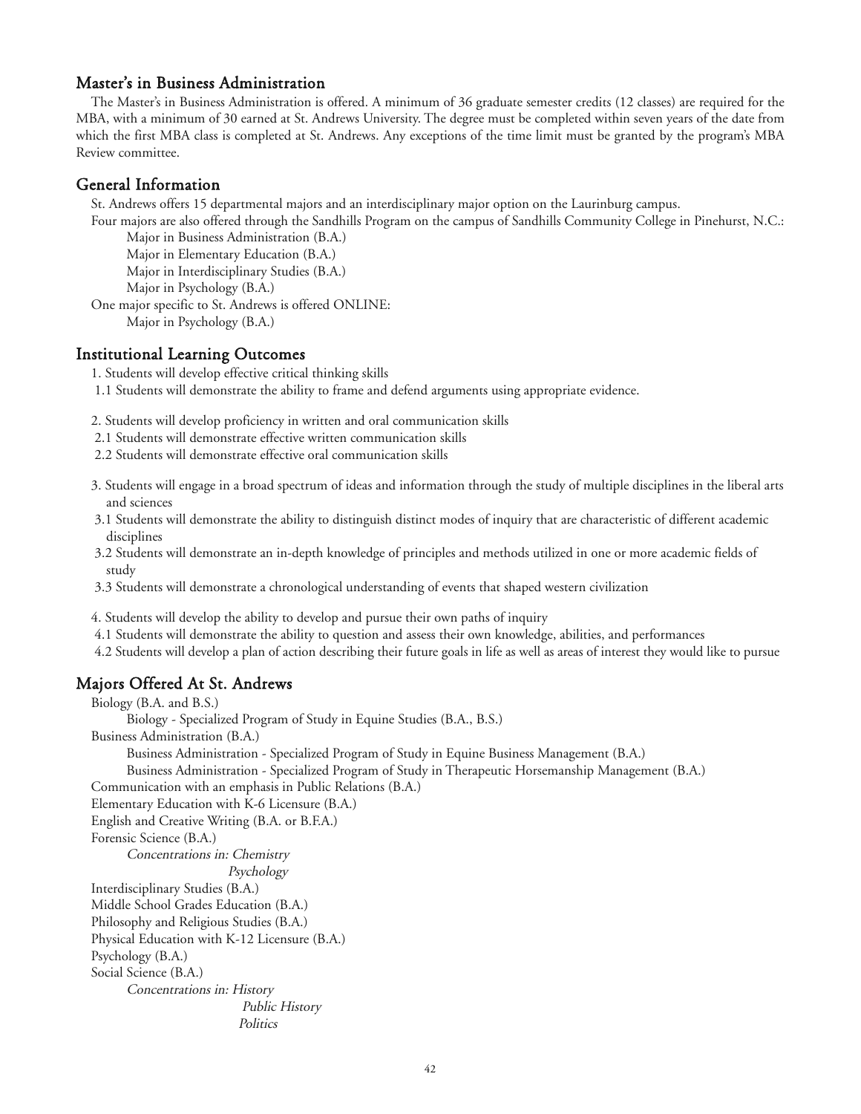# Master's in Business Administration

The Master's in Business Administration is offered. A minimum of 36 graduate semester credits (12 classes) are required for the MBA, with a minimum of 30 earned at St. Andrews University. The degree must be completed within seven years of the date from which the first MBA class is completed at St. Andrews. Any exceptions of the time limit must be granted by the program's MBA Review committee.

# General Information

St. Andrews offers 15 departmental majors and an interdisciplinary major option on the Laurinburg campus.

Four majors are also offered through the Sandhills Program on the campus of Sandhills Community College in Pinehurst, N.C.: Major in Business Administration (B.A.)

Major in Elementary Education (B.A.)

Major in Interdisciplinary Studies (B.A.)

Major in Psychology (B.A.)

One major specific to St. Andrews is offered ONLINE:

Major in Psychology (B.A.)

# Institutional Learning Outcomes

1. Students will develop effective critical thinking skills

1.1 Students will demonstrate the ability to frame and defend arguments using appropriate evidence.

2. Students will develop proficiency in written and oral communication skills

- 2.1 Students will demonstrate effective written communication skills
- 2.2 Students will demonstrate effective oral communication skills
- 3. Students will engage in a broad spectrum of ideas and information through the study of multiple disciplines in the liberal arts and sciences
- 3.1 Students will demonstrate the ability to distinguish distinct modes of inquiry that are characteristic of different academic disciplines
- 3.2 Students will demonstrate an in-depth knowledge of principles and methods utilized in one or more academic fields of study
- 3.3 Students will demonstrate a chronological understanding of events that shaped western civilization

4. Students will develop the ability to develop and pursue their own paths of inquiry

- 4.1 Students will demonstrate the ability to question and assess their own knowledge, abilities, and performances
- 4.2 Students will develop a plan of action describing their future goals in life as well as areas of interest they would like to pursue

# Majors Offered At St. Andrews

Biology (B.A. and B.S.)

Biology - Specialized Program of Study in Equine Studies (B.A., B.S.)

Business Administration (B.A.)

Business Administration - Specialized Program of Study in Equine Business Management (B.A.)

Business Administration - Specialized Program of Study in Therapeutic Horsemanship Management (B.A.)

Communication with an emphasis in Public Relations (B.A.)

Elementary Education with K-6 Licensure (B.A.) English and Creative Writing (B.A. or B.F.A.) Forensic Science (B.A.)

Concentrations in: Chemistry Psychology

- Interdisciplinary Studies (B.A.)
- Middle School Grades Education (B.A.)
- Philosophy and Religious Studies (B.A.)

Physical Education with K-12 Licensure (B.A.)

Psychology (B.A.)

Social Science (B.A.)

Concentrations in: History Public History **Politics**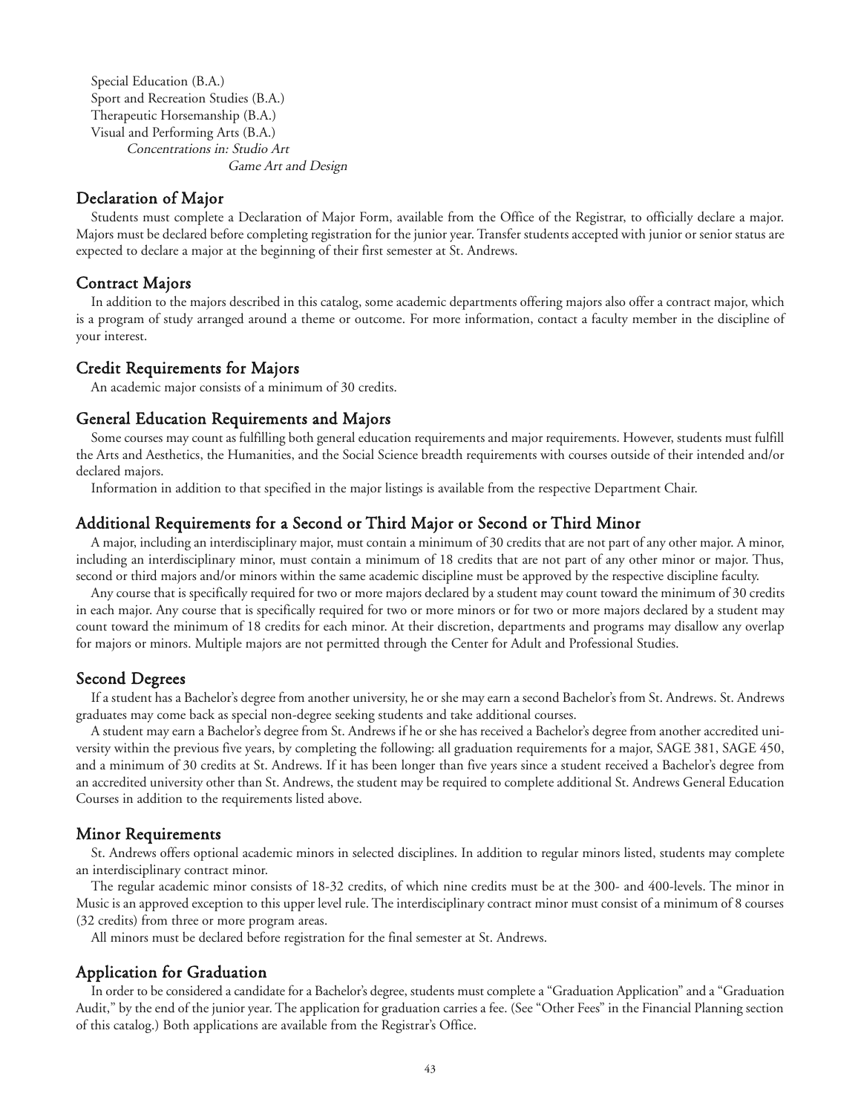Special Education (B.A.) Sport and Recreation Studies (B.A.) Therapeutic Horsemanship (B.A.) Visual and Performing Arts (B.A.) Concentrations in: Studio Art Game Art and Design

# Declaration of Major

Students must complete a Declaration of Major Form, available from the Office of the Registrar, to officially declare a major. Majors must be declared before completing registration for the junior year. Transfer students accepted with junior or senior status are expected to declare a major at the beginning of their first semester at St. Andrews.

# Contract Majors

In addition to the majors described in this catalog, some academic departments offering majors also offer a contract major, which is a program of study arranged around a theme or outcome. For more information, contact a faculty member in the discipline of your interest.

#### Credit Requirements for Majors

An academic major consists of a minimum of 30 credits.

# General Education Requirements and Majors

Some courses may count as fulfilling both general education requirements and major requirements. However, students must fulfill the Arts and Aesthetics, the Humanities, and the Social Science breadth requirements with courses outside of their intended and/or declared majors.

Information in addition to that specified in the major listings is available from the respective Department Chair.

# Additional Requirements for a Second or Third Major or Second or Third Minor

A major, including an interdisciplinary major, must contain a minimum of 30 credits that are not part of any other major. A minor, including an interdisciplinary minor, must contain a minimum of 18 credits that are not part of any other minor or major. Thus, second or third majors and/or minors within the same academic discipline must be approved by the respective discipline faculty.

Any course that is specifically required for two or more majors declared by a student may count toward the minimum of 30 credits in each major. Any course that is specifically required for two or more minors or for two or more majors declared by a student may count toward the minimum of 18 credits for each minor. At their discretion, departments and programs may disallow any overlap for majors or minors. Multiple majors are not permitted through the Center for Adult and Professional Studies.

# Second Degrees

If a student has a Bachelor's degree from another university, he or she may earn a second Bachelor's from St. Andrews. St. Andrews graduates may come back as special non-degree seeking students and take additional courses.

A student may earn a Bachelor's degree from St. Andrews if he or she has received a Bachelor's degree from another accredited university within the previous five years, by completing the following: all graduation requirements for a major, SAGE 381, SAGE 450, and a minimum of 30 credits at St. Andrews. If it has been longer than five years since a student received a Bachelor's degree from an accredited university other than St. Andrews, the student may be required to complete additional St. Andrews General Education Courses in addition to the requirements listed above.

# Minor Requirements

St. Andrews offers optional academic minors in selected disciplines. In addition to regular minors listed, students may complete an interdisciplinary contract minor.

The regular academic minor consists of 18-32 credits, of which nine credits must be at the 300- and 400-levels. The minor in Music is an approved exception to this upper level rule. The interdisciplinary contract minor must consist of a minimum of 8 courses (32 credits) from three or more program areas.

All minors must be declared before registration for the final semester at St. Andrews.

# Application for Graduation

In order to be considered a candidate for a Bachelor's degree, students must complete a "Graduation Application" and a "Graduation Audit," by the end of the junior year. The application for graduation carries a fee. (See "Other Fees" in the Financial Planning section of this catalog.) Both applications are available from the Registrar's Office.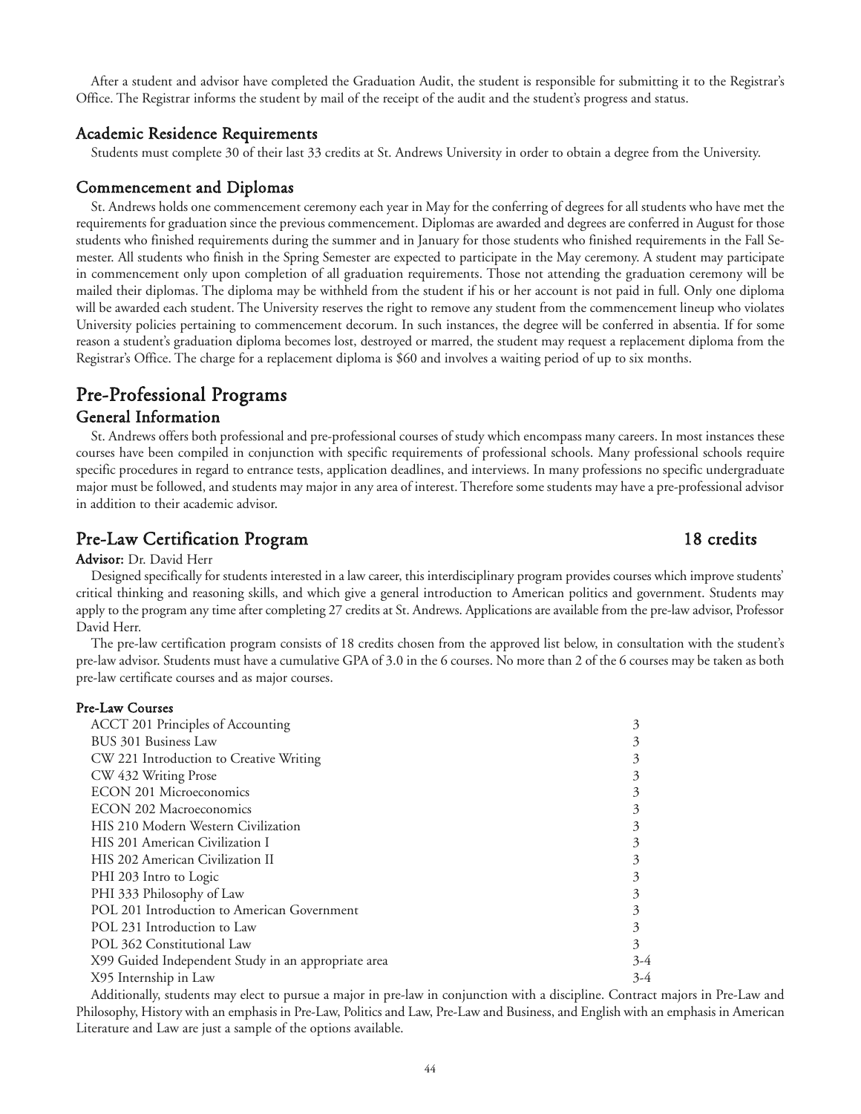After a student and advisor have completed the Graduation Audit, the student is responsible for submitting it to the Registrar's Office. The Registrar informs the student by mail of the receipt of the audit and the student's progress and status.

# Academic Residence Requirements

Students must complete 30 of their last 33 credits at St. Andrews University in order to obtain a degree from the University.

#### Commencement and Diplomas

St. Andrews holds one commencement ceremony each year in May for the conferring of degrees for all students who have met the requirements for graduation since the previous commencement. Diplomas are awarded and degrees are conferred in August for those students who finished requirements during the summer and in January for those students who finished requirements in the Fall Semester. All students who finish in the Spring Semester are expected to participate in the May ceremony. A student may participate in commencement only upon completion of all graduation requirements. Those not attending the graduation ceremony will be mailed their diplomas. The diploma may be withheld from the student if his or her account is not paid in full. Only one diploma will be awarded each student. The University reserves the right to remove any student from the commencement lineup who violates University policies pertaining to commencement decorum. In such instances, the degree will be conferred in absentia. If for some reason a student's graduation diploma becomes lost, destroyed or marred, the student may request a replacement diploma from the Registrar's Office. The charge for a replacement diploma is \$60 and involves a waiting period of up to six months.

# Pre-Professional Programs

# General Information

St. Andrews offers both professional and pre-professional courses of study which encompass many careers. In most instances these courses have been compiled in conjunction with specific requirements of professional schools. Many professional schools require specific procedures in regard to entrance tests, application deadlines, and interviews. In many professions no specific undergraduate major must be followed, and students may major in any area of interest. Therefore some students may have a pre-professional advisor in addition to their academic advisor.

# Pre-Law Certification Program 18 credits

#### Advisor: Dr. David Herr

Designed specifically for students interested in a law career, this interdisciplinary program provides courses which improve students' critical thinking and reasoning skills, and which give a general introduction to American politics and government. Students may apply to the program any time after completing 27 credits at St. Andrews. Applications are available from the pre-law advisor, Professor David Herr.

The pre-law certification program consists of 18 credits chosen from the approved list below, in consultation with the student's pre-law advisor. Students must have a cumulative GPA of 3.0 in the 6 courses. No more than 2 of the 6 courses may be taken as both pre-law certificate courses and as major courses.

# Pre-Law Courses

| ACCT 201 Principles of Accounting                   | 3     |
|-----------------------------------------------------|-------|
| BUS 301 Business Law                                |       |
| CW 221 Introduction to Creative Writing             |       |
| CW 432 Writing Prose                                |       |
| <b>ECON 201 Microeconomics</b>                      |       |
| ECON 202 Macroeconomics                             |       |
| HIS 210 Modern Western Civilization                 |       |
| HIS 201 American Civilization I                     |       |
| HIS 202 American Civilization II                    |       |
| PHI 203 Intro to Logic                              |       |
| PHI 333 Philosophy of Law                           |       |
| POL 201 Introduction to American Government         |       |
| POL 231 Introduction to Law                         |       |
| POL 362 Constitutional Law                          | 3     |
| X99 Guided Independent Study in an appropriate area | $3-4$ |
| X95 Internship in Law                               | 3-4   |
|                                                     |       |

Additionally, students may elect to pursue a major in pre-law in conjunction with a discipline. Contract majors in Pre-Law and Philosophy, History with an emphasis in Pre-Law, Politics and Law, Pre-Law and Business, and English with an emphasis in American Literature and Law are just a sample of the options available.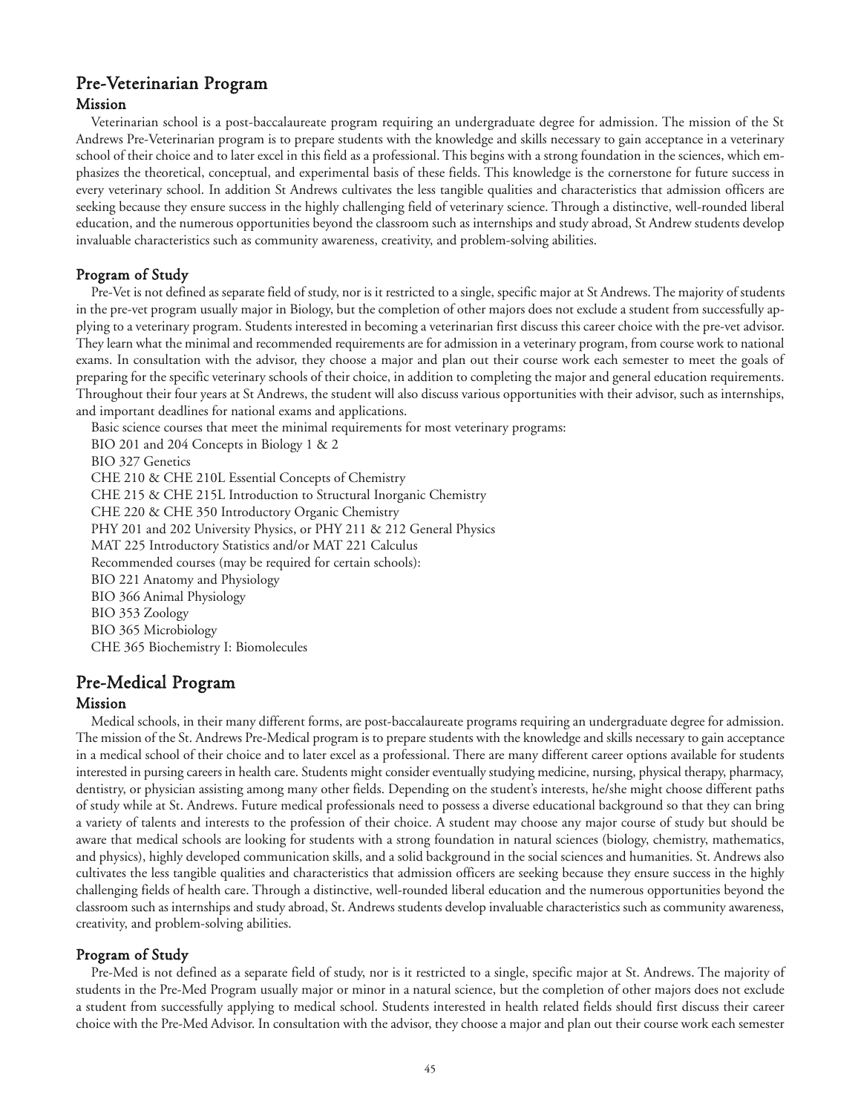# Pre-Veterinarian Program Mission

Veterinarian school is a post-baccalaureate program requiring an undergraduate degree for admission. The mission of the St Andrews Pre-Veterinarian program is to prepare students with the knowledge and skills necessary to gain acceptance in a veterinary school of their choice and to later excel in this field as a professional. This begins with a strong foundation in the sciences, which emphasizes the theoretical, conceptual, and experimental basis of these fields. This knowledge is the cornerstone for future success in every veterinary school. In addition St Andrews cultivates the less tangible qualities and characteristics that admission officers are seeking because they ensure success in the highly challenging field of veterinary science. Through a distinctive, well-rounded liberal education, and the numerous opportunities beyond the classroom such as internships and study abroad, St Andrew students develop invaluable characteristics such as community awareness, creativity, and problem-solving abilities.

# Program of Study

Pre-Vet is not defined as separate field of study, nor is it restricted to a single, specific major at St Andrews. The majority of students in the pre-vet program usually major in Biology, but the completion of other majors does not exclude a student from successfully applying to a veterinary program. Students interested in becoming a veterinarian first discuss this career choice with the pre-vet advisor. They learn what the minimal and recommended requirements are for admission in a veterinary program, from course work to national exams. In consultation with the advisor, they choose a major and plan out their course work each semester to meet the goals of preparing for the specific veterinary schools of their choice, in addition to completing the major and general education requirements. Throughout their four years at St Andrews, the student will also discuss various opportunities with their advisor, such as internships, and important deadlines for national exams and applications.

Basic science courses that meet the minimal requirements for most veterinary programs:

BIO 201 and 204 Concepts in Biology 1 & 2 BIO 327 Genetics CHE 210 & CHE 210L Essential Concepts of Chemistry CHE 215 & CHE 215L Introduction to Structural Inorganic Chemistry CHE 220 & CHE 350 Introductory Organic Chemistry PHY 201 and 202 University Physics, or PHY 211 & 212 General Physics MAT 225 Introductory Statistics and/or MAT 221 Calculus Recommended courses (may be required for certain schools): BIO 221 Anatomy and Physiology BIO 366 Animal Physiology BIO 353 Zoology BIO 365 Microbiology CHE 365 Biochemistry I: Biomolecules

# Pre-Medical Program

# Mission

Medical schools, in their many different forms, are post-baccalaureate programs requiring an undergraduate degree for admission. The mission of the St. Andrews Pre-Medical program is to prepare students with the knowledge and skills necessary to gain acceptance in a medical school of their choice and to later excel as a professional. There are many different career options available for students interested in pursing careers in health care. Students might consider eventually studying medicine, nursing, physical therapy, pharmacy, dentistry, or physician assisting among many other fields. Depending on the student's interests, he/she might choose different paths of study while at St. Andrews. Future medical professionals need to possess a diverse educational background so that they can bring a variety of talents and interests to the profession of their choice. A student may choose any major course of study but should be aware that medical schools are looking for students with a strong foundation in natural sciences (biology, chemistry, mathematics, and physics), highly developed communication skills, and a solid background in the social sciences and humanities. St. Andrews also cultivates the less tangible qualities and characteristics that admission officers are seeking because they ensure success in the highly challenging fields of health care. Through a distinctive, well-rounded liberal education and the numerous opportunities beyond the classroom such as internships and study abroad, St. Andrews students develop invaluable characteristics such as community awareness, creativity, and problem-solving abilities.

# Program of Study

Pre-Med is not defined as a separate field of study, nor is it restricted to a single, specific major at St. Andrews. The majority of students in the Pre-Med Program usually major or minor in a natural science, but the completion of other majors does not exclude a student from successfully applying to medical school. Students interested in health related fields should first discuss their career choice with the Pre-Med Advisor. In consultation with the advisor, they choose a major and plan out their course work each semester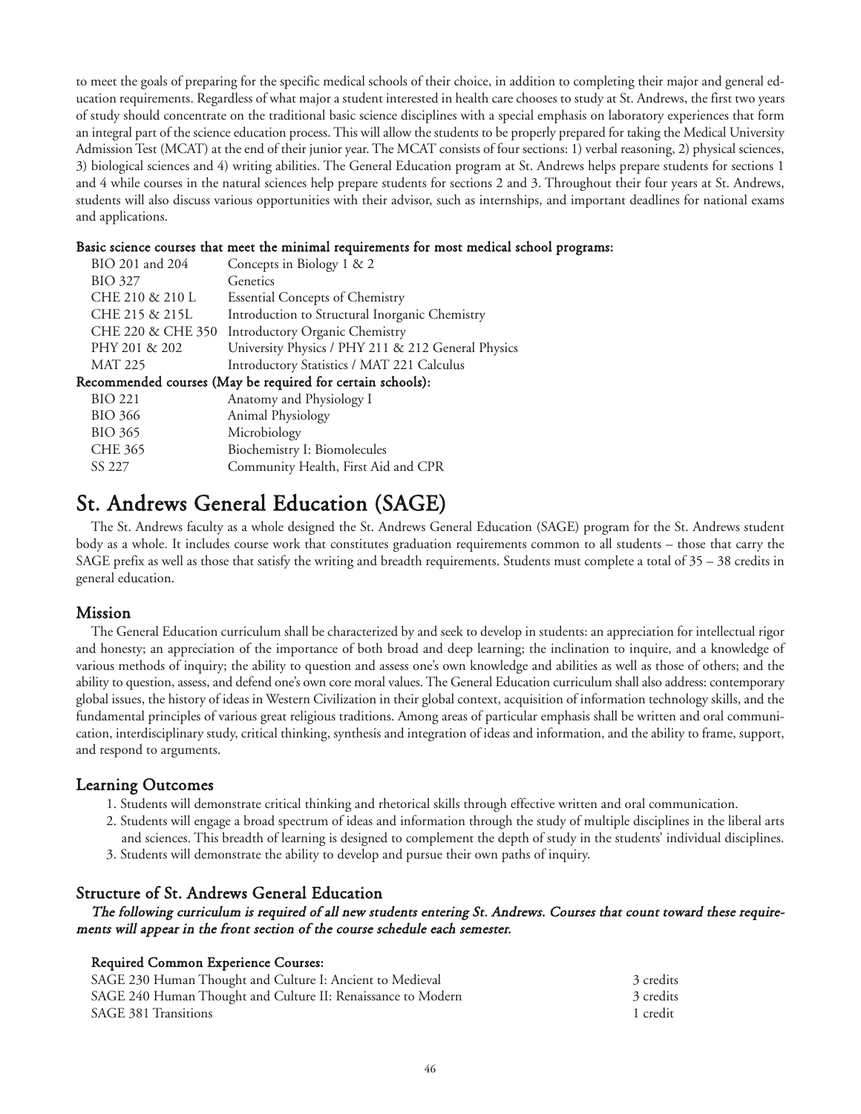to meet the goals of preparing for the specific medical schools of their choice, in addition to completing their major and general education requirements. Regardless of what major a student interested in health care chooses to study at St. Andrews, the first two years of study should concentrate on the traditional basic science disciplines with a special emphasis on laboratory experiences that form an integral part of the science education process. This will allow the students to be properly prepared for taking the Medical University Admission Test (MCAT) at the end of their junior year. The MCAT consists of four sections: 1) verbal reasoning, 2) physical sciences, 3) biological sciences and 4) writing abilities. The General Education program at St. Andrews helps prepare students for sections 1 and 4 while courses in the natural sciences help prepare students for sections 2 and 3. Throughout their four years at St. Andrews, students will also discuss various opportunities with their advisor, such as internships, and important deadlines for national exams and applications.

#### Basic science courses that meet the minimal requirements for most medical school programs:

| BIO 201 and 204                                            | Concepts in Biology 1 & 2                          |  |
|------------------------------------------------------------|----------------------------------------------------|--|
| <b>BIO 327</b>                                             | Genetics                                           |  |
| CHE 210 & 210 L                                            | <b>Essential Concepts of Chemistry</b>             |  |
| CHE 215 & 215L                                             | Introduction to Structural Inorganic Chemistry     |  |
|                                                            | CHE 220 & CHE 350 Introductory Organic Chemistry   |  |
| PHY 201 & 202                                              | University Physics / PHY 211 & 212 General Physics |  |
| <b>MAT 225</b>                                             | Introductory Statistics / MAT 221 Calculus         |  |
| Recommended courses (May be required for certain schools): |                                                    |  |
| <b>BIO 221</b>                                             | Anatomy and Physiology I                           |  |
| <b>BIO 366</b>                                             | Animal Physiology                                  |  |
| <b>BIO 365</b>                                             | Microbiology                                       |  |
| <b>CHE 365</b>                                             | Biochemistry I: Biomolecules                       |  |
| SS 227                                                     | Community Health, First Aid and CPR                |  |

# St. Andrews General Education (SAGE)

The St. Andrews faculty as a whole designed the St. Andrews General Education (SAGE) program for the St. Andrews student body as a whole. It includes course work that constitutes graduation requirements common to all students – those that carry the SAGE prefix as well as those that satisfy the writing and breadth requirements. Students must complete a total of 35 – 38 credits in general education.

# Mission

The General Education curriculum shall be characterized by and seek to develop in students: an appreciation for intellectual rigor and honesty; an appreciation of the importance of both broad and deep learning; the inclination to inquire, and a knowledge of various methods of inquiry; the ability to question and assess one's own knowledge and abilities as well as those of others; and the ability to question, assess, and defend one's own core moral values. The General Education curriculum shall also address: contemporary global issues, the history of ideas in Western Civilization in their global context, acquisition of information technology skills, and the fundamental principles of various great religious traditions. Among areas of particular emphasis shall be written and oral communication, interdisciplinary study, critical thinking, synthesis and integration of ideas and information, and the ability to frame, support, and respond to arguments.

# Learning Outcomes

- 1. Students will demonstrate critical thinking and rhetorical skills through effective written and oral communication.
- 2. Students will engage a broad spectrum of ideas and information through the study of multiple disciplines in the liberal arts and sciences. This breadth of learning is designed to complement the depth of study in the students' individual disciplines.
- 3. Students will demonstrate the ability to develop and pursue their own paths of inquiry.

# Structure of St. Andrews General Education

The following curriculum is required of all new students entering St. Andrews. Courses that count toward these requirements will appear in the front section of the course schedule each semester.

# Required Common Experience Courses:

| SAGE 230 Human Thought and Culture I: Ancient to Medieval    | 3 credits |
|--------------------------------------------------------------|-----------|
| SAGE 240 Human Thought and Culture II: Renaissance to Modern | 3 credits |
| <b>SAGE 381 Transitions</b>                                  | 1 credit  |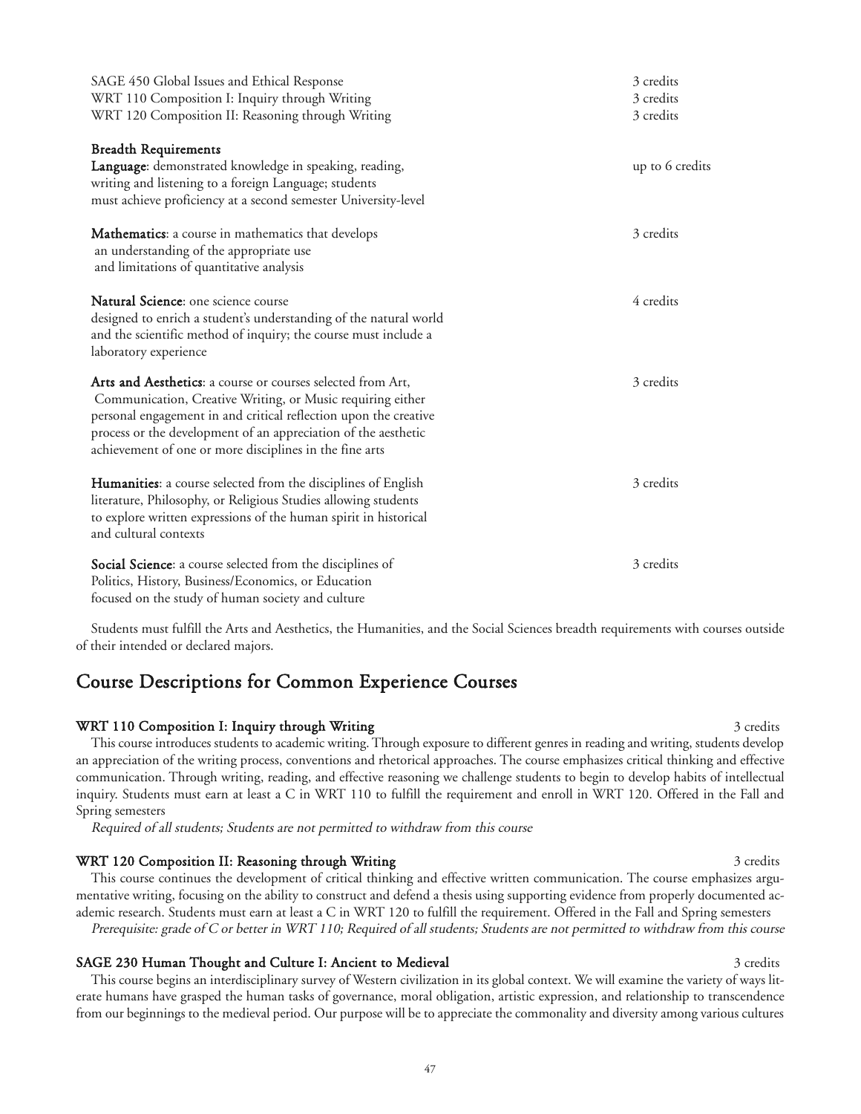| SAGE 450 Global Issues and Ethical Response<br>WRT 110 Composition I: Inquiry through Writing<br>WRT 120 Composition II: Reasoning through Writing                                                                                                                                                                         | 3 credits<br>3 credits<br>3 credits |
|----------------------------------------------------------------------------------------------------------------------------------------------------------------------------------------------------------------------------------------------------------------------------------------------------------------------------|-------------------------------------|
| <b>Breadth Requirements</b><br>Language: demonstrated knowledge in speaking, reading,<br>writing and listening to a foreign Language; students<br>must achieve proficiency at a second semester University-level                                                                                                           | up to 6 credits                     |
| <b>Mathematics:</b> a course in mathematics that develops<br>an understanding of the appropriate use<br>and limitations of quantitative analysis                                                                                                                                                                           | 3 credits                           |
| Natural Science: one science course<br>designed to enrich a student's understanding of the natural world<br>and the scientific method of inquiry; the course must include a<br>laboratory experience                                                                                                                       | 4 credits                           |
| Arts and Aesthetics: a course or courses selected from Art,<br>Communication, Creative Writing, or Music requiring either<br>personal engagement in and critical reflection upon the creative<br>process or the development of an appreciation of the aesthetic<br>achievement of one or more disciplines in the fine arts | 3 credits                           |
| Humanities: a course selected from the disciplines of English<br>literature, Philosophy, or Religious Studies allowing students<br>to explore written expressions of the human spirit in historical<br>and cultural contexts                                                                                               | 3 credits                           |
| Social Science: a course selected from the disciplines of<br>Politics, History, Business/Economics, or Education<br>focused on the study of human society and culture                                                                                                                                                      | 3 credits                           |

Students must fulfill the Arts and Aesthetics, the Humanities, and the Social Sciences breadth requirements with courses outside of their intended or declared majors.

# Course Descriptions for Common Experience Courses

# WRT 110 Composition I: Inquiry through Writing 3 credits 3 credits 3 credits

This course introduces students to academic writing. Through exposure to different genres in reading and writing, students develop an appreciation of the writing process, conventions and rhetorical approaches. The course emphasizes critical thinking and effective communication. Through writing, reading, and effective reasoning we challenge students to begin to develop habits of intellectual inquiry. Students must earn at least a C in WRT 110 to fulfill the requirement and enroll in WRT 120. Offered in the Fall and Spring semesters

Required of all students; Students are not permitted to withdraw from this course

# WRT 120 Composition II: Reasoning through Writing 3 credits 3 credits 3 credits

This course continues the development of critical thinking and effective written communication. The course emphasizes argumentative writing, focusing on the ability to construct and defend a thesis using supporting evidence from properly documented academic research. Students must earn at least a C in WRT 120 to fulfill the requirement. Offered in the Fall and Spring semesters Prerequisite: grade of C or better in WRT 110; Required of all students; Students are not permitted to withdraw from this course

#### SAGE 230 Human Thought and Culture I: Ancient to Medieval 3 credits 3 credits 3 credits

This course begins an interdisciplinary survey of Western civilization in its global context. We will examine the variety of ways literate humans have grasped the human tasks of governance, moral obligation, artistic expression, and relationship to transcendence from our beginnings to the medieval period. Our purpose will be to appreciate the commonality and diversity among various cultures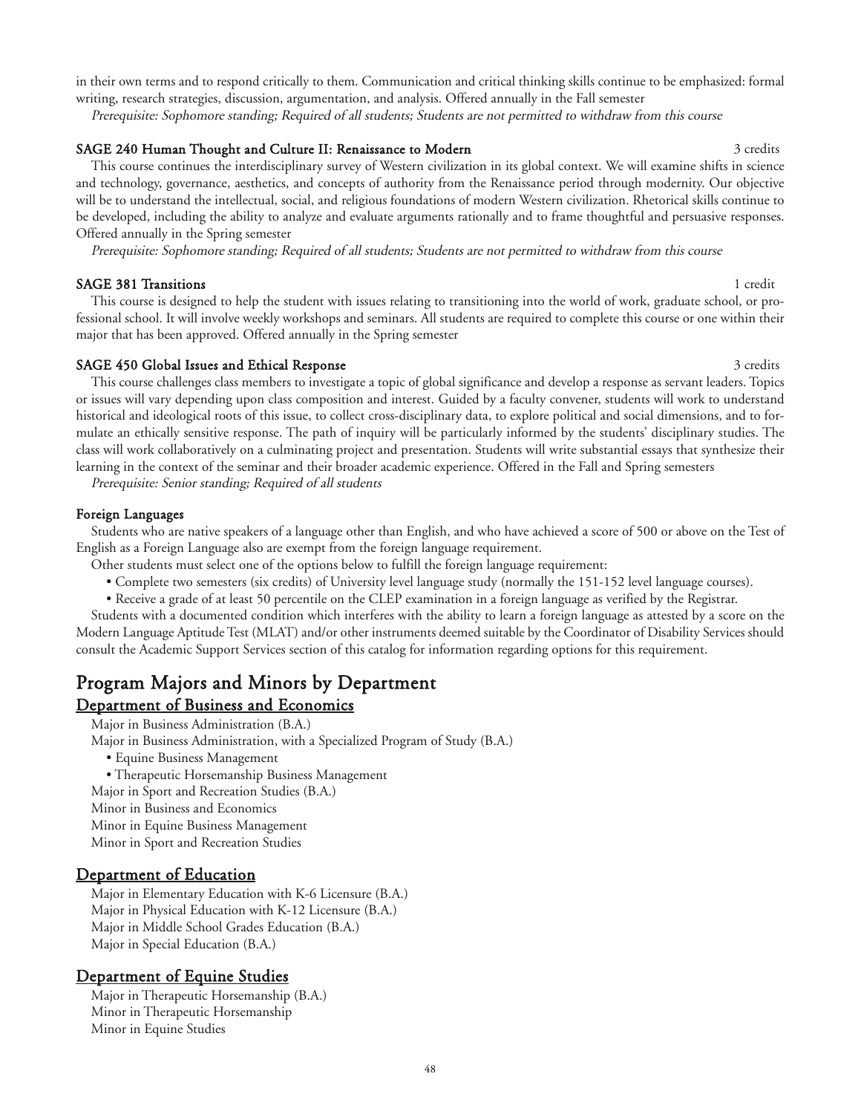in their own terms and to respond critically to them. Communication and critical thinking skills continue to be emphasized: formal writing, research strategies, discussion, argumentation, and analysis. Offered annually in the Fall semester

Prerequisite: Sophomore standing; Required of all students; Students are not permitted to withdraw from this course

#### SAGE 240 Human Thought and Culture II: Renaissance to Modern 3 credits 3 credits

This course continues the interdisciplinary survey of Western civilization in its global context. We will examine shifts in science and technology, governance, aesthetics, and concepts of authority from the Renaissance period through modernity. Our objective will be to understand the intellectual, social, and religious foundations of modern Western civilization. Rhetorical skills continue to be developed, including the ability to analyze and evaluate arguments rationally and to frame thoughtful and persuasive responses. Offered annually in the Spring semester

Prerequisite: Sophomore standing; Required of all students; Students are not permitted to withdraw from this course

#### SAGE 381 Transitions 1 credit

This course is designed to help the student with issues relating to transitioning into the world of work, graduate school, or professional school. It will involve weekly workshops and seminars. All students are required to complete this course or one within their major that has been approved. Offered annually in the Spring semester

#### SAGE 450 Global Issues and Ethical Response 3 credits 3 credits 3 credits

This course challenges class members to investigate a topic of global significance and develop a response as servant leaders. Topics or issues will vary depending upon class composition and interest. Guided by a faculty convener, students will work to understand historical and ideological roots of this issue, to collect cross-disciplinary data, to explore political and social dimensions, and to formulate an ethically sensitive response. The path of inquiry will be particularly informed by the students' disciplinary studies. The class will work collaboratively on a culminating project and presentation. Students will write substantial essays that synthesize their learning in the context of the seminar and their broader academic experience. Offered in the Fall and Spring semesters

Prerequisite: Senior standing; Required of all students

#### Foreign Languages

Students who are native speakers of a language other than English, and who have achieved a score of 500 or above on the Test of English as a Foreign Language also are exempt from the foreign language requirement.

Other students must select one of the options below to fulfill the foreign language requirement:

- Complete two semesters (six credits) of University level language study (normally the 151-152 level language courses).
- Receive a grade of at least 50 percentile on the CLEP examination in a foreign language as verified by the Registrar.

Students with a documented condition which interferes with the ability to learn a foreign language as attested by a score on the Modern Language Aptitude Test (MLAT) and/or other instruments deemed suitable by the Coordinator of Disability Services should consult the Academic Support Services section of this catalog for information regarding options for this requirement.

# Program Majors and Minors by Department

# Department of Business and Economics

- Major in Business Administration (B.A.)
- Major in Business Administration, with a Specialized Program of Study (B.A.)
	- Equine Business Management
	- Therapeutic Horsemanship Business Management
- Major in Sport and Recreation Studies (B.A.) Minor in Business and Economics
- Minor in Equine Business Management
- Minor in Sport and Recreation Studies

# Department of Education

Major in Elementary Education with K-6 Licensure (B.A.) Major in Physical Education with K-12 Licensure (B.A.) Major in Middle School Grades Education (B.A.) Major in Special Education (B.A.)

# Department of Equine Studies

Major in Therapeutic Horsemanship (B.A.) Minor in Therapeutic Horsemanship Minor in Equine Studies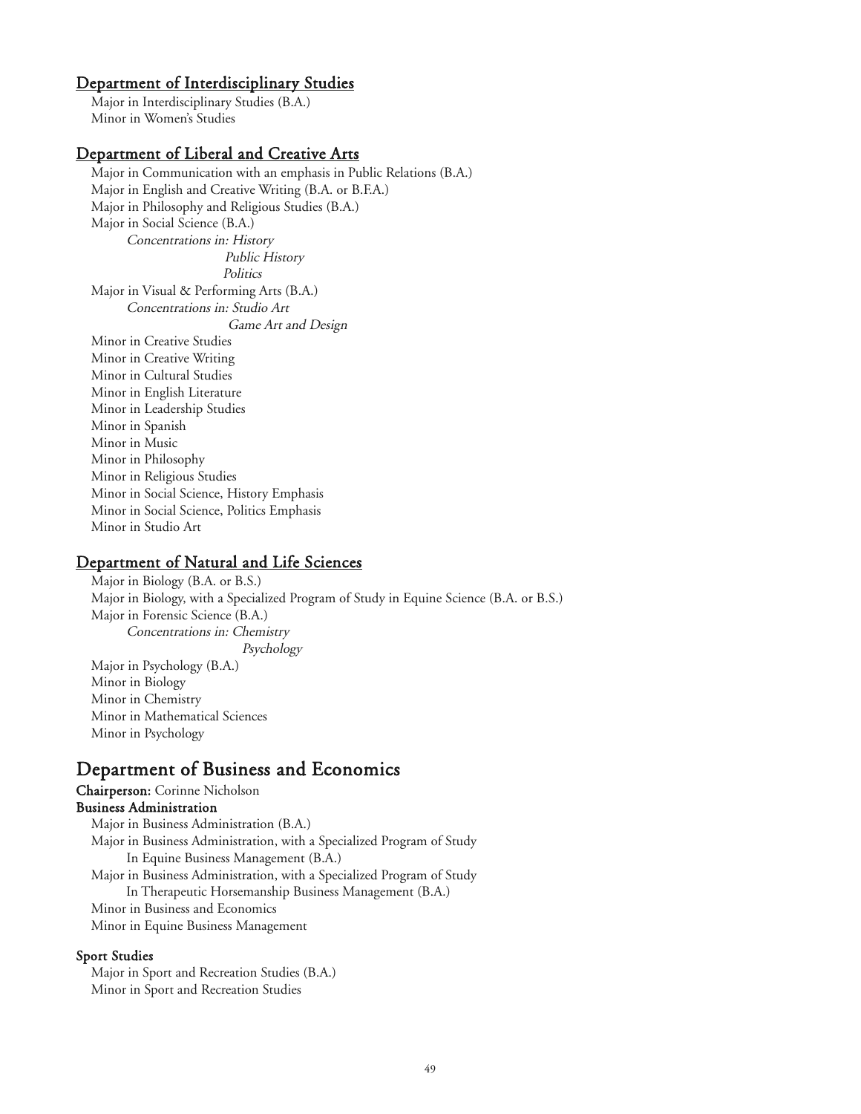# Department of Interdisciplinary Studies

Major in Interdisciplinary Studies (B.A.) Minor in Women's Studies

# Department of Liberal and Creative Arts

Major in Communication with an emphasis in Public Relations (B.A.) Major in English and Creative Writing (B.A. or B.F.A.) Major in Philosophy and Religious Studies (B.A.) Major in Social Science (B.A.) Concentrations in: History Public History **Politics** Major in Visual & Performing Arts (B.A.) Concentrations in: Studio Art Game Art and Design Minor in Creative Studies Minor in Creative Writing Minor in Cultural Studies Minor in English Literature Minor in Leadership Studies Minor in Spanish Minor in Music Minor in Philosophy Minor in Religious Studies Minor in Social Science, History Emphasis Minor in Social Science, Politics Emphasis Minor in Studio Art

# Department of Natural and Life Sciences

Major in Biology (B.A. or B.S.) Major in Biology, with a Specialized Program of Study in Equine Science (B.A. or B.S.) Major in Forensic Science (B.A.) Concentrations in: Chemistry Psychology Major in Psychology (B.A.) Minor in Biology Minor in Chemistry Minor in Mathematical Sciences Minor in Psychology

# Department of Business and Economics

Chairperson: Corinne Nicholson Business Administration

Major in Business Administration (B.A.) Major in Business Administration, with a Specialized Program of Study In Equine Business Management (B.A.) Major in Business Administration, with a Specialized Program of Study In Therapeutic Horsemanship Business Management (B.A.) Minor in Business and Economics Minor in Equine Business Management

#### Sport Studies

Major in Sport and Recreation Studies (B.A.) Minor in Sport and Recreation Studies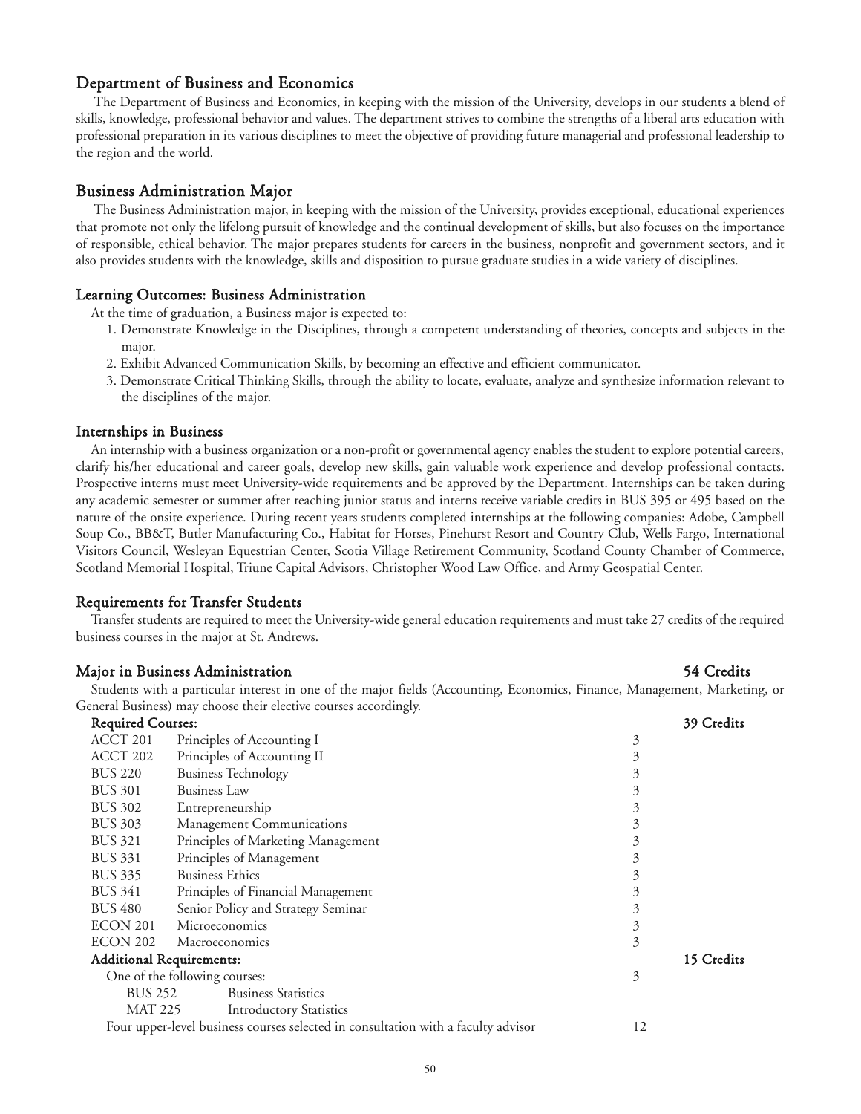# Department of Business and Economics

The Department of Business and Economics, in keeping with the mission of the University, develops in our students a blend of skills, knowledge, professional behavior and values. The department strives to combine the strengths of a liberal arts education with professional preparation in its various disciplines to meet the objective of providing future managerial and professional leadership to the region and the world.

#### Business Administration Major

The Business Administration major, in keeping with the mission of the University, provides exceptional, educational experiences that promote not only the lifelong pursuit of knowledge and the continual development of skills, but also focuses on the importance of responsible, ethical behavior. The major prepares students for careers in the business, nonprofit and government sectors, and it also provides students with the knowledge, skills and disposition to pursue graduate studies in a wide variety of disciplines.

#### Learning Outcomes: Business Administration

At the time of graduation, a Business major is expected to:

- 1. Demonstrate Knowledge in the Disciplines, through a competent understanding of theories, concepts and subjects in the major.
- 2. Exhibit Advanced Communication Skills, by becoming an effective and efficient communicator.
- 3. Demonstrate Critical Thinking Skills, through the ability to locate, evaluate, analyze and synthesize information relevant to the disciplines of the major.

#### Internships in Business

An internship with a business organization or a non-profit or governmental agency enables the student to explore potential careers, clarify his/her educational and career goals, develop new skills, gain valuable work experience and develop professional contacts. Prospective interns must meet University-wide requirements and be approved by the Department. Internships can be taken during any academic semester or summer after reaching junior status and interns receive variable credits in BUS 395 or 495 based on the nature of the onsite experience. During recent years students completed internships at the following companies: Adobe, Campbell Soup Co., BB&T, Butler Manufacturing Co., Habitat for Horses, Pinehurst Resort and Country Club, Wells Fargo, International Visitors Council, Wesleyan Equestrian Center, Scotia Village Retirement Community, Scotland County Chamber of Commerce, Scotland Memorial Hospital, Triune Capital Advisors, Christopher Wood Law Office, and Army Geospatial Center.

# Requirements for Transfer Students

Transfer students are required to meet the University-wide general education requirements and must take 27 credits of the required business courses in the major at St. Andrews.

#### Major in Business Administration 54 Credits

Students with a particular interest in one of the major fields (Accounting, Economics, Finance, Management, Marketing, or General Business) may choose their elective courses accordingly.<br>Required Courses:

|                | <b>Required Courses:</b> |                                                                                   |    | 39 Credits |
|----------------|--------------------------|-----------------------------------------------------------------------------------|----|------------|
| ACCT 201       |                          | Principles of Accounting I                                                        | 3  |            |
| ACCT 202       |                          | Principles of Accounting II                                                       | 3  |            |
| <b>BUS 220</b> |                          | <b>Business Technology</b>                                                        | 3  |            |
| <b>BUS 301</b> |                          | <b>Business Law</b>                                                               | 3  |            |
| <b>BUS 302</b> |                          | Entrepreneurship                                                                  | 3  |            |
| <b>BUS 303</b> |                          | Management Communications                                                         | 3  |            |
| <b>BUS 321</b> |                          | Principles of Marketing Management                                                | 3  |            |
| <b>BUS 331</b> |                          | Principles of Management                                                          | 3  |            |
| <b>BUS 335</b> |                          | <b>Business Ethics</b>                                                            | 3  |            |
| <b>BUS 341</b> |                          | Principles of Financial Management                                                | 3  |            |
| <b>BUS 480</b> |                          | Senior Policy and Strategy Seminar                                                | 3  |            |
| ECON 201       |                          | Microeconomics                                                                    | 3  |            |
|                | ECON 202                 | Macroeconomics                                                                    | 3  |            |
|                |                          | <b>Additional Requirements:</b>                                                   |    | 15 Credits |
|                |                          | One of the following courses:                                                     | 3  |            |
|                | <b>BUS 252</b>           | <b>Business Statistics</b>                                                        |    |            |
|                | MAT 225                  | <b>Introductory Statistics</b>                                                    |    |            |
|                |                          | Four upper-level business courses selected in consultation with a faculty advisor | 12 |            |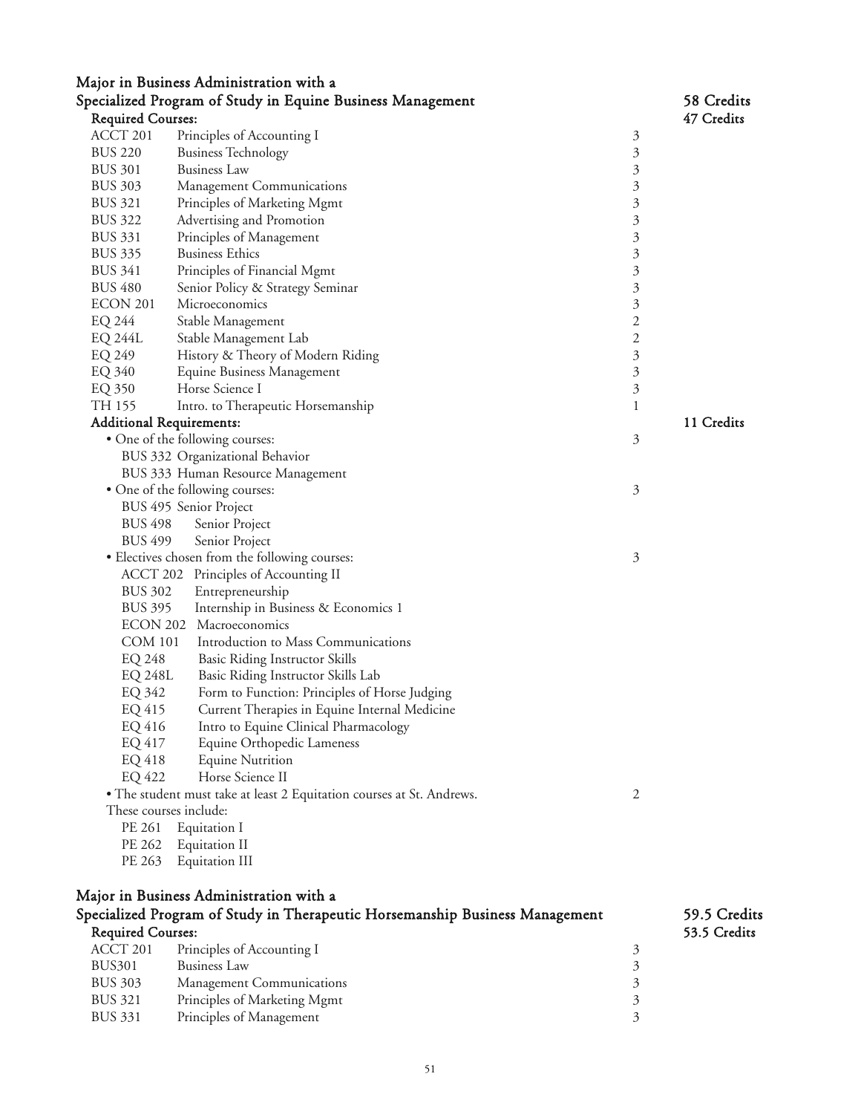|                                 | Major in Business Administration with a                                      |                |              |
|---------------------------------|------------------------------------------------------------------------------|----------------|--------------|
|                                 | Specialized Program of Study in Equine Business Management                   |                | 58 Credits   |
| <b>Required Courses:</b>        |                                                                              |                | 47 Credits   |
| ACCT 201                        | Principles of Accounting I                                                   | 3              |              |
| <b>BUS 220</b>                  | <b>Business Technology</b>                                                   | 3              |              |
| <b>BUS 301</b>                  | <b>Business Law</b>                                                          | 3              |              |
| <b>BUS 303</b>                  | Management Communications                                                    | 3              |              |
| <b>BUS 321</b>                  | Principles of Marketing Mgmt                                                 | 3              |              |
| <b>BUS 322</b>                  | Advertising and Promotion                                                    | 3              |              |
| <b>BUS 331</b>                  | Principles of Management                                                     | 3              |              |
| <b>BUS 335</b>                  | <b>Business Ethics</b>                                                       | 3              |              |
| <b>BUS 341</b>                  | Principles of Financial Mgmt                                                 | 3              |              |
| <b>BUS 480</b>                  | Senior Policy & Strategy Seminar                                             | 3              |              |
| ECON 201                        | Microeconomics                                                               | 3              |              |
| EQ 244                          | Stable Management                                                            | 2              |              |
| <b>EQ 244L</b>                  | Stable Management Lab                                                        | $\mathbf{2}$   |              |
| EQ 249                          | History & Theory of Modern Riding                                            | 3              |              |
| EQ 340                          | Equine Business Management                                                   | 3              |              |
| EQ 350                          | Horse Science I                                                              | 3              |              |
| TH 155                          | Intro. to Therapeutic Horsemanship                                           | 1              |              |
| <b>Additional Requirements:</b> |                                                                              |                | 11 Credits   |
|                                 | • One of the following courses:                                              | 3              |              |
|                                 | BUS 332 Organizational Behavior                                              |                |              |
|                                 | BUS 333 Human Resource Management                                            |                |              |
|                                 | • One of the following courses:                                              | 3              |              |
|                                 | BUS 495 Senior Project                                                       |                |              |
| <b>BUS 498</b>                  | Senior Project                                                               |                |              |
| <b>BUS 499</b>                  | Senior Project                                                               |                |              |
|                                 | • Electives chosen from the following courses:                               | 3              |              |
|                                 | ACCT 202 Principles of Accounting II                                         |                |              |
| <b>BUS 302</b>                  | Entrepreneurship                                                             |                |              |
| <b>BUS 395</b>                  | Internship in Business & Economics 1                                         |                |              |
|                                 | ECON 202 Macroeconomics                                                      |                |              |
| <b>COM 101</b>                  | Introduction to Mass Communications                                          |                |              |
| EQ 248                          | <b>Basic Riding Instructor Skills</b>                                        |                |              |
| <b>EQ 248L</b>                  | Basic Riding Instructor Skills Lab                                           |                |              |
| EQ 342                          | Form to Function: Principles of Horse Judging                                |                |              |
| EQ 415                          | Current Therapies in Equine Internal Medicine                                |                |              |
| EQ 416                          | Intro to Equine Clinical Pharmacology                                        |                |              |
| EQ 417                          | Equine Orthopedic Lameness                                                   |                |              |
| EQ 418                          | <b>Equine Nutrition</b>                                                      |                |              |
| EQ 422                          | Horse Science II                                                             |                |              |
|                                 |                                                                              | 2              |              |
| These courses include:          | • The student must take at least 2 Equitation courses at St. Andrews.        |                |              |
| PE 261                          |                                                                              |                |              |
|                                 | Equitation I                                                                 |                |              |
| PE 262                          | Equitation II                                                                |                |              |
| PE 263                          | Equitation III                                                               |                |              |
|                                 |                                                                              |                |              |
|                                 | Major in Business Administration with a                                      |                |              |
|                                 | Specialized Program of Study in Therapeutic Horsemanship Business Management |                | 59.5 Credits |
| <b>Required Courses:</b>        |                                                                              |                | 53.5 Credits |
| ACCT 201                        | Principles of Accounting I                                                   | $\mathfrak{Z}$ |              |
| <b>BUS301</b>                   | <b>Business Law</b>                                                          | 3              |              |
| <b>BUS 303</b>                  | Management Communications                                                    | 3              |              |
| <b>BUS 321</b>                  | Principles of Marketing Mgmt                                                 | 3              |              |
| <b>BUS 331</b>                  | Principles of Management                                                     | 3              |              |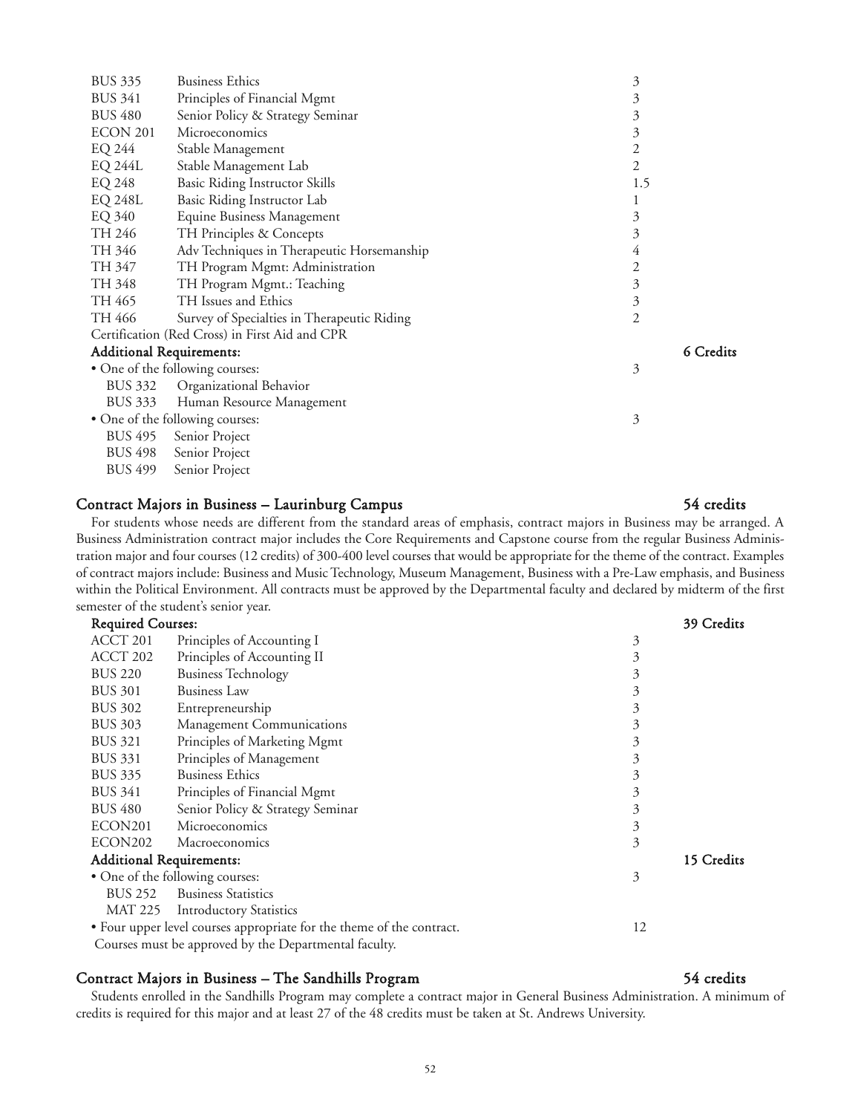| <b>BUS 335</b>                  | <b>Business Ethics</b>                         | 3              |           |
|---------------------------------|------------------------------------------------|----------------|-----------|
| <b>BUS 341</b>                  | Principles of Financial Mgmt                   | 3              |           |
| <b>BUS 480</b>                  | Senior Policy & Strategy Seminar               | 3              |           |
| ECON 201                        | Microeconomics                                 | 3              |           |
| EQ 244                          | Stable Management                              | 2              |           |
| <b>EQ 244L</b>                  | Stable Management Lab                          | $\overline{2}$ |           |
| EQ 248                          | <b>Basic Riding Instructor Skills</b>          | 1.5            |           |
| EQ 248L                         | Basic Riding Instructor Lab                    |                |           |
| EQ 340                          | Equine Business Management                     | 3              |           |
| TH 246                          | TH Principles & Concepts                       | 3              |           |
| TH 346                          | Adv Techniques in Therapeutic Horsemanship     | 4              |           |
| TH 347                          | TH Program Mgmt: Administration                | 2              |           |
| TH 348                          | TH Program Mgmt.: Teaching                     | 3              |           |
| TH 465                          | TH Issues and Ethics                           | 3              |           |
| TH 466                          | Survey of Specialties in Therapeutic Riding    | 2              |           |
|                                 | Certification (Red Cross) in First Aid and CPR |                |           |
| <b>Additional Requirements:</b> |                                                |                | 6 Credits |
|                                 | • One of the following courses:                | 3              |           |
| <b>BUS 332</b>                  | Organizational Behavior                        |                |           |
| BUS 333                         | Human Resource Management                      |                |           |
|                                 | • One of the following courses:                | 3              |           |
| <b>BUS 495</b>                  | Senior Project                                 |                |           |
| <b>BUS 498</b>                  | Senior Project                                 |                |           |
| <b>BUS 499</b>                  | Senior Project                                 |                |           |
|                                 |                                                |                |           |

#### Contract Majors in Business – Laurinburg Campus 54 credits

# For students whose needs are different from the standard areas of emphasis, contract majors in Business may be arranged. A Business Administration contract major includes the Core Requirements and Capstone course from the regular Business Administration major and four courses (12 credits) of 300-400 level courses that would be appropriate for the theme of the contract. Examples of contract majors include: Business and Music Technology, Museum Management, Business with a Pre-Law emphasis, and Business within the Political Environment. All contracts must be approved by the Departmental faculty and declared by midterm of the first semester of the student's senior year.

| <b>Required Courses:</b> |                                                                       |    | 39 Credits |
|--------------------------|-----------------------------------------------------------------------|----|------------|
| ACCT 201                 | Principles of Accounting I                                            | 3  |            |
| ACCT 202                 | Principles of Accounting II                                           | 3  |            |
| <b>BUS 220</b>           | <b>Business Technology</b>                                            | 3  |            |
| <b>BUS 301</b>           | <b>Business Law</b>                                                   | 3  |            |
| <b>BUS 302</b>           | Entrepreneurship                                                      | 3  |            |
| <b>BUS 303</b>           | Management Communications                                             | 3  |            |
| <b>BUS 321</b>           | Principles of Marketing Mgmt                                          | 3  |            |
| <b>BUS 331</b>           | Principles of Management                                              | 3  |            |
| <b>BUS 335</b>           | <b>Business Ethics</b>                                                | 3  |            |
| <b>BUS 341</b>           | Principles of Financial Mgmt                                          | 3  |            |
| <b>BUS 480</b>           | Senior Policy & Strategy Seminar                                      | 3  |            |
| ECON <sub>201</sub>      | Microeconomics                                                        | 3  |            |
| ECON202                  | Macroeconomics                                                        | 3  |            |
|                          | <b>Additional Requirements:</b>                                       |    | 15 Credits |
|                          | • One of the following courses:                                       | 3  |            |
| <b>BUS 252</b>           | <b>Business Statistics</b>                                            |    |            |
| MAT 225                  | <b>Introductory Statistics</b>                                        |    |            |
|                          | • Four upper level courses appropriate for the theme of the contract. | 12 |            |
|                          | Courses must be approved by the Departmental faculty.                 |    |            |

# Contract Majors in Business – The Sandhills Program 54 credits

Students enrolled in the Sandhills Program may complete a contract major in General Business Administration. A minimum of credits is required for this major and at least 27 of the 48 credits must be taken at St. Andrews University.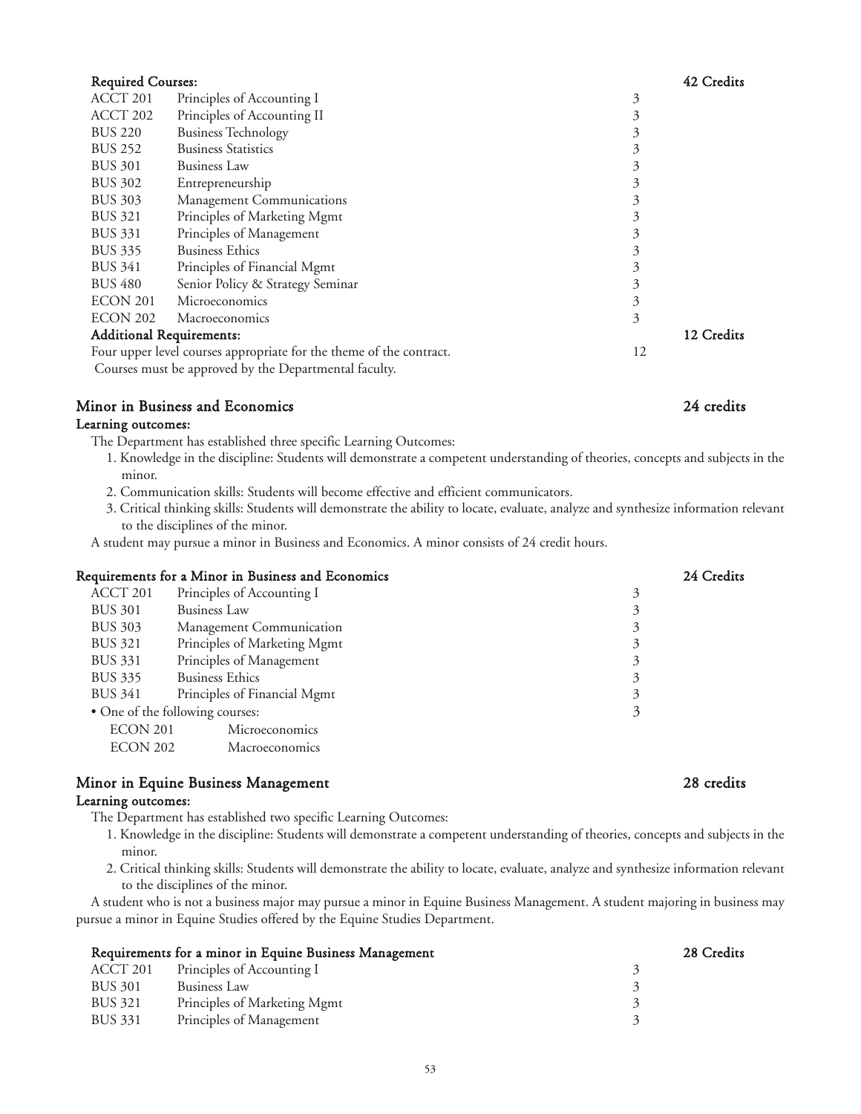| <b>Required Courses:</b> |                                                                     |    | 42 Credits |
|--------------------------|---------------------------------------------------------------------|----|------------|
| ACCT 201                 | Principles of Accounting I                                          | 3  |            |
| ACCT 202                 | Principles of Accounting II                                         | 3  |            |
| <b>BUS 220</b>           | <b>Business Technology</b>                                          | 3  |            |
| <b>BUS 252</b>           | <b>Business Statistics</b>                                          | 3  |            |
| <b>BUS 301</b>           | <b>Business Law</b>                                                 | 3  |            |
| <b>BUS 302</b>           | Entrepreneurship                                                    | 3  |            |
| <b>BUS 303</b>           | Management Communications                                           | 3  |            |
| <b>BUS 321</b>           | Principles of Marketing Mgmt                                        | 3  |            |
| <b>BUS 331</b>           | Principles of Management                                            | 3  |            |
| <b>BUS 335</b>           | <b>Business Ethics</b>                                              | 3  |            |
| <b>BUS 341</b>           | Principles of Financial Mgmt                                        | 3  |            |
| <b>BUS 480</b>           | Senior Policy & Strategy Seminar                                    | 3  |            |
| ECON 201                 | Microeconomics                                                      | 3  |            |
| ECON 202                 | Macroeconomics                                                      | 3  |            |
|                          | <b>Additional Requirements:</b>                                     |    | 12 Credits |
|                          | Four upper level courses appropriate for the theme of the contract. | 12 |            |
|                          | Courses must be approved by the Departmental faculty.               |    |            |

# Minor in Business and Economics 24 credits

# Learning outcomes:

The Department has established three specific Learning Outcomes:

- 1. Knowledge in the discipline: Students will demonstrate a competent understanding of theories, concepts and subjects in the minor.
- 2. Communication skills: Students will become effective and efficient communicators.
- 3. Critical thinking skills: Students will demonstrate the ability to locate, evaluate, analyze and synthesize information relevant to the disciplines of the minor.

A student may pursue a minor in Business and Economics. A minor consists of 24 credit hours.

| Requirements for a Minor in Business and Economics | 24 Credits |
|----------------------------------------------------|------------|
| Principles of Accounting I                         | 3          |
| <b>Business Law</b>                                | 3          |
| Management Communication                           | 3          |
| Principles of Marketing Mgmt                       | 3          |
| Principles of Management                           | 3          |
| <b>Business Ethics</b>                             | 3          |
| Principles of Financial Mgmt                       | 3          |
| • One of the following courses:                    | 3          |
| ECON 201<br>Microeconomics                         |            |
| <b>ECON 202</b><br>Macroeconomics                  |            |
|                                                    |            |

# Minor in Equine Business Management 28 credits 28 credits

# Learning outcomes:

The Department has established two specific Learning Outcomes:

- 1. Knowledge in the discipline: Students will demonstrate a competent understanding of theories, concepts and subjects in the minor.
- 2. Critical thinking skills: Students will demonstrate the ability to locate, evaluate, analyze and synthesize information relevant to the disciplines of the minor.

A student who is not a business major may pursue a minor in Equine Business Management. A student majoring in business may pursue a minor in Equine Studies offered by the Equine Studies Department.

| Requirements for a minor in Equine Business Management |                              | 28 Credits |
|--------------------------------------------------------|------------------------------|------------|
| ACCT 201                                               | Principles of Accounting I   |            |
| BUS 301                                                | Business Law                 |            |
| BUS 321                                                | Principles of Marketing Mgmt |            |
| BUS 331                                                | Principles of Management     |            |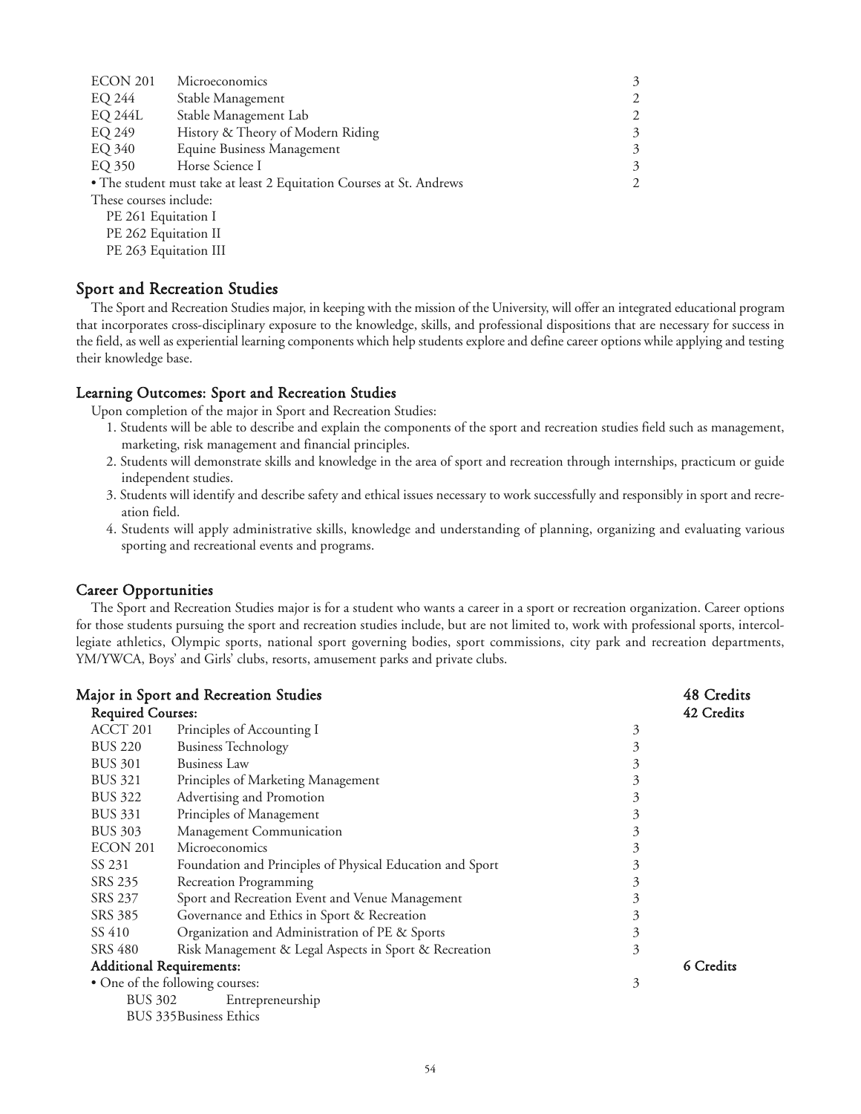| ECON 201               | Microeconomics                                                       | 3              |
|------------------------|----------------------------------------------------------------------|----------------|
| EQ 244                 | Stable Management                                                    | $\overline{2}$ |
| <b>EQ 244L</b>         | Stable Management Lab                                                | 2              |
| EQ 249                 | History & Theory of Modern Riding                                    | 3              |
| EQ 340                 | Equine Business Management                                           | 3              |
| EQ 350                 | Horse Science I                                                      | 3              |
|                        | • The student must take at least 2 Equitation Courses at St. Andrews | $\overline{2}$ |
| These courses include: |                                                                      |                |
| PE 261 Equitation I    |                                                                      |                |
| PE 262 Equitation II   |                                                                      |                |

PE 263 Equitation III

# Sport and Recreation Studies

The Sport and Recreation Studies major, in keeping with the mission of the University, will offer an integrated educational program that incorporates cross-disciplinary exposure to the knowledge, skills, and professional dispositions that are necessary for success in the field, as well as experiential learning components which help students explore and define career options while applying and testing their knowledge base.

# Learning Outcomes: Sport and Recreation Studies

Upon completion of the major in Sport and Recreation Studies:

- 1. Students will be able to describe and explain the components of the sport and recreation studies field such as management, marketing, risk management and financial principles.
- 2. Students will demonstrate skills and knowledge in the area of sport and recreation through internships, practicum or guide independent studies.
- 3. Students will identify and describe safety and ethical issues necessary to work successfully and responsibly in sport and recreation field.
- 4. Students will apply administrative skills, knowledge and understanding of planning, organizing and evaluating various sporting and recreational events and programs.

# Career Opportunities

The Sport and Recreation Studies major is for a student who wants a career in a sport or recreation organization. Career options for those students pursuing the sport and recreation studies include, but are not limited to, work with professional sports, intercollegiate athletics, Olympic sports, national sport governing bodies, sport commissions, city park and recreation departments, YM/YWCA, Boys' and Girls' clubs, resorts, amusement parks and private clubs.

|                          | <b>Major in Sport and Recreation Studies</b>              |   | 48 Credits |
|--------------------------|-----------------------------------------------------------|---|------------|
| <b>Required Courses:</b> |                                                           |   | 42 Credits |
| ACCT 201                 | Principles of Accounting I                                | 3 |            |
| <b>BUS 220</b>           | <b>Business Technology</b>                                | 3 |            |
| <b>BUS 301</b>           | <b>Business Law</b>                                       | 3 |            |
| <b>BUS 321</b>           | Principles of Marketing Management                        | 3 |            |
| <b>BUS 322</b>           | Advertising and Promotion                                 | 3 |            |
| <b>BUS 331</b>           | Principles of Management                                  | 3 |            |
| <b>BUS 303</b>           | Management Communication                                  | 3 |            |
| ECON 201                 | Microeconomics                                            | 3 |            |
| SS 231                   | Foundation and Principles of Physical Education and Sport | 3 |            |
| SRS 235                  | Recreation Programming                                    | 3 |            |
| SRS 237                  | Sport and Recreation Event and Venue Management           | 3 |            |
| SRS 385                  | Governance and Ethics in Sport & Recreation               | 3 |            |
| SS 410                   | Organization and Administration of PE & Sports            | 3 |            |
| <b>SRS 480</b>           | Risk Management & Legal Aspects in Sport & Recreation     | 3 |            |
|                          | <b>Additional Requirements:</b>                           |   | 6 Credits  |
|                          | • One of the following courses:                           | 3 |            |
| <b>BUS 302</b>           | Entrepreneurship                                          |   |            |
|                          | BUS 335 Business Ethics                                   |   |            |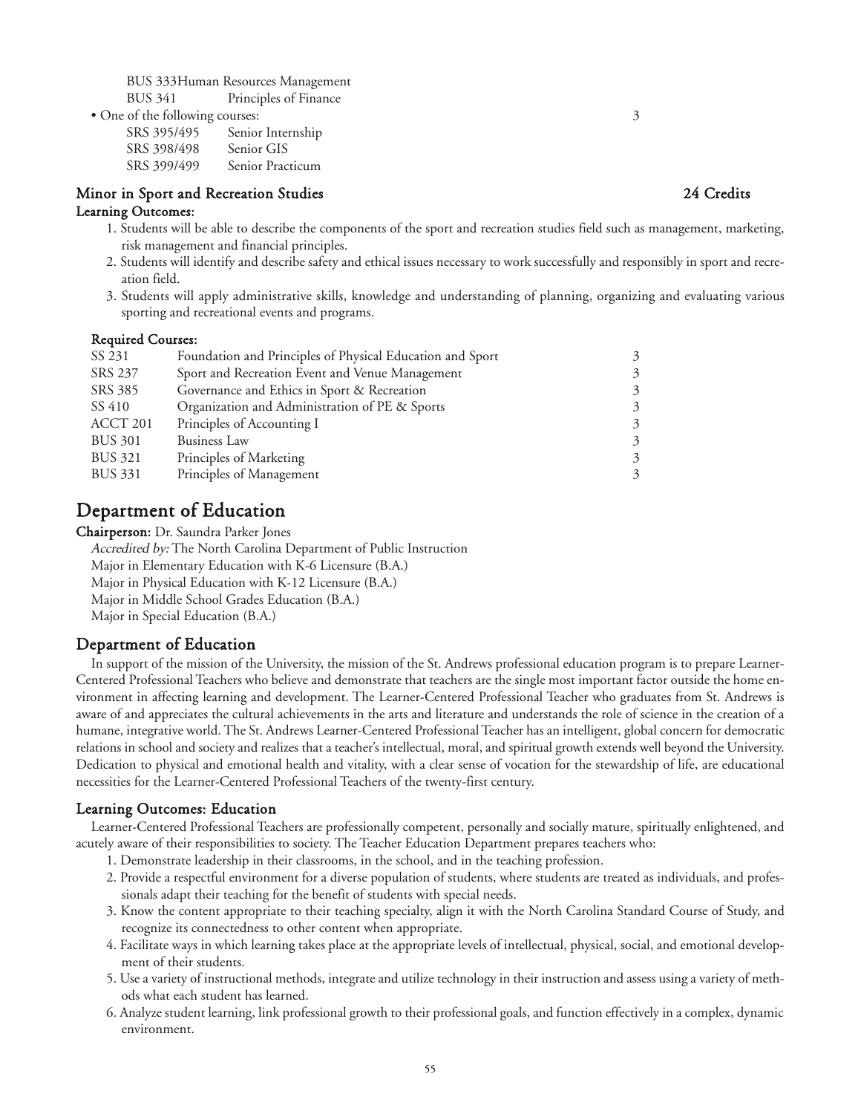BUS 333Human Resources Management

BUS 341 Principles of Finance • One of the following courses: 3

SRS 395/495 Senior Internship SRS 398/498 Senior GIS SRS 399/499 Senior Practicum

# Minor in Sport and Recreation Studies 24 Credits

# Learning Outcomes:

- 1. Students will be able to describe the components of the sport and recreation studies field such as management, marketing, risk management and financial principles.
- 2. Students will identify and describe safety and ethical issues necessary to work successfully and responsibly in sport and recreation field.
- 3. Students will apply administrative skills, knowledge and understanding of planning, organizing and evaluating various sporting and recreational events and programs.

# Required Courses:

| SS 231         | Foundation and Principles of Physical Education and Sport | 3 |
|----------------|-----------------------------------------------------------|---|
| SRS 237        | Sport and Recreation Event and Venue Management           | 3 |
| SRS 385        | Governance and Ethics in Sport & Recreation               | 3 |
| SS 410         | Organization and Administration of PE & Sports            | 3 |
| ACCT 201       | Principles of Accounting I                                | 3 |
| <b>BUS 301</b> | <b>Business Law</b>                                       | 3 |
| BUS 321        | Principles of Marketing                                   | 3 |
| <b>BUS 331</b> | Principles of Management                                  | 3 |
|                |                                                           |   |

# Department of Education

Chairperson: Dr. Saundra Parker Jones

Accredited by: The North Carolina Department of Public Instruction

Major in Elementary Education with K-6 Licensure (B.A.)

Major in Physical Education with K-12 Licensure (B.A.)

Major in Middle School Grades Education (B.A.)

Major in Special Education (B.A.)

# Department of Education

In support of the mission of the University, the mission of the St. Andrews professional education program is to prepare Learner-Centered Professional Teachers who believe and demonstrate that teachers are the single most important factor outside the home environment in affecting learning and development. The Learner-Centered Professional Teacher who graduates from St. Andrews is aware of and appreciates the cultural achievements in the arts and literature and understands the role of science in the creation of a humane, integrative world. The St. Andrews Learner-Centered Professional Teacher has an intelligent, global concern for democratic relations in school and society and realizes that a teacher's intellectual, moral, and spiritual growth extends well beyond the University. Dedication to physical and emotional health and vitality, with a clear sense of vocation for the stewardship of life, are educational necessities for the Learner-Centered Professional Teachers of the twenty-first century.

# Learning Outcomes: Education

Learner-Centered Professional Teachers are professionally competent, personally and socially mature, spiritually enlightened, and acutely aware of their responsibilities to society. The Teacher Education Department prepares teachers who:

- 1. Demonstrate leadership in their classrooms, in the school, and in the teaching profession.
- 2. Provide a respectful environment for a diverse population of students, where students are treated as individuals, and professionals adapt their teaching for the benefit of students with special needs.
- 3. Know the content appropriate to their teaching specialty, align it with the North Carolina Standard Course of Study, and recognize its connectedness to other content when appropriate.
- 4. Facilitate ways in which learning takes place at the appropriate levels of intellectual, physical, social, and emotional development of their students.
- 5. Use a variety of instructional methods, integrate and utilize technology in their instruction and assess using a variety of methods what each student has learned.
- 6. Analyze student learning, link professional growth to their professional goals, and function effectively in a complex, dynamic environment.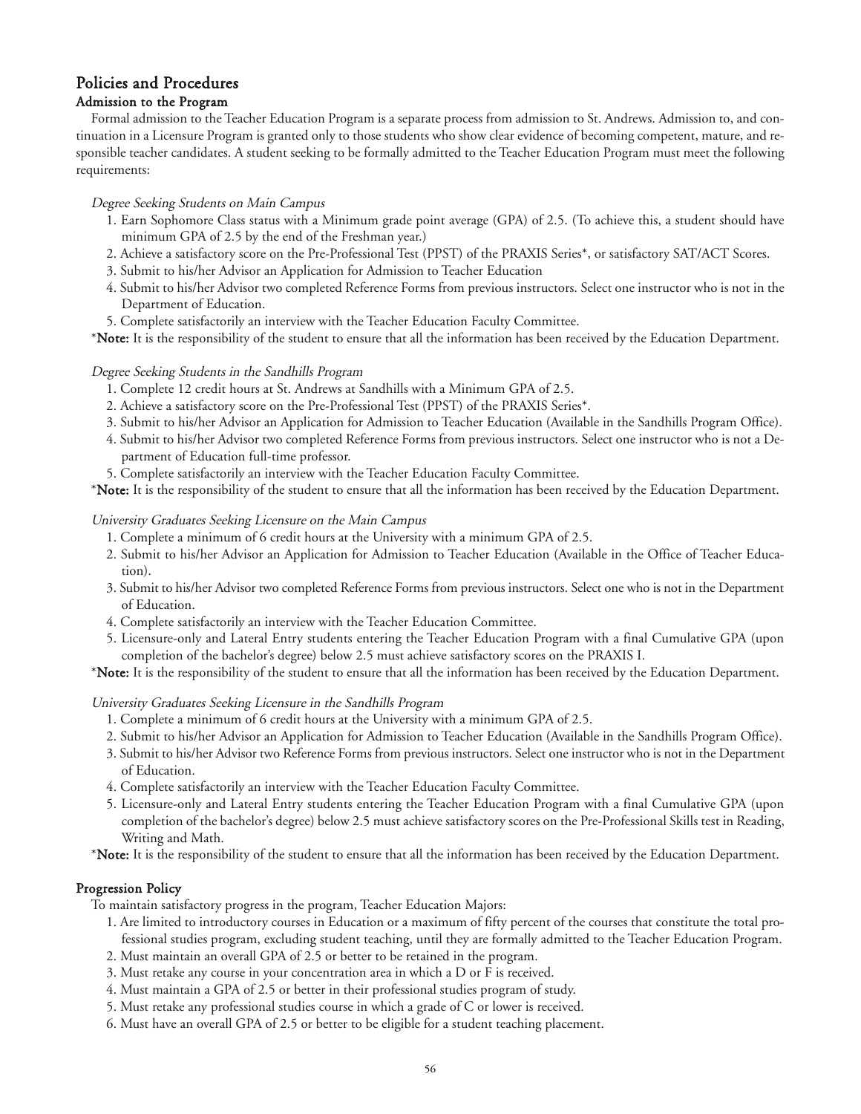# Policies and Procedures

# Admission to the Program

Formal admission to the Teacher Education Program is a separate process from admission to St. Andrews. Admission to, and continuation in a Licensure Program is granted only to those students who show clear evidence of becoming competent, mature, and responsible teacher candidates. A student seeking to be formally admitted to the Teacher Education Program must meet the following requirements:

# Degree Seeking Students on Main Campus

- 1. Earn Sophomore Class status with a Minimum grade point average (GPA) of 2.5. (To achieve this, a student should have minimum GPA of 2.5 by the end of the Freshman year.)
- 2. Achieve a satisfactory score on the Pre-Professional Test (PPST) of the PRAXIS Series\*, or satisfactory SAT/ACT Scores.
- 3. Submit to his/her Advisor an Application for Admission to Teacher Education
- 4. Submit to his/her Advisor two completed Reference Forms from previous instructors. Select one instructor who is not in the Department of Education.
- 5. Complete satisfactorily an interview with the Teacher Education Faculty Committee.

\*Note: It is the responsibility of the student to ensure that all the information has been received by the Education Department.

# Degree Seeking Students in the Sandhills Program

- 1. Complete 12 credit hours at St. Andrews at Sandhills with a Minimum GPA of 2.5.
- 2. Achieve a satisfactory score on the Pre-Professional Test (PPST) of the PRAXIS Series\*.
- 3. Submit to his/her Advisor an Application for Admission to Teacher Education (Available in the Sandhills Program Office).
- 4. Submit to his/her Advisor two completed Reference Forms from previous instructors. Select one instructor who is not a Department of Education full-time professor.
- 5. Complete satisfactorily an interview with the Teacher Education Faculty Committee.

\*Note: It is the responsibility of the student to ensure that all the information has been received by the Education Department.

# University Graduates Seeking Licensure on the Main Campus

- 1. Complete a minimum of 6 credit hours at the University with a minimum GPA of 2.5.
- 2. Submit to his/her Advisor an Application for Admission to Teacher Education (Available in the Office of Teacher Education).
- 3. Submit to his/her Advisor two completed Reference Forms from previous instructors. Select one who is not in the Department of Education.
- 4. Complete satisfactorily an interview with the Teacher Education Committee.
- 5. Licensure-only and Lateral Entry students entering the Teacher Education Program with a final Cumulative GPA (upon completion of the bachelor's degree) below 2.5 must achieve satisfactory scores on the PRAXIS I.

\*Note: It is the responsibility of the student to ensure that all the information has been received by the Education Department.

# University Graduates Seeking Licensure in the Sandhills Program

- 1. Complete a minimum of 6 credit hours at the University with a minimum GPA of 2.5.
- 2. Submit to his/her Advisor an Application for Admission to Teacher Education (Available in the Sandhills Program Office).
- 3. Submit to his/her Advisor two Reference Forms from previous instructors. Select one instructor who is not in the Department of Education.
- 4. Complete satisfactorily an interview with the Teacher Education Faculty Committee.
- 5. Licensure-only and Lateral Entry students entering the Teacher Education Program with a final Cumulative GPA (upon completion of the bachelor's degree) below 2.5 must achieve satisfactory scores on the Pre-Professional Skills test in Reading, Writing and Math.

\*Note: It is the responsibility of the student to ensure that all the information has been received by the Education Department.

# Progression Policy

To maintain satisfactory progress in the program, Teacher Education Majors:

- 1. Are limited to introductory courses in Education or a maximum of fifty percent of the courses that constitute the total professional studies program, excluding student teaching, until they are formally admitted to the Teacher Education Program.
- 2. Must maintain an overall GPA of 2.5 or better to be retained in the program.
- 3. Must retake any course in your concentration area in which a D or F is received.
- 4. Must maintain a GPA of 2.5 or better in their professional studies program of study.
- 5. Must retake any professional studies course in which a grade of C or lower is received.
- 6. Must have an overall GPA of 2.5 or better to be eligible for a student teaching placement.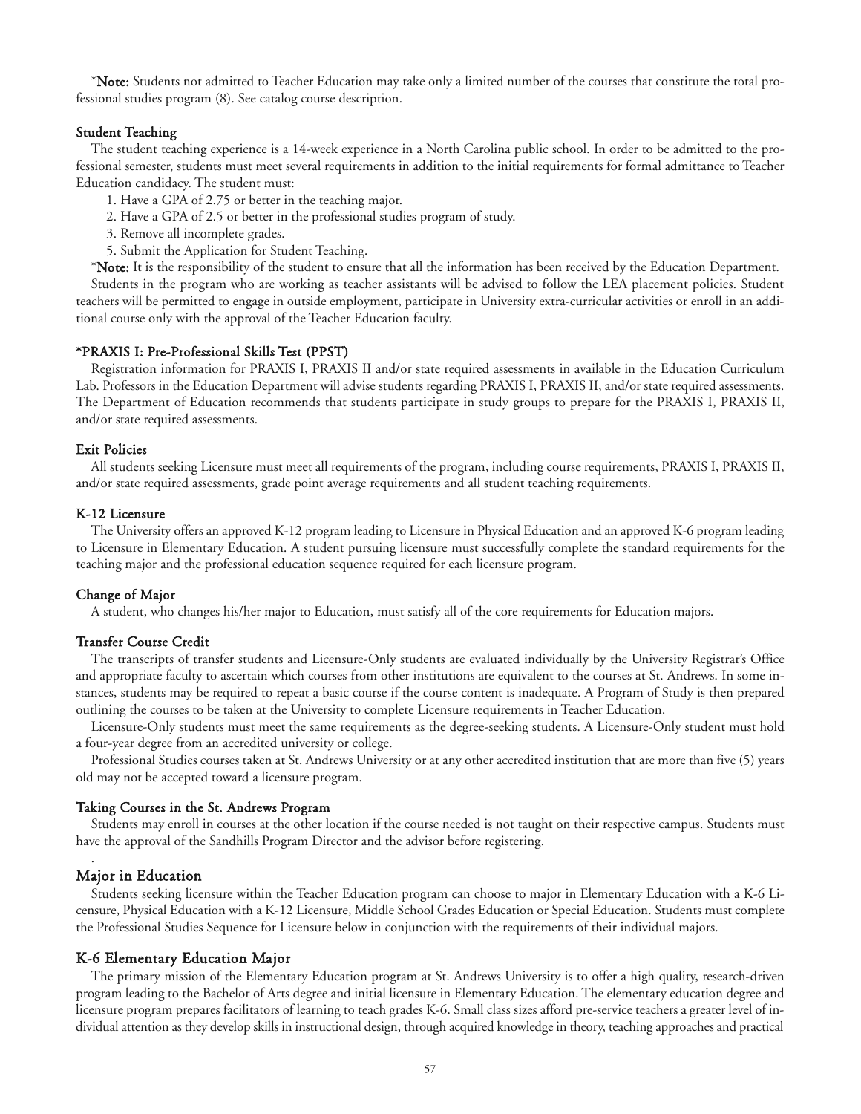\*Note: Students not admitted to Teacher Education may take only a limited number of the courses that constitute the total professional studies program (8). See catalog course description.

#### Student Teaching

The student teaching experience is a 14-week experience in a North Carolina public school. In order to be admitted to the professional semester, students must meet several requirements in addition to the initial requirements for formal admittance to Teacher Education candidacy. The student must:

- 1. Have a GPA of 2.75 or better in the teaching major.
- 2. Have a GPA of 2.5 or better in the professional studies program of study.
- 3. Remove all incomplete grades.
- 5. Submit the Application for Student Teaching.

\*Note: It is the responsibility of the student to ensure that all the information has been received by the Education Department.

Students in the program who are working as teacher assistants will be advised to follow the LEA placement policies. Student teachers will be permitted to engage in outside employment, participate in University extra-curricular activities or enroll in an additional course only with the approval of the Teacher Education faculty.

#### \*PRAXIS I: Pre-Professional Skills Test (PPST)

Registration information for PRAXIS I, PRAXIS II and/or state required assessments in available in the Education Curriculum Lab. Professors in the Education Department will advise students regarding PRAXIS I, PRAXIS II, and/or state required assessments. The Department of Education recommends that students participate in study groups to prepare for the PRAXIS I, PRAXIS II, and/or state required assessments.

#### Exit Policies

All students seeking Licensure must meet all requirements of the program, including course requirements, PRAXIS I, PRAXIS II, and/or state required assessments, grade point average requirements and all student teaching requirements.

#### K-12 Licensure

The University offers an approved K-12 program leading to Licensure in Physical Education and an approved K-6 program leading to Licensure in Elementary Education. A student pursuing licensure must successfully complete the standard requirements for the teaching major and the professional education sequence required for each licensure program.

#### Change of Major

A student, who changes his/her major to Education, must satisfy all of the core requirements for Education majors.

#### Transfer Course Credit

The transcripts of transfer students and Licensure-Only students are evaluated individually by the University Registrar's Office and appropriate faculty to ascertain which courses from other institutions are equivalent to the courses at St. Andrews. In some instances, students may be required to repeat a basic course if the course content is inadequate. A Program of Study is then prepared outlining the courses to be taken at the University to complete Licensure requirements in Teacher Education.

Licensure-Only students must meet the same requirements as the degree-seeking students. A Licensure-Only student must hold a four-year degree from an accredited university or college.

Professional Studies courses taken at St. Andrews University or at any other accredited institution that are more than five (5) years old may not be accepted toward a licensure program.

#### Taking Courses in the St. Andrews Program

Students may enroll in courses at the other location if the course needed is not taught on their respective campus. Students must have the approval of the Sandhills Program Director and the advisor before registering.

#### Major in Education

.

Students seeking licensure within the Teacher Education program can choose to major in Elementary Education with a K-6 Licensure, Physical Education with a K-12 Licensure, Middle School Grades Education or Special Education. Students must complete the Professional Studies Sequence for Licensure below in conjunction with the requirements of their individual majors.

#### K-6 Elementary Education Major

The primary mission of the Elementary Education program at St. Andrews University is to offer a high quality, research-driven program leading to the Bachelor of Arts degree and initial licensure in Elementary Education. The elementary education degree and licensure program prepares facilitators of learning to teach grades K-6. Small class sizes afford pre-service teachers a greater level of individual attention as they develop skills in instructional design, through acquired knowledge in theory, teaching approaches and practical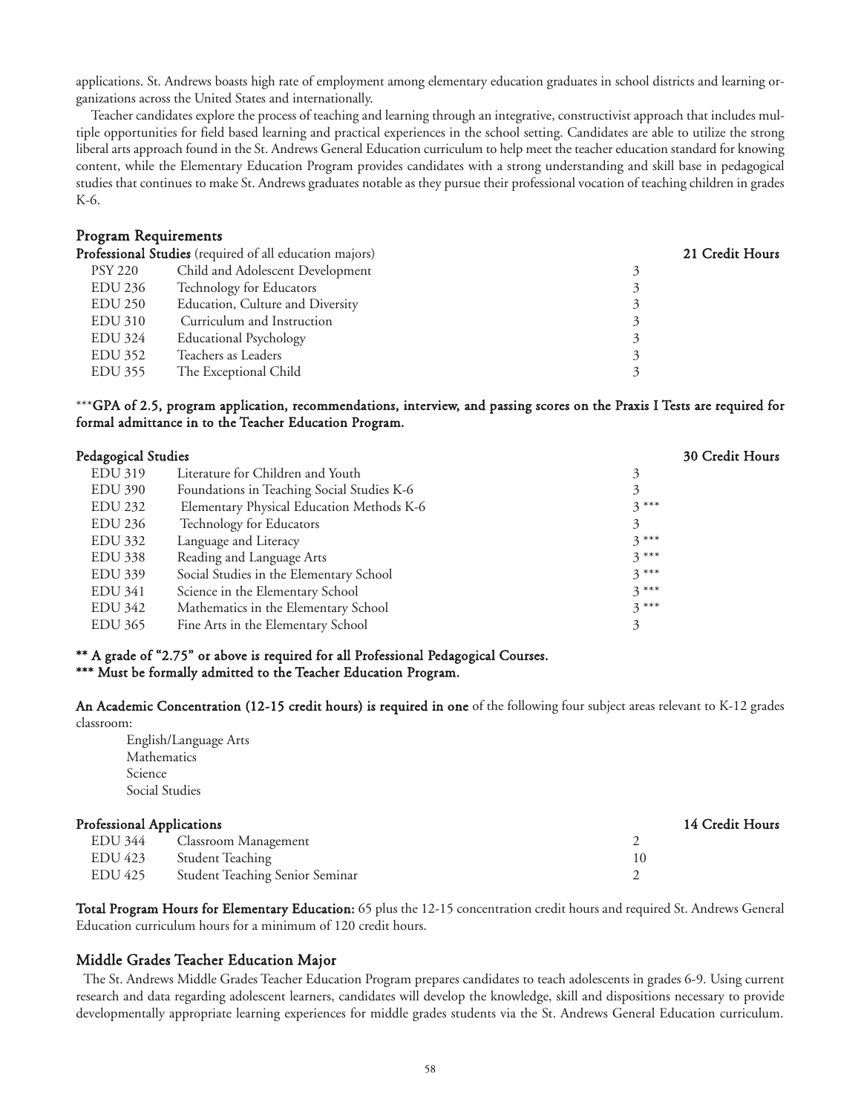applications. St. Andrews boasts high rate of employment among elementary education graduates in school districts and learning organizations across the United States and internationally.

Teacher candidates explore the process of teaching and learning through an integrative, constructivist approach that includes multiple opportunities for field based learning and practical experiences in the school setting. Candidates are able to utilize the strong liberal arts approach found in the St. Andrews General Education curriculum to help meet the teacher education standard for knowing content, while the Elementary Education Program provides candidates with a strong understanding and skill base in pedagogical studies that continues to make St. Andrews graduates notable as they pursue their professional vocation of teaching children in grades K-6.

#### Program Requirements

|                | Professional Studies (required of all education majors) | 21 Credit Hours |
|----------------|---------------------------------------------------------|-----------------|
| PSY 220        | Child and Adolescent Development                        | 2               |
| EDU 236        | Technology for Educators                                |                 |
| EDU 250        | Education, Culture and Diversity                        |                 |
| EDU 310        | Curriculum and Instruction                              |                 |
| <b>EDU 324</b> | <b>Educational Psychology</b>                           |                 |
| EDU 352        | Teachers as Leaders                                     |                 |
| EDU 355        | The Exceptional Child                                   |                 |
|                |                                                         |                 |

\*\*\*GPA of 2.5, program application, recommendations, interview, and passing scores on the Praxis I Tests are required for formal admittance in to the Teacher Education Program.

|                                            | 30 Credit Hours     |
|--------------------------------------------|---------------------|
| Literature for Children and Youth          | 3                   |
| Foundations in Teaching Social Studies K-6 | 3                   |
| Elementary Physical Education Methods K-6  | $3***$              |
| Technology for Educators                   | 3                   |
| Language and Literacy                      | $3***$              |
| Reading and Language Arts                  | $3***$              |
| Social Studies in the Elementary School    | $3***$              |
| Science in the Elementary School           | $3***$              |
| Mathematics in the Elementary School       | $3***$              |
| Fine Arts in the Elementary School         | 3                   |
|                                            | Pedagogical Studies |

# \*\* A grade of "2.75" or above is required for all Professional Pedagogical Courses.

# \*\*\* Must be formally admitted to the Teacher Education Program.

An Academic Concentration (12-15 credit hours) is required in one of the following four subject areas relevant to K-12 grades classroom:

English/Language Arts Mathematics Science Social Studies

# Professional Applications 14 Credit Hours EDU 344 Classroom Management 2 EDU 423 Student Teaching 10 EDU 425 Student Teaching Senior Seminar 2

Total Program Hours for Elementary Education: 65 plus the 12-15 concentration credit hours and required St. Andrews General Education curriculum hours for a minimum of 120 credit hours.

# Middle Grades Teacher Education Major

The St. Andrews Middle Grades Teacher Education Program prepares candidates to teach adolescents in grades 6-9. Using current research and data regarding adolescent learners, candidates will develop the knowledge, skill and dispositions necessary to provide developmentally appropriate learning experiences for middle grades students via the St. Andrews General Education curriculum.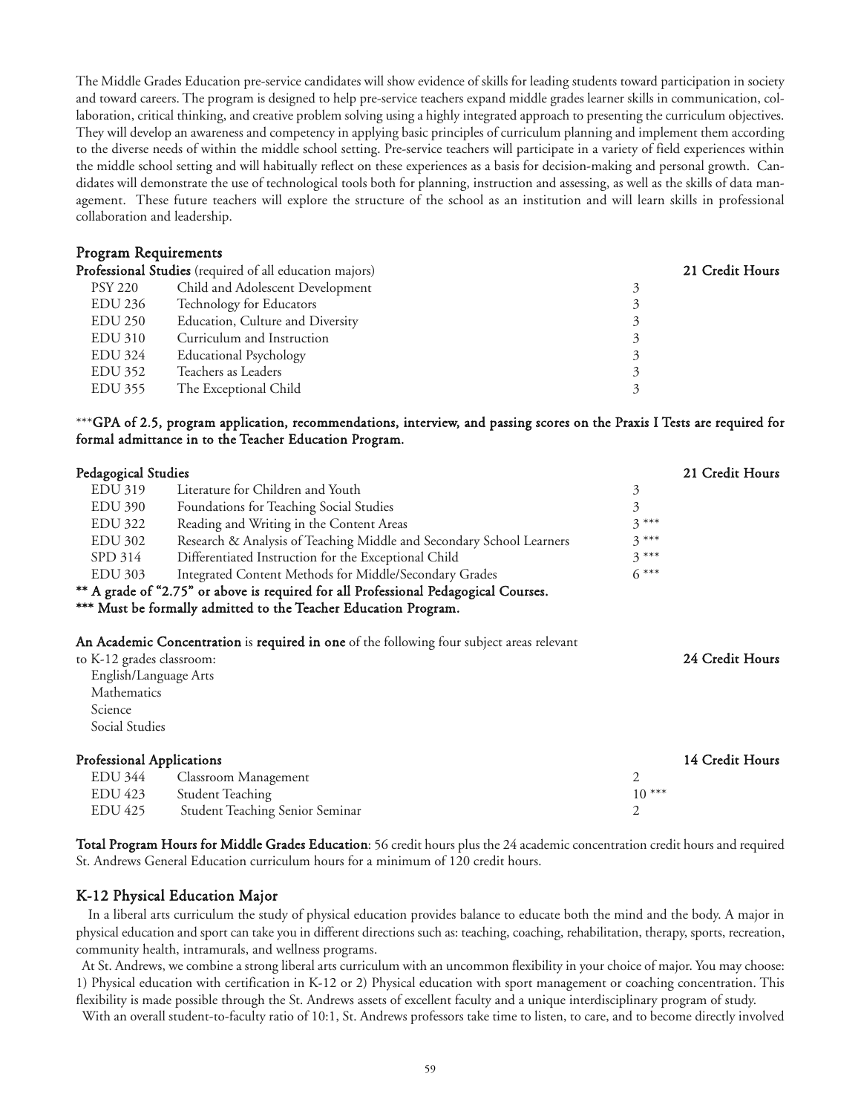The Middle Grades Education pre-service candidates will show evidence of skills for leading students toward participation in society and toward careers. The program is designed to help pre-service teachers expand middle grades learner skills in communication, collaboration, critical thinking, and creative problem solving using a highly integrated approach to presenting the curriculum objectives. They will develop an awareness and competency in applying basic principles of curriculum planning and implement them according to the diverse needs of within the middle school setting. Pre-service teachers will participate in a variety of field experiences within the middle school setting and will habitually reflect on these experiences as a basis for decision-making and personal growth. Candidates will demonstrate the use of technological tools both for planning, instruction and assessing, as well as the skills of data management. These future teachers will explore the structure of the school as an institution and will learn skills in professional collaboration and leadership.

# Program Requirements

|                | Professional Studies (required of all education majors) | 21 Credit Hours |
|----------------|---------------------------------------------------------|-----------------|
| PSY 220        | Child and Adolescent Development                        |                 |
| EDU 236        | Technology for Educators                                |                 |
| <b>EDU 250</b> | Education, Culture and Diversity                        |                 |
| EDU 310        | Curriculum and Instruction                              |                 |
| EDU 324        | <b>Educational Psychology</b>                           |                 |
| EDU 352        | Teachers as Leaders                                     |                 |
| EDU 355        | The Exceptional Child                                   |                 |

\*\*\*GPA of 2.5, program application, recommendations, interview, and passing scores on the Praxis I Tests are required for formal admittance in to the Teacher Education Program.

| Pedagogical Studies              |                                                                                           |         | 21 Credit Hours |
|----------------------------------|-------------------------------------------------------------------------------------------|---------|-----------------|
| <b>EDU 319</b>                   | Literature for Children and Youth                                                         | 3       |                 |
| <b>EDU 390</b>                   | Foundations for Teaching Social Studies                                                   | 3       |                 |
| <b>EDU 322</b>                   | Reading and Writing in the Content Areas                                                  | $3***$  |                 |
| <b>EDU 302</b>                   | Research & Analysis of Teaching Middle and Secondary School Learners                      | $3***$  |                 |
| SPD 314                          | Differentiated Instruction for the Exceptional Child                                      | $3***$  |                 |
| <b>EDU 303</b>                   | Integrated Content Methods for Middle/Secondary Grades                                    | $6***$  |                 |
|                                  | ** A grade of "2.75" or above is required for all Professional Pedagogical Courses.       |         |                 |
|                                  | *** Must be formally admitted to the Teacher Education Program.                           |         |                 |
|                                  |                                                                                           |         |                 |
|                                  | An Academic Concentration is required in one of the following four subject areas relevant |         |                 |
| to K-12 grades classroom:        |                                                                                           |         | 24 Credit Hours |
| English/Language Arts            |                                                                                           |         |                 |
| Mathematics                      |                                                                                           |         |                 |
| Science                          |                                                                                           |         |                 |
| Social Studies                   |                                                                                           |         |                 |
|                                  |                                                                                           |         |                 |
| <b>Professional Applications</b> |                                                                                           |         | 14 Credit Hours |
| EDU 344                          | Classroom Management                                                                      | 2       |                 |
| EDU 423                          | <b>Student Teaching</b>                                                                   | $10***$ |                 |
| <b>EDU 425</b>                   | <b>Student Teaching Senior Seminar</b>                                                    | 2       |                 |

Total Program Hours for Middle Grades Education: 56 credit hours plus the 24 academic concentration credit hours and required St. Andrews General Education curriculum hours for a minimum of 120 credit hours.

# K-12 Physical Education Major

In a liberal arts curriculum the study of physical education provides balance to educate both the mind and the body. A major in physical education and sport can take you in different directions such as: teaching, coaching, rehabilitation, therapy, sports, recreation, community health, intramurals, and wellness programs.

At St. Andrews, we combine a strong liberal arts curriculum with an uncommon flexibility in your choice of major. You may choose: 1) Physical education with certification in K-12 or 2) Physical education with sport management or coaching concentration. This flexibility is made possible through the St. Andrews assets of excellent faculty and a unique interdisciplinary program of study.

With an overall student-to-faculty ratio of 10:1, St. Andrews professors take time to listen, to care, and to become directly involved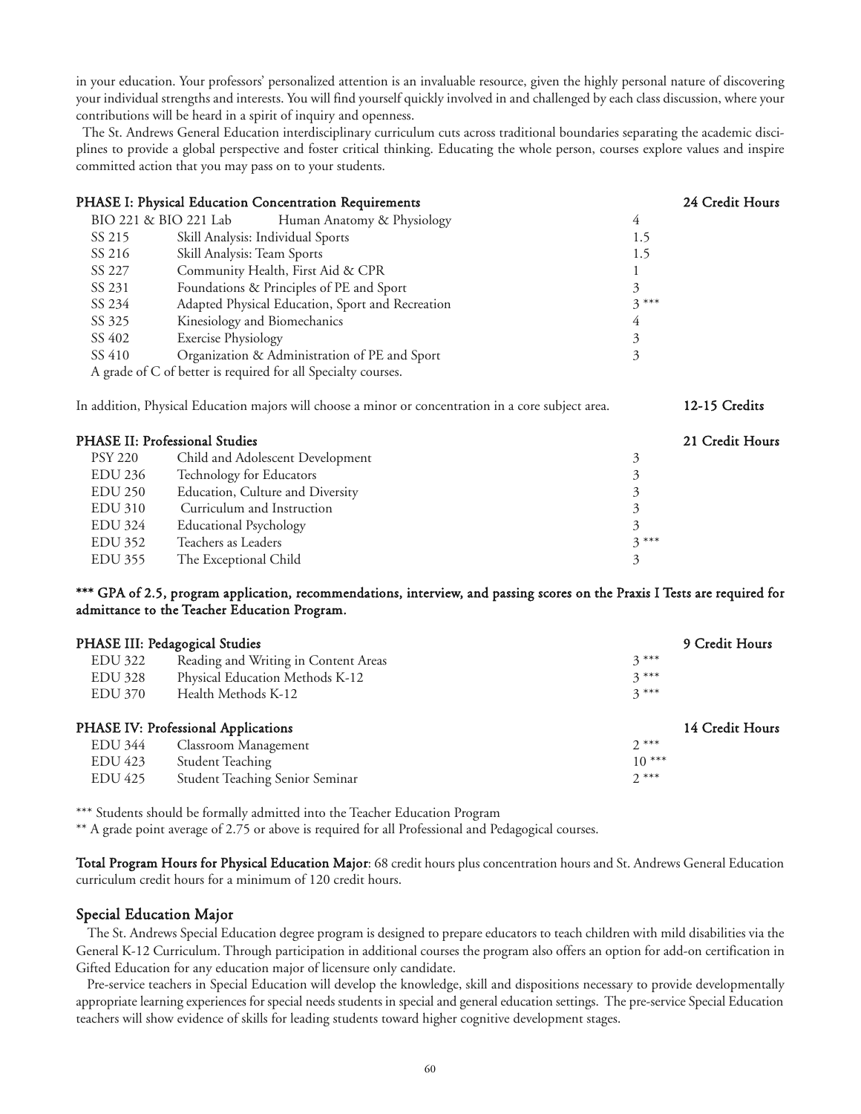in your education. Your professors' personalized attention is an invaluable resource, given the highly personal nature of discovering your individual strengths and interests. You will find yourself quickly involved in and challenged by each class discussion, where your contributions will be heard in a spirit of inquiry and openness.

The St. Andrews General Education interdisciplinary curriculum cuts across traditional boundaries separating the academic disciplines to provide a global perspective and foster critical thinking. Educating the whole person, courses explore values and inspire committed action that you may pass on to your students.

|                                       | PHASE I: Physical Education Concentration Requirements                                              |                | 24 Credit Hours |
|---------------------------------------|-----------------------------------------------------------------------------------------------------|----------------|-----------------|
| BIO 221 & BIO 221 Lab                 | Human Anatomy & Physiology                                                                          | $\overline{4}$ |                 |
| SS 215                                | Skill Analysis: Individual Sports                                                                   | 1.5            |                 |
| SS 216                                | Skill Analysis: Team Sports                                                                         | 1.5            |                 |
| SS 227                                | Community Health, First Aid & CPR                                                                   |                |                 |
| SS 231                                | Foundations & Principles of PE and Sport                                                            | 3              |                 |
| SS 234                                | Adapted Physical Education, Sport and Recreation                                                    | $3***$         |                 |
| SS 325                                | Kinesiology and Biomechanics                                                                        | 4              |                 |
| SS 402                                | <b>Exercise Physiology</b>                                                                          | 3              |                 |
| SS 410                                | Organization & Administration of PE and Sport                                                       | 3              |                 |
|                                       | A grade of C of better is required for all Specialty courses.                                       |                |                 |
|                                       | In addition, Physical Education majors will choose a minor or concentration in a core subject area. |                | 12-15 Credits   |
| <b>PHASE II: Professional Studies</b> |                                                                                                     |                | 21 Credit Hours |
| <b>PSY 220</b>                        | Child and Adolescent Development                                                                    | 3              |                 |
| EDU 236                               | Technology for Educators                                                                            | 3              |                 |
| <b>EDU 250</b>                        | Education, Culture and Diversity                                                                    | 3              |                 |
| <b>EDU 310</b>                        | Curriculum and Instruction                                                                          | 3              |                 |
| EDU 324                               | <b>Educational Psychology</b>                                                                       | 3              |                 |
| EDU 352                               | Teachers as Leaders                                                                                 | $3***$         |                 |
| <b>EDU 355</b>                        | The Exceptional Child                                                                               | 3              |                 |

# \*\*\* GPA of 2.5, program application, recommendations, interview, and passing scores on the Praxis I Tests are required for admittance to the Teacher Education Program.

|                | PHASE III: Pedagogical Studies         | 9 Credit Hours  |
|----------------|----------------------------------------|-----------------|
| EDU 322        | Reading and Writing in Content Areas   | $3***$          |
| EDU 328        | Physical Education Methods K-12        | $3***$          |
| <b>EDU 370</b> | Health Methods K-12                    | $3***$          |
|                | PHASE IV: Professional Applications    | 14 Credit Hours |
| <b>EDU 344</b> | Classroom Management                   | $2***$          |
| EDU 423        | <b>Student Teaching</b>                | $10***$         |
| <b>EDU 425</b> | <b>Student Teaching Senior Seminar</b> | $2***$          |

\*\*\* Students should be formally admitted into the Teacher Education Program

\*\* A grade point average of 2.75 or above is required for all Professional and Pedagogical courses.

Total Program Hours for Physical Education Major: 68 credit hours plus concentration hours and St. Andrews General Education curriculum credit hours for a minimum of 120 credit hours.

# Special Education Major

The St. Andrews Special Education degree program is designed to prepare educators to teach children with mild disabilities via the General K-12 Curriculum. Through participation in additional courses the program also offers an option for add-on certification in Gifted Education for any education major of licensure only candidate.

Pre-service teachers in Special Education will develop the knowledge, skill and dispositions necessary to provide developmentally appropriate learning experiences for special needs students in special and general education settings. The pre-service Special Education teachers will show evidence of skills for leading students toward higher cognitive development stages.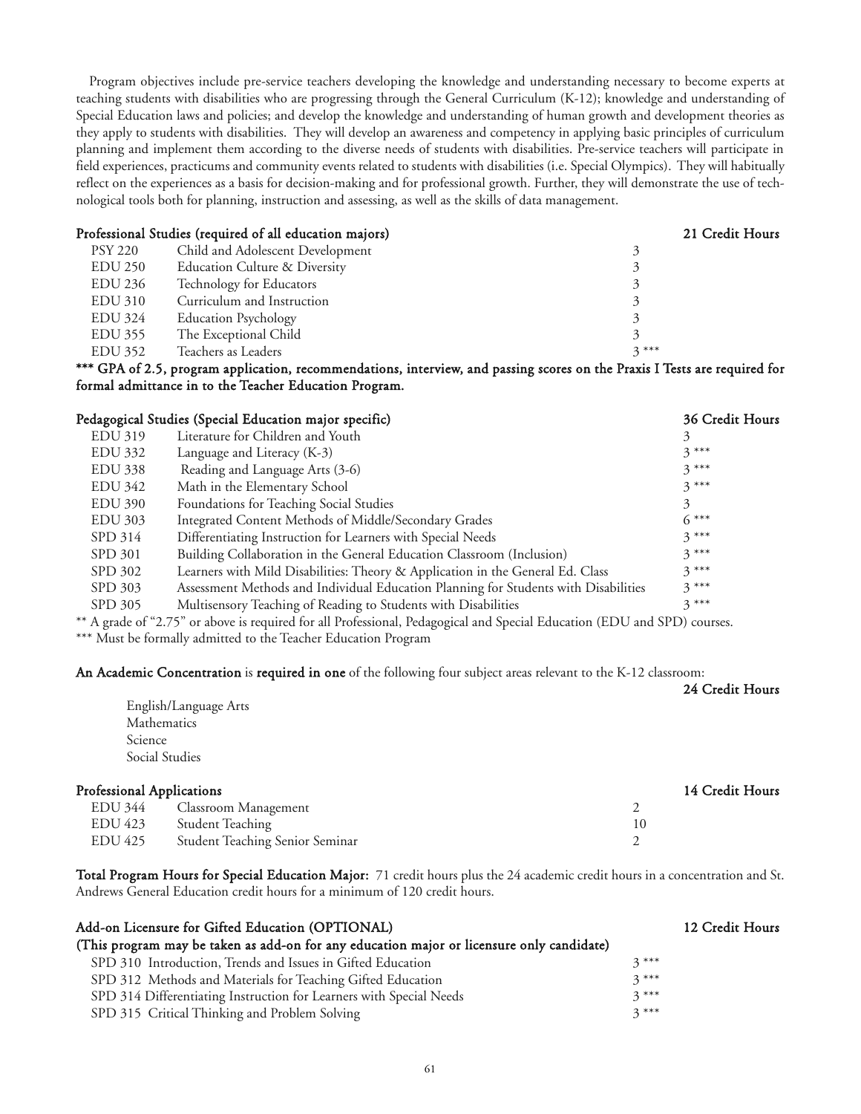Program objectives include pre-service teachers developing the knowledge and understanding necessary to become experts at teaching students with disabilities who are progressing through the General Curriculum (K-12); knowledge and understanding of Special Education laws and policies; and develop the knowledge and understanding of human growth and development theories as they apply to students with disabilities. They will develop an awareness and competency in applying basic principles of curriculum planning and implement them according to the diverse needs of students with disabilities. Pre-service teachers will participate in field experiences, practicums and community events related to students with disabilities (i.e. Special Olympics). They will habitually reflect on the experiences as a basis for decision-making and for professional growth. Further, they will demonstrate the use of technological tools both for planning, instruction and assessing, as well as the skills of data management.

|                | Professional Studies (required of all education majors) | 21 Credit Hours |
|----------------|---------------------------------------------------------|-----------------|
| <b>PSY 220</b> | Child and Adolescent Development                        | 2               |
| EDU 250        | <b>Education Culture &amp; Diversity</b>                |                 |
| <b>EDU 236</b> | Technology for Educators                                |                 |
| EDU 310        | Curriculum and Instruction                              |                 |
| <b>EDU 324</b> | <b>Education Psychology</b>                             |                 |
| EDU 355        | The Exceptional Child                                   |                 |
| EDU 352        | Teachers as Leaders                                     | $3***$          |

\*\*\* GPA of 2.5, program application, recommendations, interview, and passing scores on the Praxis I Tests are required for formal admittance in to the Teacher Education Program.

|                | Pedagogical Studies (Special Education major specific)                              | 36 Credit Hours |
|----------------|-------------------------------------------------------------------------------------|-----------------|
| <b>EDU 319</b> | Literature for Children and Youth                                                   |                 |
| EDU 332        | Language and Literacy (K-3)                                                         | $3***$          |
| <b>EDU 338</b> | Reading and Language Arts (3-6)                                                     | $3***$          |
| <b>EDU 342</b> | Math in the Elementary School                                                       | $3***$          |
| <b>EDU 390</b> | Foundations for Teaching Social Studies                                             | 3               |
| <b>EDU 303</b> | Integrated Content Methods of Middle/Secondary Grades                               | $6***$          |
| SPD 314        | Differentiating Instruction for Learners with Special Needs                         | $3***$          |
| SPD 301        | Building Collaboration in the General Education Classroom (Inclusion)               | $3***$          |
| SPD 302        | Learners with Mild Disabilities: Theory & Application in the General Ed. Class      | $3***$          |
| SPD 303        | Assessment Methods and Individual Education Planning for Students with Disabilities | $3***$          |
| SPD 305        | Multisensory Teaching of Reading to Students with Disabilities                      | $3***$          |

\*\* A grade of "2.75" or above is required for all Professional, Pedagogical and Special Education (EDU and SPD) courses. \*\*\* Must be formally admitted to the Teacher Education Program

An Academic Concentration is required in one of the following four subject areas relevant to the K-12 classroom:

|                                  | English/Language Arts           |    | 24 Credit Hours |
|----------------------------------|---------------------------------|----|-----------------|
|                                  | Mathematics                     |    |                 |
| Science                          |                                 |    |                 |
|                                  | Social Studies                  |    |                 |
| <b>Professional Applications</b> |                                 |    | 14 Credit Hours |
| <b>EDU 344</b>                   | Classroom Management            | 2  |                 |
| EDU 423                          | <b>Student Teaching</b>         | 10 |                 |
| <b>EDU 425</b>                   | Student Teaching Senior Seminar | 2  |                 |

Total Program Hours for Special Education Major: 71 credit hours plus the 24 academic credit hours in a concentration and St. Andrews General Education credit hours for a minimum of 120 credit hours.

| Add-on Licensure for Gifted Education (OPTIONAL)                                          |        | 12 Credit Hours |
|-------------------------------------------------------------------------------------------|--------|-----------------|
| (This program may be taken as add-on for any education major or licensure only candidate) |        |                 |
| SPD 310 Introduction, Trends and Issues in Gifted Education                               | $3***$ |                 |
| SPD 312 Methods and Materials for Teaching Gifted Education                               | $3***$ |                 |
| SPD 314 Differentiating Instruction for Learners with Special Needs                       | $3***$ |                 |
| SPD 315 Critical Thinking and Problem Solving                                             | $2***$ |                 |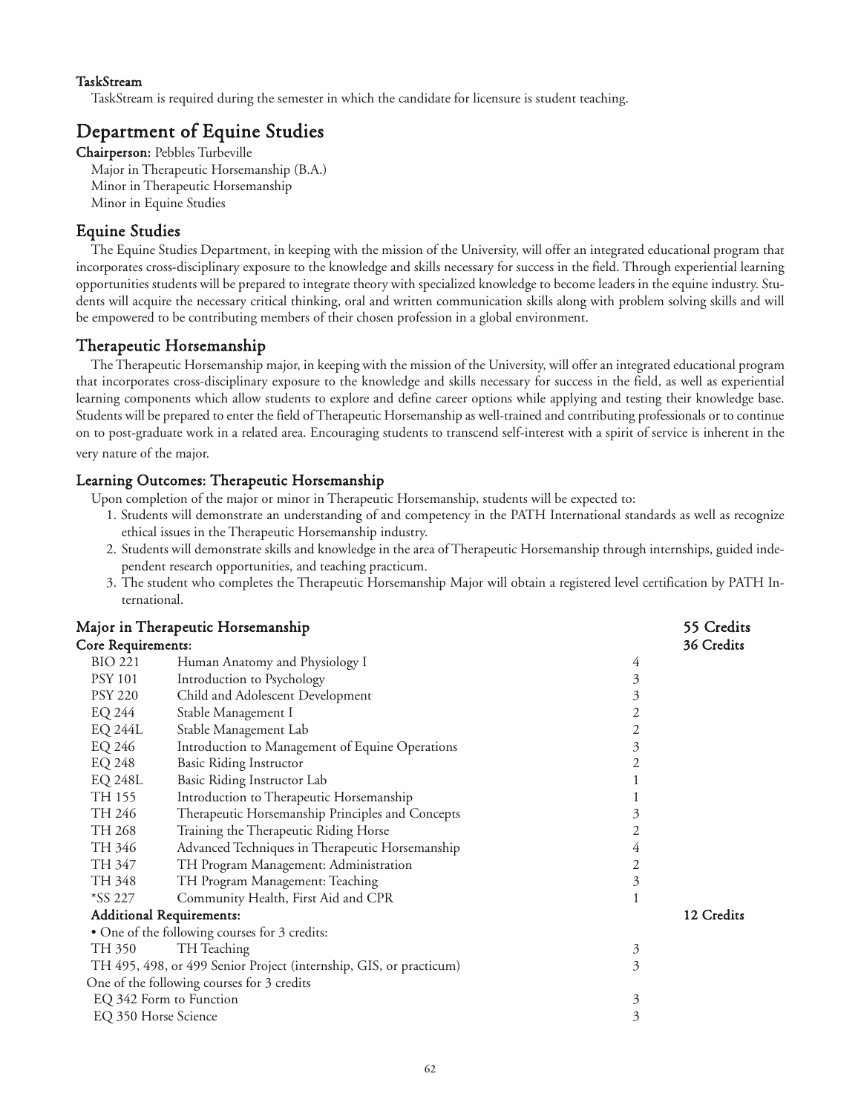# TaskStream

TaskStream is required during the semester in which the candidate for licensure is student teaching.

# Department of Equine Studies

Chairperson: Pebbles Turbeville Major in Therapeutic Horsemanship (B.A.) Minor in Therapeutic Horsemanship Minor in Equine Studies

# Equine Studies

The Equine Studies Department, in keeping with the mission of the University, will offer an integrated educational program that incorporates cross-disciplinary exposure to the knowledge and skills necessary for success in the field. Through experiential learning opportunities students will be prepared to integrate theory with specialized knowledge to become leaders in the equine industry. Students will acquire the necessary critical thinking, oral and written communication skills along with problem solving skills and will be empowered to be contributing members of their chosen profession in a global environment.

# Therapeutic Horsemanship

The Therapeutic Horsemanship major, in keeping with the mission of the University, will offer an integrated educational program that incorporates cross-disciplinary exposure to the knowledge and skills necessary for success in the field, as well as experiential learning components which allow students to explore and define career options while applying and testing their knowledge base. Students will be prepared to enter the field of Therapeutic Horsemanship as well-trained and contributing professionals or to continue on to post-graduate work in a related area. Encouraging students to transcend self-interest with a spirit of service is inherent in the very nature of the major.

# Learning Outcomes: Therapeutic Horsemanship

Upon completion of the major or minor in Therapeutic Horsemanship, students will be expected to:

- 1. Students will demonstrate an understanding of and competency in the PATH International standards as well as recognize ethical issues in the Therapeutic Horsemanship industry.
- 2. Students will demonstrate skills and knowledge in the area of Therapeutic Horsemanship through internships, guided independent research opportunities, and teaching practicum.
- 3. The student who completes the Therapeutic Horsemanship Major will obtain a registered level certification by PATH International.

|                    | Major in Therapeutic Horsemanship                                  |   | 55 Credits |
|--------------------|--------------------------------------------------------------------|---|------------|
| Core Requirements: |                                                                    |   | 36 Credits |
| <b>BIO 221</b>     | Human Anatomy and Physiology I                                     | 4 |            |
| <b>PSY 101</b>     | Introduction to Psychology                                         | 3 |            |
| <b>PSY 220</b>     | Child and Adolescent Development                                   | 3 |            |
| EQ 244             | Stable Management I                                                | 2 |            |
| <b>EQ 244L</b>     | Stable Management Lab                                              | 2 |            |
| EQ 246             | Introduction to Management of Equine Operations                    | 3 |            |
| EQ 248             | <b>Basic Riding Instructor</b>                                     | 2 |            |
| <b>EQ 248L</b>     | Basic Riding Instructor Lab                                        |   |            |
| TH 155             | Introduction to Therapeutic Horsemanship                           |   |            |
| TH 246             | Therapeutic Horsemanship Principles and Concepts                   | 3 |            |
| TH 268             | Training the Therapeutic Riding Horse                              | 2 |            |
| TH 346             | Advanced Techniques in Therapeutic Horsemanship                    | 4 |            |
| TH 347             | TH Program Management: Administration                              | 2 |            |
| TH 348             | TH Program Management: Teaching                                    | 3 |            |
| $*SS 227$          | Community Health, First Aid and CPR                                | 1 |            |
|                    | <b>Additional Requirements:</b>                                    |   | 12 Credits |
|                    | • One of the following courses for 3 credits:                      |   |            |
| TH 350             | TH Teaching                                                        | 3 |            |
|                    | TH 495, 498, or 499 Senior Project (internship, GIS, or practicum) | 3 |            |
|                    | One of the following courses for 3 credits                         |   |            |
|                    | EQ 342 Form to Function                                            | 3 |            |
|                    | EQ 350 Horse Science                                               | 3 |            |
|                    |                                                                    |   |            |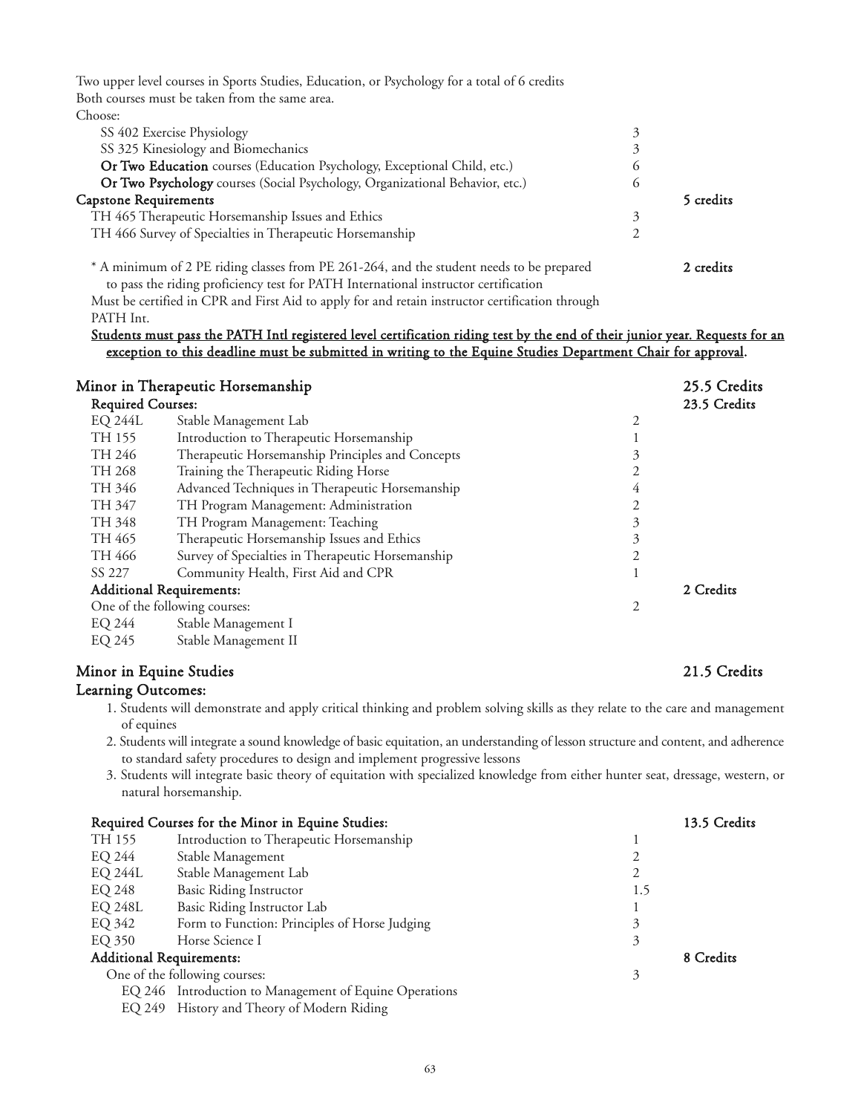Two upper level courses in Sports Studies, Education, or Psychology for a total of 6 credits Both courses must be taken from the same area. Choose:

| SS 402 Exercise Physiology                                                   |         |           |
|------------------------------------------------------------------------------|---------|-----------|
| SS 325 Kinesiology and Biomechanics                                          |         |           |
| Or Two Education courses (Education Psychology, Exceptional Child, etc.)     |         |           |
| Or Two Psychology courses (Social Psychology, Organizational Behavior, etc.) | $\circ$ |           |
| <b>Capstone Requirements</b>                                                 |         | 5 credits |
| TH 465 Therapeutic Horsemanship Issues and Ethics                            |         |           |
| TH 466 Survey of Specialties in Therapeutic Horsemanship                     |         |           |
|                                                                              |         |           |
| $C = D T$ $\uparrow$ $\uparrow$ $\uparrow$                                   |         |           |

\* A minimum of 2 PE riding classes from PE 261-264, and the student needs to be prepared 2 credits to pass the riding proficiency test for PATH International instructor certification

Must be certified in CPR and First Aid to apply for and retain instructor certification through PATH Int.

# Students must pass the PATH Intl registered level certification riding test by the end of their junior year. Requests for an exception to this deadline must be submitted in writing to the Equine Studies Department Chair for approval.

| Minor in Therapeutic Horsemanship                 |                          | 25.5 Credits |
|---------------------------------------------------|--------------------------|--------------|
|                                                   |                          | 23.5 Credits |
| Stable Management Lab                             | 2                        |              |
| Introduction to Therapeutic Horsemanship          |                          |              |
| Therapeutic Horsemanship Principles and Concepts  | 3                        |              |
| Training the Therapeutic Riding Horse             |                          |              |
| Advanced Techniques in Therapeutic Horsemanship   | 4                        |              |
| TH Program Management: Administration             | 2                        |              |
| TH Program Management: Teaching                   | 3                        |              |
| Therapeutic Horsemanship Issues and Ethics        | 3                        |              |
| Survey of Specialties in Therapeutic Horsemanship | 2                        |              |
| Community Health, First Aid and CPR               |                          |              |
| <b>Additional Requirements:</b>                   |                          | 2 Credits    |
| One of the following courses:<br>2                |                          |              |
| Stable Management I                               |                          |              |
|                                                   | <b>Required Courses:</b> |              |

EQ 245 Stable Management II

# Minor in Equine Studies 21.5 Credits

# Learning Outcomes:

- 1. Students will demonstrate and apply critical thinking and problem solving skills as they relate to the care and management of equines
- 2. Students will integrate a sound knowledge of basic equitation, an understanding of lesson structure and content, and adherence to standard safety procedures to design and implement progressive lessons
- 3. Students will integrate basic theory of equitation with specialized knowledge from either hunter seat, dressage, western, or natural horsemanship.

|                                 | Required Courses for the Minor in Equine Studies:      |     | 13.5 Credits |
|---------------------------------|--------------------------------------------------------|-----|--------------|
| TH 155                          | Introduction to Therapeutic Horsemanship               |     |              |
| EQ 244                          | Stable Management                                      |     |              |
| <b>EQ 244L</b>                  | Stable Management Lab                                  |     |              |
| EQ 248                          | Basic Riding Instructor                                | 1.5 |              |
| <b>EQ 248L</b>                  | Basic Riding Instructor Lab                            |     |              |
| EQ 342                          | Form to Function: Principles of Horse Judging          | 3   |              |
| EQ 350                          | Horse Science I                                        | 3   |              |
| <b>Additional Requirements:</b> |                                                        |     | 8 Credits    |
|                                 | One of the following courses:                          | 3   |              |
|                                 | EQ 246 Introduction to Management of Equine Operations |     |              |
|                                 | EQ 249 History and Theory of Modern Riding             |     |              |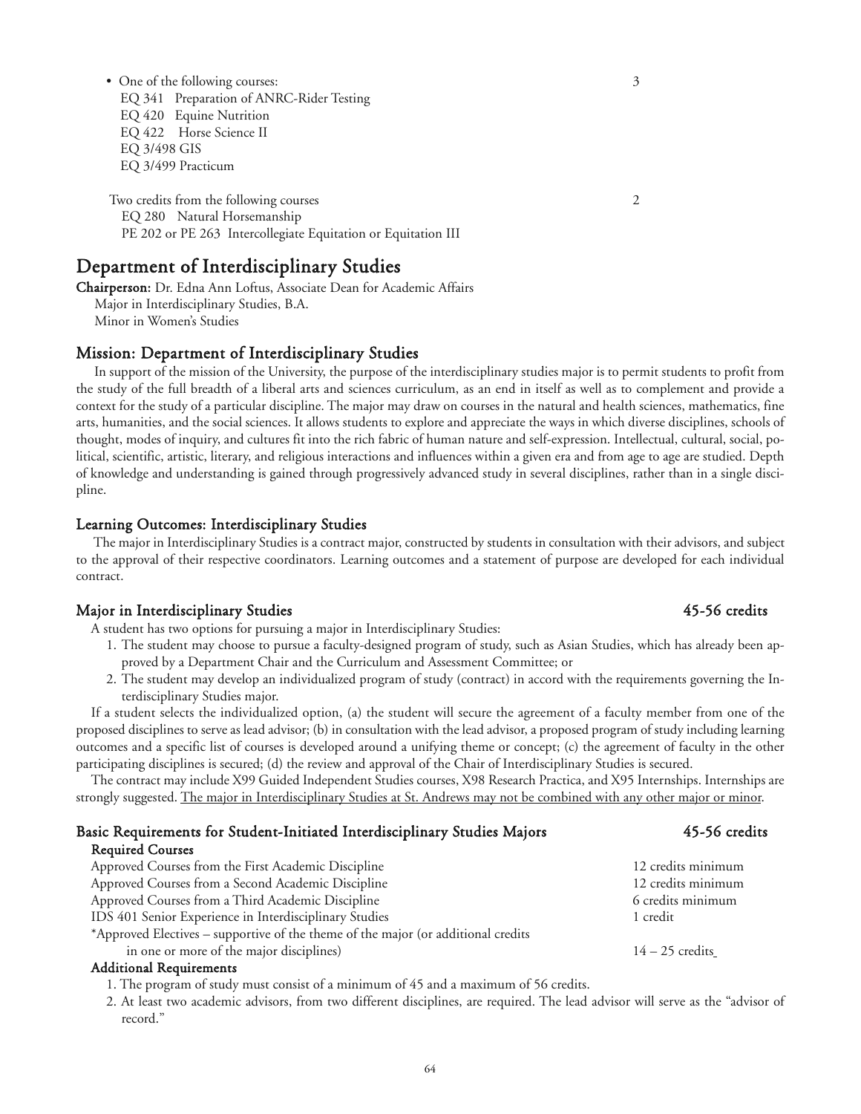• One of the following courses: 3 EQ 341 Preparation of ANRC-Rider Testing EQ 420 Equine Nutrition EQ 422 Horse Science II EQ 3/498 GIS EQ 3/499 Practicum

Two credits from the following courses 2 EQ 280 Natural Horsemanship PE 202 or PE 263 Intercollegiate Equitation or Equitation III

# Department of Interdisciplinary Studies

Chairperson: Dr. Edna Ann Loftus, Associate Dean for Academic Affairs Major in Interdisciplinary Studies, B.A. Minor in Women's Studies

# Mission: Department of Interdisciplinary Studies

In support of the mission of the University, the purpose of the interdisciplinary studies major is to permit students to profit from the study of the full breadth of a liberal arts and sciences curriculum, as an end in itself as well as to complement and provide a context for the study of a particular discipline. The major may draw on courses in the natural and health sciences, mathematics, fine arts, humanities, and the social sciences. It allows students to explore and appreciate the ways in which diverse disciplines, schools of thought, modes of inquiry, and cultures fit into the rich fabric of human nature and self-expression. Intellectual, cultural, social, political, scientific, artistic, literary, and religious interactions and influences within a given era and from age to age are studied. Depth of knowledge and understanding is gained through progressively advanced study in several disciplines, rather than in a single discipline.

# Learning Outcomes: Interdisciplinary Studies

The major in Interdisciplinary Studies is a contract major, constructed by students in consultation with their advisors, and subject to the approval of their respective coordinators. Learning outcomes and a statement of purpose are developed for each individual contract.

# Major in Interdisciplinary Studies **45-56** credits

A student has two options for pursuing a major in Interdisciplinary Studies:

- 1. The student may choose to pursue a faculty-designed program of study, such as Asian Studies, which has already been approved by a Department Chair and the Curriculum and Assessment Committee; or
- 2. The student may develop an individualized program of study (contract) in accord with the requirements governing the Interdisciplinary Studies major.

If a student selects the individualized option, (a) the student will secure the agreement of a faculty member from one of the proposed disciplines to serve as lead advisor; (b) in consultation with the lead advisor, a proposed program of study including learning outcomes and a specific list of courses is developed around a unifying theme or concept; (c) the agreement of faculty in the other participating disciplines is secured; (d) the review and approval of the Chair of Interdisciplinary Studies is secured.

The contract may include X99 Guided Independent Studies courses, X98 Research Practica, and X95 Internships. Internships are strongly suggested. The major in Interdisciplinary Studies at St. Andrews may not be combined with any other major or minor.

| Basic Requirements for Student-Initiated Interdisciplinary Studies Majors         | 45-56 credits      |
|-----------------------------------------------------------------------------------|--------------------|
| <b>Required Courses</b>                                                           |                    |
| Approved Courses from the First Academic Discipline                               | 12 credits minimum |
| Approved Courses from a Second Academic Discipline                                | 12 credits minimum |
| Approved Courses from a Third Academic Discipline                                 | 6 credits minimum  |
| IDS 401 Senior Experience in Interdisciplinary Studies                            | 1 credit           |
| *Approved Electives – supportive of the theme of the major (or additional credits |                    |
| in one or more of the major disciplines)                                          | $14 - 25$ credits  |
|                                                                                   |                    |

# Additional Requirements

1. The program of study must consist of a minimum of 45 and a maximum of 56 credits.

2. At least two academic advisors, from two different disciplines, are required. The lead advisor will serve as the "advisor of record."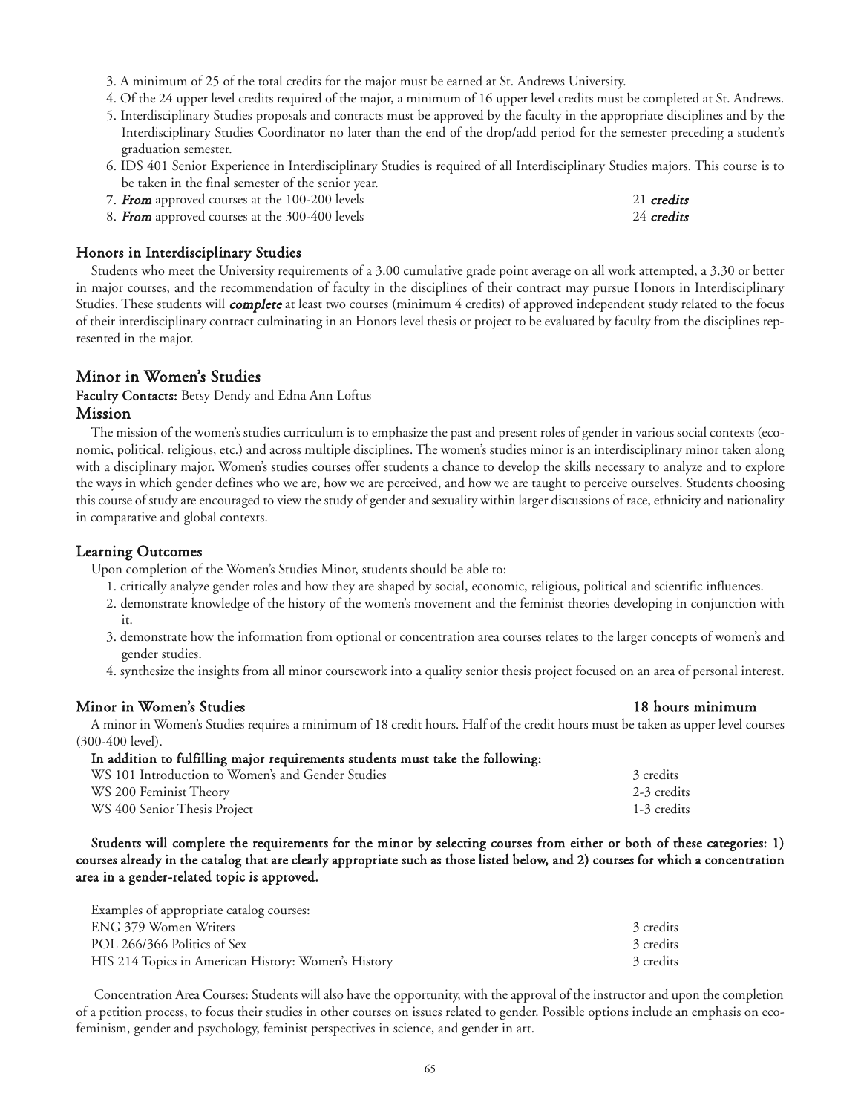- 3. A minimum of 25 of the total credits for the major must be earned at St. Andrews University.
- 4. Of the 24 upper level credits required of the major, a minimum of 16 upper level credits must be completed at St. Andrews.
- 5. Interdisciplinary Studies proposals and contracts must be approved by the faculty in the appropriate disciplines and by the Interdisciplinary Studies Coordinator no later than the end of the drop/add period for the semester preceding a student's graduation semester.
- 6. IDS 401 Senior Experience in Interdisciplinary Studies is required of all Interdisciplinary Studies majors. This course is to be taken in the final semester of the senior year.
- 7. **From** approved courses at the 100-200 levels 21 credits 21 credits 21 credits 24 credits 24 credits 24 credits
- 8. From approved courses at the 300-400 levels

# Honors in Interdisciplinary Studies

Students who meet the University requirements of a 3.00 cumulative grade point average on all work attempted, a 3.30 or better in major courses, and the recommendation of faculty in the disciplines of their contract may pursue Honors in Interdisciplinary Studies. These students will *complete* at least two courses (minimum 4 credits) of approved independent study related to the focus of their interdisciplinary contract culminating in an Honors level thesis or project to be evaluated by faculty from the disciplines represented in the major.

# Minor in Women's Studies

# Faculty Contacts: Betsy Dendy and Edna Ann Loftus Mission

The mission of the women's studies curriculum is to emphasize the past and present roles of gender in various social contexts (economic, political, religious, etc.) and across multiple disciplines. The women's studies minor is an interdisciplinary minor taken along with a disciplinary major. Women's studies courses offer students a chance to develop the skills necessary to analyze and to explore the ways in which gender defines who we are, how we are perceived, and how we are taught to perceive ourselves. Students choosing this course of study are encouraged to view the study of gender and sexuality within larger discussions of race, ethnicity and nationality in comparative and global contexts.

# Learning Outcomes

Upon completion of the Women's Studies Minor, students should be able to:

- 1. critically analyze gender roles and how they are shaped by social, economic, religious, political and scientific influences.
- 2. demonstrate knowledge of the history of the women's movement and the feminist theories developing in conjunction with it.
- 3. demonstrate how the information from optional or concentration area courses relates to the larger concepts of women's and gender studies.
- 4. synthesize the insights from all minor coursework into a quality senior thesis project focused on an area of personal interest.

# Minor in Women's Studies 18 hours minimum

A minor in Women's Studies requires a minimum of 18 credit hours. Half of the credit hours must be taken as upper level courses (300-400 level).

# In addition to fulfilling major requirements students must take the following:

| WS 101 Introduction to Women's and Gender Studies | 3 credits   |
|---------------------------------------------------|-------------|
| WS 200 Feminist Theory                            | 2-3 credits |
| WS 400 Senior Thesis Project                      | 1-3 credits |

Students will complete the requirements for the minor by selecting courses from either or both of these categories: 1) courses already in the catalog that are clearly appropriate such as those listed below, and 2) courses for which a concentration area in a gender-related topic is approved.

| Examples of appropriate catalog courses:            |           |
|-----------------------------------------------------|-----------|
| ENG 379 Women Writers                               | 3 credits |
| POL 266/366 Politics of Sex                         | 3 credits |
| HIS 214 Topics in American History: Women's History | 3 credits |

Concentration Area Courses: Students will also have the opportunity, with the approval of the instructor and upon the completion of a petition process, to focus their studies in other courses on issues related to gender. Possible options include an emphasis on ecofeminism, gender and psychology, feminist perspectives in science, and gender in art.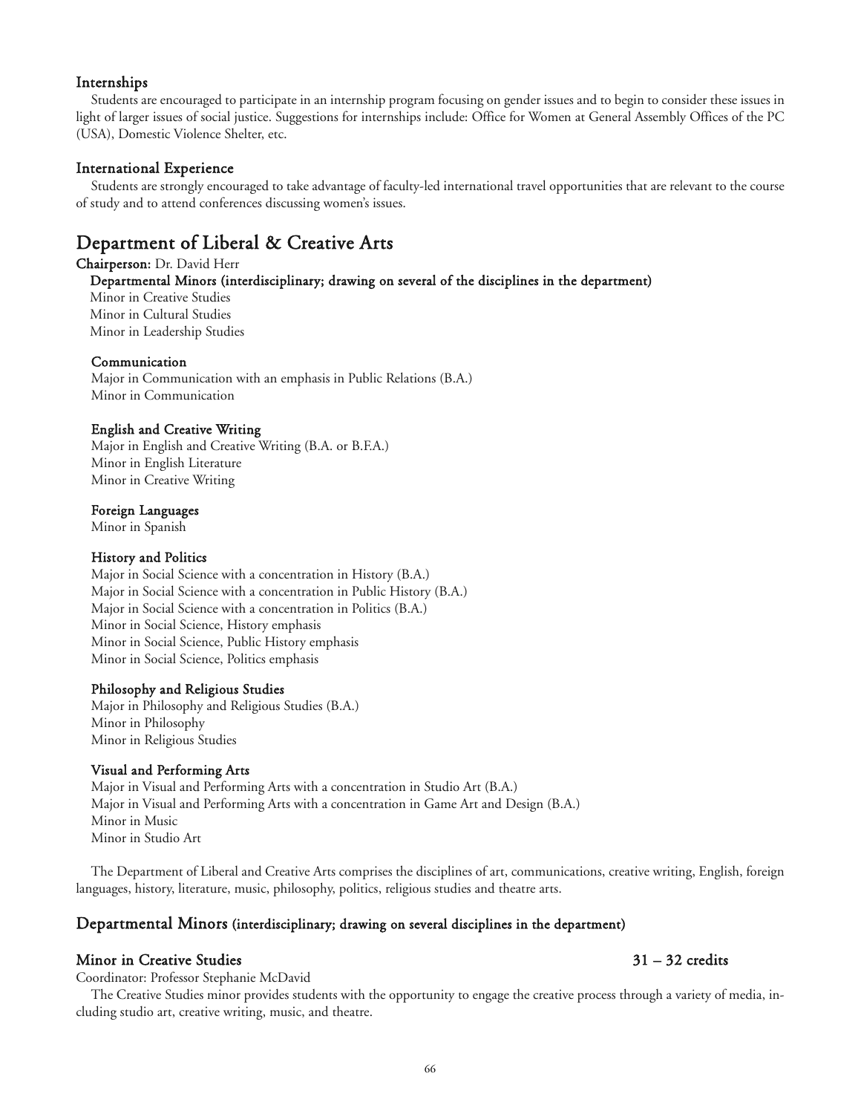# Internships

Students are encouraged to participate in an internship program focusing on gender issues and to begin to consider these issues in light of larger issues of social justice. Suggestions for internships include: Office for Women at General Assembly Offices of the PC (USA), Domestic Violence Shelter, etc.

# International Experience

Students are strongly encouraged to take advantage of faculty-led international travel opportunities that are relevant to the course of study and to attend conferences discussing women's issues.

# Department of Liberal & Creative Arts

Chairperson: Dr. David Herr Departmental Minors (interdisciplinary; drawing on several of the disciplines in the department) Minor in Creative Studies

Minor in Cultural Studies Minor in Leadership Studies

# Communication

Major in Communication with an emphasis in Public Relations (B.A.) Minor in Communication

# English and Creative Writing

Major in English and Creative Writing (B.A. or B.F.A.) Minor in English Literature Minor in Creative Writing

# Foreign Languages

Minor in Spanish

# History and Politics

Major in Social Science with a concentration in History (B.A.) Major in Social Science with a concentration in Public History (B.A.) Major in Social Science with a concentration in Politics (B.A.) Minor in Social Science, History emphasis Minor in Social Science, Public History emphasis Minor in Social Science, Politics emphasis

# Philosophy and Religious Studies

Major in Philosophy and Religious Studies (B.A.) Minor in Philosophy Minor in Religious Studies

# Visual and Performing Arts

Major in Visual and Performing Arts with a concentration in Studio Art (B.A.) Major in Visual and Performing Arts with a concentration in Game Art and Design (B.A.) Minor in Music Minor in Studio Art

The Department of Liberal and Creative Arts comprises the disciplines of art, communications, creative writing, English, foreign languages, history, literature, music, philosophy, politics, religious studies and theatre arts.

# Departmental Minors (interdisciplinary; drawing on several disciplines in the department)

# Minor in Creative Studies 31 – 32 credits

Coordinator: Professor Stephanie McDavid

The Creative Studies minor provides students with the opportunity to engage the creative process through a variety of media, including studio art, creative writing, music, and theatre.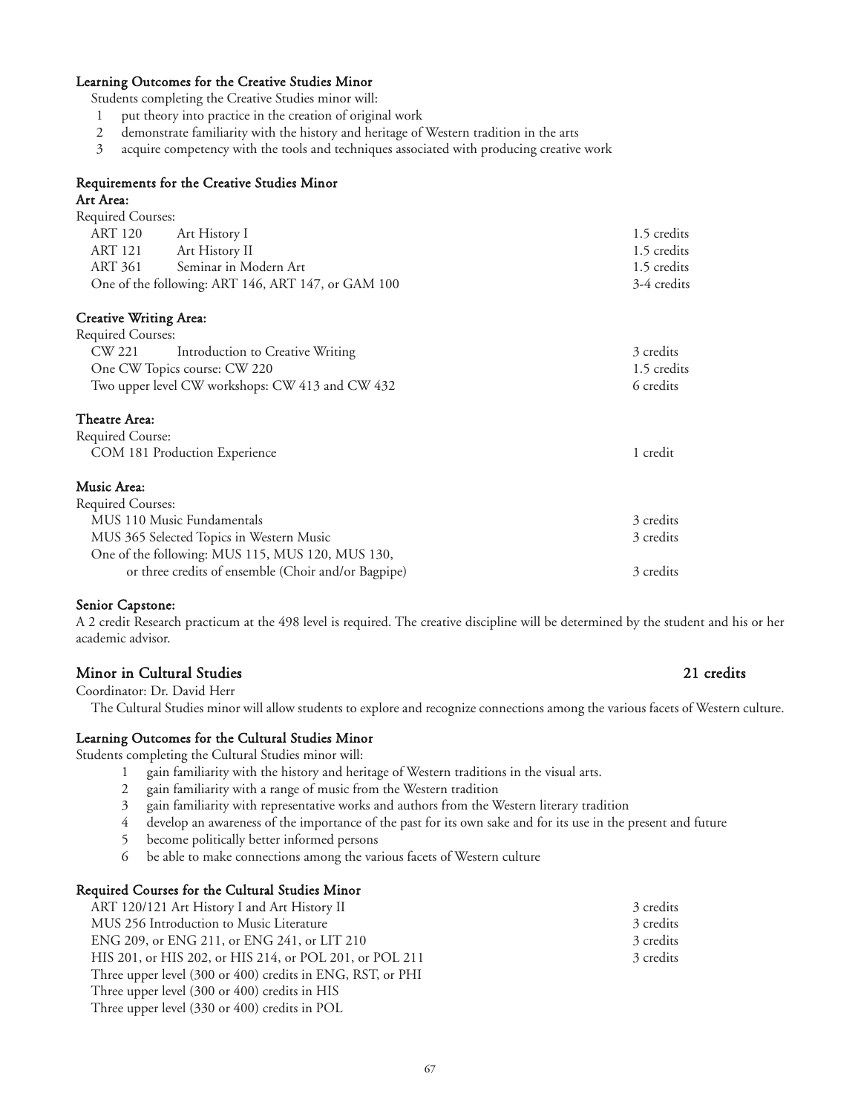#### Learning Outcomes for the Creative Studies Minor

Students completing the Creative Studies minor will:

- 1 put theory into practice in the creation of original work
- 2 demonstrate familiarity with the history and heritage of Western tradition in the arts
- 3 acquire competency with the tools and techniques associated with producing creative work

#### Requirements for the Creative Studies Minor

#### Art Area:

| Required Courses: |                                                    |             |
|-------------------|----------------------------------------------------|-------------|
| ART 120           | Art History I                                      | 1.5 credits |
| ART 121           | Art History II                                     | 1.5 credits |
| ART 361           | Seminar in Modern Art                              | 1.5 credits |
|                   | One of the following: ART 146, ART 147, or GAM 100 | 3-4 credits |
|                   |                                                    |             |

#### Creative Writing Area:

| <b>Required Courses:</b>                        |                                  |             |
|-------------------------------------------------|----------------------------------|-------------|
| CW 221                                          | Introduction to Creative Writing | 3 credits   |
|                                                 | One CW Topics course: CW 220     | 1.5 credits |
| Two upper level CW workshops: CW 413 and CW 432 |                                  | 6 credits   |
|                                                 |                                  |             |

#### Theatre Area:

| Required Course:              |          |
|-------------------------------|----------|
| COM 181 Production Experience | 1 credit |

#### $M$

| Music Area:                                         |           |
|-----------------------------------------------------|-----------|
| Required Courses:                                   |           |
| MUS 110 Music Fundamentals                          | 3 credits |
| MUS 365 Selected Topics in Western Music            | 3 credits |
| One of the following: MUS 115, MUS 120, MUS 130,    |           |
| or three credits of ensemble (Choir and/or Bagpipe) | 3 credits |

### Senior Capstone:

A 2 credit Research practicum at the 498 level is required. The creative discipline will be determined by the student and his or her academic advisor.

### Minor in Cultural Studies 21 credits

# Coordinator: Dr. David Herr

The Cultural Studies minor will allow students to explore and recognize connections among the various facets of Western culture.

#### Learning Outcomes for the Cultural Studies Minor

Students completing the Cultural Studies minor will:

- 1 gain familiarity with the history and heritage of Western traditions in the visual arts.
- 2 gain familiarity with a range of music from the Western tradition
- 3 gain familiarity with representative works and authors from the Western literary tradition
- 4 develop an awareness of the importance of the past for its own sake and for its use in the present and future
- 5 become politically better informed persons
- 6 be able to make connections among the various facets of Western culture

#### Required Courses for the Cultural Studies Minor

| ART 120/121 Art History I and Art History II               | 3 credits |
|------------------------------------------------------------|-----------|
| MUS 256 Introduction to Music Literature                   | 3 credits |
| ENG 209, or ENG 211, or ENG 241, or LIT 210                | 3 credits |
| HIS 201, or HIS 202, or HIS 214, or POL 201, or POL 211    | 3 credits |
| Three upper level (300 or 400) credits in ENG, RST, or PHI |           |
| Three upper level (300 or 400) credits in HIS              |           |

Three upper level (330 or 400) credits in POL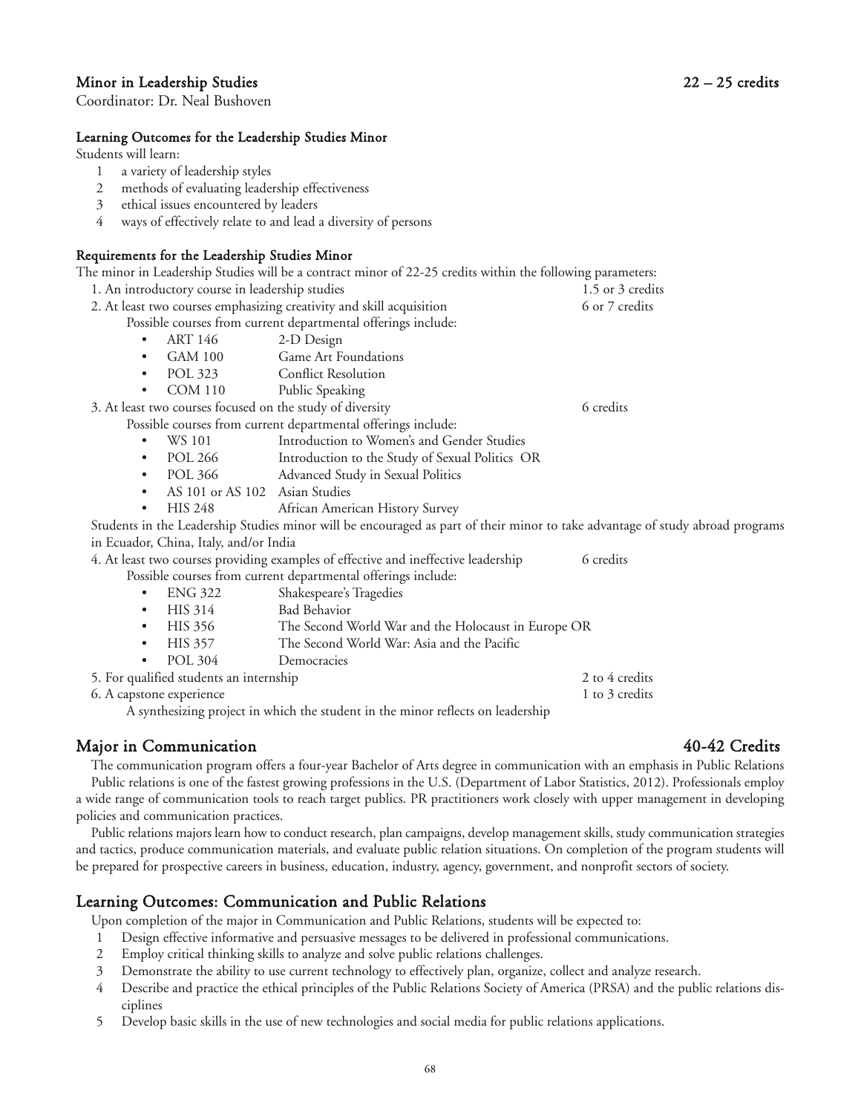### Minor in Leadership Studies 22 – 25 credits

Coordinator: Dr. Neal Bushoven

#### Learning Outcomes for the Leadership Studies Minor

Students will learn:

1 a variety of leadership styles

#### 2 methods of evaluating leadership effectiveness

- 3 ethical issues encountered by leaders
- 4 ways of effectively relate to and lead a diversity of persons

### Requirements for the Leadership Studies Minor

| -welantento iti me maasiomp otaaroo mintor                           | The minor in Leadership Studies will be a contract minor of 22-25 credits within the following parameters:                                                                                                                        |                  |
|----------------------------------------------------------------------|-----------------------------------------------------------------------------------------------------------------------------------------------------------------------------------------------------------------------------------|------------------|
|                                                                      |                                                                                                                                                                                                                                   |                  |
| 1. An introductory course in leadership studies                      |                                                                                                                                                                                                                                   | 1.5 or 3 credits |
| 2. At least two courses emphasizing creativity and skill acquisition |                                                                                                                                                                                                                                   | 6 or 7 credits   |
|                                                                      | Possible courses from current departmental offerings include:                                                                                                                                                                     |                  |
| <b>ART 146</b><br>$\bullet$                                          | 2-D Design                                                                                                                                                                                                                        |                  |
| $GAM$ 100<br>٠                                                       | <b>Game Art Foundations</b>                                                                                                                                                                                                       |                  |
| ٠                                                                    | POL 323 Conflict Resolution                                                                                                                                                                                                       |                  |
| COM 110 Public Speaking<br>٠                                         |                                                                                                                                                                                                                                   |                  |
| 3. At least two courses focused on the study of diversity            |                                                                                                                                                                                                                                   | 6 credits        |
|                                                                      | Possible courses from current departmental offerings include:                                                                                                                                                                     |                  |
| WS 101<br>٠                                                          | Introduction to Women's and Gender Studies                                                                                                                                                                                        |                  |
| POL 266<br>٠                                                         | Introduction to the Study of Sexual Politics OR                                                                                                                                                                                   |                  |
| ٠                                                                    | POL 366 Advanced Study in Sexual Politics                                                                                                                                                                                         |                  |
| AS 101 or AS 102 Asian Studies<br>$\bullet$                          |                                                                                                                                                                                                                                   |                  |
| HIS 248<br>٠                                                         | African American History Survey                                                                                                                                                                                                   |                  |
|                                                                      | Students in the Leadership Studies minor will be encouraged as part of their minor to take advantage of study abroad programs                                                                                                     |                  |
| in Ecuador, China, Italy, and/or India                               |                                                                                                                                                                                                                                   |                  |
|                                                                      | 4. At least two courses providing examples of effective and ineffective leadership                                                                                                                                                | 6 credits        |
|                                                                      | Possible courses from current departmental offerings include:                                                                                                                                                                     |                  |
| ENG 322<br>٠                                                         | Shakespeare's Tragedies                                                                                                                                                                                                           |                  |
| HIS 314<br>٠                                                         | <b>Bad Behavior</b>                                                                                                                                                                                                               |                  |
| HIS 356<br>$\bullet$                                                 | The Second World War and the Holocaust in Europe OR                                                                                                                                                                               |                  |
| HIS 357<br>٠                                                         | The Second World War: Asia and the Pacific                                                                                                                                                                                        |                  |
| POL 304<br>٠                                                         | Democracies                                                                                                                                                                                                                       |                  |
| 5. For qualified students an internship                              |                                                                                                                                                                                                                                   | 2 to 4 credits   |
| 6. A capstone experience                                             |                                                                                                                                                                                                                                   | 1 to 3 credits   |
|                                                                      | $\mathbf{a}$ , and a set of the set of the set of the set of the set of the set of the set of the set of the set of the set of the set of the set of the set of the set of the set of the set of the set of the set of the set of |                  |

A synthesizing project in which the student in the minor reflects on leadership

# Major in Communication 40-42 Credits

The communication program offers a four-year Bachelor of Arts degree in communication with an emphasis in Public Relations Public relations is one of the fastest growing professions in the U.S. (Department of Labor Statistics, 2012). Professionals employ a wide range of communication tools to reach target publics. PR practitioners work closely with upper management in developing policies and communication practices.

Public relations majors learn how to conduct research, plan campaigns, develop management skills, study communication strategies and tactics, produce communication materials, and evaluate public relation situations. On completion of the program students will be prepared for prospective careers in business, education, industry, agency, government, and nonprofit sectors of society.

# Learning Outcomes: Communication and Public Relations

Upon completion of the major in Communication and Public Relations, students will be expected to:

- 1 Design effective informative and persuasive messages to be delivered in professional communications.
- 2 Employ critical thinking skills to analyze and solve public relations challenges.
- 3 Demonstrate the ability to use current technology to effectively plan, organize, collect and analyze research.
- 4 Describe and practice the ethical principles of the Public Relations Society of America (PRSA) and the public relations disciplines
- 5 Develop basic skills in the use of new technologies and social media for public relations applications.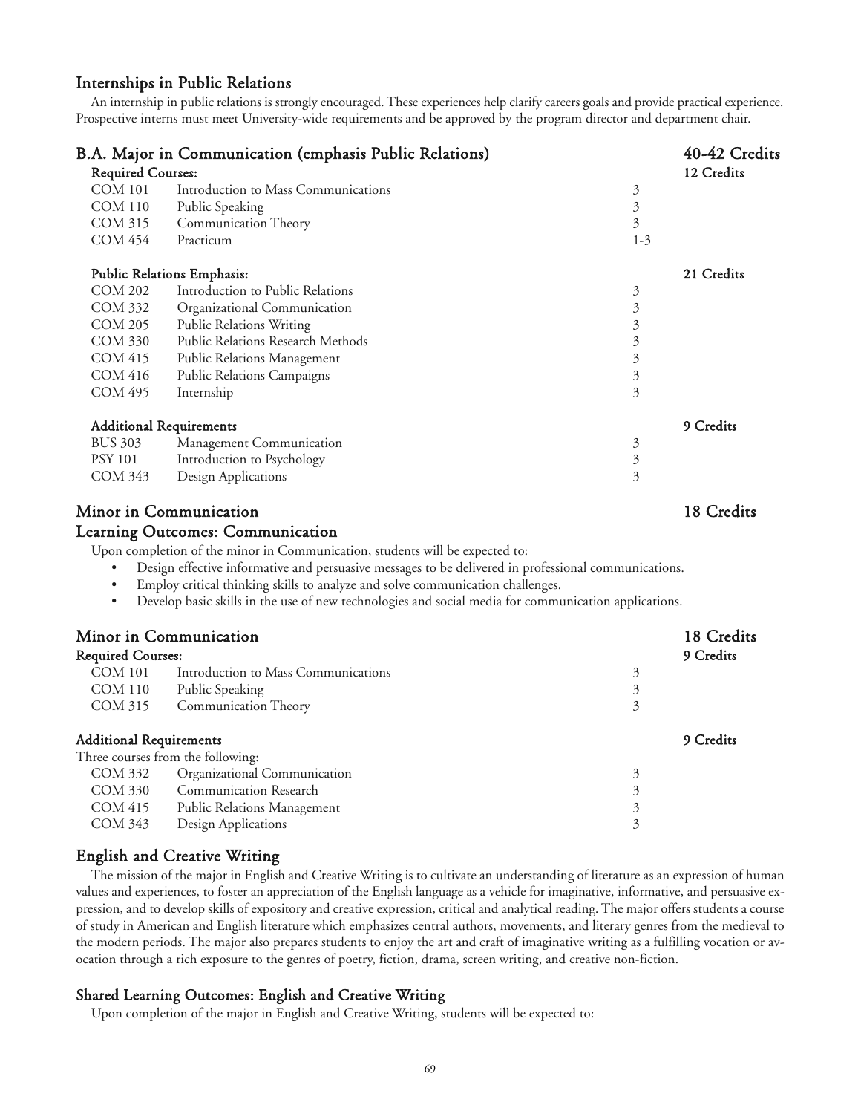### Internships in Public Relations

An internship in public relations is strongly encouraged. These experiences help clarify careers goals and provide practical experience. Prospective interns must meet University-wide requirements and be approved by the program director and department chair.

|                          | B.A. Major in Communication (emphasis Public Relations) |         | 40-42 Credits |
|--------------------------|---------------------------------------------------------|---------|---------------|
| <b>Required Courses:</b> |                                                         |         | 12 Credits    |
| <b>COM 101</b>           | Introduction to Mass Communications                     | 3       |               |
| <b>COM 110</b>           | Public Speaking                                         | 3       |               |
| COM 315                  | Communication Theory                                    | 3       |               |
| COM 454                  | Practicum                                               | $1 - 3$ |               |
|                          | <b>Public Relations Emphasis:</b>                       |         | 21 Credits    |
| <b>COM 202</b>           | Introduction to Public Relations                        | 3       |               |
| COM 332                  | Organizational Communication                            | 3       |               |
| <b>COM 205</b>           | <b>Public Relations Writing</b>                         | 3       |               |
| <b>COM 330</b>           | Public Relations Research Methods                       | 3       |               |
| COM 415                  | Public Relations Management                             | 3       |               |
| <b>COM 416</b>           | Public Relations Campaigns                              | 3       |               |
| COM 495                  | Internship                                              | 3       |               |
|                          | <b>Additional Requirements</b>                          |         | 9 Credits     |
| <b>BUS 303</b>           | Management Communication                                | 3       |               |
| <b>PSY 101</b>           | Introduction to Psychology                              | 3       |               |
| COM 343                  | Design Applications                                     | 3       |               |
|                          |                                                         |         |               |

# Minor in Communication 18 Credits

#### Learning Outcomes: Communication

Upon completion of the minor in Communication, students will be expected to:

• Design effective informative and persuasive messages to be delivered in professional communications.

- Employ critical thinking skills to analyze and solve communication challenges.
- Develop basic skills in the use of new technologies and social media for communication applications.

|                                | Minor in Communication<br><b>Required Courses:</b> |   | 18 Credits<br>9 Credits |
|--------------------------------|----------------------------------------------------|---|-------------------------|
|                                |                                                    |   |                         |
| <b>COM 101</b>                 | Introduction to Mass Communications                | 3 |                         |
| <b>COM 110</b>                 | Public Speaking                                    | 3 |                         |
| COM 315                        | <b>Communication Theory</b>                        | 3 |                         |
| <b>Additional Requirements</b> |                                                    |   | 9 Credits               |
|                                | Three courses from the following:                  |   |                         |
| COM 332                        | Organizational Communication                       | 3 |                         |
| COM 330                        | <b>Communication Research</b>                      | 3 |                         |
| COM 415                        | Public Relations Management                        | 3 |                         |
| COM 343                        | Design Applications                                |   |                         |

## English and Creative Writing

The mission of the major in English and Creative Writing is to cultivate an understanding of literature as an expression of human values and experiences, to foster an appreciation of the English language as a vehicle for imaginative, informative, and persuasive expression, and to develop skills of expository and creative expression, critical and analytical reading. The major offers students a course of study in American and English literature which emphasizes central authors, movements, and literary genres from the medieval to the modern periods. The major also prepares students to enjoy the art and craft of imaginative writing as a fulfilling vocation or avocation through a rich exposure to the genres of poetry, fiction, drama, screen writing, and creative non-fiction.

#### Shared Learning Outcomes: English and Creative Writing

Upon completion of the major in English and Creative Writing, students will be expected to: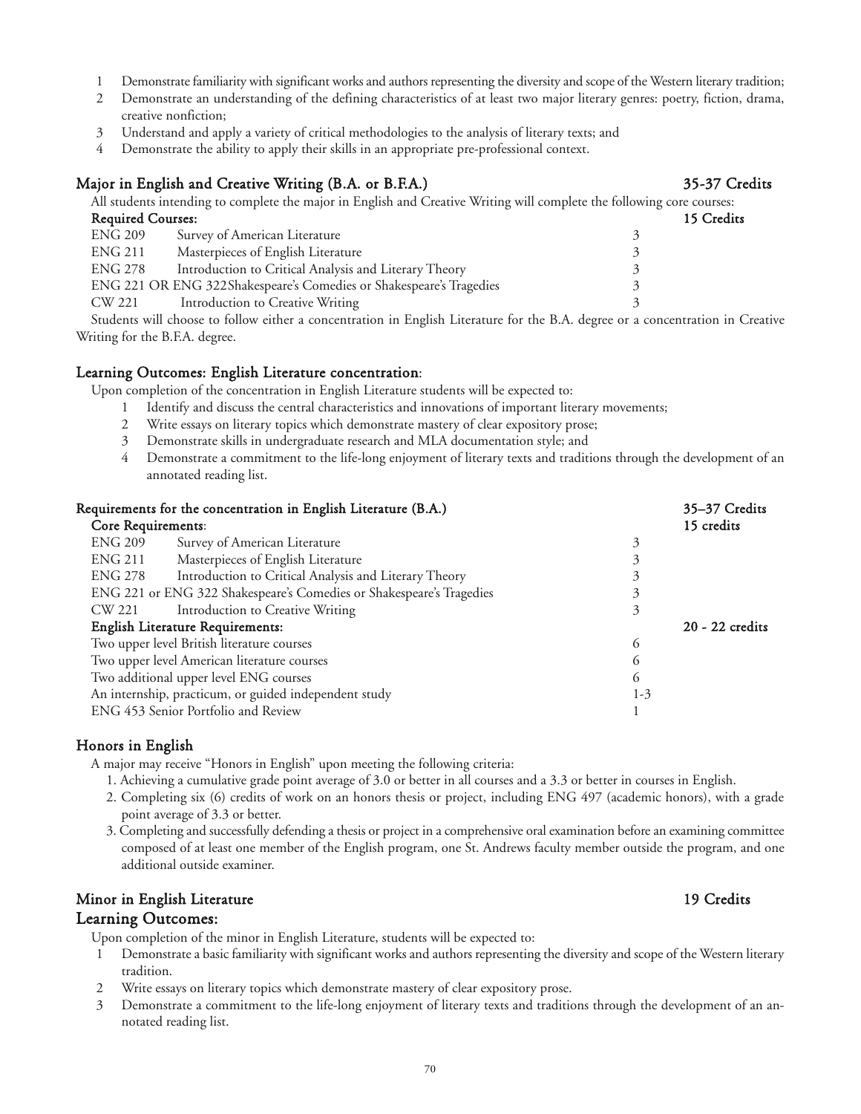- Minor in English Literature 19 Credits Upon completion of the minor in English Literature, students will be expected to:
	- 1 Demonstrate a basic familiarity with significant works and authors representing the diversity and scope of the Western literary tradition.
	- 2 Write essays on literary topics which demonstrate mastery of clear expository prose.
	- 3 Demonstrate a commitment to the life-long enjoyment of literary texts and traditions through the development of an annotated reading list.
- 1 Demonstrate familiarity with significant works and authors representing the diversity and scope of the Western literary tradition;
- 2 Demonstrate an understanding of the defining characteristics of at least two major literary genres: poetry, fiction, drama, creative nonfiction;
- 3 Understand and apply a variety of critical methodologies to the analysis of literary texts; and
- 4 Demonstrate the ability to apply their skills in an appropriate pre-professional context.

# Major in English and Creative Writing (B.A. or B.F.A.) 35-37 Credits

All students intending to complete the major in English and Creative Writing will complete the following core courses: Required Courses: 15 Credits ENG 209 Survey of American Literature 3 ENG 211 Masterpieces of English Literature 3 ENG 278 Introduction to Critical Analysis and Literary Theory 3 ENG 221 OR ENG 322Shakespeare's Comedies or Shakespeare's Tragedies 3 CW 221 Introduction to Creative Writing 3

Students will choose to follow either a concentration in English Literature for the B.A. degree or a concentration in Creative Writing for the B.F.A. degree.

## Learning Outcomes: English Literature concentration:

Upon completion of the concentration in English Literature students will be expected to:

- 1 Identify and discuss the central characteristics and innovations of important literary movements;
- 2 Write essays on literary topics which demonstrate mastery of clear expository prose;
- 3 Demonstrate skills in undergraduate research and MLA documentation style; and
- 4 Demonstrate a commitment to the life-long enjoyment of literary texts and traditions through the development of an annotated reading list.

| Requirements for the concentration in English Literature (B.A.) |                                                                      | 35-37 Credits |                 |
|-----------------------------------------------------------------|----------------------------------------------------------------------|---------------|-----------------|
| Core Requirements:                                              |                                                                      |               | 15 credits      |
| <b>ENG 209</b>                                                  | Survey of American Literature                                        | 3             |                 |
| ENG 211                                                         | Masterpieces of English Literature                                   | 3             |                 |
| ENG 278                                                         | Introduction to Critical Analysis and Literary Theory                | 3             |                 |
|                                                                 | ENG 221 or ENG 322 Shakespeare's Comedies or Shakespeare's Tragedies | 3             |                 |
| CW 221                                                          | Introduction to Creative Writing                                     | 3             |                 |
| English Literature Requirements:                                |                                                                      |               | 20 - 22 credits |
| Two upper level British literature courses                      |                                                                      | $\circ$       |                 |
| Two upper level American literature courses                     |                                                                      | <sub>O</sub>  |                 |
| Two additional upper level ENG courses                          |                                                                      | 6             |                 |
|                                                                 | An internship, practicum, or guided independent study                | $1-3$         |                 |
|                                                                 | ENG 453 Senior Portfolio and Review                                  |               |                 |

# Honors in English

A major may receive "Honors in English" upon meeting the following criteria:

- 1. Achieving a cumulative grade point average of 3.0 or better in all courses and a 3.3 or better in courses in English.
- 2. Completing six (6) credits of work on an honors thesis or project, including ENG 497 (academic honors), with a grade point average of 3.3 or better.
- 3. Completing and successfully defending a thesis or project in a comprehensive oral examination before an examining committee composed of at least one member of the English program, one St. Andrews faculty member outside the program, and one additional outside examiner.

# Learning Outcomes: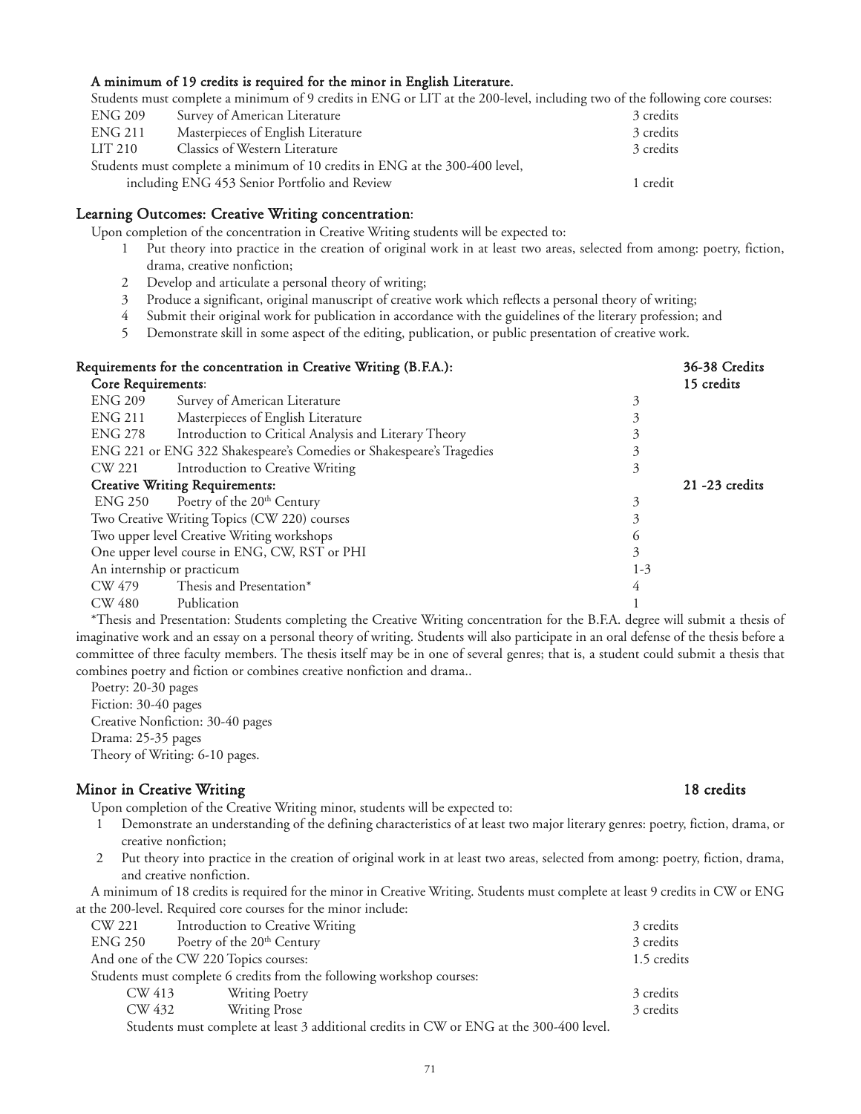#### A minimum of 19 credits is required for the minor in English Literature.

Students must complete a minimum of 9 credits in ENG or LIT at the 200-level, including two of the following core courses:

| ENG 209 | Survey of American Literature                                               | 3 credits |
|---------|-----------------------------------------------------------------------------|-----------|
| ENG 211 | Masterpieces of English Literature                                          | 3 credits |
| LIT 210 | Classics of Western Literature                                              | 3 credits |
|         | Students must complete a minimum of 10 credits in ENG at the 300-400 level, |           |
|         | including ENG 453 Senior Portfolio and Review                               | 1 credit  |

#### Learning Outcomes: Creative Writing concentration:

Upon completion of the concentration in Creative Writing students will be expected to:

- 1 Put theory into practice in the creation of original work in at least two areas, selected from among: poetry, fiction, drama, creative nonfiction;
- 2 Develop and articulate a personal theory of writing;
- 3 Produce a significant, original manuscript of creative work which reflects a personal theory of writing;
- 4 Submit their original work for publication in accordance with the guidelines of the literary profession; and
- 5 Demonstrate skill in some aspect of the editing, publication, or public presentation of creative work.

| Requirements for the concentration in Creative Writing (B.F.A.): |                                                                      | 36-38 Credits |                   |
|------------------------------------------------------------------|----------------------------------------------------------------------|---------------|-------------------|
| <b>Core Requirements:</b>                                        |                                                                      |               | 15 credits        |
| <b>ENG 209</b>                                                   | Survey of American Literature                                        | 3             |                   |
| <b>ENG 211</b>                                                   | Masterpieces of English Literature                                   | 3             |                   |
| ENG 278                                                          | Introduction to Critical Analysis and Literary Theory                | 3             |                   |
|                                                                  | ENG 221 or ENG 322 Shakespeare's Comedies or Shakespeare's Tragedies | 3             |                   |
| CW 221                                                           | Introduction to Creative Writing                                     | 3             |                   |
| <b>Creative Writing Requirements:</b>                            |                                                                      |               | $21 - 23$ credits |
| ENG 250                                                          | Poetry of the 20 <sup>th</sup> Century                               | 3             |                   |
|                                                                  | Two Creative Writing Topics (CW 220) courses                         | 3             |                   |
|                                                                  | Two upper level Creative Writing workshops                           | 6             |                   |
|                                                                  | One upper level course in ENG, CW, RST or PHI                        | 3             |                   |
|                                                                  | An internship or practicum                                           | $1 - 3$       |                   |
| CW 479                                                           | Thesis and Presentation*                                             | 4             |                   |
| CW 480                                                           | Publication                                                          |               |                   |

\*Thesis and Presentation: Students completing the Creative Writing concentration for the B.F.A. degree will submit a thesis of imaginative work and an essay on a personal theory of writing. Students will also participate in an oral defense of the thesis before a committee of three faculty members. The thesis itself may be in one of several genres; that is, a student could submit a thesis that combines poetry and fiction or combines creative nonfiction and drama..

Poetry: 20-30 pages Fiction: 30-40 pages Creative Nonfiction: 30-40 pages Drama: 25-35 pages Theory of Writing: 6-10 pages.

### Minor in Creative Writing 18 credits 18 credits

- Upon completion of the Creative Writing minor, students will be expected to:
- 1 Demonstrate an understanding of the defining characteristics of at least two major literary genres: poetry, fiction, drama, or creative nonfiction;
- 2 Put theory into practice in the creation of original work in at least two areas, selected from among: poetry, fiction, drama, and creative nonfiction.

A minimum of 18 credits is required for the minor in Creative Writing. Students must complete at least 9 credits in CW or ENG at the 200-level. Required core courses for the minor include:

| CW 221  | Introduction to Creative Writing                                                        | 3 credits   |
|---------|-----------------------------------------------------------------------------------------|-------------|
| ENG 250 | Poetry of the 20 <sup>th</sup> Century                                                  | 3 credits   |
|         | And one of the CW 220 Topics courses:                                                   | 1.5 credits |
|         | Students must complete 6 credits from the following workshop courses:                   |             |
| CW 413  | Writing Poetry                                                                          | 3 credits   |
| CW 432  | <b>Writing Prose</b>                                                                    | 3 credits   |
|         | Students must complete at least 3 additional credits in CW or ENG at the 300-400 level. |             |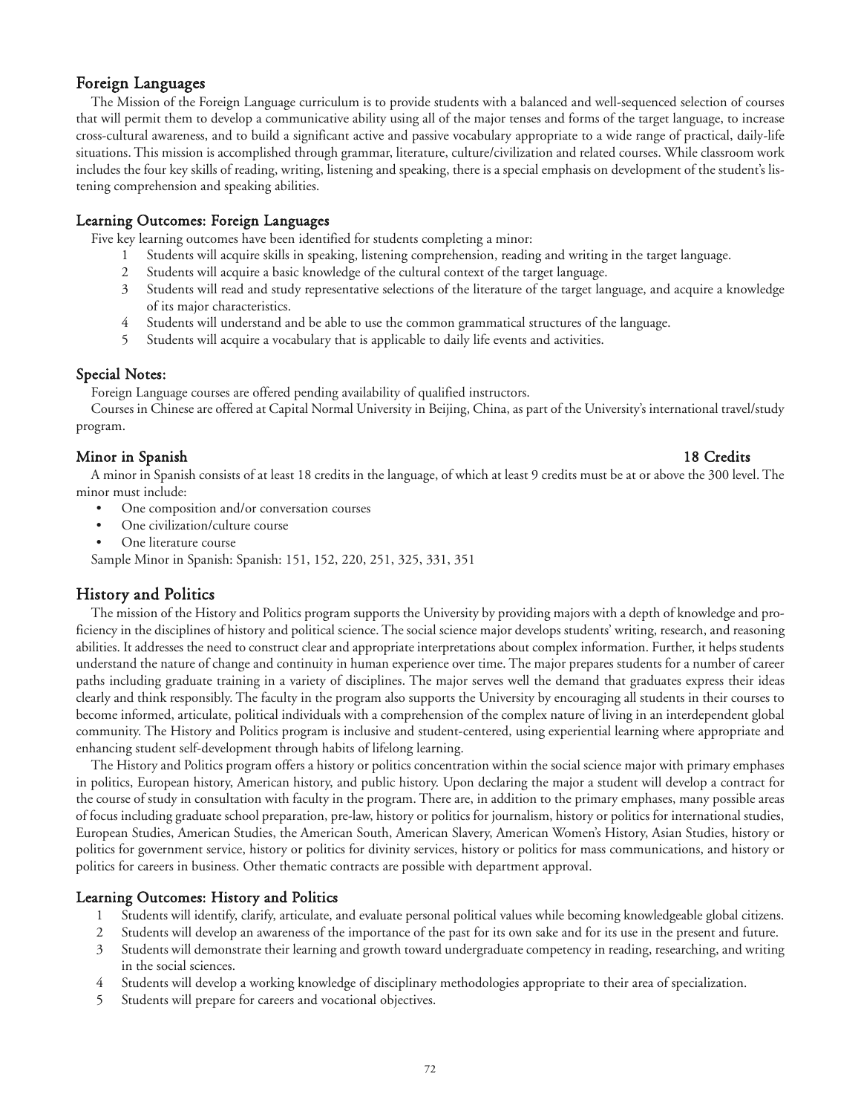## Foreign Languages

The Mission of the Foreign Language curriculum is to provide students with a balanced and well-sequenced selection of courses that will permit them to develop a communicative ability using all of the major tenses and forms of the target language, to increase cross-cultural awareness, and to build a significant active and passive vocabulary appropriate to a wide range of practical, daily-life situations. This mission is accomplished through grammar, literature, culture/civilization and related courses. While classroom work includes the four key skills of reading, writing, listening and speaking, there is a special emphasis on development of the student's listening comprehension and speaking abilities.

### Learning Outcomes: Foreign Languages

Five key learning outcomes have been identified for students completing a minor:

- 1 Students will acquire skills in speaking, listening comprehension, reading and writing in the target language.
- 2 Students will acquire a basic knowledge of the cultural context of the target language.
- 3 Students will read and study representative selections of the literature of the target language, and acquire a knowledge of its major characteristics.
- 4 Students will understand and be able to use the common grammatical structures of the language.
- 5 Students will acquire a vocabulary that is applicable to daily life events and activities.

#### Special Notes:

Foreign Language courses are offered pending availability of qualified instructors.

Courses in Chinese are offered at Capital Normal University in Beijing, China, as part of the University's international travel/study program.

#### Minor in Spanish 18 Credits

A minor in Spanish consists of at least 18 credits in the language, of which at least 9 credits must be at or above the 300 level. The minor must include:

- One composition and/or conversation courses
- One civilization/culture course
- One literature course

Sample Minor in Spanish: Spanish: 151, 152, 220, 251, 325, 331, 351

# History and Politics

The mission of the History and Politics program supports the University by providing majors with a depth of knowledge and proficiency in the disciplines of history and political science. The social science major develops students' writing, research, and reasoning abilities. It addresses the need to construct clear and appropriate interpretations about complex information. Further, it helps students understand the nature of change and continuity in human experience over time. The major prepares students for a number of career paths including graduate training in a variety of disciplines. The major serves well the demand that graduates express their ideas clearly and think responsibly. The faculty in the program also supports the University by encouraging all students in their courses to become informed, articulate, political individuals with a comprehension of the complex nature of living in an interdependent global community. The History and Politics program is inclusive and student-centered, using experiential learning where appropriate and enhancing student self-development through habits of lifelong learning.

The History and Politics program offers a history or politics concentration within the social science major with primary emphases in politics, European history, American history, and public history. Upon declaring the major a student will develop a contract for the course of study in consultation with faculty in the program. There are, in addition to the primary emphases, many possible areas of focus including graduate school preparation, pre-law, history or politics for journalism, history or politics for international studies, European Studies, American Studies, the American South, American Slavery, American Women's History, Asian Studies, history or politics for government service, history or politics for divinity services, history or politics for mass communications, and history or politics for careers in business. Other thematic contracts are possible with department approval.

### Learning Outcomes: History and Politics

- 1 Students will identify, clarify, articulate, and evaluate personal political values while becoming knowledgeable global citizens.
- 2 Students will develop an awareness of the importance of the past for its own sake and for its use in the present and future.
- 3 Students will demonstrate their learning and growth toward undergraduate competency in reading, researching, and writing in the social sciences.
- 4 Students will develop a working knowledge of disciplinary methodologies appropriate to their area of specialization.
- 5 Students will prepare for careers and vocational objectives.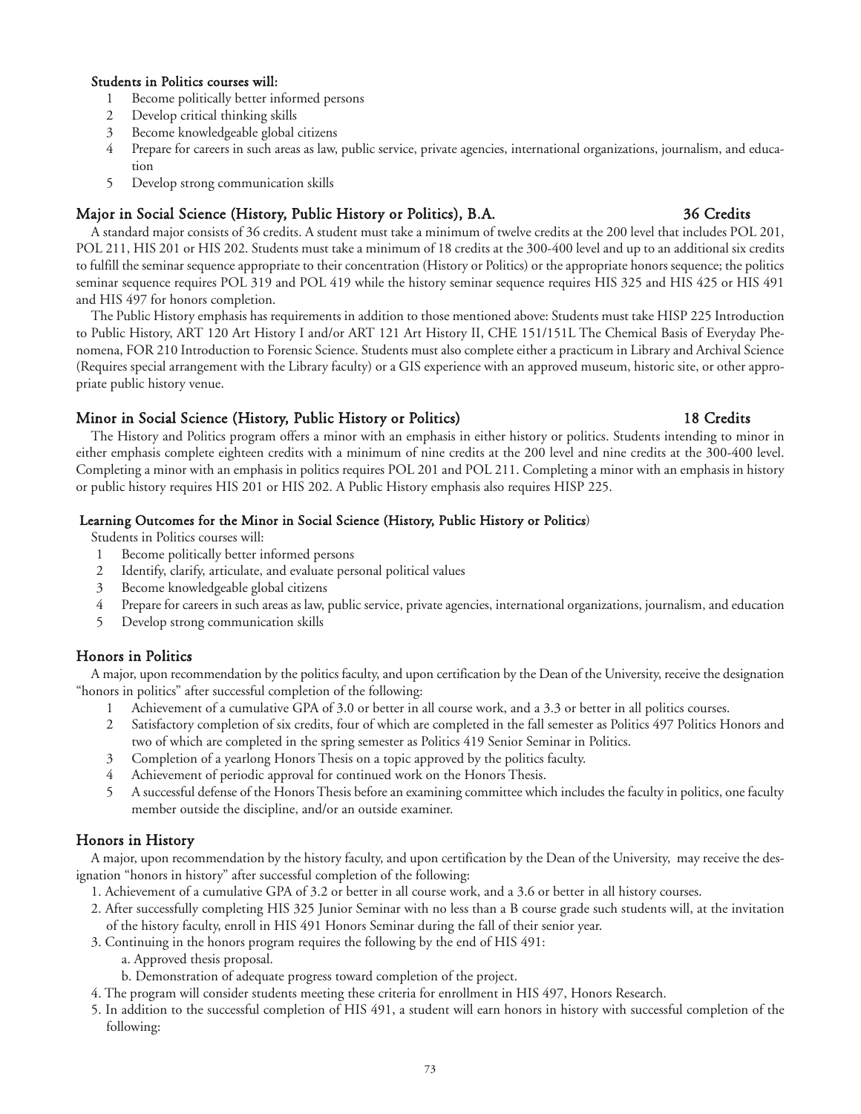#### Students in Politics courses will:

- 1 Become politically better informed persons
- 2 Develop critical thinking skills
- 3 Become knowledgeable global citizens
- 4 Prepare for careers in such areas as law, public service, private agencies, international organizations, journalism, and education
- 5 Develop strong communication skills

## Major in Social Science (History, Public History or Politics), B.A. 36 Credits

A standard major consists of 36 credits. A student must take a minimum of twelve credits at the 200 level that includes POL 201, POL 211, HIS 201 or HIS 202. Students must take a minimum of 18 credits at the 300-400 level and up to an additional six credits to fulfill the seminar sequence appropriate to their concentration (History or Politics) or the appropriate honors sequence; the politics seminar sequence requires POL 319 and POL 419 while the history seminar sequence requires HIS 325 and HIS 425 or HIS 491 and HIS 497 for honors completion.

The Public History emphasis has requirements in addition to those mentioned above: Students must take HISP 225 Introduction to Public History, ART 120 Art History I and/or ART 121 Art History II, CHE 151/151L The Chemical Basis of Everyday Phenomena, FOR 210 Introduction to Forensic Science. Students must also complete either a practicum in Library and Archival Science (Requires special arrangement with the Library faculty) or a GIS experience with an approved museum, historic site, or other appropriate public history venue.

### Minor in Social Science (History, Public History or Politics) 18 Credits

The History and Politics program offers a minor with an emphasis in either history or politics. Students intending to minor in either emphasis complete eighteen credits with a minimum of nine credits at the 200 level and nine credits at the 300-400 level. Completing a minor with an emphasis in politics requires POL 201 and POL 211. Completing a minor with an emphasis in history or public history requires HIS 201 or HIS 202. A Public History emphasis also requires HISP 225.

#### Learning Outcomes for the Minor in Social Science (History, Public History or Politics)

Students in Politics courses will:

- 1 Become politically better informed persons
- 2 Identify, clarify, articulate, and evaluate personal political values
- 3 Become knowledgeable global citizens
- 4 Prepare for careers in such areas as law, public service, private agencies, international organizations, journalism, and education
- 5 Develop strong communication skills

### Honors in Politics

A major, upon recommendation by the politics faculty, and upon certification by the Dean of the University, receive the designation "honors in politics" after successful completion of the following:

- 1 Achievement of a cumulative GPA of 3.0 or better in all course work, and a 3.3 or better in all politics courses.
- 2 Satisfactory completion of six credits, four of which are completed in the fall semester as Politics 497 Politics Honors and two of which are completed in the spring semester as Politics 419 Senior Seminar in Politics.
- 3 Completion of a yearlong Honors Thesis on a topic approved by the politics faculty.
- 4 Achievement of periodic approval for continued work on the Honors Thesis.
- 5 A successful defense of the Honors Thesis before an examining committee which includes the faculty in politics, one faculty member outside the discipline, and/or an outside examiner.

### Honors in History

A major, upon recommendation by the history faculty, and upon certification by the Dean of the University, may receive the designation "honors in history" after successful completion of the following:

- 1. Achievement of a cumulative GPA of 3.2 or better in all course work, and a 3.6 or better in all history courses.
- 2. After successfully completing HIS 325 Junior Seminar with no less than a B course grade such students will, at the invitation of the history faculty, enroll in HIS 491 Honors Seminar during the fall of their senior year.
- 3. Continuing in the honors program requires the following by the end of HIS 491:
	- a. Approved thesis proposal.
	- b. Demonstration of adequate progress toward completion of the project.
- 4. The program will consider students meeting these criteria for enrollment in HIS 497, Honors Research.
- 5. In addition to the successful completion of HIS 491, a student will earn honors in history with successful completion of the following: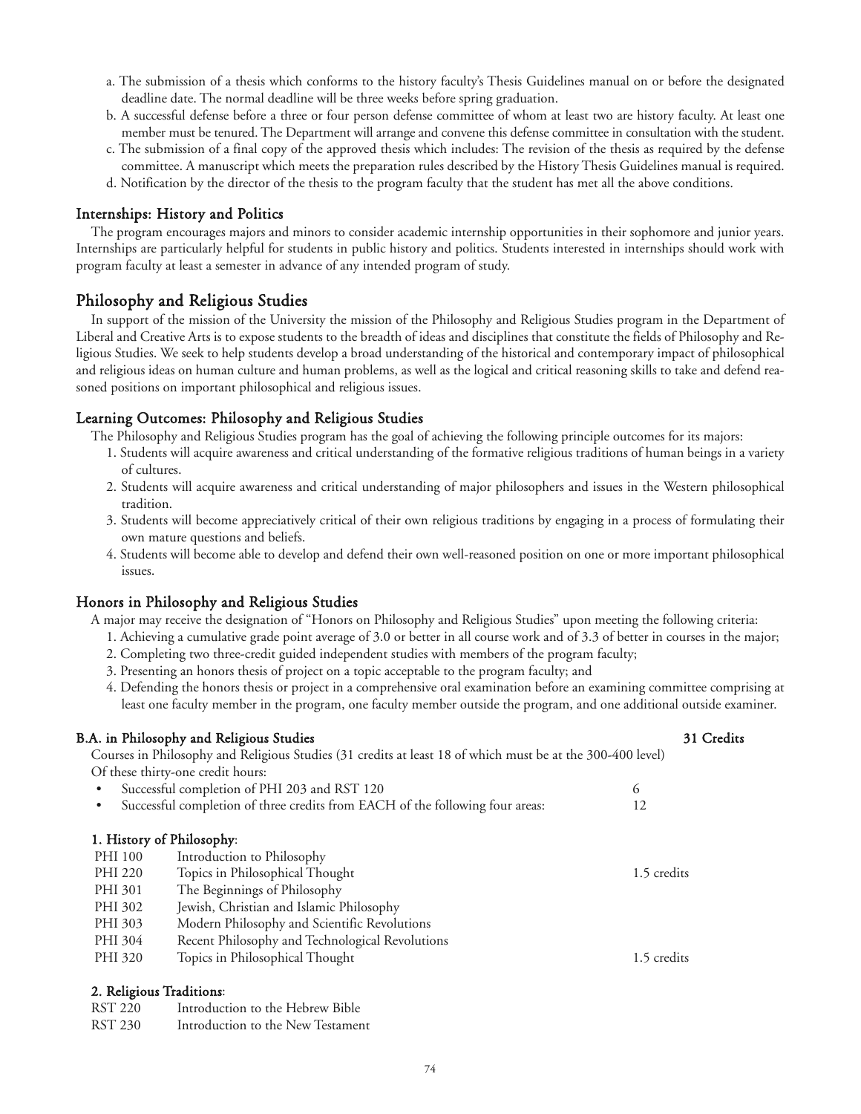- a. The submission of a thesis which conforms to the history faculty's Thesis Guidelines manual on or before the designated deadline date. The normal deadline will be three weeks before spring graduation.
- b. A successful defense before a three or four person defense committee of whom at least two are history faculty. At least one member must be tenured. The Department will arrange and convene this defense committee in consultation with the student.
- c. The submission of a final copy of the approved thesis which includes: The revision of the thesis as required by the defense committee. A manuscript which meets the preparation rules described by the History Thesis Guidelines manual is required.
- d. Notification by the director of the thesis to the program faculty that the student has met all the above conditions.

#### Internships: History and Politics

The program encourages majors and minors to consider academic internship opportunities in their sophomore and junior years. Internships are particularly helpful for students in public history and politics. Students interested in internships should work with program faculty at least a semester in advance of any intended program of study.

## Philosophy and Religious Studies

In support of the mission of the University the mission of the Philosophy and Religious Studies program in the Department of Liberal and Creative Arts is to expose students to the breadth of ideas and disciplines that constitute the fields of Philosophy and Religious Studies. We seek to help students develop a broad understanding of the historical and contemporary impact of philosophical and religious ideas on human culture and human problems, as well as the logical and critical reasoning skills to take and defend reasoned positions on important philosophical and religious issues.

### Learning Outcomes: Philosophy and Religious Studies

- The Philosophy and Religious Studies program has the goal of achieving the following principle outcomes for its majors:
	- 1. Students will acquire awareness and critical understanding of the formative religious traditions of human beings in a variety of cultures.
	- 2. Students will acquire awareness and critical understanding of major philosophers and issues in the Western philosophical tradition.
	- 3. Students will become appreciatively critical of their own religious traditions by engaging in a process of formulating their own mature questions and beliefs.
	- 4. Students will become able to develop and defend their own well-reasoned position on one or more important philosophical issues.

### Honors in Philosophy and Religious Studies

A major may receive the designation of "Honors on Philosophy and Religious Studies" upon meeting the following criteria:

- 1. Achieving a cumulative grade point average of 3.0 or better in all course work and of 3.3 of better in courses in the major;
- 2. Completing two three-credit guided independent studies with members of the program faculty;
- 3. Presenting an honors thesis of project on a topic acceptable to the program faculty; and
- 4. Defending the honors thesis or project in a comprehensive oral examination before an examining committee comprising at least one faculty member in the program, one faculty member outside the program, and one additional outside examiner.

#### B.A. in Philosophy and Religious Studies 31 Credits 31 Credits 31 Credits

Courses in Philosophy and Religious Studies (31 credits at least 18 of which must be at the 300-400 level) Of these thirty-one credit hours:

|                           | Successful completion of PHI 203 and RST 120                                  | 6           |  |  |
|---------------------------|-------------------------------------------------------------------------------|-------------|--|--|
|                           | Successful completion of three credits from EACH of the following four areas: | 12          |  |  |
|                           |                                                                               |             |  |  |
| 1. History of Philosophy: |                                                                               |             |  |  |
| PHI 100                   | Introduction to Philosophy                                                    |             |  |  |
| PHI 220                   | Topics in Philosophical Thought                                               | 1.5 credits |  |  |
| PHI 301                   | The Beginnings of Philosophy                                                  |             |  |  |
| PHI 302                   | Jewish, Christian and Islamic Philosophy                                      |             |  |  |
| PHI 303                   | Modern Philosophy and Scientific Revolutions                                  |             |  |  |
| PHI 304                   | Recent Philosophy and Technological Revolutions                               |             |  |  |
| PHI 320                   | Topics in Philosophical Thought                                               | 1.5 credits |  |  |
|                           |                                                                               |             |  |  |
| 2. Religious Traditions:  |                                                                               |             |  |  |

RST 220 Introduction to the Hebrew Bible

RST 230 Introduction to the New Testament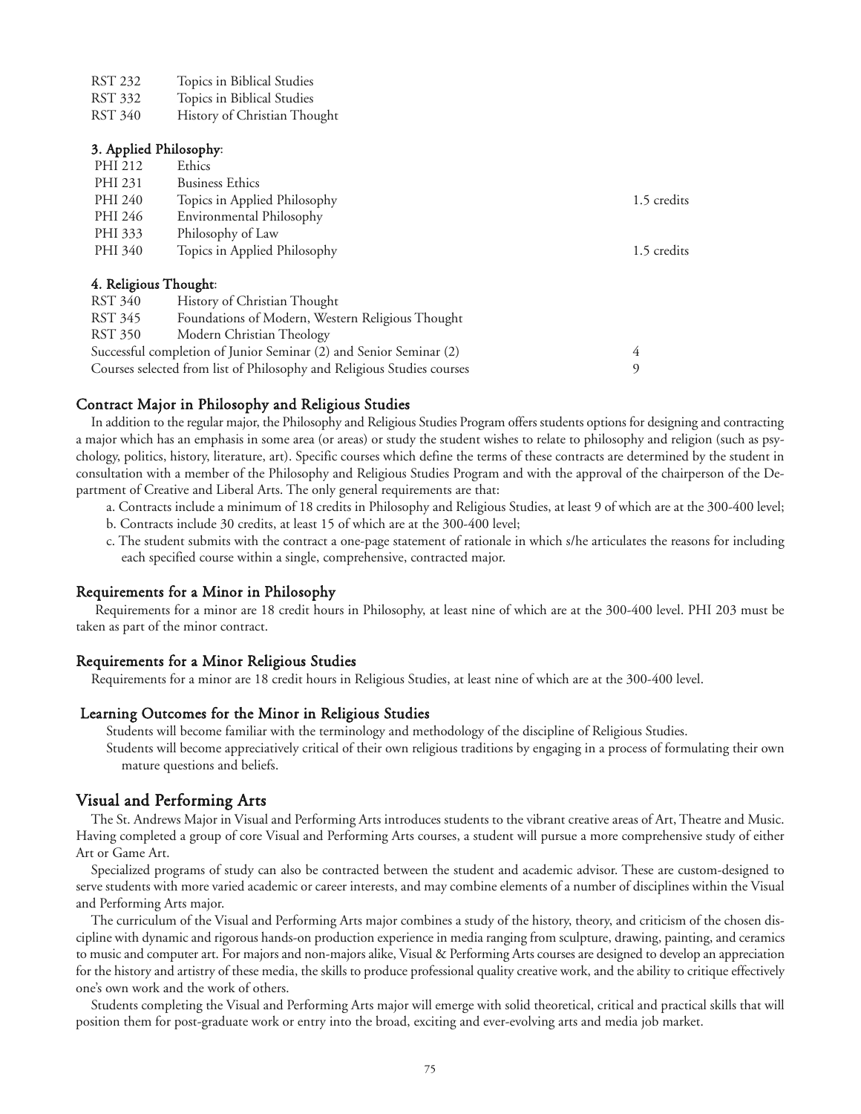| RST 232 | Topics in Biblical Studies |  |  |
|---------|----------------------------|--|--|
|---------|----------------------------|--|--|

- RST 332 Topics in Biblical Studies
- RST 340 History of Christian Thought

#### 3. Applied Philosophy:

| PHI 212               | Ethics                                           |             |
|-----------------------|--------------------------------------------------|-------------|
| PHI 231               | <b>Business Ethics</b>                           |             |
| PHI 240               | Topics in Applied Philosophy                     | 1.5 credits |
| PHI 246               | Environmental Philosophy                         |             |
| PHI 333               | Philosophy of Law                                |             |
| PHI 340               | Topics in Applied Philosophy                     | 1.5 credits |
| 4. Religious Thought: |                                                  |             |
| RST 340               | History of Christian Thought                     |             |
| RST 345               | Foundations of Modern, Western Religious Thought |             |
|                       |                                                  |             |

RST 350 Modern Christian Theology

Successful completion of Junior Seminar (2) and Senior Seminar (2) 4 Courses selected from list of Philosophy and Religious Studies courses 9

#### Contract Major in Philosophy and Religious Studies

In addition to the regular major, the Philosophy and Religious Studies Program offers students options for designing and contracting a major which has an emphasis in some area (or areas) or study the student wishes to relate to philosophy and religion (such as psychology, politics, history, literature, art). Specific courses which define the terms of these contracts are determined by the student in consultation with a member of the Philosophy and Religious Studies Program and with the approval of the chairperson of the Department of Creative and Liberal Arts. The only general requirements are that:

- a. Contracts include a minimum of 18 credits in Philosophy and Religious Studies, at least 9 of which are at the 300-400 level;
- b. Contracts include 30 credits, at least 15 of which are at the 300-400 level;
- c. The student submits with the contract a one-page statement of rationale in which s/he articulates the reasons for including each specified course within a single, comprehensive, contracted major.

#### Requirements for a Minor in Philosophy

Requirements for a minor are 18 credit hours in Philosophy, at least nine of which are at the 300-400 level. PHI 203 must be taken as part of the minor contract.

#### Requirements for a Minor Religious Studies

Requirements for a minor are 18 credit hours in Religious Studies, at least nine of which are at the 300-400 level.

#### Learning Outcomes for the Minor in Religious Studies

Students will become familiar with the terminology and methodology of the discipline of Religious Studies. Students will become appreciatively critical of their own religious traditions by engaging in a process of formulating their own

mature questions and beliefs.

#### Visual and Performing Arts

The St. Andrews Major in Visual and Performing Arts introduces students to the vibrant creative areas of Art, Theatre and Music. Having completed a group of core Visual and Performing Arts courses, a student will pursue a more comprehensive study of either Art or Game Art.

Specialized programs of study can also be contracted between the student and academic advisor. These are custom-designed to serve students with more varied academic or career interests, and may combine elements of a number of disciplines within the Visual and Performing Arts major.

The curriculum of the Visual and Performing Arts major combines a study of the history, theory, and criticism of the chosen discipline with dynamic and rigorous hands-on production experience in media ranging from sculpture, drawing, painting, and ceramics to music and computer art. For majors and non-majors alike, Visual & Performing Arts courses are designed to develop an appreciation for the history and artistry of these media, the skills to produce professional quality creative work, and the ability to critique effectively one's own work and the work of others.

Students completing the Visual and Performing Arts major will emerge with solid theoretical, critical and practical skills that will position them for post-graduate work or entry into the broad, exciting and ever-evolving arts and media job market.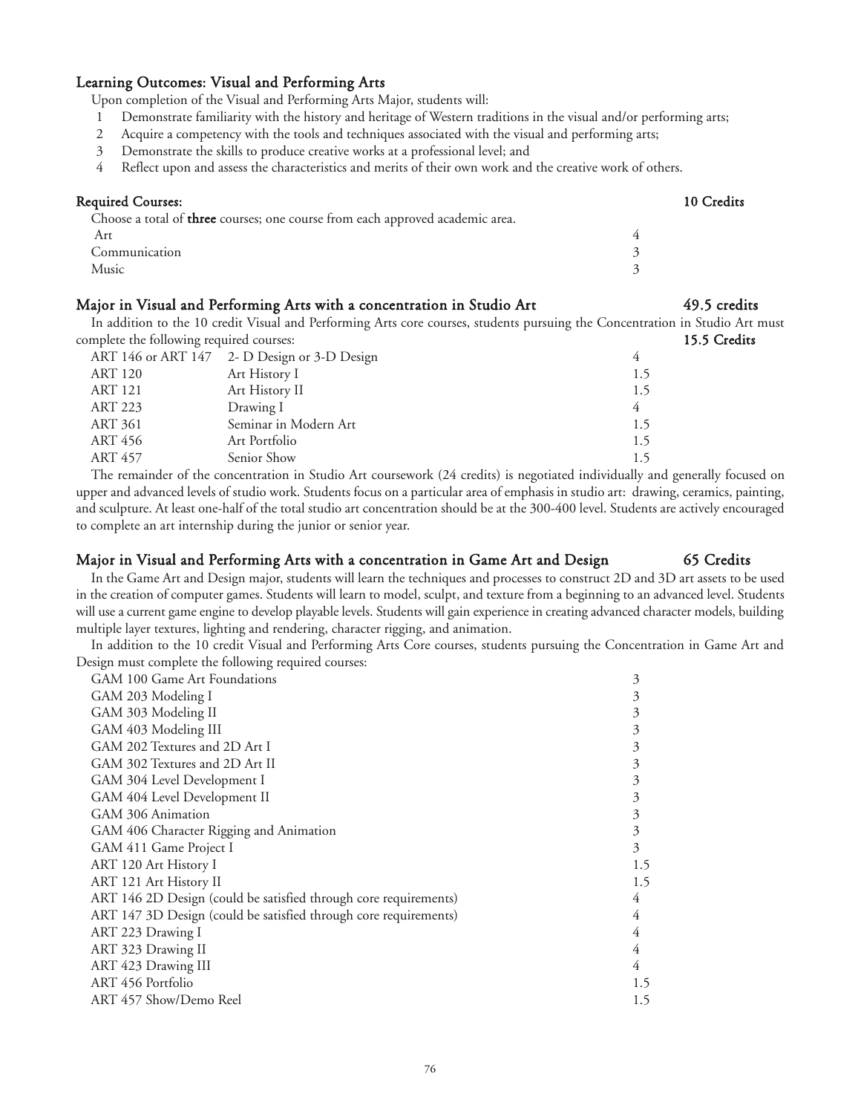#### Learning Outcomes: Visual and Performing Arts

Upon completion of the Visual and Performing Arts Major, students will:

- 1 Demonstrate familiarity with the history and heritage of Western traditions in the visual and/or performing arts;
- 2 Acquire a competency with the tools and techniques associated with the visual and performing arts;
- 3 Demonstrate the skills to produce creative works at a professional level; and
- 4 Reflect upon and assess the characteristics and merits of their own work and the creative work of others.

# Required Courses: 10 Credits Choose a total of three courses; one course from each approved academic area. Art  $4$ Communication 3 Music 3

### Major in Visual and Performing Arts with a concentration in Studio Art 49.5 credits

In addition to the 10 credit Visual and Performing Arts core courses, students pursuing the Concentration in Studio Art must complete the following required courses: 15.5 Credits

|                | ART 146 or ART 147 2- D Design or 3-D Design |     |
|----------------|----------------------------------------------|-----|
| ART 120        | Art History I                                | 1.5 |
| <b>ART 121</b> | Art History II                               | 1.5 |
| ART 223        | Drawing I                                    |     |
| <b>ART 361</b> | Seminar in Modern Art                        | 1.5 |
| ART 456        | Art Portfolio                                | 1.5 |
| ART 457        | Senior Show                                  | 1.5 |
|                |                                              |     |

The remainder of the concentration in Studio Art coursework (24 credits) is negotiated individually and generally focused on upper and advanced levels of studio work. Students focus on a particular area of emphasis in studio art: drawing, ceramics, painting, and sculpture. At least one-half of the total studio art concentration should be at the 300-400 level. Students are actively encouraged to complete an art internship during the junior or senior year.

#### Major in Visual and Performing Arts with a concentration in Game Art and Design 65 Credits

In the Game Art and Design major, students will learn the techniques and processes to construct 2D and 3D art assets to be used in the creation of computer games. Students will learn to model, sculpt, and texture from a beginning to an advanced level. Students will use a current game engine to develop playable levels. Students will gain experience in creating advanced character models, building multiple layer textures, lighting and rendering, character rigging, and animation.

In addition to the 10 credit Visual and Performing Arts Core courses, students pursuing the Concentration in Game Art and Design must complete the following required courses:

| GAM 100 Game Art Foundations                                     | 3   |
|------------------------------------------------------------------|-----|
| GAM 203 Modeling I                                               | 3   |
| GAM 303 Modeling II                                              | 3   |
| GAM 403 Modeling III                                             | 3   |
| GAM 202 Textures and 2D Art I                                    | 3   |
| GAM 302 Textures and 2D Art II                                   | 3   |
| GAM 304 Level Development I                                      | 3   |
| GAM 404 Level Development II                                     | 3   |
| GAM 306 Animation                                                | 3   |
| GAM 406 Character Rigging and Animation                          | 3   |
| GAM 411 Game Project I                                           | 3   |
| ART 120 Art History I                                            | 1.5 |
| ART 121 Art History II                                           | 1.5 |
| ART 146 2D Design (could be satisfied through core requirements) | 4   |
| ART 147 3D Design (could be satisfied through core requirements) | 4   |
| ART 223 Drawing I                                                | 4   |
| ART 323 Drawing II                                               | 4   |
| ART 423 Drawing III                                              | 4   |
| ART 456 Portfolio                                                | 1.5 |
| ART 457 Show/Demo Reel                                           | 1.5 |
|                                                                  |     |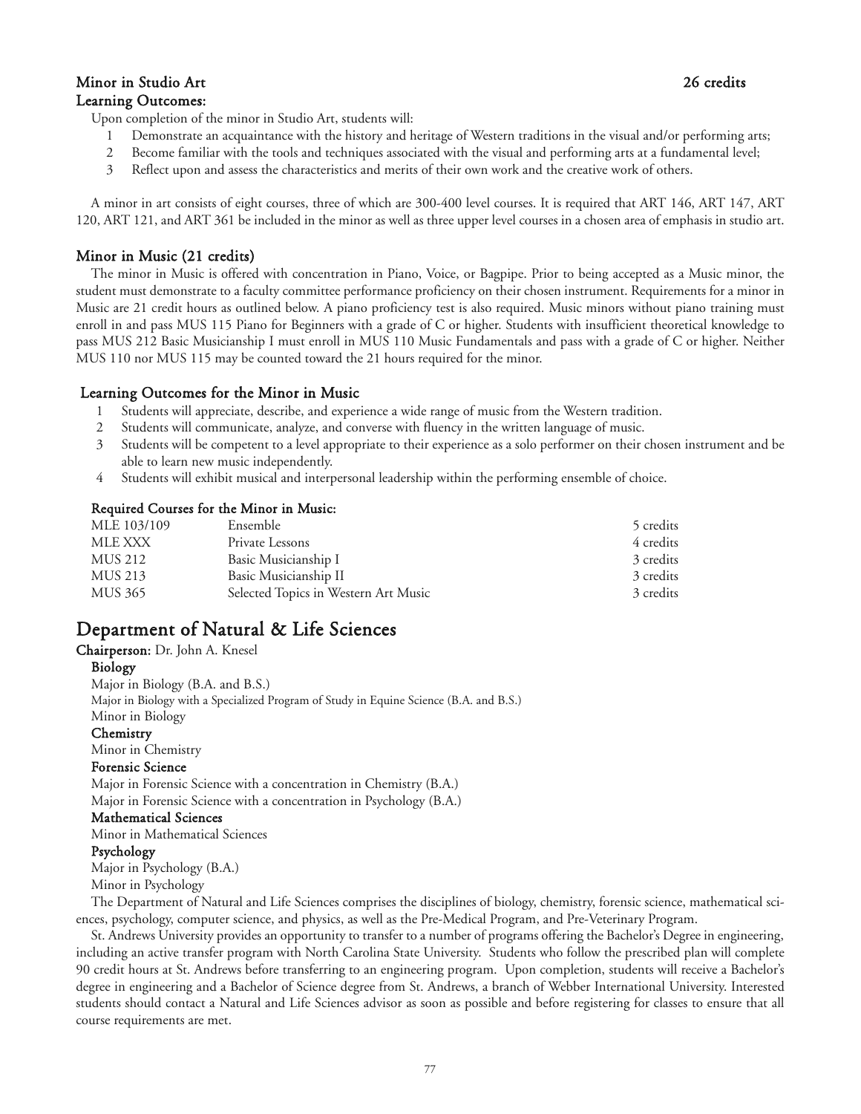## Minor in Studio Art 26 credits Learning Outcomes:

Upon completion of the minor in Studio Art, students will:

- 1 Demonstrate an acquaintance with the history and heritage of Western traditions in the visual and/or performing arts;
- 2 Become familiar with the tools and techniques associated with the visual and performing arts at a fundamental level;
- 3 Reflect upon and assess the characteristics and merits of their own work and the creative work of others.

A minor in art consists of eight courses, three of which are 300-400 level courses. It is required that ART 146, ART 147, ART 120, ART 121, and ART 361 be included in the minor as well as three upper level courses in a chosen area of emphasis in studio art.

## Minor in Music (21 credits)

The minor in Music is offered with concentration in Piano, Voice, or Bagpipe. Prior to being accepted as a Music minor, the student must demonstrate to a faculty committee performance proficiency on their chosen instrument. Requirements for a minor in Music are 21 credit hours as outlined below. A piano proficiency test is also required. Music minors without piano training must enroll in and pass MUS 115 Piano for Beginners with a grade of C or higher. Students with insufficient theoretical knowledge to pass MUS 212 Basic Musicianship I must enroll in MUS 110 Music Fundamentals and pass with a grade of C or higher. Neither MUS 110 nor MUS 115 may be counted toward the 21 hours required for the minor.

### Learning Outcomes for the Minor in Music

- 1 Students will appreciate, describe, and experience a wide range of music from the Western tradition.
- 2 Students will communicate, analyze, and converse with fluency in the written language of music.
- 3 Students will be competent to a level appropriate to their experience as a solo performer on their chosen instrument and be able to learn new music independently.
- 4 Students will exhibit musical and interpersonal leadership within the performing ensemble of choice.

#### Required Courses for the Minor in Music:

| Ensemble                             | 5 credits |
|--------------------------------------|-----------|
| Private Lessons                      | 4 credits |
| Basic Musicianship I                 | 3 credits |
| Basic Musicianship II                | 3 credits |
| Selected Topics in Western Art Music | 3 credits |
|                                      |           |

# Department of Natural & Life Sciences

Chairperson: Dr. John A. Knesel

#### Biology

Major in Biology (B.A. and B.S.) Major in Biology with a Specialized Program of Study in Equine Science (B.A. and B.S.) Minor in Biology

**Chemistry** 

Minor in Chemistry

#### Forensic Science

Major in Forensic Science with a concentration in Chemistry (B.A.) Major in Forensic Science with a concentration in Psychology (B.A.)

#### Mathematical Sciences

Minor in Mathematical Sciences

#### Psychology

Major in Psychology (B.A.)

Minor in Psychology

The Department of Natural and Life Sciences comprises the disciplines of biology, chemistry, forensic science, mathematical sciences, psychology, computer science, and physics, as well as the Pre-Medical Program, and Pre-Veterinary Program.

St. Andrews University provides an opportunity to transfer to a number of programs offering the Bachelor's Degree in engineering, including an active transfer program with North Carolina State University. Students who follow the prescribed plan will complete 90 credit hours at St. Andrews before transferring to an engineering program. Upon completion, students will receive a Bachelor's degree in engineering and a Bachelor of Science degree from St. Andrews, a branch of Webber International University. Interested students should contact a Natural and Life Sciences advisor as soon as possible and before registering for classes to ensure that all course requirements are met.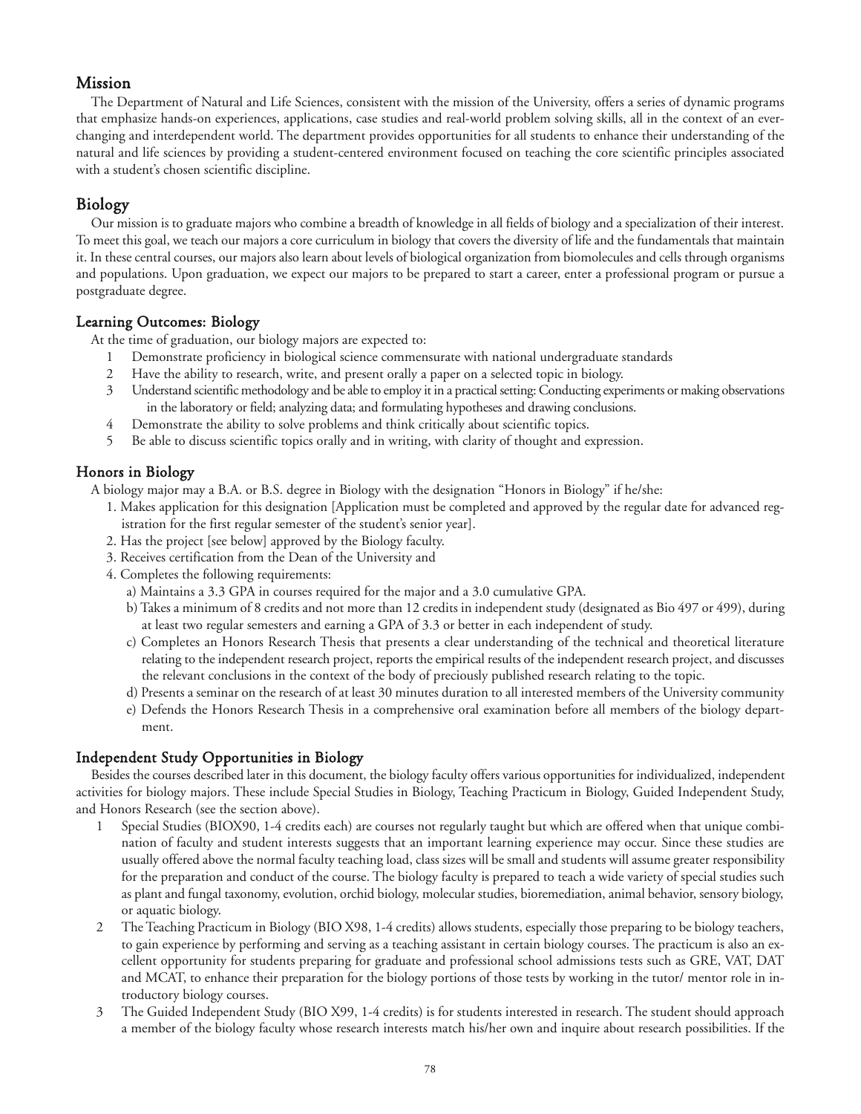# Mission

The Department of Natural and Life Sciences, consistent with the mission of the University, offers a series of dynamic programs that emphasize hands-on experiences, applications, case studies and real-world problem solving skills, all in the context of an everchanging and interdependent world. The department provides opportunities for all students to enhance their understanding of the natural and life sciences by providing a student-centered environment focused on teaching the core scientific principles associated with a student's chosen scientific discipline.

# Biology

Our mission is to graduate majors who combine a breadth of knowledge in all fields of biology and a specialization of their interest. To meet this goal, we teach our majors a core curriculum in biology that covers the diversity of life and the fundamentals that maintain it. In these central courses, our majors also learn about levels of biological organization from biomolecules and cells through organisms and populations. Upon graduation, we expect our majors to be prepared to start a career, enter a professional program or pursue a postgraduate degree.

# Learning Outcomes: Biology

At the time of graduation, our biology majors are expected to:

- 1 Demonstrate proficiency in biological science commensurate with national undergraduate standards
- 2 Have the ability to research, write, and present orally a paper on a selected topic in biology.
- 3 Understand scientific methodology and be able to employ it in a practical setting: Conducting experiments or making observations in the laboratory or field; analyzing data; and formulating hypotheses and drawing conclusions.
- 4 Demonstrate the ability to solve problems and think critically about scientific topics.
- 5 Be able to discuss scientific topics orally and in writing, with clarity of thought and expression.

# Honors in Biology

A biology major may a B.A. or B.S. degree in Biology with the designation "Honors in Biology" if he/she:

- 1. Makes application for this designation [Application must be completed and approved by the regular date for advanced registration for the first regular semester of the student's senior year].
- 2. Has the project [see below] approved by the Biology faculty.
- 3. Receives certification from the Dean of the University and
- 4. Completes the following requirements:
	- a) Maintains a 3.3 GPA in courses required for the major and a 3.0 cumulative GPA.
	- b) Takes a minimum of 8 credits and not more than 12 credits in independent study (designated as Bio 497 or 499), during at least two regular semesters and earning a GPA of 3.3 or better in each independent of study.
	- c) Completes an Honors Research Thesis that presents a clear understanding of the technical and theoretical literature relating to the independent research project, reports the empirical results of the independent research project, and discusses the relevant conclusions in the context of the body of preciously published research relating to the topic.
	- d) Presents a seminar on the research of at least 30 minutes duration to all interested members of the University community
	- e) Defends the Honors Research Thesis in a comprehensive oral examination before all members of the biology department.

### Independent Study Opportunities in Biology

Besides the courses described later in this document, the biology faculty offers various opportunities for individualized, independent activities for biology majors. These include Special Studies in Biology, Teaching Practicum in Biology, Guided Independent Study, and Honors Research (see the section above).

- 1 Special Studies (BIOX90, 1-4 credits each) are courses not regularly taught but which are offered when that unique combination of faculty and student interests suggests that an important learning experience may occur. Since these studies are usually offered above the normal faculty teaching load, class sizes will be small and students will assume greater responsibility for the preparation and conduct of the course. The biology faculty is prepared to teach a wide variety of special studies such as plant and fungal taxonomy, evolution, orchid biology, molecular studies, bioremediation, animal behavior, sensory biology, or aquatic biology.
- 2 The Teaching Practicum in Biology (BIO X98, 1-4 credits) allows students, especially those preparing to be biology teachers, to gain experience by performing and serving as a teaching assistant in certain biology courses. The practicum is also an excellent opportunity for students preparing for graduate and professional school admissions tests such as GRE, VAT, DAT and MCAT, to enhance their preparation for the biology portions of those tests by working in the tutor/ mentor role in introductory biology courses.
- 3 The Guided Independent Study (BIO X99, 1-4 credits) is for students interested in research. The student should approach a member of the biology faculty whose research interests match his/her own and inquire about research possibilities. If the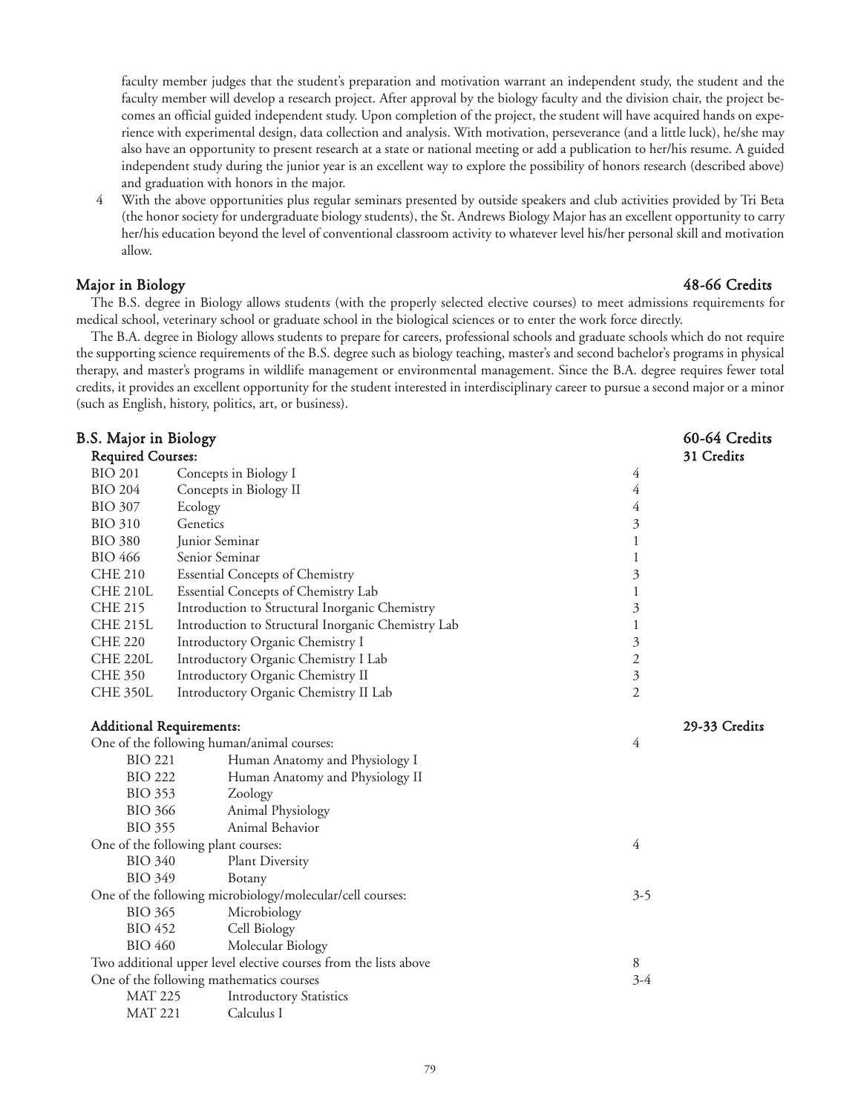faculty member judges that the student's preparation and motivation warrant an independent study, the student and the faculty member will develop a research project. After approval by the biology faculty and the division chair, the project becomes an official guided independent study. Upon completion of the project, the student will have acquired hands on experience with experimental design, data collection and analysis. With motivation, perseverance (and a little luck), he/she may also have an opportunity to present research at a state or national meeting or add a publication to her/his resume. A guided independent study during the junior year is an excellent way to explore the possibility of honors research (described above) and graduation with honors in the major.

4 With the above opportunities plus regular seminars presented by outside speakers and club activities provided by Tri Beta (the honor society for undergraduate biology students), the St. Andrews Biology Major has an excellent opportunity to carry her/his education beyond the level of conventional classroom activity to whatever level his/her personal skill and motivation allow.

### Major in Biology 48-66 Credits

The B.S. degree in Biology allows students (with the properly selected elective courses) to meet admissions requirements for medical school, veterinary school or graduate school in the biological sciences or to enter the work force directly.

The B.A. degree in Biology allows students to prepare for careers, professional schools and graduate schools which do not require the supporting science requirements of the B.S. degree such as biology teaching, master's and second bachelor's programs in physical therapy, and master's programs in wildlife management or environmental management. Since the B.A. degree requires fewer total credits, it provides an excellent opportunity for the student interested in interdisciplinary career to pursue a second major or a minor (such as English, history, politics, art, or business).

| B.S. Major in Biology                      |                                                                  | 60-64 Credits        |               |
|--------------------------------------------|------------------------------------------------------------------|----------------------|---------------|
| <b>Required Courses:</b>                   |                                                                  |                      | 31 Credits    |
| <b>BIO 201</b>                             | Concepts in Biology I                                            | 4                    |               |
| <b>BIO 204</b>                             | Concepts in Biology II                                           | 4                    |               |
| <b>BIO 307</b>                             | Ecology                                                          | 4                    |               |
| <b>BIO 310</b>                             | Genetics                                                         | $\mathfrak{Z}$       |               |
| <b>BIO 380</b>                             | Junior Seminar                                                   | $\mathbf{1}$         |               |
| <b>BIO 466</b>                             | Senior Seminar                                                   | 1                    |               |
| <b>CHE 210</b>                             | <b>Essential Concepts of Chemistry</b>                           | 3                    |               |
| <b>CHE 210L</b>                            | Essential Concepts of Chemistry Lab                              | 1                    |               |
| <b>CHE 215</b>                             | Introduction to Structural Inorganic Chemistry                   | $\mathfrak{Z}$       |               |
| <b>CHE 215L</b>                            | Introduction to Structural Inorganic Chemistry Lab               | $\mathbf{1}$         |               |
| <b>CHE 220</b>                             | Introductory Organic Chemistry I                                 | $\mathfrak{Z}$       |               |
| <b>CHE 220L</b>                            | Introductory Organic Chemistry I Lab                             | $\sqrt{2}$           |               |
| <b>CHE 350</b>                             | Introductory Organic Chemistry II                                | $\boldsymbol{\beta}$ |               |
| <b>CHE 350L</b>                            | Introductory Organic Chemistry II Lab                            | $\mathfrak{2}$       |               |
|                                            | <b>Additional Requirements:</b>                                  |                      | 29-33 Credits |
| One of the following human/animal courses: |                                                                  | 4                    |               |
| <b>BIO 221</b>                             | Human Anatomy and Physiology I                                   |                      |               |
| <b>BIO 222</b>                             | Human Anatomy and Physiology II                                  |                      |               |
| <b>BIO 353</b>                             | Zoology                                                          |                      |               |
| <b>BIO 366</b>                             | Animal Physiology                                                |                      |               |
| <b>BIO 355</b>                             | Animal Behavior                                                  |                      |               |
|                                            | One of the following plant courses:                              | 4                    |               |
| <b>BIO 340</b>                             | <b>Plant Diversity</b>                                           |                      |               |
| <b>BIO 349</b>                             | Botany                                                           |                      |               |
|                                            | One of the following microbiology/molecular/cell courses:        | $3 - 5$              |               |
| <b>BIO 365</b>                             | Microbiology                                                     |                      |               |
| <b>BIO 452</b>                             | Cell Biology                                                     |                      |               |
| <b>BIO 460</b><br>Molecular Biology        |                                                                  |                      |               |
|                                            | Two additional upper level elective courses from the lists above | 8                    |               |
|                                            | One of the following mathematics courses                         | $3-4$                |               |
| <b>MAT 225</b>                             | <b>Introductory Statistics</b>                                   |                      |               |
| <b>MAT 221</b>                             | Calculus I                                                       |                      |               |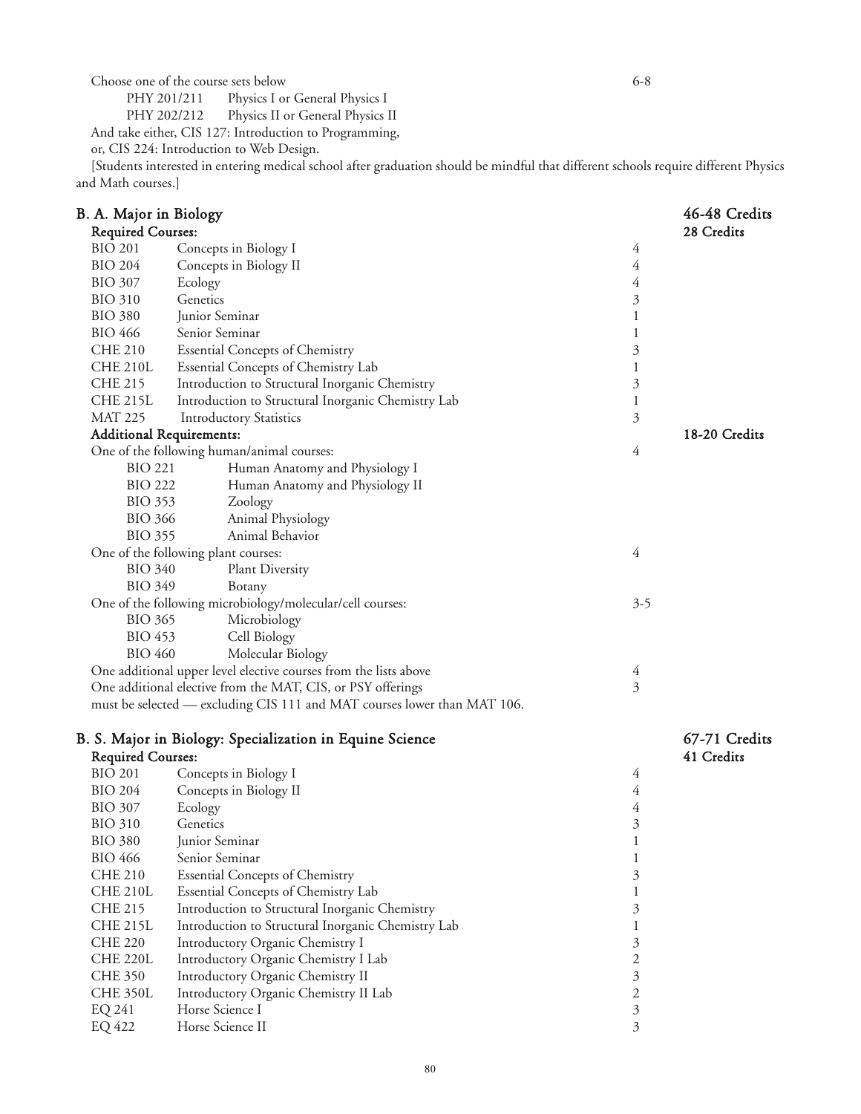Choose one of the course sets below 6-8<br>PHY 201/211 Physics I or General Physics I PHY 201/211 Physics I or General Physics I<br>PHY 202/212 Physics II or General Physics I

Physics II or General Physics II

And take either, CIS 127: Introduction to Programming,

or, CIS 224: Introduction to Web Design.

[Students interested in entering medical school after graduation should be mindful that different schools require different Physics and Math courses.]

|                                                                                             | B. A. Major in Biology              |                                                                                                                                 |                | 46-48 Credits |
|---------------------------------------------------------------------------------------------|-------------------------------------|---------------------------------------------------------------------------------------------------------------------------------|----------------|---------------|
| <b>Required Courses:</b>                                                                    |                                     |                                                                                                                                 |                | 28 Credits    |
| <b>BIO 201</b><br>Concepts in Biology I                                                     |                                     | 4                                                                                                                               |                |               |
|                                                                                             | <b>BIO 204</b>                      | Concepts in Biology II                                                                                                          | 4              |               |
|                                                                                             | <b>BIO 307</b>                      | Ecology                                                                                                                         | 4              |               |
|                                                                                             | <b>BIO 310</b>                      | Genetics                                                                                                                        | 3              |               |
|                                                                                             | <b>BIO 380</b>                      | Junior Seminar                                                                                                                  | $\,1$          |               |
|                                                                                             | <b>BIO 466</b>                      | Senior Seminar                                                                                                                  | 1              |               |
|                                                                                             | <b>CHE 210</b>                      | <b>Essential Concepts of Chemistry</b>                                                                                          | $\mathfrak{Z}$ |               |
|                                                                                             | <b>CHE 210L</b>                     | Essential Concepts of Chemistry Lab                                                                                             | $\,1$          |               |
|                                                                                             | <b>CHE 215</b>                      | Introduction to Structural Inorganic Chemistry                                                                                  | $\mathfrak{Z}$ |               |
|                                                                                             | <b>CHE 215L</b>                     | Introduction to Structural Inorganic Chemistry Lab                                                                              | $\mathbf{1}$   |               |
|                                                                                             | <b>MAT 225</b>                      | <b>Introductory Statistics</b>                                                                                                  | 3              |               |
|                                                                                             | <b>Additional Requirements:</b>     |                                                                                                                                 |                | 18-20 Credits |
|                                                                                             |                                     | One of the following human/animal courses:                                                                                      | 4              |               |
|                                                                                             | <b>BIO 221</b>                      | Human Anatomy and Physiology I                                                                                                  |                |               |
|                                                                                             | <b>BIO 222</b>                      | Human Anatomy and Physiology II                                                                                                 |                |               |
|                                                                                             | <b>BIO 353</b>                      | Zoology                                                                                                                         |                |               |
|                                                                                             | <b>BIO 366</b>                      | Animal Physiology                                                                                                               |                |               |
|                                                                                             | <b>BIO 355</b>                      | Animal Behavior                                                                                                                 |                |               |
|                                                                                             |                                     | One of the following plant courses:                                                                                             | 4              |               |
|                                                                                             | <b>BIO 340</b>                      | Plant Diversity                                                                                                                 |                |               |
|                                                                                             | <b>BIO 349</b>                      | Botany                                                                                                                          |                |               |
|                                                                                             |                                     |                                                                                                                                 |                |               |
| One of the following microbiology/molecular/cell courses:<br><b>BIO 365</b><br>Microbiology |                                     | $3 - 5$                                                                                                                         |                |               |
| <b>BIO 453</b><br>Cell Biology                                                              |                                     |                                                                                                                                 |                |               |
|                                                                                             | <b>BIO 460</b><br>Molecular Biology |                                                                                                                                 |                |               |
|                                                                                             |                                     |                                                                                                                                 |                |               |
|                                                                                             |                                     | One additional upper level elective courses from the lists above<br>One additional elective from the MAT, CIS, or PSY offerings | 4<br>3         |               |
|                                                                                             |                                     |                                                                                                                                 |                |               |
|                                                                                             |                                     | must be selected — excluding CIS 111 and MAT courses lower than MAT 106.                                                        |                |               |
|                                                                                             |                                     | B. S. Major in Biology: Specialization in Equine Science                                                                        |                | 67-71 Credits |
|                                                                                             | <b>Required Courses:</b>            |                                                                                                                                 |                | 41 Credits    |
|                                                                                             | <b>BIO 201</b>                      | Concepts in Biology I                                                                                                           | 4              |               |
|                                                                                             | <b>BIO 204</b>                      | Concepts in Biology II                                                                                                          | $\overline{4}$ |               |
|                                                                                             | <b>BIO 307</b>                      | Ecology                                                                                                                         | $\overline{4}$ |               |
|                                                                                             | <b>BIO 310</b>                      | Genetics                                                                                                                        | 3              |               |
|                                                                                             | <b>BIO 380</b>                      | Junior Seminar                                                                                                                  | $\mathbf{1}$   |               |
|                                                                                             | <b>BIO 466</b>                      | Senior Seminar                                                                                                                  | $\mathbf 1$    |               |
|                                                                                             | <b>CHE 210</b>                      | <b>Essential Concepts of Chemistry</b>                                                                                          | 3              |               |
|                                                                                             | <b>CHE 210L</b>                     | Essential Concepts of Chemistry Lab                                                                                             | 1              |               |
|                                                                                             | <b>CHE 215</b>                      | Introduction to Structural Inorganic Chemistry                                                                                  | 3              |               |
|                                                                                             | <b>CHE 215L</b>                     | Introduction to Structural Inorganic Chemistry Lab                                                                              | $\mathbf{1}$   |               |
|                                                                                             | <b>CHE 220</b>                      | Introductory Organic Chemistry I                                                                                                | 3              |               |
|                                                                                             | <b>CHE 220L</b>                     | Introductory Organic Chemistry I Lab                                                                                            | $\overline{c}$ |               |
|                                                                                             | <b>CHE 350</b>                      | Introductory Organic Chemistry II                                                                                               | 3              |               |
|                                                                                             | <b>CHE 350L</b>                     | Introductory Organic Chemistry II Lab                                                                                           | $\overline{2}$ |               |
|                                                                                             | EQ 241                              | Horse Science I                                                                                                                 | 3              |               |
|                                                                                             | EQ 422                              | Horse Science II                                                                                                                | 3              |               |
|                                                                                             |                                     |                                                                                                                                 |                |               |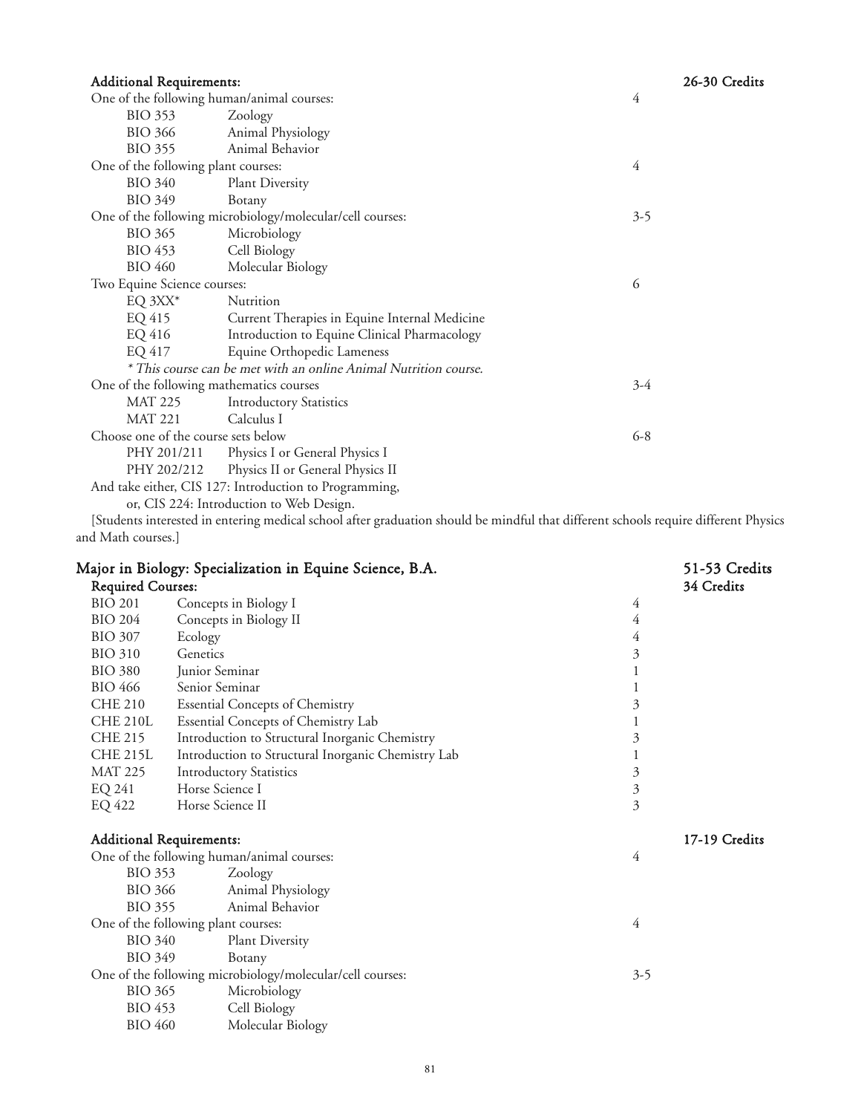| <b>Additional Requirements:</b>                        |                                                                  |         | 26-30 Credits |
|--------------------------------------------------------|------------------------------------------------------------------|---------|---------------|
| One of the following human/animal courses:<br>4        |                                                                  |         |               |
| BIO 353                                                | Zoology                                                          |         |               |
| BIO 366                                                | Animal Physiology                                                |         |               |
| <b>BIO 355</b>                                         | Animal Behavior                                                  |         |               |
| One of the following plant courses:                    |                                                                  | 4       |               |
| <b>BIO 340</b>                                         | <b>Plant Diversity</b>                                           |         |               |
| <b>BIO 349</b>                                         | Botany                                                           |         |               |
|                                                        | One of the following microbiology/molecular/cell courses:        | $3-5$   |               |
| <b>BIO 365</b>                                         | Microbiology                                                     |         |               |
| BIO 453                                                | Cell Biology                                                     |         |               |
| <b>BIO 460</b><br>Molecular Biology                    |                                                                  |         |               |
| Two Equine Science courses:                            |                                                                  | 6       |               |
| EQ $3XX^*$                                             | Nutrition                                                        |         |               |
| EQ 415                                                 | Current Therapies in Equine Internal Medicine                    |         |               |
| EQ 416                                                 | Introduction to Equine Clinical Pharmacology                     |         |               |
| EQ 417                                                 | Equine Orthopedic Lameness                                       |         |               |
|                                                        | * This course can be met with an online Animal Nutrition course. |         |               |
| One of the following mathematics courses               |                                                                  | $3-4$   |               |
| <b>MAT 225</b>                                         | <b>Introductory Statistics</b>                                   |         |               |
| MAT 221                                                | Calculus I                                                       |         |               |
| Choose one of the course sets below                    |                                                                  | $6 - 8$ |               |
| PHY 201/211                                            | Physics I or General Physics I                                   |         |               |
| Physics II or General Physics II<br>PHY 202/212        |                                                                  |         |               |
| And take either, CIS 127: Introduction to Programming, |                                                                  |         |               |
| or, CIS 224: Introduction to Web Design.               |                                                                  |         |               |

[Students interested in entering medical school after graduation should be mindful that different schools require different Physics and Math courses.]

| Major in Biology: Specialization in Equine Science, B.A. |                                                           |                | 51-53 Credits<br>34 Credits |
|----------------------------------------------------------|-----------------------------------------------------------|----------------|-----------------------------|
| <b>Required Courses:</b>                                 |                                                           |                |                             |
| <b>BIO 201</b>                                           | Concepts in Biology I                                     | 4              |                             |
| <b>BIO 204</b>                                           | Concepts in Biology II                                    | 4              |                             |
| <b>BIO 307</b>                                           | Ecology                                                   | 4              |                             |
| <b>BIO 310</b>                                           | Genetics                                                  | 3              |                             |
| <b>BIO 380</b>                                           | Junior Seminar                                            | 1              |                             |
| <b>BIO 466</b>                                           | Senior Seminar                                            |                |                             |
| <b>CHE 210</b>                                           | <b>Essential Concepts of Chemistry</b>                    | 3              |                             |
| <b>CHE 210L</b>                                          | Essential Concepts of Chemistry Lab                       | 1              |                             |
| <b>CHE 215</b>                                           | Introduction to Structural Inorganic Chemistry            | 3              |                             |
| <b>CHE 215L</b>                                          | Introduction to Structural Inorganic Chemistry Lab        | 1              |                             |
| <b>MAT 225</b>                                           | <b>Introductory Statistics</b>                            | $\mathfrak{Z}$ |                             |
| EQ 241                                                   | Horse Science I                                           | $\mathfrak{Z}$ |                             |
| EQ 422                                                   | Horse Science II                                          | 3              |                             |
|                                                          | <b>Additional Requirements:</b>                           |                | 17-19 Credits               |
|                                                          | One of the following human/animal courses:                | 4              |                             |
| <b>BIO 353</b>                                           | Zoology                                                   |                |                             |
| <b>BIO 366</b>                                           | Animal Physiology                                         |                |                             |
| <b>BIO 355</b>                                           | Animal Behavior                                           |                |                             |
|                                                          | One of the following plant courses:                       | 4              |                             |
| <b>BIO 340</b>                                           | Plant Diversity                                           |                |                             |
| <b>BIO 349</b><br>Botany                                 |                                                           |                |                             |
|                                                          | One of the following microbiology/molecular/cell courses: | $3 - 5$        |                             |
| <b>BIO 365</b>                                           | Microbiology                                              |                |                             |
| <b>BIO 453</b>                                           | Cell Biology                                              |                |                             |
| <b>BIO 460</b>                                           | Molecular Biology                                         |                |                             |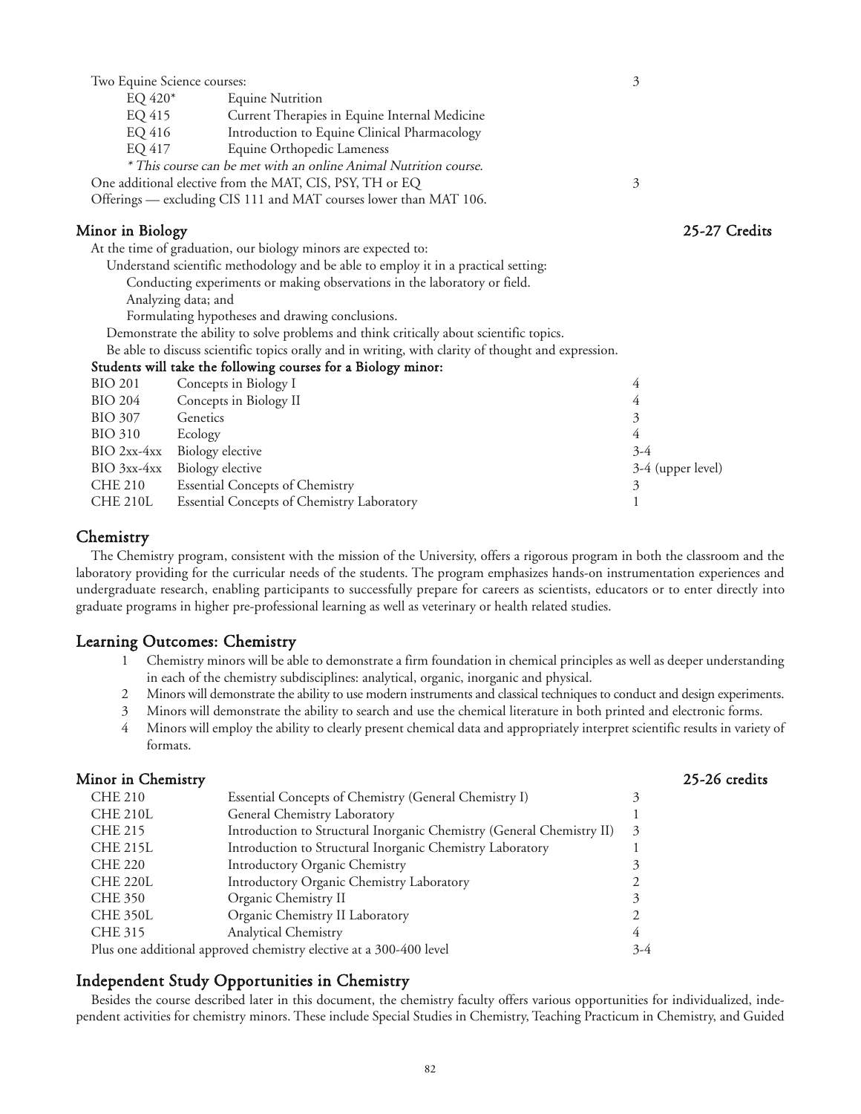| Two Equine Science courses:                                               |                                                                                                     | 3                 |               |
|---------------------------------------------------------------------------|-----------------------------------------------------------------------------------------------------|-------------------|---------------|
|                                                                           | <b>Equine Nutrition</b><br>$EQ 420*$                                                                |                   |               |
|                                                                           | EQ 415<br>Current Therapies in Equine Internal Medicine                                             |                   |               |
|                                                                           | EQ 416<br>Introduction to Equine Clinical Pharmacology                                              |                   |               |
| EQ 417                                                                    | Equine Orthopedic Lameness                                                                          |                   |               |
|                                                                           | * This course can be met with an online Animal Nutrition course.                                    |                   |               |
|                                                                           | One additional elective from the MAT, CIS, PSY, TH or EQ                                            | 3                 |               |
|                                                                           | Offerings — excluding CIS 111 and MAT courses lower than MAT 106.                                   |                   |               |
| Minor in Biology                                                          |                                                                                                     |                   | 25-27 Credits |
|                                                                           | At the time of graduation, our biology minors are expected to:                                      |                   |               |
|                                                                           | Understand scientific methodology and be able to employ it in a practical setting:                  |                   |               |
| Conducting experiments or making observations in the laboratory or field. |                                                                                                     |                   |               |
| Analyzing data; and                                                       |                                                                                                     |                   |               |
| Formulating hypotheses and drawing conclusions.                           |                                                                                                     |                   |               |
|                                                                           | Demonstrate the ability to solve problems and think critically about scientific topics.             |                   |               |
|                                                                           | Be able to discuss scientific topics orally and in writing, with clarity of thought and expression. |                   |               |
|                                                                           | Students will take the following courses for a Biology minor:                                       |                   |               |
| <b>BIO 201</b>                                                            | Concepts in Biology I                                                                               | 4                 |               |
| <b>BIO 204</b>                                                            | Concepts in Biology II                                                                              | 4                 |               |
| <b>BIO 307</b>                                                            | Genetics                                                                                            | 3                 |               |
| <b>BIO 310</b>                                                            | Ecology                                                                                             | 4                 |               |
|                                                                           | BIO 2xx-4xx Biology elective                                                                        | $3-4$             |               |
|                                                                           | BIO 3xx-4xx Biology elective                                                                        | 3-4 (upper level) |               |
| <b>CHE 210</b>                                                            | <b>Essential Concepts of Chemistry</b>                                                              | 3                 |               |
| <b>CHE 210L</b>                                                           | Essential Concepts of Chemistry Laboratory                                                          |                   |               |

#### **Chemistry**

The Chemistry program, consistent with the mission of the University, offers a rigorous program in both the classroom and the laboratory providing for the curricular needs of the students. The program emphasizes hands-on instrumentation experiences and undergraduate research, enabling participants to successfully prepare for careers as scientists, educators or to enter directly into graduate programs in higher pre-professional learning as well as veterinary or health related studies.

### Learning Outcomes: Chemistry

- 1 Chemistry minors will be able to demonstrate a firm foundation in chemical principles as well as deeper understanding in each of the chemistry subdisciplines: analytical, organic, inorganic and physical.
- 2 Minors will demonstrate the ability to use modern instruments and classical techniques to conduct and design experiments.
- 3 Minors will demonstrate the ability to search and use the chemical literature in both printed and electronic forms.
- 4 Minors will employ the ability to clearly present chemical data and appropriately interpret scientific results in variety of formats.

| Minor in Chemistry |                                                                       |       | 25-26 credits |
|--------------------|-----------------------------------------------------------------------|-------|---------------|
| <b>CHE 210</b>     | Essential Concepts of Chemistry (General Chemistry I)                 | 3     |               |
| <b>CHE 210L</b>    | General Chemistry Laboratory                                          |       |               |
| CHE 215            | Introduction to Structural Inorganic Chemistry (General Chemistry II) | 3     |               |
| CHE 215L           | Introduction to Structural Inorganic Chemistry Laboratory             |       |               |
| <b>CHE 220</b>     | Introductory Organic Chemistry                                        |       |               |
| <b>CHE 220L</b>    | Introductory Organic Chemistry Laboratory                             |       |               |
| <b>CHE 350</b>     | Organic Chemistry II                                                  | 3     |               |
| <b>CHE 350L</b>    | Organic Chemistry II Laboratory                                       |       |               |
| CHE 315            | <b>Analytical Chemistry</b>                                           | 4     |               |
|                    | Plus one additional approved chemistry elective at a 300-400 level    | $3-4$ |               |

### Independent Study Opportunities in Chemistry

Besides the course described later in this document, the chemistry faculty offers various opportunities for individualized, independent activities for chemistry minors. These include Special Studies in Chemistry, Teaching Practicum in Chemistry, and Guided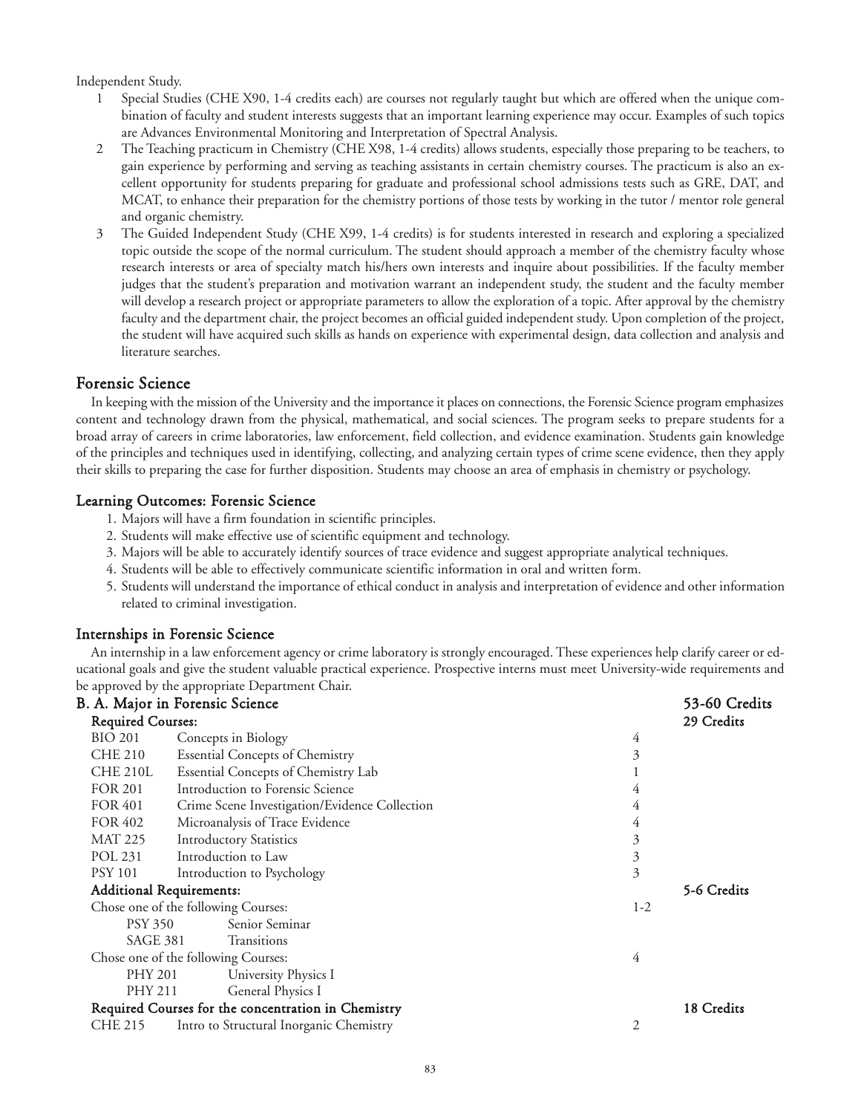Independent Study.

- 1 Special Studies (CHE X90, 1-4 credits each) are courses not regularly taught but which are offered when the unique combination of faculty and student interests suggests that an important learning experience may occur. Examples of such topics are Advances Environmental Monitoring and Interpretation of Spectral Analysis.
- 2 The Teaching practicum in Chemistry (CHE X98, 1-4 credits) allows students, especially those preparing to be teachers, to gain experience by performing and serving as teaching assistants in certain chemistry courses. The practicum is also an excellent opportunity for students preparing for graduate and professional school admissions tests such as GRE, DAT, and MCAT, to enhance their preparation for the chemistry portions of those tests by working in the tutor / mentor role general and organic chemistry.
- 3 The Guided Independent Study (CHE X99, 1-4 credits) is for students interested in research and exploring a specialized topic outside the scope of the normal curriculum. The student should approach a member of the chemistry faculty whose research interests or area of specialty match his/hers own interests and inquire about possibilities. If the faculty member judges that the student's preparation and motivation warrant an independent study, the student and the faculty member will develop a research project or appropriate parameters to allow the exploration of a topic. After approval by the chemistry faculty and the department chair, the project becomes an official guided independent study. Upon completion of the project, the student will have acquired such skills as hands on experience with experimental design, data collection and analysis and literature searches.

### Forensic Science

In keeping with the mission of the University and the importance it places on connections, the Forensic Science program emphasizes content and technology drawn from the physical, mathematical, and social sciences. The program seeks to prepare students for a broad array of careers in crime laboratories, law enforcement, field collection, and evidence examination. Students gain knowledge of the principles and techniques used in identifying, collecting, and analyzing certain types of crime scene evidence, then they apply their skills to preparing the case for further disposition. Students may choose an area of emphasis in chemistry or psychology.

#### Learning Outcomes: Forensic Science

- 1. Majors will have a firm foundation in scientific principles.
- 2. Students will make effective use of scientific equipment and technology.
- 3. Majors will be able to accurately identify sources of trace evidence and suggest appropriate analytical techniques.
- 4. Students will be able to effectively communicate scientific information in oral and written form.
- 5. Students will understand the importance of ethical conduct in analysis and interpretation of evidence and other information related to criminal investigation.

#### Internships in Forensic Science

An internship in a law enforcement agency or crime laboratory is strongly encouraged. These experiences help clarify career or educational goals and give the student valuable practical experience. Prospective interns must meet University-wide requirements and be approved by the appropriate Department Chair.

|                          | B. A. Major in Forensic Science                     |                | 53-60 Credits |
|--------------------------|-----------------------------------------------------|----------------|---------------|
| <b>Required Courses:</b> |                                                     | 29 Credits     |               |
| <b>BIO 201</b>           | Concepts in Biology                                 | 4              |               |
| <b>CHE 210</b>           | <b>Essential Concepts of Chemistry</b>              | 3              |               |
| CHE 210L                 | Essential Concepts of Chemistry Lab                 |                |               |
| <b>FOR 201</b>           | Introduction to Forensic Science                    | 4              |               |
| <b>FOR 401</b>           | Crime Scene Investigation/Evidence Collection       | 4              |               |
| FOR 402                  | Microanalysis of Trace Evidence                     | 4              |               |
| <b>MAT 225</b>           | <b>Introductory Statistics</b>                      | 3              |               |
| POL 231                  | Introduction to Law                                 | $\mathfrak{Z}$ |               |
| <b>PSY 101</b>           | Introduction to Psychology                          | 3              |               |
|                          | <b>Additional Requirements:</b>                     |                | 5-6 Credits   |
|                          | Chose one of the following Courses:                 | $1-2$          |               |
| <b>PSY 350</b>           | Senior Seminar                                      |                |               |
|                          | Transitions<br><b>SAGE 381</b>                      |                |               |
|                          | Chose one of the following Courses:                 | 4              |               |
| <b>PHY 201</b>           | University Physics I                                |                |               |
| PHY 211                  | General Physics I                                   |                |               |
|                          | Required Courses for the concentration in Chemistry |                | 18 Credits    |
| <b>CHE 215</b>           | Intro to Structural Inorganic Chemistry             | 2              |               |
|                          |                                                     |                |               |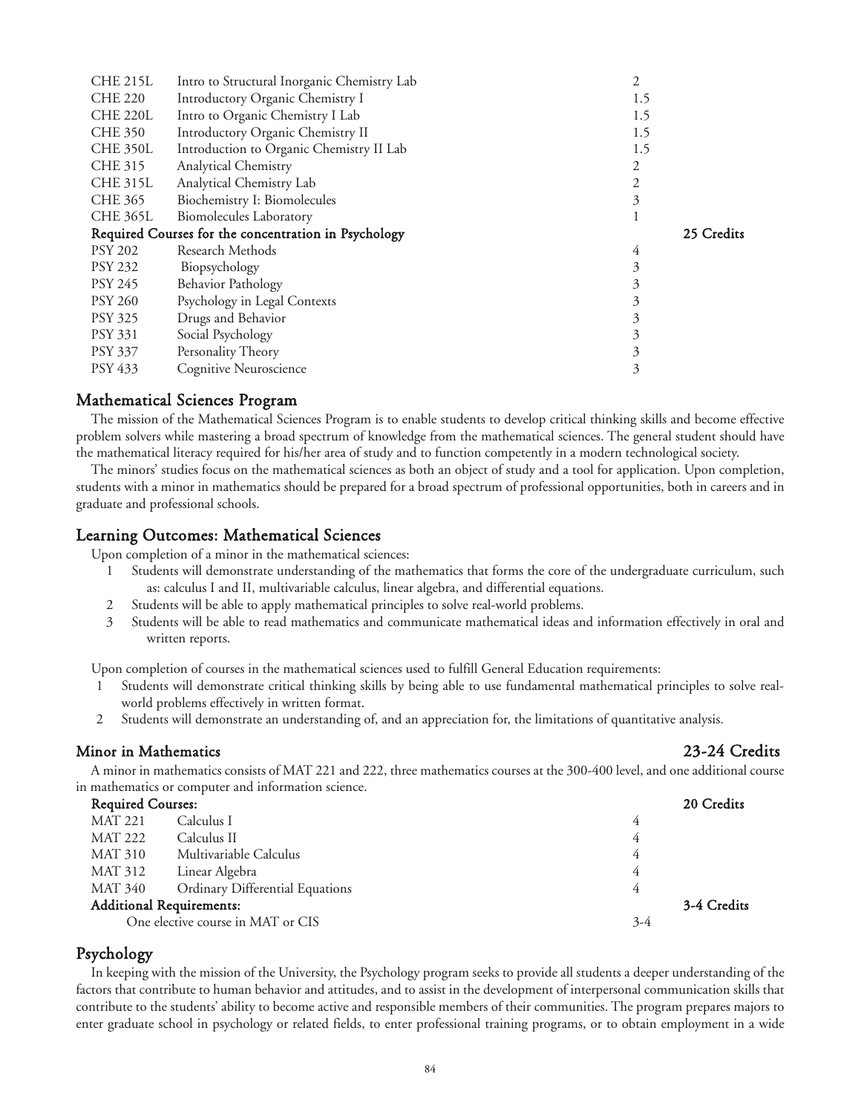| <b>CHE 215L</b> | Intro to Structural Inorganic Chemistry Lab          | 2          |
|-----------------|------------------------------------------------------|------------|
| <b>CHE 220</b>  | Introductory Organic Chemistry I                     | 1.5        |
| <b>CHE 220L</b> | Intro to Organic Chemistry I Lab                     | 1.5        |
| <b>CHE 350</b>  | Introductory Organic Chemistry II                    | 1.5        |
| <b>CHE 350L</b> | Introduction to Organic Chemistry II Lab             | 1.5        |
| CHE 315         | <b>Analytical Chemistry</b>                          | 2          |
| <b>CHE 315L</b> | Analytical Chemistry Lab                             | 2          |
| <b>CHE 365</b>  | Biochemistry I: Biomolecules                         | 3          |
| <b>CHE 365L</b> | <b>Biomolecules Laboratory</b>                       |            |
|                 | Required Courses for the concentration in Psychology | 25 Credits |
|                 |                                                      |            |
| <b>PSY 202</b>  | Research Methods                                     | 4          |
| <b>PSY 232</b>  | Biopsychology                                        | 3          |
| <b>PSY 245</b>  | <b>Behavior Pathology</b>                            | 3          |
| <b>PSY 260</b>  | Psychology in Legal Contexts                         | 3          |
| <b>PSY 325</b>  | Drugs and Behavior                                   | 3          |
| PSY 331         | Social Psychology                                    | 3          |
| <b>PSY 337</b>  | Personality Theory                                   | 3          |
| PSY 433         | Cognitive Neuroscience                               | 3          |

# Mathematical Sciences Program

The mission of the Mathematical Sciences Program is to enable students to develop critical thinking skills and become effective problem solvers while mastering a broad spectrum of knowledge from the mathematical sciences. The general student should have the mathematical literacy required for his/her area of study and to function competently in a modern technological society.

The minors' studies focus on the mathematical sciences as both an object of study and a tool for application. Upon completion, students with a minor in mathematics should be prepared for a broad spectrum of professional opportunities, both in careers and in graduate and professional schools.

#### Learning Outcomes: Mathematical Sciences

Upon completion of a minor in the mathematical sciences:

- 1 Students will demonstrate understanding of the mathematics that forms the core of the undergraduate curriculum, such as: calculus I and II, multivariable calculus, linear algebra, and differential equations.
- 2 Students will be able to apply mathematical principles to solve real-world problems.
- 3 Students will be able to read mathematics and communicate mathematical ideas and information effectively in oral and written reports.

Upon completion of courses in the mathematical sciences used to fulfill General Education requirements:

- 1 Students will demonstrate critical thinking skills by being able to use fundamental mathematical principles to solve realworld problems effectively in written format.
- 2 Students will demonstrate an understanding of, and an appreciation for, the limitations of quantitative analysis.

#### Minor in Mathematics 23-24 Credits

A minor in mathematics consists of MAT 221 and 222, three mathematics courses at the 300-400 level, and one additional course in mathematics or computer and information science.

| <b>Required Courses:</b>          |                                 | 20 Credits |             |
|-----------------------------------|---------------------------------|------------|-------------|
| <b>MAT 221</b>                    | Calculus I                      | 4          |             |
| MAT 222                           | Calculus II                     | 4          |             |
| MAT 310                           | Multivariable Calculus          | 4          |             |
| MAT 312                           | Linear Algebra                  | 4          |             |
| MAT 340                           | Ordinary Differential Equations | 4          |             |
|                                   | <b>Additional Requirements:</b> |            | 3-4 Credits |
| One elective course in MAT or CIS |                                 | $3-4$      |             |

#### Psychology

In keeping with the mission of the University, the Psychology program seeks to provide all students a deeper understanding of the factors that contribute to human behavior and attitudes, and to assist in the development of interpersonal communication skills that contribute to the students' ability to become active and responsible members of their communities. The program prepares majors to enter graduate school in psychology or related fields, to enter professional training programs, or to obtain employment in a wide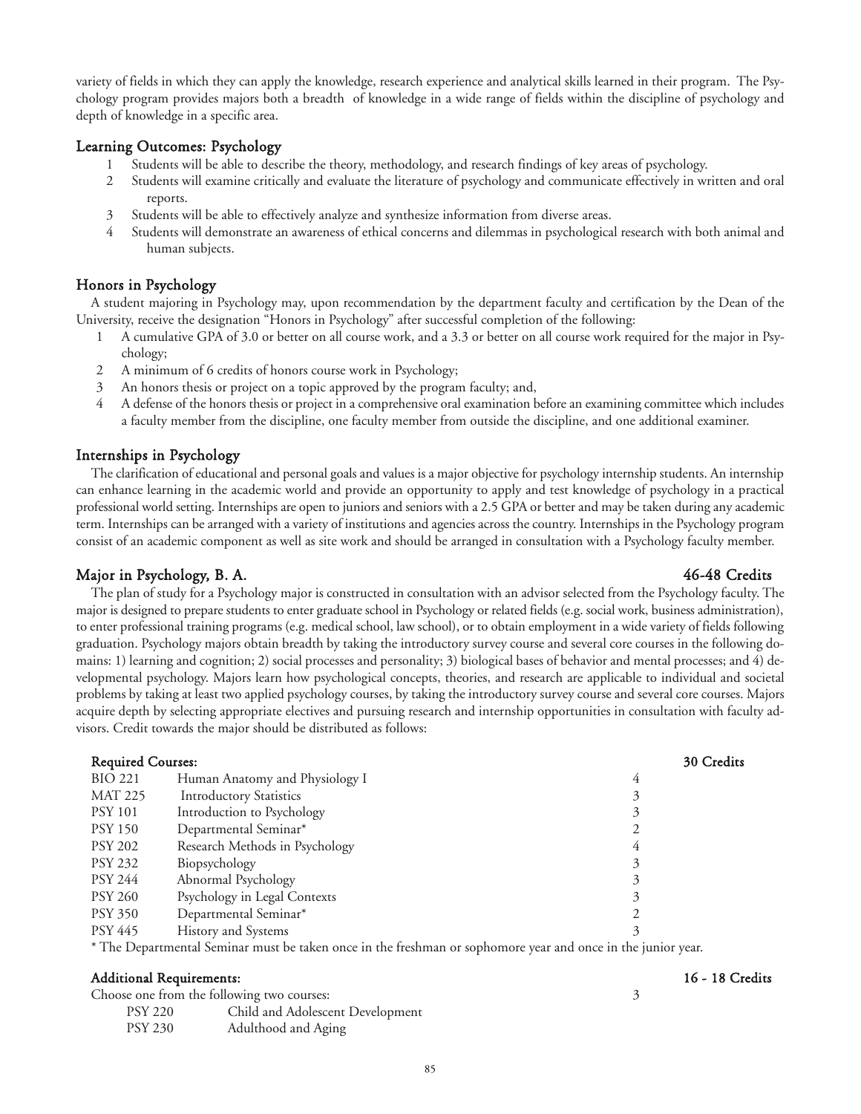variety of fields in which they can apply the knowledge, research experience and analytical skills learned in their program. The Psychology program provides majors both a breadth of knowledge in a wide range of fields within the discipline of psychology and depth of knowledge in a specific area.

### Learning Outcomes: Psychology

- 1 Students will be able to describe the theory, methodology, and research findings of key areas of psychology.
- 2 Students will examine critically and evaluate the literature of psychology and communicate effectively in written and oral reports.
- 3 Students will be able to effectively analyze and synthesize information from diverse areas.
- 4 Students will demonstrate an awareness of ethical concerns and dilemmas in psychological research with both animal and human subjects.

### Honors in Psychology

A student majoring in Psychology may, upon recommendation by the department faculty and certification by the Dean of the University, receive the designation "Honors in Psychology" after successful completion of the following:

- 1 A cumulative GPA of 3.0 or better on all course work, and a 3.3 or better on all course work required for the major in Psychology;
- 2 A minimum of 6 credits of honors course work in Psychology;
- 3 An honors thesis or project on a topic approved by the program faculty; and,
- 4 A defense of the honors thesis or project in a comprehensive oral examination before an examining committee which includes a faculty member from the discipline, one faculty member from outside the discipline, and one additional examiner.

#### Internships in Psychology

The clarification of educational and personal goals and values is a major objective for psychology internship students. An internship can enhance learning in the academic world and provide an opportunity to apply and test knowledge of psychology in a practical professional world setting. Internships are open to juniors and seniors with a 2.5 GPA or better and may be taken during any academic term. Internships can be arranged with a variety of institutions and agencies across the country. Internships in the Psychology program consist of an academic component as well as site work and should be arranged in consultation with a Psychology faculty member.

### Major in Psychology, B. A. 46-48 Credits

The plan of study for a Psychology major is constructed in consultation with an advisor selected from the Psychology faculty. The major is designed to prepare students to enter graduate school in Psychology or related fields (e.g. social work, business administration), to enter professional training programs (e.g. medical school, law school), or to obtain employment in a wide variety of fields following graduation. Psychology majors obtain breadth by taking the introductory survey course and several core courses in the following domains: 1) learning and cognition; 2) social processes and personality; 3) biological bases of behavior and mental processes; and 4) developmental psychology. Majors learn how psychological concepts, theories, and research are applicable to individual and societal problems by taking at least two applied psychology courses, by taking the introductory survey course and several core courses. Majors acquire depth by selecting appropriate electives and pursuing research and internship opportunities in consultation with faculty advisors. Credit towards the major should be distributed as follows:

| <b>Required Courses:</b> |                                                     | 30 Credits |
|--------------------------|-----------------------------------------------------|------------|
| <b>BIO 221</b>           | Human Anatomy and Physiology I                      | 4          |
| <b>MAT 225</b>           | <b>Introductory Statistics</b>                      |            |
| <b>PSY 101</b>           | Introduction to Psychology                          |            |
| <b>PSY 150</b>           | Departmental Seminar*                               |            |
| <b>PSY 202</b>           | Research Methods in Psychology                      | 4          |
| PSY 232                  | Biopsychology                                       |            |
| PSY 244                  | Abnormal Psychology                                 | 3          |
| <b>PSY 260</b>           | Psychology in Legal Contexts                        |            |
| <b>PSY 350</b>           | Departmental Seminar*                               |            |
| PSY 445                  | History and Systems                                 |            |
| $*T1$ D                  | $\cdot$ 1 $\cdot$ 1<br>$\sim$ 10 $\sim$ 11 $\sim$ 1 |            |

The Departmental Seminar must be taken once in the freshman or sophomore year and once in the junior year.

### Additional Requirements: 16 - 18 Credits

| Choose one from the following two courses: |                                  |  |
|--------------------------------------------|----------------------------------|--|
| <b>PSY 220</b>                             | Child and Adolescent Development |  |
| <b>PSY 230</b>                             | Adulthood and Aging              |  |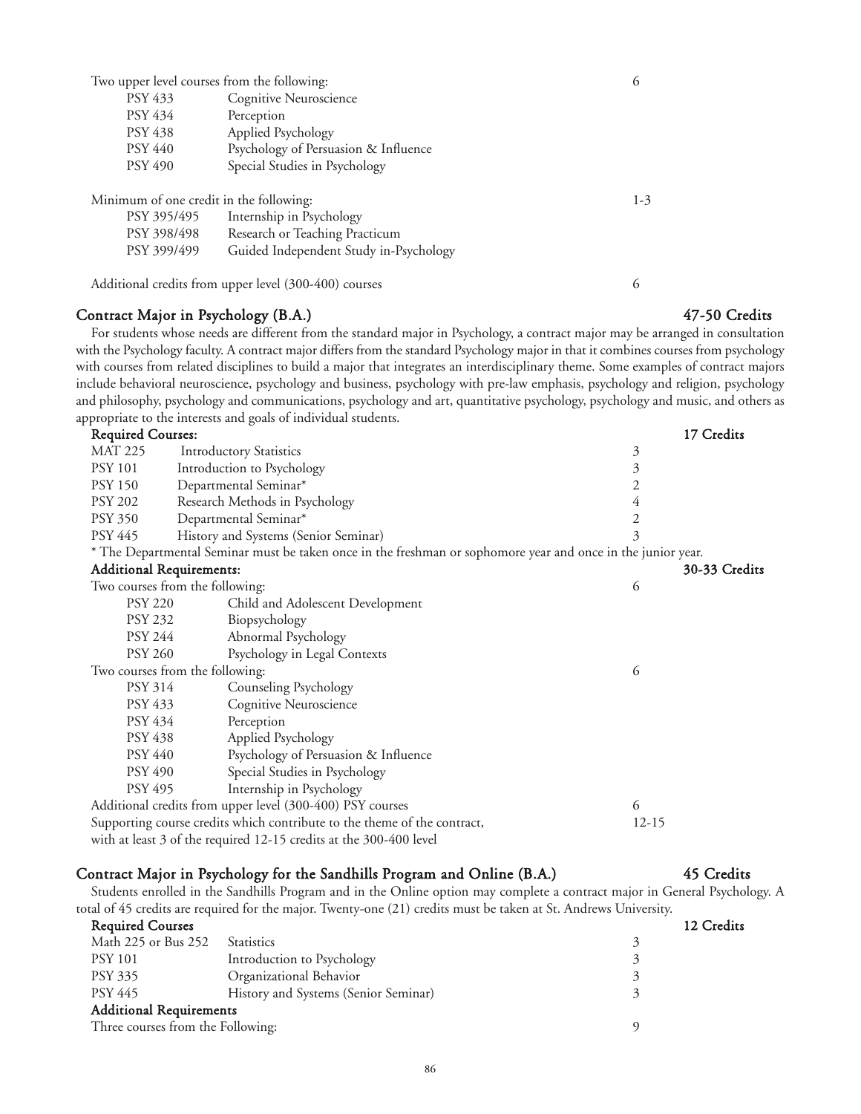Two upper level courses from the following: 6

| Cognitive Neuroscience               |
|--------------------------------------|
| Perception                           |
| Applied Psychology                   |
| Psychology of Persuasion & Influence |
| Special Studies in Psychology        |
|                                      |

Minimum of one credit in the following: 1-3

| PSY 395/495 | Internship in Psychology               |
|-------------|----------------------------------------|
| PSY 398/498 | Research or Teaching Practicum         |
| PSY 399/499 | Guided Independent Study in-Psychology |

Additional credits from upper level (300-400) courses 6

## Contract Major in Psychology (B.A.) 47-50 Credits

For students whose needs are different from the standard major in Psychology, a contract major may be arranged in consultation with the Psychology faculty. A contract major differs from the standard Psychology major in that it combines courses from psychology with courses from related disciplines to build a major that integrates an interdisciplinary theme. Some examples of contract majors include behavioral neuroscience, psychology and business, psychology with pre-law emphasis, psychology and religion, psychology and philosophy, psychology and communications, psychology and art, quantitative psychology, psychology and music, and others as appropriate to the interests and goals of individual students.

| <b>Required Courses:</b> |                                                                                                              | 17 Credits     |
|--------------------------|--------------------------------------------------------------------------------------------------------------|----------------|
| <b>MAT 225</b>           | <b>Introductory Statistics</b>                                                                               | $\mathfrak{Z}$ |
| <b>PSY 101</b>           | Introduction to Psychology                                                                                   | 3              |
| <b>PSY 150</b>           | Departmental Seminar*                                                                                        | 2              |
| <b>PSY 202</b>           | Research Methods in Psychology                                                                               | 4              |
| <b>PSY 350</b>           | Departmental Seminar*                                                                                        | 2              |
| <b>PSY 445</b>           | History and Systems (Senior Seminar)                                                                         | 3              |
|                          | * The Departmental Seminar must be taken once in the freshman or sophomore year and once in the junior year. |                |
|                          | <b>Additional Requirements:</b>                                                                              | 30-33 Credits  |
|                          | Two courses from the following:                                                                              | 6              |
| <b>PSY 220</b>           | Child and Adolescent Development                                                                             |                |
| <b>PSY 232</b>           | Biopsychology                                                                                                |                |
| PSY 244                  | Abnormal Psychology                                                                                          |                |
| <b>PSY 260</b>           | Psychology in Legal Contexts                                                                                 |                |
|                          | Two courses from the following:                                                                              | 6              |
| PSY 314                  | Counseling Psychology                                                                                        |                |
| PSY 433                  | Cognitive Neuroscience                                                                                       |                |
| PSY 434                  | Perception                                                                                                   |                |
| <b>PSY 438</b>           | Applied Psychology                                                                                           |                |
| PSY 440                  | Psychology of Persuasion & Influence                                                                         |                |
| <b>PSY 490</b>           | Special Studies in Psychology                                                                                |                |
| <b>PSY 495</b>           | Internship in Psychology                                                                                     |                |
|                          | Additional credits from upper level (300-400) PSY courses                                                    | 6              |
|                          | Supporting course credits which contribute to the theme of the contract,                                     | $12-15$        |

with at least 3 of the required 12-15 credits at the 300-400 level

### Contract Major in Psychology for the Sandhills Program and Online (B.A.) 45 Credits

Students enrolled in the Sandhills Program and in the Online option may complete a contract major in General Psychology. A total of 45 credits are required for the major. Twenty-one (21) credits must be taken at St. Andrews University.

86

| <b>Required Courses</b>           |                                      | 12 Credits |
|-----------------------------------|--------------------------------------|------------|
| Math 225 or Bus 252               | <b>Statistics</b>                    | $\prec$    |
| <b>PSY 101</b>                    | Introduction to Psychology           |            |
| <b>PSY 335</b>                    | Organizational Behavior              |            |
| PSY 445                           | History and Systems (Senior Seminar) |            |
| <b>Additional Requirements</b>    |                                      |            |
|                                   |                                      |            |
| Three courses from the Following: |                                      |            |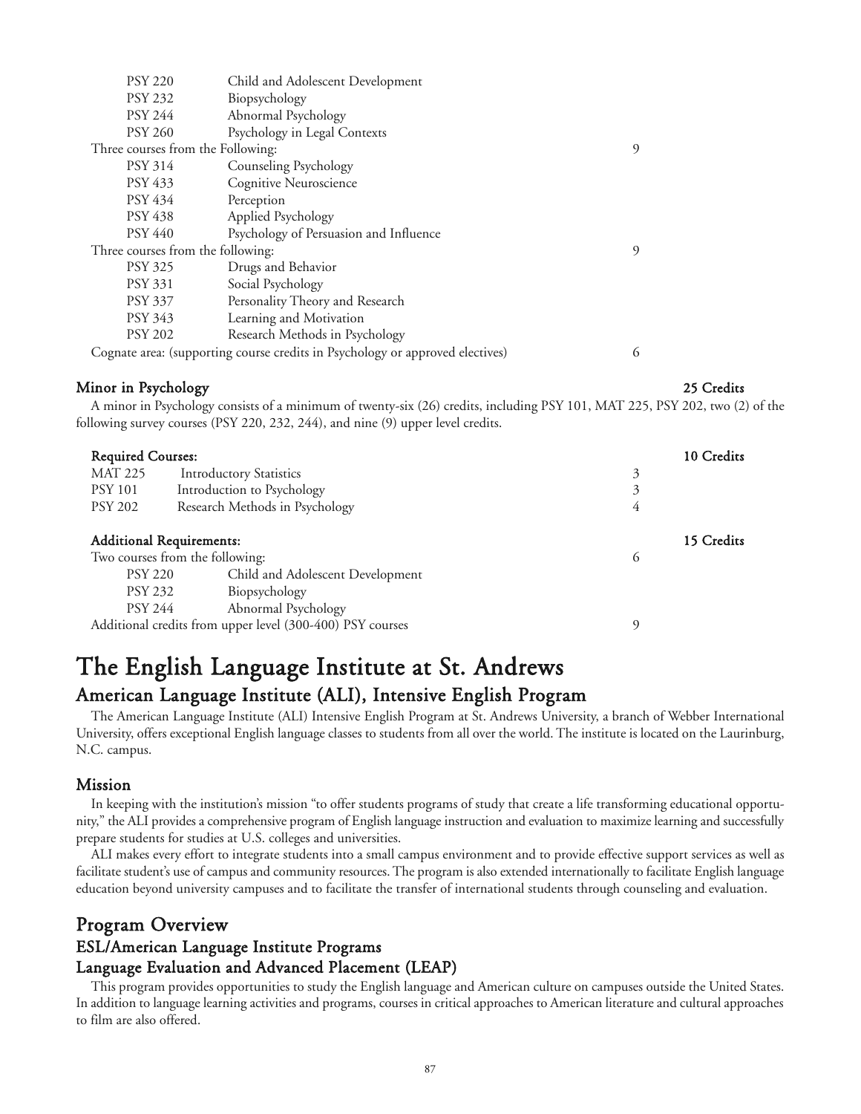| <b>PSY 220</b>                    | Child and Adolescent Development                                              |   |
|-----------------------------------|-------------------------------------------------------------------------------|---|
| <b>PSY 232</b>                    | Biopsychology                                                                 |   |
| <b>PSY 244</b>                    | Abnormal Psychology                                                           |   |
| <b>PSY 260</b>                    | Psychology in Legal Contexts                                                  |   |
| Three courses from the Following: |                                                                               | 9 |
| <b>PSY 314</b>                    | Counseling Psychology                                                         |   |
| <b>PSY 433</b>                    | Cognitive Neuroscience                                                        |   |
| PSY 434                           | Perception                                                                    |   |
| <b>PSY 438</b>                    | Applied Psychology                                                            |   |
| <b>PSY 440</b>                    | Psychology of Persuasion and Influence                                        |   |
| Three courses from the following: |                                                                               | 9 |
| <b>PSY 325</b>                    | Drugs and Behavior                                                            |   |
| <b>PSY 331</b>                    | Social Psychology                                                             |   |
| <b>PSY 337</b>                    | Personality Theory and Research                                               |   |
| PSY 343                           | Learning and Motivation                                                       |   |
| <b>PSY 202</b>                    | Research Methods in Psychology                                                |   |
|                                   | Cognate area: (supporting course credits in Psychology or approved electives) | 6 |

## Minor in Psychology 25 Credits

A minor in Psychology consists of a minimum of twenty-six (26) credits, including PSY 101, MAT 225, PSY 202, two (2) of the following survey courses (PSY 220, 232, 244), and nine (9) upper level credits.

| <b>Required Courses:</b>        |                                                           |   | 10 Credits |
|---------------------------------|-----------------------------------------------------------|---|------------|
| <b>MAT 225</b>                  | <b>Introductory Statistics</b>                            | 3 |            |
| <b>PSY 101</b>                  | Introduction to Psychology                                | 3 |            |
| <b>PSY 202</b>                  | Research Methods in Psychology                            | 4 |            |
|                                 |                                                           |   |            |
| <b>Additional Requirements:</b> |                                                           |   | 15 Credits |
|                                 | Two courses from the following:                           | 6 |            |
| <b>PSY 220</b>                  | Child and Adolescent Development                          |   |            |
| PSY 232                         | Biopsychology                                             |   |            |
| <b>PSY 244</b>                  | Abnormal Psychology                                       |   |            |
|                                 | Additional credits from upper level (300-400) PSY courses | q |            |

# The English Language Institute at St. Andrews American Language Institute (ALI), Intensive English Program

The American Language Institute (ALI) Intensive English Program at St. Andrews University, a branch of Webber International University, offers exceptional English language classes to students from all over the world. The institute is located on the Laurinburg, N.C. campus.

# Mission

In keeping with the institution's mission "to offer students programs of study that create a life transforming educational opportunity," the ALI provides a comprehensive program of English language instruction and evaluation to maximize learning and successfully prepare students for studies at U.S. colleges and universities.

ALI makes every effort to integrate students into a small campus environment and to provide effective support services as well as facilitate student's use of campus and community resources. The program is also extended internationally to facilitate English language education beyond university campuses and to facilitate the transfer of international students through counseling and evaluation.

# Program Overview ESL/American Language Institute Programs Language Evaluation and Advanced Placement (LEAP)

This program provides opportunities to study the English language and American culture on campuses outside the United States. In addition to language learning activities and programs, courses in critical approaches to American literature and cultural approaches to film are also offered.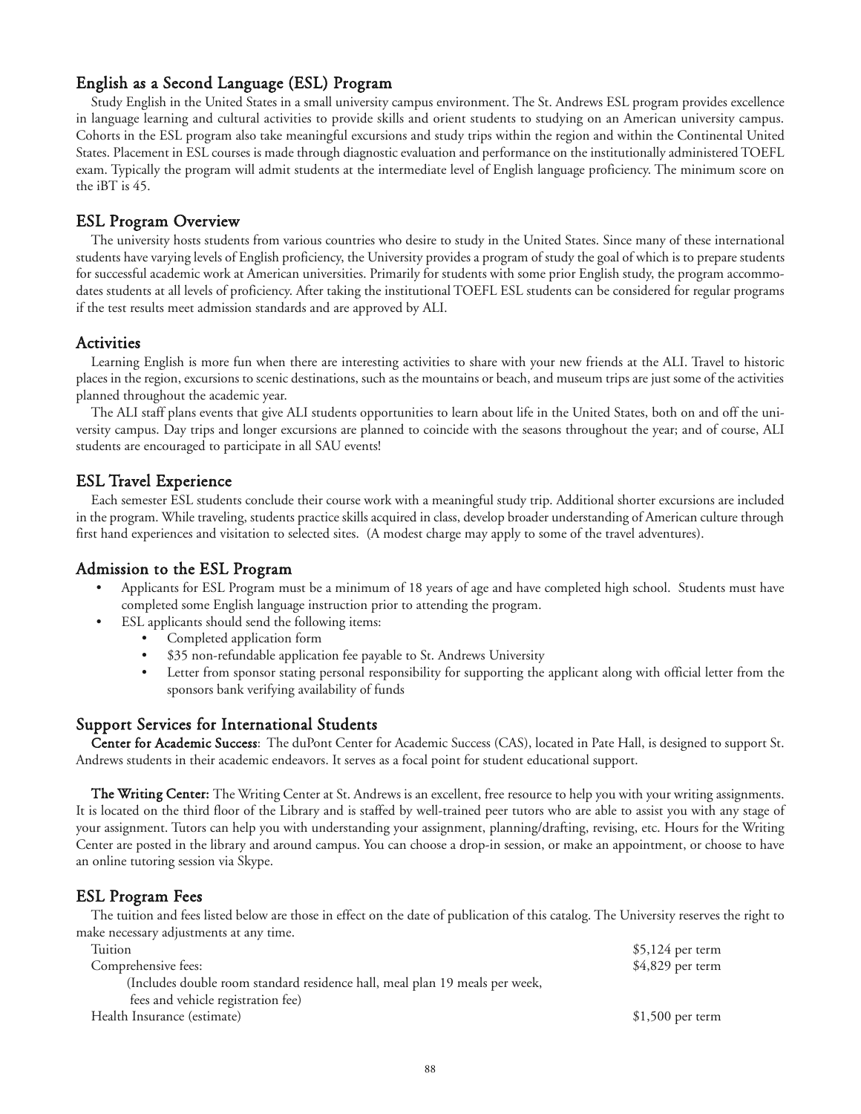# English as a Second Language (ESL) Program

Study English in the United States in a small university campus environment. The St. Andrews ESL program provides excellence in language learning and cultural activities to provide skills and orient students to studying on an American university campus. Cohorts in the ESL program also take meaningful excursions and study trips within the region and within the Continental United States. Placement in ESL courses is made through diagnostic evaluation and performance on the institutionally administered TOEFL exam. Typically the program will admit students at the intermediate level of English language proficiency. The minimum score on the iBT is 45.

## ESL Program Overview

The university hosts students from various countries who desire to study in the United States. Since many of these international students have varying levels of English proficiency, the University provides a program of study the goal of which is to prepare students for successful academic work at American universities. Primarily for students with some prior English study, the program accommodates students at all levels of proficiency. After taking the institutional TOEFL ESL students can be considered for regular programs if the test results meet admission standards and are approved by ALI.

## **Activities**

Learning English is more fun when there are interesting activities to share with your new friends at the ALI. Travel to historic places in the region, excursions to scenic destinations, such as the mountains or beach, and museum trips are just some of the activities planned throughout the academic year.

The ALI staff plans events that give ALI students opportunities to learn about life in the United States, both on and off the university campus. Day trips and longer excursions are planned to coincide with the seasons throughout the year; and of course, ALI students are encouraged to participate in all SAU events!

## ESL Travel Experience

Each semester ESL students conclude their course work with a meaningful study trip. Additional shorter excursions are included in the program. While traveling, students practice skills acquired in class, develop broader understanding of American culture through first hand experiences and visitation to selected sites. (A modest charge may apply to some of the travel adventures).

### Admission to the ESL Program

- Applicants for ESL Program must be a minimum of 18 years of age and have completed high school. Students must have completed some English language instruction prior to attending the program.
	- ESL applicants should send the following items:
		- Completed application form
		- \$35 non-refundable application fee payable to St. Andrews University
		- Letter from sponsor stating personal responsibility for supporting the applicant along with official letter from the sponsors bank verifying availability of funds

### Support Services for International Students

Center for Academic Success: The duPont Center for Academic Success (CAS), located in Pate Hall, is designed to support St. Andrews students in their academic endeavors. It serves as a focal point for student educational support.

The Writing Center: The Writing Center at St. Andrews is an excellent, free resource to help you with your writing assignments. It is located on the third floor of the Library and is staffed by well-trained peer tutors who are able to assist you with any stage of your assignment. Tutors can help you with understanding your assignment, planning/drafting, revising, etc. Hours for the Writing Center are posted in the library and around campus. You can choose a drop-in session, or make an appointment, or choose to have an online tutoring session via Skype.

# ESL Program Fees

The tuition and fees listed below are those in effect on the date of publication of this catalog. The University reserves the right to make necessary adjustments at any time.

| Tuition                                                                     | $$5,124$ per term |
|-----------------------------------------------------------------------------|-------------------|
| Comprehensive fees:                                                         | \$4,829 per term  |
| (Includes double room standard residence hall, meal plan 19 meals per week, |                   |
| fees and vehicle registration fee)                                          |                   |
| Health Insurance (estimate)                                                 | $$1,500$ per term |
|                                                                             |                   |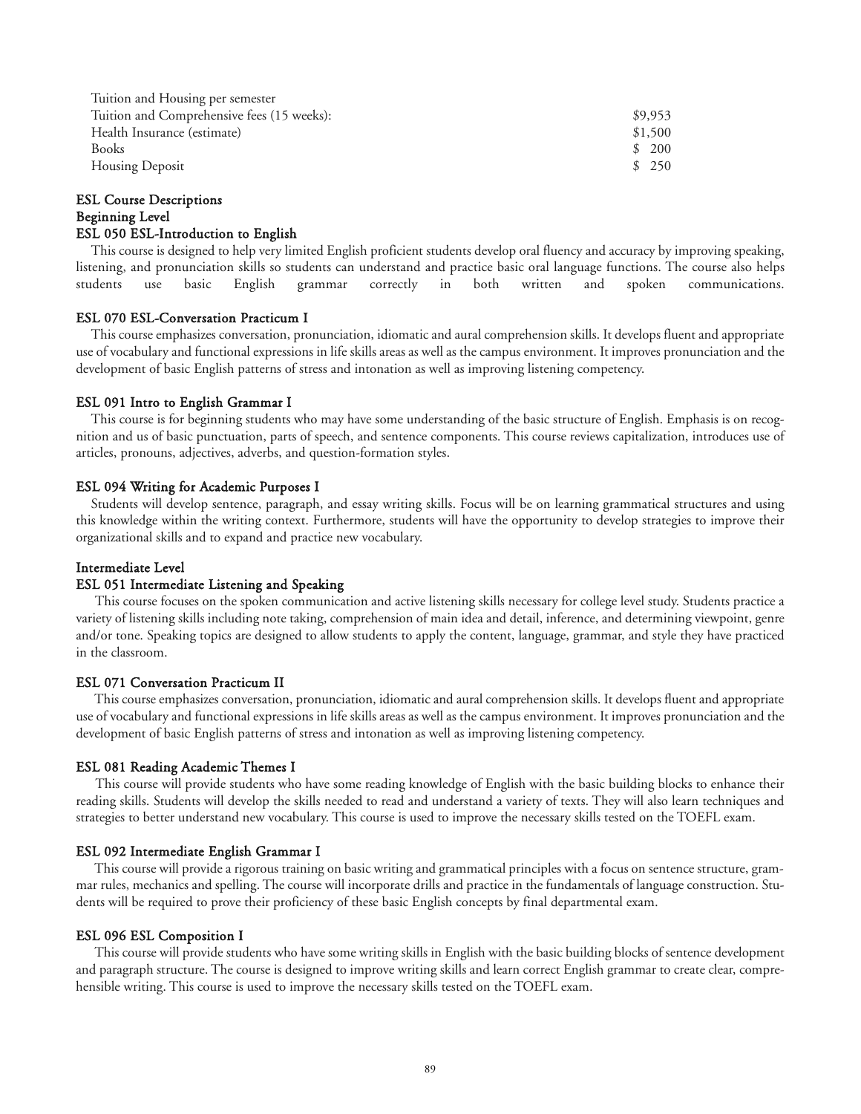| Tuition and Housing per semester           |                            |
|--------------------------------------------|----------------------------|
| Tuition and Comprehensive fees (15 weeks): | \$9,953                    |
| Health Insurance (estimate)                | \$1,500                    |
| <b>Books</b>                               | <b>200</b><br><sup>S</sup> |
| <b>Housing Deposit</b>                     | 250<br><sup>S</sup>        |

#### ESL Course Descriptions Beginning Level ESL 050 ESL-Introduction to English

This course is designed to help very limited English proficient students develop oral fluency and accuracy by improving speaking, listening, and pronunciation skills so students can understand and practice basic oral language functions. The course also helps students use basic English grammar correctly in both written and spoken communications.

#### ESL 070 ESL-Conversation Practicum I

This course emphasizes conversation, pronunciation, idiomatic and aural comprehension skills. It develops fluent and appropriate use of vocabulary and functional expressions in life skills areas as well as the campus environment. It improves pronunciation and the development of basic English patterns of stress and intonation as well as improving listening competency.

#### ESL 091 Intro to English Grammar I

This course is for beginning students who may have some understanding of the basic structure of English. Emphasis is on recognition and us of basic punctuation, parts of speech, and sentence components. This course reviews capitalization, introduces use of articles, pronouns, adjectives, adverbs, and question-formation styles.

#### ESL 094 Writing for Academic Purposes I

Students will develop sentence, paragraph, and essay writing skills. Focus will be on learning grammatical structures and using this knowledge within the writing context. Furthermore, students will have the opportunity to develop strategies to improve their organizational skills and to expand and practice new vocabulary.

#### Intermediate Level

#### ESL 051 Intermediate Listening and Speaking

This course focuses on the spoken communication and active listening skills necessary for college level study. Students practice a variety of listening skills including note taking, comprehension of main idea and detail, inference, and determining viewpoint, genre and/or tone. Speaking topics are designed to allow students to apply the content, language, grammar, and style they have practiced in the classroom.

#### ESL 071 Conversation Practicum II

This course emphasizes conversation, pronunciation, idiomatic and aural comprehension skills. It develops fluent and appropriate use of vocabulary and functional expressions in life skills areas as well as the campus environment. It improves pronunciation and the development of basic English patterns of stress and intonation as well as improving listening competency.

#### ESL 081 Reading Academic Themes I

This course will provide students who have some reading knowledge of English with the basic building blocks to enhance their reading skills. Students will develop the skills needed to read and understand a variety of texts. They will also learn techniques and strategies to better understand new vocabulary. This course is used to improve the necessary skills tested on the TOEFL exam.

#### ESL 092 Intermediate English Grammar I

This course will provide a rigorous training on basic writing and grammatical principles with a focus on sentence structure, grammar rules, mechanics and spelling. The course will incorporate drills and practice in the fundamentals of language construction. Students will be required to prove their proficiency of these basic English concepts by final departmental exam.

#### ESL 096 ESL Composition I

This course will provide students who have some writing skills in English with the basic building blocks of sentence development and paragraph structure. The course is designed to improve writing skills and learn correct English grammar to create clear, comprehensible writing. This course is used to improve the necessary skills tested on the TOEFL exam.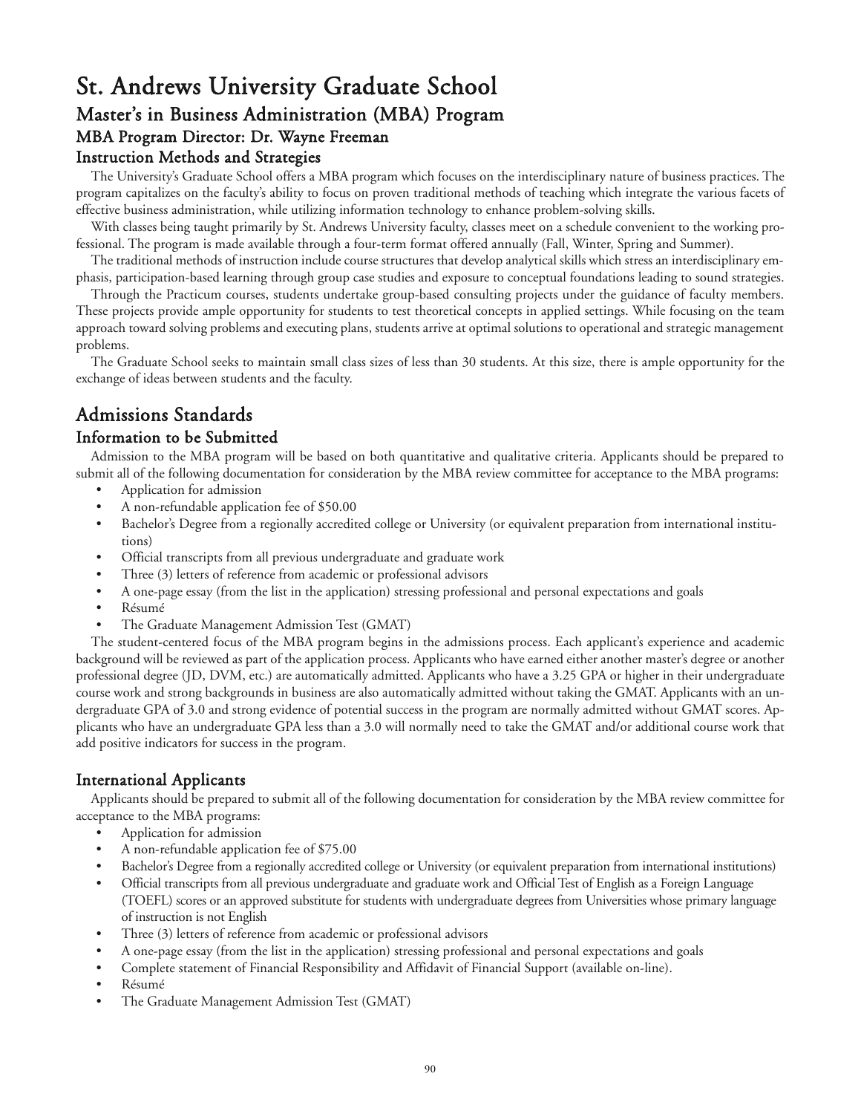# St. Andrews University Graduate School Master's in Business Administration (MBA) Program MBA Program Director: Dr. Wayne Freeman Instruction Methods and Strategies

The University's Graduate School offers a MBA program which focuses on the interdisciplinary nature of business practices. The program capitalizes on the faculty's ability to focus on proven traditional methods of teaching which integrate the various facets of effective business administration, while utilizing information technology to enhance problem-solving skills.

With classes being taught primarily by St. Andrews University faculty, classes meet on a schedule convenient to the working professional. The program is made available through a four-term format offered annually (Fall, Winter, Spring and Summer).

The traditional methods of instruction include course structures that develop analytical skills which stress an interdisciplinary emphasis, participation-based learning through group case studies and exposure to conceptual foundations leading to sound strategies.

Through the Practicum courses, students undertake group-based consulting projects under the guidance of faculty members. These projects provide ample opportunity for students to test theoretical concepts in applied settings. While focusing on the team approach toward solving problems and executing plans, students arrive at optimal solutions to operational and strategic management problems.

The Graduate School seeks to maintain small class sizes of less than 30 students. At this size, there is ample opportunity for the exchange of ideas between students and the faculty.

# Admissions Standards

# Information to be Submitted

Admission to the MBA program will be based on both quantitative and qualitative criteria. Applicants should be prepared to submit all of the following documentation for consideration by the MBA review committee for acceptance to the MBA programs:

- Application for admission
- A non-refundable application fee of \$50.00
- Bachelor's Degree from a regionally accredited college or University (or equivalent preparation from international institutions)
- Official transcripts from all previous undergraduate and graduate work
- Three (3) letters of reference from academic or professional advisors
- A one-page essay (from the list in the application) stressing professional and personal expectations and goals
- Résumé•
- The Graduate Management Admission Test (GMAT)

The student-centered focus of the MBA program begins in the admissions process. Each applicant's experience and academic background will be reviewed as part of the application process. Applicants who have earned either another master's degree or another professional degree (JD, DVM, etc.) are automatically admitted. Applicants who have a 3.25 GPA or higher in their undergraduate course work and strong backgrounds in business are also automatically admitted without taking the GMAT. Applicants with an undergraduate GPA of 3.0 and strong evidence of potential success in the program are normally admitted without GMAT scores. Applicants who have an undergraduate GPA less than a 3.0 will normally need to take the GMAT and/or additional course work that add positive indicators for success in the program.

# International Applicants

Applicants should be prepared to submit all of the following documentation for consideration by the MBA review committee for acceptance to the MBA programs:

- Application for admission
- A non-refundable application fee of \$75.00
- Bachelor's Degree from a regionally accredited college or University (or equivalent preparation from international institutions)
- Official transcripts from all previous undergraduate and graduate work and Official Test of English as a Foreign Language (TOEFL) scores or an approved substitute for students with undergraduate degrees from Universities whose primary language of instruction is not English
- Three (3) letters of reference from academic or professional advisors
- A one-page essay (from the list in the application) stressing professional and personal expectations and goals
- Complete statement of Financial Responsibility and Affidavit of Financial Support (available on-line).
- Résumé•
- The Graduate Management Admission Test (GMAT)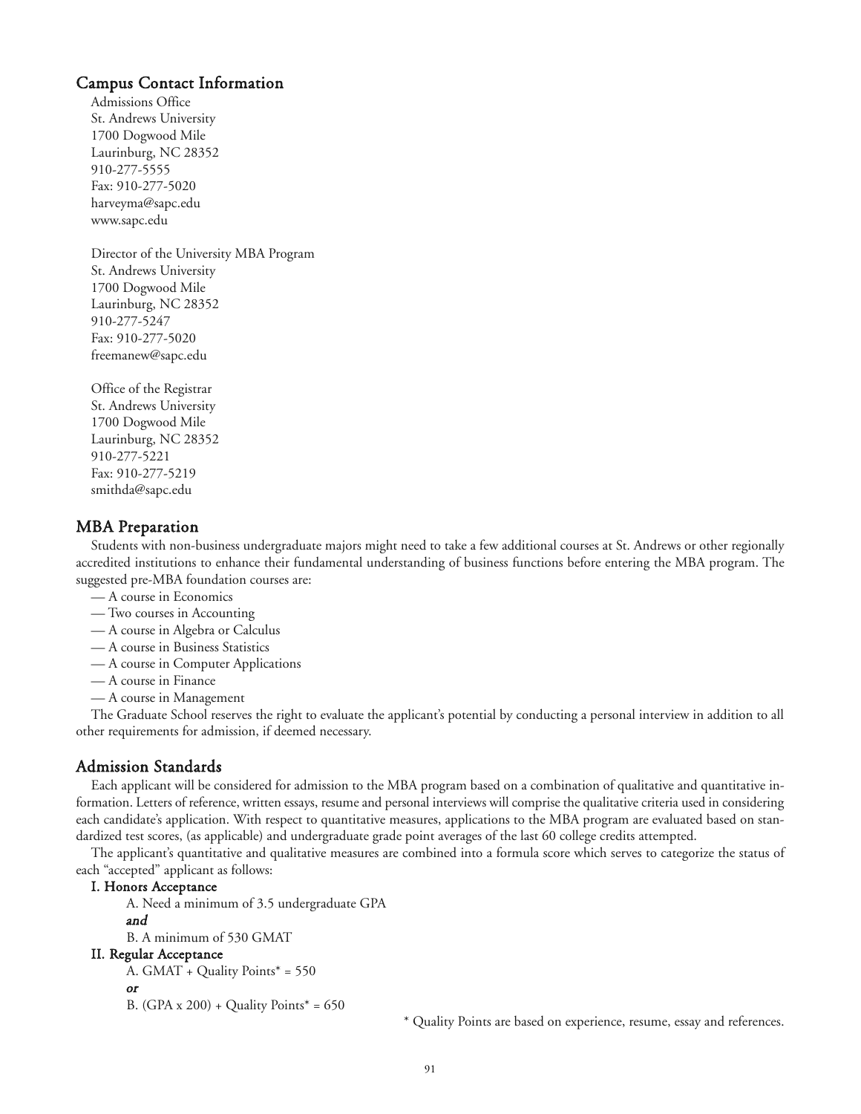## Campus Contact Information

Admissions Office St. Andrews University 1700 Dogwood Mile Laurinburg, NC 28352 910-277-5555 Fax: 910-277-5020 harveyma@sapc.edu www.sapc.edu

Director of the University MBA Program St. Andrews University 1700 Dogwood Mile Laurinburg, NC 28352 910-277-5247 Fax: 910-277-5020 freemanew@sapc.edu

Office of the Registrar St. Andrews University 1700 Dogwood Mile Laurinburg, NC 28352 910-277-5221 Fax: 910-277-5219 smithda@sapc.edu

#### MBA Preparation

Students with non-business undergraduate majors might need to take a few additional courses at St. Andrews or other regionally accredited institutions to enhance their fundamental understanding of business functions before entering the MBA program. The suggested pre-MBA foundation courses are:

- A course in Economics
- Two courses in Accounting
- A course in Algebra or Calculus
- A course in Business Statistics
- A course in Computer Applications
- A course in Finance
- A course in Management

The Graduate School reserves the right to evaluate the applicant's potential by conducting a personal interview in addition to all other requirements for admission, if deemed necessary.

# Admission Standards

Each applicant will be considered for admission to the MBA program based on a combination of qualitative and quantitative information. Letters of reference, written essays, resume and personal interviews will comprise the qualitative criteria used in considering each candidate's application. With respect to quantitative measures, applications to the MBA program are evaluated based on standardized test scores, (as applicable) and undergraduate grade point averages of the last 60 college credits attempted.

The applicant's quantitative and qualitative measures are combined into a formula score which serves to categorize the status of each "accepted" applicant as follows:

#### I. Honors Acceptance

A. Need a minimum of 3.5 undergraduate GPA and

B. A minimum of 530 GMAT

#### II. Regular Acceptance

```
A. GMAT + Quality Points* = 550
```

```
or
```

```
B. (GPA x 200) + Quality Points* = 650
```
\* Quality Points are based on experience, resume, essay and references.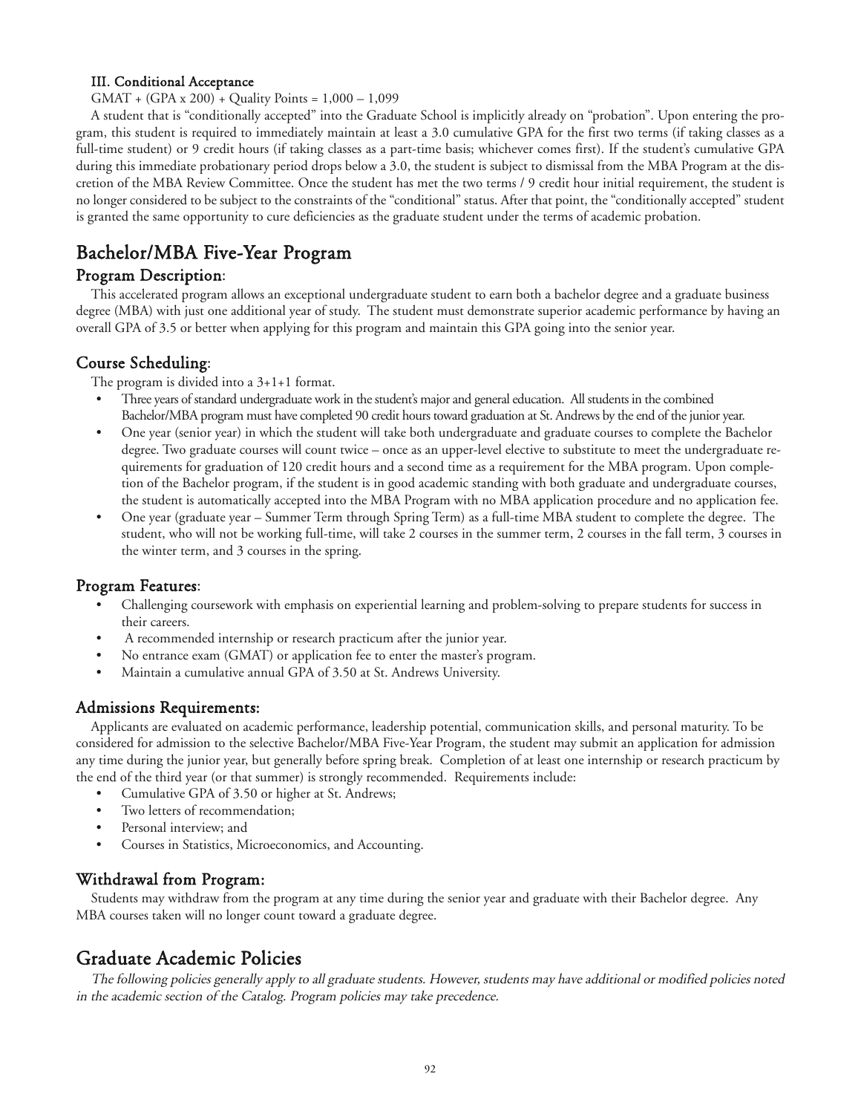#### III. Conditional Acceptance

GMAT + (GPA x 200) + Quality Points = 1,000 – 1,099

A student that is "conditionally accepted" into the Graduate School is implicitly already on "probation". Upon entering the program, this student is required to immediately maintain at least a 3.0 cumulative GPA for the first two terms (if taking classes as a full-time student) or 9 credit hours (if taking classes as a part-time basis; whichever comes first). If the student's cumulative GPA during this immediate probationary period drops below a 3.0, the student is subject to dismissal from the MBA Program at the discretion of the MBA Review Committee. Once the student has met the two terms / 9 credit hour initial requirement, the student is no longer considered to be subject to the constraints of the "conditional" status. After that point, the "conditionally accepted" student is granted the same opportunity to cure deficiencies as the graduate student under the terms of academic probation.

# Bachelor/MBA Five-Year Program

### Program Description:

This accelerated program allows an exceptional undergraduate student to earn both a bachelor degree and a graduate business degree (MBA) with just one additional year of study. The student must demonstrate superior academic performance by having an overall GPA of 3.5 or better when applying for this program and maintain this GPA going into the senior year.

## Course Scheduling:

The program is divided into a 3+1+1 format.

- Three years of standard undergraduate work in the student's major and general education. All students in the combined Bachelor/MBA program must have completed 90 credit hours toward graduation at St. Andrews by the end of the junior year.
- One year (senior year) in which the student will take both undergraduate and graduate courses to complete the Bachelor degree. Two graduate courses will count twice – once as an upper-level elective to substitute to meet the undergraduate requirements for graduation of 120 credit hours and a second time as a requirement for the MBA program. Upon completion of the Bachelor program, if the student is in good academic standing with both graduate and undergraduate courses, the student is automatically accepted into the MBA Program with no MBA application procedure and no application fee.
- One year (graduate year Summer Term through Spring Term) as a full-time MBA student to complete the degree. The student, who will not be working full-time, will take 2 courses in the summer term, 2 courses in the fall term, 3 courses in the winter term, and 3 courses in the spring.

### Program Features:

- Challenging coursework with emphasis on experiential learning and problem-solving to prepare students for success in their careers.
- A recommended internship or research practicum after the junior year.
- No entrance exam (GMAT) or application fee to enter the master's program.
- Maintain a cumulative annual GPA of 3.50 at St. Andrews University.

### Admissions Requirements:

Applicants are evaluated on academic performance, leadership potential, communication skills, and personal maturity. To be considered for admission to the selective Bachelor/MBA Five-Year Program, the student may submit an application for admission any time during the junior year, but generally before spring break. Completion of at least one internship or research practicum by the end of the third year (or that summer) is strongly recommended. Requirements include:

- Cumulative GPA of 3.50 or higher at St. Andrews;
- Two letters of recommendation;
- Personal interview; and
- Courses in Statistics, Microeconomics, and Accounting.

### Withdrawal from Program:

Students may withdraw from the program at any time during the senior year and graduate with their Bachelor degree. Any MBA courses taken will no longer count toward a graduate degree.

# Graduate Academic Policies

The following policies generally apply to all graduate students. However, students may have additional or modified policies noted in the academic section of the Catalog. Program policies may take precedence.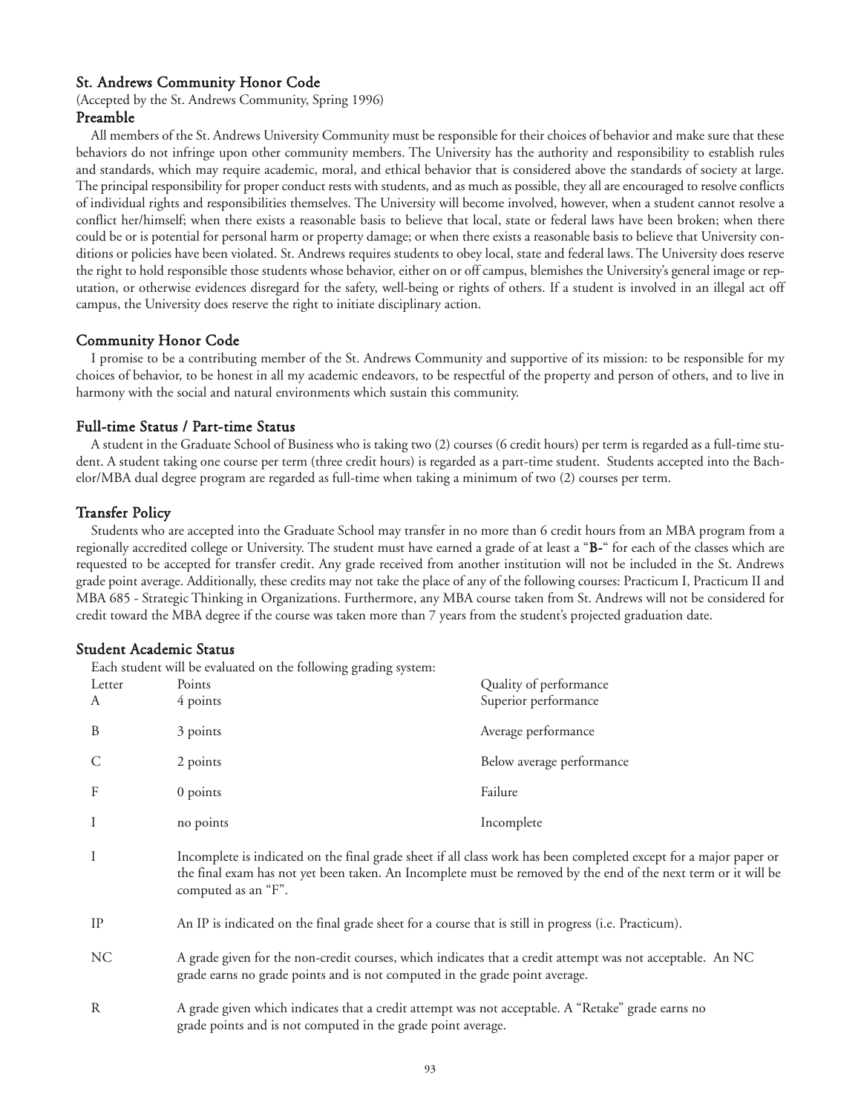### St. Andrews Community Honor Code

(Accepted by the St. Andrews Community, Spring 1996)

# Preamble

All members of the St. Andrews University Community must be responsible for their choices of behavior and make sure that these behaviors do not infringe upon other community members. The University has the authority and responsibility to establish rules and standards, which may require academic, moral, and ethical behavior that is considered above the standards of society at large. The principal responsibility for proper conduct rests with students, and as much as possible, they all are encouraged to resolve conflicts of individual rights and responsibilities themselves. The University will become involved, however, when a student cannot resolve a conflict her/himself; when there exists a reasonable basis to believe that local, state or federal laws have been broken; when there could be or is potential for personal harm or property damage; or when there exists a reasonable basis to believe that University conditions or policies have been violated. St. Andrews requires students to obey local, state and federal laws. The University does reserve the right to hold responsible those students whose behavior, either on or off campus, blemishes the University's general image or reputation, or otherwise evidences disregard for the safety, well-being or rights of others. If a student is involved in an illegal act off campus, the University does reserve the right to initiate disciplinary action.

#### Community Honor Code

I promise to be a contributing member of the St. Andrews Community and supportive of its mission: to be responsible for my choices of behavior, to be honest in all my academic endeavors, to be respectful of the property and person of others, and to live in harmony with the social and natural environments which sustain this community.

#### Full-time Status / Part-time Status

A student in the Graduate School of Business who is taking two (2) courses (6 credit hours) per term is regarded as a full-time student. A student taking one course per term (three credit hours) is regarded as a part-time student. Students accepted into the Bachelor/MBA dual degree program are regarded as full-time when taking a minimum of two (2) courses per term.

#### Transfer Policy

Students who are accepted into the Graduate School may transfer in no more than 6 credit hours from an MBA program from a regionally accredited college or University. The student must have earned a grade of at least a "B-" for each of the classes which are requested to be accepted for transfer credit. Any grade received from another institution will not be included in the St. Andrews grade point average. Additionally, these credits may not take the place of any of the following courses: Practicum I, Practicum II and MBA 685 - Strategic Thinking in Organizations. Furthermore, any MBA course taken from St. Andrews will not be considered for credit toward the MBA degree if the course was taken more than 7 years from the student's projected graduation date.

#### Student Academic Status

Each student will be evaluated on the following grading system:

| Letter<br>A  | Points<br>4 points                                                                                                                                                                                                                                         | Quality of performance<br>Superior performance |
|--------------|------------------------------------------------------------------------------------------------------------------------------------------------------------------------------------------------------------------------------------------------------------|------------------------------------------------|
| B            | 3 points                                                                                                                                                                                                                                                   | Average performance                            |
|              | 2 points                                                                                                                                                                                                                                                   | Below average performance                      |
| F            | $0$ points                                                                                                                                                                                                                                                 | Failure                                        |
|              | no points                                                                                                                                                                                                                                                  | Incomplete                                     |
|              | Incomplete is indicated on the final grade sheet if all class work has been completed except for a major paper or<br>the final exam has not yet been taken. An Incomplete must be removed by the end of the next term or it will be<br>computed as an "F". |                                                |
| IP           | An IP is indicated on the final grade sheet for a course that is still in progress (i.e. Practicum).                                                                                                                                                       |                                                |
| $\mathbf{X}$ | $1 \cdot 1 \cdot 1$ . $1 \cdot 1 \cdot 1$ . $1 \cdot 1 \cdot 1 \cdot 1$                                                                                                                                                                                    |                                                |

- NC A grade given for the non-credit courses, which indicates that a credit attempt was not acceptable. An NC grade earns no grade points and is not computed in the grade point average.
- R A grade given which indicates that a credit attempt was not acceptable. A "Retake" grade earns no grade points and is not computed in the grade point average.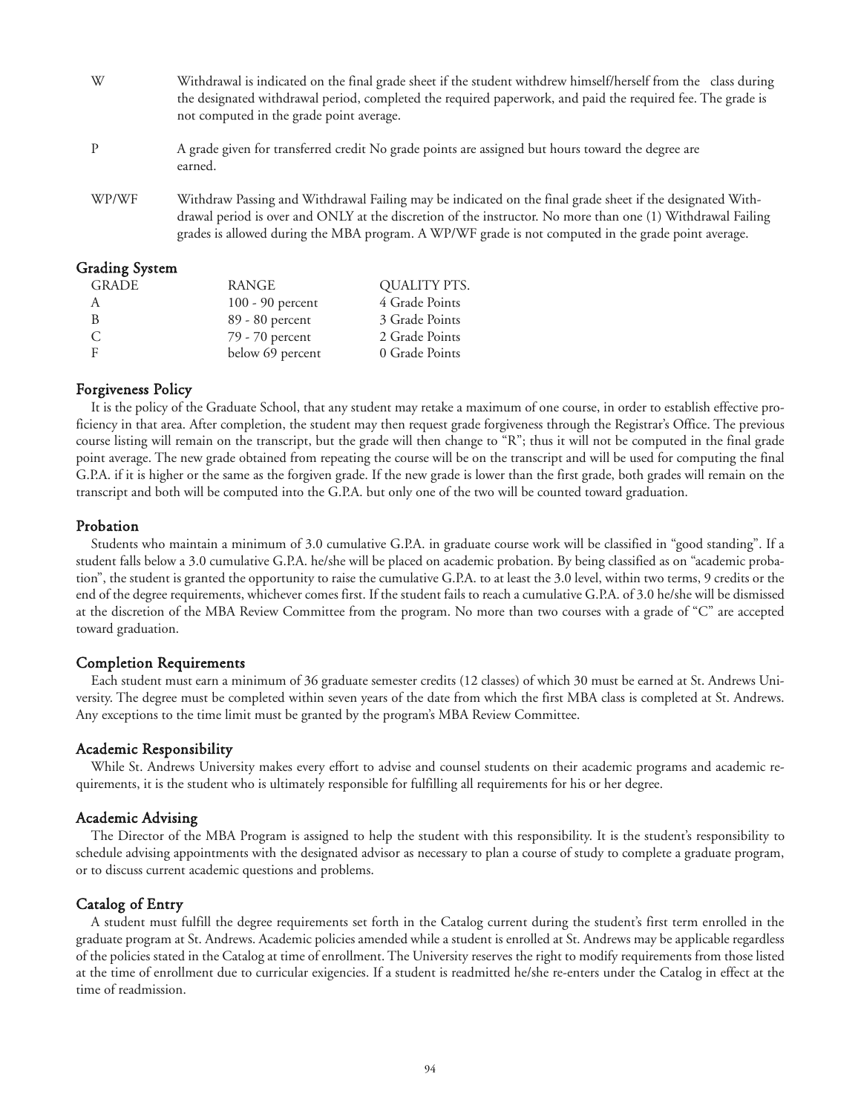- W Withdrawal is indicated on the final grade sheet if the student withdrew himself/herself from the class during the designated withdrawal period, completed the required paperwork, and paid the required fee. The grade is not computed in the grade point average. P A grade given for transferred credit No grade points are assigned but hours toward the degree are earned. WP/WF Withdraw Passing and Withdrawal Failing may be indicated on the final grade sheet if the designated With-
- drawal period is over and ONLY at the discretion of the instructor. No more than one (1) Withdrawal Failing grades is allowed during the MBA program. A WP/WF grade is not computed in the grade point average.

#### Grading System

| <b>GRADE</b> | RANGE              | QUALITY PTS.   |
|--------------|--------------------|----------------|
| A            | $100 - 90$ percent | 4 Grade Points |
| R            | 89 - 80 percent    | 3 Grade Points |
| C            | 79 - 70 percent    | 2 Grade Points |
| F            | below 69 percent   | 0 Grade Points |

### Forgiveness Policy

It is the policy of the Graduate School, that any student may retake a maximum of one course, in order to establish effective proficiency in that area. After completion, the student may then request grade forgiveness through the Registrar's Office. The previous course listing will remain on the transcript, but the grade will then change to "R"; thus it will not be computed in the final grade point average. The new grade obtained from repeating the course will be on the transcript and will be used for computing the final G.P.A. if it is higher or the same as the forgiven grade. If the new grade is lower than the first grade, both grades will remain on the transcript and both will be computed into the G.P.A. but only one of the two will be counted toward graduation.

### Probation

Students who maintain a minimum of 3.0 cumulative G.P.A. in graduate course work will be classified in "good standing". If a student falls below a 3.0 cumulative G.P.A. he/she will be placed on academic probation. By being classified as on "academic probation", the student is granted the opportunity to raise the cumulative G.P.A. to at least the 3.0 level, within two terms, 9 credits or the end of the degree requirements, whichever comes first. If the student fails to reach a cumulative G.P.A. of 3.0 he/she will be dismissed at the discretion of the MBA Review Committee from the program. No more than two courses with a grade of "C" are accepted toward graduation.

### Completion Requirements

Each student must earn a minimum of 36 graduate semester credits (12 classes) of which 30 must be earned at St. Andrews University. The degree must be completed within seven years of the date from which the first MBA class is completed at St. Andrews. Any exceptions to the time limit must be granted by the program's MBA Review Committee.

#### Academic Responsibility

While St. Andrews University makes every effort to advise and counsel students on their academic programs and academic requirements, it is the student who is ultimately responsible for fulfilling all requirements for his or her degree.

#### Academic Advising

The Director of the MBA Program is assigned to help the student with this responsibility. It is the student's responsibility to schedule advising appointments with the designated advisor as necessary to plan a course of study to complete a graduate program, or to discuss current academic questions and problems.

### Catalog of Entry

A student must fulfill the degree requirements set forth in the Catalog current during the student's first term enrolled in the graduate program at St. Andrews. Academic policies amended while a student is enrolled at St. Andrews may be applicable regardless of the policies stated in the Catalog at time of enrollment. The University reserves the right to modify requirements from those listed at the time of enrollment due to curricular exigencies. If a student is readmitted he/she re-enters under the Catalog in effect at the time of readmission.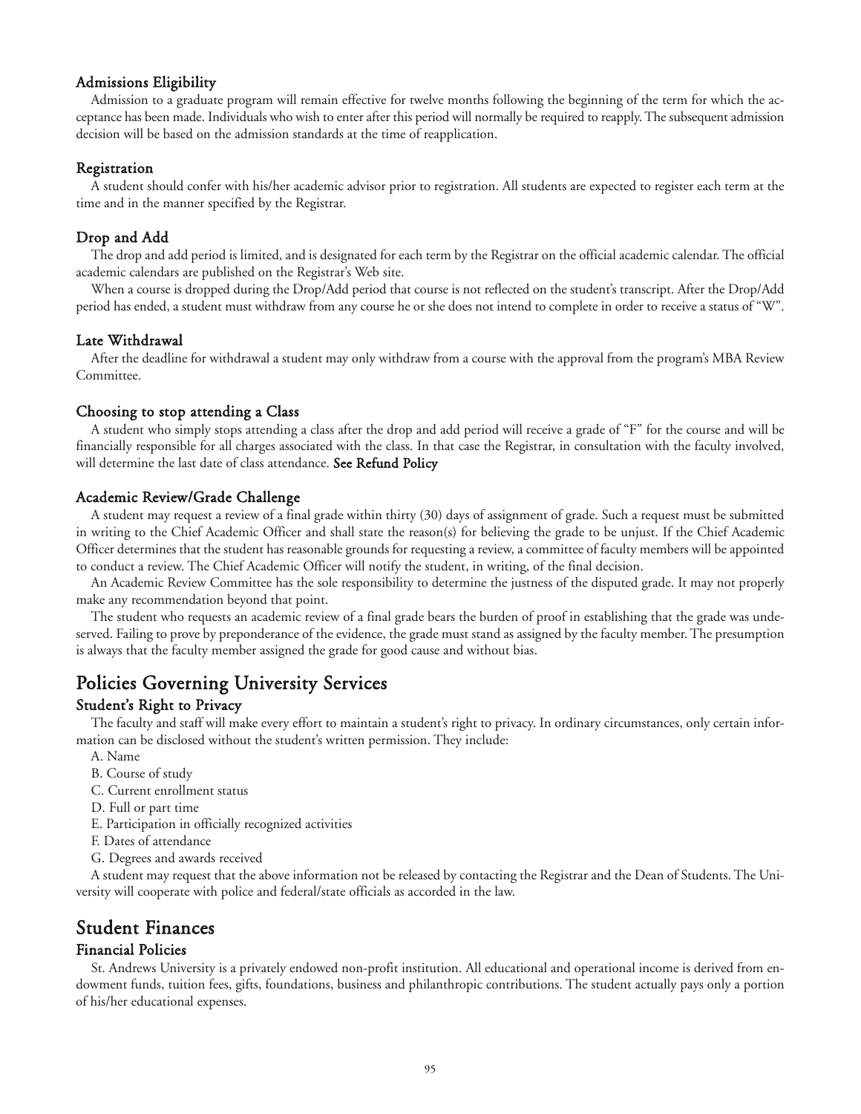#### Admissions Eligibility

Admission to a graduate program will remain effective for twelve months following the beginning of the term for which the acceptance has been made. Individuals who wish to enter after this period will normally be required to reapply. The subsequent admission decision will be based on the admission standards at the time of reapplication.

#### Registration

A student should confer with his/her academic advisor prior to registration. All students are expected to register each term at the time and in the manner specified by the Registrar.

#### Drop and Add

The drop and add period is limited, and is designated for each term by the Registrar on the official academic calendar. The official academic calendars are published on the Registrar's Web site.

When a course is dropped during the Drop/Add period that course is not reflected on the student's transcript. After the Drop/Add period has ended, a student must withdraw from any course he or she does not intend to complete in order to receive a status of "W".

#### Late Withdrawal

After the deadline for withdrawal a student may only withdraw from a course with the approval from the program's MBA Review Committee.

#### Choosing to stop attending a Class

A student who simply stops attending a class after the drop and add period will receive a grade of "F" for the course and will be financially responsible for all charges associated with the class. In that case the Registrar, in consultation with the faculty involved, will determine the last date of class attendance. See Refund Policy

#### Academic Review/Grade Challenge

A student may request a review of a final grade within thirty (30) days of assignment of grade. Such a request must be submitted in writing to the Chief Academic Officer and shall state the reason(s) for believing the grade to be unjust. If the Chief Academic Officer determines that the student has reasonable grounds for requesting a review, a committee of faculty members will be appointed to conduct a review. The Chief Academic Officer will notify the student, in writing, of the final decision.

An Academic Review Committee has the sole responsibility to determine the justness of the disputed grade. It may not properly make any recommendation beyond that point.

The student who requests an academic review of a final grade bears the burden of proof in establishing that the grade was undeserved. Failing to prove by preponderance of the evidence, the grade must stand as assigned by the faculty member. The presumption is always that the faculty member assigned the grade for good cause and without bias.

# Policies Governing University Services

### Student's Right to Privacy

The faculty and staff will make every effort to maintain a student's right to privacy. In ordinary circumstances, only certain information can be disclosed without the student's written permission. They include:

- A. Name
- B. Course of study
- C. Current enrollment status
- D. Full or part time
- E. Participation in officially recognized activities
- F. Dates of attendance
- G. Degrees and awards received

A student may request that the above information not be released by contacting the Registrar and the Dean of Students. The University will cooperate with police and federal/state officials as accorded in the law.

# Student Finances

#### Financial Policies

St. Andrews University is a privately endowed non-profit institution. All educational and operational income is derived from endowment funds, tuition fees, gifts, foundations, business and philanthropic contributions. The student actually pays only a portion of his/her educational expenses.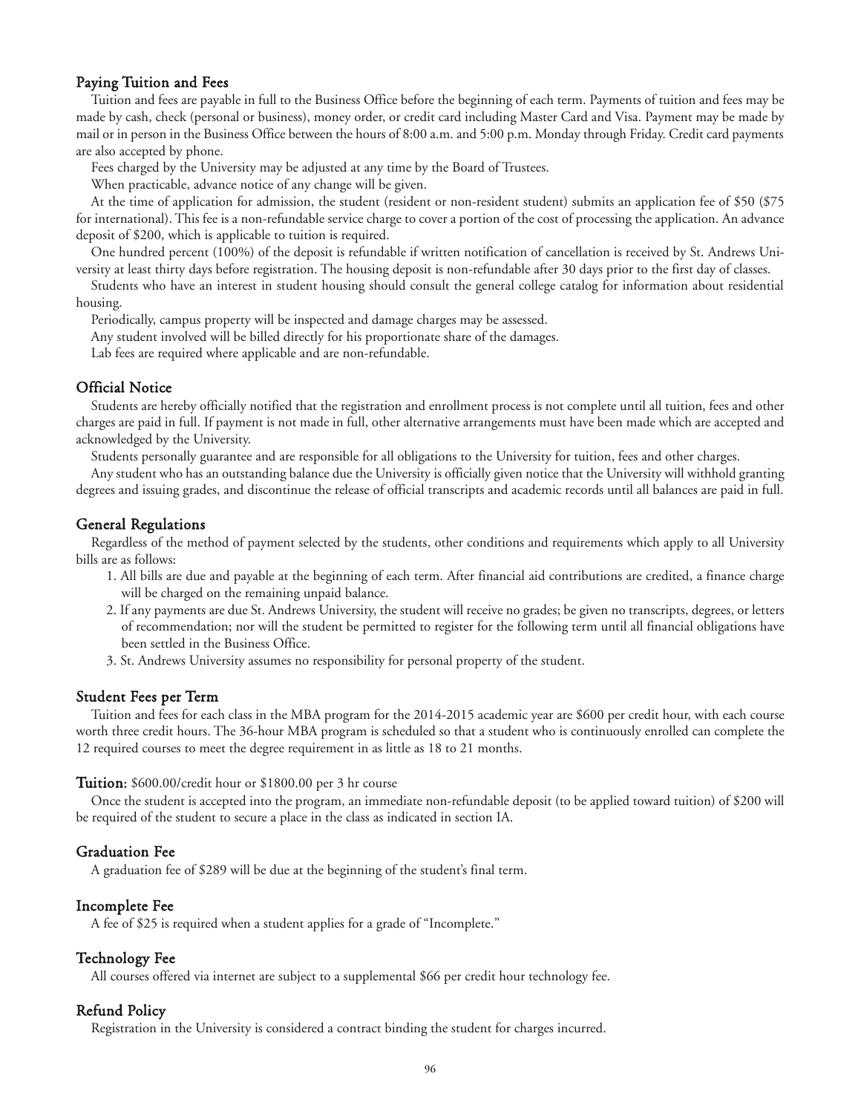#### Paying Tuition and Fees

Tuition and fees are payable in full to the Business Office before the beginning of each term. Payments of tuition and fees may be made by cash, check (personal or business), money order, or credit card including Master Card and Visa. Payment may be made by mail or in person in the Business Office between the hours of 8:00 a.m. and 5:00 p.m. Monday through Friday. Credit card payments are also accepted by phone.

Fees charged by the University may be adjusted at any time by the Board of Trustees.

When practicable, advance notice of any change will be given.

At the time of application for admission, the student (resident or non-resident student) submits an application fee of \$50 (\$75 for international). This fee is a non-refundable service charge to cover a portion of the cost of processing the application. An advance deposit of \$200, which is applicable to tuition is required.

One hundred percent (100%) of the deposit is refundable if written notification of cancellation is received by St. Andrews University at least thirty days before registration. The housing deposit is non-refundable after 30 days prior to the first day of classes.

Students who have an interest in student housing should consult the general college catalog for information about residential housing.

Periodically, campus property will be inspected and damage charges may be assessed.

Any student involved will be billed directly for his proportionate share of the damages.

Lab fees are required where applicable and are non-refundable.

#### Official Notice

Students are hereby officially notified that the registration and enrollment process is not complete until all tuition, fees and other charges are paid in full. If payment is not made in full, other alternative arrangements must have been made which are accepted and acknowledged by the University.

Students personally guarantee and are responsible for all obligations to the University for tuition, fees and other charges.

Any student who has an outstanding balance due the University is officially given notice that the University will withhold granting degrees and issuing grades, and discontinue the release of official transcripts and academic records until all balances are paid in full.

#### General Regulations

Regardless of the method of payment selected by the students, other conditions and requirements which apply to all University bills are as follows:

- 1. All bills are due and payable at the beginning of each term. After financial aid contributions are credited, a finance charge will be charged on the remaining unpaid balance.
- 2. If any payments are due St. Andrews University, the student will receive no grades; be given no transcripts, degrees, or letters of recommendation; nor will the student be permitted to register for the following term until all financial obligations have been settled in the Business Office.
- 3. St. Andrews University assumes no responsibility for personal property of the student.

#### Student Fees per Term

Tuition and fees for each class in the MBA program for the 2014-2015 academic year are \$600 per credit hour, with each course worth three credit hours. The 36-hour MBA program is scheduled so that a student who is continuously enrolled can complete the 12 required courses to meet the degree requirement in as little as 18 to 21 months.

#### Tuition: \$600.00/credit hour or \$1800.00 per 3 hr course

Once the student is accepted into the program, an immediate non-refundable deposit (to be applied toward tuition) of \$200 will be required of the student to secure a place in the class as indicated in section IA.

#### Graduation Fee

A graduation fee of \$289 will be due at the beginning of the student's final term.

#### Incomplete Fee

A fee of \$25 is required when a student applies for a grade of "Incomplete."

#### Technology Fee

All courses offered via internet are subject to a supplemental \$66 per credit hour technology fee.

#### Refund Policy

Registration in the University is considered a contract binding the student for charges incurred.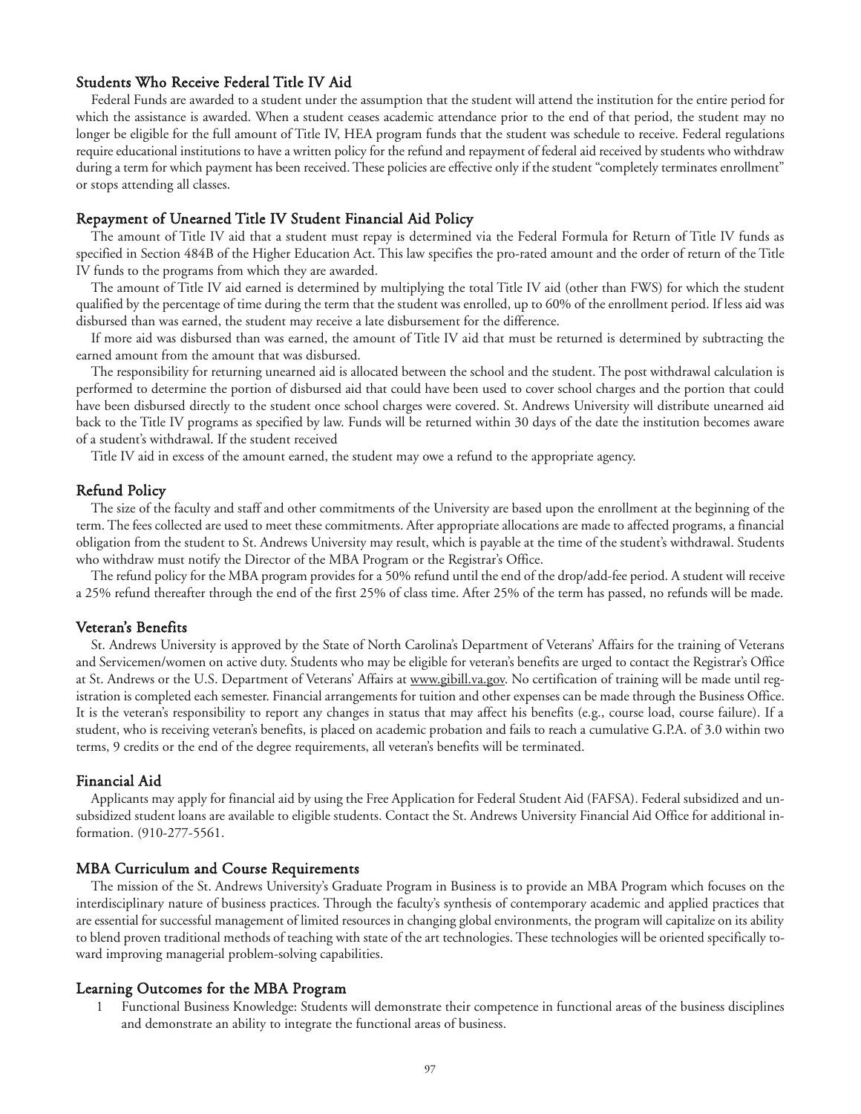#### Students Who Receive Federal Title IV Aid

Federal Funds are awarded to a student under the assumption that the student will attend the institution for the entire period for which the assistance is awarded. When a student ceases academic attendance prior to the end of that period, the student may no longer be eligible for the full amount of Title IV, HEA program funds that the student was schedule to receive. Federal regulations require educational institutions to have a written policy for the refund and repayment of federal aid received by students who withdraw during a term for which payment has been received. These policies are effective only if the student "completely terminates enrollment" or stops attending all classes.

#### Repayment of Unearned Title IV Student Financial Aid Policy

The amount of Title IV aid that a student must repay is determined via the Federal Formula for Return of Title IV funds as specified in Section 484B of the Higher Education Act. This law specifies the pro-rated amount and the order of return of the Title IV funds to the programs from which they are awarded.

The amount of Title IV aid earned is determined by multiplying the total Title IV aid (other than FWS) for which the student qualified by the percentage of time during the term that the student was enrolled, up to 60% of the enrollment period. If less aid was disbursed than was earned, the student may receive a late disbursement for the difference.

If more aid was disbursed than was earned, the amount of Title IV aid that must be returned is determined by subtracting the earned amount from the amount that was disbursed.

The responsibility for returning unearned aid is allocated between the school and the student. The post withdrawal calculation is performed to determine the portion of disbursed aid that could have been used to cover school charges and the portion that could have been disbursed directly to the student once school charges were covered. St. Andrews University will distribute unearned aid back to the Title IV programs as specified by law. Funds will be returned within 30 days of the date the institution becomes aware of a student's withdrawal. If the student received

Title IV aid in excess of the amount earned, the student may owe a refund to the appropriate agency.

#### Refund Policy

The size of the faculty and staff and other commitments of the University are based upon the enrollment at the beginning of the term. The fees collected are used to meet these commitments. After appropriate allocations are made to affected programs, a financial obligation from the student to St. Andrews University may result, which is payable at the time of the student's withdrawal. Students who withdraw must notify the Director of the MBA Program or the Registrar's Office.

The refund policy for the MBA program provides for a 50% refund until the end of the drop/add-fee period. A student will receive a 25% refund thereafter through the end of the first 25% of class time. After 25% of the term has passed, no refunds will be made.

#### Veteran's Benefits

St. Andrews University is approved by the State of North Carolina's Department of Veterans' Affairs for the training of Veterans and Servicemen/women on active duty. Students who may be eligible for veteran's benefits are urged to contact the Registrar's Office at St. Andrews or the U.S. Department of Veterans' Affairs at www.gibill.va.gov. No certification of training will be made until registration is completed each semester. Financial arrangements for tuition and other expenses can be made through the Business Office. It is the veteran's responsibility to report any changes in status that may affect his benefits (e.g., course load, course failure). If a student, who is receiving veteran's benefits, is placed on academic probation and fails to reach a cumulative G.P.A. of 3.0 within two terms, 9 credits or the end of the degree requirements, all veteran's benefits will be terminated.

#### Financial Aid

Applicants may apply for financial aid by using the Free Application for Federal Student Aid (FAFSA). Federal subsidized and unsubsidized student loans are available to eligible students. Contact the St. Andrews University Financial Aid Office for additional information. (910-277-5561.

#### MBA Curriculum and Course Requirements

The mission of the St. Andrews University's Graduate Program in Business is to provide an MBA Program which focuses on the interdisciplinary nature of business practices. Through the faculty's synthesis of contemporary academic and applied practices that are essential for successful management of limited resources in changing global environments, the program will capitalize on its ability to blend proven traditional methods of teaching with state of the art technologies. These technologies will be oriented specifically toward improving managerial problem-solving capabilities.

#### Learning Outcomes for the MBA Program

1 Functional Business Knowledge: Students will demonstrate their competence in functional areas of the business disciplines and demonstrate an ability to integrate the functional areas of business.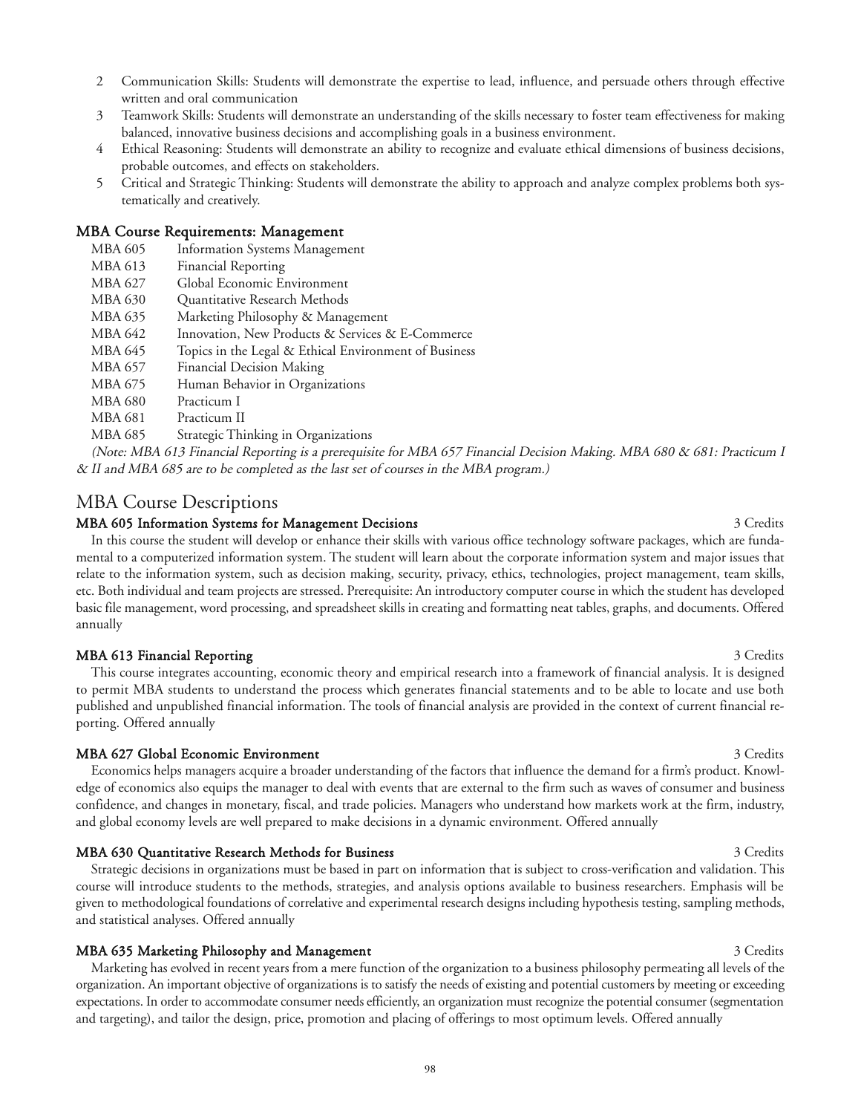- 2 Communication Skills: Students will demonstrate the expertise to lead, influence, and persuade others through effective written and oral communication
- 3 Teamwork Skills: Students will demonstrate an understanding of the skills necessary to foster team effectiveness for making balanced, innovative business decisions and accomplishing goals in a business environment.
- 4 Ethical Reasoning: Students will demonstrate an ability to recognize and evaluate ethical dimensions of business decisions, probable outcomes, and effects on stakeholders.
- 5 Critical and Strategic Thinking: Students will demonstrate the ability to approach and analyze complex problems both systematically and creatively.

#### MBA Course Requirements: Management

- MBA 605 Information Systems Management
- MBA 613 Financial Reporting
- MBA 627 Global Economic Environment
- MBA 630 Quantitative Research Methods
- MBA 635 Marketing Philosophy & Management
- MBA 642 Innovation, New Products & Services & E-Commerce
- MBA 645 Topics in the Legal & Ethical Environment of Business
- MBA 657 Financial Decision Making
- MBA 675 Human Behavior in Organizations
- MBA 680 Practicum I
- MBA 681 Practicum II
- MBA 685 Strategic Thinking in Organizations

(Note: MBA 613 Financial Reporting is a prerequisite for MBA 657 Financial Decision Making. MBA 680 & 681: Practicum I & II and MBA 685 are to be completed as the last set of courses in the MBA program.)

# MBA Course Descriptions

#### MBA 605 Information Systems for Management Decisions 3 Credits 3 Credits 3 Credits

In this course the student will develop or enhance their skills with various office technology software packages, which are fundamental to a computerized information system. The student will learn about the corporate information system and major issues that relate to the information system, such as decision making, security, privacy, ethics, technologies, project management, team skills, etc. Both individual and team projects are stressed. Prerequisite: An introductory computer course in which the student has developed basic file management, word processing, and spreadsheet skills in creating and formatting neat tables, graphs, and documents. Offered annually

#### MBA 613 Financial Reporting 3 Credits 3 Credits

This course integrates accounting, economic theory and empirical research into a framework of financial analysis. It is designed to permit MBA students to understand the process which generates financial statements and to be able to locate and use both published and unpublished financial information. The tools of financial analysis are provided in the context of current financial reporting. Offered annually

#### MBA 627 Global Economic Environment 3 Credits 3 Credits

Economics helps managers acquire a broader understanding of the factors that influence the demand for a firm's product. Knowledge of economics also equips the manager to deal with events that are external to the firm such as waves of consumer and business confidence, and changes in monetary, fiscal, and trade policies. Managers who understand how markets work at the firm, industry, and global economy levels are well prepared to make decisions in a dynamic environment. Offered annually

#### MBA 630 Quantitative Research Methods for Business 3 Credits 3 Credits 3 Credits

Strategic decisions in organizations must be based in part on information that is subject to cross-verification and validation. This course will introduce students to the methods, strategies, and analysis options available to business researchers. Emphasis will be given to methodological foundations of correlative and experimental research designs including hypothesis testing, sampling methods, and statistical analyses. Offered annually

#### MBA 635 Marketing Philosophy and Management 3 Credits 3 Credits

Marketing has evolved in recent years from a mere function of the organization to a business philosophy permeating all levels of the organization. An important objective of organizations is to satisfy the needs of existing and potential customers by meeting or exceeding expectations. In order to accommodate consumer needs efficiently, an organization must recognize the potential consumer (segmentation and targeting), and tailor the design, price, promotion and placing of offerings to most optimum levels. Offered annually

98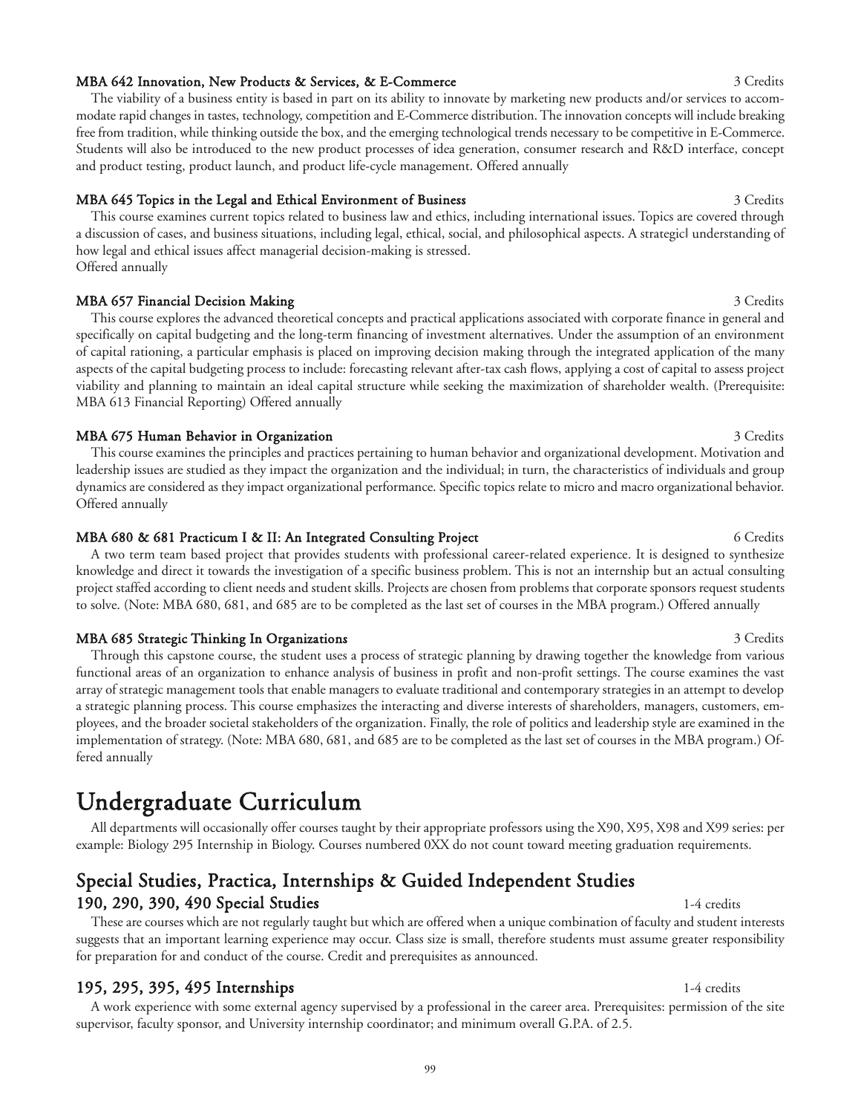#### MBA 642 Innovation, New Products & Services, & E-Commerce 3 Credits 3 Credits

The viability of a business entity is based in part on its ability to innovate by marketing new products and/or services to accommodate rapid changes in tastes, technology, competition and E-Commerce distribution. The innovation concepts will include breaking free from tradition, while thinking outside the box, and the emerging technological trends necessary to be competitive in E-Commerce. Students will also be introduced to the new product processes of idea generation, consumer research and R&D interface, concept and product testing, product launch, and product life-cycle management. Offered annually

# MBA 645 Topics in the Legal and Ethical Environment of Business 3 Credits 3 Credits

This course examines current topics related to business law and ethics, including international issues. Topics are covered through a discussion of cases, and business situations, including legal, ethical, social, and philosophical aspects. A strategic understanding of how legal and ethical issues affect managerial decision-making is stressed. Offered annually

# MBA 657 Financial Decision Making 3 Credits 3 Credits 3 Credits 3 Credits 3 Credits 3 Credits 3 Credits 3 Credits 3 Credits 3 Credits 3 Credits 3 Credits 3 Credits 3 Credits 3 Credits 3 Credits 3 Credits 3 Credits 3 Credit

This course explores the advanced theoretical concepts and practical applications associated with corporate finance in general and specifically on capital budgeting and the long-term financing of investment alternatives. Under the assumption of an environment of capital rationing, a particular emphasis is placed on improving decision making through the integrated application of the many aspects of the capital budgeting process to include: forecasting relevant after-tax cash flows, applying a cost of capital to assess project viability and planning to maintain an ideal capital structure while seeking the maximization of shareholder wealth. (Prerequisite: MBA 613 Financial Reporting) Offered annually

# MBA 675 Human Behavior in Organization 3 Credits 3 Credits

This course examines the principles and practices pertaining to human behavior and organizational development. Motivation and leadership issues are studied as they impact the organization and the individual; in turn, the characteristics of individuals and group dynamics are considered as they impact organizational performance. Specific topics relate to micro and macro organizational behavior. Offered annually

# MBA 680 & 681 Practicum I & II: An Integrated Consulting Project 6 Credits 6 Credits

A two term team based project that provides students with professional career-related experience. It is designed to synthesize knowledge and direct it towards the investigation of a specific business problem. This is not an internship but an actual consulting project staffed according to client needs and student skills. Projects are chosen from problems that corporate sponsors request students to solve. (Note: MBA 680, 681, and 685 are to be completed as the last set of courses in the MBA program.) Offered annually

# MBA 685 Strategic Thinking In Organizations 3 Credits 3 Credits

Through this capstone course, the student uses a process of strategic planning by drawing together the knowledge from various functional areas of an organization to enhance analysis of business in profit and non-profit settings. The course examines the vast array of strategic management tools that enable managers to evaluate traditional and contemporary strategies in an attempt to develop a strategic planning process. This course emphasizes the interacting and diverse interests of shareholders, managers, customers, employees, and the broader societal stakeholders of the organization. Finally, the role of politics and leadership style are examined in the implementation of strategy. (Note: MBA 680, 681, and 685 are to be completed as the last set of courses in the MBA program.) Offered annually

# Undergraduate Curriculum

All departments will occasionally offer courses taught by their appropriate professors using the X90, X95, X98 and X99 series: per example: Biology 295 Internship in Biology. Courses numbered 0XX do not count toward meeting graduation requirements.

# Special Studies, Practica, Internships & Guided Independent Studies 190, 290, 390, 490 Special Studies 1-4 credits

These are courses which are not regularly taught but which are offered when a unique combination of faculty and student interests suggests that an important learning experience may occur. Class size is small, therefore students must assume greater responsibility for preparation for and conduct of the course. Credit and prerequisites as announced.

# **195, 295, 395, 495 Internships** 11-4 credits 11-4 credits

A work experience with some external agency supervised by a professional in the career area. Prerequisites: permission of the site supervisor, faculty sponsor, and University internship coordinator; and minimum overall G.P.A. of 2.5.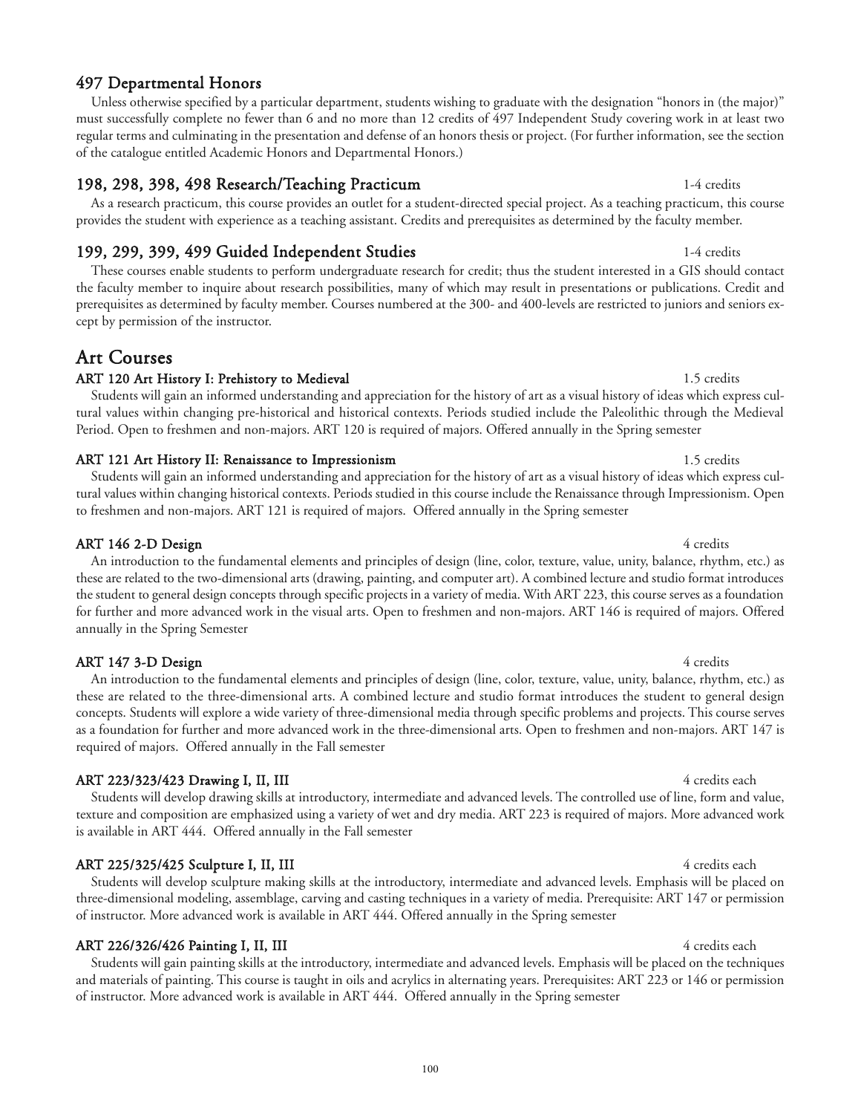# 497 Departmental Honors

Unless otherwise specified by a particular department, students wishing to graduate with the designation "honors in (the major)" must successfully complete no fewer than 6 and no more than 12 credits of 497 Independent Study covering work in at least two regular terms and culminating in the presentation and defense of an honors thesis or project. (For further information, see the section of the catalogue entitled Academic Honors and Departmental Honors.)

## 198, 298, 398, 498 Research/Teaching Practicum 1-4 credits 1-4 credits

As a research practicum, this course provides an outlet for a student-directed special project. As a teaching practicum, this course provides the student with experience as a teaching assistant. Credits and prerequisites as determined by the faculty member.

# 199, 299, 399, 499 Guided Independent Studies 199, 2008 1-4 credits

These courses enable students to perform undergraduate research for credit; thus the student interested in a GIS should contact the faculty member to inquire about research possibilities, many of which may result in presentations or publications. Credit and prerequisites as determined by faculty member. Courses numbered at the 300- and 400-levels are restricted to juniors and seniors except by permission of the instructor.

# Art Courses

## ART 120 Art History I: Prehistory to Medieval 1.5 credits 1.5 credits

Students will gain an informed understanding and appreciation for the history of art as a visual history of ideas which express cultural values within changing pre-historical and historical contexts. Periods studied include the Paleolithic through the Medieval Period. Open to freshmen and non-majors. ART 120 is required of majors. Offered annually in the Spring semester

### ART 121 Art History II: Renaissance to Impressionism 1.5 credits 1.5 credits

Students will gain an informed understanding and appreciation for the history of art as a visual history of ideas which express cultural values within changing historical contexts. Periods studied in this course include the Renaissance through Impressionism. Open to freshmen and non-majors. ART 121 is required of majors. Offered annually in the Spring semester

### ART 146 2-D Design 4 credits

An introduction to the fundamental elements and principles of design (line, color, texture, value, unity, balance, rhythm, etc.) as these are related to the two-dimensional arts (drawing, painting, and computer art). A combined lecture and studio format introduces the student to general design concepts through specific projects in a variety of media. With ART 223, this course serves as a foundation for further and more advanced work in the visual arts. Open to freshmen and non-majors. ART 146 is required of majors. Offered annually in the Spring Semester

### ART 147 3-D Design 4 credits

An introduction to the fundamental elements and principles of design (line, color, texture, value, unity, balance, rhythm, etc.) as these are related to the three-dimensional arts. A combined lecture and studio format introduces the student to general design concepts. Students will explore a wide variety of three-dimensional media through specific problems and projects. This course serves as a foundation for further and more advanced work in the three-dimensional arts. Open to freshmen and non-majors. ART 147 is required of majors. Offered annually in the Fall semester

### ART 223/323/423 Drawing I, II, III 11 12 12 12 13 13 14 14 14 14 15 16 17 18 19 19 19 19 19 19 19 19 19 19 19 1

Students will develop drawing skills at introductory, intermediate and advanced levels. The controlled use of line, form and value, texture and composition are emphasized using a variety of wet and dry media. ART 223 is required of majors. More advanced work is available in ART 444. Offered annually in the Fall semester

### ART 225/325/425 Sculpture I, II, III 4 credits each and the set of the set of the set of the set of the set of the set of the set of the set of the set of the set of the set of the set of the set of the set of the set of t

Students will develop sculpture making skills at the introductory, intermediate and advanced levels. Emphasis will be placed on three-dimensional modeling, assemblage, carving and casting techniques in a variety of media. Prerequisite: ART 147 or permission of instructor. More advanced work is available in ART 444. Offered annually in the Spring semester

### ART 226/326/426 Painting I, II, III 11 12 12:00 12:00 12:00 12:00 12:00 12:00 12:00 12:00 12:00 12:00 12:00 12:00 12:00 12:00 12:00 12:00 12:00 12:00 12:00 12:00 12:00 12:00 12:00 12:00 12:00 12:00 12:00 12:00 12:00 12:00

Students will gain painting skills at the introductory, intermediate and advanced levels. Emphasis will be placed on the techniques and materials of painting. This course is taught in oils and acrylics in alternating years. Prerequisites: ART 223 or 146 or permission of instructor. More advanced work is available in ART 444. Offered annually in the Spring semester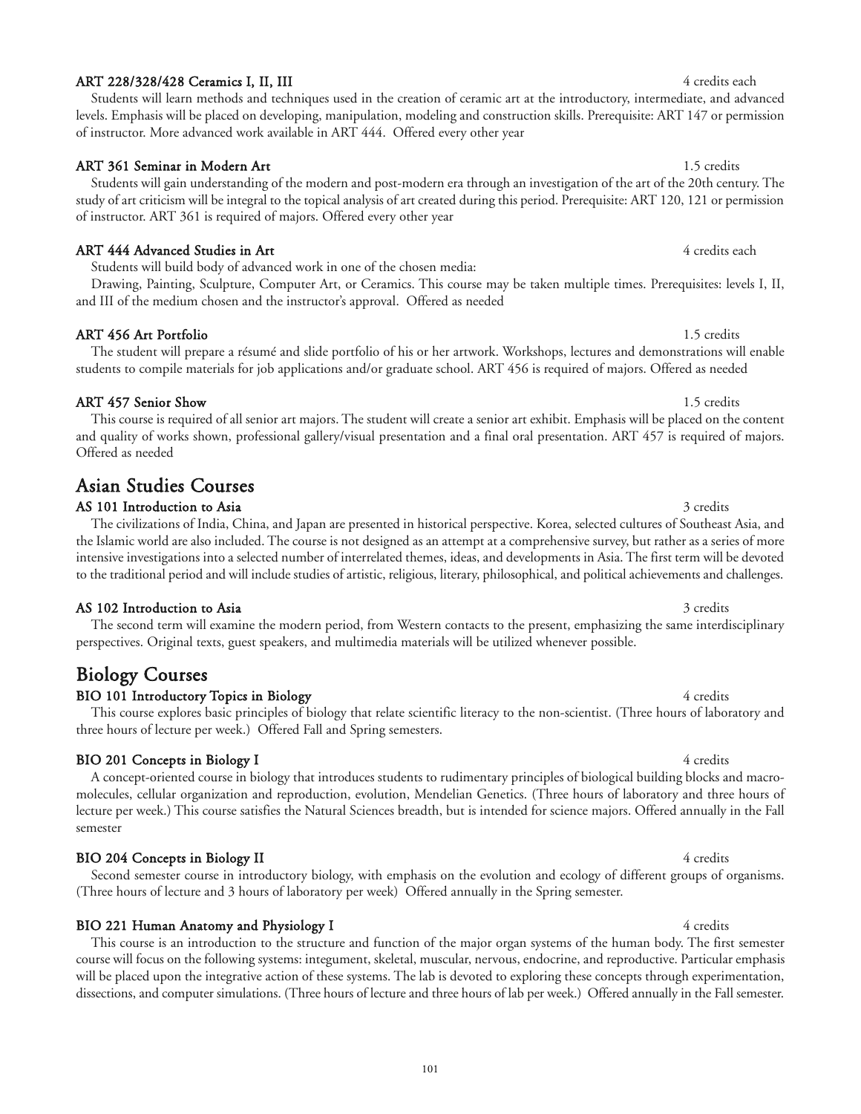#### 101

## ART 228/328/428 Ceramics I, II, III 4 credits each and the set of the set of the set of the set of the set of the set of the set of the set of the set of the set of the set of the set of the set of the set of the set of th

Students will learn methods and techniques used in the creation of ceramic art at the introductory, intermediate, and advanced levels. Emphasis will be placed on developing, manipulation, modeling and construction skills. Prerequisite: ART 147 or permission of instructor. More advanced work available in ART 444. Offered every other year

# ART 361 Seminar in Modern Art 1.5 credits

Students will gain understanding of the modern and post-modern era through an investigation of the art of the 20th century. The study of art criticism will be integral to the topical analysis of art created during this period. Prerequisite: ART 120, 121 or permission of instructor. ART 361 is required of majors. Offered every other year

# ART 444 Advanced Studies in Art 4 credits each and the studies of the studies of the studies of the studies of the studies of the studies of the studies of the studies of the studies of the studies of the studies of the st

Students will build body of advanced work in one of the chosen media:

Drawing, Painting, Sculpture, Computer Art, or Ceramics. This course may be taken multiple times. Prerequisites: levels I, II, and III of the medium chosen and the instructor's approval. Offered as needed

# ART 456 Art Portfolio 1.5 credits 1.5 credits 1.5 credits 1.5 credits 1.5 credits 1.5 credits 1.5 credits 1.5 credits 1.5 credits 1.5 credits 1.5 credits 1.5 credits 1.5 credits 1.5 credits 1.5 credits 1.5 credits 1.5 cred

The student will prepare a résumé and slide portfolio of his or her artwork. Workshops, lectures and demonstrations will enable students to compile materials for job applications and/or graduate school. ART 456 is required of majors. Offered as needed

# ART 457 Senior Show 1.5 credits

This course is required of all senior art majors. The student will create a senior art exhibit. Emphasis will be placed on the content and quality of works shown, professional gallery/visual presentation and a final oral presentation. ART 457 is required of majors. Offered as needed

# Asian Studies Courses

### AS 101 Introduction to Asia and the set of the set of the set of the set of the set of the set of the set of the set of the set of the set of the set of the set of the set of the set of the set of the set of the set of the

The civilizations of India, China, and Japan are presented in historical perspective. Korea, selected cultures of Southeast Asia, and the Islamic world are also included. The course is not designed as an attempt at a comprehensive survey, but rather as a series of more intensive investigations into a selected number of interrelated themes, ideas, and developments in Asia. The first term will be devoted to the traditional period and will include studies of artistic, religious, literary, philosophical, and political achievements and challenges.

### AS 102 Introduction to Asia and the Second Second Seconds of Asia 3 credits and 3 credits of  $\beta$  and  $\beta$  credits

The second term will examine the modern period, from Western contacts to the present, emphasizing the same interdisciplinary perspectives. Original texts, guest speakers, and multimedia materials will be utilized whenever possible.

# Biology Courses

# BIO 101 Introductory Topics in Biology 4 credits 4 credits 4 credits

This course explores basic principles of biology that relate scientific literacy to the non-scientist. (Three hours of laboratory and three hours of lecture per week.) Offered Fall and Spring semesters.

### BIO 201 Concepts in Biology I 4 credits

A concept-oriented course in biology that introduces students to rudimentary principles of biological building blocks and macromolecules, cellular organization and reproduction, evolution, Mendelian Genetics. (Three hours of laboratory and three hours of lecture per week.) This course satisfies the Natural Sciences breadth, but is intended for science majors. Offered annually in the Fall semester

# BIO 204 Concepts in Biology II 4 credits

Second semester course in introductory biology, with emphasis on the evolution and ecology of different groups of organisms. (Three hours of lecture and 3 hours of laboratory per week) Offered annually in the Spring semester.

# BIO 221 Human Anatomy and Physiology I 4 credits 4 credits

This course is an introduction to the structure and function of the major organ systems of the human body. The first semester course will focus on the following systems: integument, skeletal, muscular, nervous, endocrine, and reproductive. Particular emphasis will be placed upon the integrative action of these systems. The lab is devoted to exploring these concepts through experimentation, dissections, and computer simulations. (Three hours of lecture and three hours of lab per week.) Offered annually in the Fall semester.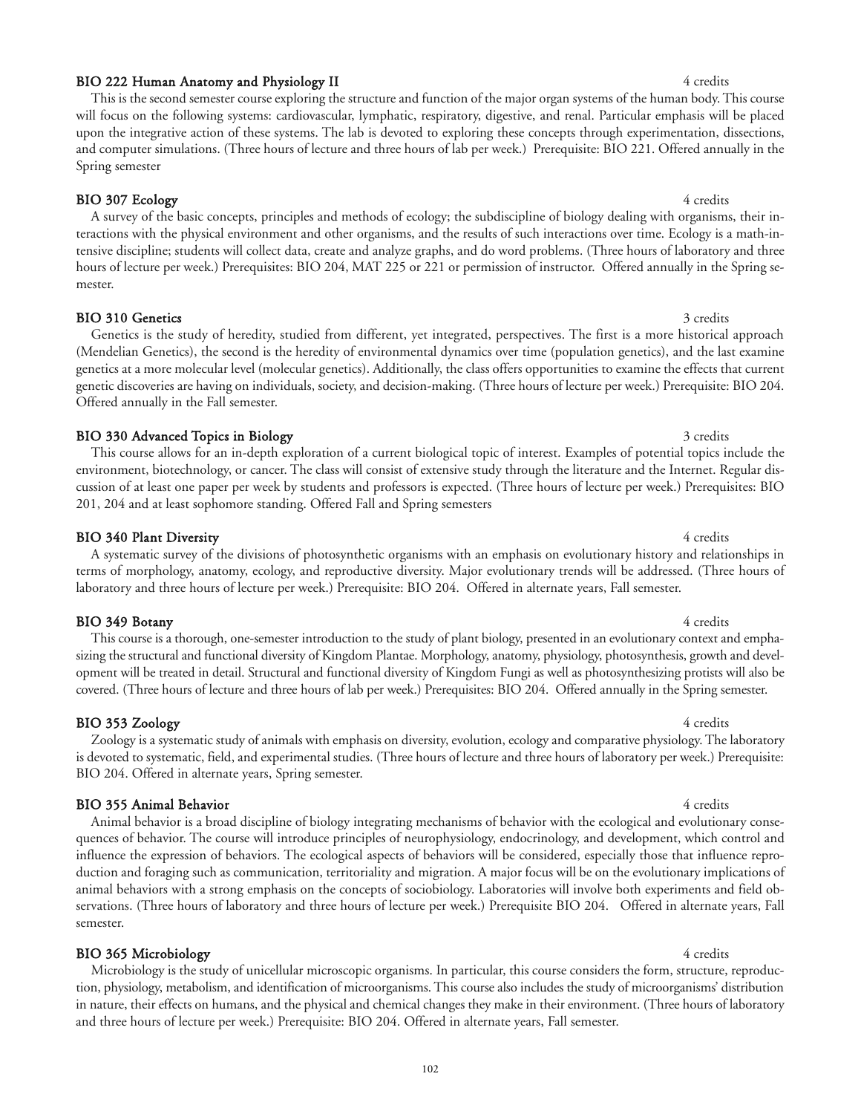#### 102

#### BIO 222 Human Anatomy and Physiology II 4 credits 4 credits

#### This is the second semester course exploring the structure and function of the major organ systems of the human body. This course will focus on the following systems: cardiovascular, lymphatic, respiratory, digestive, and renal. Particular emphasis will be placed upon the integrative action of these systems. The lab is devoted to exploring these concepts through experimentation, dissections, and computer simulations. (Three hours of lecture and three hours of lab per week.) Prerequisite: BIO 221. Offered annually in the Spring semester

BIO 307 Ecology 4 credits A survey of the basic concepts, principles and methods of ecology; the subdiscipline of biology dealing with organisms, their interactions with the physical environment and other organisms, and the results of such interactions over time. Ecology is a math-intensive discipline; students will collect data, create and analyze graphs, and do word problems. (Three hours of laboratory and three hours of lecture per week.) Prerequisites: BIO 204, MAT 225 or 221 or permission of instructor. Offered annually in the Spring semester.

#### BIO 310 Genetics 3 credits 3 credits

#### Genetics is the study of heredity, studied from different, yet integrated, perspectives. The first is a more historical approach (Mendelian Genetics), the second is the heredity of environmental dynamics over time (population genetics), and the last examine genetics at a more molecular level (molecular genetics). Additionally, the class offers opportunities to examine the effects that current genetic discoveries are having on individuals, society, and decision-making. (Three hours of lecture per week.) Prerequisite: BIO 204. Offered annually in the Fall semester.

#### BIO 330 Advanced Topics in Biology 3 credits 3 credits 3 credits

This course allows for an in-depth exploration of a current biological topic of interest. Examples of potential topics include the environment, biotechnology, or cancer. The class will consist of extensive study through the literature and the Internet. Regular discussion of at least one paper per week by students and professors is expected. (Three hours of lecture per week.) Prerequisites: BIO 201, 204 and at least sophomore standing. Offered Fall and Spring semesters

#### BIO 340 Plant Diversity 4 credits

#### A systematic survey of the divisions of photosynthetic organisms with an emphasis on evolutionary history and relationships in terms of morphology, anatomy, ecology, and reproductive diversity. Major evolutionary trends will be addressed. (Three hours of laboratory and three hours of lecture per week.) Prerequisite: BIO 204. Offered in alternate years, Fall semester.

BIO 349 Botany 4 credits This course is a thorough, one-semester introduction to the study of plant biology, presented in an evolutionary context and emphasizing the structural and functional diversity of Kingdom Plantae. Morphology, anatomy, physiology, photosynthesis, growth and development will be treated in detail. Structural and functional diversity of Kingdom Fungi as well as photosynthesizing protists will also be covered. (Three hours of lecture and three hours of lab per week.) Prerequisites: BIO 204. Offered annually in the Spring semester.

#### BIO 353 Zoology 4 credits

#### Zoology is a systematic study of animals with emphasis on diversity, evolution, ecology and comparative physiology. The laboratory is devoted to systematic, field, and experimental studies. (Three hours of lecture and three hours of laboratory per week.) Prerequisite: BIO 204. Offered in alternate years, Spring semester.

#### BIO 355 Animal Behavior 4 credits

Animal behavior is a broad discipline of biology integrating mechanisms of behavior with the ecological and evolutionary consequences of behavior. The course will introduce principles of neurophysiology, endocrinology, and development, which control and influence the expression of behaviors. The ecological aspects of behaviors will be considered, especially those that influence reproduction and foraging such as communication, territoriality and migration. A major focus will be on the evolutionary implications of animal behaviors with a strong emphasis on the concepts of sociobiology. Laboratories will involve both experiments and field observations. (Three hours of laboratory and three hours of lecture per week.) Prerequisite BIO 204. Offered in alternate years, Fall semester.

#### BIO 365 Microbiology 4 credits

Microbiology is the study of unicellular microscopic organisms. In particular, this course considers the form, structure, reproduction, physiology, metabolism, and identification of microorganisms. This course also includes the study of microorganisms' distribution in nature, their effects on humans, and the physical and chemical changes they make in their environment. (Three hours of laboratory and three hours of lecture per week.) Prerequisite: BIO 204. Offered in alternate years, Fall semester.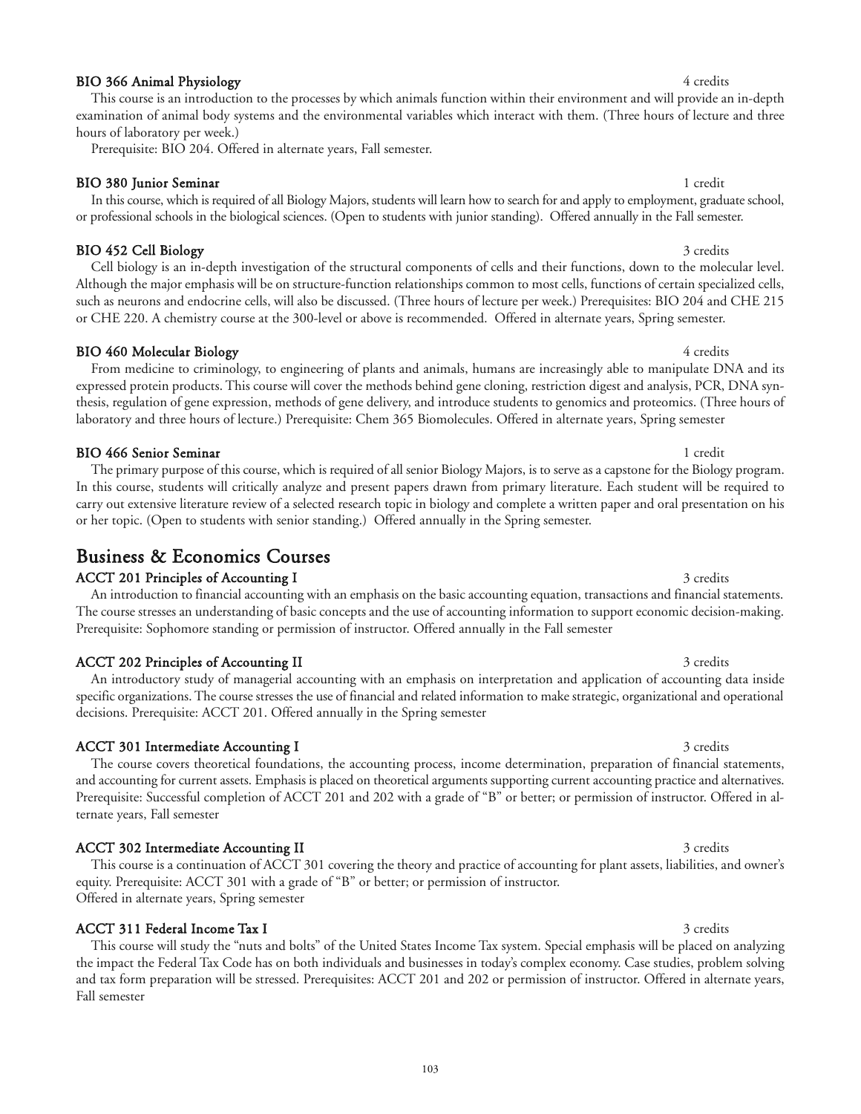### BIO 366 Animal Physiology 4 credits 4 credits

This course is an introduction to the processes by which animals function within their environment and will provide an in-depth examination of animal body systems and the environmental variables which interact with them. (Three hours of lecture and three hours of laboratory per week.)

Prerequisite: BIO 204. Offered in alternate years, Fall semester.

BIO 380 Junior Seminar 1 credit 1 credit 1 credit 1 credit 1 credit 1 credit 1 credit

In this course, which is required of all Biology Majors, students will learn how to search for and apply to employment, graduate school, or professional schools in the biological sciences. (Open to students with junior standing). Offered annually in the Fall semester.

### BIO 452 Cell Biology 3 credits

Cell biology is an in-depth investigation of the structural components of cells and their functions, down to the molecular level. Although the major emphasis will be on structure-function relationships common to most cells, functions of certain specialized cells, such as neurons and endocrine cells, will also be discussed. (Three hours of lecture per week.) Prerequisites: BIO 204 and CHE 215 or CHE 220. A chemistry course at the 300-level or above is recommended. Offered in alternate years, Spring semester.

From medicine to criminology, to engineering of plants and animals, humans are increasingly able to manipulate DNA and its expressed protein products. This course will cover the methods behind gene cloning, restriction digest and analysis, PCR, DNA syn-

### BIO 460 Molecular Biology 4 credits

#### thesis, regulation of gene expression, methods of gene delivery, and introduce students to genomics and proteomics. (Three hours of laboratory and three hours of lecture.) Prerequisite: Chem 365 Biomolecules. Offered in alternate years, Spring semester

BIO 466 Senior Seminar 1 credit 1 credit 1 credit 1 credit 1 credit 1 credit 1 credit The primary purpose of this course, which is required of all senior Biology Majors, is to serve as a capstone for the Biology program. In this course, students will critically analyze and present papers drawn from primary literature. Each student will be required to carry out extensive literature review of a selected research topic in biology and complete a written paper and oral presentation on his

or her topic. (Open to students with senior standing.) Offered annually in the Spring semester.

## Business & Economics Courses

### ACCT 201 Principles of Accounting I 3 credits

An introduction to financial accounting with an emphasis on the basic accounting equation, transactions and financial statements. The course stresses an understanding of basic concepts and the use of accounting information to support economic decision-making. Prerequisite: Sophomore standing or permission of instructor. Offered annually in the Fall semester

### ACCT 202 Principles of Accounting II 3 credits 3 credits

An introductory study of managerial accounting with an emphasis on interpretation and application of accounting data inside specific organizations. The course stresses the use of financial and related information to make strategic, organizational and operational decisions. Prerequisite: ACCT 201. Offered annually in the Spring semester

### ACCT 301 Intermediate Accounting I 3 credits 3 and 3 credits

The course covers theoretical foundations, the accounting process, income determination, preparation of financial statements, and accounting for current assets. Emphasis is placed on theoretical arguments supporting current accounting practice and alternatives. Prerequisite: Successful completion of ACCT 201 and 202 with a grade of "B" or better; or permission of instructor. Offered in alternate years, Fall semester

### ACCT 302 Intermediate Accounting II 3 credits

This course is a continuation of ACCT 301 covering the theory and practice of accounting for plant assets, liabilities, and owner's equity. Prerequisite: ACCT 301 with a grade of "B" or better; or permission of instructor. Offered in alternate years, Spring semester

### ACCT 311 Federal Income Tax I 3 credits

This course will study the "nuts and bolts" of the United States Income Tax system. Special emphasis will be placed on analyzing the impact the Federal Tax Code has on both individuals and businesses in today's complex economy. Case studies, problem solving and tax form preparation will be stressed. Prerequisites: ACCT 201 and 202 or permission of instructor. Offered in alternate years, Fall semester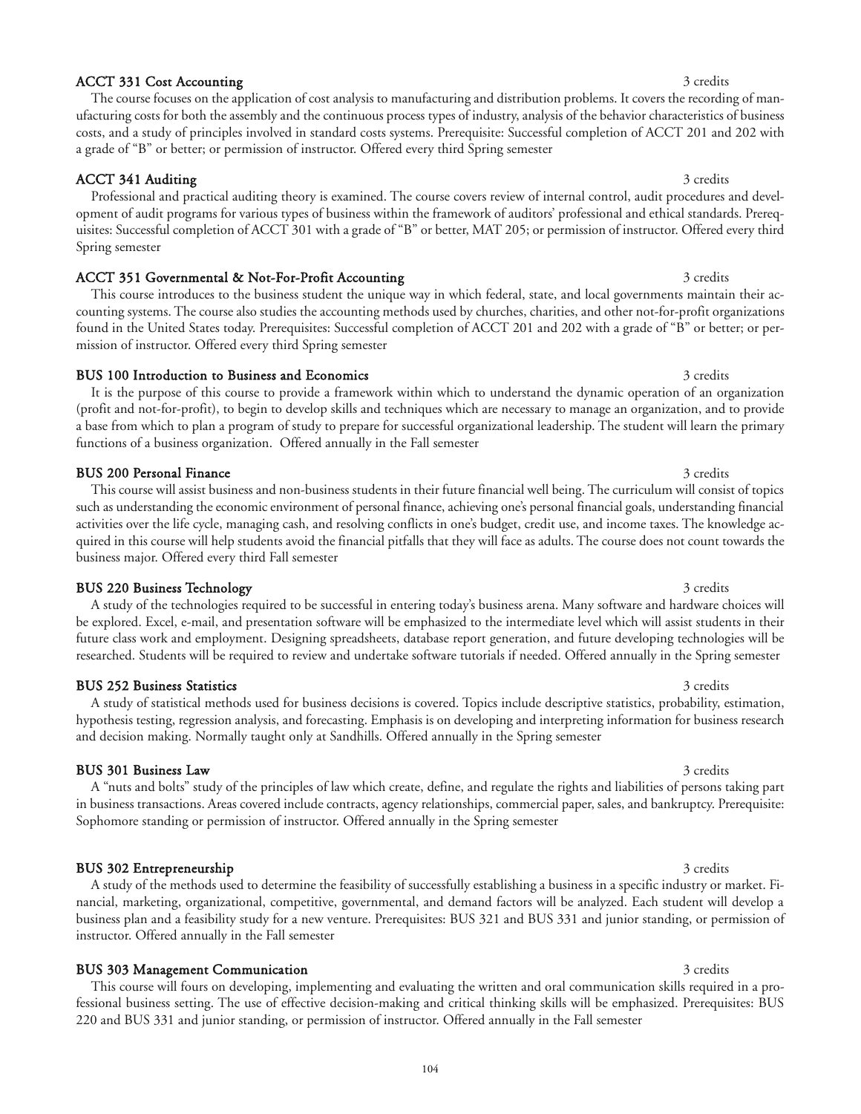### ACCT 331 Cost Accounting 3 credits 3 credits

### ACCT 341 Auditing 3 credits 3 credits

Professional and practical auditing theory is examined. The course covers review of internal control, audit procedures and development of audit programs for various types of business within the framework of auditors' professional and ethical standards. Prerequisites: Successful completion of ACCT 301 with a grade of "B" or better, MAT 205; or permission of instructor. Offered every third Spring semester

The course focuses on the application of cost analysis to manufacturing and distribution problems. It covers the recording of manufacturing costs for both the assembly and the continuous process types of industry, analysis of the behavior characteristics of business costs, and a study of principles involved in standard costs systems. Prerequisite: Successful completion of ACCT 201 and 202 with

### ACCT 351 Governmental & Not-For-Profit Accounting 3 credits 3 credits

a grade of "B" or better; or permission of instructor. Offered every third Spring semester

This course introduces to the business student the unique way in which federal, state, and local governments maintain their accounting systems. The course also studies the accounting methods used by churches, charities, and other not-for-profit organizations found in the United States today. Prerequisites: Successful completion of ACCT 201 and 202 with a grade of "B" or better; or permission of instructor. Offered every third Spring semester

#### BUS 100 Introduction to Business and Economics 3 credits 3 credits 3 credits

It is the purpose of this course to provide a framework within which to understand the dynamic operation of an organization (profit and not-for-profit), to begin to develop skills and techniques which are necessary to manage an organization, and to provide a base from which to plan a program of study to prepare for successful organizational leadership. The student will learn the primary functions of a business organization. Offered annually in the Fall semester

### BUS 200 Personal Finance 3 credits 3 credits 3 credits 3 credits 3 credits 3 credits

This course will assist business and non-business students in their future financial well being. The curriculum will consist of topics such as understanding the economic environment of personal finance, achieving one's personal financial goals, understanding financial activities over the life cycle, managing cash, and resolving conflicts in one's budget, credit use, and income taxes. The knowledge acquired in this course will help students avoid the financial pitfalls that they will face as adults. The course does not count towards the business major. Offered every third Fall semester

### A study of the technologies required to be successful in entering today's business arena. Many software and hardware choices will be explored. Excel, e-mail, and presentation software will be emphasized to the intermediate level which will assist students in their future class work and employment. Designing spreadsheets, database report generation, and future developing technologies will be researched. Students will be required to review and undertake software tutorials if needed. Offered annually in the Spring semester

#### BUS 252 Business Statistics 3 credits 3 credits 3 credits 3 credits 3 credits 3 credits 3 credits 3 credits 3 credits 3 credits 3 credits 3 credits 3 credits 3 credits 3 credits 3 credits 3 credits 3 credits 3 credits 3 cr

### A study of statistical methods used for business decisions is covered. Topics include descriptive statistics, probability, estimation, hypothesis testing, regression analysis, and forecasting. Emphasis is on developing and interpreting information for business research and decision making. Normally taught only at Sandhills. Offered annually in the Spring semester

### **BUS 301 Business Law** 3 credits

A "nuts and bolts" study of the principles of law which create, define, and regulate the rights and liabilities of persons taking part in business transactions. Areas covered include contracts, agency relationships, commercial paper, sales, and bankruptcy. Prerequisite: Sophomore standing or permission of instructor. Offered annually in the Spring semester

nancial, marketing, organizational, competitive, governmental, and demand factors will be analyzed. Each student will develop a business plan and a feasibility study for a new venture. Prerequisites: BUS 321 and BUS 331 and junior standing, or permission of

### BUS 302 Entrepreneurship 3 credits 3 credits

## BUS 303 Management Communication 3 credits 3 credits

instructor. Offered annually in the Fall semester

This course will fours on developing, implementing and evaluating the written and oral communication skills required in a professional business setting. The use of effective decision-making and critical thinking skills will be emphasized. Prerequisites: BUS 220 and BUS 331 and junior standing, or permission of instructor. Offered annually in the Fall semester

## BUS 220 Business Technology 3 credits 3 and 3 credits 3 credits 3 credits 3 credits 3 credits 3 credits 3 credits 3 credits 3 credits 3 credits 3 credits 3 credits 3 credits 3 credits 3 credits 3 credits 3 credits 3 credit

## A study of the methods used to determine the feasibility of successfully establishing a business in a specific industry or market. Fi-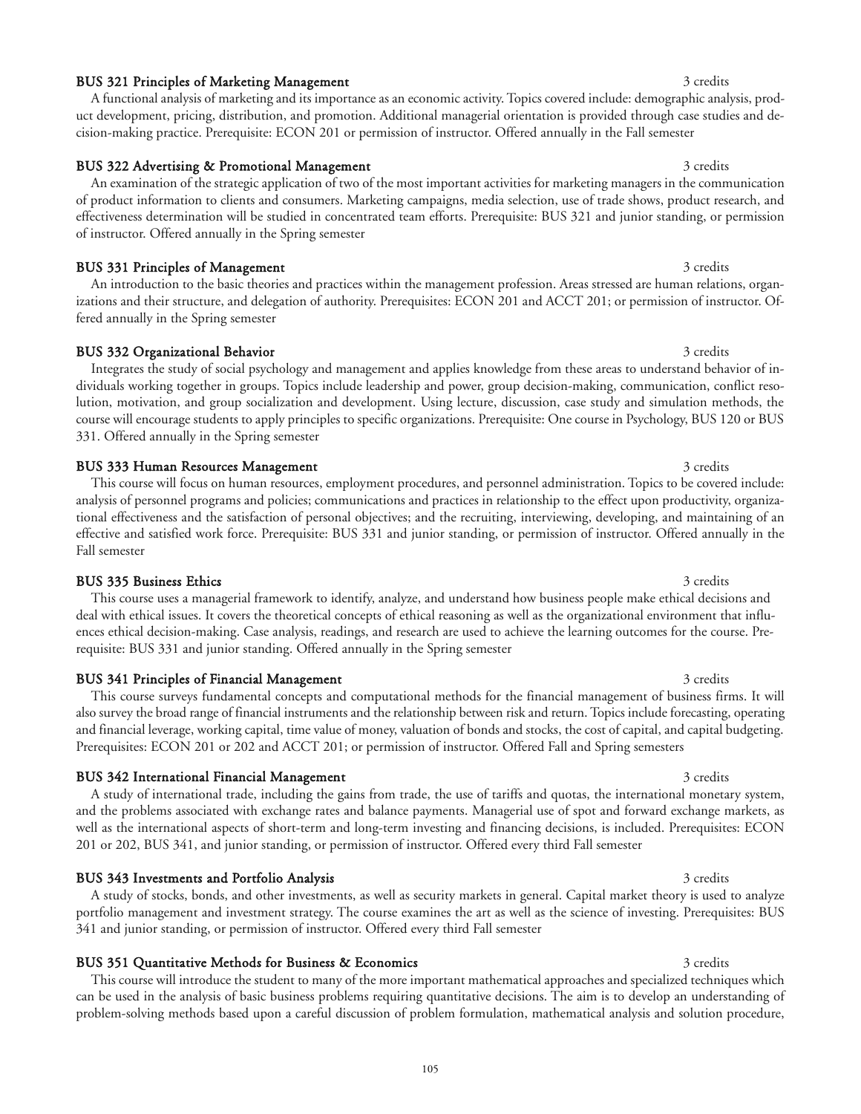#### BUS 321 Principles of Marketing Management 3 credits 3 credits

A functional analysis of marketing and its importance as an economic activity. Topics covered include: demographic analysis, product development, pricing, distribution, and promotion. Additional managerial orientation is provided through case studies and decision-making practice. Prerequisite: ECON 201 or permission of instructor. Offered annually in the Fall semester

#### BUS 322 Advertising & Promotional Management 3 credits 3 credits

An examination of the strategic application of two of the most important activities for marketing managers in the communication of product information to clients and consumers. Marketing campaigns, media selection, use of trade shows, product research, and effectiveness determination will be studied in concentrated team efforts. Prerequisite: BUS 321 and junior standing, or permission of instructor. Offered annually in the Spring semester

### BUS 331 Principles of Management 3 credits 3 credits

An introduction to the basic theories and practices within the management profession. Areas stressed are human relations, organizations and their structure, and delegation of authority. Prerequisites: ECON 201 and ACCT 201; or permission of instructor. Offered annually in the Spring semester

### BUS 332 Organizational Behavior 3 credits 3 credits 3 credits

Integrates the study of social psychology and management and applies knowledge from these areas to understand behavior of individuals working together in groups. Topics include leadership and power, group decision-making, communication, conflict resolution, motivation, and group socialization and development. Using lecture, discussion, case study and simulation methods, the course will encourage students to apply principles to specific organizations. Prerequisite: One course in Psychology, BUS 120 or BUS 331. Offered annually in the Spring semester

#### BUS 333 Human Resources Management 3 credits 3 credits

This course will focus on human resources, employment procedures, and personnel administration. Topics to be covered include: analysis of personnel programs and policies; communications and practices in relationship to the effect upon productivity, organizational effectiveness and the satisfaction of personal objectives; and the recruiting, interviewing, developing, and maintaining of an effective and satisfied work force. Prerequisite: BUS 331 and junior standing, or permission of instructor. Offered annually in the Fall semester

#### BUS 335 Business Ethics 3 credits 3 credits 3 credits 3 credits 3 credits 3 credits 3 credits 3 credits 3 credits 3 credits 3 credits 3 credits 3 credits 3 credits 3 credits 3 credits 3 credits 3 credits 3 credits 3 credit This course uses a managerial framework to identify, analyze, and understand how business people make ethical decisions and deal with ethical issues. It covers the theoretical concepts of ethical reasoning as well as the organizational environment that influences ethical decision-making. Case analysis, readings, and research are used to achieve the learning outcomes for the course. Prerequisite: BUS 331 and junior standing. Offered annually in the Spring semester

## BUS 341 Principles of Financial Management 3 credits 3 credits 3 credits

This course surveys fundamental concepts and computational methods for the financial management of business firms. It will also survey the broad range of financial instruments and the relationship between risk and return. Topics include forecasting, operating and financial leverage, working capital, time value of money, valuation of bonds and stocks, the cost of capital, and capital budgeting. Prerequisites: ECON 201 or 202 and ACCT 201; or permission of instructor. Offered Fall and Spring semesters

#### BUS 342 International Financial Management 3 credits 3 credits 3 credits

A study of international trade, including the gains from trade, the use of tariffs and quotas, the international monetary system, and the problems associated with exchange rates and balance payments. Managerial use of spot and forward exchange markets, as well as the international aspects of short-term and long-term investing and financing decisions, is included. Prerequisites: ECON 201 or 202, BUS 341, and junior standing, or permission of instructor. Offered every third Fall semester

### BUS 343 Investments and Portfolio Analysis 3 credits 3 credits 3 credits

A study of stocks, bonds, and other investments, as well as security markets in general. Capital market theory is used to analyze portfolio management and investment strategy. The course examines the art as well as the science of investing. Prerequisites: BUS 341 and junior standing, or permission of instructor. Offered every third Fall semester

# BUS 351 Quantitative Methods for Business & Economics 3 credits 3 credits 3 credits

This course will introduce the student to many of the more important mathematical approaches and specialized techniques which can be used in the analysis of basic business problems requiring quantitative decisions. The aim is to develop an understanding of problem-solving methods based upon a careful discussion of problem formulation, mathematical analysis and solution procedure,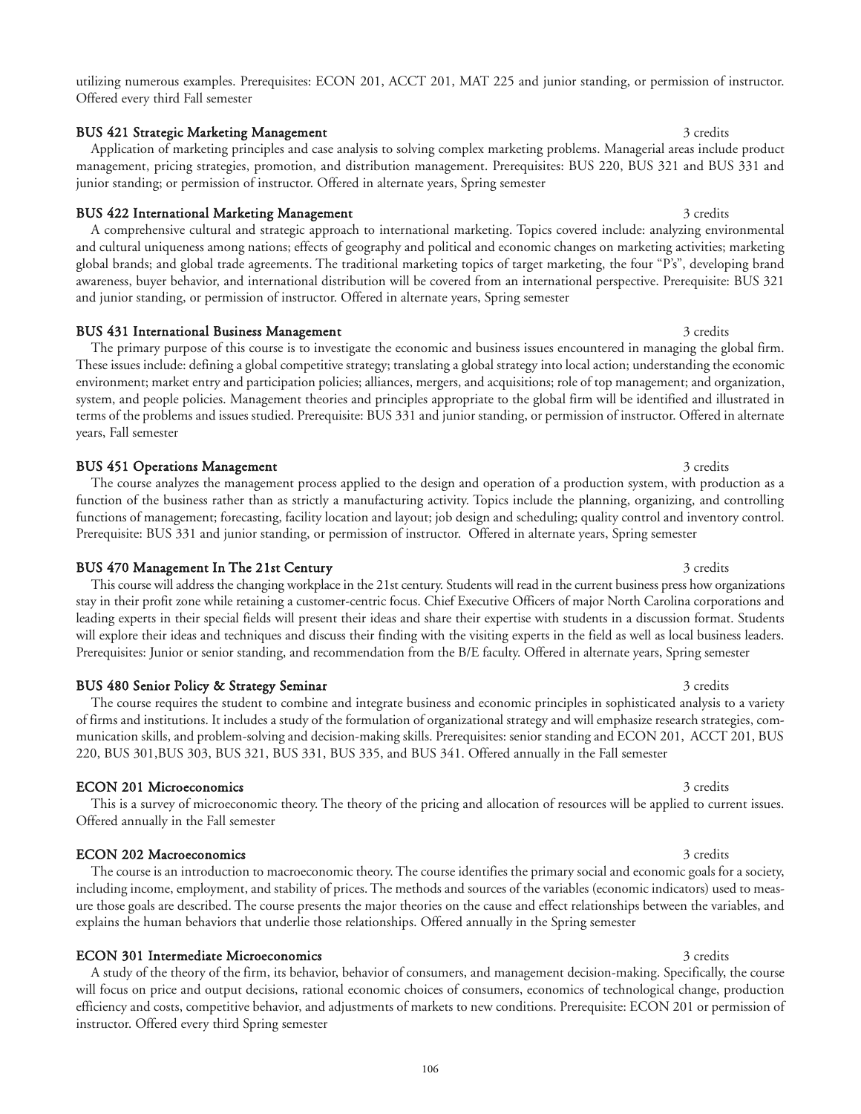utilizing numerous examples. Prerequisites: ECON 201, ACCT 201, MAT 225 and junior standing, or permission of instructor. Offered every third Fall semester

#### BUS 421 Strategic Marketing Management 3 credits 3 credits

Application of marketing principles and case analysis to solving complex marketing problems. Managerial areas include product management, pricing strategies, promotion, and distribution management. Prerequisites: BUS 220, BUS 321 and BUS 331 and junior standing; or permission of instructor. Offered in alternate years, Spring semester

### BUS 422 International Marketing Management 3 credits 3 credits

A comprehensive cultural and strategic approach to international marketing. Topics covered include: analyzing environmental and cultural uniqueness among nations; effects of geography and political and economic changes on marketing activities; marketing global brands; and global trade agreements. The traditional marketing topics of target marketing, the four "P's", developing brand awareness, buyer behavior, and international distribution will be covered from an international perspective. Prerequisite: BUS 321 and junior standing, or permission of instructor. Offered in alternate years, Spring semester

### BUS 431 International Business Management 3 credits 3 credits 3 credits

The primary purpose of this course is to investigate the economic and business issues encountered in managing the global firm. These issues include: defining a global competitive strategy; translating a global strategy into local action; understanding the economic environment; market entry and participation policies; alliances, mergers, and acquisitions; role of top management; and organization, system, and people policies. Management theories and principles appropriate to the global firm will be identified and illustrated in terms of the problems and issues studied. Prerequisite: BUS 331 and junior standing, or permission of instructor. Offered in alternate years, Fall semester

### BUS 451 Operations Management 3 credits 3 credits

The course analyzes the management process applied to the design and operation of a production system, with production as a function of the business rather than as strictly a manufacturing activity. Topics include the planning, organizing, and controlling functions of management; forecasting, facility location and layout; job design and scheduling; quality control and inventory control. Prerequisite: BUS 331 and junior standing, or permission of instructor. Offered in alternate years, Spring semester

### BUS 470 Management In The 21st Century 3 credits 3 credits 3 credits

This course will address the changing workplace in the 21st century. Students will read in the current business press how organizations stay in their profit zone while retaining a customer-centric focus. Chief Executive Officers of major North Carolina corporations and leading experts in their special fields will present their ideas and share their expertise with students in a discussion format. Students will explore their ideas and techniques and discuss their finding with the visiting experts in the field as well as local business leaders. Prerequisites: Junior or senior standing, and recommendation from the B/E faculty. Offered in alternate years, Spring semester

The course requires the student to combine and integrate business and economic principles in sophisticated analysis to a variety of firms and institutions. It includes a study of the formulation of organizational strategy and will emphasize research strategies, communication skills, and problem-solving and decision-making skills. Prerequisites: senior standing and ECON 201, ACCT 201, BUS

### BUS 480 Senior Policy & Strategy Seminar 3 credits 3 credits 3 credits

### **ECON 201 Microeconomics** 3 credits 3 credits

## This is a survey of microeconomic theory. The theory of the pricing and allocation of resources will be applied to current issues. Offered annually in the Fall semester

220, BUS 301,BUS 303, BUS 321, BUS 331, BUS 335, and BUS 341. Offered annually in the Fall semester

The course is an introduction to macroeconomic theory. The course identifies the primary social and economic goals for a society, including income, employment, and stability of prices. The methods and sources of the variables (economic indicators) used to measure those goals are described. The course presents the major theories on the cause and effect relationships between the variables, and explains the human behaviors that underlie those relationships. Offered annually in the Spring semester

### **ECON 301 Intermediate Microeconomics** 3 credits 3 credits

A study of the theory of the firm, its behavior, behavior of consumers, and management decision-making. Specifically, the course will focus on price and output decisions, rational economic choices of consumers, economics of technological change, production efficiency and costs, competitive behavior, and adjustments of markets to new conditions. Prerequisite: ECON 201 or permission of instructor. Offered every third Spring semester

## **ECON 202 Macroeconomics** 3 credits 3 credits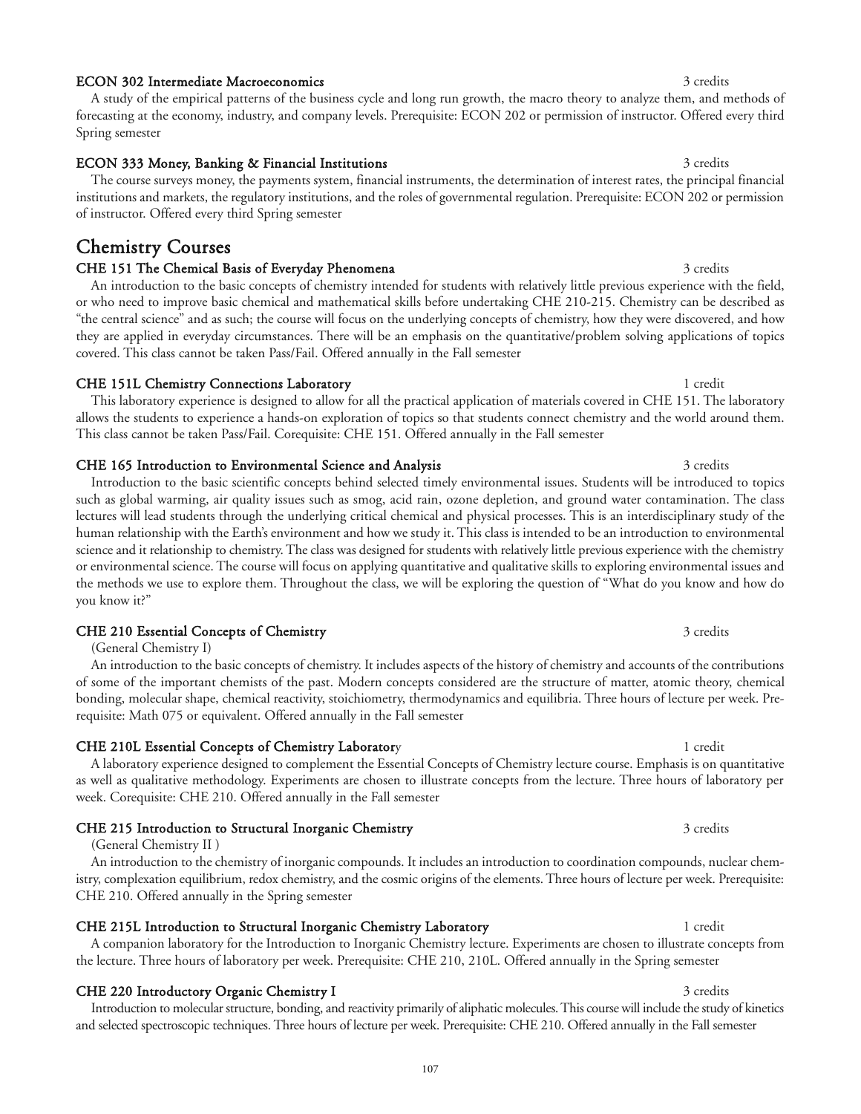### ECON 302 Intermediate Macroeconomics 3 credits 3 credits

A study of the empirical patterns of the business cycle and long run growth, the macro theory to analyze them, and methods of forecasting at the economy, industry, and company levels. Prerequisite: ECON 202 or permission of instructor. Offered every third Spring semester

#### ECON 333 Money, Banking & Financial Institutions 3 credits 3 credits The course surveys money, the payments system, financial instruments, the determination of interest rates, the principal financial institutions and markets, the regulatory institutions, and the roles of governmental regulation. Prerequisite: ECON 202 or permission of instructor. Offered every third Spring semester

## Chemistry Courses

### CHE 151 The Chemical Basis of Everyday Phenomena 3 credits 3 credits

An introduction to the basic concepts of chemistry intended for students with relatively little previous experience with the field, or who need to improve basic chemical and mathematical skills before undertaking CHE 210-215. Chemistry can be described as "the central science" and as such; the course will focus on the underlying concepts of chemistry, how they were discovered, and how they are applied in everyday circumstances. There will be an emphasis on the quantitative/problem solving applications of topics covered. This class cannot be taken Pass/Fail. Offered annually in the Fall semester

### CHE 151L Chemistry Connections Laboratory 1 credit 1 credit

This laboratory experience is designed to allow for all the practical application of materials covered in CHE 151. The laboratory allows the students to experience a hands-on exploration of topics so that students connect chemistry and the world around them. This class cannot be taken Pass/Fail. Corequisite: CHE 151. Offered annually in the Fall semester

### CHE 165 Introduction to Environmental Science and Analysis 3 credits 3 credits

Introduction to the basic scientific concepts behind selected timely environmental issues. Students will be introduced to topics such as global warming, air quality issues such as smog, acid rain, ozone depletion, and ground water contamination. The class lectures will lead students through the underlying critical chemical and physical processes. This is an interdisciplinary study of the human relationship with the Earth's environment and how we study it. This class is intended to be an introduction to environmental science and it relationship to chemistry. The class was designed for students with relatively little previous experience with the chemistry or environmental science. The course will focus on applying quantitative and qualitative skills to exploring environmental issues and the methods we use to explore them. Throughout the class, we will be exploring the question of "What do you know and how do you know it?"

### CHE 210 Essential Concepts of Chemistry 3 credits 3 credits

(General Chemistry I)

An introduction to the basic concepts of chemistry. It includes aspects of the history of chemistry and accounts of the contributions of some of the important chemists of the past. Modern concepts considered are the structure of matter, atomic theory, chemical bonding, molecular shape, chemical reactivity, stoichiometry, thermodynamics and equilibria. Three hours of lecture per week. Prerequisite: Math 075 or equivalent. Offered annually in the Fall semester

#### CHE 210L Essential Concepts of Chemistry Laboratory 1 credit 1 credit

A laboratory experience designed to complement the Essential Concepts of Chemistry lecture course. Emphasis is on quantitative as well as qualitative methodology. Experiments are chosen to illustrate concepts from the lecture. Three hours of laboratory per week. Corequisite: CHE 210. Offered annually in the Fall semester

### CHE 215 Introduction to Structural Inorganic Chemistry 3 credits 3 credits

(General Chemistry II )

An introduction to the chemistry of inorganic compounds. It includes an introduction to coordination compounds, nuclear chemistry, complexation equilibrium, redox chemistry, and the cosmic origins of the elements. Three hours of lecture per week. Prerequisite: CHE 210. Offered annually in the Spring semester

### CHE 215L Introduction to Structural Inorganic Chemistry Laboratory 1 1 credit

### CHE 220 Introductory Organic Chemistry I 3 credits 3 credits

Introduction to molecular structure, bonding, and reactivity primarily of aliphatic molecules. This course will include the study of kinetics and selected spectroscopic techniques. Three hours of lecture per week. Prerequisite: CHE 210. Offered annually in the Fall semester

### the lecture. Three hours of laboratory per week. Prerequisite: CHE 210, 210L. Offered annually in the Spring semester

# A companion laboratory for the Introduction to Inorganic Chemistry lecture. Experiments are chosen to illustrate concepts from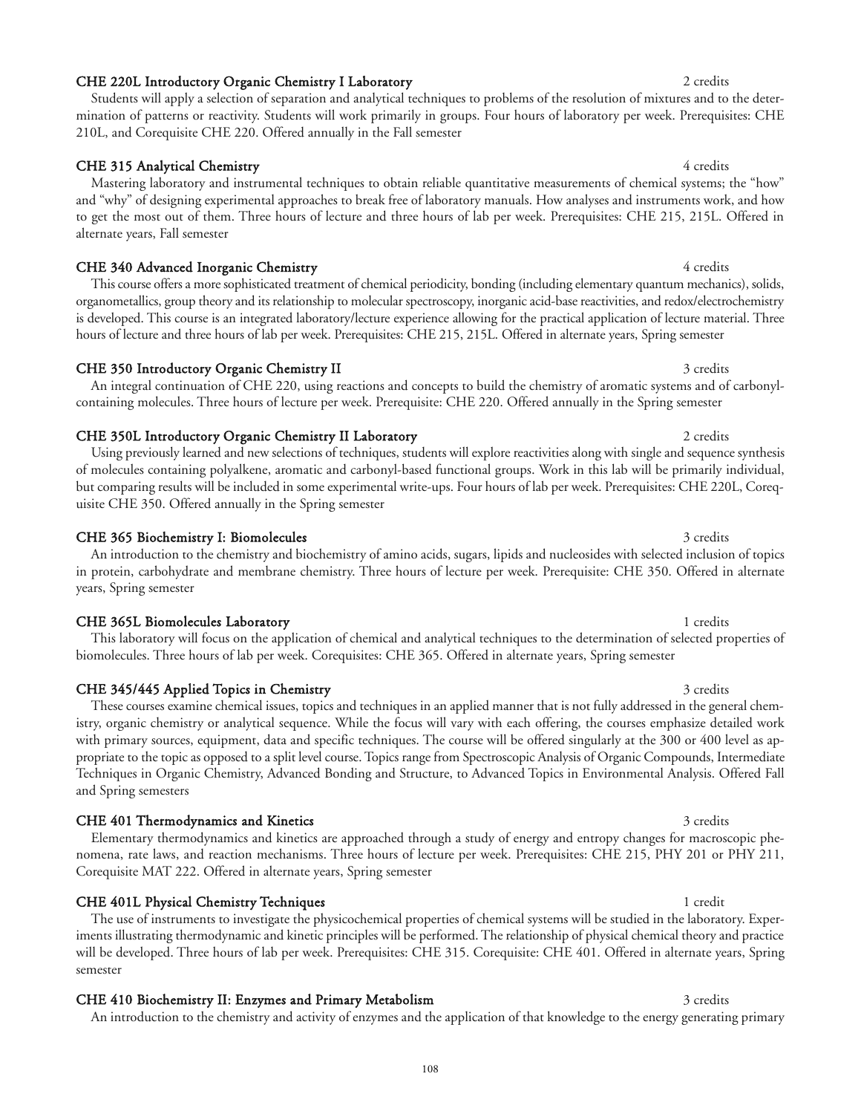### CHE 220L Introductory Organic Chemistry I Laboratory 2 credits 2 credits

### Students will apply a selection of separation and analytical techniques to problems of the resolution of mixtures and to the determination of patterns or reactivity. Students will work primarily in groups. Four hours of laboratory per week. Prerequisites: CHE 210L, and Corequisite CHE 220. Offered annually in the Fall semester

### CHE 315 Analytical Chemistry 4 credits 4 credits

Mastering laboratory and instrumental techniques to obtain reliable quantitative measurements of chemical systems; the "how" and "why" of designing experimental approaches to break free of laboratory manuals. How analyses and instruments work, and how to get the most out of them. Three hours of lecture and three hours of lab per week. Prerequisites: CHE 215, 215L. Offered in alternate years, Fall semester

### CHE 340 Advanced Inorganic Chemistry **4 credits** 4 credits

This course offers a more sophisticated treatment of chemical periodicity, bonding (including elementary quantum mechanics), solids, organometallics, group theory and its relationship to molecular spectroscopy, inorganic acid-base reactivities, and redox/electrochemistry is developed. This course is an integrated laboratory/lecture experience allowing for the practical application of lecture material. Three hours of lecture and three hours of lab per week. Prerequisites: CHE 215, 215L. Offered in alternate years, Spring semester

### CHE 350 Introductory Organic Chemistry II 3 credits 3 credits

An integral continuation of CHE 220, using reactions and concepts to build the chemistry of aromatic systems and of carbonylcontaining molecules. Three hours of lecture per week. Prerequisite: CHE 220. Offered annually in the Spring semester

#### CHE 350L Introductory Organic Chemistry II Laboratory 2 credits 2 credits

Using previously learned and new selections of techniques, students will explore reactivities along with single and sequence synthesis of molecules containing polyalkene, aromatic and carbonyl-based functional groups. Work in this lab will be primarily individual, but comparing results will be included in some experimental write-ups. Four hours of lab per week. Prerequisites: CHE 220L, Corequisite CHE 350. Offered annually in the Spring semester

#### CHE 365 Biochemistry I: Biomolecules 3 credits 3 credits 3 credits

An introduction to the chemistry and biochemistry of amino acids, sugars, lipids and nucleosides with selected inclusion of topics in protein, carbohydrate and membrane chemistry. Three hours of lecture per week. Prerequisite: CHE 350. Offered in alternate years, Spring semester

#### CHE 365L Biomolecules Laboratory 1 credits

This laboratory will focus on the application of chemical and analytical techniques to the determination of selected properties of biomolecules. Three hours of lab per week. Corequisites: CHE 365. Offered in alternate years, Spring semester

#### CHE 345/445 Applied Topics in Chemistry 3 credits 3 credits

#### with primary sources, equipment, data and specific techniques. The course will be offered singularly at the 300 or 400 level as appropriate to the topic as opposed to a split level course. Topics range from Spectroscopic Analysis of Organic Compounds, Intermediate Techniques in Organic Chemistry, Advanced Bonding and Structure, to Advanced Topics in Environmental Analysis. Offered Fall

### CHE 401 Thermodynamics and Kinetics 3 credits 3 credits 3 credits

and Spring semesters

Elementary thermodynamics and kinetics are approached through a study of energy and entropy changes for macroscopic phenomena, rate laws, and reaction mechanisms. Three hours of lecture per week. Prerequisites: CHE 215, PHY 201 or PHY 211, Corequisite MAT 222. Offered in alternate years, Spring semester

istry, organic chemistry or analytical sequence. While the focus will vary with each offering, the courses emphasize detailed work

### CHE 401L Physical Chemistry Techniques 1 credit 1 credit 1 credit

The use of instruments to investigate the physicochemical properties of chemical systems will be studied in the laboratory. Experiments illustrating thermodynamic and kinetic principles will be performed. The relationship of physical chemical theory and practice will be developed. Three hours of lab per week. Prerequisites: CHE 315. Corequisite: CHE 401. Offered in alternate years, Spring semester

## CHE 410 Biochemistry II: Enzymes and Primary Metabolism 3 credits 3 credits

An introduction to the chemistry and activity of enzymes and the application of that knowledge to the energy generating primary

## These courses examine chemical issues, topics and techniques in an applied manner that is not fully addressed in the general chem-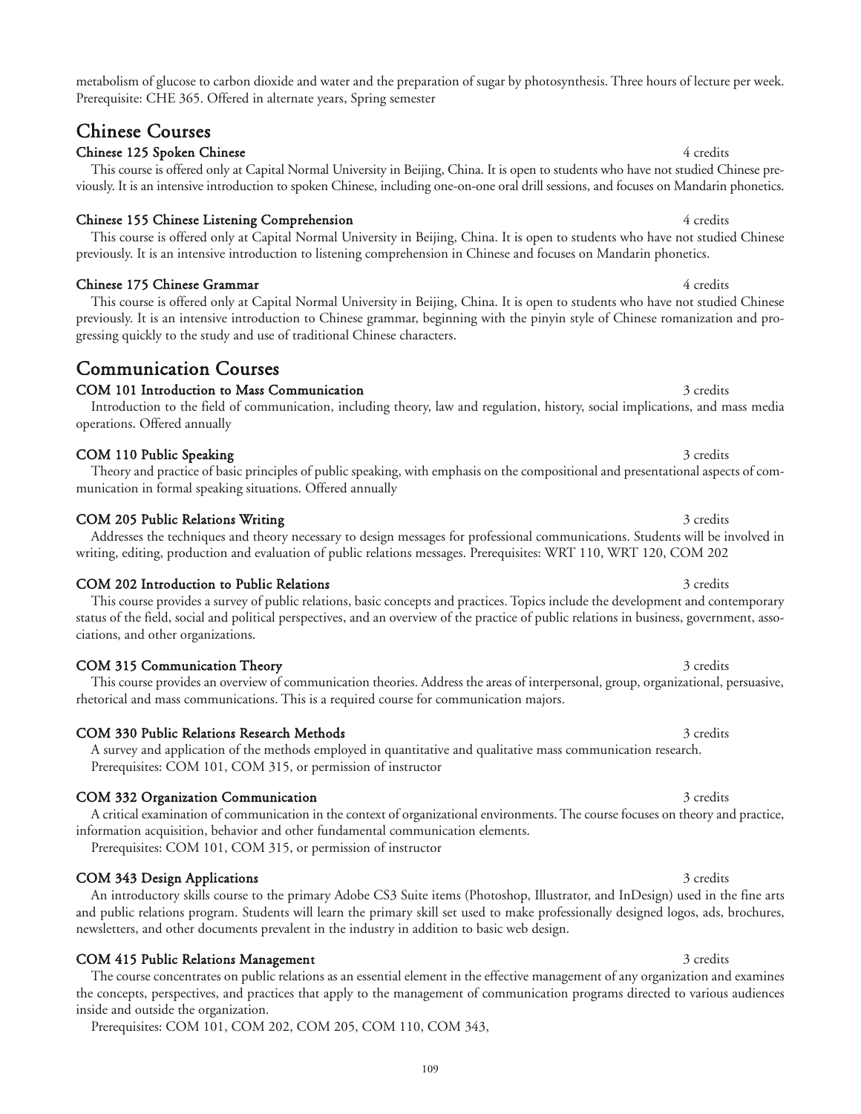metabolism of glucose to carbon dioxide and water and the preparation of sugar by photosynthesis. Three hours of lecture per week. Prerequisite: CHE 365. Offered in alternate years, Spring semester

## Chinese Courses

### Chinese 125 Spoken Chinese 4 credits and the state of the state 4 credits of 4 credits 4 credits 4 credits and 4 credits and 4 credits and 4 credits and 4 credits and 4 credits and 4 credits and 4 credits and 4 credits and

This course is offered only at Capital Normal University in Beijing, China. It is open to students who have not studied Chinese previously. It is an intensive introduction to spoken Chinese, including one-on-one oral drill sessions, and focuses on Mandarin phonetics.

### Chinese 155 Chinese Listening Comprehension 4 credits 4 credits

### Chinese 175 Chinese Grammar 4 credits

This course is offered only at Capital Normal University in Beijing, China. It is open to students who have not studied Chinese previously. It is an intensive introduction to Chinese grammar, beginning with the pinyin style of Chinese romanization and progressing quickly to the study and use of traditional Chinese characters.

## Communication Courses

### COM 101 Introduction to Mass Communication 3 credits 3 credits

munication in formal speaking situations. Offered annually

### Introduction to the field of communication, including theory, law and regulation, history, social implications, and mass media operations. Offered annually

### COM 110 Public Speaking 3 credits 3 credits 3 credits 3 credits 3 credits 3 credits 3 credits 3 credits 3 credits 3 credits 3 credits 3 credits 3 credits 3 credits 3 credits 3 credits 3 credits 3 credits 3 credits 3 credit

### COM 205 Public Relations Writing 3 credits 3 credits 3 credits

### Addresses the techniques and theory necessary to design messages for professional communications. Students will be involved in writing, editing, production and evaluation of public relations messages. Prerequisites: WRT 110, WRT 120, COM 202

Theory and practice of basic principles of public speaking, with emphasis on the compositional and presentational aspects of com-

### COM 202 Introduction to Public Relations 3 credits 3 credits 3 credits

This course provides a survey of public relations, basic concepts and practices. Topics include the development and contemporary status of the field, social and political perspectives, and an overview of the practice of public relations in business, government, associations, and other organizations.

### COM 315 Communication Theory 3 credits

This course provides an overview of communication theories. Address the areas of interpersonal, group, organizational, persuasive, rhetorical and mass communications. This is a required course for communication majors.

### COM 330 Public Relations Research Methods 3 credits 3 credits 3 credits

A survey and application of the methods employed in quantitative and qualitative mass communication research. Prerequisites: COM 101, COM 315, or permission of instructor

### COM 332 Organization Communication 3 credits 3 credits

A critical examination of communication in the context of organizational environments. The course focuses on theory and practice, information acquisition, behavior and other fundamental communication elements.

Prerequisites: COM 101, COM 315, or permission of instructor

### COM 343 Design Applications 3 credits 3 credits

### COM 415 Public Relations Management 3 credits 3 credits

The course concentrates on public relations as an essential element in the effective management of any organization and examines the concepts, perspectives, and practices that apply to the management of communication programs directed to various audiences inside and outside the organization.

Prerequisites: COM 101, COM 202, COM 205, COM 110, COM 343,

newsletters, and other documents prevalent in the industry in addition to basic web design.

#### This course is offered only at Capital Normal University in Beijing, China. It is open to students who have not studied Chinese previously. It is an intensive introduction to listening comprehension in Chinese and focuses on Mandarin phonetics.

An introductory skills course to the primary Adobe CS3 Suite items (Photoshop, Illustrator, and InDesign) used in the fine arts

# and public relations program. Students will learn the primary skill set used to make professionally designed logos, ads, brochures,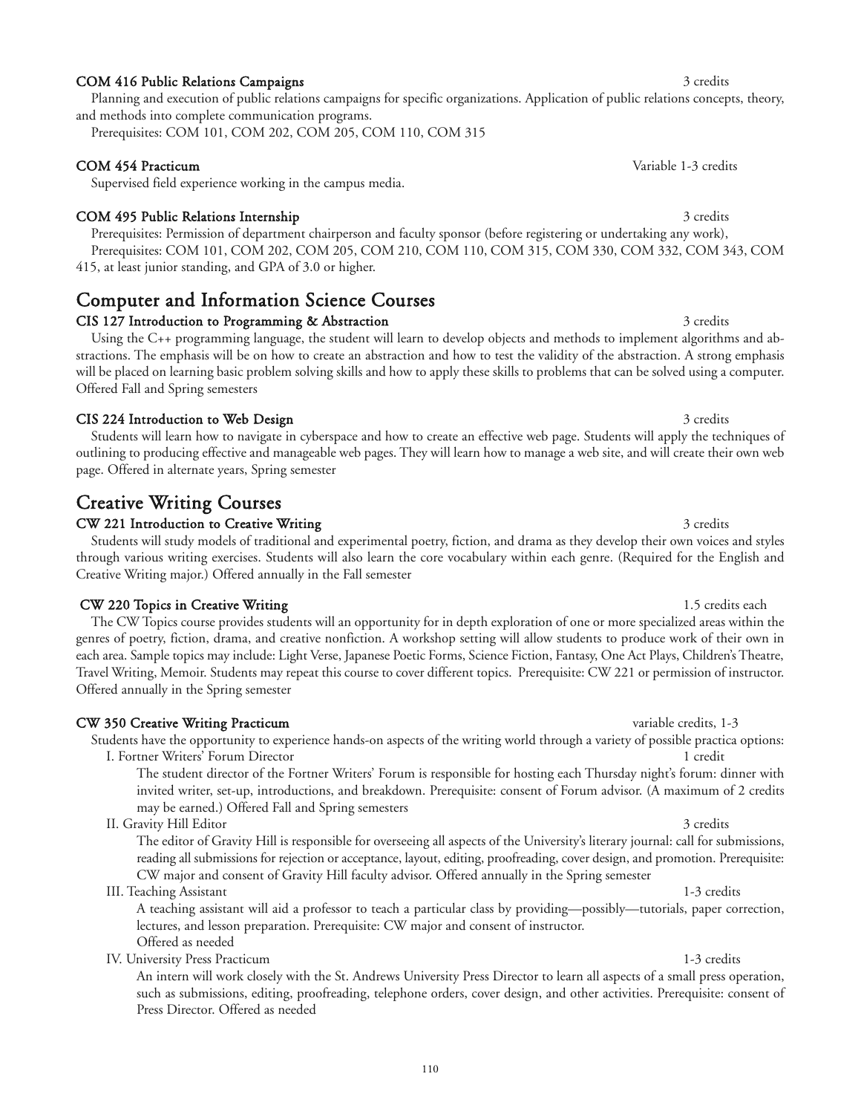### COM 416 Public Relations Campaigns 3 credits 3 credits 3 credits

Planning and execution of public relations campaigns for specific organizations. Application of public relations concepts, theory, and methods into complete communication programs.

Prerequisites: COM 101, COM 202, COM 205, COM 110, COM 315

### COM 454 Practicum Variable 1-3 credits

Supervised field experience working in the campus media.

### COM 495 Public Relations Internship 3 credits 3 credits

Prerequisites: Permission of department chairperson and faculty sponsor (before registering or undertaking any work), Prerequisites: COM 101, COM 202, COM 205, COM 210, COM 110, COM 315, COM 330, COM 332, COM 343, COM 415, at least junior standing, and GPA of 3.0 or higher.

## Computer and Information Science Courses

### CIS 127 Introduction to Programming & Abstraction 3 credits 3 credits

Using the C++ programming language, the student will learn to develop objects and methods to implement algorithms and abstractions. The emphasis will be on how to create an abstraction and how to test the validity of the abstraction. A strong emphasis will be placed on learning basic problem solving skills and how to apply these skills to problems that can be solved using a computer. Offered Fall and Spring semesters

### CIS 224 Introduction to Web Design 3 credits 3 credits 3 credits

Students will learn how to navigate in cyberspace and how to create an effective web page. Students will apply the techniques of outlining to producing effective and manageable web pages. They will learn how to manage a web site, and will create their own web page. Offered in alternate years, Spring semester

## Creative Writing Courses

### CW 221 Introduction to Creative Writing 3 credits 3 credits 3 credits

Students will study models of traditional and experimental poetry, fiction, and drama as they develop their own voices and styles through various writing exercises. Students will also learn the core vocabulary within each genre. (Required for the English and Creative Writing major.) Offered annually in the Fall semester

### CW 220 Topics in Creative Writing 1.5 credits each 1.5 credits each 1.5 credits each

The CW Topics course provides students will an opportunity for in depth exploration of one or more specialized areas within the genres of poetry, fiction, drama, and creative nonfiction. A workshop setting will allow students to produce work of their own in each area. Sample topics may include: Light Verse, Japanese Poetic Forms, Science Fiction, Fantasy, One Act Plays, Children's Theatre, Travel Writing, Memoir. Students may repeat this course to cover different topics. Prerequisite: CW 221 or permission of instructor. Offered annually in the Spring semester

### CW 350 Creative Writing Practicum variable credits, 1-3

Students have the opportunity to experience hands-on aspects of the writing world through a variety of possible practica options:

I. Fortner Writers' Forum Director 1 credit The student director of the Fortner Writers' Forum is responsible for hosting each Thursday night's forum: dinner with invited writer, set-up, introductions, and breakdown. Prerequisite: consent of Forum advisor. (A maximum of 2 credits may be earned.) Offered Fall and Spring semesters

II. Gravity Hill Editor 3 credits

The editor of Gravity Hill is responsible for overseeing all aspects of the University's literary journal: call for submissions, reading all submissions for rejection or acceptance, layout, editing, proofreading, cover design, and promotion. Prerequisite: CW major and consent of Gravity Hill faculty advisor. Offered annually in the Spring semester

### III. Teaching Assistant 1-3 credits

A teaching assistant will aid a professor to teach a particular class by providing—possibly—tutorials, paper correction, lectures, and lesson preparation. Prerequisite: CW major and consent of instructor. Offered as needed

IV. University Press Practicum 1-3 credits

An intern will work closely with the St. Andrews University Press Director to learn all aspects of a small press operation, such as submissions, editing, proofreading, telephone orders, cover design, and other activities. Prerequisite: consent of Press Director. Offered as needed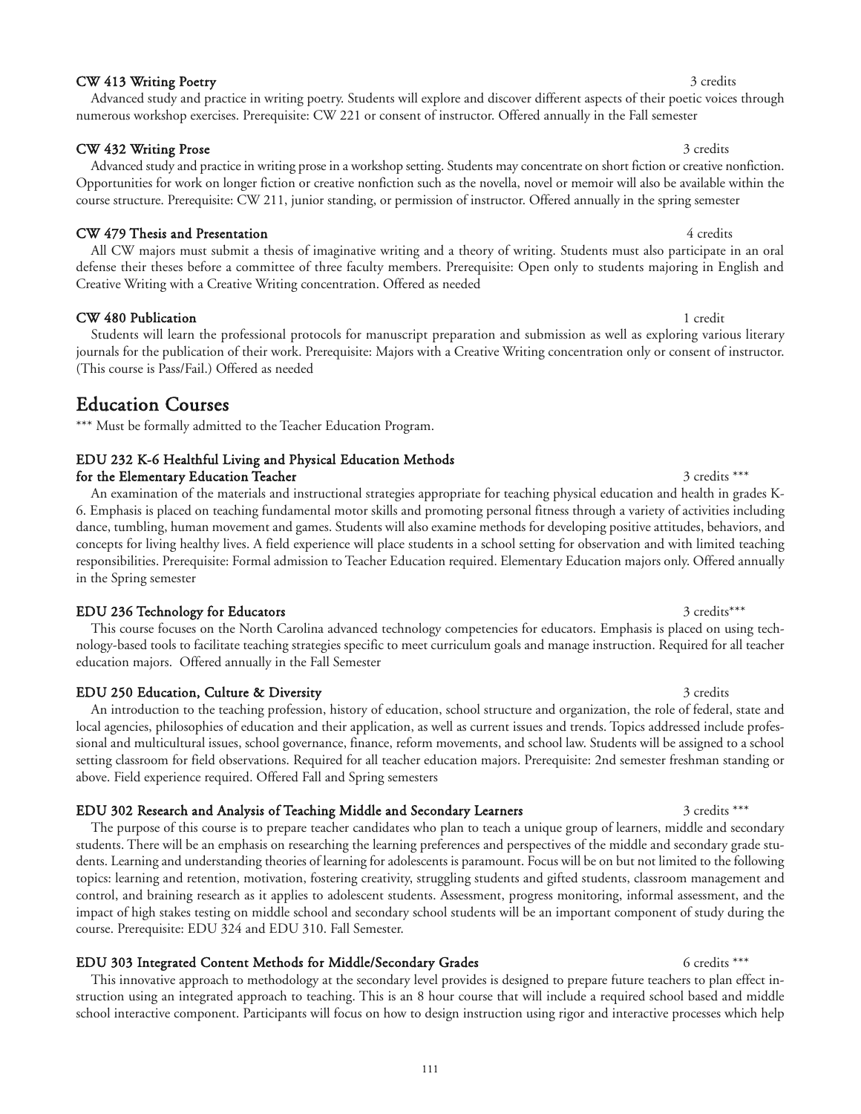### CW 413 Writing Poetry 3 credits

#### CW 432 Writing Prose 3 credits

### CW 479 Thesis and Presentation **4 credits** 4 credits

All CW majors must submit a thesis of imaginative writing and a theory of writing. Students must also participate in an oral defense their theses before a committee of three faculty members. Prerequisite: Open only to students majoring in English and Creative Writing with a Creative Writing concentration. Offered as needed

course structure. Prerequisite: CW 211, junior standing, or permission of instructor. Offered annually in the spring semester

Advanced study and practice in writing poetry. Students will explore and discover different aspects of their poetic voices through

Advanced study and practice in writing prose in a workshop setting. Students may concentrate on short fiction or creative nonfiction. Opportunities for work on longer fiction or creative nonfiction such as the novella, novel or memoir will also be available within the

numerous workshop exercises. Prerequisite: CW 221 or consent of instructor. Offered annually in the Fall semester

CW 480 Publication 1 credit 1 credit 1 credit 1 credit 1 credit 1 credit 1 credit 1 credit 1 credit 1 credit 1 credit 1 credit 1 credit 1 credit 1 credit 1 credit 1 credit 1 credit 1 credit 1 credit 1 credit 1 credit 1 cre

Students will learn the professional protocols for manuscript preparation and submission as well as exploring various literary journals for the publication of their work. Prerequisite: Majors with a Creative Writing concentration only or consent of instructor. (This course is Pass/Fail.) Offered as needed

## Education Courses

\*\*\* Must be formally admitted to the Teacher Education Program.

## EDU 232 K-6 Healthful Living and Physical Education Methods

for the Elementary Education Teacher 3 credits \*\*\*

An examination of the materials and instructional strategies appropriate for teaching physical education and health in grades K-6. Emphasis is placed on teaching fundamental motor skills and promoting personal fitness through a variety of activities including dance, tumbling, human movement and games. Students will also examine methods for developing positive attitudes, behaviors, and concepts for living healthy lives. A field experience will place students in a school setting for observation and with limited teaching responsibilities. Prerequisite: Formal admission to Teacher Education required. Elementary Education majors only. Offered annually in the Spring semester

### EDU 236 Technology for Educators 3 credits\*\*\* 3 credits\*\*\*

This course focuses on the North Carolina advanced technology competencies for educators. Emphasis is placed on using technology-based tools to facilitate teaching strategies specific to meet curriculum goals and manage instruction. Required for all teacher education majors. Offered annually in the Fall Semester

#### EDU 250 Education, Culture & Diversity 3 credits 3 credits 3 credits

An introduction to the teaching profession, history of education, school structure and organization, the role of federal, state and local agencies, philosophies of education and their application, as well as current issues and trends. Topics addressed include professional and multicultural issues, school governance, finance, reform movements, and school law. Students will be assigned to a school setting classroom for field observations. Required for all teacher education majors. Prerequisite: 2nd semester freshman standing or above. Field experience required. Offered Fall and Spring semesters

### EDU 302 Research and Analysis of Teaching Middle and Secondary Learners 3 credits \*\*\*

The purpose of this course is to prepare teacher candidates who plan to teach a unique group of learners, middle and secondary students. There will be an emphasis on researching the learning preferences and perspectives of the middle and secondary grade students. Learning and understanding theories of learning for adolescents is paramount. Focus will be on but not limited to the following topics: learning and retention, motivation, fostering creativity, struggling students and gifted students, classroom management and control, and braining research as it applies to adolescent students. Assessment, progress monitoring, informal assessment, and the impact of high stakes testing on middle school and secondary school students will be an important component of study during the course. Prerequisite: EDU 324 and EDU 310. Fall Semester.

### EDU 303 Integrated Content Methods for Middle/Secondary Grades 6 credits \*\*\*

This innovative approach to methodology at the secondary level provides is designed to prepare future teachers to plan effect instruction using an integrated approach to teaching. This is an 8 hour course that will include a required school based and middle school interactive component. Participants will focus on how to design instruction using rigor and interactive processes which help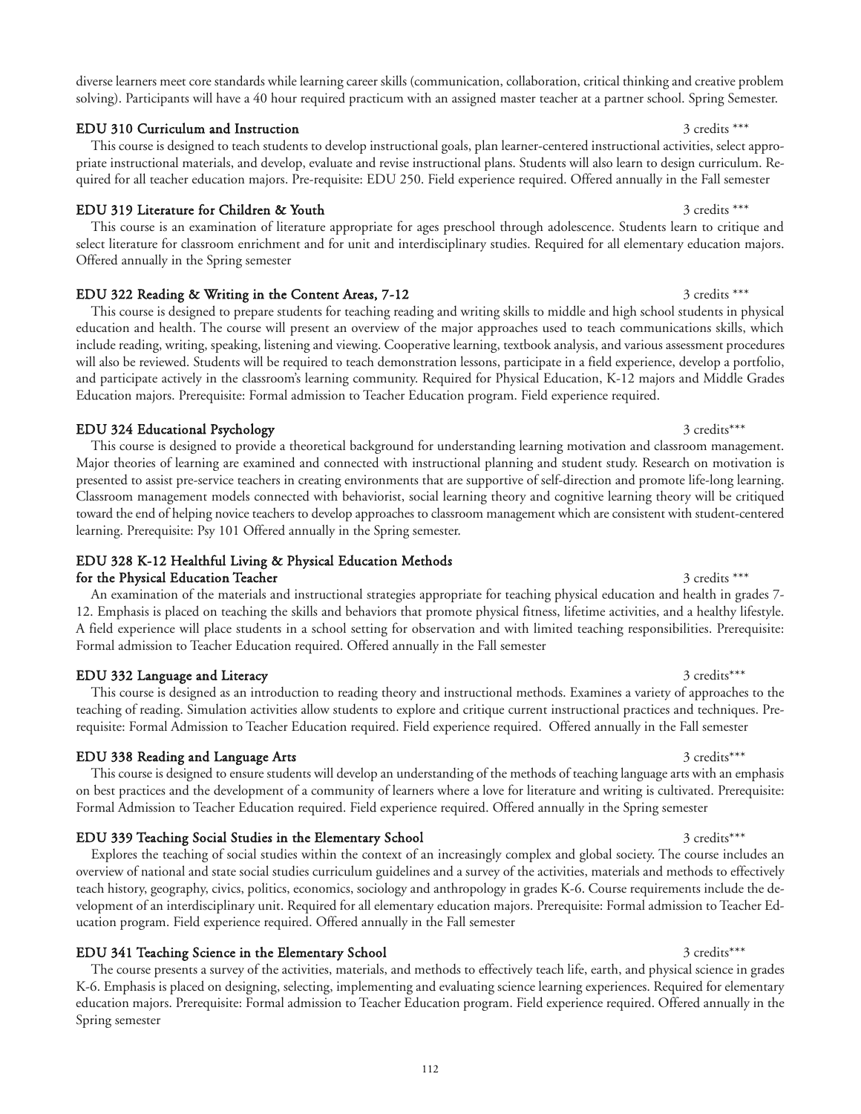diverse learners meet core standards while learning career skills (communication, collaboration, critical thinking and creative problem solving). Participants will have a 40 hour required practicum with an assigned master teacher at a partner school. Spring Semester.

### EDU 310 Curriculum and Instruction 3 credits \*\*\*

## EDU 319 Literature for Children & Youth 3 credits \*\*\* 3 credits \*\*\*

This course is an examination of literature appropriate for ages preschool through adolescence. Students learn to critique and select literature for classroom enrichment and for unit and interdisciplinary studies. Required for all elementary education majors. Offered annually in the Spring semester

quired for all teacher education majors. Pre-requisite: EDU 250. Field experience required. Offered annually in the Fall semester

### EDU 322 Reading & Writing in the Content Areas, 7-12 3 credits \*\*\*

This course is designed to prepare students for teaching reading and writing skills to middle and high school students in physical education and health. The course will present an overview of the major approaches used to teach communications skills, which include reading, writing, speaking, listening and viewing. Cooperative learning, textbook analysis, and various assessment procedures will also be reviewed. Students will be required to teach demonstration lessons, participate in a field experience, develop a portfolio, and participate actively in the classroom's learning community. Required for Physical Education, K-12 majors and Middle Grades Education majors. Prerequisite: Formal admission to Teacher Education program. Field experience required.

### EDU 324 Educational Psychology 3 credits\*\*\* 3 credits\*\*\*

This course is designed to provide a theoretical background for understanding learning motivation and classroom management. Major theories of learning are examined and connected with instructional planning and student study. Research on motivation is presented to assist pre-service teachers in creating environments that are supportive of self-direction and promote life-long learning. Classroom management models connected with behaviorist, social learning theory and cognitive learning theory will be critiqued toward the end of helping novice teachers to develop approaches to classroom management which are consistent with student-centered learning. Prerequisite: Psy 101 Offered annually in the Spring semester.

### EDU 328 K-12 Healthful Living & Physical Education Methods for the Physical Education Teacher 3 credits \*\*\* 3 credits \*\*\*

An examination of the materials and instructional strategies appropriate for teaching physical education and health in grades 7- 12. Emphasis is placed on teaching the skills and behaviors that promote physical fitness, lifetime activities, and a healthy lifestyle. A field experience will place students in a school setting for observation and with limited teaching responsibilities. Prerequisite: Formal admission to Teacher Education required. Offered annually in the Fall semester

#### EDU 332 Language and Literacy 3 credits\*\*\* 3 credits\*\*\*

This course is designed as an introduction to reading theory and instructional methods. Examines a variety of approaches to the teaching of reading. Simulation activities allow students to explore and critique current instructional practices and techniques. Prerequisite: Formal Admission to Teacher Education required. Field experience required. Offered annually in the Fall semester

#### EDU 338 Reading and Language Arts 3 credits\*\*\* 3 credits\*\*\*

This course is designed to ensure students will develop an understanding of the methods of teaching language arts with an emphasis on best practices and the development of a community of learners where a love for literature and writing is cultivated. Prerequisite: Formal Admission to Teacher Education required. Field experience required. Offered annually in the Spring semester

### EDU 339 Teaching Social Studies in the Elementary School 3 credits\*\*\* 3 credits\*\*\*

Explores the teaching of social studies within the context of an increasingly complex and global society. The course includes an overview of national and state social studies curriculum guidelines and a survey of the activities, materials and methods to effectively teach history, geography, civics, politics, economics, sociology and anthropology in grades K-6. Course requirements include the development of an interdisciplinary unit. Required for all elementary education majors. Prerequisite: Formal admission to Teacher Education program. Field experience required. Offered annually in the Fall semester

### EDU 341 Teaching Science in the Elementary School 3 credits\*\*\* 3 credits\*\*\*

The course presents a survey of the activities, materials, and methods to effectively teach life, earth, and physical science in grades K-6. Emphasis is placed on designing, selecting, implementing and evaluating science learning experiences. Required for elementary education majors. Prerequisite: Formal admission to Teacher Education program. Field experience required. Offered annually in the Spring semester

#### This course is designed to teach students to develop instructional goals, plan learner-centered instructional activities, select appropriate instructional materials, and develop, evaluate and revise instructional plans. Students will also learn to design curriculum. Re-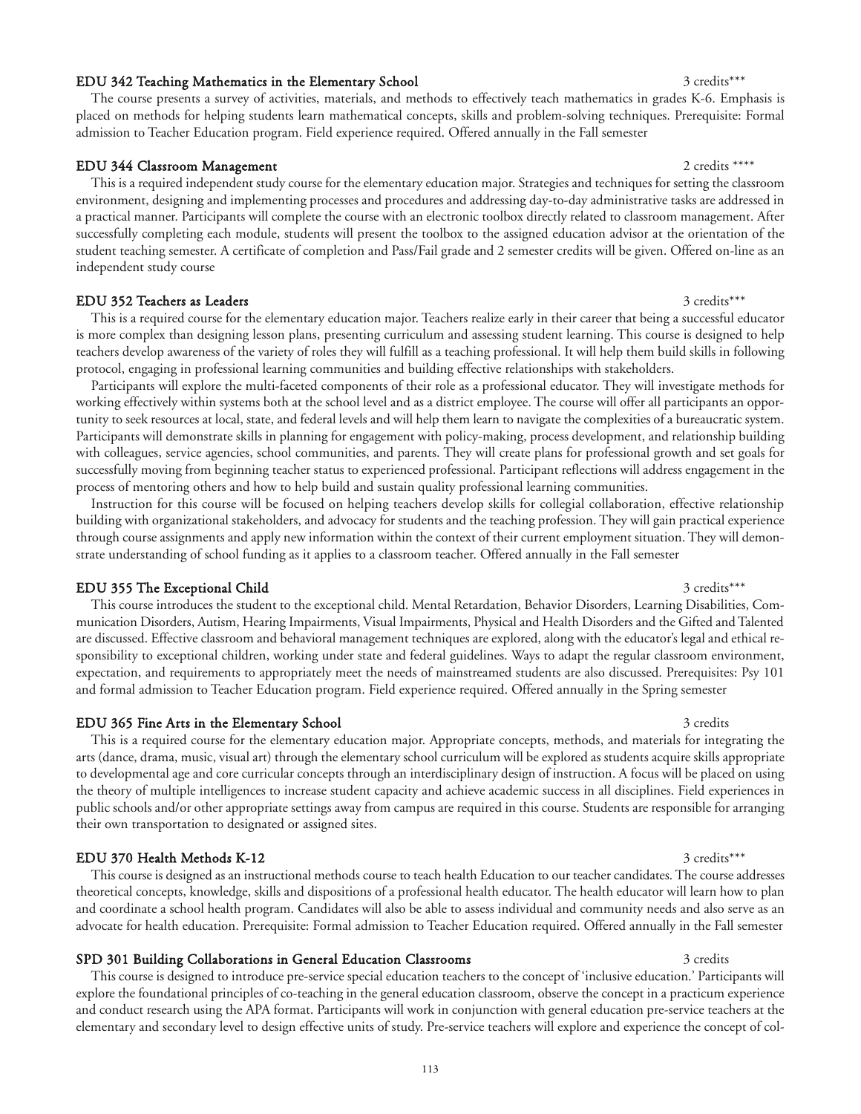#### EDU 342 Teaching Mathematics in the Elementary School 3 credits\*\*\* 3 credits\*\*\*

### The course presents a survey of activities, materials, and methods to effectively teach mathematics in grades K-6. Emphasis is placed on methods for helping students learn mathematical concepts, skills and problem-solving techniques. Prerequisite: Formal admission to Teacher Education program. Field experience required. Offered annually in the Fall semester

#### EDU 344 Classroom Management 2 credits \*\*\*\*

This is a required independent study course for the elementary education major. Strategies and techniques for setting the classroom environment, designing and implementing processes and procedures and addressing day-to-day administrative tasks are addressed in a practical manner. Participants will complete the course with an electronic toolbox directly related to classroom management. After successfully completing each module, students will present the toolbox to the assigned education advisor at the orientation of the student teaching semester. A certificate of completion and Pass/Fail grade and 2 semester credits will be given. Offered on-line as an independent study course

#### EDU 352 Teachers as Leaders 3 credits\*\*\* 3 credits\*\*\* 3 credits\*\*\*

This is a required course for the elementary education major. Teachers realize early in their career that being a successful educator is more complex than designing lesson plans, presenting curriculum and assessing student learning. This course is designed to help teachers develop awareness of the variety of roles they will fulfill as a teaching professional. It will help them build skills in following protocol, engaging in professional learning communities and building effective relationships with stakeholders.

Participants will explore the multi-faceted components of their role as a professional educator. They will investigate methods for working effectively within systems both at the school level and as a district employee. The course will offer all participants an opportunity to seek resources at local, state, and federal levels and will help them learn to navigate the complexities of a bureaucratic system. Participants will demonstrate skills in planning for engagement with policy-making, process development, and relationship building with colleagues, service agencies, school communities, and parents. They will create plans for professional growth and set goals for successfully moving from beginning teacher status to experienced professional. Participant reflections will address engagement in the process of mentoring others and how to help build and sustain quality professional learning communities.

Instruction for this course will be focused on helping teachers develop skills for collegial collaboration, effective relationship building with organizational stakeholders, and advocacy for students and the teaching profession. They will gain practical experience through course assignments and apply new information within the context of their current employment situation. They will demonstrate understanding of school funding as it applies to a classroom teacher. Offered annually in the Fall semester

### EDU 355 The Exceptional Child 3 credits\*\*\*

This course introduces the student to the exceptional child. Mental Retardation, Behavior Disorders, Learning Disabilities, Communication Disorders, Autism, Hearing Impairments, Visual Impairments, Physical and Health Disorders and the Gifted and Talented are discussed. Effective classroom and behavioral management techniques are explored, along with the educator's legal and ethical responsibility to exceptional children, working under state and federal guidelines. Ways to adapt the regular classroom environment, expectation, and requirements to appropriately meet the needs of mainstreamed students are also discussed. Prerequisites: Psy 101 and formal admission to Teacher Education program. Field experience required. Offered annually in the Spring semester

#### EDU 365 Fine Arts in the Elementary School 3 credits 3 credits 3 credits

This is a required course for the elementary education major. Appropriate concepts, methods, and materials for integrating the arts (dance, drama, music, visual art) through the elementary school curriculum will be explored as students acquire skills appropriate to developmental age and core curricular concepts through an interdisciplinary design of instruction. A focus will be placed on using the theory of multiple intelligences to increase student capacity and achieve academic success in all disciplines. Field experiences in public schools and/or other appropriate settings away from campus are required in this course. Students are responsible for arranging their own transportation to designated or assigned sites.

#### EDU 370 Health Methods K-12 3 credits\*\*\*

This course is designed as an instructional methods course to teach health Education to our teacher candidates. The course addresses theoretical concepts, knowledge, skills and dispositions of a professional health educator. The health educator will learn how to plan and coordinate a school health program. Candidates will also be able to assess individual and community needs and also serve as an advocate for health education. Prerequisite: Formal admission to Teacher Education required. Offered annually in the Fall semester

#### SPD 301 Building Collaborations in General Education Classrooms 3 credits 3 credits

This course is designed to introduce pre-service special education teachers to the concept of 'inclusive education.' Participants will explore the foundational principles of co-teaching in the general education classroom, observe the concept in a practicum experience and conduct research using the APA format. Participants will work in conjunction with general education pre-service teachers at the elementary and secondary level to design effective units of study. Pre-service teachers will explore and experience the concept of col-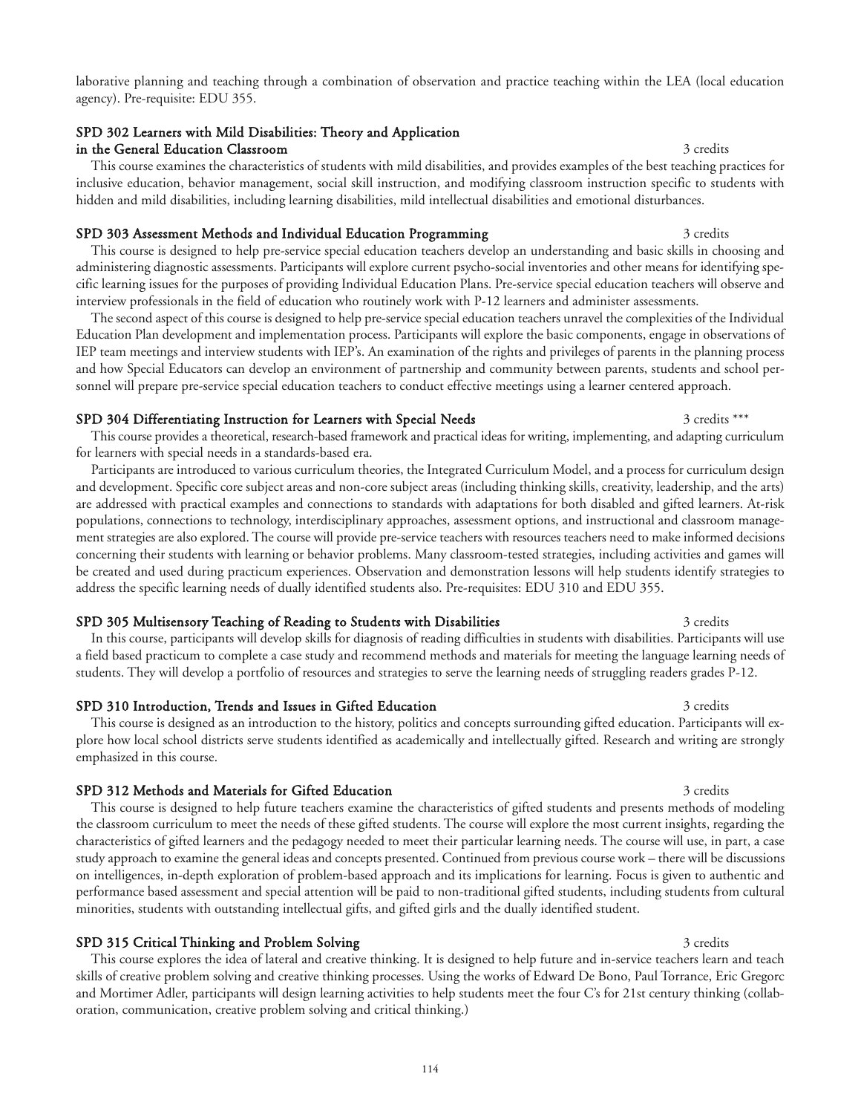laborative planning and teaching through a combination of observation and practice teaching within the LEA (local education agency). Pre-requisite: EDU 355.

#### SPD 302 Learners with Mild Disabilities: Theory and Application in the General Education Classroom 3 credits 3 credits

This course examines the characteristics of students with mild disabilities, and provides examples of the best teaching practices for inclusive education, behavior management, social skill instruction, and modifying classroom instruction specific to students with hidden and mild disabilities, including learning disabilities, mild intellectual disabilities and emotional disturbances.

#### SPD 303 Assessment Methods and Individual Education Programming 3 credits 3 credits

This course is designed to help pre-service special education teachers develop an understanding and basic skills in choosing and administering diagnostic assessments. Participants will explore current psycho-social inventories and other means for identifying specific learning issues for the purposes of providing Individual Education Plans. Pre-service special education teachers will observe and interview professionals in the field of education who routinely work with P-12 learners and administer assessments.

The second aspect of this course is designed to help pre-service special education teachers unravel the complexities of the Individual Education Plan development and implementation process. Participants will explore the basic components, engage in observations of IEP team meetings and interview students with IEP's. An examination of the rights and privileges of parents in the planning process and how Special Educators can develop an environment of partnership and community between parents, students and school personnel will prepare pre-service special education teachers to conduct effective meetings using a learner centered approach.

### SPD 304 Differentiating Instruction for Learners with Special Needs 3 credits \*\*\*

This course provides a theoretical, research-based framework and practical ideas for writing, implementing, and adapting curriculum for learners with special needs in a standards-based era.

Participants are introduced to various curriculum theories, the Integrated Curriculum Model, and a process for curriculum design and development. Specific core subject areas and non-core subject areas (including thinking skills, creativity, leadership, and the arts) are addressed with practical examples and connections to standards with adaptations for both disabled and gifted learners. At-risk populations, connections to technology, interdisciplinary approaches, assessment options, and instructional and classroom management strategies are also explored. The course will provide pre-service teachers with resources teachers need to make informed decisions concerning their students with learning or behavior problems. Many classroom-tested strategies, including activities and games will be created and used during practicum experiences. Observation and demonstration lessons will help students identify strategies to address the specific learning needs of dually identified students also. Pre-requisites: EDU 310 and EDU 355.

### SPD 305 Multisensory Teaching of Reading to Students with Disabilities 3 credits 3 credits

In this course, participants will develop skills for diagnosis of reading difficulties in students with disabilities. Participants will use a field based practicum to complete a case study and recommend methods and materials for meeting the language learning needs of students. They will develop a portfolio of resources and strategies to serve the learning needs of struggling readers grades P-12.

#### SPD 310 Introduction, Trends and Issues in Gifted Education 3 credits 3 credits

This course is designed as an introduction to the history, politics and concepts surrounding gifted education. Participants will explore how local school districts serve students identified as academically and intellectually gifted. Research and writing are strongly emphasized in this course.

### SPD 312 Methods and Materials for Gifted Education 3 credits 3 credits

This course is designed to help future teachers examine the characteristics of gifted students and presents methods of modeling the classroom curriculum to meet the needs of these gifted students. The course will explore the most current insights, regarding the characteristics of gifted learners and the pedagogy needed to meet their particular learning needs. The course will use, in part, a case study approach to examine the general ideas and concepts presented. Continued from previous course work – there will be discussions on intelligences, in-depth exploration of problem-based approach and its implications for learning. Focus is given to authentic and performance based assessment and special attention will be paid to non-traditional gifted students, including students from cultural minorities, students with outstanding intellectual gifts, and gifted girls and the dually identified student.

### SPD 315 Critical Thinking and Problem Solving 3 credits 3 credits 3 credits

This course explores the idea of lateral and creative thinking. It is designed to help future and in-service teachers learn and teach skills of creative problem solving and creative thinking processes. Using the works of Edward De Bono, Paul Torrance, Eric Gregorc and Mortimer Adler, participants will design learning activities to help students meet the four C's for 21st century thinking (collaboration, communication, creative problem solving and critical thinking.)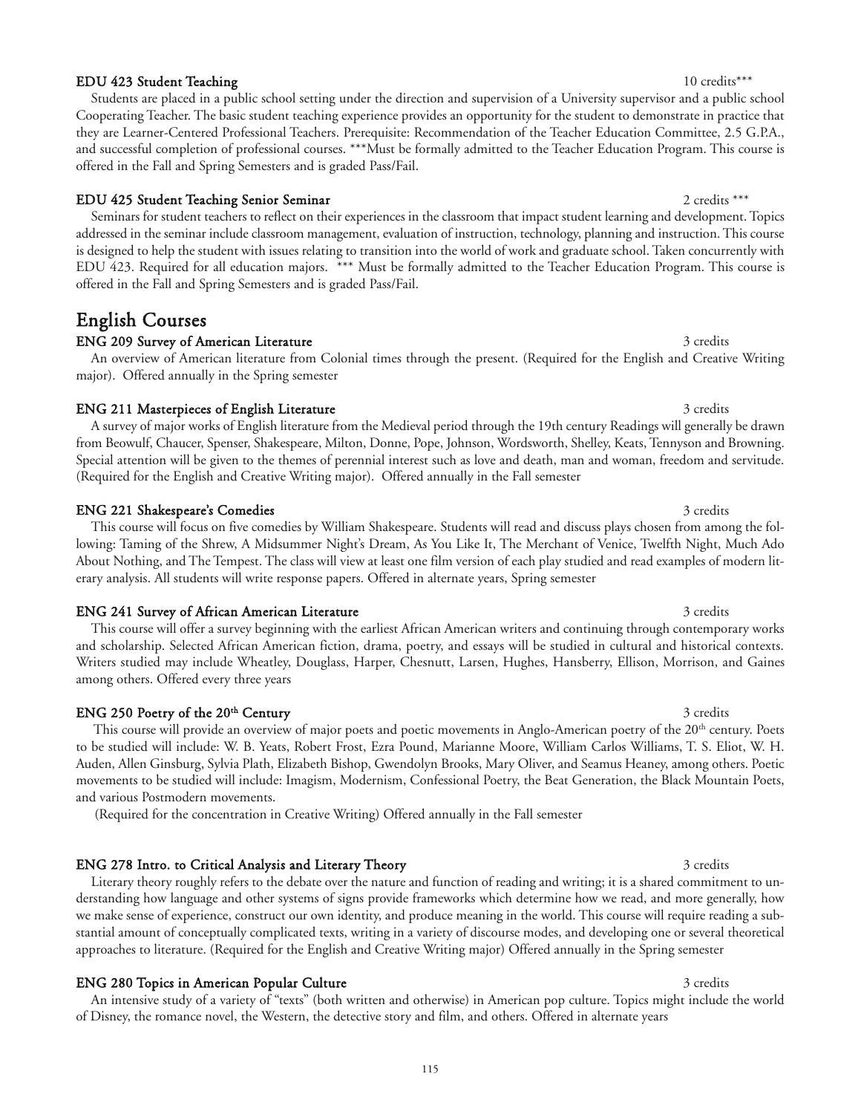### EDU 423 Student Teaching 10 credits\*\*\*

Students are placed in a public school setting under the direction and supervision of a University supervisor and a public school Cooperating Teacher. The basic student teaching experience provides an opportunity for the student to demonstrate in practice that they are Learner-Centered Professional Teachers. Prerequisite: Recommendation of the Teacher Education Committee, 2.5 G.P.A., and successful completion of professional courses. \*\*\*Must be formally admitted to the Teacher Education Program. This course is offered in the Fall and Spring Semesters and is graded Pass/Fail.

### EDU 425 Student Teaching Senior Seminar 2 credits \*\*\*

Seminars for student teachers to reflect on their experiences in the classroom that impact student learning and development. Topics addressed in the seminar include classroom management, evaluation of instruction, technology, planning and instruction. This course is designed to help the student with issues relating to transition into the world of work and graduate school. Taken concurrently with EDU 423. Required for all education majors. \*\*\* Must be formally admitted to the Teacher Education Program. This course is offered in the Fall and Spring Semesters and is graded Pass/Fail.

## English Courses

### ENG 209 Survey of American Literature 3 credits 3 credits

An overview of American literature from Colonial times through the present. (Required for the English and Creative Writing major). Offered annually in the Spring semester

### ENG 211 Masterpieces of English Literature 3 credits 3 credits

A survey of major works of English literature from the Medieval period through the 19th century Readings will generally be drawn from Beowulf, Chaucer, Spenser, Shakespeare, Milton, Donne, Pope, Johnson, Wordsworth, Shelley, Keats, Tennyson and Browning. Special attention will be given to the themes of perennial interest such as love and death, man and woman, freedom and servitude. (Required for the English and Creative Writing major). Offered annually in the Fall semester

### ENG 221 Shakespeare's Comedies 3 credits 3 credits 3 credits 3 credits 3 credits 3 credits

This course will focus on five comedies by William Shakespeare. Students will read and discuss plays chosen from among the following: Taming of the Shrew, A Midsummer Night's Dream, As You Like It, The Merchant of Venice, Twelfth Night, Much Ado About Nothing, and The Tempest. The class will view at least one film version of each play studied and read examples of modern literary analysis. All students will write response papers. Offered in alternate years, Spring semester

### ENG 241 Survey of African American Literature 3 credits 3 credits

This course will offer a survey beginning with the earliest African American writers and continuing through contemporary works and scholarship. Selected African American fiction, drama, poetry, and essays will be studied in cultural and historical contexts. Writers studied may include Wheatley, Douglass, Harper, Chesnutt, Larsen, Hughes, Hansberry, Ellison, Morrison, and Gaines among others. Offered every three years

### ENG 250 Poetry of the 20<sup>th</sup> Century 3 credits 3 credits 3 credits

This course will provide an overview of major poets and poetic movements in Anglo-American poetry of the 20<sup>th</sup> century. Poets to be studied will include: W. B. Yeats, Robert Frost, Ezra Pound, Marianne Moore, William Carlos Williams, T. S. Eliot, W. H. Auden, Allen Ginsburg, Sylvia Plath, Elizabeth Bishop, Gwendolyn Brooks, Mary Oliver, and Seamus Heaney, among others. Poetic movements to be studied will include: Imagism, Modernism, Confessional Poetry, the Beat Generation, the Black Mountain Poets, and various Postmodern movements.

(Required for the concentration in Creative Writing) Offered annually in the Fall semester

### ENG 278 Intro. to Critical Analysis and Literary Theory 3 credits 3 credits

Literary theory roughly refers to the debate over the nature and function of reading and writing; it is a shared commitment to understanding how language and other systems of signs provide frameworks which determine how we read, and more generally, how we make sense of experience, construct our own identity, and produce meaning in the world. This course will require reading a substantial amount of conceptually complicated texts, writing in a variety of discourse modes, and developing one or several theoretical approaches to literature. (Required for the English and Creative Writing major) Offered annually in the Spring semester

### ENG 280 Topics in American Popular Culture 3 credits 3 credits 3 credits

An intensive study of a variety of "texts" (both written and otherwise) in American pop culture. Topics might include the world of Disney, the romance novel, the Western, the detective story and film, and others. Offered in alternate years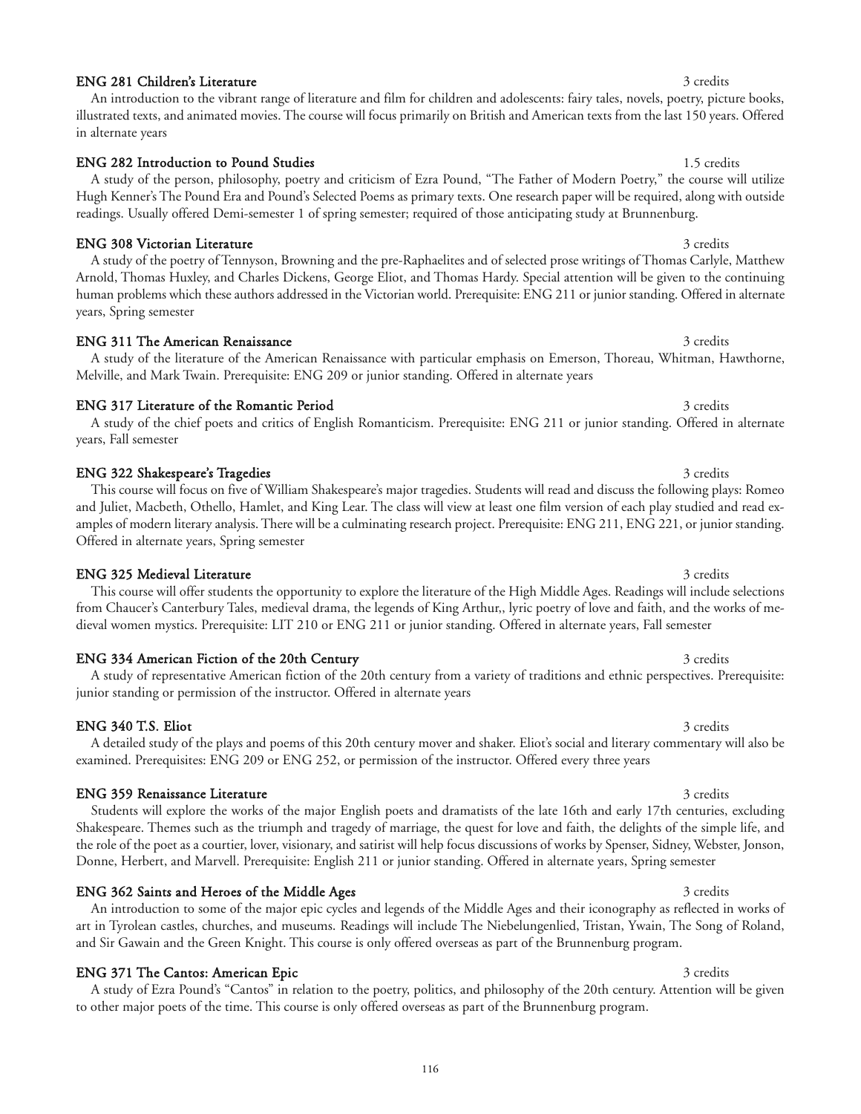### ENG 281 Children's Literature 3 credits 3 credits

in alternate years

### ENG 282 Introduction to Pound Studies 1.5 credits 1.5 credits

### A study of the person, philosophy, poetry and criticism of Ezra Pound, "The Father of Modern Poetry," the course will utilize Hugh Kenner's The Pound Era and Pound's Selected Poems as primary texts. One research paper will be required, along with outside readings. Usually offered Demi-semester 1 of spring semester; required of those anticipating study at Brunnenburg.

An introduction to the vibrant range of literature and film for children and adolescents: fairy tales, novels, poetry, picture books, illustrated texts, and animated movies. The course will focus primarily on British and American texts from the last 150 years. Offered

### ENG 308 Victorian Literature 3 credits 3 credits 3 credits 3 credits 3 credits 3 credits 3 credits 3 credits 3 credits 3 credits 3 credits 3 credits 3 credits 3 credits 3 credits 3 credits 3 credits 3 credits 3 credits 3 c

A study of the poetry of Tennyson, Browning and the pre-Raphaelites and of selected prose writings of Thomas Carlyle, Matthew Arnold, Thomas Huxley, and Charles Dickens, George Eliot, and Thomas Hardy. Special attention will be given to the continuing human problems which these authors addressed in the Victorian world. Prerequisite: ENG 211 or junior standing. Offered in alternate years, Spring semester

### ENG 311 The American Renaissance 3 credits 3 credits 3 credits

### A study of the literature of the American Renaissance with particular emphasis on Emerson, Thoreau, Whitman, Hawthorne, Melville, and Mark Twain. Prerequisite: ENG 209 or junior standing. Offered in alternate years

### ENG 317 Literature of the Romantic Period 3 credits 3 credits 3 credits

### A study of the chief poets and critics of English Romanticism. Prerequisite: ENG 211 or junior standing. Offered in alternate years, Fall semester

### ENG 322 Shakespeare's Tragedies 3 credits 3 credits 3 credits

### This course will focus on five of William Shakespeare's major tragedies. Students will read and discuss the following plays: Romeo and Juliet, Macbeth, Othello, Hamlet, and King Lear. The class will view at least one film version of each play studied and read examples of modern literary analysis. There will be a culminating research project. Prerequisite: ENG 211, ENG 221, or junior standing. Offered in alternate years, Spring semester

### This course will offer students the opportunity to explore the literature of the High Middle Ages. Readings will include selections from Chaucer's Canterbury Tales, medieval drama, the legends of King Arthur,, lyric poetry of love and faith, and the works of medieval women mystics. Prerequisite: LIT 210 or ENG 211 or junior standing. Offered in alternate years, Fall semester

ENG 334 American Fiction of the 20th Century 3 credits 3 credits 3 credits A study of representative American fiction of the 20th century from a variety of traditions and ethnic perspectives. Prerequisite: junior standing or permission of the instructor. Offered in alternate years

#### ENG 340 T.S. Eliot 3 credits 3 credits 3 credits 3 credits 3 credits 3 credits 3 credits 3 credits 3 credits 3 credits 3 credits 3 credits 3 credits 3 credits 3 credits 3 credits 3 credits 3 credits 3 credits 3 credits 3 c

### A detailed study of the plays and poems of this 20th century mover and shaker. Eliot's social and literary commentary will also be examined. Prerequisites: ENG 209 or ENG 252, or permission of the instructor. Offered every three years

### ENG 359 Renaissance Literature 3 credits 3 credits 3 credits Students will explore the works of the major English poets and dramatists of the late 16th and early 17th centuries, excluding

Shakespeare. Themes such as the triumph and tragedy of marriage, the quest for love and faith, the delights of the simple life, and the role of the poet as a courtier, lover, visionary, and satirist will help focus discussions of works by Spenser, Sidney, Webster, Jonson, Donne, Herbert, and Marvell. Prerequisite: English 211 or junior standing. Offered in alternate years, Spring semester

### ENG 362 Saints and Heroes of the Middle Ages 3 credits 3 credits 3 credits

### An introduction to some of the major epic cycles and legends of the Middle Ages and their iconography as reflected in works of art in Tyrolean castles, churches, and museums. Readings will include The Niebelungenlied, Tristan, Ywain, The Song of Roland, and Sir Gawain and the Green Knight. This course is only offered overseas as part of the Brunnenburg program.

### ENG 371 The Cantos: American Epic 3 credits 3 credits 3 credits

A study of Ezra Pound's "Cantos" in relation to the poetry, politics, and philosophy of the 20th century. Attention will be given to other major poets of the time. This course is only offered overseas as part of the Brunnenburg program.

## ENG 325 Medieval Literature 3 credits and 2 credits and 3 credits 3 credits 3 credits 3 credits 3 credits 3 credits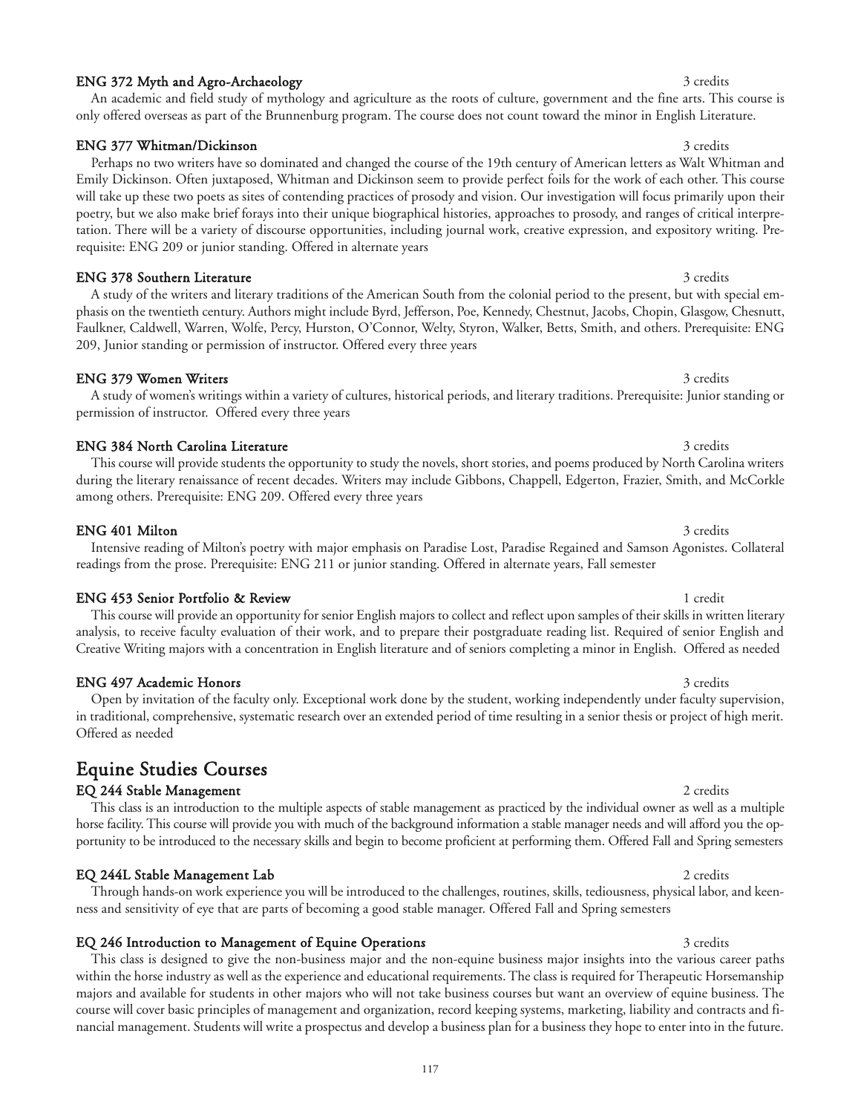### ENG 372 Myth and Agro-Archaeology 3 credits 3 credits 3 credits

An academic and field study of mythology and agriculture as the roots of culture, government and the fine arts. This course is only offered overseas as part of the Brunnenburg program. The course does not count toward the minor in English Literature.

### ENG 377 Whitman/Dickinson 3 credits 3 credits 3 credits

Perhaps no two writers have so dominated and changed the course of the 19th century of American letters as Walt Whitman and Emily Dickinson. Often juxtaposed, Whitman and Dickinson seem to provide perfect foils for the work of each other. This course will take up these two poets as sites of contending practices of prosody and vision. Our investigation will focus primarily upon their poetry, but we also make brief forays into their unique biographical histories, approaches to prosody, and ranges of critical interpretation. There will be a variety of discourse opportunities, including journal work, creative expression, and expository writing. Prerequisite: ENG 209 or junior standing. Offered in alternate years

### ENG 378 Southern Literature 3 credits 3 credits

A study of the writers and literary traditions of the American South from the colonial period to the present, but with special emphasis on the twentieth century. Authors might include Byrd, Jefferson, Poe, Kennedy, Chestnut, Jacobs, Chopin, Glasgow, Chesnutt, Faulkner, Caldwell, Warren, Wolfe, Percy, Hurston, O'Connor, Welty, Styron, Walker, Betts, Smith, and others. Prerequisite: ENG 209, Junior standing or permission of instructor. Offered every three years

A study of women's writings within a variety of cultures, historical periods, and literary traditions. Prerequisite: Junior standing or

This course will provide students the opportunity to study the novels, short stories, and poems produced by North Carolina writers during the literary renaissance of recent decades. Writers may include Gibbons, Chappell, Edgerton, Frazier, Smith, and McCorkle

### ENG 379 Women Writers 3 credits 3 credits 3 credits 3 credits 3 credits 3 credits 3 credits 3 credits 3 credits

## ENG 384 North Carolina Literature 3 credits 3 credits 3 credits 3 credits

permission of instructor. Offered every three years

## among others. Prerequisite: ENG 209. Offered every three years

ENG 401 Milton 3 credits

Intensive reading of Milton's poetry with major emphasis on Paradise Lost, Paradise Regained and Samson Agonistes. Collateral readings from the prose. Prerequisite: ENG 211 or junior standing. Offered in alternate years, Fall semester

#### ENG 453 Senior Portfolio & Review 1 credit 1 credit 1 credit

This course will provide an opportunity for senior English majors to collect and reflect upon samples of their skills in written literary analysis, to receive faculty evaluation of their work, and to prepare their postgraduate reading list. Required of senior English and Creative Writing majors with a concentration in English literature and of seniors completing a minor in English. Offered as needed

### ENG 497 Academic Honors 3 credits 3 credits

Open by invitation of the faculty only. Exceptional work done by the student, working independently under faculty supervision, in traditional, comprehensive, systematic research over an extended period of time resulting in a senior thesis or project of high merit. Offered as needed

## Equine Studies Courses

### EQ 244 Stable Management 2 credits 2 credits

This class is an introduction to the multiple aspects of stable management as practiced by the individual owner as well as a multiple horse facility. This course will provide you with much of the background information a stable manager needs and will afford you the opportunity to be introduced to the necessary skills and begin to become proficient at performing them. Offered Fall and Spring semesters

Through hands-on work experience you will be introduced to the challenges, routines, skills, tediousness, physical labor, and keen-

### EQ 244L Stable Management Lab 2 credits 2 credits

ness and sensitivity of eye that are parts of becoming a good stable manager. Offered Fall and Spring semesters

EQ 246 Introduction to Management of Equine Operations 3 credits 3 credits This class is designed to give the non-business major and the non-equine business major insights into the various career paths within the horse industry as well as the experience and educational requirements. The class is required for Therapeutic Horsemanship majors and available for students in other majors who will not take business courses but want an overview of equine business. The course will cover basic principles of management and organization, record keeping systems, marketing, liability and contracts and financial management. Students will write a prospectus and develop a business plan for a business they hope to enter into in the future.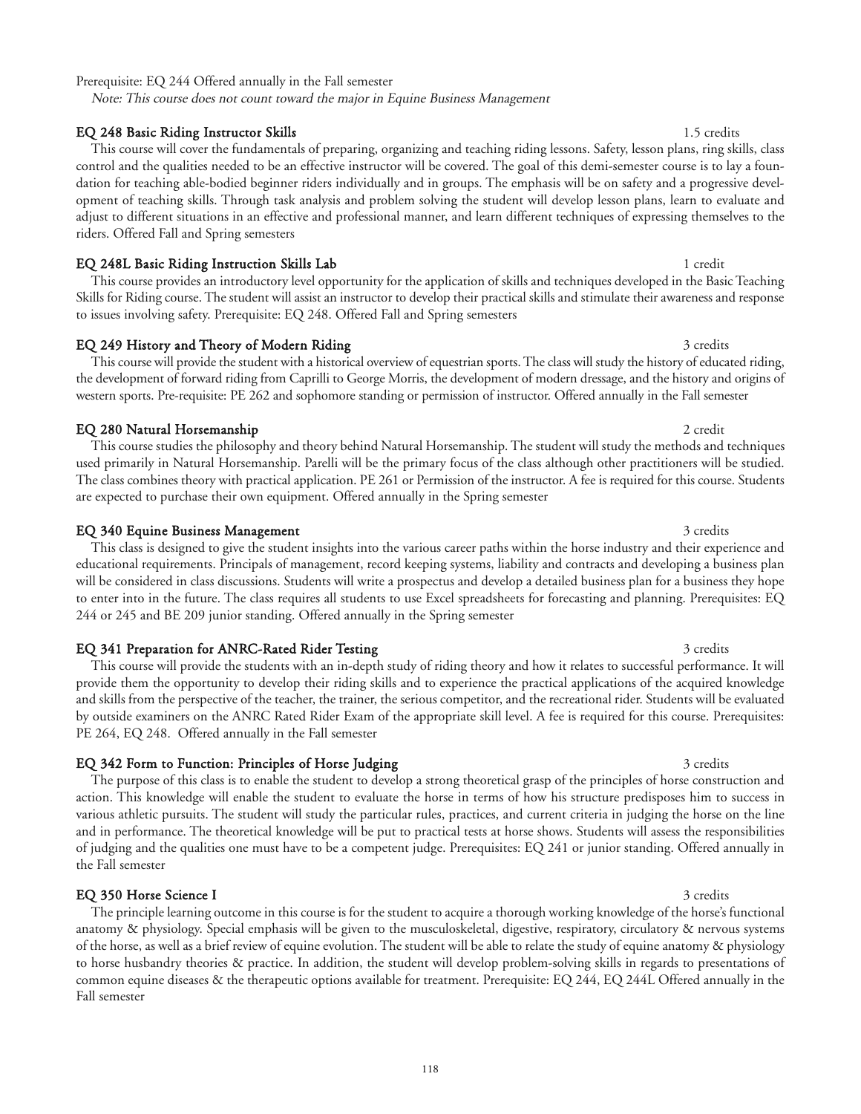### Prerequisite: EQ 244 Offered annually in the Fall semester

Note: This course does not count toward the major in Equine Business Management

### EQ 248 Basic Riding Instructor Skills 1.5 credits 1.5 credits

control and the qualities needed to be an effective instructor will be covered. The goal of this demi-semester course is to lay a foundation for teaching able-bodied beginner riders individually and in groups. The emphasis will be on safety and a progressive development of teaching skills. Through task analysis and problem solving the student will develop lesson plans, learn to evaluate and adjust to different situations in an effective and professional manner, and learn different techniques of expressing themselves to the riders. Offered Fall and Spring semesters

### EQ 248L Basic Riding Instruction Skills Lab 1 credit 1 credit

This course provides an introductory level opportunity for the application of skills and techniques developed in the Basic Teaching Skills for Riding course. The student will assist an instructor to develop their practical skills and stimulate their awareness and response to issues involving safety. Prerequisite: EQ 248. Offered Fall and Spring semesters

### EQ 249 History and Theory of Modern Riding 3 credits 3 credits 3 credits

### This course will provide the student with a historical overview of equestrian sports. The class will study the history of educated riding, the development of forward riding from Caprilli to George Morris, the development of modern dressage, and the history and origins of western sports. Pre-requisite: PE 262 and sophomore standing or permission of instructor. Offered annually in the Fall semester

### **EQ 280 Natural Horsemanship 2 credit and 2 credit and 2 credit and 2 credit and 3 credit and 3 credit and 3 credit and 3 credit and 3 credit and 3 credit and 3 credit and 3 credit and 3 credit and 3 credit and 3 credit an**

This course studies the philosophy and theory behind Natural Horsemanship. The student will study the methods and techniques used primarily in Natural Horsemanship. Parelli will be the primary focus of the class although other practitioners will be studied. The class combines theory with practical application. PE 261 or Permission of the instructor. A fee is required for this course. Students are expected to purchase their own equipment. Offered annually in the Spring semester

### EQ 340 Equine Business Management 3 credits 3 credits

This class is designed to give the student insights into the various career paths within the horse industry and their experience and educational requirements. Principals of management, record keeping systems, liability and contracts and developing a business plan will be considered in class discussions. Students will write a prospectus and develop a detailed business plan for a business they hope to enter into in the future. The class requires all students to use Excel spreadsheets for forecasting and planning. Prerequisites: EQ 244 or 245 and BE 209 junior standing. Offered annually in the Spring semester

### EQ 341 Preparation for ANRC-Rated Rider Testing 3 credits 3 credits

This course will provide the students with an in-depth study of riding theory and how it relates to successful performance. It will provide them the opportunity to develop their riding skills and to experience the practical applications of the acquired knowledge and skills from the perspective of the teacher, the trainer, the serious competitor, and the recreational rider. Students will be evaluated by outside examiners on the ANRC Rated Rider Exam of the appropriate skill level. A fee is required for this course. Prerequisites: PE 264, EQ 248. Offered annually in the Fall semester

### EQ 342 Form to Function: Principles of Horse Judging 3 credits 3 credits

The purpose of this class is to enable the student to develop a strong theoretical grasp of the principles of horse construction and action. This knowledge will enable the student to evaluate the horse in terms of how his structure predisposes him to success in various athletic pursuits. The student will study the particular rules, practices, and current criteria in judging the horse on the line and in performance. The theoretical knowledge will be put to practical tests at horse shows. Students will assess the responsibilities of judging and the qualities one must have to be a competent judge. Prerequisites: EQ 241 or junior standing. Offered annually in the Fall semester

### **EQ 350 Horse Science I** 3 credits

The principle learning outcome in this course is for the student to acquire a thorough working knowledge of the horse's functional anatomy & physiology. Special emphasis will be given to the musculoskeletal, digestive, respiratory, circulatory & nervous systems of the horse, as well as a brief review of equine evolution. The student will be able to relate the study of equine anatomy & physiology to horse husbandry theories & practice. In addition, the student will develop problem-solving skills in regards to presentations of common equine diseases & the therapeutic options available for treatment. Prerequisite: EQ 244, EQ 244L Offered annually in the Fall semester

# This course will cover the fundamentals of preparing, organizing and teaching riding lessons. Safety, lesson plans, ring skills, class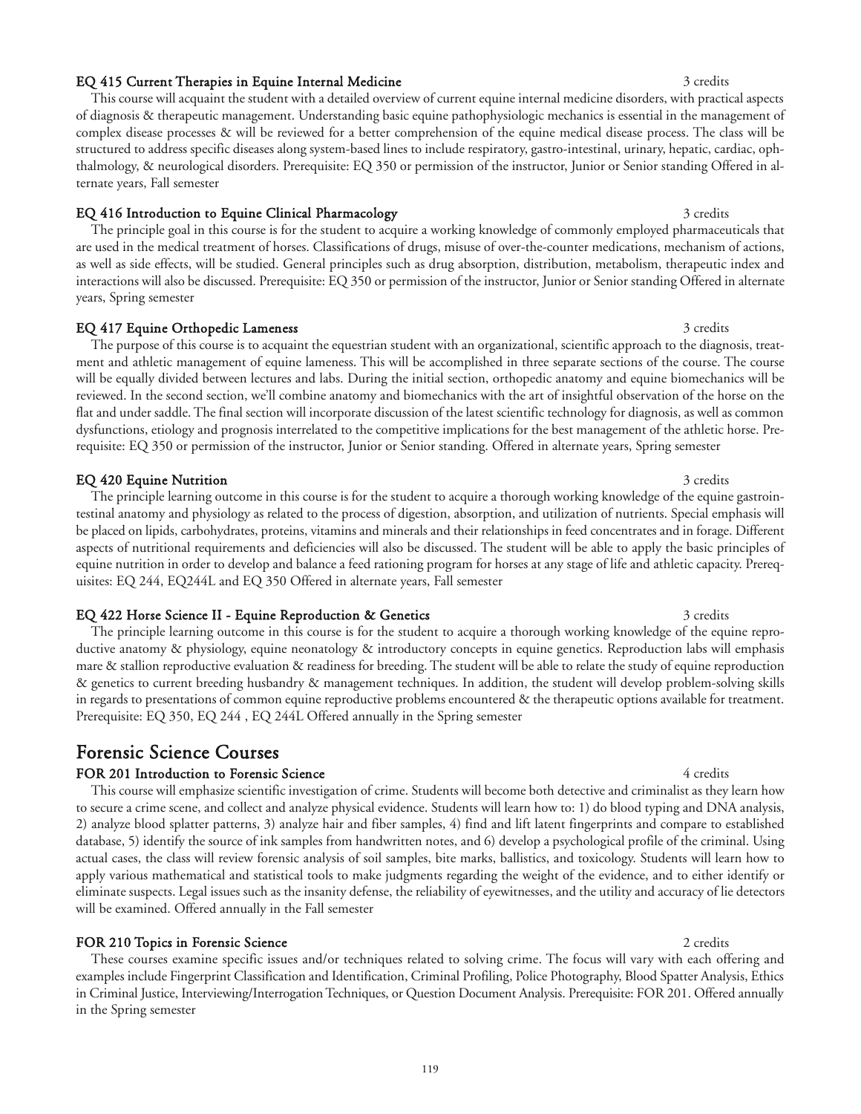### EQ 415 Current Therapies in Equine Internal Medicine 3 credits 3 credits

This course will acquaint the student with a detailed overview of current equine internal medicine disorders, with practical aspects of diagnosis & therapeutic management. Understanding basic equine pathophysiologic mechanics is essential in the management of complex disease processes & will be reviewed for a better comprehension of the equine medical disease process. The class will be structured to address specific diseases along system-based lines to include respiratory, gastro-intestinal, urinary, hepatic, cardiac, ophthalmology, & neurological disorders. Prerequisite: EQ 350 or permission of the instructor, Junior or Senior standing Offered in alternate years, Fall semester

### EQ 416 Introduction to Equine Clinical Pharmacology 3 credits 3 credits

The principle goal in this course is for the student to acquire a working knowledge of commonly employed pharmaceuticals that are used in the medical treatment of horses. Classifications of drugs, misuse of over-the-counter medications, mechanism of actions, as well as side effects, will be studied. General principles such as drug absorption, distribution, metabolism, therapeutic index and interactions will also be discussed. Prerequisite: EQ 350 or permission of the instructor, Junior or Senior standing Offered in alternate years, Spring semester

### EQ 417 Equine Orthopedic Lameness 3 credits 3 credits

The purpose of this course is to acquaint the equestrian student with an organizational, scientific approach to the diagnosis, treatment and athletic management of equine lameness. This will be accomplished in three separate sections of the course. The course will be equally divided between lectures and labs. During the initial section, orthopedic anatomy and equine biomechanics will be reviewed. In the second section, we'll combine anatomy and biomechanics with the art of insightful observation of the horse on the flat and under saddle. The final section will incorporate discussion of the latest scientific technology for diagnosis, as well as common dysfunctions, etiology and prognosis interrelated to the competitive implications for the best management of the athletic horse. Prerequisite: EQ 350 or permission of the instructor, Junior or Senior standing. Offered in alternate years, Spring semester

### **EQ 420 Equine Nutrition** 3 credits 3 credits

The principle learning outcome in this course is for the student to acquire a thorough working knowledge of the equine gastrointestinal anatomy and physiology as related to the process of digestion, absorption, and utilization of nutrients. Special emphasis will be placed on lipids, carbohydrates, proteins, vitamins and minerals and their relationships in feed concentrates and in forage. Different aspects of nutritional requirements and deficiencies will also be discussed. The student will be able to apply the basic principles of equine nutrition in order to develop and balance a feed rationing program for horses at any stage of life and athletic capacity. Prerequisites: EQ 244, EQ244L and EQ 350 Offered in alternate years, Fall semester

#### EQ 422 Horse Science II - Equine Reproduction & Genetics 3 credits 3 credits

The principle learning outcome in this course is for the student to acquire a thorough working knowledge of the equine reproductive anatomy & physiology, equine neonatology & introductory concepts in equine genetics. Reproduction labs will emphasis mare & stallion reproductive evaluation & readiness for breeding. The student will be able to relate the study of equine reproduction & genetics to current breeding husbandry & management techniques. In addition, the student will develop problem-solving skills in regards to presentations of common equine reproductive problems encountered & the therapeutic options available for treatment. Prerequisite: EQ 350, EQ 244 , EQ 244L Offered annually in the Spring semester

## Forensic Science Courses

### FOR 201 Introduction to Forensic Science 4 credits 4 credits 4 credits

This course will emphasize scientific investigation of crime. Students will become both detective and criminalist as they learn how to secure a crime scene, and collect and analyze physical evidence. Students will learn how to: 1) do blood typing and DNA analysis, 2) analyze blood splatter patterns, 3) analyze hair and fiber samples, 4) find and lift latent fingerprints and compare to established database, 5) identify the source of ink samples from handwritten notes, and 6) develop a psychological profile of the criminal. Using actual cases, the class will review forensic analysis of soil samples, bite marks, ballistics, and toxicology. Students will learn how to apply various mathematical and statistical tools to make judgments regarding the weight of the evidence, and to either identify or eliminate suspects. Legal issues such as the insanity defense, the reliability of eyewitnesses, and the utility and accuracy of lie detectors will be examined. Offered annually in the Fall semester

### FOR 210 Topics in Forensic Science 2 credits 2 credits 2 credits

These courses examine specific issues and/or techniques related to solving crime. The focus will vary with each offering and examples include Fingerprint Classification and Identification, Criminal Profiling, Police Photography, Blood Spatter Analysis, Ethics in Criminal Justice, Interviewing/Interrogation Techniques, or Question Document Analysis. Prerequisite: FOR 201. Offered annually in the Spring semester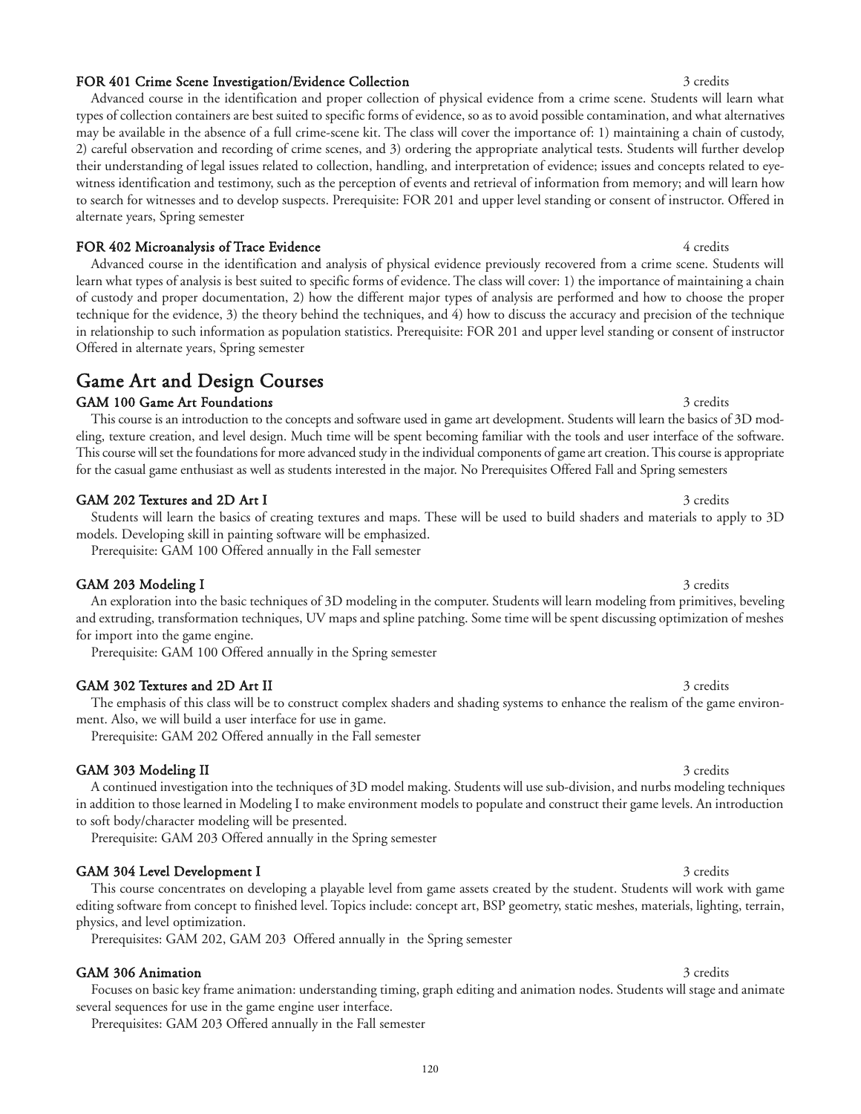### FOR 401 Crime Scene Investigation/Evidence Collection 3 credits 3 credits

Advanced course in the identification and proper collection of physical evidence from a crime scene. Students will learn what types of collection containers are best suited to specific forms of evidence, so as to avoid possible contamination, and what alternatives may be available in the absence of a full crime-scene kit. The class will cover the importance of: 1) maintaining a chain of custody, 2) careful observation and recording of crime scenes, and 3) ordering the appropriate analytical tests. Students will further develop their understanding of legal issues related to collection, handling, and interpretation of evidence; issues and concepts related to eyewitness identification and testimony, such as the perception of events and retrieval of information from memory; and will learn how to search for witnesses and to develop suspects. Prerequisite: FOR 201 and upper level standing or consent of instructor. Offered in alternate years, Spring semester

### FOR 402 Microanalysis of Trace Evidence 4 credits and the state 4 credits of 4 credits

Advanced course in the identification and analysis of physical evidence previously recovered from a crime scene. Students will learn what types of analysis is best suited to specific forms of evidence. The class will cover: 1) the importance of maintaining a chain of custody and proper documentation, 2) how the different major types of analysis are performed and how to choose the proper technique for the evidence, 3) the theory behind the techniques, and 4) how to discuss the accuracy and precision of the technique in relationship to such information as population statistics. Prerequisite: FOR 201 and upper level standing or consent of instructor Offered in alternate years, Spring semester

## Game Art and Design Courses

## GAM 100 Game Art Foundations 3 credits 3 credits

This course is an introduction to the concepts and software used in game art development. Students will learn the basics of 3D modeling, texture creation, and level design. Much time will be spent becoming familiar with the tools and user interface of the software. This course will set the foundations for more advanced study in the individual components of game art creation. This course is appropriate for the casual game enthusiast as well as students interested in the major. No Prerequisites Offered Fall and Spring semesters

## GAM 202 Textures and 2D Art I 3 credits

Students will learn the basics of creating textures and maps. These will be used to build shaders and materials to apply to 3D models. Developing skill in painting software will be emphasized.

Prerequisite: GAM 100 Offered annually in the Fall semester

## GAM 203 Modeling I 3 credits

An exploration into the basic techniques of 3D modeling in the computer. Students will learn modeling from primitives, beveling and extruding, transformation techniques, UV maps and spline patching. Some time will be spent discussing optimization of meshes for import into the game engine.

Prerequisite: GAM 100 Offered annually in the Spring semester

## GAM 302 Textures and 2D Art II 3 credits 3 credits

The emphasis of this class will be to construct complex shaders and shading systems to enhance the realism of the game environment. Also, we will build a user interface for use in game.

Prerequisite: GAM 202 Offered annually in the Fall semester

## GAM 303 Modeling II 3 credits 3 credits

A continued investigation into the techniques of 3D model making. Students will use sub-division, and nurbs modeling techniques in addition to those learned in Modeling I to make environment models to populate and construct their game levels. An introduction to soft body/character modeling will be presented.

Prerequisite: GAM 203 Offered annually in the Spring semester

## GAM 304 Level Development I 3 credits 3 credits

This course concentrates on developing a playable level from game assets created by the student. Students will work with game editing software from concept to finished level. Topics include: concept art, BSP geometry, static meshes, materials, lighting, terrain, physics, and level optimization.

Prerequisites: GAM 202, GAM 203 Offered annually in the Spring semester

## GAM 306 Animation 3 credits 3 credits

Focuses on basic key frame animation: understanding timing, graph editing and animation nodes. Students will stage and animate several sequences for use in the game engine user interface.

Prerequisites: GAM 203 Offered annually in the Fall semester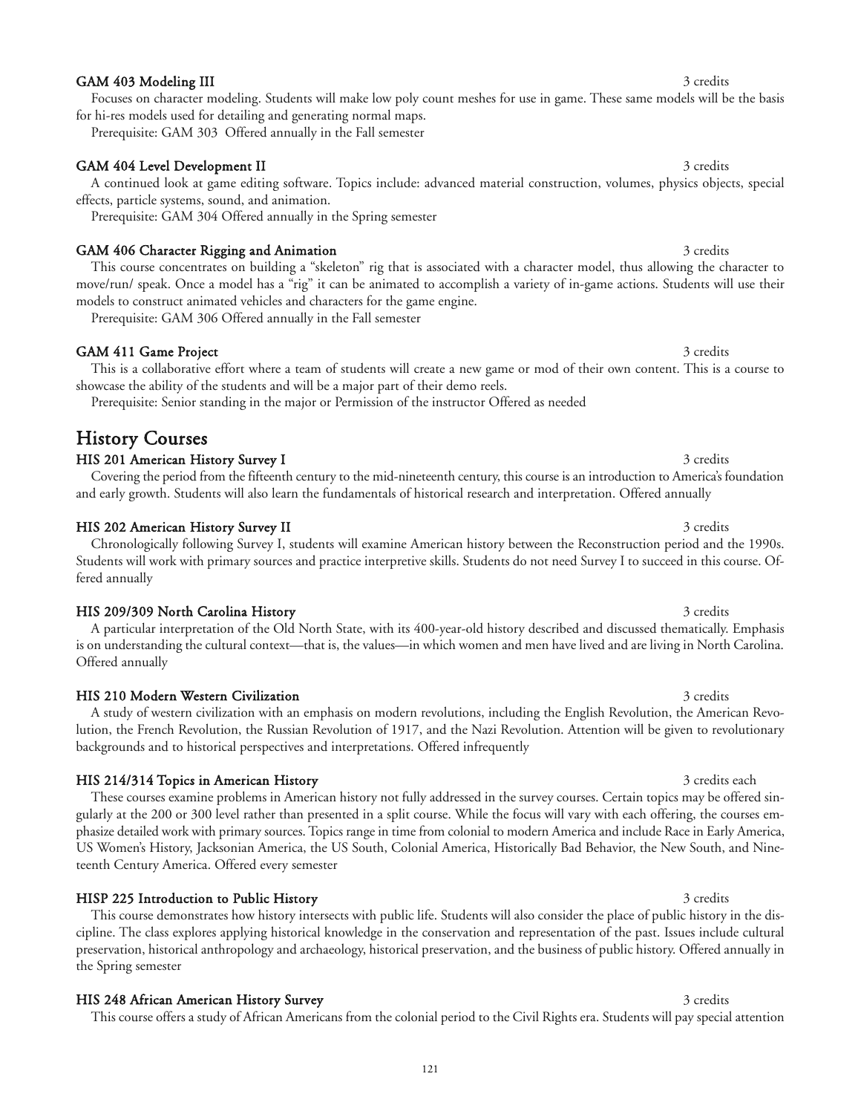### GAM 403 Modeling III 3 credits

Focuses on character modeling. Students will make low poly count meshes for use in game. These same models will be the basis for hi-res models used for detailing and generating normal maps.

Prerequisite: GAM 303 Offered annually in the Fall semester

### GAM 404 Level Development II 3 credits

A continued look at game editing software. Topics include: advanced material construction, volumes, physics objects, special effects, particle systems, sound, and animation.

Prerequisite: GAM 304 Offered annually in the Spring semester

### GAM 406 Character Rigging and Animation 3 credits 3 credits

This course concentrates on building a "skeleton" rig that is associated with a character model, thus allowing the character to move/run/ speak. Once a model has a "rig" it can be animated to accomplish a variety of in-game actions. Students will use their models to construct animated vehicles and characters for the game engine.

Prerequisite: GAM 306 Offered annually in the Fall semester

### GAM 411 Game Project 3 credits

This is a collaborative effort where a team of students will create a new game or mod of their own content. This is a course to showcase the ability of the students and will be a major part of their demo reels.

Prerequisite: Senior standing in the major or Permission of the instructor Offered as needed

## History Courses

### HIS 201 American History Survey I 3 credits 3 credits

Covering the period from the fifteenth century to the mid-nineteenth century, this course is an introduction to America's foundation and early growth. Students will also learn the fundamentals of historical research and interpretation. Offered annually

### HIS 202 American History Survey II 3 credits 3 credits

### Chronologically following Survey I, students will examine American history between the Reconstruction period and the 1990s. Students will work with primary sources and practice interpretive skills. Students do not need Survey I to succeed in this course. Offered annually

### HIS 209/309 North Carolina History 3 credits 3 credits

A particular interpretation of the Old North State, with its 400-year-old history described and discussed thematically. Emphasis is on understanding the cultural context—that is, the values—in which women and men have lived and are living in North Carolina. Offered annually

### HIS 210 Modern Western Civilization 3 credits 3 credits

A study of western civilization with an emphasis on modern revolutions, including the English Revolution, the American Revolution, the French Revolution, the Russian Revolution of 1917, and the Nazi Revolution. Attention will be given to revolutionary backgrounds and to historical perspectives and interpretations. Offered infrequently

### HIS 214/314 Topics in American History 3 credits each 3 credits each 3 credits each

These courses examine problems in American history not fully addressed in the survey courses. Certain topics may be offered singularly at the 200 or 300 level rather than presented in a split course. While the focus will vary with each offering, the courses emphasize detailed work with primary sources. Topics range in time from colonial to modern America and include Race in Early America, US Women's History, Jacksonian America, the US South, Colonial America, Historically Bad Behavior, the New South, and Nineteenth Century America. Offered every semester

### HISP 225 Introduction to Public History 3 credits 3 credits

This course demonstrates how history intersects with public life. Students will also consider the place of public history in the discipline. The class explores applying historical knowledge in the conservation and representation of the past. Issues include cultural preservation, historical anthropology and archaeology, historical preservation, and the business of public history. Offered annually in the Spring semester

### HIS 248 African American History Survey 3 credits 3 credits 3 credits

This course offers a study of African Americans from the colonial period to the Civil Rights era. Students will pay special attention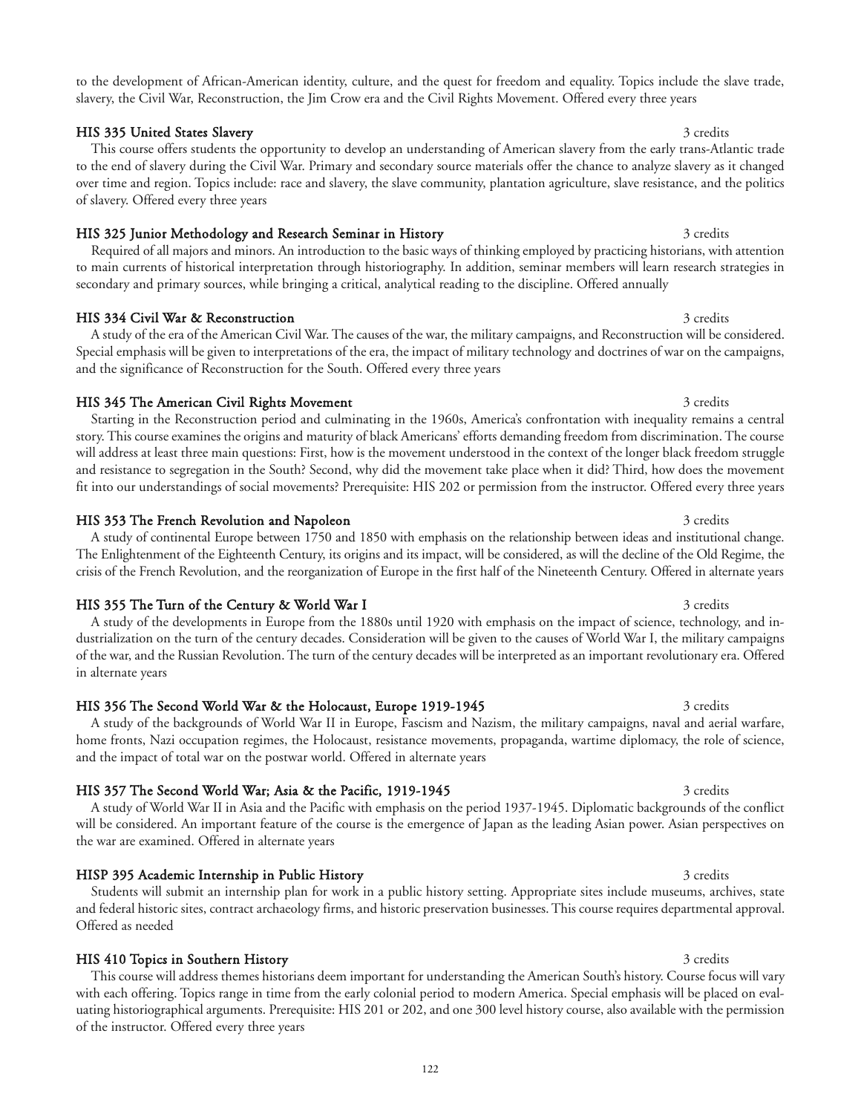to the development of African-American identity, culture, and the quest for freedom and equality. Topics include the slave trade, slavery, the Civil War, Reconstruction, the Jim Crow era and the Civil Rights Movement. Offered every three years

HIS 335 United States Slavery 3 credits 3 and 3 credits 3 credits 3 credits 3 credits 3 credits 3 credits 3 credits

This course offers students the opportunity to develop an understanding of American slavery from the early trans-Atlantic trade to the end of slavery during the Civil War. Primary and secondary source materials offer the chance to analyze slavery as it changed over time and region. Topics include: race and slavery, the slave community, plantation agriculture, slave resistance, and the politics of slavery. Offered every three years

### HIS 325 Junior Methodology and Research Seminar in History 3 credits 3 credits

Required of all majors and minors. An introduction to the basic ways of thinking employed by practicing historians, with attention to main currents of historical interpretation through historiography. In addition, seminar members will learn research strategies in secondary and primary sources, while bringing a critical, analytical reading to the discipline. Offered annually

### HIS 334 Civil War & Reconstruction 3 credits 3 credits 3 credits

A study of the era of the American Civil War. The causes of the war, the military campaigns, and Reconstruction will be considered. Special emphasis will be given to interpretations of the era, the impact of military technology and doctrines of war on the campaigns, and the significance of Reconstruction for the South. Offered every three years

### HIS 345 The American Civil Rights Movement 3 credits 3 credits 3 credits

Starting in the Reconstruction period and culminating in the 1960s, America's confrontation with inequality remains a central story. This course examines the origins and maturity of black Americans' efforts demanding freedom from discrimination. The course will address at least three main questions: First, how is the movement understood in the context of the longer black freedom struggle and resistance to segregation in the South? Second, why did the movement take place when it did? Third, how does the movement fit into our understandings of social movements? Prerequisite: HIS 202 or permission from the instructor. Offered every three years

#### HIS 353 The French Revolution and Napoleon 3 credits 3 credits 3 credits

### A study of continental Europe between 1750 and 1850 with emphasis on the relationship between ideas and institutional change. The Enlightenment of the Eighteenth Century, its origins and its impact, will be considered, as will the decline of the Old Regime, the crisis of the French Revolution, and the reorganization of Europe in the first half of the Nineteenth Century. Offered in alternate years

### HIS 355 The Turn of the Century & World War I 3 credits 3 credits

A study of the developments in Europe from the 1880s until 1920 with emphasis on the impact of science, technology, and industrialization on the turn of the century decades. Consideration will be given to the causes of World War I, the military campaigns of the war, and the Russian Revolution. The turn of the century decades will be interpreted as an important revolutionary era. Offered in alternate years

### HIS 356 The Second World War & the Holocaust, Europe 1919-1945 3 credits

A study of the backgrounds of World War II in Europe, Fascism and Nazism, the military campaigns, naval and aerial warfare, home fronts, Nazi occupation regimes, the Holocaust, resistance movements, propaganda, wartime diplomacy, the role of science, and the impact of total war on the postwar world. Offered in alternate years

### HIS 357 The Second World War; Asia & the Pacific, 1919-1945 3 credits

A study of World War II in Asia and the Pacific with emphasis on the period 1937-1945. Diplomatic backgrounds of the conflict will be considered. An important feature of the course is the emergence of Japan as the leading Asian power. Asian perspectives on the war are examined. Offered in alternate years

### HISP 395 Academic Internship in Public History 3 credits 3 credits 3 credits

Students will submit an internship plan for work in a public history setting. Appropriate sites include museums, archives, state and federal historic sites, contract archaeology firms, and historic preservation businesses. This course requires departmental approval. Offered as needed

HIS 410 Topics in Southern History 3 credits and the state of the state of the state of the state of the state of the state of the state of the state of the state of the state of the state of the state of the state of the This course will address themes historians deem important for understanding the American South's history. Course focus will vary with each offering. Topics range in time from the early colonial period to modern America. Special emphasis will be placed on evaluating historiographical arguments. Prerequisite: HIS 201 or 202, and one 300 level history course, also available with the permission of the instructor. Offered every three years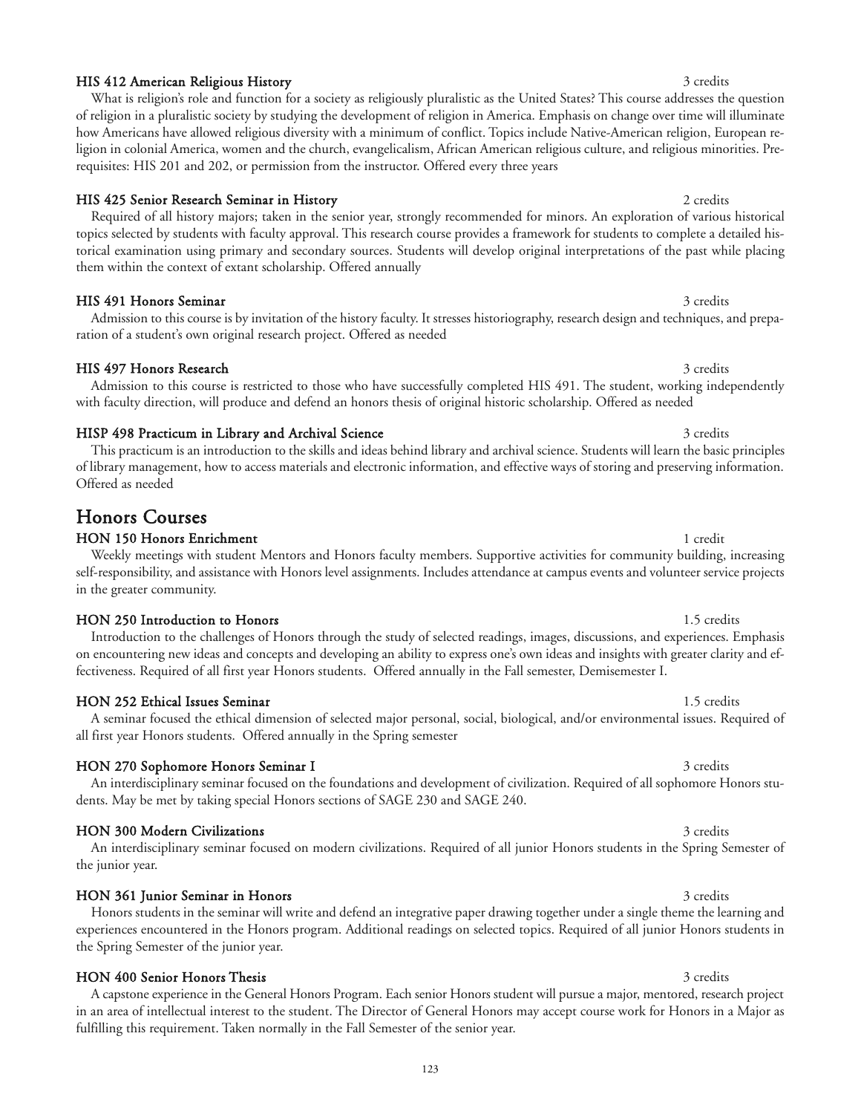### HIS 412 American Religious History 3 credits and the set of the set of the set of the set of the set of the set of the set of the set of the set of the set of the set of the set of the set of the set of the set of the set

What is religion's role and function for a society as religiously pluralistic as the United States? This course addresses the question of religion in a pluralistic society by studying the development of religion in America. Emphasis on change over time will illuminate how Americans have allowed religious diversity with a minimum of conflict. Topics include Native-American religion, European religion in colonial America, women and the church, evangelicalism, African American religious culture, and religious minorities. Prerequisites: HIS 201 and 202, or permission from the instructor. Offered every three years

### HIS 425 Senior Research Seminar in History 2 credits 2 credits 2 credits

Required of all history majors; taken in the senior year, strongly recommended for minors. An exploration of various historical topics selected by students with faculty approval. This research course provides a framework for students to complete a detailed historical examination using primary and secondary sources. Students will develop original interpretations of the past while placing them within the context of extant scholarship. Offered annually

### HIS 491 Honors Seminar and Seminar 3 credits and Seminary 3 credits and 3 credits and 3 credits and 3 credits

Admission to this course is by invitation of the history faculty. It stresses historiography, research design and techniques, and preparation of a student's own original research project. Offered as needed

Admission to this course is restricted to those who have successfully completed HIS 491. The student, working independently

with faculty direction, will produce and defend an honors thesis of original historic scholarship. Offered as needed

### HIS 497 Honors Research 3 credits 3 credits

### HISP 498 Practicum in Library and Archival Science 3 credits 3 credits

This practicum is an introduction to the skills and ideas behind library and archival science. Students will learn the basic principles of library management, how to access materials and electronic information, and effective ways of storing and preserving information. Offered as needed

## Honors Courses

## HON 150 Honors Enrichment 1 and 1 credit 1 credit 1 credit 1 credit 1 credit 1 credit

Weekly meetings with student Mentors and Honors faculty members. Supportive activities for community building, increasing self-responsibility, and assistance with Honors level assignments. Includes attendance at campus events and volunteer service projects in the greater community.

#### HON 250 Introduction to Honors and the set of the set of the set of the set of the set of the set of the set of the set of the set of the set of the set of the set of the set of the set of the set of the set of the set of

Introduction to the challenges of Honors through the study of selected readings, images, discussions, and experiences. Emphasis on encountering new ideas and concepts and developing an ability to express one's own ideas and insights with greater clarity and effectiveness. Required of all first year Honors students. Offered annually in the Fall semester, Demisemester I.

### HON 252 Ethical Issues Seminar 1.5 credits

### A seminar focused the ethical dimension of selected major personal, social, biological, and/or environmental issues. Required of all first year Honors students. Offered annually in the Spring semester

### HON 270 Sophomore Honors Seminar I 3 credits 3 credits

An interdisciplinary seminar focused on the foundations and development of civilization. Required of all sophomore Honors students. May be met by taking special Honors sections of SAGE 230 and SAGE 240.

#### HON 300 Modern Civilizations 3 credits

the junior year.

### HON 361 Junior Seminar in Honors 3 credits 3 credits 3 credits 3 credits 3 credits 3 credits 3 credits 3 credits 3 credits 3 credits 3 credits 3 credits 3 credits 3 credits 3 credits 3 credits 3 credits 3 credits 3 credits

the Spring Semester of the junior year.

## HON 400 Senior Honors Thesis 3 credits

A capstone experience in the General Honors Program. Each senior Honors student will pursue a major, mentored, research project in an area of intellectual interest to the student. The Director of General Honors may accept course work for Honors in a Major as fulfilling this requirement. Taken normally in the Fall Semester of the senior year.

Honors students in the seminar will write and defend an integrative paper drawing together under a single theme the learning and experiences encountered in the Honors program. Additional readings on selected topics. Required of all junior Honors students in

## An interdisciplinary seminar focused on modern civilizations. Required of all junior Honors students in the Spring Semester of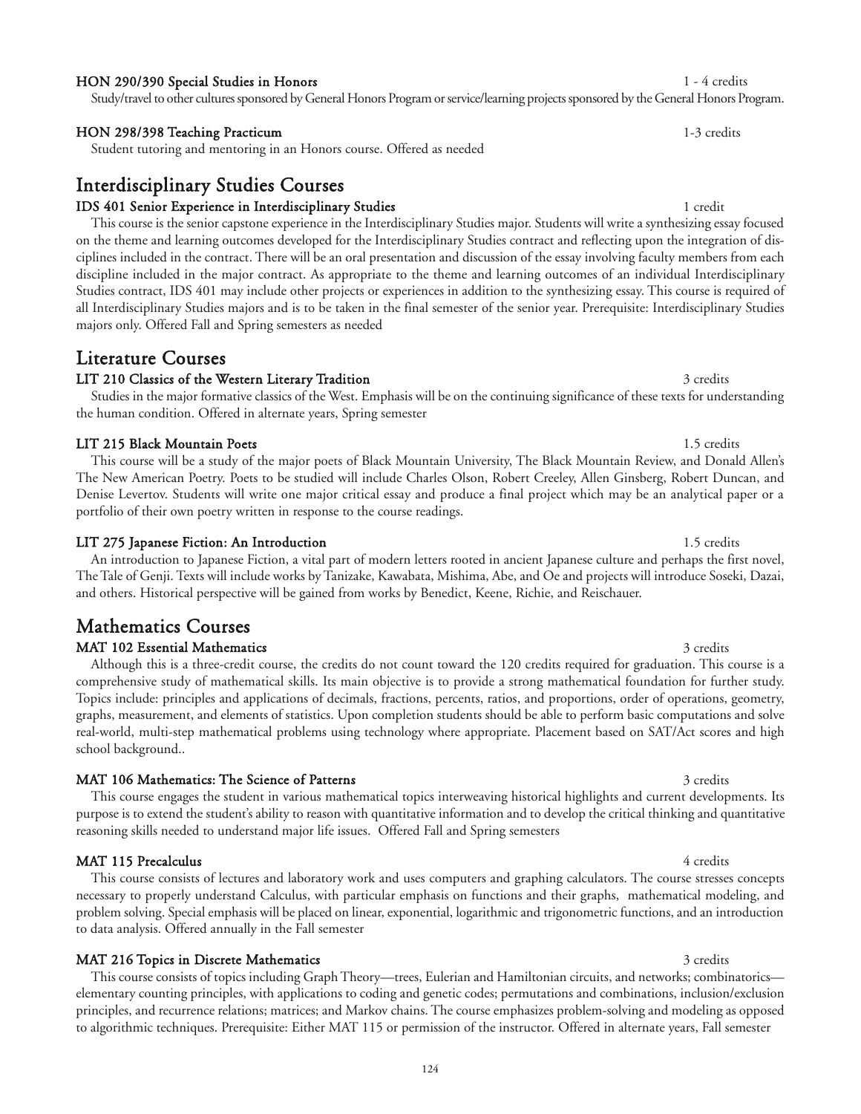#### HON 290/390 Special Studies in Honors 1 - 4 credits

Study/travel to other cultures sponsored by General Honors Program or service/learning projects sponsored by the General Honors Program.

#### HON 298/398 Teaching Practicum 1-3 credits

Student tutoring and mentoring in an Honors course. Offered as needed

## Interdisciplinary Studies Courses

#### IDS 401 Senior Experience in Interdisciplinary Studies 1 credit 1 credit 1 credit

This course is the senior capstone experience in the Interdisciplinary Studies major. Students will write a synthesizing essay focused on the theme and learning outcomes developed for the Interdisciplinary Studies contract and reflecting upon the integration of disciplines included in the contract. There will be an oral presentation and discussion of the essay involving faculty members from each discipline included in the major contract. As appropriate to the theme and learning outcomes of an individual Interdisciplinary Studies contract, IDS 401 may include other projects or experiences in addition to the synthesizing essay. This course is required of all Interdisciplinary Studies majors and is to be taken in the final semester of the senior year. Prerequisite: Interdisciplinary Studies majors only. Offered Fall and Spring semesters as needed

## Literature Courses

### LIT 210 Classics of the Western Literary Tradition 3 credits 3 credits

Studies in the major formative classics of the West. Emphasis will be on the continuing significance of these texts for understanding the human condition. Offered in alternate years, Spring semester

### LIT 215 Black Mountain Poets **1.5 credits** 1.5 credits

This course will be a study of the major poets of Black Mountain University, The Black Mountain Review, and Donald Allen's The New American Poetry. Poets to be studied will include Charles Olson, Robert Creeley, Allen Ginsberg, Robert Duncan, and Denise Levertov. Students will write one major critical essay and produce a final project which may be an analytical paper or a portfolio of their own poetry written in response to the course readings.

### LIT 275 Japanese Fiction: An Introduction 1.5 credits 1.5 credits

An introduction to Japanese Fiction, a vital part of modern letters rooted in ancient Japanese culture and perhaps the first novel, The Tale of Genji. Texts will include works by Tanizake, Kawabata, Mishima, Abe, and Oe and projects will introduce Soseki, Dazai, and others. Historical perspective will be gained from works by Benedict, Keene, Richie, and Reischauer.

# Mathematics Courses

#### MAT 102 Essential Mathematics 3 credits 3 credits

Although this is a three-credit course, the credits do not count toward the 120 credits required for graduation. This course is a comprehensive study of mathematical skills. Its main objective is to provide a strong mathematical foundation for further study. Topics include: principles and applications of decimals, fractions, percents, ratios, and proportions, order of operations, geometry, graphs, measurement, and elements of statistics. Upon completion students should be able to perform basic computations and solve real-world, multi-step mathematical problems using technology where appropriate. Placement based on SAT/Act scores and high school background..

#### MAT 106 Mathematics: The Science of Patterns 3 credits 3 credits 3 credits

This course engages the student in various mathematical topics interweaving historical highlights and current developments. Its purpose is to extend the student's ability to reason with quantitative information and to develop the critical thinking and quantitative reasoning skills needed to understand major life issues. Offered Fall and Spring semesters

### MAT 115 Precalculus 4 credits

### This course consists of lectures and laboratory work and uses computers and graphing calculators. The course stresses concepts necessary to properly understand Calculus, with particular emphasis on functions and their graphs, mathematical modeling, and problem solving. Special emphasis will be placed on linear, exponential, logarithmic and trigonometric functions, and an introduction to data analysis. Offered annually in the Fall semester

### MAT 216 Topics in Discrete Mathematics 3 credits 3 credits

This course consists of topics including Graph Theory—trees, Eulerian and Hamiltonian circuits, and networks; combinatorics elementary counting principles, with applications to coding and genetic codes; permutations and combinations, inclusion/exclusion principles, and recurrence relations; matrices; and Markov chains. The course emphasizes problem-solving and modeling as opposed to algorithmic techniques. Prerequisite: Either MAT 115 or permission of the instructor. Offered in alternate years, Fall semester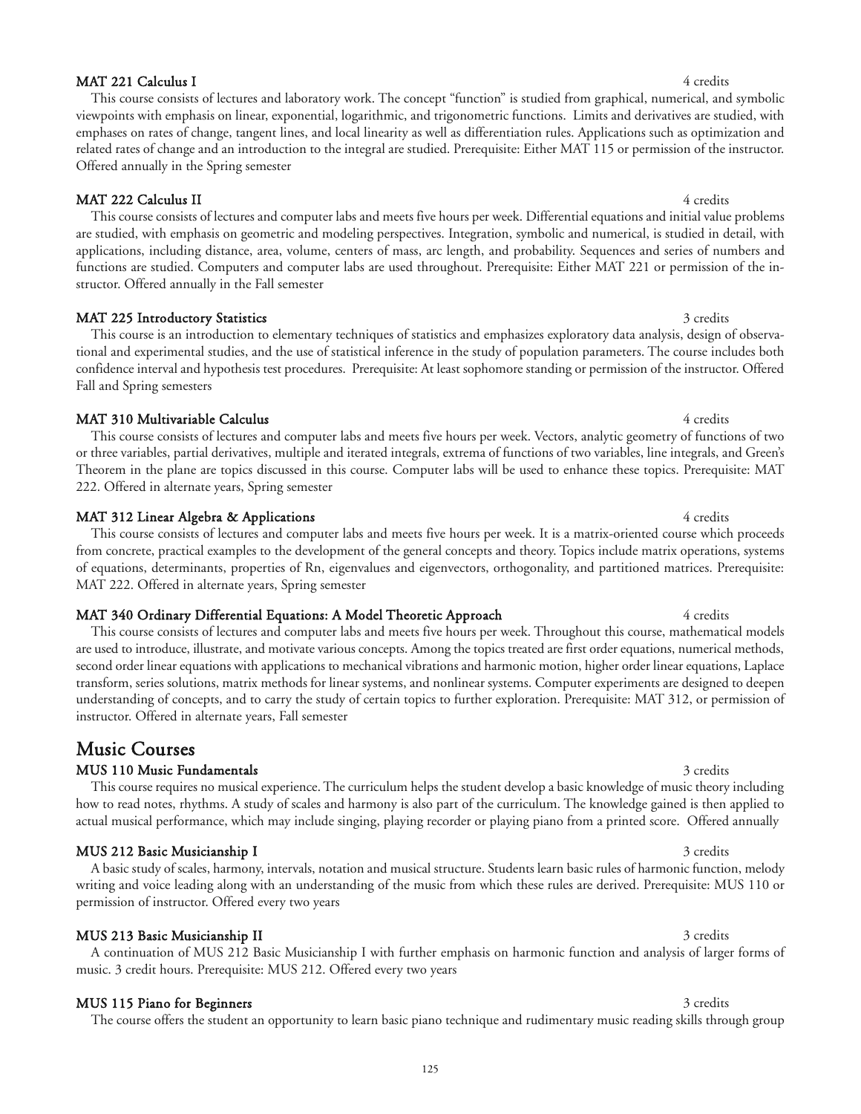### MAT 221 Calculus I 4 credits

This course consists of lectures and laboratory work. The concept "function" is studied from graphical, numerical, and symbolic viewpoints with emphasis on linear, exponential, logarithmic, and trigonometric functions. Limits and derivatives are studied, with emphases on rates of change, tangent lines, and local linearity as well as differentiation rules. Applications such as optimization and related rates of change and an introduction to the integral are studied. Prerequisite: Either MAT 115 or permission of the instructor. Offered annually in the Spring semester

### MAT 222 Calculus II 4 credits

This course consists of lectures and computer labs and meets five hours per week. Differential equations and initial value problems are studied, with emphasis on geometric and modeling perspectives. Integration, symbolic and numerical, is studied in detail, with applications, including distance, area, volume, centers of mass, arc length, and probability. Sequences and series of numbers and functions are studied. Computers and computer labs are used throughout. Prerequisite: Either MAT 221 or permission of the instructor. Offered annually in the Fall semester

This course is an introduction to elementary techniques of statistics and emphasizes exploratory data analysis, design of observational and experimental studies, and the use of statistical inference in the study of population parameters. The course includes both confidence interval and hypothesis test procedures. Prerequisite: At least sophomore standing or permission of the instructor. Offered

### MAT 225 Introductory Statistics 3 credits 3 credits 3 credits

### MAT 310 Multivariable Calculus 4 credits 4 credits 4 credits 4 credits 4 credits 4 credits 4 credits 4 credits

Fall and Spring semesters

This course consists of lectures and computer labs and meets five hours per week. Vectors, analytic geometry of functions of two or three variables, partial derivatives, multiple and iterated integrals, extrema of functions of two variables, line integrals, and Green's Theorem in the plane are topics discussed in this course. Computer labs will be used to enhance these topics. Prerequisite: MAT 222. Offered in alternate years, Spring semester

### MAT 312 Linear Algebra & Applications 4 credits 4 credits

This course consists of lectures and computer labs and meets five hours per week. It is a matrix-oriented course which proceeds from concrete, practical examples to the development of the general concepts and theory. Topics include matrix operations, systems of equations, determinants, properties of Rn, eigenvalues and eigenvectors, orthogonality, and partitioned matrices. Prerequisite: MAT 222. Offered in alternate years, Spring semester

### MAT 340 Ordinary Differential Equations: A Model Theoretic Approach 4 credits 4 credits

music. 3 credit hours. Prerequisite: MUS 212. Offered every two years

This course consists of lectures and computer labs and meets five hours per week. Throughout this course, mathematical models are used to introduce, illustrate, and motivate various concepts. Among the topics treated are first order equations, numerical methods, second order linear equations with applications to mechanical vibrations and harmonic motion, higher order linear equations, Laplace transform, series solutions, matrix methods for linear systems, and nonlinear systems. Computer experiments are designed to deepen understanding of concepts, and to carry the study of certain topics to further exploration. Prerequisite: MAT 312, or permission of instructor. Offered in alternate years, Fall semester

## Music Courses

### MUS 110 Music Fundamentals and the set of the set of the set of the set of the set of the set of the set of the set of the set of the set of the set of the set of the set of the set of the set of the set of the set of the

This course requires no musical experience. The curriculum helps the student develop a basic knowledge of music theory including how to read notes, rhythms. A study of scales and harmony is also part of the curriculum. The knowledge gained is then applied to actual musical performance, which may include singing, playing recorder or playing piano from a printed score. Offered annually

### MUS 212 Basic Musicianship I 3 credits

### A basic study of scales, harmony, intervals, notation and musical structure. Students learn basic rules of harmonic function, melody writing and voice leading along with an understanding of the music from which these rules are derived. Prerequisite: MUS 110 or permission of instructor. Offered every two years

### MUS 213 Basic Musicianship II 3 credits

## MUS 115 Piano for Beginners 3 credits 3 credits

The course offers the student an opportunity to learn basic piano technique and rudimentary music reading skills through group

A continuation of MUS 212 Basic Musicianship I with further emphasis on harmonic function and analysis of larger forms of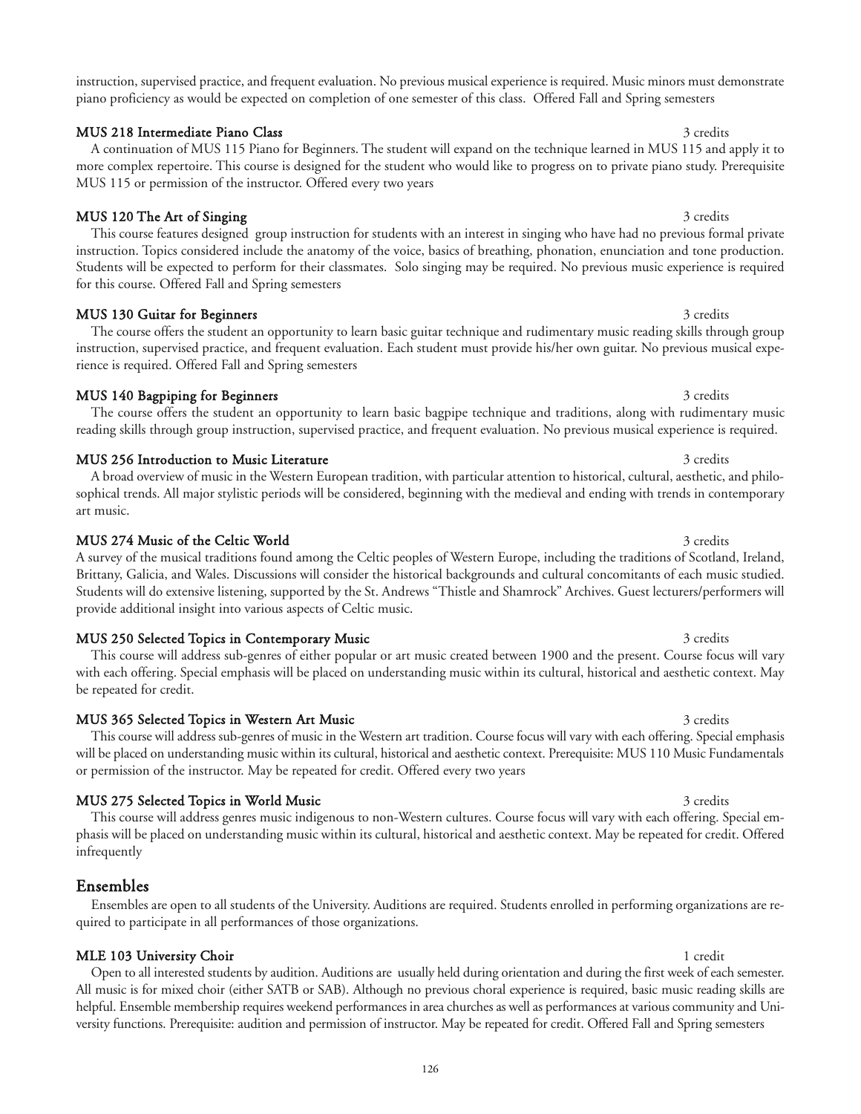instruction, supervised practice, and frequent evaluation. No previous musical experience is required. Music minors must demonstrate piano proficiency as would be expected on completion of one semester of this class. Offered Fall and Spring semesters

A continuation of MUS 115 Piano for Beginners. The student will expand on the technique learned in MUS 115 and apply it to

### MUS 218 Intermediate Piano Class 3 credits 3 credits 3 credits

more complex repertoire. This course is designed for the student who would like to progress on to private piano study. Prerequisite MUS 115 or permission of the instructor. Offered every two years MUS 120 The Art of Singing 3 credits 3 credits

This course features designed group instruction for students with an interest in singing who have had no previous formal private instruction. Topics considered include the anatomy of the voice, basics of breathing, phonation, enunciation and tone production. Students will be expected to perform for their classmates. Solo singing may be required. No previous music experience is required for this course. Offered Fall and Spring semesters

instruction, supervised practice, and frequent evaluation. Each student must provide his/her own guitar. No previous musical expe-

#### MUS 130 Guitar for Beginners and the set of the set of the set of the set of the set of the set of the set of the set of the set of the set of the set of the set of the set of the set of the set of the set of the set of th

### MUS 140 Bagpiping for Beginners 3 credits 3 credits 3 credits

The course offers the student an opportunity to learn basic bagpipe technique and traditions, along with rudimentary music reading skills through group instruction, supervised practice, and frequent evaluation. No previous musical experience is required.

### MUS 256 Introduction to Music Literature 3 credits 3 credits

rience is required. Offered Fall and Spring semesters

A broad overview of music in the Western European tradition, with particular attention to historical, cultural, aesthetic, and philosophical trends. All major stylistic periods will be considered, beginning with the medieval and ending with trends in contemporary art music.

#### MUS 274 Music of the Celtic World 3 credits 3 credits 3 credits

A survey of the musical traditions found among the Celtic peoples of Western Europe, including the traditions of Scotland, Ireland, Brittany, Galicia, and Wales. Discussions will consider the historical backgrounds and cultural concomitants of each music studied. Students will do extensive listening, supported by the St. Andrews "Thistle and Shamrock" Archives. Guest lecturers/performers will provide additional insight into various aspects of Celtic music.

#### MUS 250 Selected Topics in Contemporary Music 3 credits 3 credits 3 credits

This course will address sub-genres of either popular or art music created between 1900 and the present. Course focus will vary with each offering. Special emphasis will be placed on understanding music within its cultural, historical and aesthetic context. May be repeated for credit.

MUS 365 Selected Topics in Western Art Music 3 credits 3 credits 3 credits

This course will address sub-genres of music in the Western art tradition. Course focus will vary with each offering. Special emphasis will be placed on understanding music within its cultural, historical and aesthetic context. Prerequisite: MUS 110 Music Fundamentals or permission of the instructor. May be repeated for credit. Offered every two years

#### MUS 275 Selected Topics in World Music 3 credits 3 credits 3 credits

This course will address genres music indigenous to non-Western cultures. Course focus will vary with each offering. Special emphasis will be placed on understanding music within its cultural, historical and aesthetic context. May be repeated for credit. Offered infrequently

### Ensembles

### Ensembles are open to all students of the University. Auditions are required. Students enrolled in performing organizations are required to participate in all performances of those organizations.

### MLE 103 University Choir 1 and 1 credit 1 and 1 credit 1 credit 1 credit 1 credit 1 credit 1 credit 1 credit 1 credit 1 credit 1 credit 1 credit 1 credit 1 credit 1 credit 1 credit 1 credit 1 credit 1 credit 1 credit 1 cre

Open to all interested students by audition. Auditions are usually held during orientation and during the first week of each semester. All music is for mixed choir (either SATB or SAB). Although no previous choral experience is required, basic music reading skills are helpful. Ensemble membership requires weekend performances in area churches as well as performances at various community and University functions. Prerequisite: audition and permission of instructor. May be repeated for credit. Offered Fall and Spring semesters

# The course offers the student an opportunity to learn basic guitar technique and rudimentary music reading skills through group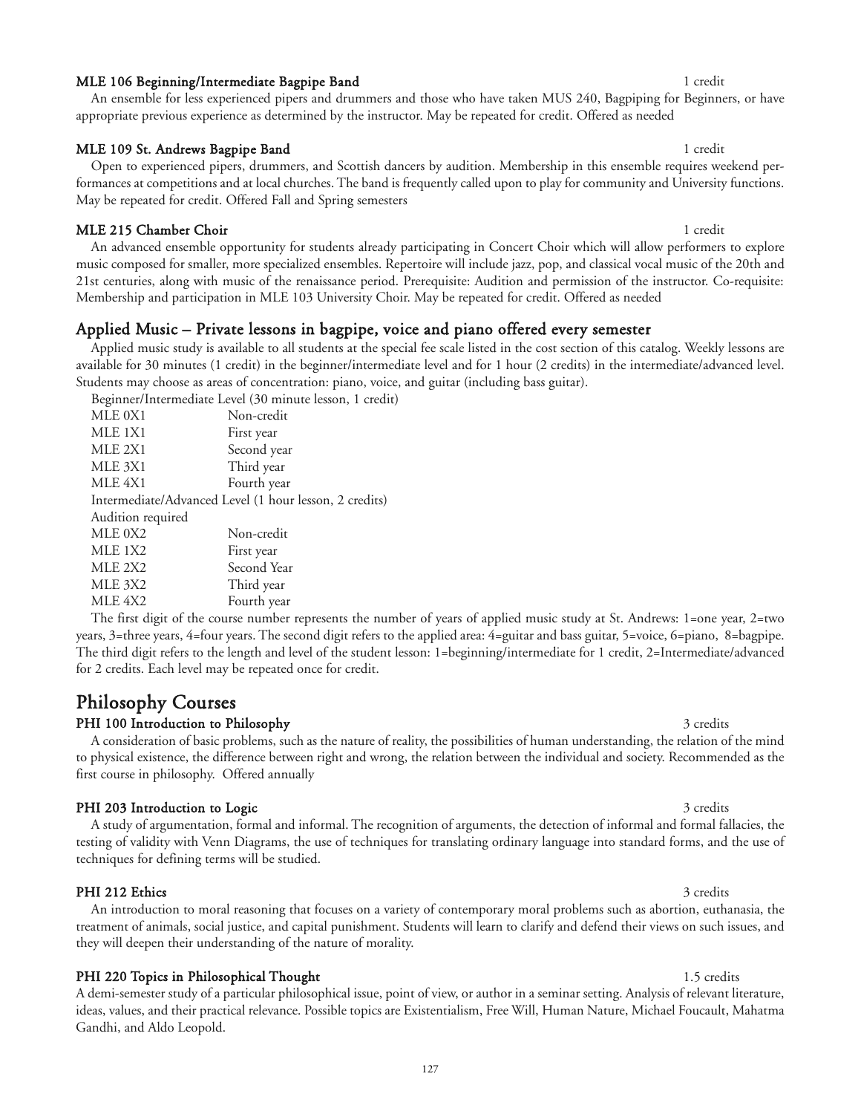#### MLE 106 Beginning/Intermediate Bagpipe Band 1 credit 1 credit 1 credit

#### MLE 109 St. Andrews Bagpipe Band 1 credit 1 credit 1 credit 1 credit 1 credit 1 credit 1 credit 1 credit 1 credit

### Open to experienced pipers, drummers, and Scottish dancers by audition. Membership in this ensemble requires weekend performances at competitions and at local churches. The band is frequently called upon to play for community and University functions. May be repeated for credit. Offered Fall and Spring semesters

An ensemble for less experienced pipers and drummers and those who have taken MUS 240, Bagpiping for Beginners, or have

### MLE 215 Chamber Choir 1 credit

An advanced ensemble opportunity for students already participating in Concert Choir which will allow performers to explore music composed for smaller, more specialized ensembles. Repertoire will include jazz, pop, and classical vocal music of the 20th and 21st centuries, along with music of the renaissance period. Prerequisite: Audition and permission of the instructor. Co-requisite: Membership and participation in MLE 103 University Choir. May be repeated for credit. Offered as needed

### Applied Music – Private lessons in bagpipe, voice and piano offered every semester

appropriate previous experience as determined by the instructor. May be repeated for credit. Offered as needed

Applied music study is available to all students at the special fee scale listed in the cost section of this catalog. Weekly lessons are available for 30 minutes (1 credit) in the beginner/intermediate level and for 1 hour (2 credits) in the intermediate/advanced level. Students may choose as areas of concentration: piano, voice, and guitar (including bass guitar).

Beginner/Intermediate Level (30 minute lesson, 1 credit)

| MLE 0X1                                                | Non-credit  |
|--------------------------------------------------------|-------------|
| MLE 1X1                                                | First year  |
| MLE 2X1                                                | Second year |
| MLE 3X1                                                | Third year  |
| MLE 4X1                                                | Fourth year |
| Intermediate/Advanced Level (1 hour lesson, 2 credits) |             |
| Audition required                                      |             |
| MLE 0X2                                                | Non-credit  |
| MLE 1X2                                                | First year  |
| MLE 2X2                                                | Second Year |
| MLE 3X2                                                | Third year  |
| MLE 4X2                                                | Fourth vear |

The first digit of the course number represents the number of years of applied music study at St. Andrews: 1=one year, 2=two years, 3=three years, 4=four years. The second digit refers to the applied area: 4=guitar and bass guitar, 5=voice, 6=piano, 8=bagpipe. The third digit refers to the length and level of the student lesson: 1=beginning/intermediate for 1 credit, 2=Intermediate/advanced for 2 credits. Each level may be repeated once for credit.

## Philosophy Courses

### PHI 100 Introduction to Philosophy 3 credits 3 credits

A consideration of basic problems, such as the nature of reality, the possibilities of human understanding, the relation of the mind to physical existence, the difference between right and wrong, the relation between the individual and society. Recommended as the first course in philosophy. Offered annually

### PHI 203 Introduction to Logic 3 credits 3 credits 3 credits 3 credits 3 credits 3 credits 3 credits 3 credits 3 credits 3 credits 3 credits 3 credits 3 credits 3 credits 3 credits 3 credits 3 credits 3 credits 3 credits 3

A study of argumentation, formal and informal. The recognition of arguments, the detection of informal and formal fallacies, the testing of validity with Venn Diagrams, the use of techniques for translating ordinary language into standard forms, and the use of techniques for defining terms will be studied.

An introduction to moral reasoning that focuses on a variety of contemporary moral problems such as abortion, euthanasia, the treatment of animals, social justice, and capital punishment. Students will learn to clarify and defend their views on such issues, and

#### PHI 212 Ethics 3 credits 3 credits 3 credits 3 credits 3 credits 3 credits 3 credits 3 credits 3 credits 3 credits 3 credits 3 credits 3 credits 3 credits 3 credits 3 credits 3 credits 3 credits 3 credits 3 credits 3 credi

### PHI 220 Topics in Philosophical Thought 1.5 credits 1.5 credits

they will deepen their understanding of the nature of morality.

A demi-semester study of a particular philosophical issue, point of view, or author in a seminar setting. Analysis of relevant literature, ideas, values, and their practical relevance. Possible topics are Existentialism, Free Will, Human Nature, Michael Foucault, Mahatma Gandhi, and Aldo Leopold.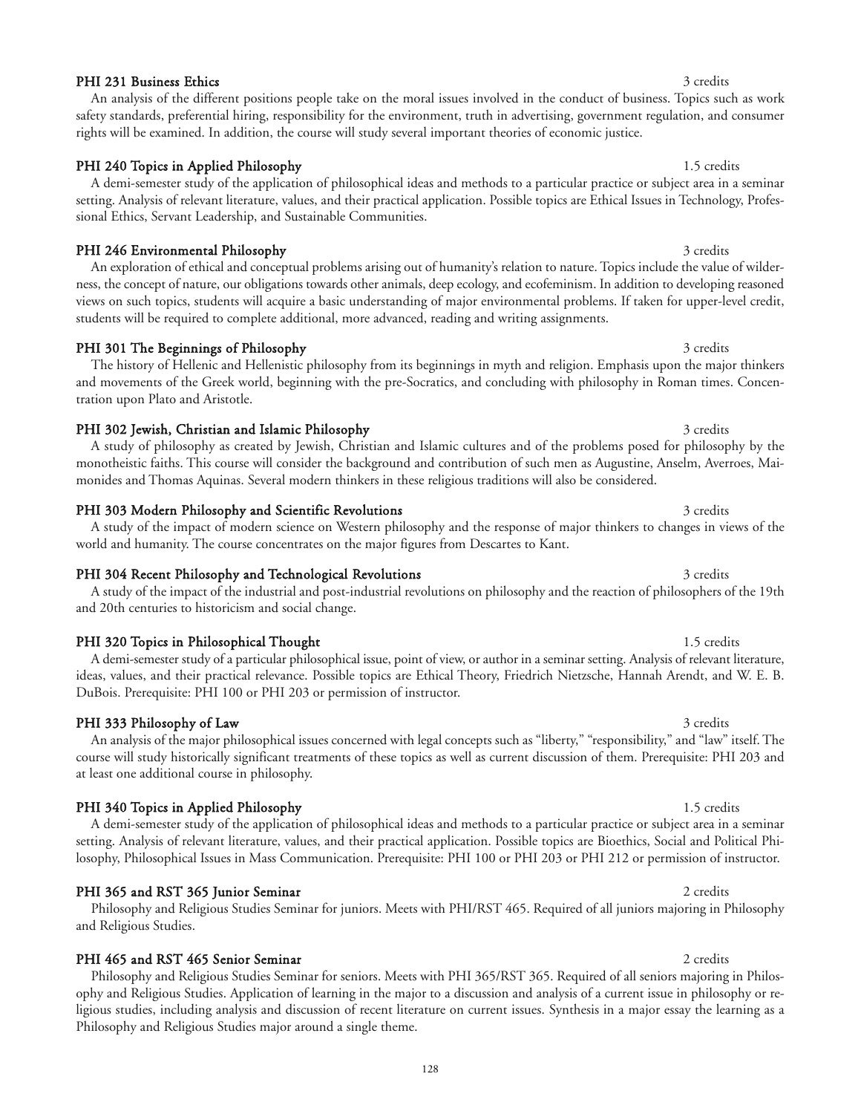#### PHI 231 Business Ethics 3 credits 3 credits 3 credits 3 credits 3 credits 3 credits 3 credits 3 credits 3 credits 3 credits 3 credits 3 credits 3 credits 3 credits 3 credits 3 credits 3 credits 3 credits 3 credits 3 credit

#### PHI 240 Topics in Applied Philosophy 1.5 credits

A demi-semester study of the application of philosophical ideas and methods to a particular practice or subject area in a seminar setting. Analysis of relevant literature, values, and their practical application. Possible topics are Ethical Issues in Technology, Professional Ethics, Servant Leadership, and Sustainable Communities.

rights will be examined. In addition, the course will study several important theories of economic justice.

An analysis of the different positions people take on the moral issues involved in the conduct of business. Topics such as work safety standards, preferential hiring, responsibility for the environment, truth in advertising, government regulation, and consumer

### PHI 246 Environmental Philosophy 3 credits 3 credits 3 credits

An exploration of ethical and conceptual problems arising out of humanity's relation to nature. Topics include the value of wilderness, the concept of nature, our obligations towards other animals, deep ecology, and ecofeminism. In addition to developing reasoned views on such topics, students will acquire a basic understanding of major environmental problems. If taken for upper-level credit, students will be required to complete additional, more advanced, reading and writing assignments.

### PHI 301 The Beginnings of Philosophy 3 credits 3 credits

### The history of Hellenic and Hellenistic philosophy from its beginnings in myth and religion. Emphasis upon the major thinkers and movements of the Greek world, beginning with the pre-Socratics, and concluding with philosophy in Roman times. Concentration upon Plato and Aristotle.

### PHI 302 Jewish, Christian and Islamic Philosophy 3 credits 3 credits

A study of philosophy as created by Jewish, Christian and Islamic cultures and of the problems posed for philosophy by the monotheistic faiths. This course will consider the background and contribution of such men as Augustine, Anselm, Averroes, Maimonides and Thomas Aquinas. Several modern thinkers in these religious traditions will also be considered.

### PHI 303 Modern Philosophy and Scientific Revolutions 3 credits 3 credits

A study of the impact of modern science on Western philosophy and the response of major thinkers to changes in views of the world and humanity. The course concentrates on the major figures from Descartes to Kant.

### PHI 304 Recent Philosophy and Technological Revolutions 3 credits 3 credits

# PHI 320 Topics in Philosophical Thought 1.5 credits 1.5 credits

and 20th centuries to historicism and social change.

A demi-semester study of a particular philosophical issue, point of view, or author in a seminar setting. Analysis of relevant literature, ideas, values, and their practical relevance. Possible topics are Ethical Theory, Friedrich Nietzsche, Hannah Arendt, and W. E. B. DuBois. Prerequisite: PHI 100 or PHI 203 or permission of instructor.

### PHI 333 Philosophy of Law 3 credits 3 credits

## at least one additional course in philosophy. PHI 340 Topics in Applied Philosophy 1.5 credits 1.5 credits

A demi-semester study of the application of philosophical ideas and methods to a particular practice or subject area in a seminar setting. Analysis of relevant literature, values, and their practical application. Possible topics are Bioethics, Social and Political Philosophy, Philosophical Issues in Mass Communication. Prerequisite: PHI 100 or PHI 203 or PHI 212 or permission of instructor.

course will study historically significant treatments of these topics as well as current discussion of them. Prerequisite: PHI 203 and

### PHI 365 and RST 365 Junior Seminar 2 credits 2 credits 2 credits

# and Religious Studies.

### PHI 465 and RST 465 Senior Seminar 2 credits 2 credits

Philosophy and Religious Studies Seminar for seniors. Meets with PHI 365/RST 365. Required of all seniors majoring in Philosophy and Religious Studies. Application of learning in the major to a discussion and analysis of a current issue in philosophy or religious studies, including analysis and discussion of recent literature on current issues. Synthesis in a major essay the learning as a Philosophy and Religious Studies major around a single theme.

# A study of the impact of the industrial and post-industrial revolutions on philosophy and the reaction of philosophers of the 19th

# An analysis of the major philosophical issues concerned with legal concepts such as "liberty," "responsibility," and "law" itself. The

# Philosophy and Religious Studies Seminar for juniors. Meets with PHI/RST 465. Required of all juniors majoring in Philosophy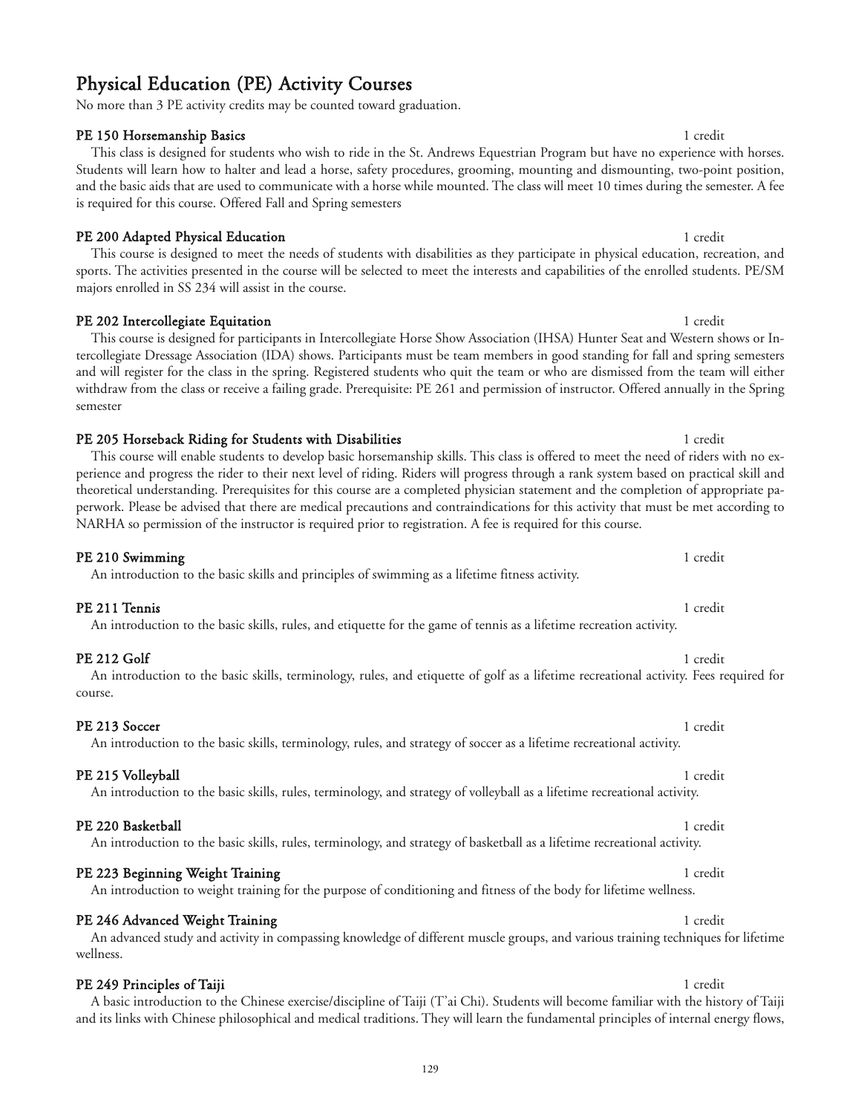# Physical Education (PE) Activity Courses

No more than 3 PE activity credits may be counted toward graduation.

## **PE 150 Horsemanship Basics** 1 **and 1 credit 1 and 1 credit 1 credit 1 credit 1 credit 1 credit 1 credit 1 credit 1 credit 1 credit 1 credit 1 credit 1 credit 1 credit 1 credit 1 credit 1 credit 1 credit 1 credit 1 credit**

### This class is designed for students who wish to ride in the St. Andrews Equestrian Program but have no experience with horses. Students will learn how to halter and lead a horse, safety procedures, grooming, mounting and dismounting, two-point position, and the basic aids that are used to communicate with a horse while mounted. The class will meet 10 times during the semester. A fee is required for this course. Offered Fall and Spring semesters

## PE 200 Adapted Physical Education 1 credit 1 credit 1 credit 1 credit 1 credit 1 credit

This course is designed to meet the needs of students with disabilities as they participate in physical education, recreation, and sports. The activities presented in the course will be selected to meet the interests and capabilities of the enrolled students. PE/SM majors enrolled in SS 234 will assist in the course.

### PE 202 Intercollegiate Equitation 1 credit

### tercollegiate Dressage Association (IDA) shows. Participants must be team members in good standing for fall and spring semesters and will register for the class in the spring. Registered students who quit the team or who are dismissed from the team will either withdraw from the class or receive a failing grade. Prerequisite: PE 261 and permission of instructor. Offered annually in the Spring semester

### PE 205 Horseback Riding for Students with Disabilities 1 credit 1 credit 1 credit This course will enable students to develop basic horsemanship skills. This class is offered to meet the need of riders with no experience and progress the rider to their next level of riding. Riders will progress through a rank system based on practical skill and theoretical understanding. Prerequisites for this course are a completed physician statement and the completion of appropriate paperwork. Please be advised that there are medical precautions and contraindications for this activity that must be met according to NARHA so permission of the instructor is required prior to registration. A fee is required for this course.

#### **PE 210 Swimming** 1 credit An introduction to the basic skills and principles of swimming as a lifetime fitness activity.

## **PE 211 Tennis** 1 credit 1 credit 1 credit 1 credit 1 credit 1 credit 1 credit 1 credit 1 credit 1 credit 1 credit 1 credit 1 credit 1 credit 1 credit 1 credit 1 credit 1 credit 1 credit 1 credit 1 credit 1 credit 1 credit

## An introduction to the basic skills, rules, and etiquette for the game of tennis as a lifetime recreation activity.

#### PE 212 Golf 1 credit 2008 and 2008 and 2008 and 2008 and 2008 and 2008 and 2008 and 2008 and 2008 and 2008 and 2008 and 2008 and 2008 and 2008 and 2008 and 2008 and 2008 and 2008 and 2008 and 2008 and 2008 and 2008 and 200 An introduction to the basic skills, terminology, rules, and etiquette of golf as a lifetime recreational activity. Fees required for course.

## PE 213 Soccer 1 credit

#### PE 215 Volleyball 1 credit 1 credit 1 credit 1 credit 1 credit 1 credit 1 credit 1 credit 1 credit 1 credit 1 credit 1 credit 1 credit 1 credit 1 credit 1 credit 1 credit 1 credit 1 credit 1 credit 1 credit 1 credit 1 cred An introduction to the basic skills, rules, terminology, and strategy of volleyball as a lifetime recreational activity.

## PE 220 Basketball 1 credit 1 credit 1 credit 1 credit 1 credit 1 credit 1 credit 1 credit 1 credit 1 credit 1 credit 1 credit 1 credit 1 credit 1 credit 1 credit 1 credit 1 credit 1 credit 1 credit 1 credit 1 credit 1 cred

wellness.

## An introduction to the basic skills, rules, terminology, and strategy of basketball as a lifetime recreational activity.

### PE 223 Beginning Weight Training 1 credit and the state of the state of the state of the state of the state of the state of the state of the state of the state of the state of the state of the state of the state of the sta An introduction to weight training for the purpose of conditioning and fitness of the body for lifetime wellness.

# PE 246 Advanced Weight Training 1 credit 1 credit 1 credit 1 credit 1 credit 1 credit

## PE 249 Principles of Taiji 1 credit and 200 percent of the control of the control of the control of the control of the control of the control of the control of the control of the control of the control of the control of th

A basic introduction to the Chinese exercise/discipline of Taiji (T'ai Chi). Students will become familiar with the history of Taiji and its links with Chinese philosophical and medical traditions. They will learn the fundamental principles of internal energy flows,

An advanced study and activity in compassing knowledge of different muscle groups, and various training techniques for lifetime

# This course is designed for participants in Intercollegiate Horse Show Association (IHSA) Hunter Seat and Western shows or In-

An introduction to the basic skills, terminology, rules, and strategy of soccer as a lifetime recreational activity.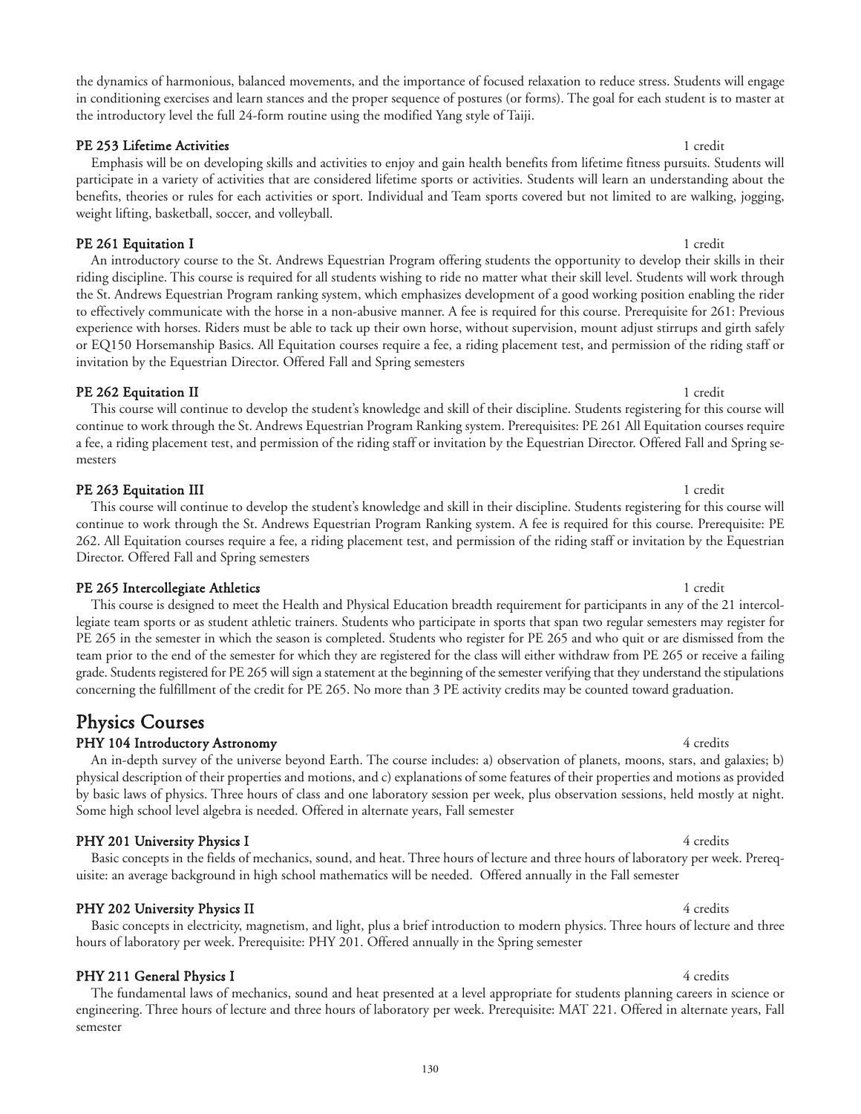the dynamics of harmonious, balanced movements, and the importance of focused relaxation to reduce stress. Students will engage in conditioning exercises and learn stances and the proper sequence of postures (or forms). The goal for each student is to master at the introductory level the full 24-form routine using the modified Yang style of Taiji.

### PE 253 Lifetime Activities 1 credit 1 credit 1 credit 1 credit 1 credit 1 credit 1 credit 1 credit 1 credit 1 credit 1 credit 1 credit 1 credit 1 credit 1 credit 1 credit 1 credit 1 credit 1 credit 1 credit 1 credit 1 cred

Emphasis will be on developing skills and activities to enjoy and gain health benefits from lifetime fitness pursuits. Students will participate in a variety of activities that are considered lifetime sports or activities. Students will learn an understanding about the benefits, theories or rules for each activities or sport. Individual and Team sports covered but not limited to are walking, jogging, weight lifting, basketball, soccer, and volleyball.

**PE 261 Equitation I** 1 credit An introductory course to the St. Andrews Equestrian Program offering students the opportunity to develop their skills in their riding discipline. This course is required for all students wishing to ride no matter what their skill level. Students will work through the St. Andrews Equestrian Program ranking system, which emphasizes development of a good working position enabling the rider to effectively communicate with the horse in a non-abusive manner. A fee is required for this course. Prerequisite for 261: Previous experience with horses. Riders must be able to tack up their own horse, without supervision, mount adjust stirrups and girth safely or EQ150 Horsemanship Basics. All Equitation courses require a fee, a riding placement test, and permission of the riding staff or invitation by the Equestrian Director. Offered Fall and Spring semesters

### **PE 262 Equitation II** 1 credit

This course will continue to develop the student's knowledge and skill of their discipline. Students registering for this course will continue to work through the St. Andrews Equestrian Program Ranking system. Prerequisites: PE 261 All Equitation courses require a fee, a riding placement test, and permission of the riding staff or invitation by the Equestrian Director. Offered Fall and Spring semesters

### **PE 263 Equitation III** 1 credit

This course will continue to develop the student's knowledge and skill in their discipline. Students registering for this course will continue to work through the St. Andrews Equestrian Program Ranking system. A fee is required for this course. Prerequisite: PE 262. All Equitation courses require a fee, a riding placement test, and permission of the riding staff or invitation by the Equestrian Director. Offered Fall and Spring semesters

### PE 265 Intercollegiate Athletics 1 credit 1 credit 1 credit 1 credit 1 credit 1 credit 1 credit 1 credit 1 credit 1 credit 1 credit 1 credit 1 credit 1 credit 1 credit 1 credit 1 credit 1 credit 1 credit 1 credit 1 credit

This course is designed to meet the Health and Physical Education breadth requirement for participants in any of the 21 intercollegiate team sports or as student athletic trainers. Students who participate in sports that span two regular semesters may register for PE 265 in the semester in which the season is completed. Students who register for PE 265 and who quit or are dismissed from the team prior to the end of the semester for which they are registered for the class will either withdraw from PE 265 or receive a failing grade. Students registered for PE 265 will sign a statement at the beginning of the semester verifying that they understand the stipulations concerning the fulfillment of the credit for PE 265. No more than 3 PE activity credits may be counted toward graduation.

## Physics Courses

## PHY 104 Introductory Astronomy 4 credits and the state of the state of the state of the state of the state of the state of the state of the state of the state of the state of the state of the state of the state of the stat

An in-depth survey of the universe beyond Earth. The course includes: a) observation of planets, moons, stars, and galaxies; b) physical description of their properties and motions, and c) explanations of some features of their properties and motions as provided by basic laws of physics. Three hours of class and one laboratory session per week, plus observation sessions, held mostly at night. Some high school level algebra is needed. Offered in alternate years, Fall semester

## PHY 201 University Physics I 4 credits

Basic concepts in the fields of mechanics, sound, and heat. Three hours of lecture and three hours of laboratory per week. Prerequisite: an average background in high school mathematics will be needed. Offered annually in the Fall semester

hours of laboratory per week. Prerequisite: PHY 201. Offered annually in the Spring semester

## PHY 202 University Physics II 4 credits

## PHY 211 General Physics I 4 credits

The fundamental laws of mechanics, sound and heat presented at a level appropriate for students planning careers in science or engineering. Three hours of lecture and three hours of laboratory per week. Prerequisite: MAT 221. Offered in alternate years, Fall semester

Basic concepts in electricity, magnetism, and light, plus a brief introduction to modern physics. Three hours of lecture and three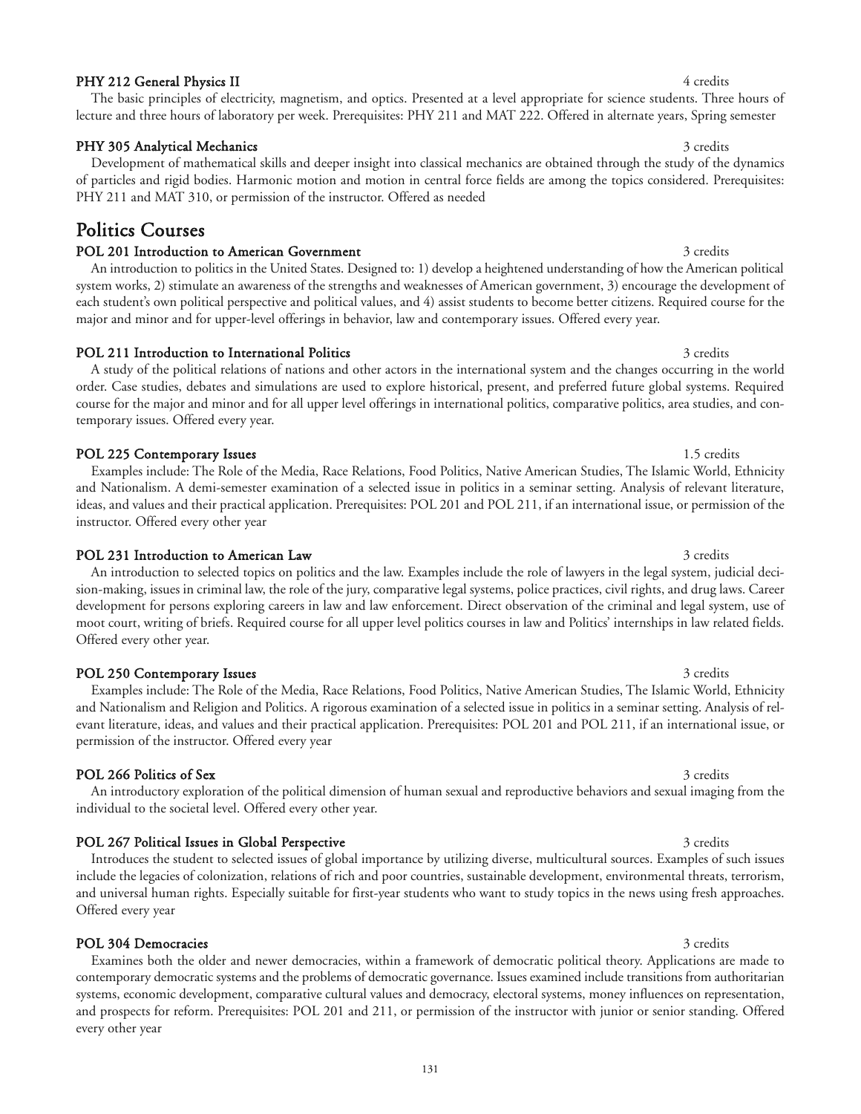### PHY 212 General Physics II 4 credits

#### PHY 305 Analytical Mechanics 3 credits 3 credits 3 credits 3 credits 3 credits 3 credits 3 credits 3 credits 3 credits 3 credits 3 credits 3 credits 3 credits 3 credits 3 credits 3 credits 3 credits 3 credits 3 credits 3 c

Development of mathematical skills and deeper insight into classical mechanics are obtained through the study of the dynamics of particles and rigid bodies. Harmonic motion and motion in central force fields are among the topics considered. Prerequisites: PHY 211 and MAT 310, or permission of the instructor. Offered as needed

lecture and three hours of laboratory per week. Prerequisites: PHY 211 and MAT 222. Offered in alternate years, Spring semester

## Politics Courses

#### POL 201 Introduction to American Government 3 credits 3 credits

An introduction to politics in the United States. Designed to: 1) develop a heightened understanding of how the American political system works, 2) stimulate an awareness of the strengths and weaknesses of American government, 3) encourage the development of each student's own political perspective and political values, and 4) assist students to become better citizens. Required course for the major and minor and for upper-level offerings in behavior, law and contemporary issues. Offered every year.

#### POL 211 Introduction to International Politics 3 credits 3 credits 3 credits

A study of the political relations of nations and other actors in the international system and the changes occurring in the world order. Case studies, debates and simulations are used to explore historical, present, and preferred future global systems. Required course for the major and minor and for all upper level offerings in international politics, comparative politics, area studies, and contemporary issues. Offered every year.

#### POL 225 Contemporary Issues 1.5 credits 1.5 credits

Examples include: The Role of the Media, Race Relations, Food Politics, Native American Studies, The Islamic World, Ethnicity and Nationalism. A demi-semester examination of a selected issue in politics in a seminar setting. Analysis of relevant literature, ideas, and values and their practical application. Prerequisites: POL 201 and POL 211, if an international issue, or permission of the instructor. Offered every other year

#### POL 231 Introduction to American Law 3 credits 3 credits

An introduction to selected topics on politics and the law. Examples include the role of lawyers in the legal system, judicial decision-making, issues in criminal law, the role of the jury, comparative legal systems, police practices, civil rights, and drug laws. Career development for persons exploring careers in law and law enforcement. Direct observation of the criminal and legal system, use of moot court, writing of briefs. Required course for all upper level politics courses in law and Politics' internships in law related fields. Offered every other year.

#### POL 250 Contemporary Issues 3 credits 3 credits 3 credits 3 credits 3 credits 3 credits 3 credits 3 credits 3 credits 3 credits 3 credits 3 credits 3 credits 3 credits 3 credits 3 credits 3 credits 3 credits 3 credits 3 cr

### Examples include: The Role of the Media, Race Relations, Food Politics, Native American Studies, The Islamic World, Ethnicity and Nationalism and Religion and Politics. A rigorous examination of a selected issue in politics in a seminar setting. Analysis of relevant literature, ideas, and values and their practical application. Prerequisites: POL 201 and POL 211, if an international issue, or permission of the instructor. Offered every year

An introductory exploration of the political dimension of human sexual and reproductive behaviors and sexual imaging from the

#### POL 266 Politics of Sex 3 credits

individual to the societal level. Offered every other year.

POL 267 Political Issues in Global Perspective 3 credits 3 credits 3 credits Introduces the student to selected issues of global importance by utilizing diverse, multicultural sources. Examples of such issues include the legacies of colonization, relations of rich and poor countries, sustainable development, environmental threats, terrorism, and universal human rights. Especially suitable for first-year students who want to study topics in the news using fresh approaches. Offered every year

POL 304 Democracies 3 credits 3 strellar and 2 credits 3 credits 3 credits 3 credits 3 credits 3 credits 3 credits 3 credits 3 credits 3 credits 3 credits 3 credits 3 credits 3 credits 3 credits 3 credits 3 credits 3 credi Examines both the older and newer democracies, within a framework of democratic political theory. Applications are made to contemporary democratic systems and the problems of democratic governance. Issues examined include transitions from authoritarian systems, economic development, comparative cultural values and democracy, electoral systems, money influences on representation, and prospects for reform. Prerequisites: POL 201 and 211, or permission of the instructor with junior or senior standing. Offered every other year

# The basic principles of electricity, magnetism, and optics. Presented at a level appropriate for science students. Three hours of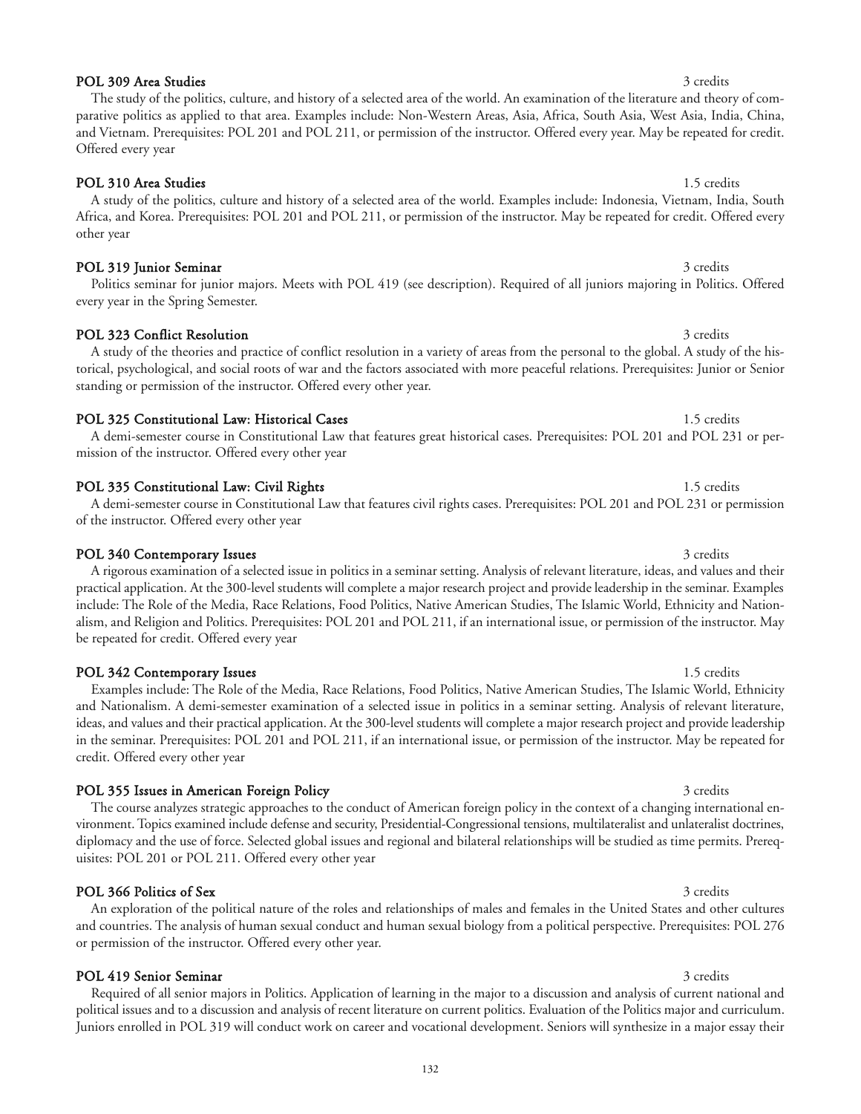### POL 309 Area Studies 3 credits 3 credits 3 credits 3 credits 3 credits 3 credits 3 credits 3 credits 3 credits

### POL 310 Area Studies 1.5 credits 1.5 credits

Offered every year

A study of the politics, culture and history of a selected area of the world. Examples include: Indonesia, Vietnam, India, South Africa, and Korea. Prerequisites: POL 201 and POL 211, or permission of the instructor. May be repeated for credit. Offered every other year

Politics seminar for junior majors. Meets with POL 419 (see description). Required of all juniors majoring in Politics. Offered

The study of the politics, culture, and history of a selected area of the world. An examination of the literature and theory of comparative politics as applied to that area. Examples include: Non-Western Areas, Asia, Africa, South Asia, West Asia, India, China, and Vietnam. Prerequisites: POL 201 and POL 211, or permission of the instructor. Offered every year. May be repeated for credit.

#### POL 319 Junior Seminar 3 credits 3 credits 3 credits 3 credits 3 credits 3 credits 3 credits 3 credits 3 credits 3 credits 3 credits 3 credits 3 credits 3 credits 3 credits 3 credits 3 credits 3 credits 3 credits 3 credits

#### POL 323 Conflict Resolution 3 credits 3 credits

every year in the Spring Semester.

torical, psychological, and social roots of war and the factors associated with more peaceful relations. Prerequisites: Junior or Senior standing or permission of the instructor. Offered every other year. POL 325 Constitutional Law: Historical Cases 1.5 credits 1.5 credits

A demi-semester course in Constitutional Law that features great historical cases. Prerequisites: POL 201 and POL 231 or permission of the instructor. Offered every other year

#### POL 335 Constitutional Law: Civil Rights 1.5 credits 1.5 credits 1.5 credits

of the instructor. Offered every other year

POL 340 Contemporary Issues 3 credits 3 credits A rigorous examination of a selected issue in politics in a seminar setting. Analysis of relevant literature, ideas, and values and their practical application. At the 300-level students will complete a major research project and provide leadership in the seminar. Examples include: The Role of the Media, Race Relations, Food Politics, Native American Studies, The Islamic World, Ethnicity and Nationalism, and Religion and Politics. Prerequisites: POL 201 and POL 211, if an international issue, or permission of the instructor. May be repeated for credit. Offered every year

#### POL 342 Contemporary Issues 1.5 credits 1.5 credits

Examples include: The Role of the Media, Race Relations, Food Politics, Native American Studies, The Islamic World, Ethnicity and Nationalism. A demi-semester examination of a selected issue in politics in a seminar setting. Analysis of relevant literature, ideas, and values and their practical application. At the 300-level students will complete a major research project and provide leadership in the seminar. Prerequisites: POL 201 and POL 211, if an international issue, or permission of the instructor. May be repeated for credit. Offered every other year

#### POL 355 Issues in American Foreign Policy 3 credits 3 credits 3 credits

or permission of the instructor. Offered every other year.

The course analyzes strategic approaches to the conduct of American foreign policy in the context of a changing international environment. Topics examined include defense and security, Presidential-Congressional tensions, multilateralist and unlateralist doctrines, diplomacy and the use of force. Selected global issues and regional and bilateral relationships will be studied as time permits. Prerequisites: POL 201 or POL 211. Offered every other year

An exploration of the political nature of the roles and relationships of males and females in the United States and other cultures and countries. The analysis of human sexual conduct and human sexual biology from a political perspective. Prerequisites: POL 276

#### POL 366 Politics of Sex 3 credits

### POL 419 Senior Seminar 3 credits 3 credits

Required of all senior majors in Politics. Application of learning in the major to a discussion and analysis of current national and political issues and to a discussion and analysis of recent literature on current politics. Evaluation of the Politics major and curriculum. Juniors enrolled in POL 319 will conduct work on career and vocational development. Seniors will synthesize in a major essay their

# A study of the theories and practice of conflict resolution in a variety of areas from the personal to the global. A study of the his-

# A demi-semester course in Constitutional Law that features civil rights cases. Prerequisites: POL 201 and POL 231 or permission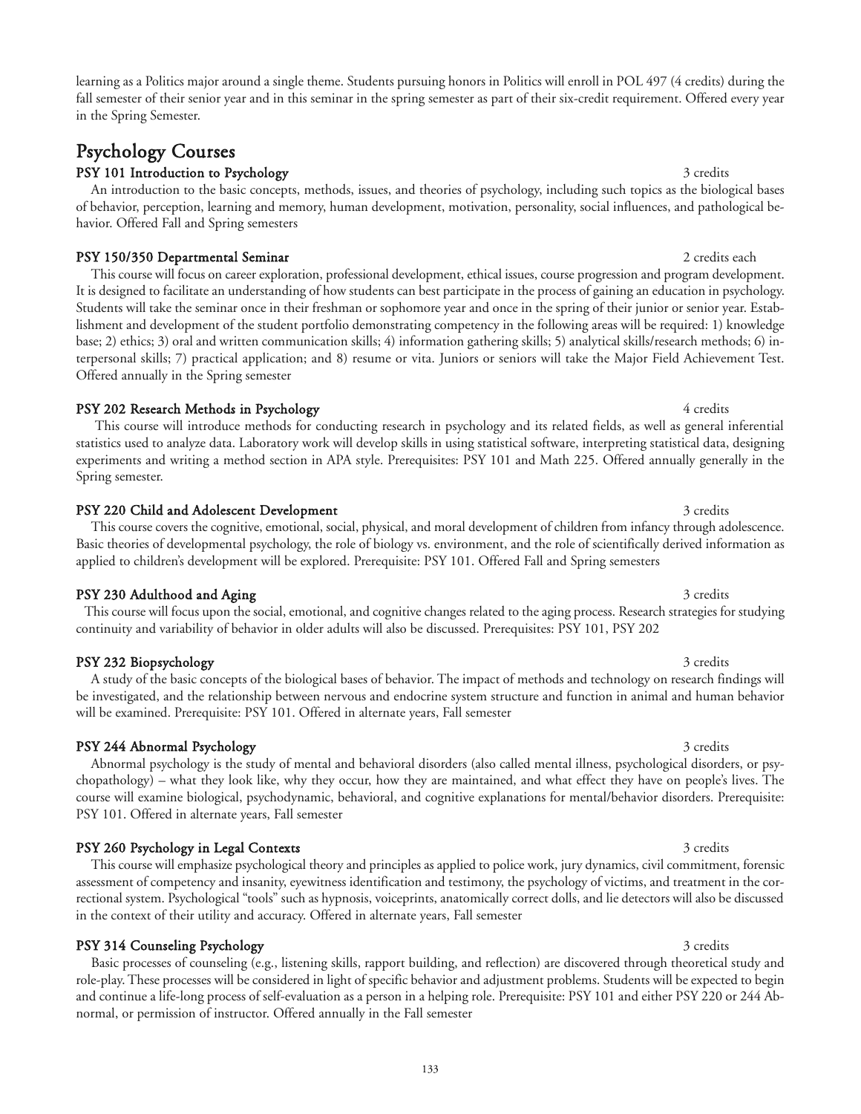learning as a Politics major around a single theme. Students pursuing honors in Politics will enroll in POL 497 (4 credits) during the fall semester of their senior year and in this seminar in the spring semester as part of their six-credit requirement. Offered every year in the Spring Semester.

## Psychology Courses

### PSY 101 Introduction to Psychology 3 credits 3 credits

An introduction to the basic concepts, methods, issues, and theories of psychology, including such topics as the biological bases of behavior, perception, learning and memory, human development, motivation, personality, social influences, and pathological behavior. Offered Fall and Spring semesters

### PSY 150/350 Departmental Seminar 2 credits each property and the set of the second seminar 2 credits each property and  $\alpha$

This course will focus on career exploration, professional development, ethical issues, course progression and program development. It is designed to facilitate an understanding of how students can best participate in the process of gaining an education in psychology. Students will take the seminar once in their freshman or sophomore year and once in the spring of their junior or senior year. Establishment and development of the student portfolio demonstrating competency in the following areas will be required: 1) knowledge base; 2) ethics; 3) oral and written communication skills; 4) information gathering skills; 5) analytical skills/research methods; 6) interpersonal skills; 7) practical application; and 8) resume or vita. Juniors or seniors will take the Major Field Achievement Test. Offered annually in the Spring semester

### PSY 202 Research Methods in Psychology 4 credits 4 credits

This course will introduce methods for conducting research in psychology and its related fields, as well as general inferential statistics used to analyze data. Laboratory work will develop skills in using statistical software, interpreting statistical data, designing experiments and writing a method section in APA style. Prerequisites: PSY 101 and Math 225. Offered annually generally in the Spring semester.

### PSY 220 Child and Adolescent Development 3 credits 3 credits 3 credits

This course covers the cognitive, emotional, social, physical, and moral development of children from infancy through adolescence. Basic theories of developmental psychology, the role of biology vs. environment, and the role of scientifically derived information as applied to children's development will be explored. Prerequisite: PSY 101. Offered Fall and Spring semesters

### PSY 230 Adulthood and Aging 3 credits 3 credits 3 credits 3 credits

This course will focus upon the social, emotional, and cognitive changes related to the aging process. Research strategies for studying continuity and variability of behavior in older adults will also be discussed. Prerequisites: PSY 101, PSY 202

### PSY 232 Biopsychology 3 credits 3 credits

A study of the basic concepts of the biological bases of behavior. The impact of methods and technology on research findings will be investigated, and the relationship between nervous and endocrine system structure and function in animal and human behavior will be examined. Prerequisite: PSY 101. Offered in alternate years, Fall semester

### PSY 244 Abnormal Psychology 3 credits

Abnormal psychology is the study of mental and behavioral disorders (also called mental illness, psychological disorders, or psychopathology) – what they look like, why they occur, how they are maintained, and what effect they have on people's lives. The course will examine biological, psychodynamic, behavioral, and cognitive explanations for mental/behavior disorders. Prerequisite: PSY 101. Offered in alternate years, Fall semester

### PSY 260 Psychology in Legal Contexts 3 credits 3 credits 3 credits

This course will emphasize psychological theory and principles as applied to police work, jury dynamics, civil commitment, forensic assessment of competency and insanity, eyewitness identification and testimony, the psychology of victims, and treatment in the correctional system. Psychological "tools" such as hypnosis, voiceprints, anatomically correct dolls, and lie detectors will also be discussed in the context of their utility and accuracy. Offered in alternate years, Fall semester

## PSY 314 Counseling Psychology 3 credits 3 credits

Basic processes of counseling (e.g., listening skills, rapport building, and reflection) are discovered through theoretical study and role-play. These processes will be considered in light of specific behavior and adjustment problems. Students will be expected to begin and continue a life-long process of self-evaluation as a person in a helping role. Prerequisite: PSY 101 and either PSY 220 or 244 Abnormal, or permission of instructor. Offered annually in the Fall semester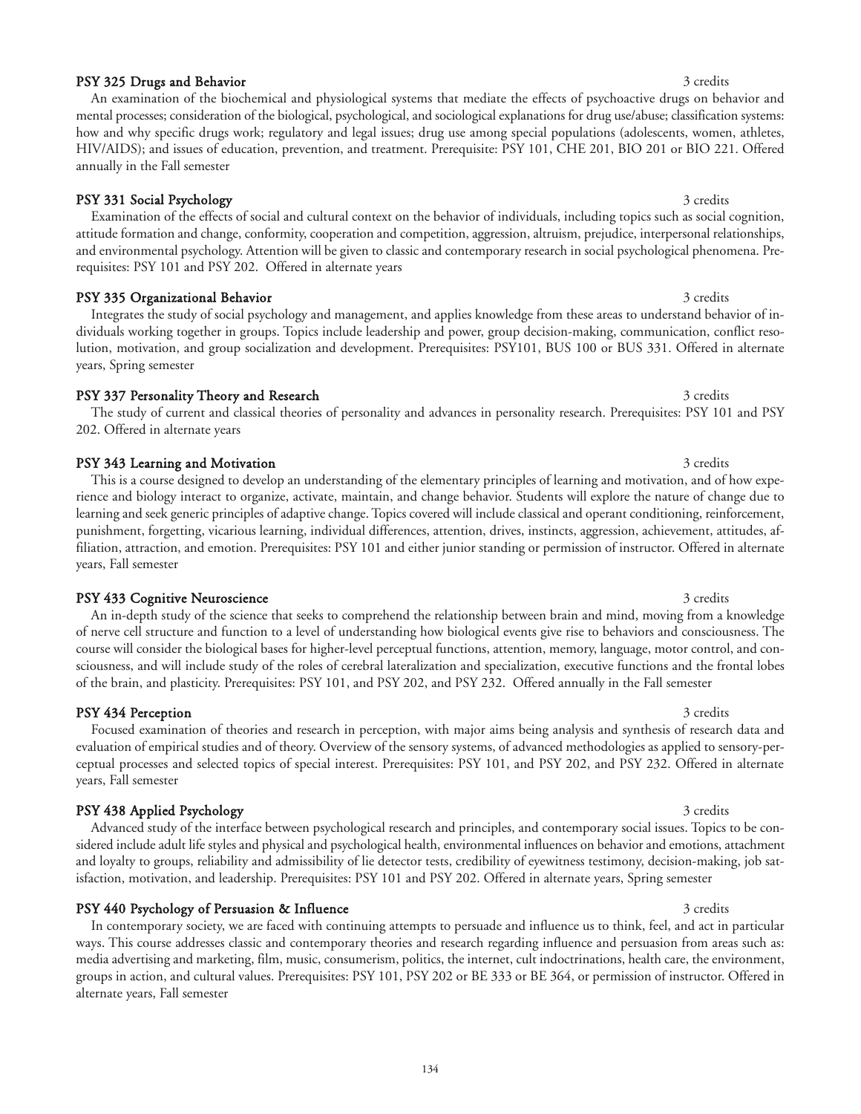### PSY 325 Drugs and Behavior 3 credits and 3 credits and 3 credits and 3 credits and 3 credits and 3 credits and 3 credits and 3 credits and 3 credits and 3 credits and 3 credits and 3 credits and 3 credits and 3 credits and

An examination of the biochemical and physiological systems that mediate the effects of psychoactive drugs on behavior and mental processes; consideration of the biological, psychological, and sociological explanations for drug use/abuse; classification systems: how and why specific drugs work; regulatory and legal issues; drug use among special populations (adolescents, women, athletes, HIV/AIDS); and issues of education, prevention, and treatment. Prerequisite: PSY 101, CHE 201, BIO 201 or BIO 221. Offered annually in the Fall semester

### PSY 331 Social Psychology 3 credits 3 credits

Examination of the effects of social and cultural context on the behavior of individuals, including topics such as social cognition, attitude formation and change, conformity, cooperation and competition, aggression, altruism, prejudice, interpersonal relationships, and environmental psychology. Attention will be given to classic and contemporary research in social psychological phenomena. Prerequisites: PSY 101 and PSY 202. Offered in alternate years

### PSY 335 Organizational Behavior 3 credits 3 credits 3 credits

Integrates the study of social psychology and management, and applies knowledge from these areas to understand behavior of individuals working together in groups. Topics include leadership and power, group decision-making, communication, conflict resolution, motivation, and group socialization and development. Prerequisites: PSY101, BUS 100 or BUS 331. Offered in alternate years, Spring semester

#### PSY 337 Personality Theory and Research 3 credits 3 credits 3 credits

### The study of current and classical theories of personality and advances in personality research. Prerequisites: PSY 101 and PSY 202. Offered in alternate years

### PSY 343 Learning and Motivation 3 credits 3 credits

This is a course designed to develop an understanding of the elementary principles of learning and motivation, and of how experience and biology interact to organize, activate, maintain, and change behavior. Students will explore the nature of change due to learning and seek generic principles of adaptive change. Topics covered will include classical and operant conditioning, reinforcement, punishment, forgetting, vicarious learning, individual differences, attention, drives, instincts, aggression, achievement, attitudes, affiliation, attraction, and emotion. Prerequisites: PSY 101 and either junior standing or permission of instructor. Offered in alternate years, Fall semester

#### PSY 433 Cognitive Neuroscience 3 credits and the state of the state 3 credits and 3 credits 3 credits

An in-depth study of the science that seeks to comprehend the relationship between brain and mind, moving from a knowledge of nerve cell structure and function to a level of understanding how biological events give rise to behaviors and consciousness. The course will consider the biological bases for higher-level perceptual functions, attention, memory, language, motor control, and consciousness, and will include study of the roles of cerebral lateralization and specialization, executive functions and the frontal lobes of the brain, and plasticity. Prerequisites: PSY 101, and PSY 202, and PSY 232. Offered annually in the Fall semester

### **PSY 434 Perception** 3 credits 3 credits

### Focused examination of theories and research in perception, with major aims being analysis and synthesis of research data and evaluation of empirical studies and of theory. Overview of the sensory systems, of advanced methodologies as applied to sensory-perceptual processes and selected topics of special interest. Prerequisites: PSY 101, and PSY 202, and PSY 232. Offered in alternate years, Fall semester

### PSY 438 Applied Psychology 3 credits 3 credits

Advanced study of the interface between psychological research and principles, and contemporary social issues. Topics to be considered include adult life styles and physical and psychological health, environmental influences on behavior and emotions, attachment and loyalty to groups, reliability and admissibility of lie detector tests, credibility of eyewitness testimony, decision-making, job satisfaction, motivation, and leadership. Prerequisites: PSY 101 and PSY 202. Offered in alternate years, Spring semester

### PSY 440 Psychology of Persuasion & Influence 3 credits 3 credits 3 credits

In contemporary society, we are faced with continuing attempts to persuade and influence us to think, feel, and act in particular ways. This course addresses classic and contemporary theories and research regarding influence and persuasion from areas such as: media advertising and marketing, film, music, consumerism, politics, the internet, cult indoctrinations, health care, the environment, groups in action, and cultural values. Prerequisites: PSY 101, PSY 202 or BE 333 or BE 364, or permission of instructor. Offered in alternate years, Fall semester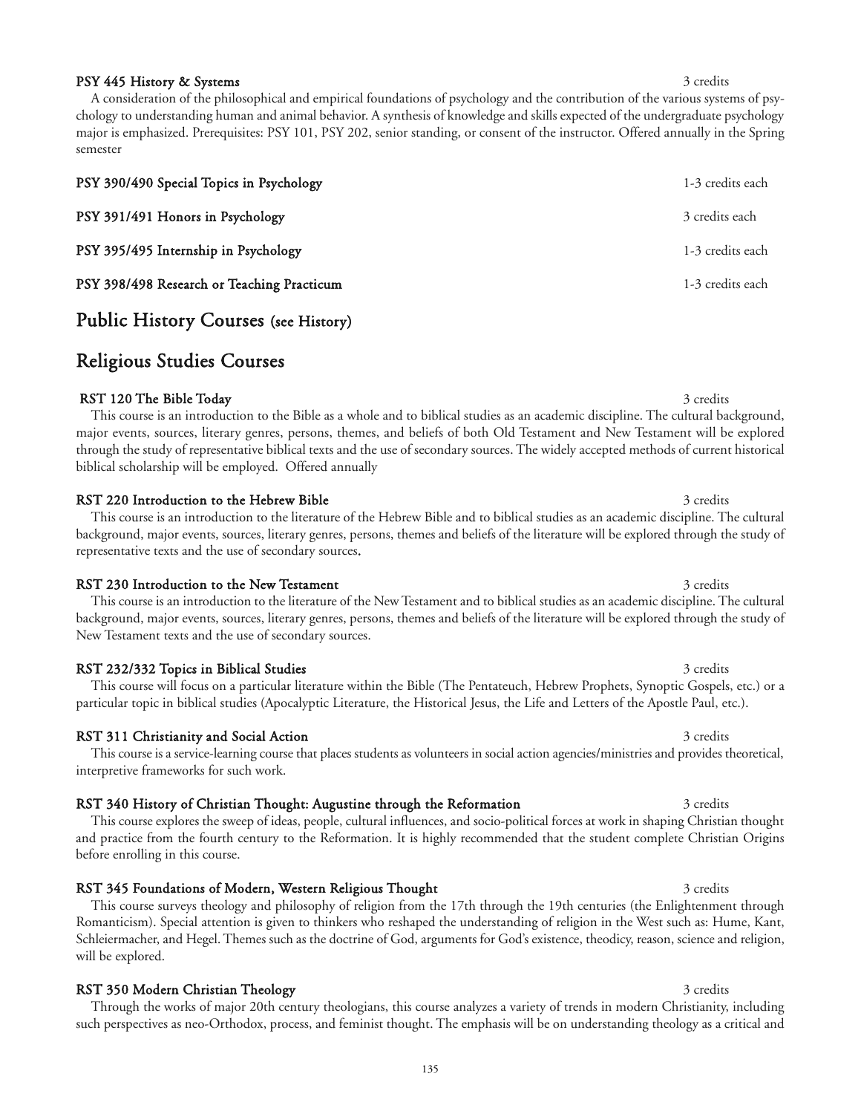RST 350 Modern Christian Theology 3 credits 3 credits Through the works of major 20th century theologians, this course analyzes a variety of trends in modern Christianity, including such perspectives as neo-Orthodox, process, and feminist thought. The emphasis will be on understanding theology as a critical and

135

PSY 445 History & Systems 3 credits 3 credits

A consideration of the philosophical and empirical foundations of psychology and the contribution of the various systems of psychology to understanding human and animal behavior. A synthesis of knowledge and skills expected of the undergraduate psychology major is emphasized. Prerequisites: PSY 101, PSY 202, senior standing, or consent of the instructor. Offered annually in the Spring semester

| PSY 390/490 Special Topics in Psychology   | 1-3 credits each |
|--------------------------------------------|------------------|
| PSY 391/491 Honors in Psychology           | 3 credits each   |
| PSY 395/495 Internship in Psychology       | 1-3 credits each |
| PSY 398/498 Research or Teaching Practicum | 1-3 credits each |

### Public History Courses (see History)

## Religious Studies Courses

#### RST 120 The Bible Today 3 credits 3 credits 3 credits 3 credits 3 credits 3 credits 3 credits 3 credits 3 credits 3 credits 3 credits 3 credits 3 credits 3 credits 3 credits 3 credits 3 credits 3 credits 3 credits 3 credit

This course is an introduction to the Bible as a whole and to biblical studies as an academic discipline. The cultural background, major events, sources, literary genres, persons, themes, and beliefs of both Old Testament and New Testament will be explored through the study of representative biblical texts and the use of secondary sources. The widely accepted methods of current historical biblical scholarship will be employed. Offered annually

#### RST 220 Introduction to the Hebrew Bible 3 credits 3 credits 3 credits

This course is an introduction to the literature of the Hebrew Bible and to biblical studies as an academic discipline. The cultural background, major events, sources, literary genres, persons, themes and beliefs of the literature will be explored through the study of representative texts and the use of secondary sources.

RST 230 Introduction to the New Testament 3 credits 3 credits 3 credits This course is an introduction to the literature of the New Testament and to biblical studies as an academic discipline. The cultural background, major events, sources, literary genres, persons, themes and beliefs of the literature will be explored through the study of New Testament texts and the use of secondary sources.

#### RST 232/332 Topics in Biblical Studies 3 credits 3 credits 3 credits

This course will focus on a particular literature within the Bible (The Pentateuch, Hebrew Prophets, Synoptic Gospels, etc.) or a particular topic in biblical studies (Apocalyptic Literature, the Historical Jesus, the Life and Letters of the Apostle Paul, etc.).

#### RST 311 Christianity and Social Action 3 credits 3 credits 3 credits

interpretive frameworks for such work.

## RST 340 History of Christian Thought: Augustine through the Reformation 3 credits 3 credits

This course explores the sweep of ideas, people, cultural influences, and socio-political forces at work in shaping Christian thought and practice from the fourth century to the Reformation. It is highly recommended that the student complete Christian Origins before enrolling in this course.

RST 345 Foundations of Modern, Western Religious Thought 3 credits 3 credits This course surveys theology and philosophy of religion from the 17th through the 19th centuries (the Enlightenment through Romanticism). Special attention is given to thinkers who reshaped the understanding of religion in the West such as: Hume, Kant, Schleiermacher, and Hegel. Themes such as the doctrine of God, arguments for God's existence, theodicy, reason, science and religion, will be explored.

### This course is a service-learning course that places students as volunteers in social action agencies/ministries and provides theoretical,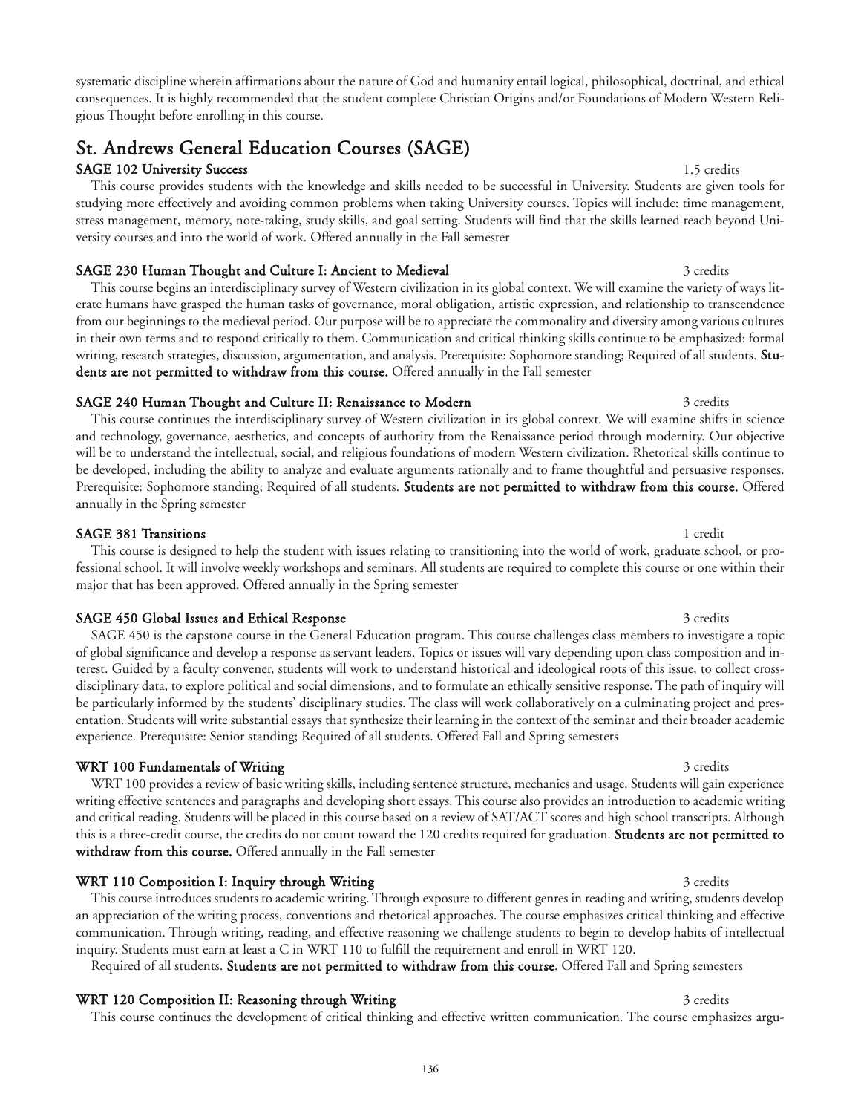systematic discipline wherein affirmations about the nature of God and humanity entail logical, philosophical, doctrinal, and ethical consequences. It is highly recommended that the student complete Christian Origins and/or Foundations of Modern Western Religious Thought before enrolling in this course.

# St. Andrews General Education Courses (SAGE)

## SAGE 102 University Success 1.5 credits

This course provides students with the knowledge and skills needed to be successful in University. Students are given tools for studying more effectively and avoiding common problems when taking University courses. Topics will include: time management, stress management, memory, note-taking, study skills, and goal setting. Students will find that the skills learned reach beyond University courses and into the world of work. Offered annually in the Fall semester

## SAGE 230 Human Thought and Culture I: Ancient to Medieval 3 credits 3 credits

This course begins an interdisciplinary survey of Western civilization in its global context. We will examine the variety of ways literate humans have grasped the human tasks of governance, moral obligation, artistic expression, and relationship to transcendence from our beginnings to the medieval period. Our purpose will be to appreciate the commonality and diversity among various cultures in their own terms and to respond critically to them. Communication and critical thinking skills continue to be emphasized: formal writing, research strategies, discussion, argumentation, and analysis. Prerequisite: Sophomore standing; Required of all students. Students are not permitted to withdraw from this course. Offered annually in the Fall semester

## SAGE 240 Human Thought and Culture II: Renaissance to Modern 3 credits 3 credits

This course continues the interdisciplinary survey of Western civilization in its global context. We will examine shifts in science and technology, governance, aesthetics, and concepts of authority from the Renaissance period through modernity. Our objective will be to understand the intellectual, social, and religious foundations of modern Western civilization. Rhetorical skills continue to be developed, including the ability to analyze and evaluate arguments rationally and to frame thoughtful and persuasive responses. Prerequisite: Sophomore standing; Required of all students. Students are not permitted to withdraw from this course. Offered annually in the Spring semester

### SAGE 381 Transitions 1 credit

This course is designed to help the student with issues relating to transitioning into the world of work, graduate school, or professional school. It will involve weekly workshops and seminars. All students are required to complete this course or one within their major that has been approved. Offered annually in the Spring semester

### SAGE 450 Global Issues and Ethical Response 3 credits 3 credits 3 credits

SAGE 450 is the capstone course in the General Education program. This course challenges class members to investigate a topic of global significance and develop a response as servant leaders. Topics or issues will vary depending upon class composition and interest. Guided by a faculty convener, students will work to understand historical and ideological roots of this issue, to collect crossdisciplinary data, to explore political and social dimensions, and to formulate an ethically sensitive response. The path of inquiry will be particularly informed by the students' disciplinary studies. The class will work collaboratively on a culminating project and presentation. Students will write substantial essays that synthesize their learning in the context of the seminar and their broader academic experience. Prerequisite: Senior standing; Required of all students. Offered Fall and Spring semesters

### WRT 100 Fundamentals of Writing 3 credits 3 credits 3 credits

WRT 100 provides a review of basic writing skills, including sentence structure, mechanics and usage. Students will gain experience writing effective sentences and paragraphs and developing short essays. This course also provides an introduction to academic writing and critical reading. Students will be placed in this course based on a review of SAT/ACT scores and high school transcripts. Although this is a three-credit course, the credits do not count toward the 120 credits required for graduation. Students are not permitted to withdraw from this course. Offered annually in the Fall semester

This course introduces students to academic writing. Through exposure to different genres in reading and writing, students develop an appreciation of the writing process, conventions and rhetorical approaches. The course emphasizes critical thinking and effective

### WRT 110 Composition I: Inquiry through Writing 3 credits 3 credits

#### communication. Through writing, reading, and effective reasoning we challenge students to begin to develop habits of intellectual inquiry. Students must earn at least a C in WRT 110 to fulfill the requirement and enroll in WRT 120. Required of all students. Students are not permitted to withdraw from this course. Offered Fall and Spring semesters

WRT 120 Composition II: Reasoning through Writing 3 credits 3 credits

This course continues the development of critical thinking and effective written communication. The course emphasizes argu-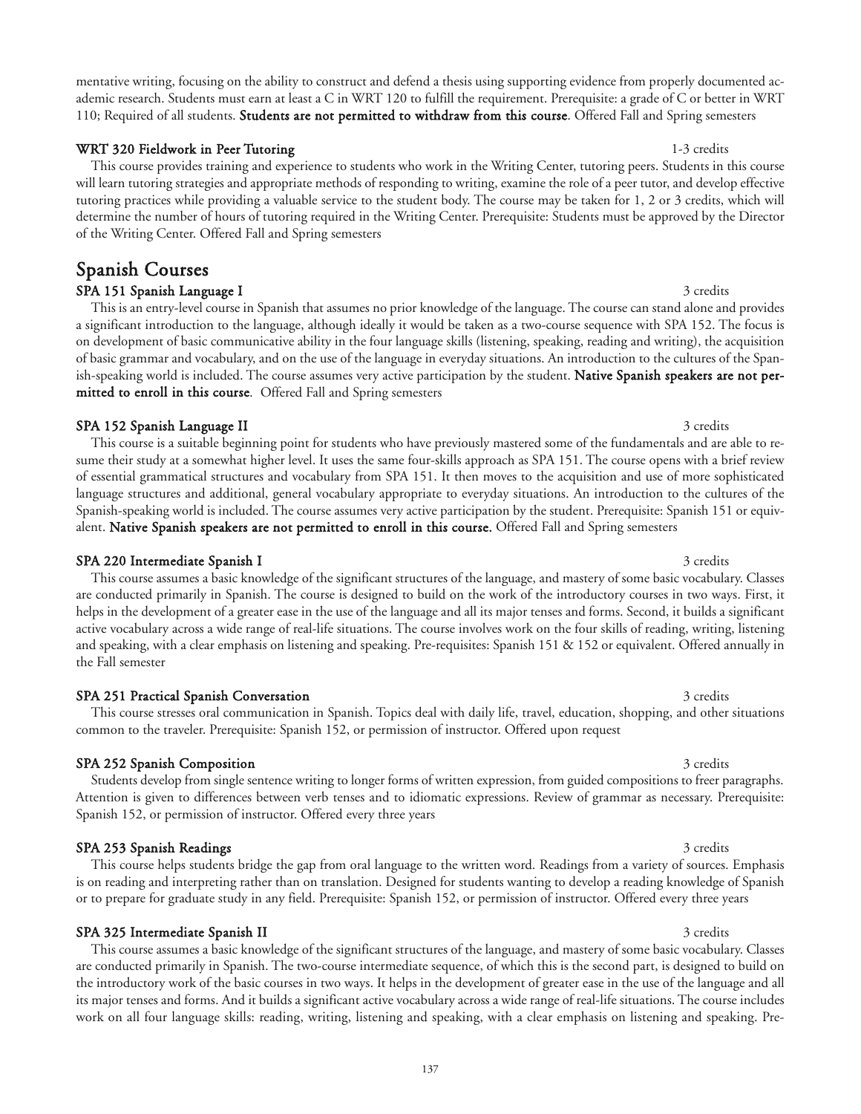mentative writing, focusing on the ability to construct and defend a thesis using supporting evidence from properly documented academic research. Students must earn at least a C in WRT 120 to fulfill the requirement. Prerequisite: a grade of C or better in WRT 110; Required of all students. Students are not permitted to withdraw from this course. Offered Fall and Spring semesters

### WRT 320 Fieldwork in Peer Tutoring 1-3 credits 1-3 credits

This course provides training and experience to students who work in the Writing Center, tutoring peers. Students in this course will learn tutoring strategies and appropriate methods of responding to writing, examine the role of a peer tutor, and develop effective tutoring practices while providing a valuable service to the student body. The course may be taken for 1, 2 or 3 credits, which will determine the number of hours of tutoring required in the Writing Center. Prerequisite: Students must be approved by the Director of the Writing Center. Offered Fall and Spring semesters

SPA 151 Spanish Language I 3 credits 3 credits This is an entry-level course in Spanish that assumes no prior knowledge of the language. The course can stand alone and provides a significant introduction to the language, although ideally it would be taken as a two-course sequence with SPA 152. The focus is on development of basic communicative ability in the four language skills (listening, speaking, reading and writing), the acquisition of basic grammar and vocabulary, and on the use of the language in everyday situations. An introduction to the cultures of the Spanish-speaking world is included. The course assumes very active participation by the student. **Native Spanish speakers are not per**mitted to enroll in this course. Offered Fall and Spring semesters

### SPA 152 Spanish Language II 3 credits 3 credits

Spanish Courses

This course is a suitable beginning point for students who have previously mastered some of the fundamentals and are able to resume their study at a somewhat higher level. It uses the same four-skills approach as SPA 151. The course opens with a brief review of essential grammatical structures and vocabulary from SPA 151. It then moves to the acquisition and use of more sophisticated language structures and additional, general vocabulary appropriate to everyday situations. An introduction to the cultures of the Spanish-speaking world is included. The course assumes very active participation by the student. Prerequisite: Spanish 151 or equivalent. Native Spanish speakers are not permitted to enroll in this course. Offered Fall and Spring semesters

### SPA 220 Intermediate Spanish I 3 credits

This course assumes a basic knowledge of the significant structures of the language, and mastery of some basic vocabulary. Classes are conducted primarily in Spanish. The course is designed to build on the work of the introductory courses in two ways. First, it helps in the development of a greater ease in the use of the language and all its major tenses and forms. Second, it builds a significant active vocabulary across a wide range of real-life situations. The course involves work on the four skills of reading, writing, listening and speaking, with a clear emphasis on listening and speaking. Pre-requisites: Spanish 151 & 152 or equivalent. Offered annually in the Fall semester

### SPA 251 Practical Spanish Conversation 3 credits 3 credits 3 credits

This course stresses oral communication in Spanish. Topics deal with daily life, travel, education, shopping, and other situations common to the traveler. Prerequisite: Spanish 152, or permission of instructor. Offered upon request

## SPA 252 Spanish Composition 3 credits 3 credits

Students develop from single sentence writing to longer forms of written expression, from guided compositions to freer paragraphs. Attention is given to differences between verb tenses and to idiomatic expressions. Review of grammar as necessary. Prerequisite: Spanish 152, or permission of instructor. Offered every three years

### SPA 253 Spanish Readings 3 credits 3 credits 3 credits 3 credits 3 credits 3 credits This course helps students bridge the gap from oral language to the written word. Readings from a variety of sources. Emphasis

# or to prepare for graduate study in any field. Prerequisite: Spanish 152, or permission of instructor. Offered every three years

SPA 325 Intermediate Spanish II 3 credits This course assumes a basic knowledge of the significant structures of the language, and mastery of some basic vocabulary. Classes are conducted primarily in Spanish. The two-course intermediate sequence, of which this is the second part, is designed to build on the introductory work of the basic courses in two ways. It helps in the development of greater ease in the use of the language and all its major tenses and forms. And it builds a significant active vocabulary across a wide range of real-life situations. The course includes work on all four language skills: reading, writing, listening and speaking, with a clear emphasis on listening and speaking. Pre-

## is on reading and interpreting rather than on translation. Designed for students wanting to develop a reading knowledge of Spanish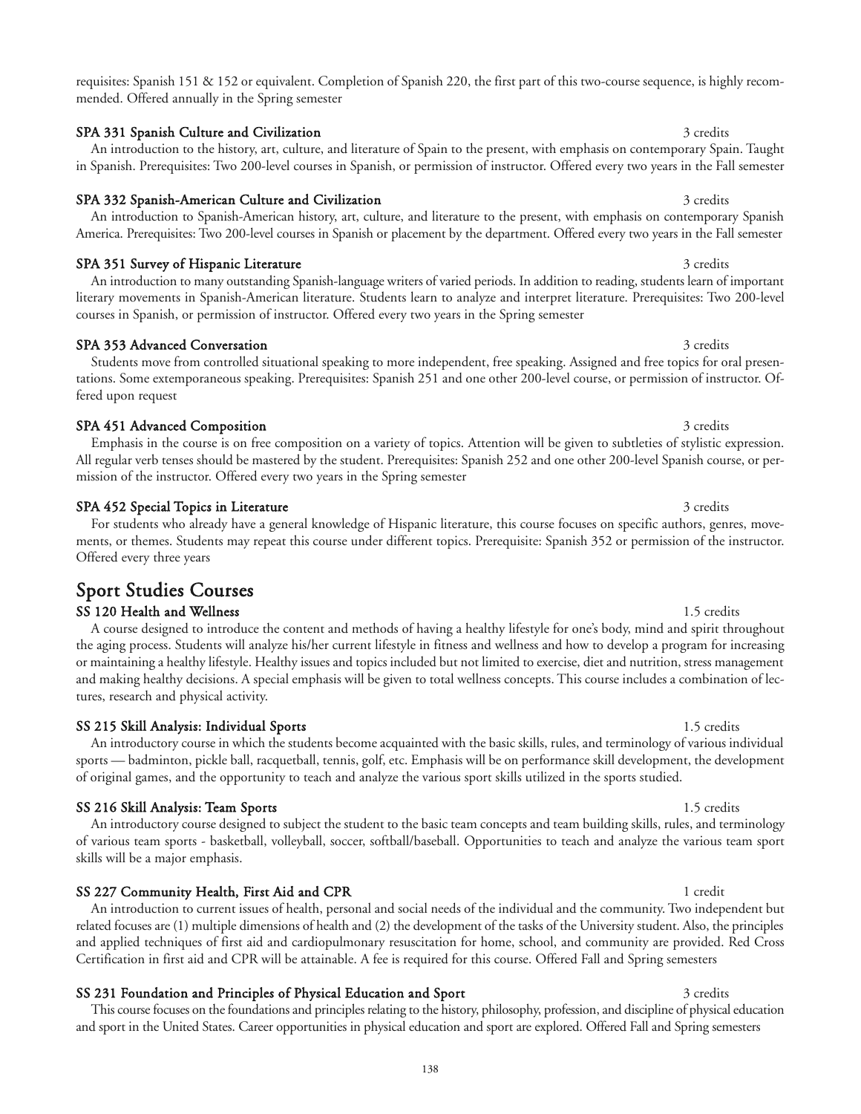requisites: Spanish 151 & 152 or equivalent. Completion of Spanish 220, the first part of this two-course sequence, is highly recommended. Offered annually in the Spring semester

An introduction to the history, art, culture, and literature of Spain to the present, with emphasis on contemporary Spain. Taught in Spanish. Prerequisites: Two 200-level courses in Spanish, or permission of instructor. Offered every two years in the Fall semester

### SPA 331 Spanish Culture and Civilization 3 credits 3 credits 3 credits

### SPA 332 Spanish-American Culture and Civilization 3 credits 3 credits

### SPA 351 Survey of Hispanic Literature 3 credits 3 credits

An introduction to many outstanding Spanish-language writers of varied periods. In addition to reading, students learn of important literary movements in Spanish-American literature. Students learn to analyze and interpret literature. Prerequisites: Two 200-level courses in Spanish, or permission of instructor. Offered every two years in the Spring semester

America. Prerequisites: Two 200-level courses in Spanish or placement by the department. Offered every two years in the Fall semester

#### SPA 353 Advanced Conversation 3 credits 3 credits Students move from controlled situational speaking to more independent, free speaking. Assigned and free topics for oral presentations. Some extemporaneous speaking. Prerequisites: Spanish 251 and one other 200-level course, or permission of instructor. Offered upon request

SPA 451 Advanced Composition 3 credits 3 credits Emphasis in the course is on free composition on a variety of topics. Attention will be given to subtleties of stylistic expression. All regular verb tenses should be mastered by the student. Prerequisites: Spanish 252 and one other 200-level Spanish course, or permission of the instructor. Offered every two years in the Spring semester

#### SPA 452 Special Topics in Literature 3 credits 3 credits

For students who already have a general knowledge of Hispanic literature, this course focuses on specific authors, genres, movements, or themes. Students may repeat this course under different topics. Prerequisite: Spanish 352 or permission of the instructor. Offered every three years

## Sport Studies Courses

#### SS 120 Health and Wellness 2008 1.5 credits 1.5 credits 2008 1.5 credits 2008 1.5 credits 2008 1.5 credits 200

A course designed to introduce the content and methods of having a healthy lifestyle for one's body, mind and spirit throughout the aging process. Students will analyze his/her current lifestyle in fitness and wellness and how to develop a program for increasing or maintaining a healthy lifestyle. Healthy issues and topics included but not limited to exercise, diet and nutrition, stress management and making healthy decisions. A special emphasis will be given to total wellness concepts. This course includes a combination of lectures, research and physical activity.

### SS 215 Skill Analysis: Individual Sports 1.5 credits 1.5 credits 1.5 credits

An introductory course in which the students become acquainted with the basic skills, rules, and terminology of various individual sports — badminton, pickle ball, racquetball, tennis, golf, etc. Emphasis will be on performance skill development, the development of original games, and the opportunity to teach and analyze the various sport skills utilized in the sports studied.

#### SS 216 Skill Analysis: Team Sports 1.5 credits 1.5 credits

An introductory course designed to subject the student to the basic team concepts and team building skills, rules, and terminology of various team sports - basketball, volleyball, soccer, softball/baseball. Opportunities to teach and analyze the various team sport skills will be a major emphasis.

### SS 227 Community Health, First Aid and CPR 1 credit 1 credit

An introduction to current issues of health, personal and social needs of the individual and the community. Two independent but related focuses are (1) multiple dimensions of health and (2) the development of the tasks of the University student. Also, the principles and applied techniques of first aid and cardiopulmonary resuscitation for home, school, and community are provided. Red Cross Certification in first aid and CPR will be attainable. A fee is required for this course. Offered Fall and Spring semesters

#### SS 231 Foundation and Principles of Physical Education and Sport 3 credits 3 credits

This course focuses on the foundations and principles relating to the history, philosophy, profession, and discipline of physical education and sport in the United States. Career opportunities in physical education and sport are explored. Offered Fall and Spring semesters

# An introduction to Spanish-American history, art, culture, and literature to the present, with emphasis on contemporary Spanish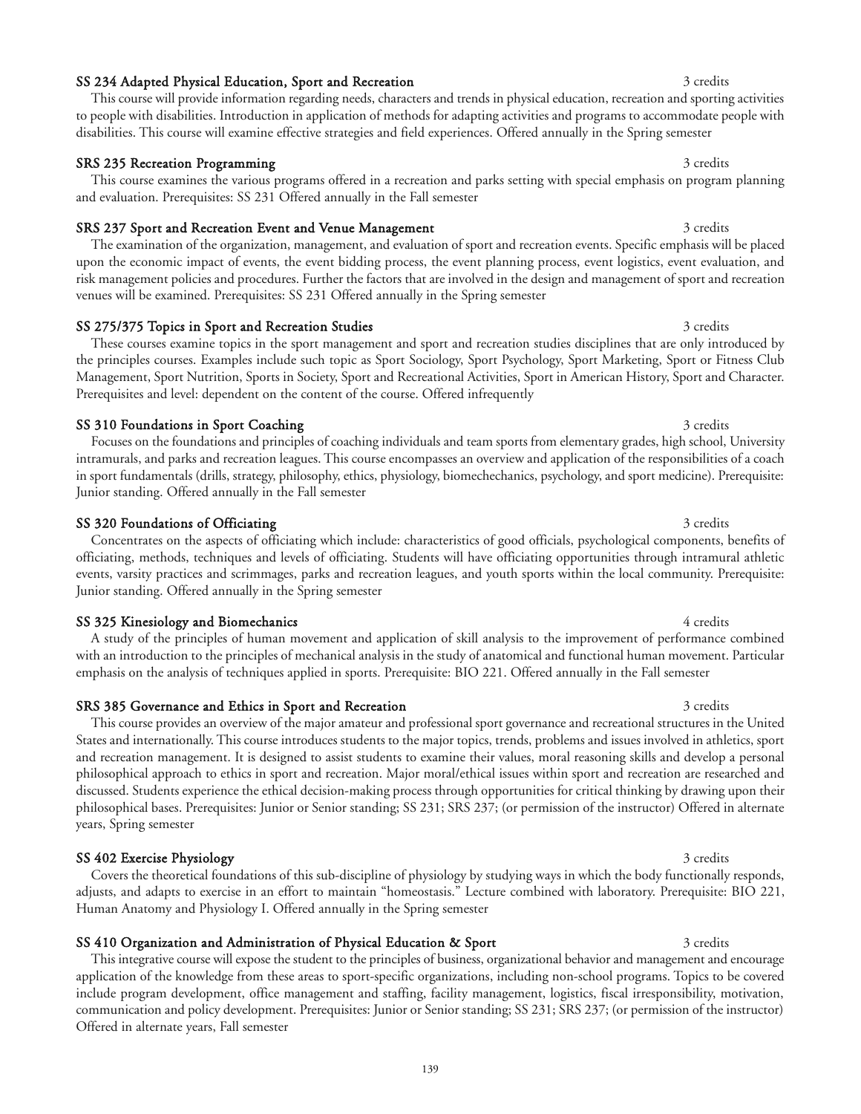## SS 234 Adapted Physical Education, Sport and Recreation 3 credits 3 credits

### SRS 235 Recreation Programming 3 credits 3 credits

This course examines the various programs offered in a recreation and parks setting with special emphasis on program planning and evaluation. Prerequisites: SS 231 Offered annually in the Fall semester

disabilities. This course will examine effective strategies and field experiences. Offered annually in the Spring semester

This course will provide information regarding needs, characters and trends in physical education, recreation and sporting activities to people with disabilities. Introduction in application of methods for adapting activities and programs to accommodate people with

### SRS 237 Sport and Recreation Event and Venue Management 3 credits 3 credits

The examination of the organization, management, and evaluation of sport and recreation events. Specific emphasis will be placed upon the economic impact of events, the event bidding process, the event planning process, event logistics, event evaluation, and risk management policies and procedures. Further the factors that are involved in the design and management of sport and recreation venues will be examined. Prerequisites: SS 231 Offered annually in the Spring semester

### SS 275/375 Topics in Sport and Recreation Studies 3 credits 3 credits

These courses examine topics in the sport management and sport and recreation studies disciplines that are only introduced by the principles courses. Examples include such topic as Sport Sociology, Sport Psychology, Sport Marketing, Sport or Fitness Club Management, Sport Nutrition, Sports in Society, Sport and Recreational Activities, Sport in American History, Sport and Character. Prerequisites and level: dependent on the content of the course. Offered infrequently

## SS 310 Foundations in Sport Coaching 3 credits 3 credits 3 credits

Focuses on the foundations and principles of coaching individuals and team sports from elementary grades, high school, University intramurals, and parks and recreation leagues. This course encompasses an overview and application of the responsibilities of a coach in sport fundamentals (drills, strategy, philosophy, ethics, physiology, biomechechanics, psychology, and sport medicine). Prerequisite: Junior standing. Offered annually in the Fall semester

### SS 320 Foundations of Officiating 3 credits 3 credits 3 credits 3 credits

Concentrates on the aspects of officiating which include: characteristics of good officials, psychological components, benefits of officiating, methods, techniques and levels of officiating. Students will have officiating opportunities through intramural athletic events, varsity practices and scrimmages, parks and recreation leagues, and youth sports within the local community. Prerequisite: Junior standing. Offered annually in the Spring semester

### SS 325 Kinesiology and Biomechanics 4 credits 4 credits 4 credits

A study of the principles of human movement and application of skill analysis to the improvement of performance combined with an introduction to the principles of mechanical analysis in the study of anatomical and functional human movement. Particular emphasis on the analysis of techniques applied in sports. Prerequisite: BIO 221. Offered annually in the Fall semester

### SRS 385 Governance and Ethics in Sport and Recreation 3 credits 3 credits

This course provides an overview of the major amateur and professional sport governance and recreational structures in the United States and internationally. This course introduces students to the major topics, trends, problems and issues involved in athletics, sport and recreation management. It is designed to assist students to examine their values, moral reasoning skills and develop a personal philosophical approach to ethics in sport and recreation. Major moral/ethical issues within sport and recreation are researched and discussed. Students experience the ethical decision-making process through opportunities for critical thinking by drawing upon their philosophical bases. Prerequisites: Junior or Senior standing; SS 231; SRS 237; (or permission of the instructor) Offered in alternate years, Spring semester

### SS 402 Exercise Physiology 3 credits 3 credits

Covers the theoretical foundations of this sub-discipline of physiology by studying ways in which the body functionally responds, adjusts, and adapts to exercise in an effort to maintain "homeostasis." Lecture combined with laboratory. Prerequisite: BIO 221, Human Anatomy and Physiology I. Offered annually in the Spring semester

## SS 410 Organization and Administration of Physical Education & Sport 3 credits

This integrative course will expose the student to the principles of business, organizational behavior and management and encourage application of the knowledge from these areas to sport-specific organizations, including non-school programs. Topics to be covered include program development, office management and staffing, facility management, logistics, fiscal irresponsibility, motivation, communication and policy development. Prerequisites: Junior or Senior standing; SS 231; SRS 237; (or permission of the instructor) Offered in alternate years, Fall semester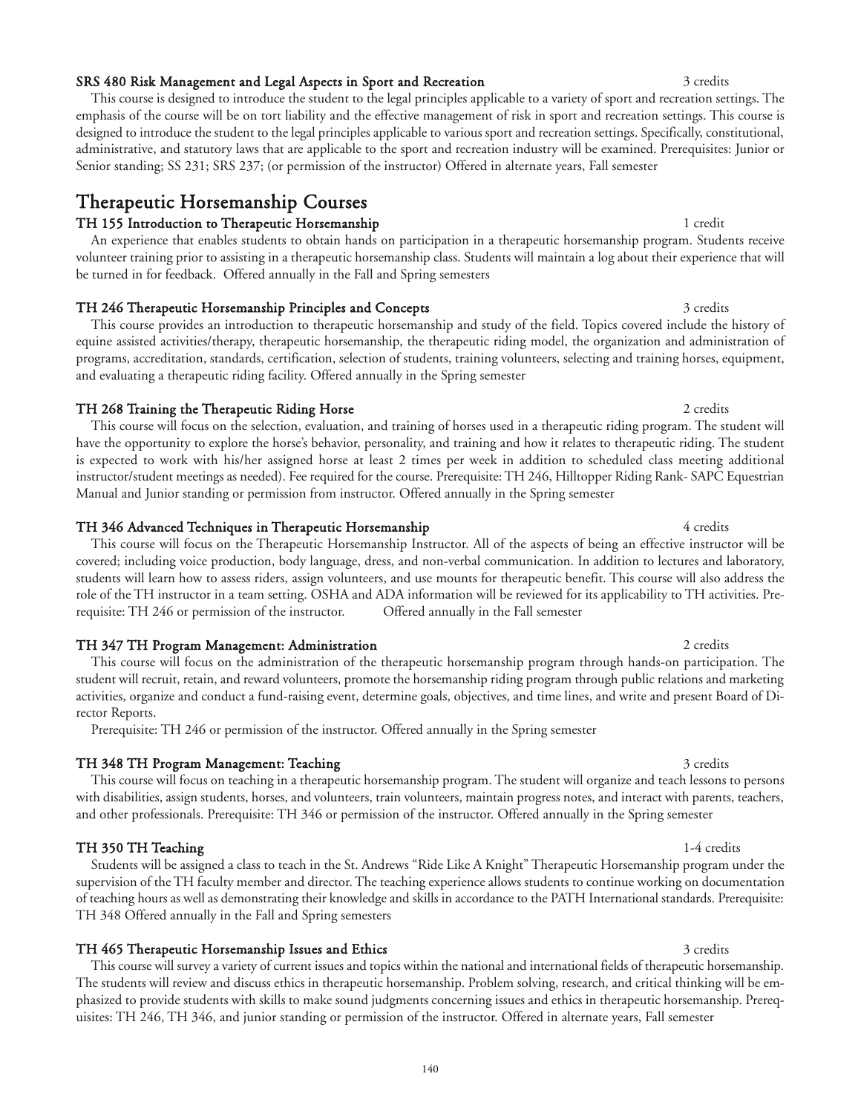## SRS 480 Risk Management and Legal Aspects in Sport and Recreation 3 credits 3 credits

This course is designed to introduce the student to the legal principles applicable to a variety of sport and recreation settings. The emphasis of the course will be on tort liability and the effective management of risk in sport and recreation settings. This course is designed to introduce the student to the legal principles applicable to various sport and recreation settings. Specifically, constitutional, administrative, and statutory laws that are applicable to the sport and recreation industry will be examined. Prerequisites: Junior or Senior standing; SS 231; SRS 237; (or permission of the instructor) Offered in alternate years, Fall semester

## Therapeutic Horsemanship Courses

## TH 155 Introduction to Therapeutic Horsemanship 1 credit 1 credit

An experience that enables students to obtain hands on participation in a therapeutic horsemanship program. Students receive volunteer training prior to assisting in a therapeutic horsemanship class. Students will maintain a log about their experience that will be turned in for feedback. Offered annually in the Fall and Spring semesters

## TH 246 Therapeutic Horsemanship Principles and Concepts 3 credits 3 credits 3 credits

This course provides an introduction to therapeutic horsemanship and study of the field. Topics covered include the history of equine assisted activities/therapy, therapeutic horsemanship, the therapeutic riding model, the organization and administration of programs, accreditation, standards, certification, selection of students, training volunteers, selecting and training horses, equipment, and evaluating a therapeutic riding facility. Offered annually in the Spring semester

## TH 268 Training the Therapeutic Riding Horse 2 credits 2 credits 2 credits

This course will focus on the selection, evaluation, and training of horses used in a therapeutic riding program. The student will have the opportunity to explore the horse's behavior, personality, and training and how it relates to therapeutic riding. The student is expected to work with his/her assigned horse at least 2 times per week in addition to scheduled class meeting additional instructor/student meetings as needed). Fee required for the course. Prerequisite: TH 246, Hilltopper Riding Rank- SAPC Equestrian Manual and Junior standing or permission from instructor. Offered annually in the Spring semester

## TH 346 Advanced Techniques in Therapeutic Horsemanship 4 credits 4 credits

This course will focus on the Therapeutic Horsemanship Instructor. All of the aspects of being an effective instructor will be covered; including voice production, body language, dress, and non-verbal communication. In addition to lectures and laboratory, students will learn how to assess riders, assign volunteers, and use mounts for therapeutic benefit. This course will also address the role of the TH instructor in a team setting. OSHA and ADA information will be reviewed for its applicability to TH activities. Prerequisite: TH 246 or permission of the instructor. Offered annually in the Fall semester

## TH 347 TH Program Management: Administration 2 credits

This course will focus on the administration of the therapeutic horsemanship program through hands-on participation. The student will recruit, retain, and reward volunteers, promote the horsemanship riding program through public relations and marketing activities, organize and conduct a fund-raising event, determine goals, objectives, and time lines, and write and present Board of Director Reports.

Prerequisite: TH 246 or permission of the instructor. Offered annually in the Spring semester

## TH 348 TH Program Management: Teaching 3 credits 3 credits 3 credits

This course will focus on teaching in a therapeutic horsemanship program. The student will organize and teach lessons to persons with disabilities, assign students, horses, and volunteers, train volunteers, maintain progress notes, and interact with parents, teachers, and other professionals. Prerequisite: TH 346 or permission of the instructor. Offered annually in the Spring semester

## TH 350 TH Teaching 11-4 credits

## Students will be assigned a class to teach in the St. Andrews "Ride Like A Knight" Therapeutic Horsemanship program under the supervision of the TH faculty member and director. The teaching experience allows students to continue working on documentation of teaching hours as well as demonstrating their knowledge and skills in accordance to the PATH International standards. Prerequisite: TH 348 Offered annually in the Fall and Spring semesters

TH 465 Therapeutic Horsemanship Issues and Ethics 3 credits 3 credits 3 credits This course will survey a variety of current issues and topics within the national and international fields of therapeutic horsemanship. The students will review and discuss ethics in therapeutic horsemanship. Problem solving, research, and critical thinking will be emphasized to provide students with skills to make sound judgments concerning issues and ethics in therapeutic horsemanship. Prerequisites: TH 246, TH 346, and junior standing or permission of the instructor. Offered in alternate years, Fall semester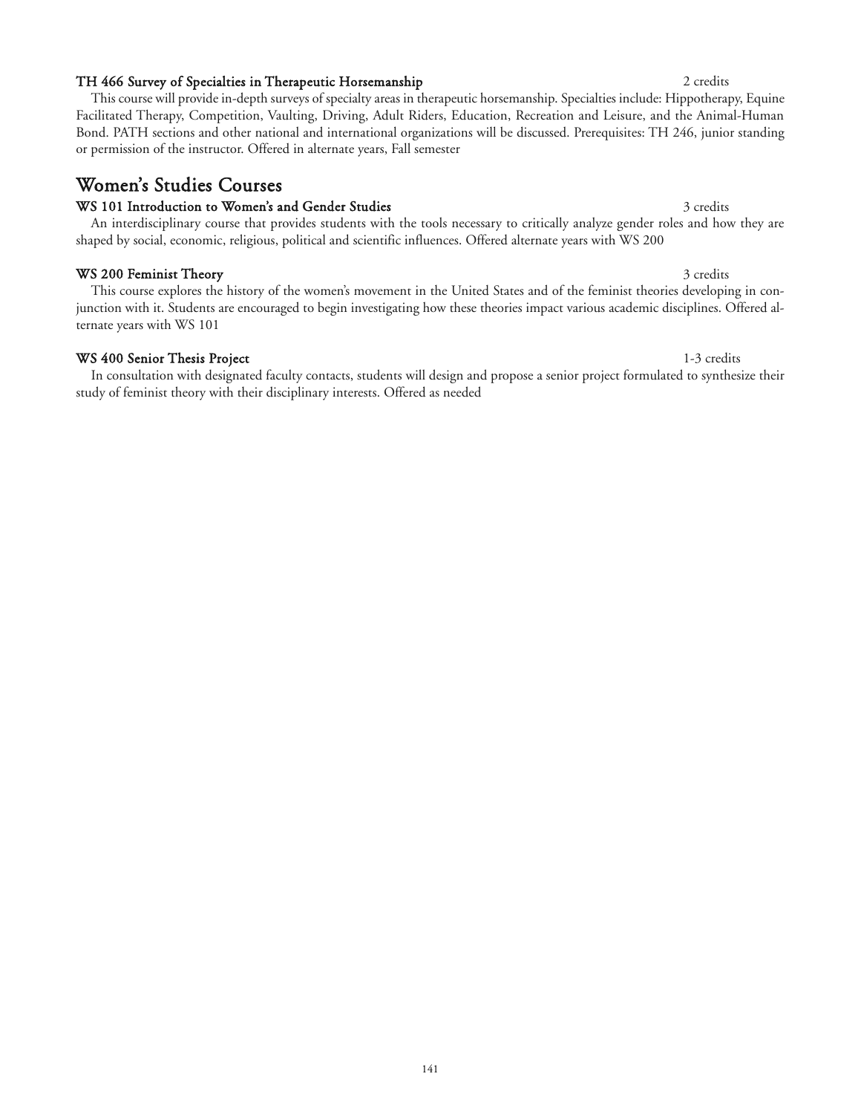## TH 466 Survey of Specialties in Therapeutic Horsemanship 2 credits 2 credits

This course will provide in-depth surveys of specialty areas in therapeutic horsemanship. Specialties include: Hippotherapy, Equine Facilitated Therapy, Competition, Vaulting, Driving, Adult Riders, Education, Recreation and Leisure, and the Animal-Human Bond. PATH sections and other national and international organizations will be discussed. Prerequisites: TH 246, junior standing or permission of the instructor. Offered in alternate years, Fall semester

## Women's Studies Courses

## WS 101 Introduction to Women's and Gender Studies 3 credits 3 credits 3 credits

An interdisciplinary course that provides students with the tools necessary to critically analyze gender roles and how they are shaped by social, economic, religious, political and scientific influences. Offered alternate years with WS 200

## WS 200 Feminist Theory 3 credits 3 credits

This course explores the history of the women's movement in the United States and of the feminist theories developing in conjunction with it. Students are encouraged to begin investigating how these theories impact various academic disciplines. Offered alternate years with WS 101

## WS 400 Senior Thesis Project and the state of the state 1-3 credits and 1-3 credits

In consultation with designated faculty contacts, students will design and propose a senior project formulated to synthesize their study of feminist theory with their disciplinary interests. Offered as needed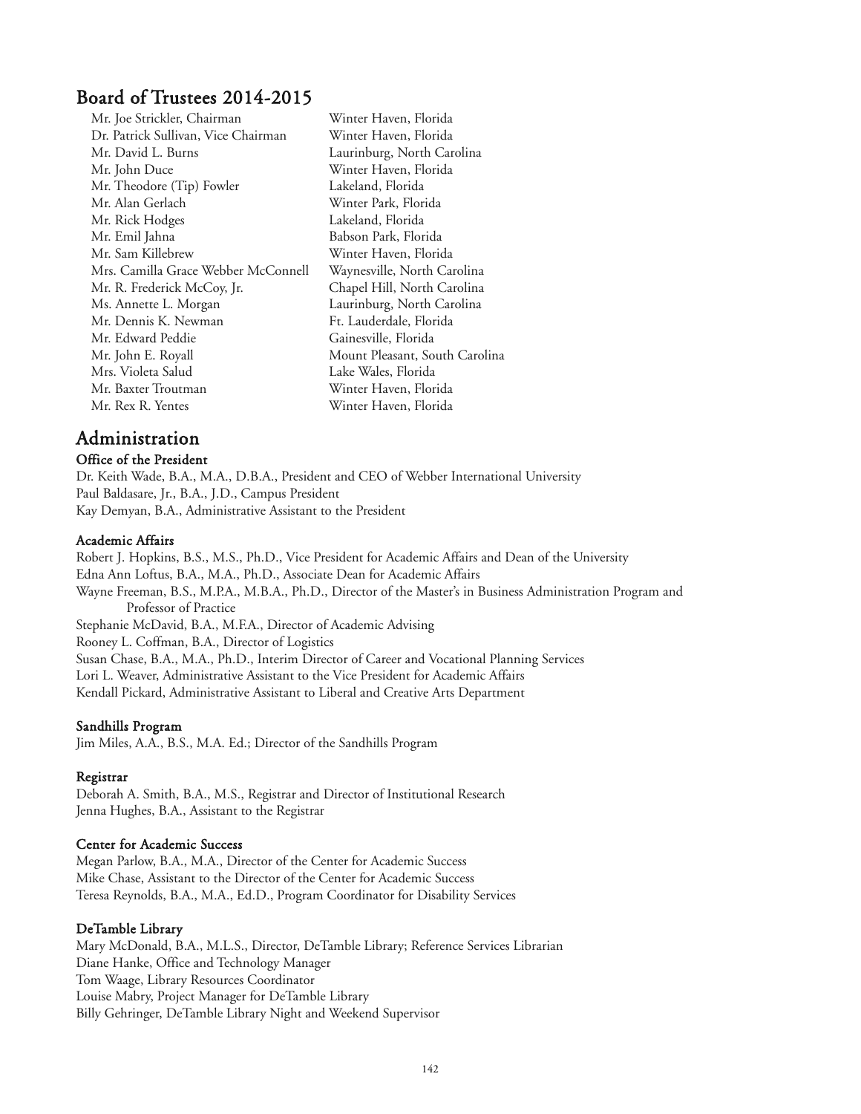## Board of Trustees 2014-2015

| Mr. Joe Strickler, Chairman         | Winter Haven, Florida          |
|-------------------------------------|--------------------------------|
| Dr. Patrick Sullivan, Vice Chairman | Winter Haven, Florida          |
| Mr. David L. Burns                  | Laurinburg, North Carolina     |
| Mr. John Duce                       | Winter Haven, Florida          |
| Mr. Theodore (Tip) Fowler           | Lakeland, Florida              |
| Mr. Alan Gerlach                    | Winter Park, Florida           |
| Mr. Rick Hodges                     | Lakeland, Florida              |
| Mr. Emil Jahna                      | Babson Park, Florida           |
| Mr. Sam Killebrew                   | Winter Haven, Florida          |
| Mrs. Camilla Grace Webber McConnell | Waynesville, North Carolina    |
| Mr. R. Frederick McCoy, Jr.         | Chapel Hill, North Carolina    |
| Ms. Annette L. Morgan               | Laurinburg, North Carolina     |
| Mr. Dennis K. Newman                | Ft. Lauderdale, Florida        |
| Mr. Edward Peddie                   | Gainesville, Florida           |
| Mr. John E. Royall                  | Mount Pleasant, South Carolina |
| Mrs. Violeta Salud                  | Lake Wales, Florida            |
| Mr. Baxter Troutman                 | Winter Haven, Florida          |
| Mr. Rex R. Yentes                   | Winter Haven, Florida          |
|                                     |                                |

## Administration

## Office of the President

Dr. Keith Wade, B.A., M.A., D.B.A., President and CEO of Webber International University Paul Baldasare, Jr., B.A., J.D., Campus President Kay Demyan, B.A., Administrative Assistant to the President

## Academic Affairs

Robert J. Hopkins, B.S., M.S., Ph.D., Vice President for Academic Affairs and Dean of the University Edna Ann Loftus, B.A., M.A., Ph.D., Associate Dean for Academic Affairs Wayne Freeman, B.S., M.P.A., M.B.A., Ph.D., Director of the Master's in Business Administration Program and Professor of Practice Stephanie McDavid, B.A., M.F.A., Director of Academic Advising Rooney L. Coffman, B.A., Director of Logistics Susan Chase, B.A., M.A., Ph.D., Interim Director of Career and Vocational Planning Services Lori L. Weaver, Administrative Assistant to the Vice President for Academic Affairs Kendall Pickard, Administrative Assistant to Liberal and Creative Arts Department

## Sandhills Program

Jim Miles, A.A., B.S., M.A. Ed.; Director of the Sandhills Program

## Registrar

Deborah A. Smith, B.A., M.S., Registrar and Director of Institutional Research Jenna Hughes, B.A., Assistant to the Registrar

## Center for Academic Success

Megan Parlow, B.A., M.A., Director of the Center for Academic Success Mike Chase, Assistant to the Director of the Center for Academic Success Teresa Reynolds, B.A., M.A., Ed.D., Program Coordinator for Disability Services

## DeTamble Library

Mary McDonald, B.A., M.L.S., Director, DeTamble Library; Reference Services Librarian Diane Hanke, Office and Technology Manager Tom Waage, Library Resources Coordinator Louise Mabry, Project Manager for DeTamble Library Billy Gehringer, DeTamble Library Night and Weekend Supervisor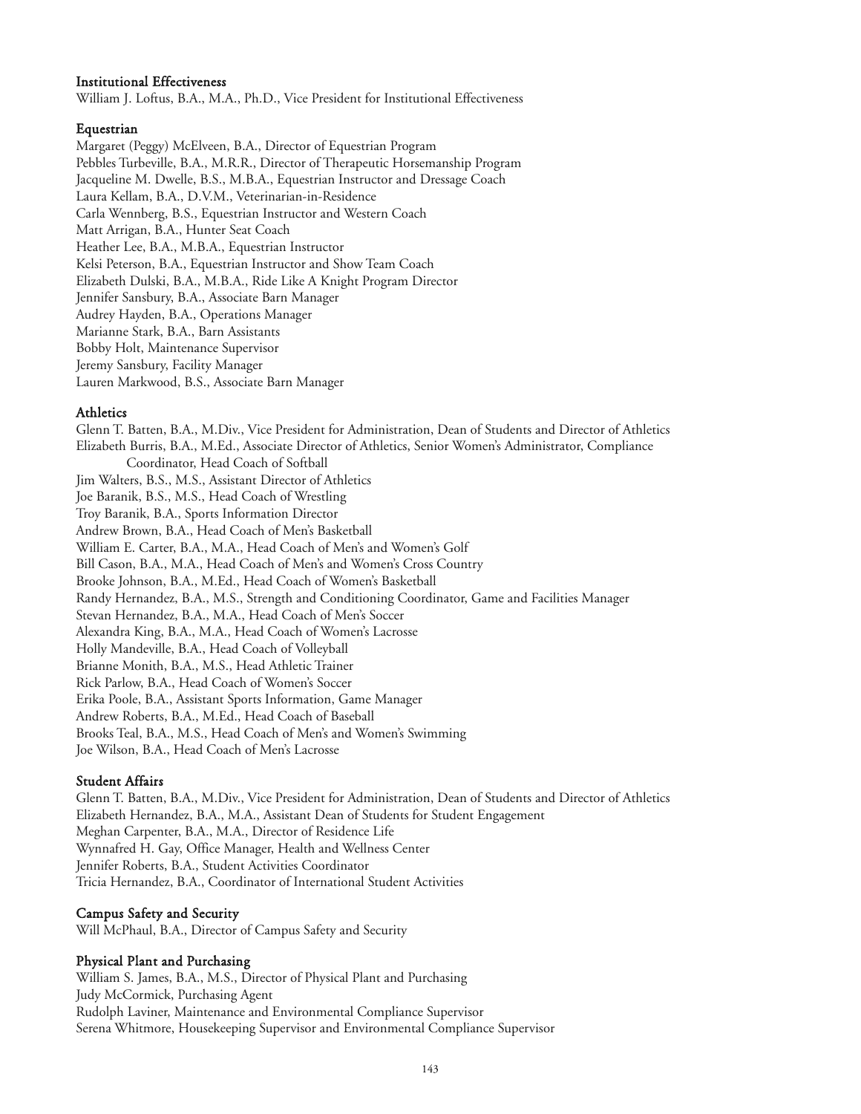## Institutional Effectiveness

William J. Loftus, B.A., M.A., Ph.D., Vice President for Institutional Effectiveness

### Equestrian

Margaret (Peggy) McElveen, B.A., Director of Equestrian Program Pebbles Turbeville, B.A., M.R.R., Director of Therapeutic Horsemanship Program Jacqueline M. Dwelle, B.S., M.B.A., Equestrian Instructor and Dressage Coach Laura Kellam, B.A., D.V.M., Veterinarian-in-Residence Carla Wennberg, B.S., Equestrian Instructor and Western Coach Matt Arrigan, B.A., Hunter Seat Coach Heather Lee, B.A., M.B.A., Equestrian Instructor Kelsi Peterson, B.A., Equestrian Instructor and Show Team Coach Elizabeth Dulski, B.A., M.B.A., Ride Like A Knight Program Director Jennifer Sansbury, B.A., Associate Barn Manager Audrey Hayden, B.A., Operations Manager Marianne Stark, B.A., Barn Assistants Bobby Holt, Maintenance Supervisor Jeremy Sansbury, Facility Manager Lauren Markwood, B.S., Associate Barn Manager

### Athletics

Glenn T. Batten, B.A., M.Div., Vice President for Administration, Dean of Students and Director of Athletics Elizabeth Burris, B.A., M.Ed., Associate Director of Athletics, Senior Women's Administrator, Compliance Coordinator, Head Coach of Softball Jim Walters, B.S., M.S., Assistant Director of Athletics Joe Baranik, B.S., M.S., Head Coach of Wrestling Troy Baranik, B.A., Sports Information Director Andrew Brown, B.A., Head Coach of Men's Basketball William E. Carter, B.A., M.A., Head Coach of Men's and Women's Golf Bill Cason, B.A., M.A., Head Coach of Men's and Women's Cross Country Brooke Johnson, B.A., M.Ed., Head Coach of Women's Basketball Randy Hernandez, B.A., M.S., Strength and Conditioning Coordinator, Game and Facilities Manager Stevan Hernandez, B.A., M.A., Head Coach of Men's Soccer Alexandra King, B.A., M.A., Head Coach of Women's Lacrosse Holly Mandeville, B.A., Head Coach of Volleyball Brianne Monith, B.A., M.S., Head Athletic Trainer Rick Parlow, B.A., Head Coach of Women's Soccer Erika Poole, B.A., Assistant Sports Information, Game Manager Andrew Roberts, B.A., M.Ed., Head Coach of Baseball Brooks Teal, B.A., M.S., Head Coach of Men's and Women's Swimming Joe Wilson, B.A., Head Coach of Men's Lacrosse

## Student Affairs

Glenn T. Batten, B.A., M.Div., Vice President for Administration, Dean of Students and Director of Athletics Elizabeth Hernandez, B.A., M.A., Assistant Dean of Students for Student Engagement Meghan Carpenter, B.A., M.A., Director of Residence Life Wynnafred H. Gay, Office Manager, Health and Wellness Center Jennifer Roberts, B.A., Student Activities Coordinator Tricia Hernandez, B.A., Coordinator of International Student Activities

## Campus Safety and Security

Will McPhaul, B.A., Director of Campus Safety and Security

## Physical Plant and Purchasing

William S. James, B.A., M.S., Director of Physical Plant and Purchasing Judy McCormick, Purchasing Agent Rudolph Laviner, Maintenance and Environmental Compliance Supervisor Serena Whitmore, Housekeeping Supervisor and Environmental Compliance Supervisor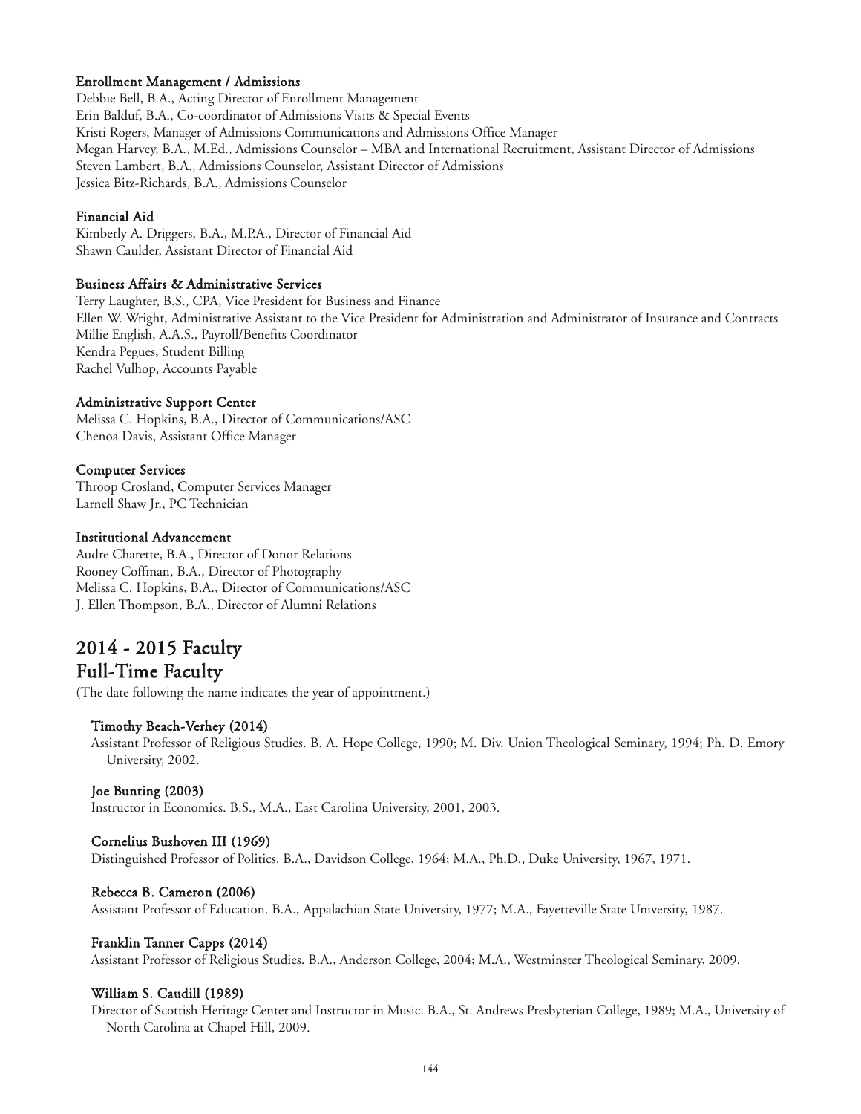## Enrollment Management / Admissions

Debbie Bell, B.A., Acting Director of Enrollment Management Erin Balduf, B.A., Co-coordinator of Admissions Visits & Special Events Kristi Rogers, Manager of Admissions Communications and Admissions Office Manager Megan Harvey, B.A., M.Ed., Admissions Counselor – MBA and International Recruitment, Assistant Director of Admissions Steven Lambert, B.A., Admissions Counselor, Assistant Director of Admissions Jessica Bitz-Richards, B.A., Admissions Counselor

## Financial Aid

Kimberly A. Driggers, B.A., M.P.A., Director of Financial Aid Shawn Caulder, Assistant Director of Financial Aid

## Business Affairs & Administrative Services

Terry Laughter, B.S., CPA, Vice President for Business and Finance Ellen W. Wright, Administrative Assistant to the Vice President for Administration and Administrator of Insurance and Contracts Millie English, A.A.S., Payroll/Benefits Coordinator Kendra Pegues, Student Billing Rachel Vulhop, Accounts Payable

## Administrative Support Center

Melissa C. Hopkins, B.A., Director of Communications/ASC Chenoa Davis, Assistant Office Manager

## Computer Services

Throop Crosland, Computer Services Manager Larnell Shaw Jr., PC Technician

## Institutional Advancement

Audre Charette, B.A., Director of Donor Relations Rooney Coffman, B.A., Director of Photography Melissa C. Hopkins, B.A., Director of Communications/ASC J. Ellen Thompson, B.A., Director of Alumni Relations

## 2014 - 2015 Faculty Full-Time Faculty

(The date following the name indicates the year of appointment.)

## Timothy Beach-Verhey (2014)

Assistant Professor of Religious Studies. B. A. Hope College, 1990; M. Div. Union Theological Seminary, 1994; Ph. D. Emory University, 2002.

## Joe Bunting (2003)

Instructor in Economics. B.S., M.A., East Carolina University, 2001, 2003.

## Cornelius Bushoven III (1969)

Distinguished Professor of Politics. B.A., Davidson College, 1964; M.A., Ph.D., Duke University, 1967, 1971.

## Rebecca B. Cameron (2006)

Assistant Professor of Education. B.A., Appalachian State University, 1977; M.A., Fayetteville State University, 1987.

## Franklin Tanner Capps (2014)

Assistant Professor of Religious Studies. B.A., Anderson College, 2004; M.A., Westminster Theological Seminary, 2009.

## William S. Caudill (1989)

Director of Scottish Heritage Center and Instructor in Music. B.A., St. Andrews Presbyterian College, 1989; M.A., University of North Carolina at Chapel Hill, 2009.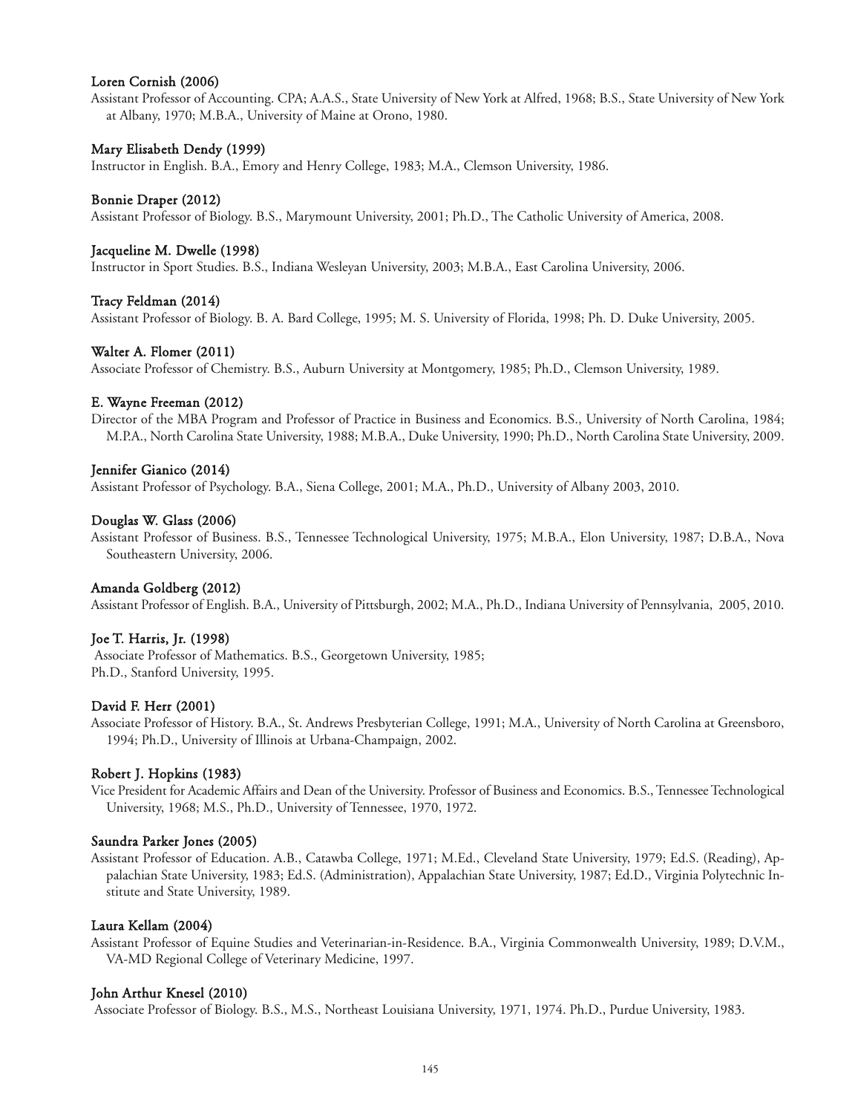## Loren Cornish (2006)

Assistant Professor of Accounting. CPA; A.A.S., State University of New York at Alfred, 1968; B.S., State University of New York at Albany, 1970; M.B.A., University of Maine at Orono, 1980.

### Mary Elisabeth Dendy (1999)

Instructor in English. B.A., Emory and Henry College, 1983; M.A., Clemson University, 1986.

#### Bonnie Draper (2012)

Assistant Professor of Biology. B.S., Marymount University, 2001; Ph.D., The Catholic University of America, 2008.

#### Jacqueline M. Dwelle (1998)

Instructor in Sport Studies. B.S., Indiana Wesleyan University, 2003; M.B.A., East Carolina University, 2006.

#### Tracy Feldman (2014)

Assistant Professor of Biology. B. A. Bard College, 1995; M. S. University of Florida, 1998; Ph. D. Duke University, 2005.

#### Walter A. Flomer (2011)

Associate Professor of Chemistry. B.S., Auburn University at Montgomery, 1985; Ph.D., Clemson University, 1989.

#### E. Wayne Freeman (2012)

Director of the MBA Program and Professor of Practice in Business and Economics. B.S., University of North Carolina, 1984; M.P.A., North Carolina State University, 1988; M.B.A., Duke University, 1990; Ph.D., North Carolina State University, 2009.

#### Jennifer Gianico (2014)

Assistant Professor of Psychology. B.A., Siena College, 2001; M.A., Ph.D., University of Albany 2003, 2010.

#### Douglas W. Glass (2006)

Assistant Professor of Business. B.S., Tennessee Technological University, 1975; M.B.A., Elon University, 1987; D.B.A., Nova Southeastern University, 2006.

### Amanda Goldberg (2012)

Assistant Professor of English. B.A., University of Pittsburgh, 2002; M.A., Ph.D., Indiana University of Pennsylvania, 2005, 2010.

### Joe T. Harris, Jr. (1998)

Associate Professor of Mathematics. B.S., Georgetown University, 1985; Ph.D., Stanford University, 1995.

#### David F. Herr (2001)

Associate Professor of History. B.A., St. Andrews Presbyterian College, 1991; M.A., University of North Carolina at Greensboro, 1994; Ph.D., University of Illinois at Urbana-Champaign, 2002.

#### Robert J. Hopkins (1983)

Vice President for Academic Affairs and Dean of the University. Professor of Business and Economics. B.S., Tennessee Technological University, 1968; M.S., Ph.D., University of Tennessee, 1970, 1972.

#### Saundra Parker Jones (2005)

Assistant Professor of Education. A.B., Catawba College, 1971; M.Ed., Cleveland State University, 1979; Ed.S. (Reading), Appalachian State University, 1983; Ed.S. (Administration), Appalachian State University, 1987; Ed.D., Virginia Polytechnic Institute and State University, 1989.

#### Laura Kellam (2004)

Assistant Professor of Equine Studies and Veterinarian-in-Residence. B.A., Virginia Commonwealth University, 1989; D.V.M., VA-MD Regional College of Veterinary Medicine, 1997.

#### John Arthur Knesel (2010)

Associate Professor of Biology. B.S., M.S., Northeast Louisiana University, 1971, 1974. Ph.D., Purdue University, 1983.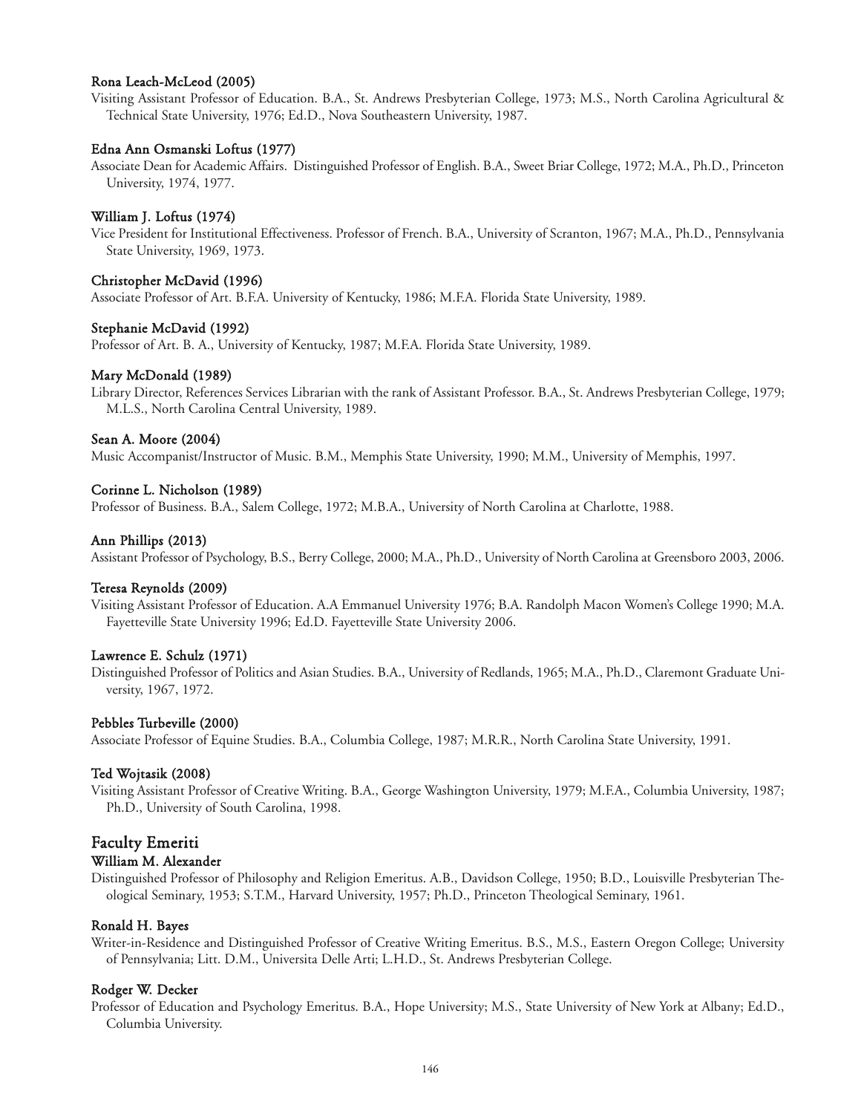## Rona Leach-McLeod (2005)

Visiting Assistant Professor of Education. B.A., St. Andrews Presbyterian College, 1973; M.S., North Carolina Agricultural & Technical State University, 1976; Ed.D., Nova Southeastern University, 1987.

### Edna Ann Osmanski Loftus (1977)

Associate Dean for Academic Affairs. Distinguished Professor of English. B.A., Sweet Briar College, 1972; M.A., Ph.D., Princeton University, 1974, 1977.

## William J. Loftus (1974)

Vice President for Institutional Effectiveness. Professor of French. B.A., University of Scranton, 1967; M.A., Ph.D., Pennsylvania State University, 1969, 1973.

#### Christopher McDavid (1996)

Associate Professor of Art. B.F.A. University of Kentucky, 1986; M.F.A. Florida State University, 1989.

#### Stephanie McDavid (1992)

Professor of Art. B. A., University of Kentucky, 1987; M.F.A. Florida State University, 1989.

#### Mary McDonald (1989)

Library Director, References Services Librarian with the rank of Assistant Professor. B.A., St. Andrews Presbyterian College, 1979; M.L.S., North Carolina Central University, 1989.

## Sean A. Moore (2004)

Music Accompanist/Instructor of Music. B.M., Memphis State University, 1990; M.M., University of Memphis, 1997.

#### Corinne L. Nicholson (1989)

Professor of Business. B.A., Salem College, 1972; M.B.A., University of North Carolina at Charlotte, 1988.

#### Ann Phillips (2013)

Assistant Professor of Psychology, B.S., Berry College, 2000; M.A., Ph.D., University of North Carolina at Greensboro 2003, 2006.

### Teresa Reynolds (2009)

Visiting Assistant Professor of Education. A.A Emmanuel University 1976; B.A. Randolph Macon Women's College 1990; M.A. Fayetteville State University 1996; Ed.D. Fayetteville State University 2006.

#### Lawrence E. Schulz (1971)

Distinguished Professor of Politics and Asian Studies. B.A., University of Redlands, 1965; M.A., Ph.D., Claremont Graduate University, 1967, 1972.

#### Pebbles Turbeville (2000)

Associate Professor of Equine Studies. B.A., Columbia College, 1987; M.R.R., North Carolina State University, 1991.

#### Ted Wojtasik (2008)

Visiting Assistant Professor of Creative Writing. B.A., George Washington University, 1979; M.F.A., Columbia University, 1987; Ph.D., University of South Carolina, 1998.

## Faculty Emeriti

### William M. Alexander

Distinguished Professor of Philosophy and Religion Emeritus. A.B., Davidson College, 1950; B.D., Louisville Presbyterian Theological Seminary, 1953; S.T.M., Harvard University, 1957; Ph.D., Princeton Theological Seminary, 1961.

#### Ronald H. Bayes

Writer-in-Residence and Distinguished Professor of Creative Writing Emeritus. B.S., M.S., Eastern Oregon College; University of Pennsylvania; Litt. D.M., Universita Delle Arti; L.H.D., St. Andrews Presbyterian College.

#### Rodger W. Decker

Professor of Education and Psychology Emeritus. B.A., Hope University; M.S., State University of New York at Albany; Ed.D., Columbia University.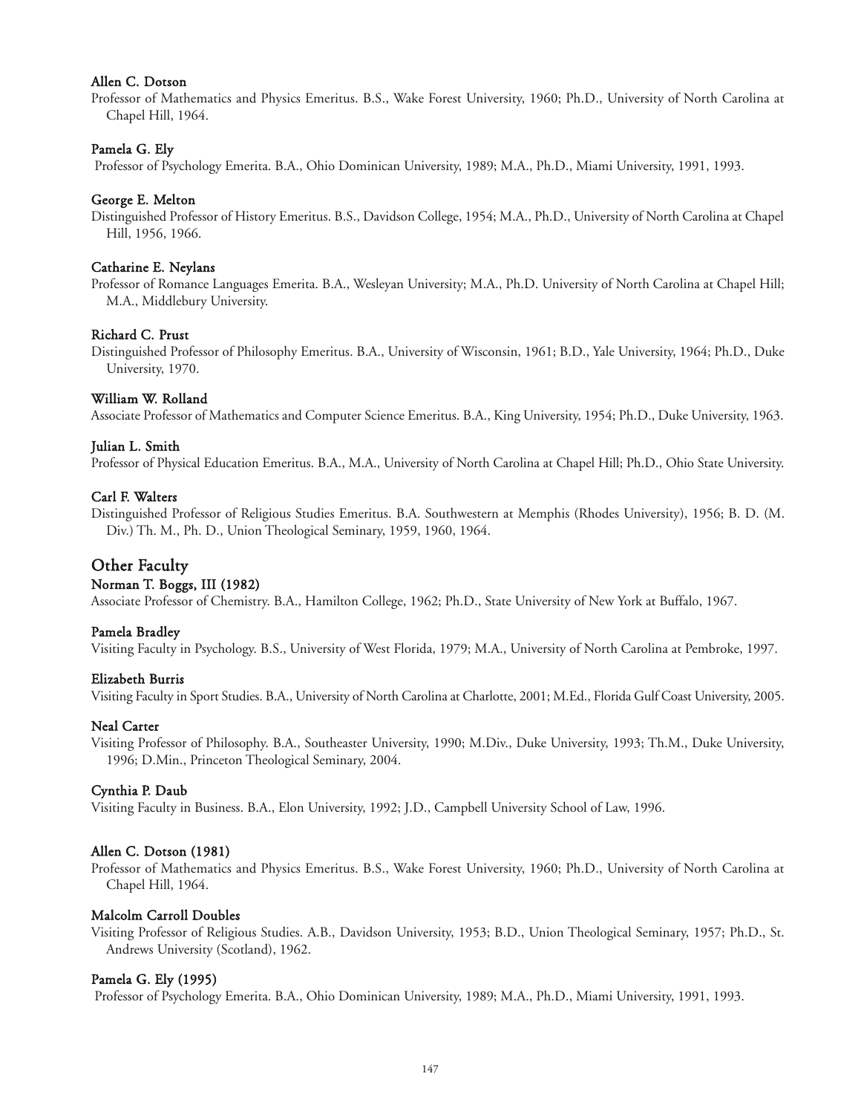## Allen C. Dotson

Professor of Mathematics and Physics Emeritus. B.S., Wake Forest University, 1960; Ph.D., University of North Carolina at Chapel Hill, 1964.

## Pamela G. Ely

Professor of Psychology Emerita. B.A., Ohio Dominican University, 1989; M.A., Ph.D., Miami University, 1991, 1993.

### George E. Melton

Distinguished Professor of History Emeritus. B.S., Davidson College, 1954; M.A., Ph.D., University of North Carolina at Chapel Hill, 1956, 1966.

#### Catharine E. Neylans

Professor of Romance Languages Emerita. B.A., Wesleyan University; M.A., Ph.D. University of North Carolina at Chapel Hill; M.A., Middlebury University.

### Richard C. Prust

Distinguished Professor of Philosophy Emeritus. B.A., University of Wisconsin, 1961; B.D., Yale University, 1964; Ph.D., Duke University, 1970.

### William W. Rolland

Associate Professor of Mathematics and Computer Science Emeritus. B.A., King University, 1954; Ph.D., Duke University, 1963.

#### Julian L. Smith

Professor of Physical Education Emeritus. B.A., M.A., University of North Carolina at Chapel Hill; Ph.D., Ohio State University.

#### Carl F. Walters

Distinguished Professor of Religious Studies Emeritus. B.A. Southwestern at Memphis (Rhodes University), 1956; B. D. (M. Div.) Th. M., Ph. D., Union Theological Seminary, 1959, 1960, 1964.

## Other Faculty

### Norman T. Boggs, III (1982)

Associate Professor of Chemistry. B.A., Hamilton College, 1962; Ph.D., State University of New York at Buffalo, 1967.

#### Pamela Bradley

Visiting Faculty in Psychology. B.S., University of West Florida, 1979; M.A., University of North Carolina at Pembroke, 1997.

#### Elizabeth Burris

Visiting Faculty in Sport Studies. B.A., University of North Carolina at Charlotte, 2001; M.Ed., Florida Gulf Coast University, 2005.

### Neal Carter

Visiting Professor of Philosophy. B.A., Southeaster University, 1990; M.Div., Duke University, 1993; Th.M., Duke University, 1996; D.Min., Princeton Theological Seminary, 2004.

### Cynthia P. Daub

Visiting Faculty in Business. B.A., Elon University, 1992; J.D., Campbell University School of Law, 1996.

#### Allen C. Dotson (1981)

Professor of Mathematics and Physics Emeritus. B.S., Wake Forest University, 1960; Ph.D., University of North Carolina at Chapel Hill, 1964.

#### Malcolm Carroll Doubles

Visiting Professor of Religious Studies. A.B., Davidson University, 1953; B.D., Union Theological Seminary, 1957; Ph.D., St. Andrews University (Scotland), 1962.

#### Pamela G. Ely (1995)

Professor of Psychology Emerita. B.A., Ohio Dominican University, 1989; M.A., Ph.D., Miami University, 1991, 1993.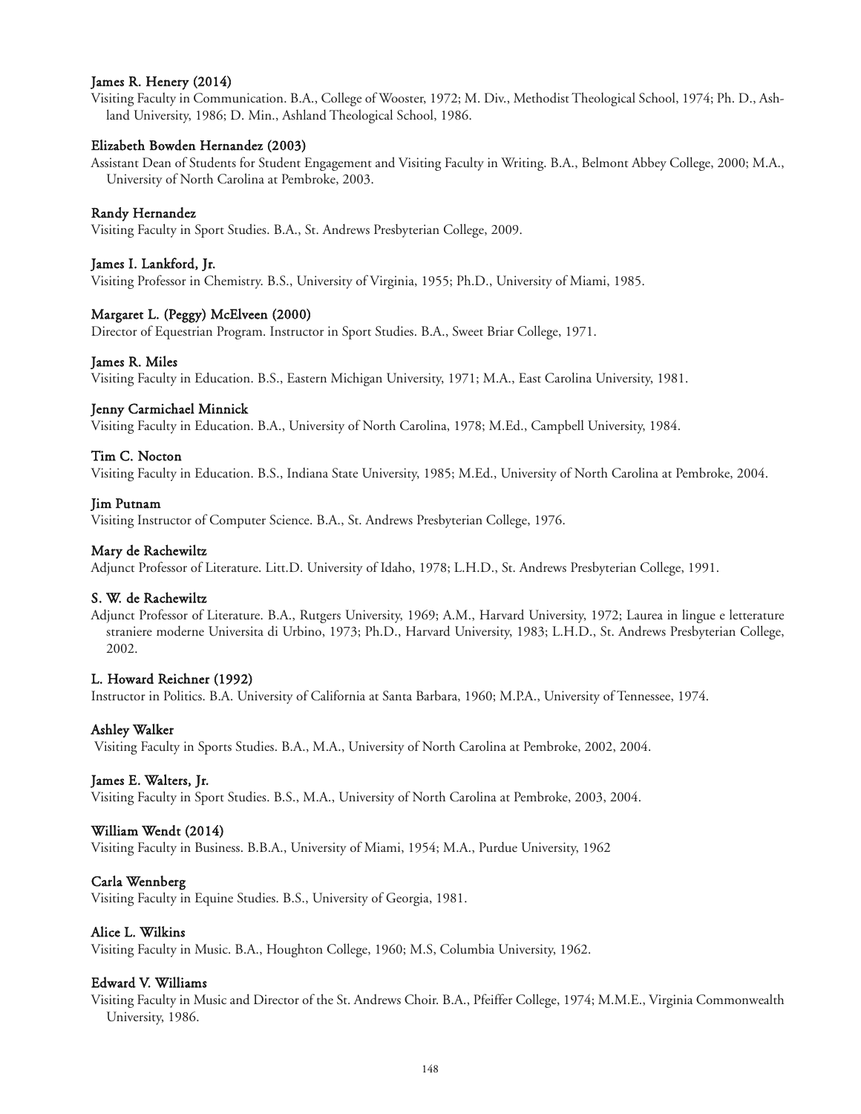## James R. Henery (2014)

Visiting Faculty in Communication. B.A., College of Wooster, 1972; M. Div., Methodist Theological School, 1974; Ph. D., Ashland University, 1986; D. Min., Ashland Theological School, 1986.

## Elizabeth Bowden Hernandez (2003)

Assistant Dean of Students for Student Engagement and Visiting Faculty in Writing. B.A., Belmont Abbey College, 2000; M.A., University of North Carolina at Pembroke, 2003.

## Randy Hernandez

Visiting Faculty in Sport Studies. B.A., St. Andrews Presbyterian College, 2009.

## James I. Lankford, Jr.

Visiting Professor in Chemistry. B.S., University of Virginia, 1955; Ph.D., University of Miami, 1985.

## Margaret L. (Peggy) McElveen (2000)

Director of Equestrian Program. Instructor in Sport Studies. B.A., Sweet Briar College, 1971.

## James R. Miles

Visiting Faculty in Education. B.S., Eastern Michigan University, 1971; M.A., East Carolina University, 1981.

## Jenny Carmichael Minnick

Visiting Faculty in Education. B.A., University of North Carolina, 1978; M.Ed., Campbell University, 1984.

## Tim C. Nocton

Visiting Faculty in Education. B.S., Indiana State University, 1985; M.Ed., University of North Carolina at Pembroke, 2004.

## Jim Putnam

Visiting Instructor of Computer Science. B.A., St. Andrews Presbyterian College, 1976.

## Mary de Rachewiltz

Adjunct Professor of Literature. Litt.D. University of Idaho, 1978; L.H.D., St. Andrews Presbyterian College, 1991.

## S. W. de Rachewiltz

Adjunct Professor of Literature. B.A., Rutgers University, 1969; A.M., Harvard University, 1972; Laurea in lingue e letterature straniere moderne Universita di Urbino, 1973; Ph.D., Harvard University, 1983; L.H.D., St. Andrews Presbyterian College, 2002.

## L. Howard Reichner (1992)

Instructor in Politics. B.A. University of California at Santa Barbara, 1960; M.P.A., University of Tennessee, 1974.

## Ashley Walker

Visiting Faculty in Sports Studies. B.A., M.A., University of North Carolina at Pembroke, 2002, 2004.

## James E. Walters, Jr.

Visiting Faculty in Sport Studies. B.S., M.A., University of North Carolina at Pembroke, 2003, 2004.

## William Wendt (2014)

Visiting Faculty in Business. B.B.A., University of Miami, 1954; M.A., Purdue University, 1962

## Carla Wennberg

Visiting Faculty in Equine Studies. B.S., University of Georgia, 1981.

## Alice L. Wilkins

Visiting Faculty in Music. B.A., Houghton College, 1960; M.S, Columbia University, 1962.

## Edward V. Williams

Visiting Faculty in Music and Director of the St. Andrews Choir. B.A., Pfeiffer College, 1974; M.M.E., Virginia Commonwealth University, 1986.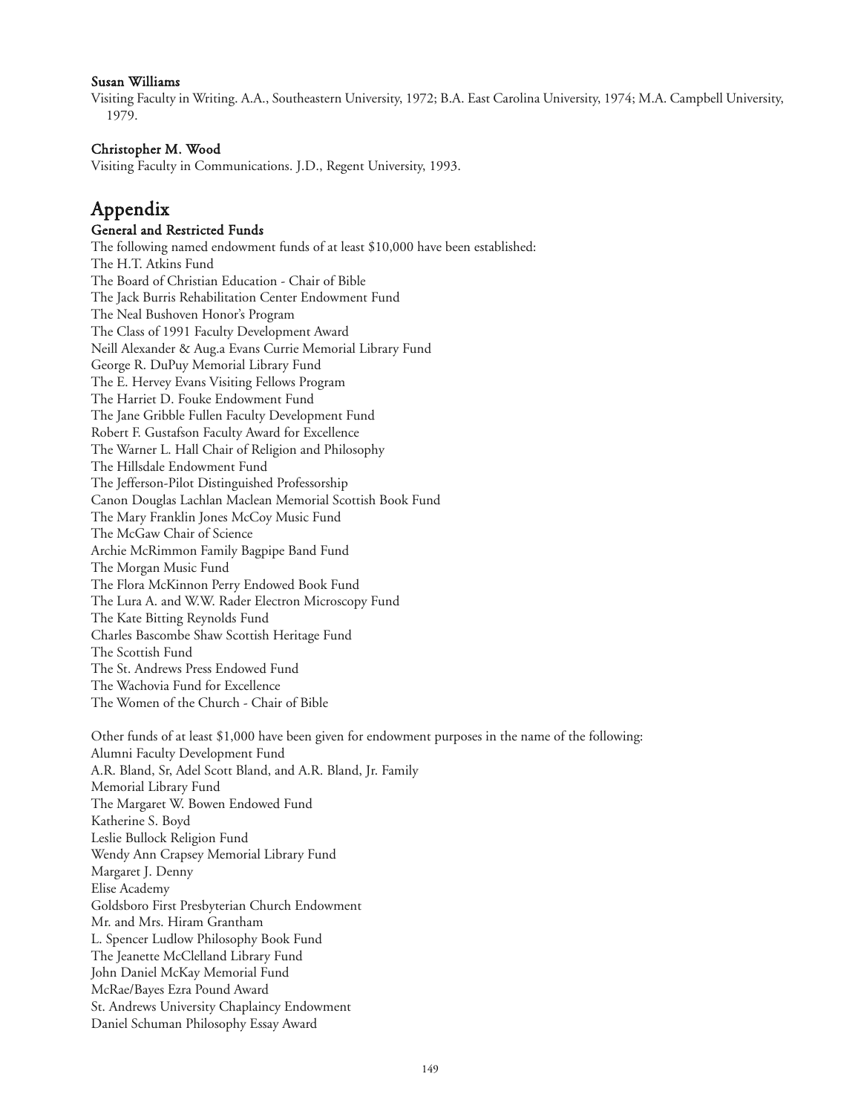## Susan Williams

Visiting Faculty in Writing. A.A., Southeastern University, 1972; B.A. East Carolina University, 1974; M.A. Campbell University, 1979.

## Christopher M. Wood

Visiting Faculty in Communications. J.D., Regent University, 1993.

## Appendix

## General and Restricted Funds

The following named endowment funds of at least \$10,000 have been established: The H.T. Atkins Fund The Board of Christian Education - Chair of Bible The Jack Burris Rehabilitation Center Endowment Fund The Neal Bushoven Honor's Program The Class of 1991 Faculty Development Award Neill Alexander & Aug.a Evans Currie Memorial Library Fund George R. DuPuy Memorial Library Fund The E. Hervey Evans Visiting Fellows Program The Harriet D. Fouke Endowment Fund The Jane Gribble Fullen Faculty Development Fund Robert F. Gustafson Faculty Award for Excellence The Warner L. Hall Chair of Religion and Philosophy The Hillsdale Endowment Fund The Jefferson-Pilot Distinguished Professorship Canon Douglas Lachlan Maclean Memorial Scottish Book Fund The Mary Franklin Jones McCoy Music Fund The McGaw Chair of Science Archie McRimmon Family Bagpipe Band Fund The Morgan Music Fund The Flora McKinnon Perry Endowed Book Fund The Lura A. and W.W. Rader Electron Microscopy Fund The Kate Bitting Reynolds Fund Charles Bascombe Shaw Scottish Heritage Fund The Scottish Fund The St. Andrews Press Endowed Fund The Wachovia Fund for Excellence The Women of the Church - Chair of Bible

Other funds of at least \$1,000 have been given for endowment purposes in the name of the following: Alumni Faculty Development Fund A.R. Bland, Sr, Adel Scott Bland, and A.R. Bland, Jr. Family Memorial Library Fund The Margaret W. Bowen Endowed Fund Katherine S. Boyd Leslie Bullock Religion Fund Wendy Ann Crapsey Memorial Library Fund Margaret J. Denny Elise Academy Goldsboro First Presbyterian Church Endowment Mr. and Mrs. Hiram Grantham L. Spencer Ludlow Philosophy Book Fund The Jeanette McClelland Library Fund John Daniel McKay Memorial Fund McRae/Bayes Ezra Pound Award St. Andrews University Chaplaincy Endowment Daniel Schuman Philosophy Essay Award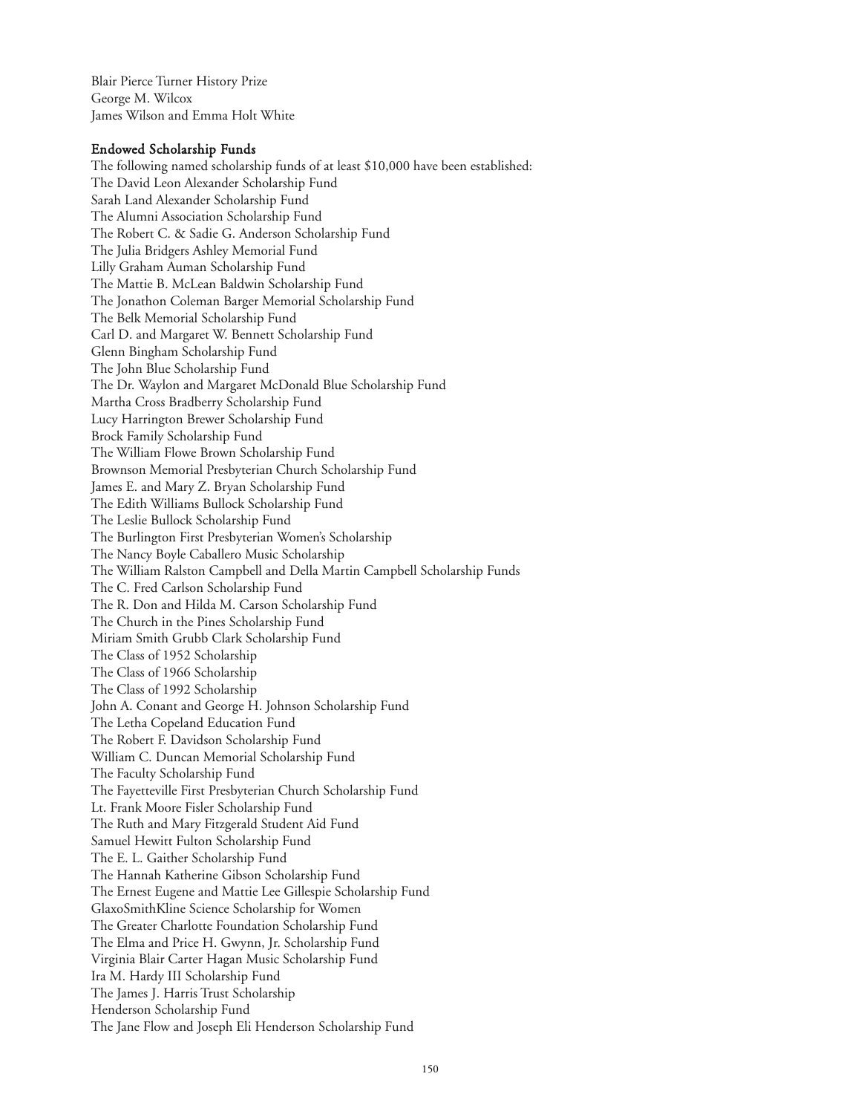Blair Pierce Turner History Prize George M. Wilcox James Wilson and Emma Holt White

## Endowed Scholarship Funds

The following named scholarship funds of at least \$10,000 have been established: The David Leon Alexander Scholarship Fund Sarah Land Alexander Scholarship Fund The Alumni Association Scholarship Fund The Robert C. & Sadie G. Anderson Scholarship Fund The Julia Bridgers Ashley Memorial Fund Lilly Graham Auman Scholarship Fund The Mattie B. McLean Baldwin Scholarship Fund The Jonathon Coleman Barger Memorial Scholarship Fund The Belk Memorial Scholarship Fund Carl D. and Margaret W. Bennett Scholarship Fund Glenn Bingham Scholarship Fund The John Blue Scholarship Fund The Dr. Waylon and Margaret McDonald Blue Scholarship Fund Martha Cross Bradberry Scholarship Fund Lucy Harrington Brewer Scholarship Fund Brock Family Scholarship Fund The William Flowe Brown Scholarship Fund Brownson Memorial Presbyterian Church Scholarship Fund James E. and Mary Z. Bryan Scholarship Fund The Edith Williams Bullock Scholarship Fund The Leslie Bullock Scholarship Fund The Burlington First Presbyterian Women's Scholarship The Nancy Boyle Caballero Music Scholarship The William Ralston Campbell and Della Martin Campbell Scholarship Funds The C. Fred Carlson Scholarship Fund The R. Don and Hilda M. Carson Scholarship Fund The Church in the Pines Scholarship Fund Miriam Smith Grubb Clark Scholarship Fund The Class of 1952 Scholarship The Class of 1966 Scholarship The Class of 1992 Scholarship John A. Conant and George H. Johnson Scholarship Fund The Letha Copeland Education Fund The Robert F. Davidson Scholarship Fund William C. Duncan Memorial Scholarship Fund The Faculty Scholarship Fund The Fayetteville First Presbyterian Church Scholarship Fund Lt. Frank Moore Fisler Scholarship Fund The Ruth and Mary Fitzgerald Student Aid Fund Samuel Hewitt Fulton Scholarship Fund The E. L. Gaither Scholarship Fund The Hannah Katherine Gibson Scholarship Fund The Ernest Eugene and Mattie Lee Gillespie Scholarship Fund GlaxoSmithKline Science Scholarship for Women The Greater Charlotte Foundation Scholarship Fund The Elma and Price H. Gwynn, Jr. Scholarship Fund Virginia Blair Carter Hagan Music Scholarship Fund Ira M. Hardy III Scholarship Fund The James J. Harris Trust Scholarship Henderson Scholarship Fund The Jane Flow and Joseph Eli Henderson Scholarship Fund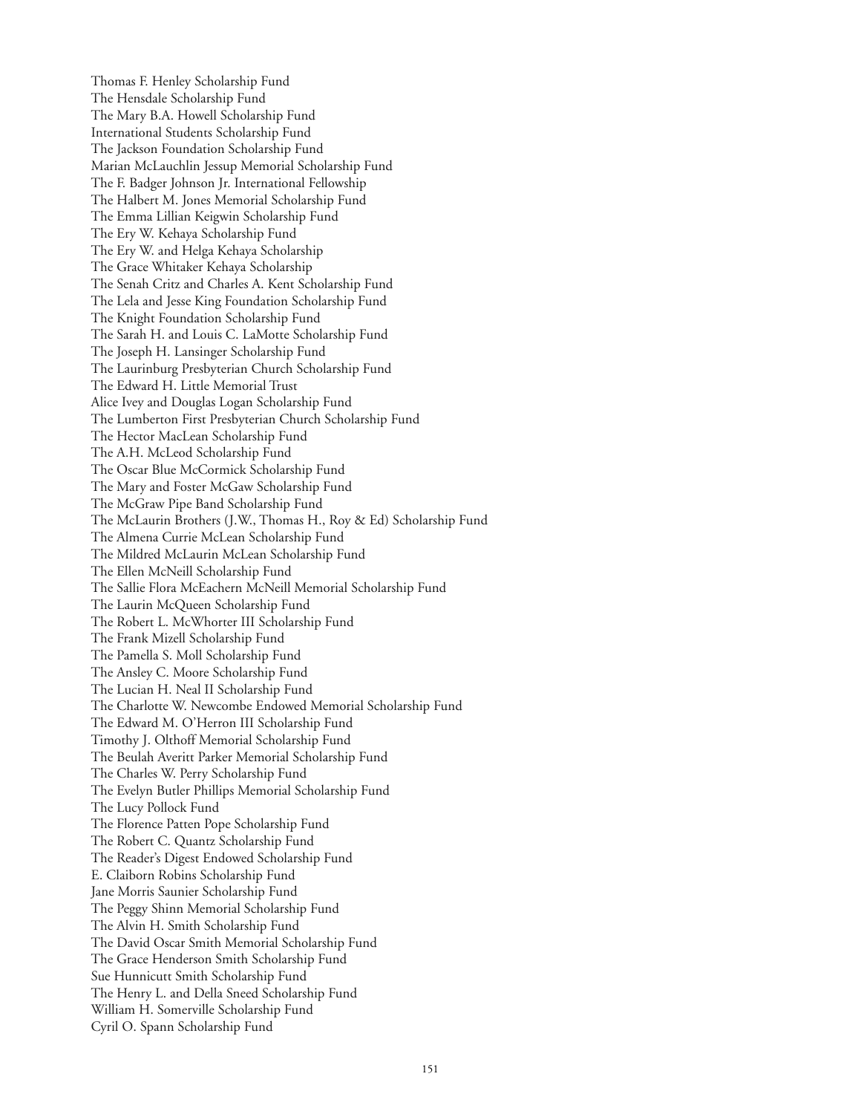Thomas F. Henley Scholarship Fund The Hensdale Scholarship Fund The Mary B.A. Howell Scholarship Fund International Students Scholarship Fund The Jackson Foundation Scholarship Fund Marian McLauchlin Jessup Memorial Scholarship Fund The F. Badger Johnson Jr. International Fellowship The Halbert M. Jones Memorial Scholarship Fund The Emma Lillian Keigwin Scholarship Fund The Ery W. Kehaya Scholarship Fund The Ery W. and Helga Kehaya Scholarship The Grace Whitaker Kehaya Scholarship The Senah Critz and Charles A. Kent Scholarship Fund The Lela and Jesse King Foundation Scholarship Fund The Knight Foundation Scholarship Fund The Sarah H. and Louis C. LaMotte Scholarship Fund The Joseph H. Lansinger Scholarship Fund The Laurinburg Presbyterian Church Scholarship Fund The Edward H. Little Memorial Trust Alice Ivey and Douglas Logan Scholarship Fund The Lumberton First Presbyterian Church Scholarship Fund The Hector MacLean Scholarship Fund The A.H. McLeod Scholarship Fund The Oscar Blue McCormick Scholarship Fund The Mary and Foster McGaw Scholarship Fund The McGraw Pipe Band Scholarship Fund The McLaurin Brothers (J.W., Thomas H., Roy & Ed) Scholarship Fund The Almena Currie McLean Scholarship Fund The Mildred McLaurin McLean Scholarship Fund The Ellen McNeill Scholarship Fund The Sallie Flora McEachern McNeill Memorial Scholarship Fund The Laurin McQueen Scholarship Fund The Robert L. McWhorter III Scholarship Fund The Frank Mizell Scholarship Fund The Pamella S. Moll Scholarship Fund The Ansley C. Moore Scholarship Fund The Lucian H. Neal II Scholarship Fund The Charlotte W. Newcombe Endowed Memorial Scholarship Fund The Edward M. O'Herron III Scholarship Fund Timothy J. Olthoff Memorial Scholarship Fund The Beulah Averitt Parker Memorial Scholarship Fund The Charles W. Perry Scholarship Fund The Evelyn Butler Phillips Memorial Scholarship Fund The Lucy Pollock Fund The Florence Patten Pope Scholarship Fund The Robert C. Quantz Scholarship Fund The Reader's Digest Endowed Scholarship Fund E. Claiborn Robins Scholarship Fund Jane Morris Saunier Scholarship Fund The Peggy Shinn Memorial Scholarship Fund The Alvin H. Smith Scholarship Fund The David Oscar Smith Memorial Scholarship Fund The Grace Henderson Smith Scholarship Fund Sue Hunnicutt Smith Scholarship Fund The Henry L. and Della Sneed Scholarship Fund William H. Somerville Scholarship Fund Cyril O. Spann Scholarship Fund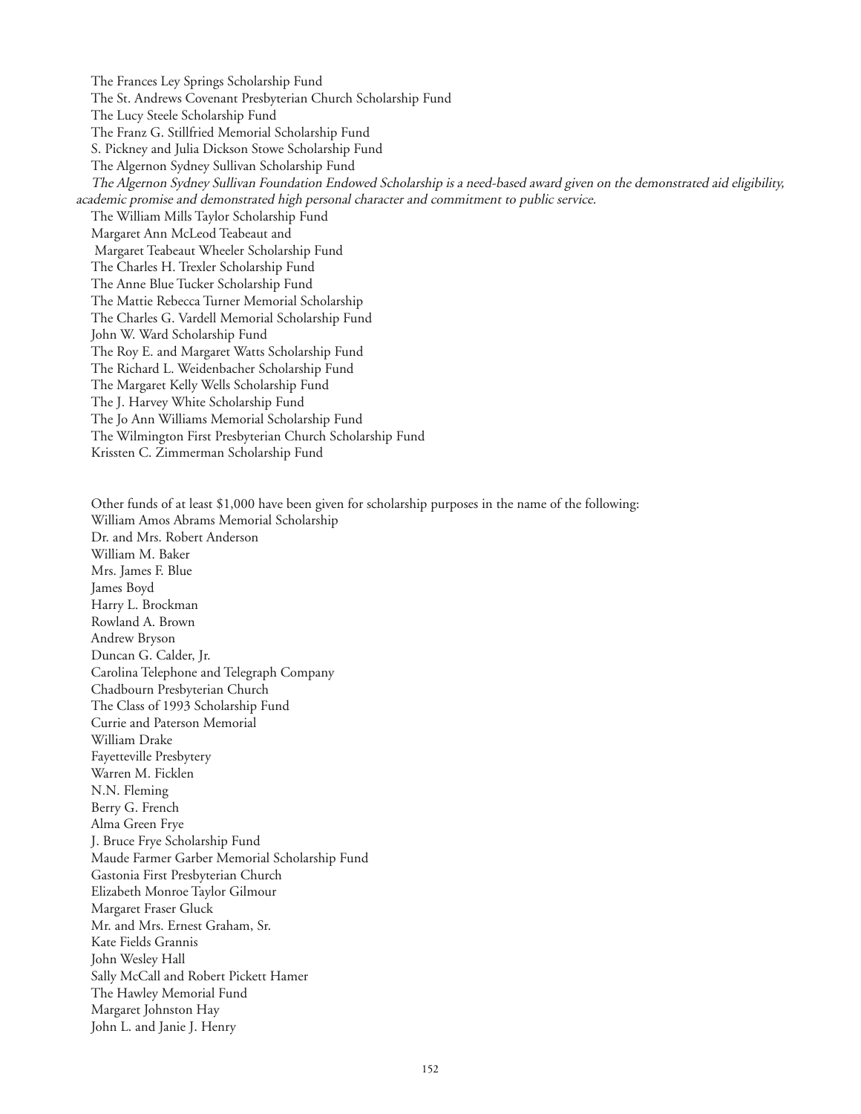The Frances Ley Springs Scholarship Fund The St. Andrews Covenant Presbyterian Church Scholarship Fund The Lucy Steele Scholarship Fund The Franz G. Stillfried Memorial Scholarship Fund S. Pickney and Julia Dickson Stowe Scholarship Fund The Algernon Sydney Sullivan Scholarship Fund The Algernon Sydney Sullivan Foundation Endowed Scholarship is a need-based award given on the demonstrated aid eligibility, academic promise and demonstrated high personal character and commitment to public service. The William Mills Taylor Scholarship Fund Margaret Ann McLeod Teabeaut and Margaret Teabeaut Wheeler Scholarship Fund The Charles H. Trexler Scholarship Fund The Anne Blue Tucker Scholarship Fund The Mattie Rebecca Turner Memorial Scholarship The Charles G. Vardell Memorial Scholarship Fund John W. Ward Scholarship Fund The Roy E. and Margaret Watts Scholarship Fund The Richard L. Weidenbacher Scholarship Fund The Margaret Kelly Wells Scholarship Fund The J. Harvey White Scholarship Fund The Jo Ann Williams Memorial Scholarship Fund The Wilmington First Presbyterian Church Scholarship Fund Krissten C. Zimmerman Scholarship Fund

Other funds of at least \$1,000 have been given for scholarship purposes in the name of the following: William Amos Abrams Memorial Scholarship Dr. and Mrs. Robert Anderson William M. Baker Mrs. James F. Blue James Boyd Harry L. Brockman Rowland A. Brown Andrew Bryson Duncan G. Calder, Jr. Carolina Telephone and Telegraph Company Chadbourn Presbyterian Church The Class of 1993 Scholarship Fund Currie and Paterson Memorial William Drake Fayetteville Presbytery Warren M. Ficklen N.N. Fleming Berry G. French Alma Green Frye J. Bruce Frye Scholarship Fund Maude Farmer Garber Memorial Scholarship Fund Gastonia First Presbyterian Church Elizabeth Monroe Taylor Gilmour Margaret Fraser Gluck Mr. and Mrs. Ernest Graham, Sr. Kate Fields Grannis John Wesley Hall Sally McCall and Robert Pickett Hamer The Hawley Memorial Fund Margaret Johnston Hay John L. and Janie J. Henry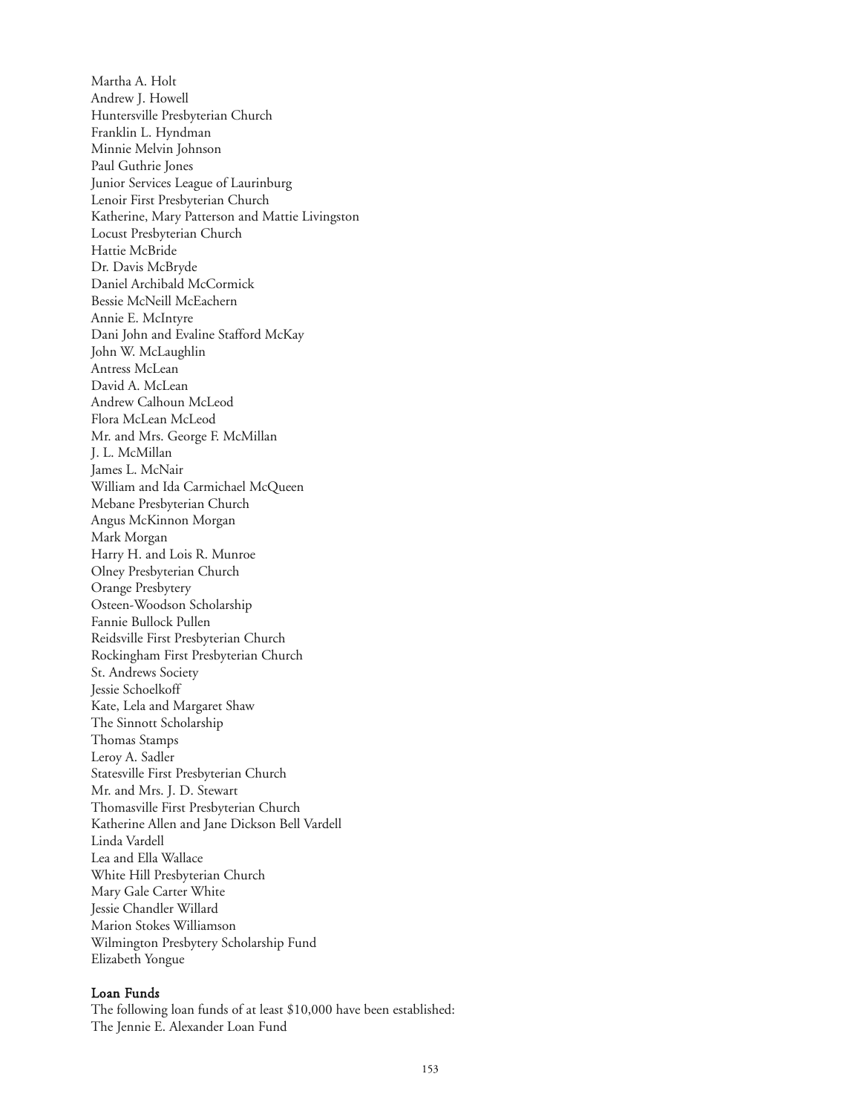Martha A. Holt Andrew J. Howell Huntersville Presbyterian Church Franklin L. Hyndman Minnie Melvin Johnson Paul Guthrie Jones Junior Services League of Laurinburg Lenoir First Presbyterian Church Katherine, Mary Patterson and Mattie Livingston Locust Presbyterian Church Hattie McBride Dr. Davis McBryde Daniel Archibald McCormick Bessie McNeill McEachern Annie E. McIntyre Dani John and Evaline Stafford McKay John W. McLaughlin Antress McLean David A. McLean Andrew Calhoun McLeod Flora McLean McLeod Mr. and Mrs. George F. McMillan J. L. McMillan James L. McNair William and Ida Carmichael McQueen Mebane Presbyterian Church Angus McKinnon Morgan Mark Morgan Harry H. and Lois R. Munroe Olney Presbyterian Church Orange Presbytery Osteen-Woodson Scholarship Fannie Bullock Pullen Reidsville First Presbyterian Church Rockingham First Presbyterian Church St. Andrews Society Jessie Schoelkoff Kate, Lela and Margaret Shaw The Sinnott Scholarship Thomas Stamps Leroy A. Sadler Statesville First Presbyterian Church Mr. and Mrs. J. D. Stewart Thomasville First Presbyterian Church Katherine Allen and Jane Dickson Bell Vardell Linda Vardell Lea and Ella Wallace White Hill Presbyterian Church Mary Gale Carter White Jessie Chandler Willard Marion Stokes Williamson Wilmington Presbytery Scholarship Fund Elizabeth Yongue

### Loan Funds

The following loan funds of at least \$10,000 have been established: The Jennie E. Alexander Loan Fund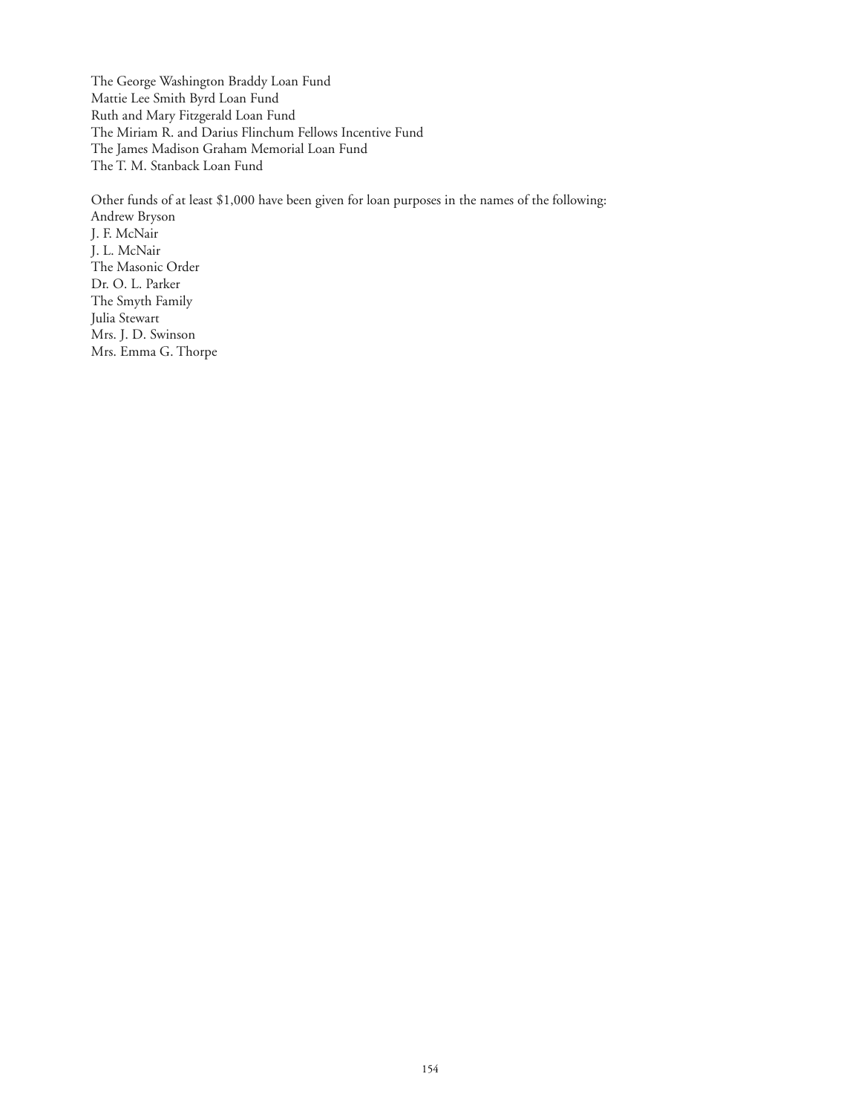The George Washington Braddy Loan Fund Mattie Lee Smith Byrd Loan Fund Ruth and Mary Fitzgerald Loan Fund The Miriam R. and Darius Flinchum Fellows Incentive Fund The James Madison Graham Memorial Loan Fund The T. M. Stanback Loan Fund

Other funds of at least \$1,000 have been given for loan purposes in the names of the following: Andrew Bryson J. F. McNair J. L. McNair The Masonic Order Dr. O. L. Parker The Smyth Family Julia Stewart Mrs. J. D. Swinson Mrs. Emma G. Thorpe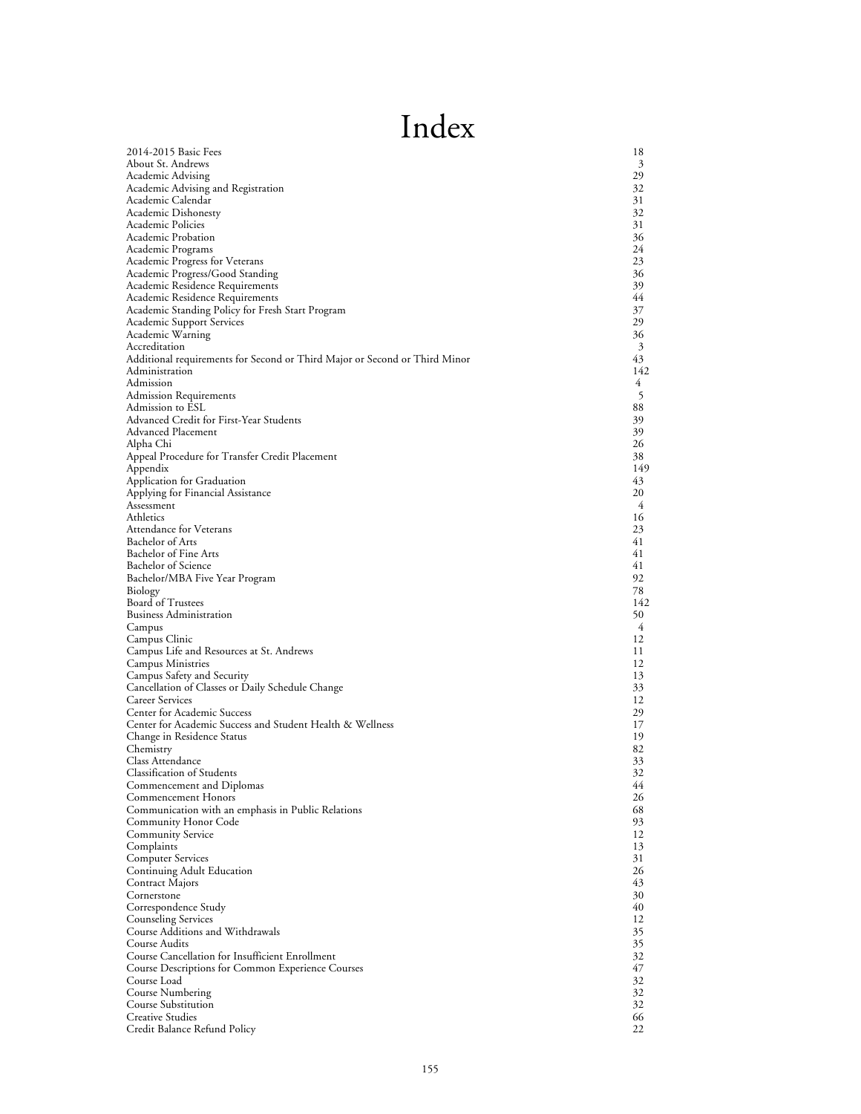# Index

| 2014-2015 Basic Fees                                                          | 18       |
|-------------------------------------------------------------------------------|----------|
| About St. Andrews                                                             | 3        |
| Academic Advising                                                             | 29       |
| Academic Advising and Registration                                            | 32       |
| Academic Calendar<br>Academic Dishonesty                                      | 31<br>32 |
| Academic Policies                                                             | 31       |
| Academic Probation                                                            | 36       |
| Academic Programs                                                             | 24       |
| Academic Progress for Veterans                                                | 23       |
| Academic Progress/Good Standing                                               | 36       |
| Academic Residence Requirements                                               | 39       |
| Academic Residence Requirements                                               | 44       |
| Academic Standing Policy for Fresh Start Program<br>Academic Support Services | 37<br>29 |
| Academic Warning                                                              | 36       |
| Accreditation                                                                 | 3        |
| Additional requirements for Second or Third Major or Second or Third Minor    | 43       |
| Administration                                                                | 142      |
| Admission                                                                     | 4        |
| Admission Requirements                                                        | 5        |
| Admission to ESL                                                              | 88       |
| Advanced Credit for First-Year Students<br>Advanced Placement                 | 39       |
| Alpha Chi                                                                     | 39<br>26 |
| Appeal Procedure for Transfer Credit Placement                                | 38       |
| Appendix                                                                      | 149      |
| Application for Graduation                                                    | 43       |
| Applying for Financial Assistance                                             | 20       |
| Assessment                                                                    | 4        |
| Athletics                                                                     | 16       |
| Attendance for Veterans                                                       | 23<br>41 |
| Bachelor of Arts<br>Bachelor of Fine Arts                                     | 41       |
| Bachelor of Science                                                           | 41       |
| Bachelor/MBA Five Year Program                                                | 92       |
| Biology                                                                       | 78       |
| <b>Board of Trustees</b>                                                      | 142      |
| <b>Business Administration</b>                                                | 50       |
| Campus                                                                        | 4        |
| Campus Clinic                                                                 | 12       |
| Campus Life and Resources at St. Andrews<br>Campus Ministries                 | 11<br>12 |
| Campus Safety and Security                                                    | 13       |
| Cancellation of Classes or Daily Schedule Change                              | 33       |
| Career Services                                                               | 12       |
| Center for Academic Success                                                   | 29       |
| Center for Academic Success and Student Health & Wellness                     | 17       |
| Change in Residence Status                                                    | 19       |
| Chemistry                                                                     | 82       |
| Class Attendance<br><b>Classification of Students</b>                         | 33<br>32 |
| Commencement and Diplomas                                                     | 44       |
| Commencement Honors                                                           | 26       |
| Communication with an emphasis in Public Relations                            | 68       |
| Community Honor Code                                                          | 93       |
| Community Service                                                             | 12       |
| Complaints                                                                    | 13       |
| <b>Computer Services</b>                                                      | 31       |
| Continuing Adult Education<br>Contract Majors                                 | 26<br>43 |
| Cornerstone                                                                   | 30       |
| Correspondence Study                                                          | 40       |
| Counseling Services                                                           | 12       |
| Course Additions and Withdrawals                                              | 35       |
| Course Audits                                                                 | 35       |
| Course Cancellation for Insufficient Enrollment                               | 32       |
| Course Descriptions for Common Experience Courses                             | 47       |
| Course Load                                                                   | 32       |
| Course Numbering<br><b>Course Substitution</b>                                | 32<br>32 |
| Creative Studies                                                              | 66       |
| Credit Balance Refund Policy                                                  | 22       |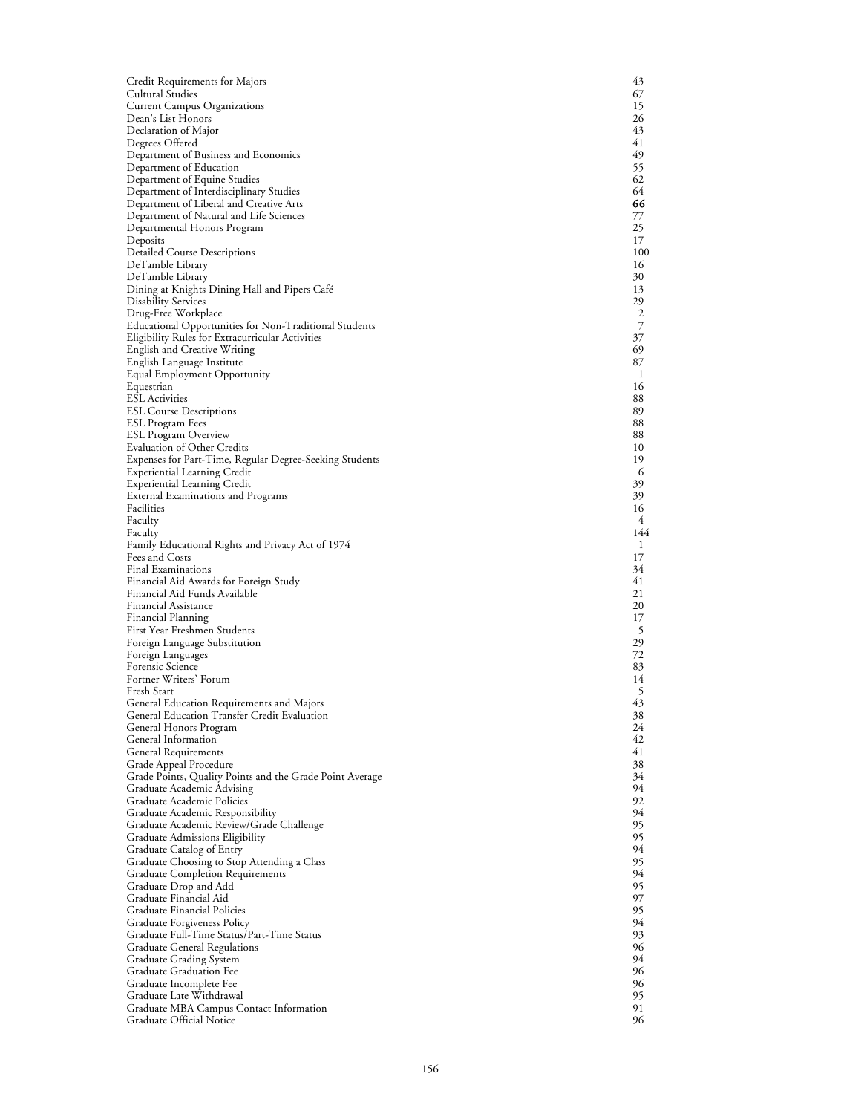| Credit Requirements for Majors                                               | 43        |
|------------------------------------------------------------------------------|-----------|
| Cultural Studies                                                             | 67        |
| <b>Current Campus Organizations</b>                                          | 15        |
| Dean's List Honors                                                           | 26<br>43  |
| Declaration of Major<br>Degrees Offered                                      | 41        |
| Department of Business and Economics                                         | 49        |
| Department of Education                                                      | 55        |
| Department of Equine Studies                                                 | 62        |
| Department of Interdisciplinary Studies                                      | 64        |
| Department of Liberal and Creative Arts                                      | 66        |
| Department of Natural and Life Sciences                                      | 77        |
| Departmental Honors Program                                                  | 25        |
| Deposits                                                                     | 17        |
| <b>Detailed Course Descriptions</b>                                          | 100<br>16 |
| DeTamble Library<br>DeTamble Library                                         | 30        |
| Dining at Knights Dining Hall and Pipers Café                                | 13        |
| <b>Disability Services</b>                                                   | 29        |
| Drug-Free Workplace                                                          | 2         |
| Educational Opportunities for Non-Traditional Students                       | 7         |
| Eligibility Rules for Extracurricular Activities                             | 37        |
| English and Creative Writing                                                 | 69        |
| English Language Institute                                                   | 87        |
| Equal Employment Opportunity                                                 | 1         |
| Equestrian                                                                   | 16        |
| <b>ESL</b> Activities<br><b>ESL Course Descriptions</b>                      | 88<br>89  |
| ESL Program Fees                                                             | 88        |
| <b>ESL Program Overview</b>                                                  | 88        |
| <b>Evaluation of Other Credits</b>                                           | 10        |
| Expenses for Part-Time, Regular Degree-Seeking Students                      | 19        |
| <b>Experiential Learning Credit</b>                                          | 6         |
| <b>Experiential Learning Credit</b>                                          | 39        |
| <b>External Examinations and Programs</b>                                    | 39        |
| Facilities                                                                   | 16        |
| Faculty                                                                      | 4         |
| Faculty                                                                      | 144       |
| Family Educational Rights and Privacy Act of 1974<br>Fees and Costs          | 1<br>17   |
| Final Examinations                                                           | 34        |
| Financial Aid Awards for Foreign Study                                       | 41        |
| Financial Aid Funds Available                                                | 21        |
| Financial Assistance                                                         | 20        |
| Financial Planning                                                           | 17        |
| First Year Freshmen Students                                                 | 5         |
| Foreign Language Substitution                                                | 29        |
| Foreign Languages                                                            | 72        |
| Forensic Science                                                             | 83        |
| Fortner Writers' Forum<br>Fresh Start                                        | 14<br>5   |
| General Education Requirements and Majors                                    | 43        |
| General Education Transfer Credit Evaluation                                 | 38        |
| General Honors Program                                                       | 24        |
| General Information                                                          | 42        |
| <b>General Requirements</b>                                                  | 41        |
| Grade Appeal Procedure                                                       | 38        |
| Grade Points, Quality Points and the Grade Point Average                     | 34        |
| Graduate Academic Advising                                                   | 94        |
| Graduate Academic Policies                                                   | 92        |
| Graduate Academic Responsibility<br>Graduate Academic Review/Grade Challenge | 94<br>95  |
| Graduate Admissions Eligibility                                              | 95        |
| Graduate Catalog of Entry                                                    | 94        |
| Graduate Choosing to Stop Attending a Class                                  | 95        |
| <b>Graduate Completion Requirements</b>                                      | 94        |
| Graduate Drop and Add                                                        | 95        |
| Graduate Financial Aid                                                       | 97        |
| Graduate Financial Policies                                                  | 95        |
| Graduate Forgiveness Policy                                                  | 94        |
| Graduate Full-Time Status/Part-Time Status                                   | 93        |
| Graduate General Regulations                                                 | 96        |
| Graduate Grading System                                                      | 94<br>96  |
| Graduate Graduation Fee<br>Graduate Incomplete Fee                           | 96        |
| Graduate Late Withdrawal                                                     | 95        |
| Graduate MBA Campus Contact Information                                      | 91        |
| Graduate Official Notice                                                     | 96        |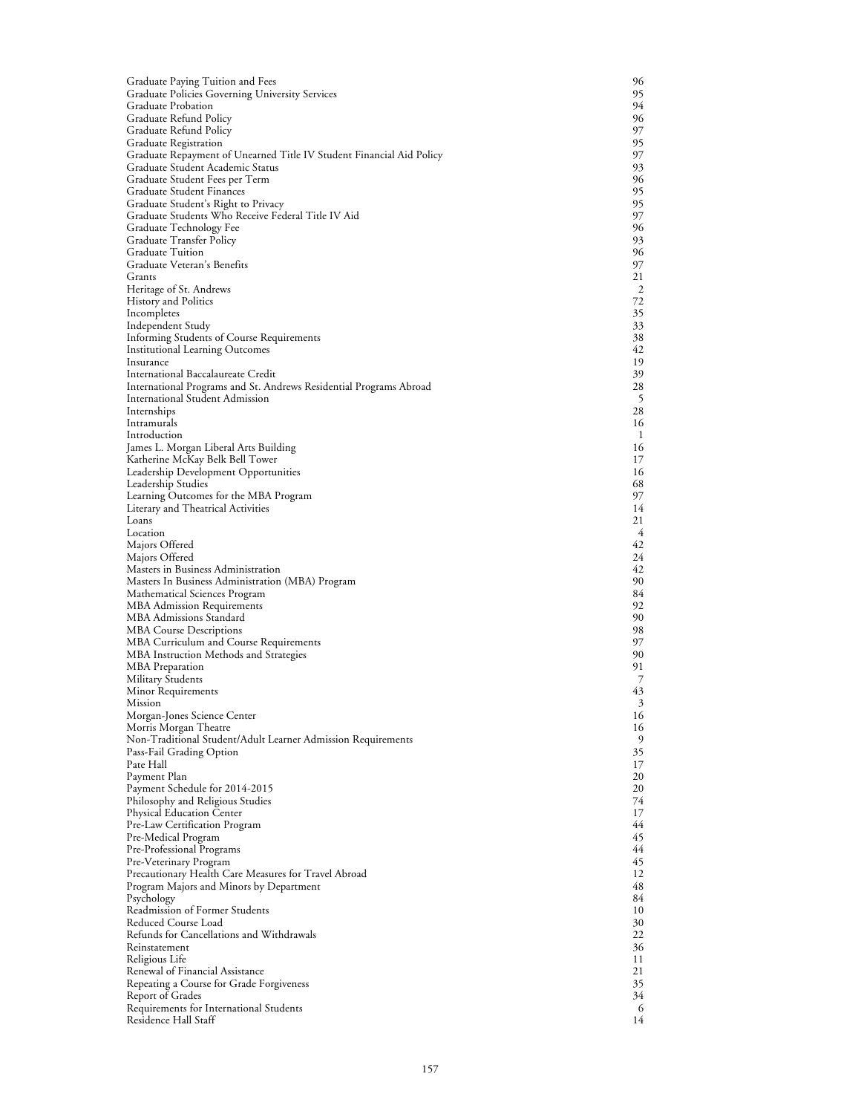| Graduate Paying Tuition and Fees                                                              | 96       |
|-----------------------------------------------------------------------------------------------|----------|
| Graduate Policies Governing University Services                                               | 95       |
| Graduate Probation                                                                            | 94       |
| Graduate Refund Policy                                                                        | 96       |
| Graduate Refund Policy                                                                        | 97<br>95 |
| Graduate Registration<br>Graduate Repayment of Unearned Title IV Student Financial Aid Policy | 97       |
| Graduate Student Academic Status                                                              | 93       |
| Graduate Student Fees per Term                                                                | 96       |
| Graduate Student Finances                                                                     | 95       |
| Graduate Student's Right to Privacy                                                           | 95       |
| Graduate Students Who Receive Federal Title IV Aid                                            | 97       |
| Graduate Technology Fee                                                                       | 96       |
| Graduate Transfer Policy<br><b>Graduate Tuition</b>                                           | 93<br>96 |
| Graduate Veteran's Benefits                                                                   | 97       |
| Grants                                                                                        | 21       |
| Heritage of St. Andrews                                                                       | 2        |
| History and Politics                                                                          | 72       |
| Incompletes                                                                                   | 35       |
| Independent Study                                                                             | 33       |
| Informing Students of Course Requirements                                                     | 38       |
| Institutional Learning Outcomes<br>Insurance                                                  | 42<br>19 |
| International Baccalaureate Credit                                                            | 39       |
| International Programs and St. Andrews Residential Programs Abroad                            | 28       |
| <b>International Student Admission</b>                                                        | 5        |
| Internships                                                                                   | 28       |
| Intramurals                                                                                   | 16       |
| Introduction                                                                                  | -1       |
| James L. Morgan Liberal Arts Building                                                         | 16       |
| Katherine McKay Belk Bell Tower                                                               | 17       |
| Leadership Development Opportunities<br>Leadership Studies                                    | 16<br>68 |
| Learning Outcomes for the MBA Program                                                         | 97       |
| Literary and Theatrical Activities                                                            | 14       |
| Loans                                                                                         | 21       |
| Location                                                                                      | 4        |
| Majors Offered                                                                                | 42       |
| Majors Offered                                                                                | 24       |
| Masters in Business Administration                                                            | 42<br>90 |
| Masters In Business Administration (MBA) Program<br>Mathematical Sciences Program             | 84       |
| <b>MBA</b> Admission Requirements                                                             | 92       |
| MBA Admissions Standard                                                                       | 90       |
| <b>MBA Course Descriptions</b>                                                                | 98       |
| MBA Curriculum and Course Requirements                                                        | 97       |
| MBA Instruction Methods and Strategies                                                        | 90       |
| MBA Preparation                                                                               | 91       |
| Military Students<br>Minor Requirements                                                       | 7<br>43  |
| Mission                                                                                       | 3        |
| Morgan-Jones Science Center                                                                   | 16       |
| Morris Morgan Theatre                                                                         | 16       |
| Non-Traditional Student/Adult Learner Admission Requirements                                  | 9        |
| Pass-Fail Grading Option                                                                      | 35       |
| Pate Hall                                                                                     | 17       |
| Payment Plan                                                                                  | 20       |
| Payment Schedule for 2014-2015                                                                | 20<br>74 |
| Philosophy and Religious Studies<br>Physical Education Center                                 | 17       |
| Pre-Law Certification Program                                                                 | 44       |
| Pre-Medical Program                                                                           | 45       |
| Pre-Professional Programs                                                                     | 44       |
| Pre-Veterinary Program                                                                        | 45       |
| Precautionary Health Care Measures for Travel Abroad                                          | 12       |
| Program Majors and Minors by Department                                                       | 48       |
| Psychology<br>Readmission of Former Students                                                  | 84<br>10 |
| Reduced Course Load                                                                           | 30       |
| Refunds for Cancellations and Withdrawals                                                     | 22       |
| Reinstatement                                                                                 | 36       |
| Religious Life                                                                                | 11       |
| Renewal of Financial Assistance                                                               | 21       |
| Repeating a Course for Grade Forgiveness                                                      | 35       |
| <b>Report of Grades</b>                                                                       | 34       |
| Requirements for International Students<br>Residence Hall Staff                               | 6<br>14  |
|                                                                                               |          |